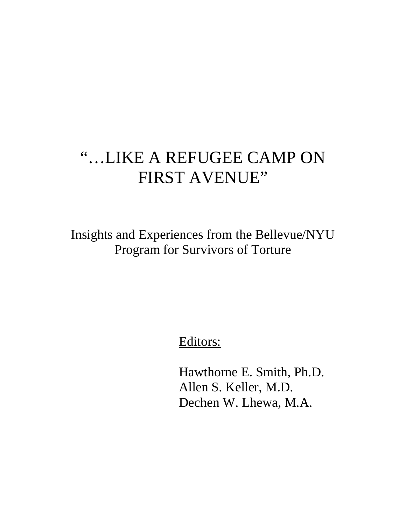# "…LIKE A REFUGEE CAMP ON FIRST AVENUE"

Insights and Experiences from the Bellevue/NYU Program for Survivors of Torture

Editors:

 Hawthorne E. Smith, Ph.D. Allen S. Keller, M.D. Dechen W. Lhewa, M.A.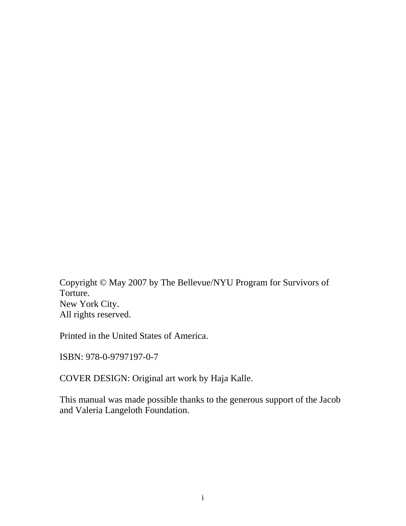Copyright © May 2007 by The Bellevue/NYU Program for Survivors of Torture. New York City. All rights reserved.

Printed in the United States of America.

ISBN: 978-0-9797197-0-7

COVER DESIGN: Original art work by Haja Kalle.

This manual was made possible thanks to the generous support of the Jacob and Valeria Langeloth Foundation.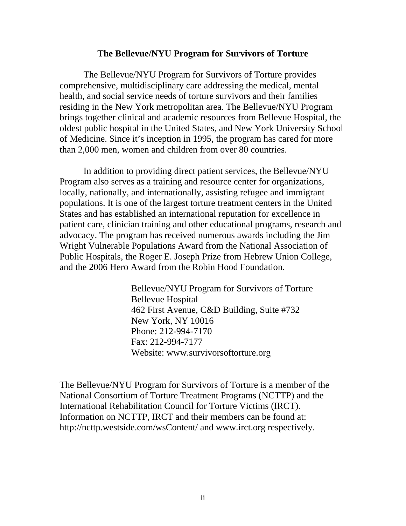#### **The Bellevue/NYU Program for Survivors of Torture**

The Bellevue/NYU Program for Survivors of Torture provides comprehensive, multidisciplinary care addressing the medical, mental health, and social service needs of torture survivors and their families residing in the New York metropolitan area. The Bellevue/NYU Program brings together clinical and academic resources from Bellevue Hospital, the oldest public hospital in the United States, and New York University School of Medicine. Since it's inception in 1995, the program has cared for more than 2,000 men, women and children from over 80 countries.

In addition to providing direct patient services, the Bellevue/NYU Program also serves as a training and resource center for organizations, locally, nationally, and internationally, assisting refugee and immigrant populations. It is one of the largest torture treatment centers in the United States and has established an international reputation for excellence in patient care, clinician training and other educational programs, research and advocacy. The program has received numerous awards including the Jim Wright Vulnerable Populations Award from the National Association of Public Hospitals, the Roger E. Joseph Prize from Hebrew Union College, and the 2006 Hero Award from the Robin Hood Foundation.

> Bellevue/NYU Program for Survivors of Torture Bellevue Hospital 462 First Avenue, C&D Building, Suite #732 New York, NY 10016 Phone: 212-994-7170 Fax: 212-994-7177 Website: www.survivorsoftorture.org

The Bellevue/NYU Program for Survivors of Torture is a member of the National Consortium of Torture Treatment Programs (NCTTP) and the International Rehabilitation Council for Torture Victims (IRCT). Information on NCTTP, IRCT and their members can be found at: http://ncttp.westside.com/wsContent/ and www.irct.org respectively.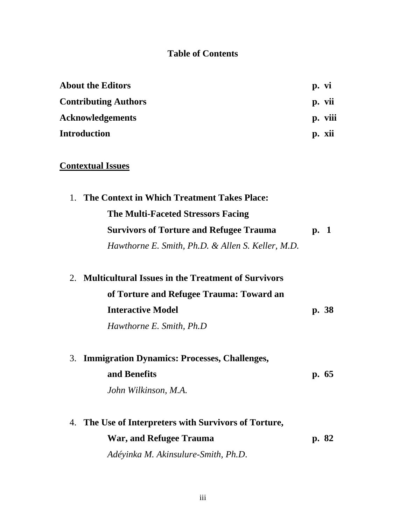### **Table of Contents**

| <b>About the Editors</b>    | p. vi     |
|-----------------------------|-----------|
| <b>Contributing Authors</b> | p. vii    |
| <b>Acknowledgements</b>     | p. viii   |
| <b>Introduction</b>         | xıı<br>p. |

# **Contextual Issues**

| 1. The Context in Which Treatment Takes Place:    |      |
|---------------------------------------------------|------|
| <b>The Multi-Faceted Stressors Facing</b>         |      |
| <b>Survivors of Torture and Refugee Trauma</b>    | p. 1 |
| Hawthorne E. Smith, Ph.D. & Allen S. Keller, M.D. |      |

| 2. Multicultural Issues in the Treatment of Survivors |       |
|-------------------------------------------------------|-------|
| of Torture and Refugee Trauma: Toward an              |       |
| <b>Interactive Model</b>                              | p. 38 |
| Hawthorne E. Smith, Ph.D.                             |       |
|                                                       |       |

| 3. Immigration Dynamics: Processes, Challenges, |      |
|-------------------------------------------------|------|
| and Benefits                                    | p.65 |
| John Wilkinson, M.A.                            |      |
|                                                 |      |

| 4. The Use of Interpreters with Survivors of Torture, |       |
|-------------------------------------------------------|-------|
| War, and Refugee Trauma                               | p. 82 |
| Adéyinka M. Akinsulure-Smith, Ph.D.                   |       |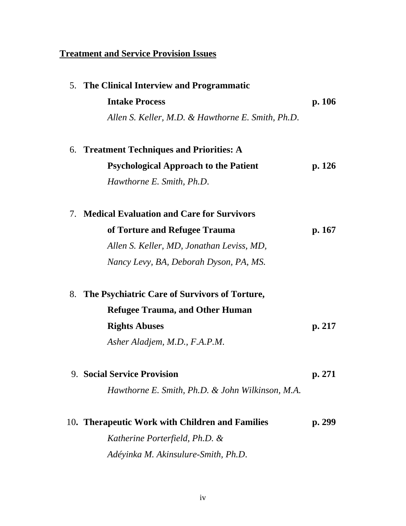# **Treatment and Service Provision Issues**

| 5. The Clinical Interview and Programmatic          |        |
|-----------------------------------------------------|--------|
| <b>Intake Process</b>                               | p. 106 |
| Allen S. Keller, M.D. & Hawthorne E. Smith, Ph.D.   |        |
| 6. Treatment Techniques and Priorities: A           |        |
| <b>Psychological Approach to the Patient</b>        | p. 126 |
| Hawthorne E. Smith, Ph.D.                           |        |
| 7. Medical Evaluation and Care for Survivors        |        |
| of Torture and Refugee Trauma                       | p. 167 |
| Allen S. Keller, MD, Jonathan Leviss, MD,           |        |
| Nancy Levy, BA, Deborah Dyson, PA, MS.              |        |
| The Psychiatric Care of Survivors of Torture,<br>8. |        |
| <b>Refugee Trauma, and Other Human</b>              |        |
| <b>Rights Abuses</b>                                | p. 217 |
| Asher Aladjem, M.D., F.A.P.M.                       |        |
| <b>9. Social Service Provision</b>                  | p. 271 |
| Hawthorne E. Smith, Ph.D. & John Wilkinson, M.A.    |        |
| 10. Therapeutic Work with Children and Families     | p. 299 |
| Katherine Porterfield, Ph.D. &                      |        |
| Adéyinka M. Akinsulure-Smith, Ph.D.                 |        |
|                                                     |        |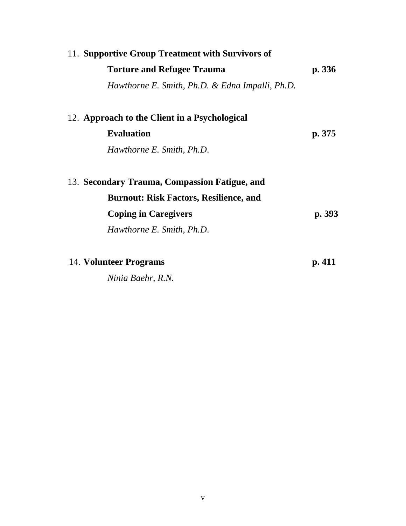| 11. Supportive Group Treatment with Survivors of |        |
|--------------------------------------------------|--------|
| <b>Torture and Refugee Trauma</b>                | p. 336 |
| Hawthorne E. Smith, Ph.D. & Edna Impalli, Ph.D.  |        |
| 12. Approach to the Client in a Psychological    |        |
| <b>Evaluation</b>                                | p. 375 |
| Hawthorne E. Smith, Ph.D.                        |        |
| 13. Secondary Trauma, Compassion Fatigue, and    |        |
| <b>Burnout: Risk Factors, Resilience, and</b>    |        |
| <b>Coping in Caregivers</b>                      | p. 393 |
| Hawthorne E. Smith, Ph.D.                        |        |
| 14. Volunteer Programs                           | p. 411 |

*Ninia Baehr, R.N.*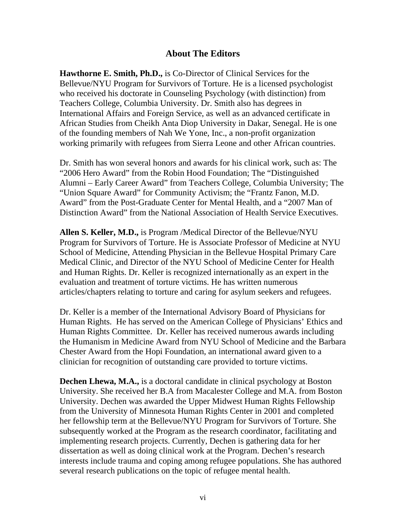### **About The Editors**

**Hawthorne E. Smith, Ph.D.,** is Co-Director of Clinical Services for the Bellevue/NYU Program for Survivors of Torture. He is a licensed psychologist who received his doctorate in Counseling Psychology (with distinction) from Teachers College, Columbia University. Dr. Smith also has degrees in International Affairs and Foreign Service, as well as an advanced certificate in African Studies from Cheikh Anta Diop University in Dakar, Senegal. He is one of the founding members of Nah We Yone, Inc., a non-profit organization working primarily with refugees from Sierra Leone and other African countries.

Dr. Smith has won several honors and awards for his clinical work, such as: The "2006 Hero Award" from the Robin Hood Foundation; The "Distinguished Alumni – Early Career Award" from Teachers College, Columbia University; The "Union Square Award" for Community Activism; the "Frantz Fanon, M.D. Award" from the Post-Graduate Center for Mental Health, and a "2007 Man of Distinction Award" from the National Association of Health Service Executives.

**Allen S. Keller, M.D.,** is Program /Medical Director of the Bellevue/NYU Program for Survivors of Torture. He is Associate Professor of Medicine at NYU School of Medicine, Attending Physician in the Bellevue Hospital Primary Care Medical Clinic, and Director of the NYU School of Medicine Center for Health and Human Rights. Dr. Keller is recognized internationally as an expert in the evaluation and treatment of torture victims. He has written numerous articles/chapters relating to torture and caring for asylum seekers and refugees.

Dr. Keller is a member of the International Advisory Board of Physicians for Human Rights. He has served on the American College of Physicians' Ethics and Human Rights Committee. Dr. Keller has received numerous awards including the Humanism in Medicine Award from NYU School of Medicine and the Barbara Chester Award from the Hopi Foundation, an international award given to a clinician for recognition of outstanding care provided to torture victims.

**Dechen Lhewa, M.A.,** is a doctoral candidate in clinical psychology at Boston University. She received her B.A from Macalester College and M.A. from Boston University. Dechen was awarded the Upper Midwest Human Rights Fellowship from the University of Minnesota Human Rights Center in 2001 and completed her fellowship term at the Bellevue/NYU Program for Survivors of Torture. She subsequently worked at the Program as the research coordinator, facilitating and implementing research projects. Currently, Dechen is gathering data for her dissertation as well as doing clinical work at the Program. Dechen's research interests include trauma and coping among refugee populations. She has authored several research publications on the topic of refugee mental health.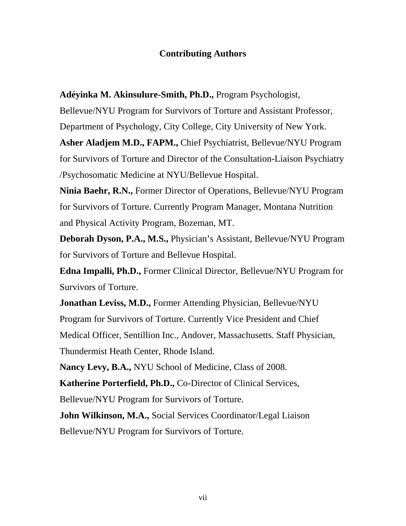### **Contributing Authors**

**Adéyinka M. Akinsulure-Smith, Ph.D.,** Program Psychologist,

Bellevue/NYU Program for Survivors of Torture and Assistant Professor,

Department of Psychology, City College, City University of New York.

**Asher Aladjem M.D., FAPM.,** Chief Psychiatrist, Bellevue/NYU Program for Survivors of Torture and Director of the Consultation-Liaison Psychiatry /Psychosomatic Medicine at NYU/Bellevue Hospital.

**Ninia Baehr, R.N.,** Former Director of Operations, Bellevue/NYU Program for Survivors of Torture. Currently Program Manager, Montana Nutrition and Physical Activity Program, Bozeman, MT.

**Deborah Dyson, P.A., M.S.,** Physician's Assistant, Bellevue/NYU Program for Survivors of Torture and Bellevue Hospital.

**Edna Impalli, Ph.D.,** Former Clinical Director, Bellevue/NYU Program for Survivors of Torture.

**Jonathan Leviss, M.D.,** Former Attending Physician, Bellevue/NYU Program for Survivors of Torture. Currently Vice President and Chief Medical Officer, Sentillion Inc., Andover, Massachusetts. Staff Physician, Thundermist Heath Center, Rhode Island.

**Nancy Levy, B.A.,** NYU School of Medicine, Class of 2008.

**Katherine Porterfield, Ph.D.,** Co-Director of Clinical Services,

Bellevue/NYU Program for Survivors of Torture.

**John Wilkinson, M.A.,** Social Services Coordinator/Legal Liaison Bellevue/NYU Program for Survivors of Torture.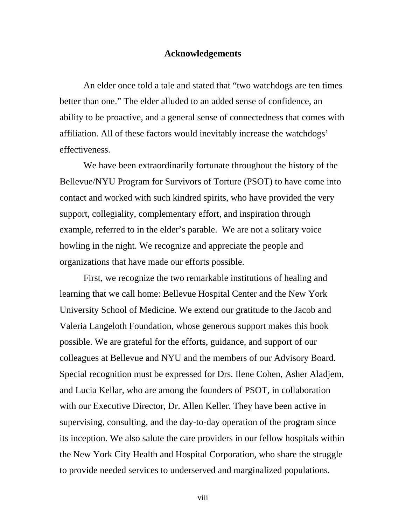#### **Acknowledgements**

 An elder once told a tale and stated that "two watchdogs are ten times better than one." The elder alluded to an added sense of confidence, an ability to be proactive, and a general sense of connectedness that comes with affiliation. All of these factors would inevitably increase the watchdogs' effectiveness.

 We have been extraordinarily fortunate throughout the history of the Bellevue/NYU Program for Survivors of Torture (PSOT) to have come into contact and worked with such kindred spirits, who have provided the very support, collegiality, complementary effort, and inspiration through example, referred to in the elder's parable. We are not a solitary voice howling in the night. We recognize and appreciate the people and organizations that have made our efforts possible.

 First, we recognize the two remarkable institutions of healing and learning that we call home: Bellevue Hospital Center and the New York University School of Medicine. We extend our gratitude to the Jacob and Valeria Langeloth Foundation, whose generous support makes this book possible. We are grateful for the efforts, guidance, and support of our colleagues at Bellevue and NYU and the members of our Advisory Board. Special recognition must be expressed for Drs. Ilene Cohen, Asher Aladjem, and Lucia Kellar, who are among the founders of PSOT, in collaboration with our Executive Director, Dr. Allen Keller. They have been active in supervising, consulting, and the day-to-day operation of the program since its inception. We also salute the care providers in our fellow hospitals within the New York City Health and Hospital Corporation, who share the struggle to provide needed services to underserved and marginalized populations.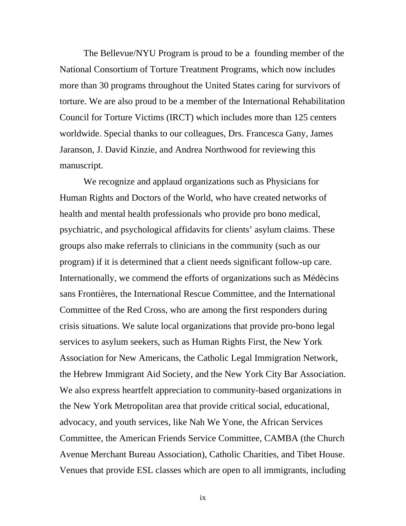The Bellevue/NYU Program is proud to be a founding member of the National Consortium of Torture Treatment Programs, which now includes more than 30 programs throughout the United States caring for survivors of torture. We are also proud to be a member of the International Rehabilitation Council for Torture Victims (IRCT) which includes more than 125 centers worldwide. Special thanks to our colleagues, Drs. Francesca Gany, James Jaranson, J. David Kinzie, and Andrea Northwood for reviewing this manuscript.

 We recognize and applaud organizations such as Physicians for Human Rights and Doctors of the World, who have created networks of health and mental health professionals who provide pro bono medical, psychiatric, and psychological affidavits for clients' asylum claims. These groups also make referrals to clinicians in the community (such as our program) if it is determined that a client needs significant follow-up care. Internationally, we commend the efforts of organizations such as Médècins sans Frontières, the International Rescue Committee, and the International Committee of the Red Cross, who are among the first responders during crisis situations. We salute local organizations that provide pro-bono legal services to asylum seekers, such as Human Rights First, the New York Association for New Americans, the Catholic Legal Immigration Network, the Hebrew Immigrant Aid Society, and the New York City Bar Association. We also express heartfelt appreciation to community-based organizations in the New York Metropolitan area that provide critical social, educational, advocacy, and youth services, like Nah We Yone, the African Services Committee, the American Friends Service Committee, CAMBA (the Church Avenue Merchant Bureau Association), Catholic Charities, and Tibet House. Venues that provide ESL classes which are open to all immigrants, including

ix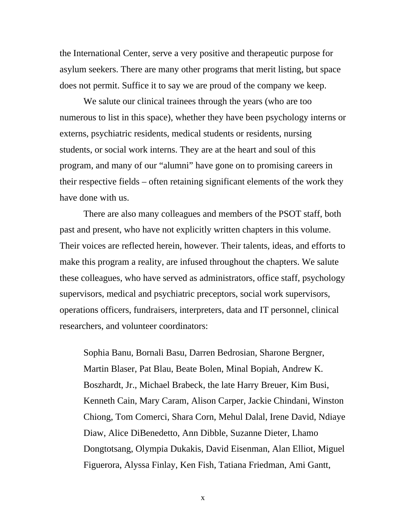the International Center, serve a very positive and therapeutic purpose for asylum seekers. There are many other programs that merit listing, but space does not permit. Suffice it to say we are proud of the company we keep.

We salute our clinical trainees through the years (who are too numerous to list in this space), whether they have been psychology interns or externs, psychiatric residents, medical students or residents, nursing students, or social work interns. They are at the heart and soul of this program, and many of our "alumni" have gone on to promising careers in their respective fields – often retaining significant elements of the work they have done with us.

There are also many colleagues and members of the PSOT staff, both past and present, who have not explicitly written chapters in this volume. Their voices are reflected herein, however. Their talents, ideas, and efforts to make this program a reality, are infused throughout the chapters. We salute these colleagues, who have served as administrators, office staff, psychology supervisors, medical and psychiatric preceptors, social work supervisors, operations officers, fundraisers, interpreters, data and IT personnel, clinical researchers, and volunteer coordinators:

Sophia Banu, Bornali Basu, Darren Bedrosian, Sharone Bergner, Martin Blaser, Pat Blau, Beate Bolen, Minal Bopiah, Andrew K. Boszhardt, Jr., Michael Brabeck, the late Harry Breuer, Kim Busi, Kenneth Cain, Mary Caram, Alison Carper, Jackie Chindani, Winston Chiong, Tom Comerci, Shara Corn, Mehul Dalal, Irene David, Ndiaye Diaw, Alice DiBenedetto, Ann Dibble, Suzanne Dieter, Lhamo Dongtotsang, Olympia Dukakis, David Eisenman, Alan Elliot, Miguel Figuerora, Alyssa Finlay, Ken Fish, Tatiana Friedman, Ami Gantt,

x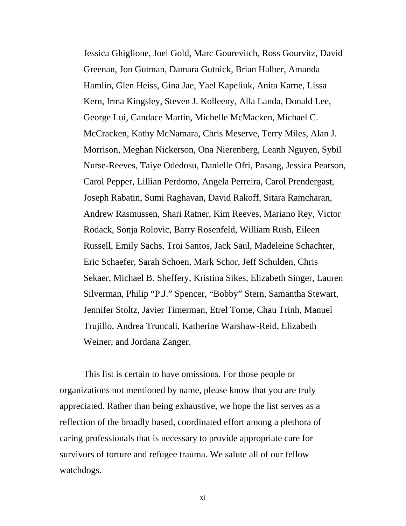Jessica Ghiglione, Joel Gold, Marc Gourevitch, Ross Gourvitz, David Greenan, Jon Gutman, Damara Gutnick, Brian Halber, Amanda Hamlin, Glen Heiss, Gina Jae, Yael Kapeliuk, Anita Karne, Lissa Kern, Irma Kingsley, Steven J. Kolleeny, Alla Landa, Donald Lee, George Lui, Candace Martin, Michelle McMacken, Michael C. McCracken, Kathy McNamara, Chris Meserve, Terry Miles, Alan J. Morrison, Meghan Nickerson, Ona Nierenberg, Leanh Nguyen, Sybil Nurse-Reeves, Taiye Odedosu, Danielle Ofri, Pasang, Jessica Pearson, Carol Pepper, Lillian Perdomo, Angela Perreira, Carol Prendergast, Joseph Rabatin, Sumi Raghavan, David Rakoff, Sitara Ramcharan, Andrew Rasmussen, Shari Ratner, Kim Reeves, Mariano Rey, Victor Rodack, Sonja Rolovic, Barry Rosenfeld, William Rush, Eileen Russell, Emily Sachs, Troi Santos, Jack Saul, Madeleine Schachter, Eric Schaefer, Sarah Schoen, Mark Schor, Jeff Schulden, Chris Sekaer, Michael B. Sheffery, Kristina Sikes, Elizabeth Singer, Lauren Silverman, Philip "P.J." Spencer, "Bobby" Stern, Samantha Stewart, Jennifer Stoltz, Javier Timerman, Etrel Torne, Chau Trinh, Manuel Trujillo, Andrea Truncali, Katherine Warshaw-Reid, Elizabeth Weiner, and Jordana Zanger.

This list is certain to have omissions. For those people or organizations not mentioned by name, please know that you are truly appreciated. Rather than being exhaustive, we hope the list serves as a reflection of the broadly based, coordinated effort among a plethora of caring professionals that is necessary to provide appropriate care for survivors of torture and refugee trauma. We salute all of our fellow watchdogs.

xi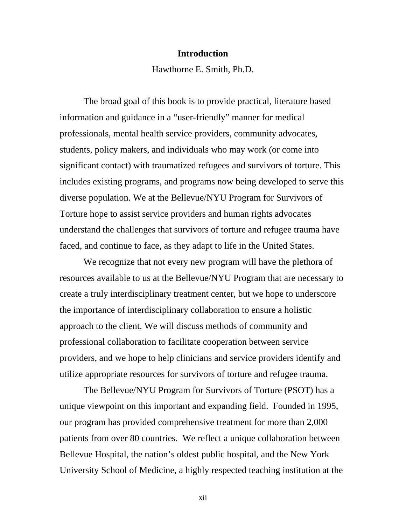#### **Introduction**

Hawthorne E. Smith, Ph.D.

The broad goal of this book is to provide practical, literature based information and guidance in a "user-friendly" manner for medical professionals, mental health service providers, community advocates, students, policy makers, and individuals who may work (or come into significant contact) with traumatized refugees and survivors of torture. This includes existing programs, and programs now being developed to serve this diverse population. We at the Bellevue/NYU Program for Survivors of Torture hope to assist service providers and human rights advocates understand the challenges that survivors of torture and refugee trauma have faced, and continue to face, as they adapt to life in the United States.

We recognize that not every new program will have the plethora of resources available to us at the Bellevue/NYU Program that are necessary to create a truly interdisciplinary treatment center, but we hope to underscore the importance of interdisciplinary collaboration to ensure a holistic approach to the client. We will discuss methods of community and professional collaboration to facilitate cooperation between service providers, and we hope to help clinicians and service providers identify and utilize appropriate resources for survivors of torture and refugee trauma.

 The Bellevue/NYU Program for Survivors of Torture (PSOT) has a unique viewpoint on this important and expanding field. Founded in 1995, our program has provided comprehensive treatment for more than 2,000 patients from over 80 countries. We reflect a unique collaboration between Bellevue Hospital, the nation's oldest public hospital, and the New York University School of Medicine, a highly respected teaching institution at the

xii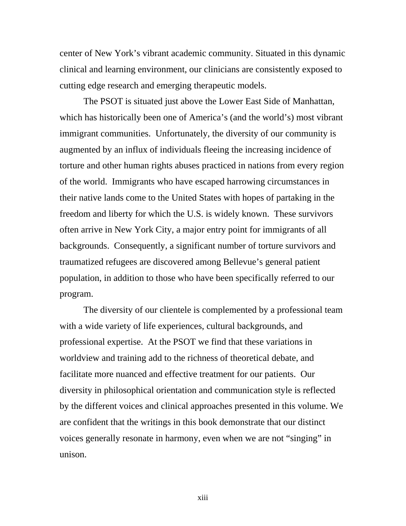center of New York's vibrant academic community. Situated in this dynamic clinical and learning environment, our clinicians are consistently exposed to cutting edge research and emerging therapeutic models.

 The PSOT is situated just above the Lower East Side of Manhattan, which has historically been one of America's (and the world's) most vibrant immigrant communities. Unfortunately, the diversity of our community is augmented by an influx of individuals fleeing the increasing incidence of torture and other human rights abuses practiced in nations from every region of the world. Immigrants who have escaped harrowing circumstances in their native lands come to the United States with hopes of partaking in the freedom and liberty for which the U.S. is widely known. These survivors often arrive in New York City, a major entry point for immigrants of all backgrounds. Consequently, a significant number of torture survivors and traumatized refugees are discovered among Bellevue's general patient population, in addition to those who have been specifically referred to our program.

 The diversity of our clientele is complemented by a professional team with a wide variety of life experiences, cultural backgrounds, and professional expertise. At the PSOT we find that these variations in worldview and training add to the richness of theoretical debate, and facilitate more nuanced and effective treatment for our patients. Our diversity in philosophical orientation and communication style is reflected by the different voices and clinical approaches presented in this volume. We are confident that the writings in this book demonstrate that our distinct voices generally resonate in harmony, even when we are not "singing" in unison.

xiii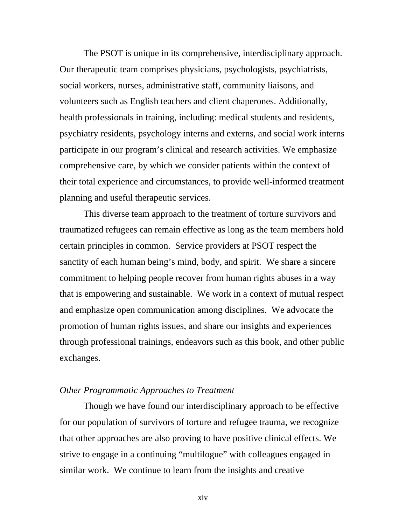The PSOT is unique in its comprehensive, interdisciplinary approach. Our therapeutic team comprises physicians, psychologists, psychiatrists, social workers, nurses, administrative staff, community liaisons, and volunteers such as English teachers and client chaperones. Additionally, health professionals in training, including: medical students and residents, psychiatry residents, psychology interns and externs, and social work interns participate in our program's clinical and research activities. We emphasize comprehensive care, by which we consider patients within the context of their total experience and circumstances, to provide well-informed treatment planning and useful therapeutic services.

 This diverse team approach to the treatment of torture survivors and traumatized refugees can remain effective as long as the team members hold certain principles in common. Service providers at PSOT respect the sanctity of each human being's mind, body, and spirit. We share a sincere commitment to helping people recover from human rights abuses in a way that is empowering and sustainable. We work in a context of mutual respect and emphasize open communication among disciplines. We advocate the promotion of human rights issues, and share our insights and experiences through professional trainings, endeavors such as this book, and other public exchanges.

#### *Other Programmatic Approaches to Treatment*

 Though we have found our interdisciplinary approach to be effective for our population of survivors of torture and refugee trauma, we recognize that other approaches are also proving to have positive clinical effects. We strive to engage in a continuing "multilogue" with colleagues engaged in similar work. We continue to learn from the insights and creative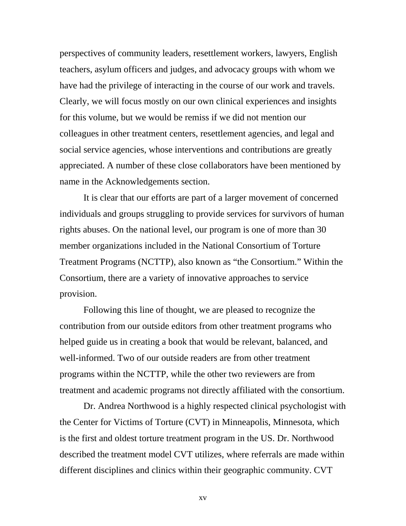perspectives of community leaders, resettlement workers, lawyers, English teachers, asylum officers and judges, and advocacy groups with whom we have had the privilege of interacting in the course of our work and travels. Clearly, we will focus mostly on our own clinical experiences and insights for this volume, but we would be remiss if we did not mention our colleagues in other treatment centers, resettlement agencies, and legal and social service agencies, whose interventions and contributions are greatly appreciated. A number of these close collaborators have been mentioned by name in the Acknowledgements section.

 It is clear that our efforts are part of a larger movement of concerned individuals and groups struggling to provide services for survivors of human rights abuses. On the national level, our program is one of more than 30 member organizations included in the National Consortium of Torture Treatment Programs (NCTTP), also known as "the Consortium." Within the Consortium, there are a variety of innovative approaches to service provision.

Following this line of thought, we are pleased to recognize the contribution from our outside editors from other treatment programs who helped guide us in creating a book that would be relevant, balanced, and well-informed. Two of our outside readers are from other treatment programs within the NCTTP, while the other two reviewers are from treatment and academic programs not directly affiliated with the consortium.

Dr. Andrea Northwood is a highly respected clinical psychologist with the Center for Victims of Torture (CVT) in Minneapolis, Minnesota, which is the first and oldest torture treatment program in the US. Dr. Northwood described the treatment model CVT utilizes, where referrals are made within different disciplines and clinics within their geographic community. CVT

xv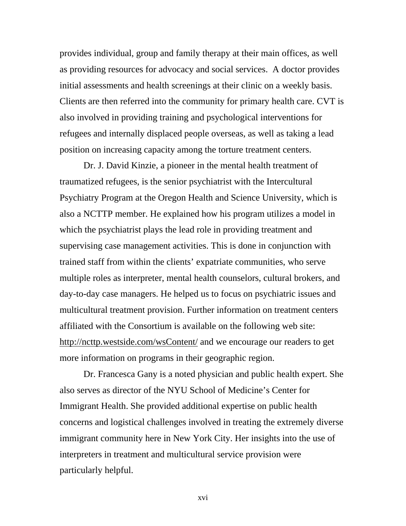provides individual, group and family therapy at their main offices, as well as providing resources for advocacy and social services. A doctor provides initial assessments and health screenings at their clinic on a weekly basis. Clients are then referred into the community for primary health care. CVT is also involved in providing training and psychological interventions for refugees and internally displaced people overseas, as well as taking a lead position on increasing capacity among the torture treatment centers.

Dr. J. David Kinzie, a pioneer in the mental health treatment of traumatized refugees, is the senior psychiatrist with the Intercultural Psychiatry Program at the Oregon Health and Science University, which is also a NCTTP member. He explained how his program utilizes a model in which the psychiatrist plays the lead role in providing treatment and supervising case management activities. This is done in conjunction with trained staff from within the clients' expatriate communities, who serve multiple roles as interpreter, mental health counselors, cultural brokers, and day-to-day case managers. He helped us to focus on psychiatric issues and multicultural treatment provision. Further information on treatment centers affiliated with the Consortium is available on the following web site: http://ncttp.westside.com/wsContent/ and we encourage our readers to get more information on programs in their geographic region.

Dr. Francesca Gany is a noted physician and public health expert. She also serves as director of the NYU School of Medicine's Center for Immigrant Health. She provided additional expertise on public health concerns and logistical challenges involved in treating the extremely diverse immigrant community here in New York City. Her insights into the use of interpreters in treatment and multicultural service provision were particularly helpful.

xvi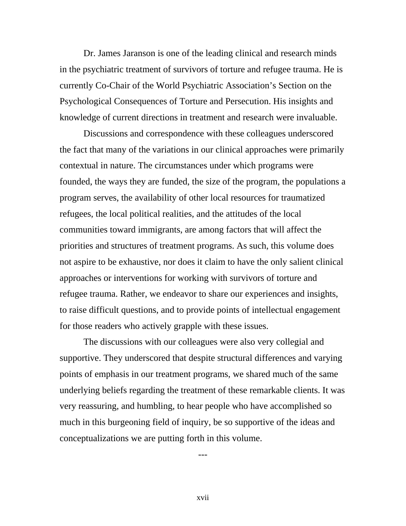Dr. James Jaranson is one of the leading clinical and research minds in the psychiatric treatment of survivors of torture and refugee trauma. He is currently Co-Chair of the World Psychiatric Association's Section on the Psychological Consequences of Torture and Persecution. His insights and knowledge of current directions in treatment and research were invaluable.

Discussions and correspondence with these colleagues underscored the fact that many of the variations in our clinical approaches were primarily contextual in nature. The circumstances under which programs were founded, the ways they are funded, the size of the program, the populations a program serves, the availability of other local resources for traumatized refugees, the local political realities, and the attitudes of the local communities toward immigrants, are among factors that will affect the priorities and structures of treatment programs. As such, this volume does not aspire to be exhaustive, nor does it claim to have the only salient clinical approaches or interventions for working with survivors of torture and refugee trauma. Rather, we endeavor to share our experiences and insights, to raise difficult questions, and to provide points of intellectual engagement for those readers who actively grapple with these issues.

The discussions with our colleagues were also very collegial and supportive. They underscored that despite structural differences and varying points of emphasis in our treatment programs, we shared much of the same underlying beliefs regarding the treatment of these remarkable clients. It was very reassuring, and humbling, to hear people who have accomplished so much in this burgeoning field of inquiry, be so supportive of the ideas and conceptualizations we are putting forth in this volume.

---

xvii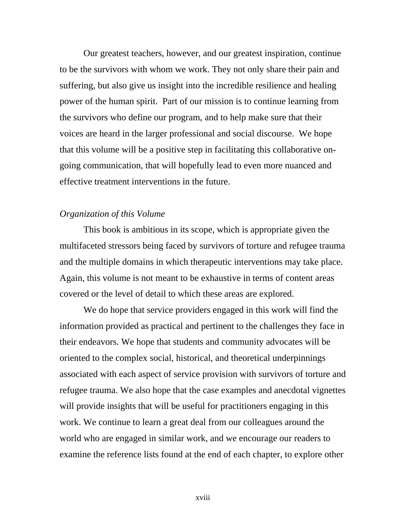Our greatest teachers, however, and our greatest inspiration, continue to be the survivors with whom we work. They not only share their pain and suffering, but also give us insight into the incredible resilience and healing power of the human spirit. Part of our mission is to continue learning from the survivors who define our program, and to help make sure that their voices are heard in the larger professional and social discourse. We hope that this volume will be a positive step in facilitating this collaborative ongoing communication, that will hopefully lead to even more nuanced and effective treatment interventions in the future.

#### *Organization of this Volume*

 This book is ambitious in its scope, which is appropriate given the multifaceted stressors being faced by survivors of torture and refugee trauma and the multiple domains in which therapeutic interventions may take place. Again, this volume is not meant to be exhaustive in terms of content areas covered or the level of detail to which these areas are explored.

We do hope that service providers engaged in this work will find the information provided as practical and pertinent to the challenges they face in their endeavors. We hope that students and community advocates will be oriented to the complex social, historical, and theoretical underpinnings associated with each aspect of service provision with survivors of torture and refugee trauma. We also hope that the case examples and anecdotal vignettes will provide insights that will be useful for practitioners engaging in this work. We continue to learn a great deal from our colleagues around the world who are engaged in similar work, and we encourage our readers to examine the reference lists found at the end of each chapter, to explore other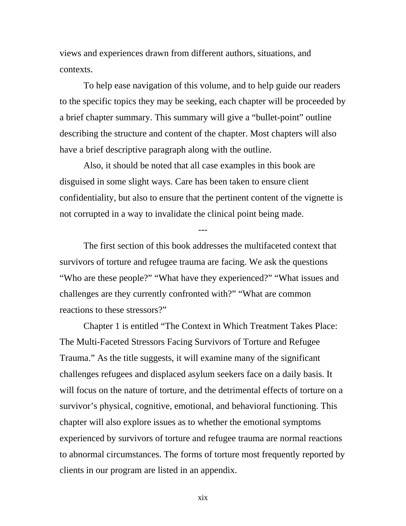views and experiences drawn from different authors, situations, and contexts.

 To help ease navigation of this volume, and to help guide our readers to the specific topics they may be seeking, each chapter will be proceeded by a brief chapter summary. This summary will give a "bullet-point" outline describing the structure and content of the chapter. Most chapters will also have a brief descriptive paragraph along with the outline.

Also, it should be noted that all case examples in this book are disguised in some slight ways. Care has been taken to ensure client confidentiality, but also to ensure that the pertinent content of the vignette is not corrupted in a way to invalidate the clinical point being made.

---

 The first section of this book addresses the multifaceted context that survivors of torture and refugee trauma are facing. We ask the questions "Who are these people?" "What have they experienced?" "What issues and challenges are they currently confronted with?" "What are common reactions to these stressors?"

Chapter 1 is entitled "The Context in Which Treatment Takes Place: The Multi-Faceted Stressors Facing Survivors of Torture and Refugee Trauma." As the title suggests, it will examine many of the significant challenges refugees and displaced asylum seekers face on a daily basis. It will focus on the nature of torture, and the detrimental effects of torture on a survivor's physical, cognitive, emotional, and behavioral functioning. This chapter will also explore issues as to whether the emotional symptoms experienced by survivors of torture and refugee trauma are normal reactions to abnormal circumstances. The forms of torture most frequently reported by clients in our program are listed in an appendix.

xix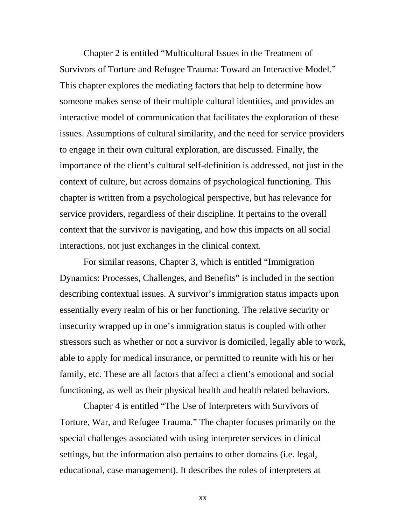Chapter 2 is entitled "Multicultural Issues in the Treatment of Survivors of Torture and Refugee Trauma: Toward an Interactive Model." This chapter explores the mediating factors that help to determine how someone makes sense of their multiple cultural identities, and provides an interactive model of communication that facilitates the exploration of these issues. Assumptions of cultural similarity, and the need for service providers to engage in their own cultural exploration, are discussed. Finally, the importance of the client's cultural self-definition is addressed, not just in the context of culture, but across domains of psychological functioning. This chapter is written from a psychological perspective, but has relevance for service providers, regardless of their discipline. It pertains to the overall context that the survivor is navigating, and how this impacts on all social interactions, not just exchanges in the clinical context.

 For similar reasons, Chapter 3, which is entitled "Immigration Dynamics: Processes, Challenges, and Benefits" is included in the section describing contextual issues. A survivor's immigration status impacts upon essentially every realm of his or her functioning. The relative security or insecurity wrapped up in one's immigration status is coupled with other stressors such as whether or not a survivor is domiciled, legally able to work, able to apply for medical insurance, or permitted to reunite with his or her family, etc. These are all factors that affect a client's emotional and social functioning, as well as their physical health and health related behaviors.

Chapter 4 is entitled "The Use of Interpreters with Survivors of Torture, War, and Refugee Trauma." The chapter focuses primarily on the special challenges associated with using interpreter services in clinical settings, but the information also pertains to other domains (i.e. legal, educational, case management). It describes the roles of interpreters at

xx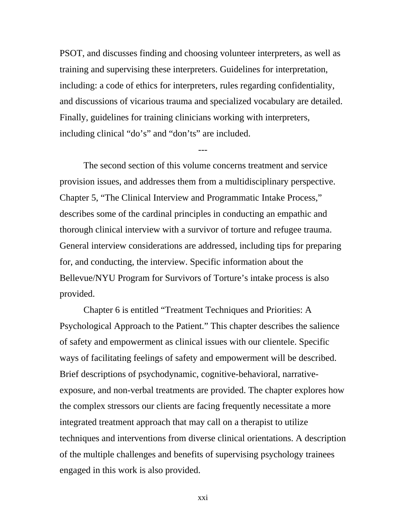PSOT, and discusses finding and choosing volunteer interpreters, as well as training and supervising these interpreters. Guidelines for interpretation, including: a code of ethics for interpreters, rules regarding confidentiality, and discussions of vicarious trauma and specialized vocabulary are detailed. Finally, guidelines for training clinicians working with interpreters, including clinical "do's" and "don'ts" are included.

---

 The second section of this volume concerns treatment and service provision issues, and addresses them from a multidisciplinary perspective. Chapter 5, "The Clinical Interview and Programmatic Intake Process," describes some of the cardinal principles in conducting an empathic and thorough clinical interview with a survivor of torture and refugee trauma. General interview considerations are addressed, including tips for preparing for, and conducting, the interview. Specific information about the Bellevue/NYU Program for Survivors of Torture's intake process is also provided.

 Chapter 6 is entitled "Treatment Techniques and Priorities: A Psychological Approach to the Patient." This chapter describes the salience of safety and empowerment as clinical issues with our clientele. Specific ways of facilitating feelings of safety and empowerment will be described. Brief descriptions of psychodynamic, cognitive-behavioral, narrativeexposure, and non-verbal treatments are provided. The chapter explores how the complex stressors our clients are facing frequently necessitate a more integrated treatment approach that may call on a therapist to utilize techniques and interventions from diverse clinical orientations. A description of the multiple challenges and benefits of supervising psychology trainees engaged in this work is also provided.

xxi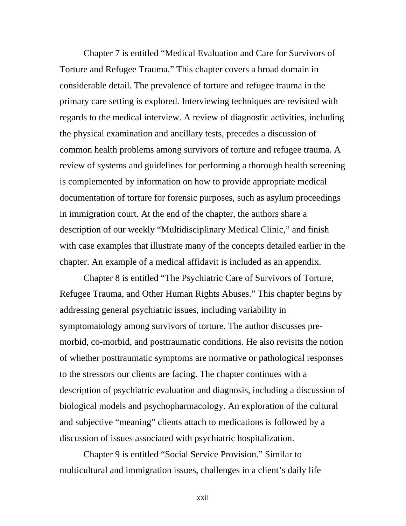Chapter 7 is entitled "Medical Evaluation and Care for Survivors of Torture and Refugee Trauma." This chapter covers a broad domain in considerable detail. The prevalence of torture and refugee trauma in the primary care setting is explored. Interviewing techniques are revisited with regards to the medical interview. A review of diagnostic activities, including the physical examination and ancillary tests, precedes a discussion of common health problems among survivors of torture and refugee trauma. A review of systems and guidelines for performing a thorough health screening is complemented by information on how to provide appropriate medical documentation of torture for forensic purposes, such as asylum proceedings in immigration court. At the end of the chapter, the authors share a description of our weekly "Multidisciplinary Medical Clinic," and finish with case examples that illustrate many of the concepts detailed earlier in the chapter. An example of a medical affidavit is included as an appendix.

 Chapter 8 is entitled "The Psychiatric Care of Survivors of Torture, Refugee Trauma, and Other Human Rights Abuses." This chapter begins by addressing general psychiatric issues, including variability in symptomatology among survivors of torture. The author discusses premorbid, co-morbid, and posttraumatic conditions. He also revisits the notion of whether posttraumatic symptoms are normative or pathological responses to the stressors our clients are facing. The chapter continues with a description of psychiatric evaluation and diagnosis, including a discussion of biological models and psychopharmacology. An exploration of the cultural and subjective "meaning" clients attach to medications is followed by a discussion of issues associated with psychiatric hospitalization.

 Chapter 9 is entitled "Social Service Provision." Similar to multicultural and immigration issues, challenges in a client's daily life

xxii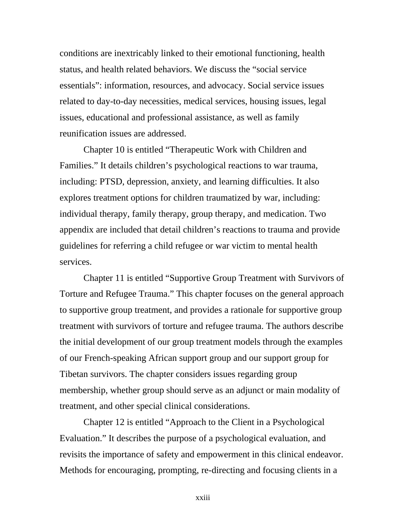conditions are inextricably linked to their emotional functioning, health status, and health related behaviors. We discuss the "social service essentials": information, resources, and advocacy. Social service issues related to day-to-day necessities, medical services, housing issues, legal issues, educational and professional assistance, as well as family reunification issues are addressed.

 Chapter 10 is entitled "Therapeutic Work with Children and Families." It details children's psychological reactions to war trauma, including: PTSD, depression, anxiety, and learning difficulties. It also explores treatment options for children traumatized by war, including: individual therapy, family therapy, group therapy, and medication. Two appendix are included that detail children's reactions to trauma and provide guidelines for referring a child refugee or war victim to mental health services.

 Chapter 11 is entitled "Supportive Group Treatment with Survivors of Torture and Refugee Trauma." This chapter focuses on the general approach to supportive group treatment, and provides a rationale for supportive group treatment with survivors of torture and refugee trauma. The authors describe the initial development of our group treatment models through the examples of our French-speaking African support group and our support group for Tibetan survivors. The chapter considers issues regarding group membership, whether group should serve as an adjunct or main modality of treatment, and other special clinical considerations.

Chapter 12 is entitled "Approach to the Client in a Psychological Evaluation." It describes the purpose of a psychological evaluation, and revisits the importance of safety and empowerment in this clinical endeavor. Methods for encouraging, prompting, re-directing and focusing clients in a

xxiii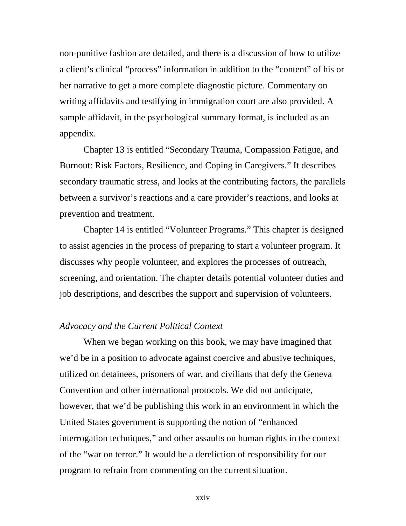non-punitive fashion are detailed, and there is a discussion of how to utilize a client's clinical "process" information in addition to the "content" of his or her narrative to get a more complete diagnostic picture. Commentary on writing affidavits and testifying in immigration court are also provided. A sample affidavit, in the psychological summary format, is included as an appendix.

Chapter 13 is entitled "Secondary Trauma, Compassion Fatigue, and Burnout: Risk Factors, Resilience, and Coping in Caregivers." It describes secondary traumatic stress, and looks at the contributing factors, the parallels between a survivor's reactions and a care provider's reactions, and looks at prevention and treatment.

 Chapter 14 is entitled "Volunteer Programs." This chapter is designed to assist agencies in the process of preparing to start a volunteer program. It discusses why people volunteer, and explores the processes of outreach, screening, and orientation. The chapter details potential volunteer duties and job descriptions, and describes the support and supervision of volunteers.

#### *Advocacy and the Current Political Context*

 When we began working on this book, we may have imagined that we'd be in a position to advocate against coercive and abusive techniques, utilized on detainees, prisoners of war, and civilians that defy the Geneva Convention and other international protocols. We did not anticipate, however, that we'd be publishing this work in an environment in which the United States government is supporting the notion of "enhanced interrogation techniques," and other assaults on human rights in the context of the "war on terror." It would be a dereliction of responsibility for our program to refrain from commenting on the current situation.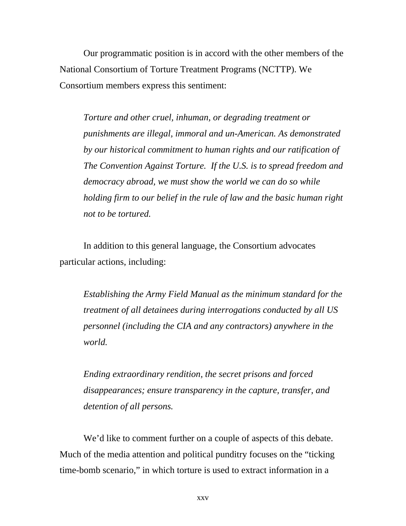Our programmatic position is in accord with the other members of the National Consortium of Torture Treatment Programs (NCTTP). We Consortium members express this sentiment:

*Torture and other cruel, inhuman, or degrading treatment or punishments are illegal, immoral and un-American. As demonstrated by our historical commitment to human rights and our ratification of The Convention Against Torture. If the U.S. is to spread freedom and democracy abroad, we must show the world we can do so while holding firm to our belief in the rule of law and the basic human right not to be tortured.* 

 In addition to this general language, the Consortium advocates particular actions, including:

*Establishing the Army Field Manual as the minimum standard for the treatment of all detainees during interrogations conducted by all US personnel (including the CIA and any contractors) anywhere in the world.* 

 *Ending extraordinary rendition, the secret prisons and forced disappearances; ensure transparency in the capture, transfer, and detention of all persons.* 

We'd like to comment further on a couple of aspects of this debate. Much of the media attention and political punditry focuses on the "ticking time-bomb scenario," in which torture is used to extract information in a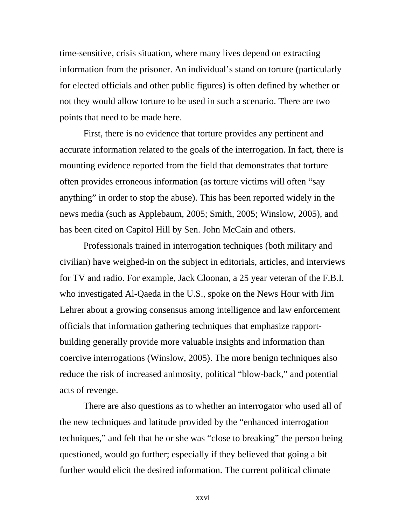time-sensitive, crisis situation, where many lives depend on extracting information from the prisoner. An individual's stand on torture (particularly for elected officials and other public figures) is often defined by whether or not they would allow torture to be used in such a scenario. There are two points that need to be made here.

 First, there is no evidence that torture provides any pertinent and accurate information related to the goals of the interrogation. In fact, there is mounting evidence reported from the field that demonstrates that torture often provides erroneous information (as torture victims will often "say anything" in order to stop the abuse). This has been reported widely in the news media (such as Applebaum, 2005; Smith, 2005; Winslow, 2005), and has been cited on Capitol Hill by Sen. John McCain and others.

Professionals trained in interrogation techniques (both military and civilian) have weighed-in on the subject in editorials, articles, and interviews for TV and radio. For example, Jack Cloonan, a 25 year veteran of the F.B.I. who investigated Al-Qaeda in the U.S., spoke on the News Hour with Jim Lehrer about a growing consensus among intelligence and law enforcement officials that information gathering techniques that emphasize rapportbuilding generally provide more valuable insights and information than coercive interrogations (Winslow, 2005). The more benign techniques also reduce the risk of increased animosity, political "blow-back," and potential acts of revenge.

 There are also questions as to whether an interrogator who used all of the new techniques and latitude provided by the "enhanced interrogation techniques," and felt that he or she was "close to breaking" the person being questioned, would go further; especially if they believed that going a bit further would elicit the desired information. The current political climate

xxvi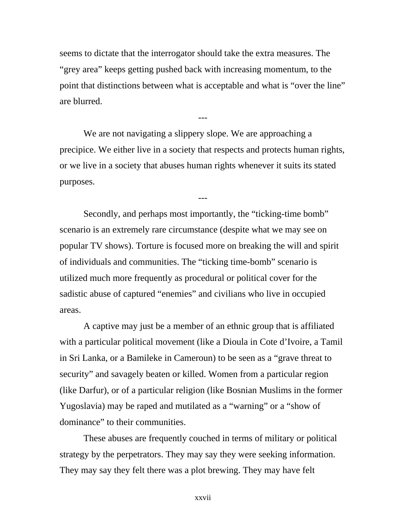seems to dictate that the interrogator should take the extra measures. The "grey area" keeps getting pushed back with increasing momentum, to the point that distinctions between what is acceptable and what is "over the line" are blurred.

---

 We are not navigating a slippery slope. We are approaching a precipice. We either live in a society that respects and protects human rights, or we live in a society that abuses human rights whenever it suits its stated purposes.

---

 Secondly, and perhaps most importantly, the "ticking-time bomb" scenario is an extremely rare circumstance (despite what we may see on popular TV shows). Torture is focused more on breaking the will and spirit of individuals and communities. The "ticking time-bomb" scenario is utilized much more frequently as procedural or political cover for the sadistic abuse of captured "enemies" and civilians who live in occupied areas.

A captive may just be a member of an ethnic group that is affiliated with a particular political movement (like a Dioula in Cote d'Ivoire, a Tamil in Sri Lanka, or a Bamileke in Cameroun) to be seen as a "grave threat to security" and savagely beaten or killed. Women from a particular region (like Darfur), or of a particular religion (like Bosnian Muslims in the former Yugoslavia) may be raped and mutilated as a "warning" or a "show of dominance" to their communities.

These abuses are frequently couched in terms of military or political strategy by the perpetrators. They may say they were seeking information. They may say they felt there was a plot brewing. They may have felt

xxvii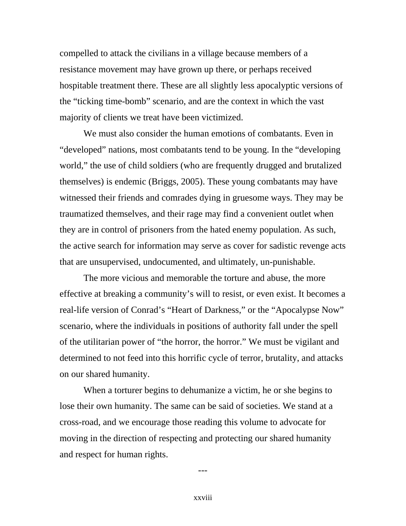compelled to attack the civilians in a village because members of a resistance movement may have grown up there, or perhaps received hospitable treatment there. These are all slightly less apocalyptic versions of the "ticking time-bomb" scenario, and are the context in which the vast majority of clients we treat have been victimized.

We must also consider the human emotions of combatants. Even in "developed" nations, most combatants tend to be young. In the "developing world," the use of child soldiers (who are frequently drugged and brutalized themselves) is endemic (Briggs, 2005). These young combatants may have witnessed their friends and comrades dying in gruesome ways. They may be traumatized themselves, and their rage may find a convenient outlet when they are in control of prisoners from the hated enemy population. As such, the active search for information may serve as cover for sadistic revenge acts that are unsupervised, undocumented, and ultimately, un-punishable.

The more vicious and memorable the torture and abuse, the more effective at breaking a community's will to resist, or even exist. It becomes a real-life version of Conrad's "Heart of Darkness," or the "Apocalypse Now" scenario, where the individuals in positions of authority fall under the spell of the utilitarian power of "the horror, the horror." We must be vigilant and determined to not feed into this horrific cycle of terror, brutality, and attacks on our shared humanity.

When a torturer begins to dehumanize a victim, he or she begins to lose their own humanity. The same can be said of societies. We stand at a cross-road, and we encourage those reading this volume to advocate for moving in the direction of respecting and protecting our shared humanity and respect for human rights.

---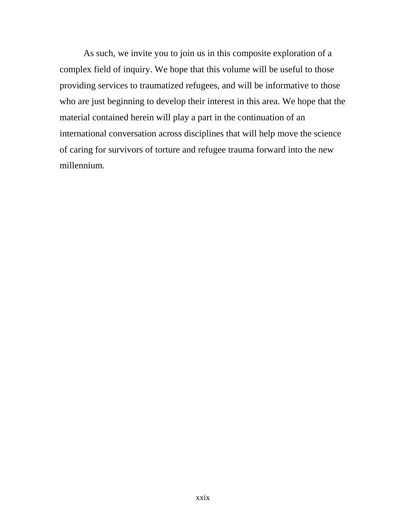As such, we invite you to join us in this composite exploration of a complex field of inquiry. We hope that this volume will be useful to those providing services to traumatized refugees, and will be informative to those who are just beginning to develop their interest in this area. We hope that the material contained herein will play a part in the continuation of an international conversation across disciplines that will help move the science of caring for survivors of torture and refugee trauma forward into the new millennium.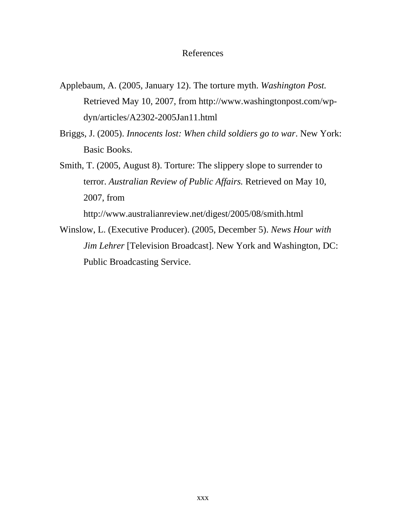#### References

- Applebaum, A. (2005, January 12). The torture myth. *Washington Post.* Retrieved May 10, 2007, from http://www.washingtonpost.com/wpdyn/articles/A2302-2005Jan11.html
- Briggs, J. (2005). *Innocents lost: When child soldiers go to war*. New York: Basic Books.
- Smith, T. (2005, August 8). Torture: The slippery slope to surrender to terror. *Australian Review of Public Affairs.* Retrieved on May 10, 2007, from

http://www.australianreview.net/digest/2005/08/smith.html

Winslow, L. (Executive Producer). (2005, December 5). *News Hour with Jim Lehrer* [Television Broadcast]. New York and Washington, DC: Public Broadcasting Service.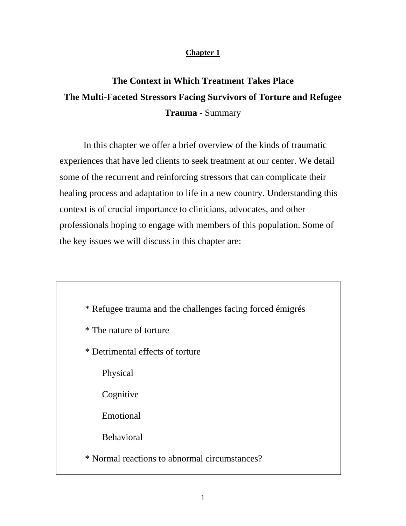### **Chapter 1**

# **The Context in Which Treatment Takes Place The Multi-Faceted Stressors Facing Survivors of Torture and Refugee Trauma** - Summary

In this chapter we offer a brief overview of the kinds of traumatic experiences that have led clients to seek treatment at our center. We detail some of the recurrent and reinforcing stressors that can complicate their healing process and adaptation to life in a new country. Understanding this context is of crucial importance to clinicians, advocates, and other professionals hoping to engage with members of this population. Some of the key issues we will discuss in this chapter are:

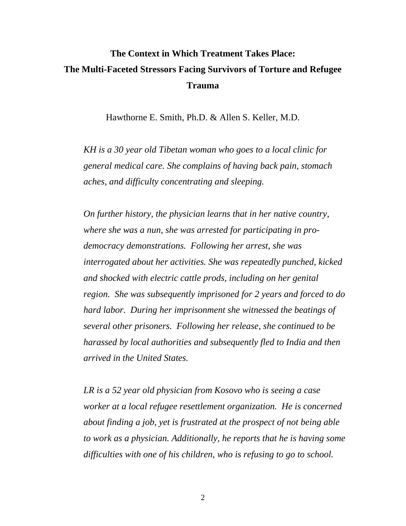# **The Context in Which Treatment Takes Place: The Multi-Faceted Stressors Facing Survivors of Torture and Refugee Trauma**

Hawthorne E. Smith, Ph.D. & Allen S. Keller, M.D.

*KH is a 30 year old Tibetan woman who goes to a local clinic for general medical care. She complains of having back pain, stomach aches, and difficulty concentrating and sleeping.* 

*On further history, the physician learns that in her native country, where she was a nun, she was arrested for participating in prodemocracy demonstrations. Following her arrest, she was interrogated about her activities. She was repeatedly punched, kicked and shocked with electric cattle prods, including on her genital region. She was subsequently imprisoned for 2 years and forced to do hard labor. During her imprisonment she witnessed the beatings of several other prisoners. Following her release, she continued to be harassed by local authorities and subsequently fled to India and then arrived in the United States.* 

*LR is a 52 year old physician from Kosovo who is seeing a case worker at a local refugee resettlement organization. He is concerned about finding a job, yet is frustrated at the prospect of not being able to work as a physician. Additionally, he reports that he is having some difficulties with one of his children, who is refusing to go to school.* 

2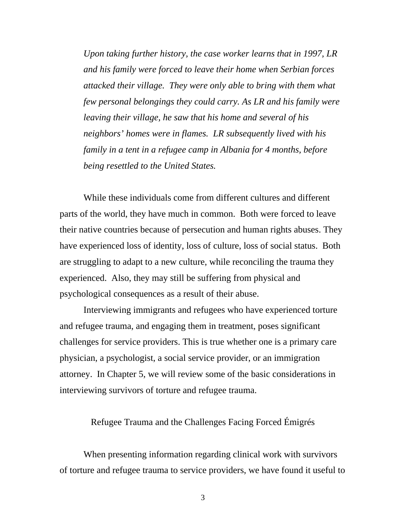*Upon taking further history, the case worker learns that in 1997, LR and his family were forced to leave their home when Serbian forces attacked their village. They were only able to bring with them what few personal belongings they could carry. As LR and his family were leaving their village, he saw that his home and several of his neighbors' homes were in flames. LR subsequently lived with his family in a tent in a refugee camp in Albania for 4 months, before being resettled to the United States.* 

While these individuals come from different cultures and different parts of the world, they have much in common. Both were forced to leave their native countries because of persecution and human rights abuses. They have experienced loss of identity, loss of culture, loss of social status. Both are struggling to adapt to a new culture, while reconciling the trauma they experienced. Also, they may still be suffering from physical and psychological consequences as a result of their abuse.

Interviewing immigrants and refugees who have experienced torture and refugee trauma, and engaging them in treatment, poses significant challenges for service providers. This is true whether one is a primary care physician, a psychologist, a social service provider, or an immigration attorney. In Chapter 5, we will review some of the basic considerations in interviewing survivors of torture and refugee trauma.

Refugee Trauma and the Challenges Facing Forced Émigrés

When presenting information regarding clinical work with survivors of torture and refugee trauma to service providers, we have found it useful to

3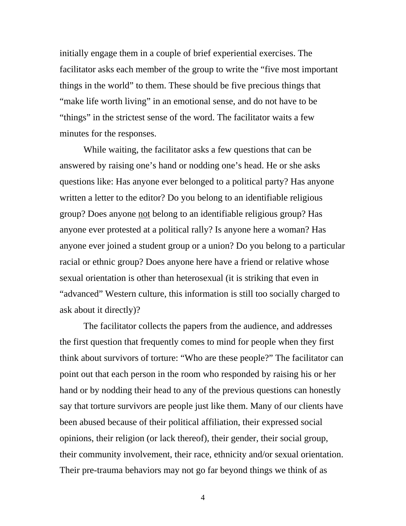initially engage them in a couple of brief experiential exercises. The facilitator asks each member of the group to write the "five most important things in the world" to them. These should be five precious things that "make life worth living" in an emotional sense, and do not have to be "things" in the strictest sense of the word. The facilitator waits a few minutes for the responses.

While waiting, the facilitator asks a few questions that can be answered by raising one's hand or nodding one's head. He or she asks questions like: Has anyone ever belonged to a political party? Has anyone written a letter to the editor? Do you belong to an identifiable religious group? Does anyone not belong to an identifiable religious group? Has anyone ever protested at a political rally? Is anyone here a woman? Has anyone ever joined a student group or a union? Do you belong to a particular racial or ethnic group? Does anyone here have a friend or relative whose sexual orientation is other than heterosexual (it is striking that even in "advanced" Western culture, this information is still too socially charged to ask about it directly)?

The facilitator collects the papers from the audience, and addresses the first question that frequently comes to mind for people when they first think about survivors of torture: "Who are these people?" The facilitator can point out that each person in the room who responded by raising his or her hand or by nodding their head to any of the previous questions can honestly say that torture survivors are people just like them. Many of our clients have been abused because of their political affiliation, their expressed social opinions, their religion (or lack thereof), their gender, their social group, their community involvement, their race, ethnicity and/or sexual orientation. Their pre-trauma behaviors may not go far beyond things we think of as

4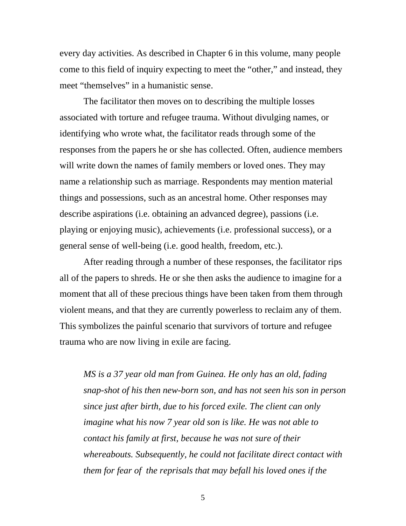every day activities. As described in Chapter 6 in this volume, many people come to this field of inquiry expecting to meet the "other," and instead, they meet "themselves" in a humanistic sense.

The facilitator then moves on to describing the multiple losses associated with torture and refugee trauma. Without divulging names, or identifying who wrote what, the facilitator reads through some of the responses from the papers he or she has collected. Often, audience members will write down the names of family members or loved ones. They may name a relationship such as marriage. Respondents may mention material things and possessions, such as an ancestral home. Other responses may describe aspirations (i.e. obtaining an advanced degree), passions (i.e. playing or enjoying music), achievements (i.e. professional success), or a general sense of well-being (i.e. good health, freedom, etc.).

After reading through a number of these responses, the facilitator rips all of the papers to shreds. He or she then asks the audience to imagine for a moment that all of these precious things have been taken from them through violent means, and that they are currently powerless to reclaim any of them. This symbolizes the painful scenario that survivors of torture and refugee trauma who are now living in exile are facing.

*MS is a 37 year old man from Guinea. He only has an old, fading snap-shot of his then new-born son, and has not seen his son in person since just after birth, due to his forced exile. The client can only imagine what his now 7 year old son is like. He was not able to contact his family at first, because he was not sure of their whereabouts. Subsequently, he could not facilitate direct contact with them for fear of the reprisals that may befall his loved ones if the* 

 $\overline{5}$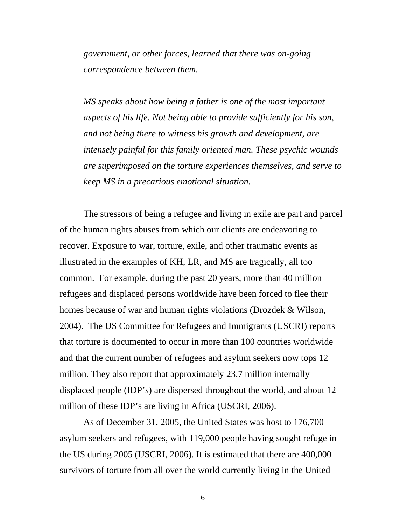*government, or other forces, learned that there was on-going correspondence between them.* 

*MS speaks about how being a father is one of the most important aspects of his life. Not being able to provide sufficiently for his son, and not being there to witness his growth and development, are intensely painful for this family oriented man. These psychic wounds are superimposed on the torture experiences themselves, and serve to keep MS in a precarious emotional situation.* 

The stressors of being a refugee and living in exile are part and parcel of the human rights abuses from which our clients are endeavoring to recover. Exposure to war, torture, exile, and other traumatic events as illustrated in the examples of KH, LR, and MS are tragically, all too common. For example, during the past 20 years, more than 40 million refugees and displaced persons worldwide have been forced to flee their homes because of war and human rights violations (Drozdek & Wilson, 2004). The US Committee for Refugees and Immigrants (USCRI) reports that torture is documented to occur in more than 100 countries worldwide and that the current number of refugees and asylum seekers now tops 12 million. They also report that approximately 23.7 million internally displaced people (IDP's) are dispersed throughout the world, and about 12 million of these IDP's are living in Africa (USCRI, 2006).

As of December 31, 2005, the United States was host to 176,700 asylum seekers and refugees, with 119,000 people having sought refuge in the US during 2005 (USCRI, 2006). It is estimated that there are 400,000 survivors of torture from all over the world currently living in the United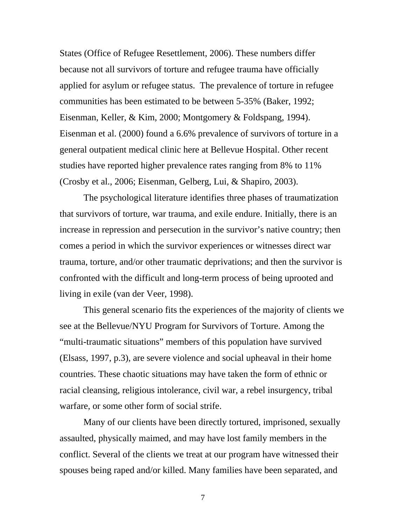States (Office of Refugee Resettlement, 2006). These numbers differ because not all survivors of torture and refugee trauma have officially applied for asylum or refugee status. The prevalence of torture in refugee communities has been estimated to be between 5-35% (Baker, 1992; Eisenman, Keller, & Kim, 2000; Montgomery & Foldspang, 1994). Eisenman et al. (2000) found a 6.6% prevalence of survivors of torture in a general outpatient medical clinic here at Bellevue Hospital. Other recent studies have reported higher prevalence rates ranging from 8% to 11% (Crosby et al., 2006; Eisenman, Gelberg, Lui, & Shapiro, 2003).

The psychological literature identifies three phases of traumatization that survivors of torture, war trauma, and exile endure. Initially, there is an increase in repression and persecution in the survivor's native country; then comes a period in which the survivor experiences or witnesses direct war trauma, torture, and/or other traumatic deprivations; and then the survivor is confronted with the difficult and long-term process of being uprooted and living in exile (van der Veer, 1998).

This general scenario fits the experiences of the majority of clients we see at the Bellevue/NYU Program for Survivors of Torture. Among the "multi-traumatic situations" members of this population have survived (Elsass, 1997, p.3), are severe violence and social upheaval in their home countries. These chaotic situations may have taken the form of ethnic or racial cleansing, religious intolerance, civil war, a rebel insurgency, tribal warfare, or some other form of social strife.

Many of our clients have been directly tortured, imprisoned, sexually assaulted, physically maimed, and may have lost family members in the conflict. Several of the clients we treat at our program have witnessed their spouses being raped and/or killed. Many families have been separated, and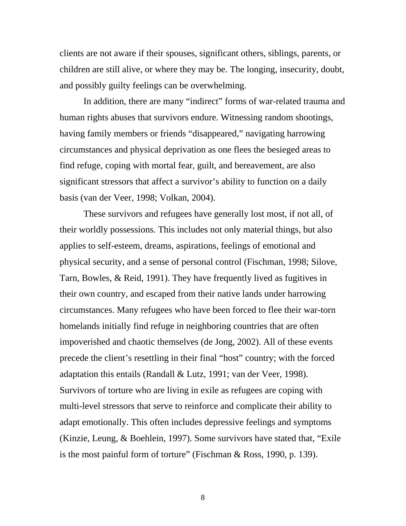clients are not aware if their spouses, significant others, siblings, parents, or children are still alive, or where they may be. The longing, insecurity, doubt, and possibly guilty feelings can be overwhelming.

In addition, there are many "indirect" forms of war-related trauma and human rights abuses that survivors endure. Witnessing random shootings, having family members or friends "disappeared," navigating harrowing circumstances and physical deprivation as one flees the besieged areas to find refuge, coping with mortal fear, guilt, and bereavement, are also significant stressors that affect a survivor's ability to function on a daily basis (van der Veer, 1998; Volkan, 2004).

These survivors and refugees have generally lost most, if not all, of their worldly possessions. This includes not only material things, but also applies to self-esteem, dreams, aspirations, feelings of emotional and physical security, and a sense of personal control (Fischman, 1998; Silove, Tarn, Bowles, & Reid, 1991). They have frequently lived as fugitives in their own country, and escaped from their native lands under harrowing circumstances. Many refugees who have been forced to flee their war-torn homelands initially find refuge in neighboring countries that are often impoverished and chaotic themselves (de Jong, 2002). All of these events precede the client's resettling in their final "host" country; with the forced adaptation this entails (Randall & Lutz, 1991; van der Veer, 1998). Survivors of torture who are living in exile as refugees are coping with multi-level stressors that serve to reinforce and complicate their ability to adapt emotionally. This often includes depressive feelings and symptoms (Kinzie, Leung, & Boehlein, 1997). Some survivors have stated that, "Exile is the most painful form of torture" (Fischman & Ross, 1990, p. 139).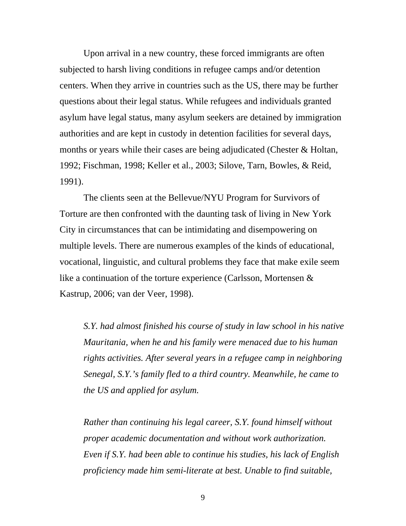Upon arrival in a new country, these forced immigrants are often subjected to harsh living conditions in refugee camps and/or detention centers. When they arrive in countries such as the US, there may be further questions about their legal status. While refugees and individuals granted asylum have legal status, many asylum seekers are detained by immigration authorities and are kept in custody in detention facilities for several days, months or years while their cases are being adjudicated (Chester & Holtan, 1992; Fischman, 1998; Keller et al., 2003; Silove, Tarn, Bowles, & Reid, 1991).

The clients seen at the Bellevue/NYU Program for Survivors of Torture are then confronted with the daunting task of living in New York City in circumstances that can be intimidating and disempowering on multiple levels. There are numerous examples of the kinds of educational, vocational, linguistic, and cultural problems they face that make exile seem like a continuation of the torture experience (Carlsson, Mortensen & Kastrup, 2006; van der Veer, 1998).

*S.Y. had almost finished his course of study in law school in his native Mauritania, when he and his family were menaced due to his human rights activities. After several years in a refugee camp in neighboring Senegal, S.Y.'s family fled to a third country. Meanwhile, he came to the US and applied for asylum.* 

*Rather than continuing his legal career, S.Y. found himself without proper academic documentation and without work authorization. Even if S.Y. had been able to continue his studies, his lack of English proficiency made him semi-literate at best. Unable to find suitable,*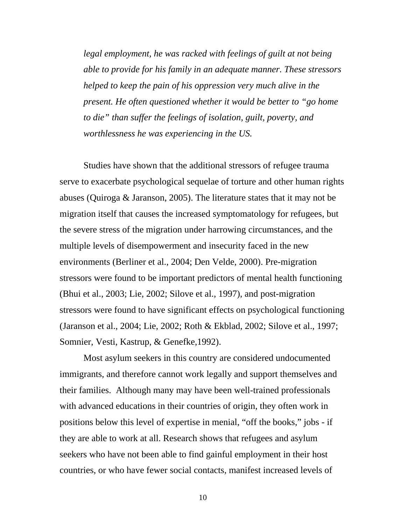*legal employment, he was racked with feelings of guilt at not being able to provide for his family in an adequate manner. These stressors helped to keep the pain of his oppression very much alive in the present. He often questioned whether it would be better to "go home to die" than suffer the feelings of isolation, guilt, poverty, and worthlessness he was experiencing in the US.* 

Studies have shown that the additional stressors of refugee trauma serve to exacerbate psychological sequelae of torture and other human rights abuses (Quiroga & Jaranson, 2005). The literature states that it may not be migration itself that causes the increased symptomatology for refugees, but the severe stress of the migration under harrowing circumstances, and the multiple levels of disempowerment and insecurity faced in the new environments (Berliner et al., 2004; Den Velde, 2000). Pre-migration stressors were found to be important predictors of mental health functioning (Bhui et al., 2003; Lie, 2002; Silove et al., 1997), and post-migration stressors were found to have significant effects on psychological functioning (Jaranson et al., 2004; Lie, 2002; Roth & Ekblad, 2002; Silove et al., 1997; Somnier, Vesti, Kastrup, & Genefke,1992).

Most asylum seekers in this country are considered undocumented immigrants, and therefore cannot work legally and support themselves and their families. Although many may have been well-trained professionals with advanced educations in their countries of origin, they often work in positions below this level of expertise in menial, "off the books," jobs - if they are able to work at all. Research shows that refugees and asylum seekers who have not been able to find gainful employment in their host countries, or who have fewer social contacts, manifest increased levels of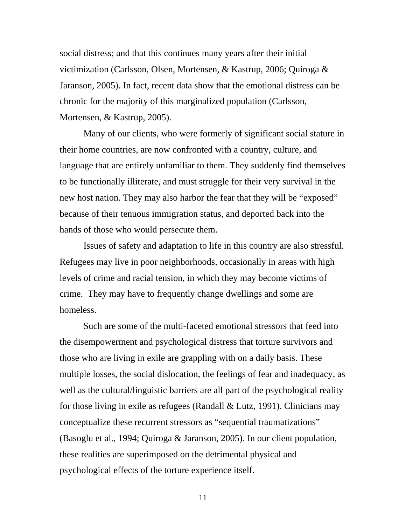social distress; and that this continues many years after their initial victimization (Carlsson, Olsen, Mortensen, & Kastrup, 2006; Quiroga & Jaranson, 2005). In fact, recent data show that the emotional distress can be chronic for the majority of this marginalized population (Carlsson, Mortensen, & Kastrup, 2005).

Many of our clients, who were formerly of significant social stature in their home countries, are now confronted with a country, culture, and language that are entirely unfamiliar to them. They suddenly find themselves to be functionally illiterate, and must struggle for their very survival in the new host nation. They may also harbor the fear that they will be "exposed" because of their tenuous immigration status, and deported back into the hands of those who would persecute them.

Issues of safety and adaptation to life in this country are also stressful. Refugees may live in poor neighborhoods, occasionally in areas with high levels of crime and racial tension, in which they may become victims of crime. They may have to frequently change dwellings and some are homeless.

Such are some of the multi-faceted emotional stressors that feed into the disempowerment and psychological distress that torture survivors and those who are living in exile are grappling with on a daily basis. These multiple losses, the social dislocation, the feelings of fear and inadequacy, as well as the cultural/linguistic barriers are all part of the psychological reality for those living in exile as refugees (Randall & Lutz, 1991). Clinicians may conceptualize these recurrent stressors as "sequential traumatizations" (Basoglu et al., 1994; Quiroga & Jaranson, 2005). In our client population, these realities are superimposed on the detrimental physical and psychological effects of the torture experience itself.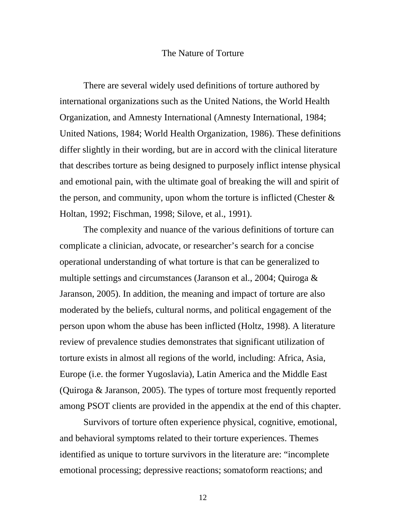## The Nature of Torture

There are several widely used definitions of torture authored by international organizations such as the United Nations, the World Health Organization, and Amnesty International (Amnesty International, 1984; United Nations, 1984; World Health Organization, 1986). These definitions differ slightly in their wording, but are in accord with the clinical literature that describes torture as being designed to purposely inflict intense physical and emotional pain, with the ultimate goal of breaking the will and spirit of the person, and community, upon whom the torture is inflicted (Chester  $\&$ Holtan, 1992; Fischman, 1998; Silove, et al., 1991).

The complexity and nuance of the various definitions of torture can complicate a clinician, advocate, or researcher's search for a concise operational understanding of what torture is that can be generalized to multiple settings and circumstances (Jaranson et al., 2004; Quiroga & Jaranson, 2005). In addition, the meaning and impact of torture are also moderated by the beliefs, cultural norms, and political engagement of the person upon whom the abuse has been inflicted (Holtz, 1998). A literature review of prevalence studies demonstrates that significant utilization of torture exists in almost all regions of the world, including: Africa, Asia, Europe (i.e. the former Yugoslavia), Latin America and the Middle East (Quiroga & Jaranson, 2005). The types of torture most frequently reported among PSOT clients are provided in the appendix at the end of this chapter.

Survivors of torture often experience physical, cognitive, emotional, and behavioral symptoms related to their torture experiences. Themes identified as unique to torture survivors in the literature are: "incomplete emotional processing; depressive reactions; somatoform reactions; and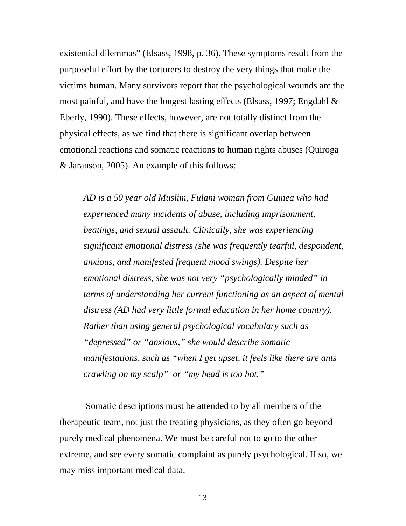existential dilemmas" (Elsass, 1998, p. 36). These symptoms result from the purposeful effort by the torturers to destroy the very things that make the victims human. Many survivors report that the psychological wounds are the most painful, and have the longest lasting effects (Elsass, 1997; Engdahl & Eberly, 1990). These effects, however, are not totally distinct from the physical effects, as we find that there is significant overlap between emotional reactions and somatic reactions to human rights abuses (Quiroga & Jaranson, 2005). An example of this follows:

*AD is a 50 year old Muslim, Fulani woman from Guinea who had experienced many incidents of abuse, including imprisonment, beatings, and sexual assault. Clinically, she was experiencing significant emotional distress (she was frequently tearful, despondent, anxious, and manifested frequent mood swings). Despite her emotional distress, she was not very "psychologically minded" in terms of understanding her current functioning as an aspect of mental distress (AD had very little formal education in her home country). Rather than using general psychological vocabulary such as "depressed" or "anxious," she would describe somatic manifestations, such as "when I get upset, it feels like there are ants crawling on my scalp" or "my head is too hot."* 

Somatic descriptions must be attended to by all members of the therapeutic team, not just the treating physicians, as they often go beyond purely medical phenomena. We must be careful not to go to the other extreme, and see every somatic complaint as purely psychological. If so, we may miss important medical data.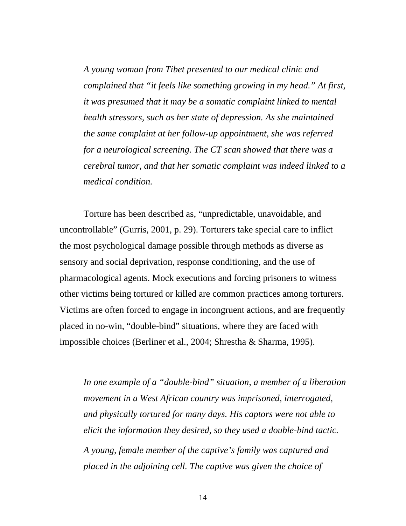*A young woman from Tibet presented to our medical clinic and complained that "it feels like something growing in my head." At first, it was presumed that it may be a somatic complaint linked to mental health stressors, such as her state of depression. As she maintained the same complaint at her follow-up appointment, she was referred for a neurological screening. The CT scan showed that there was a cerebral tumor, and that her somatic complaint was indeed linked to a medical condition.* 

Torture has been described as, "unpredictable, unavoidable, and uncontrollable" (Gurris, 2001, p. 29). Torturers take special care to inflict the most psychological damage possible through methods as diverse as sensory and social deprivation, response conditioning, and the use of pharmacological agents. Mock executions and forcing prisoners to witness other victims being tortured or killed are common practices among torturers. Victims are often forced to engage in incongruent actions, and are frequently placed in no-win, "double-bind" situations, where they are faced with impossible choices (Berliner et al., 2004; Shrestha & Sharma, 1995).

*In one example of a "double-bind" situation, a member of a liberation movement in a West African country was imprisoned, interrogated, and physically tortured for many days. His captors were not able to elicit the information they desired, so they used a double-bind tactic. A young, female member of the captive's family was captured and placed in the adjoining cell. The captive was given the choice of*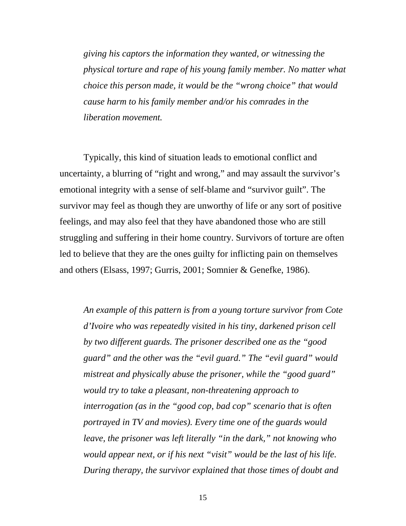*giving his captors the information they wanted, or witnessing the physical torture and rape of his young family member. No matter what choice this person made, it would be the "wrong choice" that would cause harm to his family member and/or his comrades in the liberation movement.* 

Typically, this kind of situation leads to emotional conflict and uncertainty, a blurring of "right and wrong," and may assault the survivor's emotional integrity with a sense of self-blame and "survivor guilt". The survivor may feel as though they are unworthy of life or any sort of positive feelings, and may also feel that they have abandoned those who are still struggling and suffering in their home country. Survivors of torture are often led to believe that they are the ones guilty for inflicting pain on themselves and others (Elsass, 1997; Gurris, 2001; Somnier & Genefke, 1986).

*An example of this pattern is from a young torture survivor from Cote d'Ivoire who was repeatedly visited in his tiny, darkened prison cell by two different guards. The prisoner described one as the "good guard" and the other was the "evil guard." The "evil guard" would mistreat and physically abuse the prisoner, while the "good guard" would try to take a pleasant, non-threatening approach to interrogation (as in the "good cop, bad cop" scenario that is often portrayed in TV and movies). Every time one of the guards would leave, the prisoner was left literally "in the dark," not knowing who would appear next, or if his next "visit" would be the last of his life. During therapy, the survivor explained that those times of doubt and*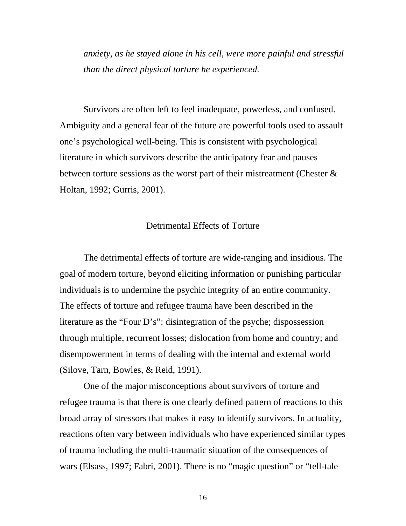*anxiety, as he stayed alone in his cell, were more painful and stressful than the direct physical torture he experienced.* 

Survivors are often left to feel inadequate, powerless, and confused. Ambiguity and a general fear of the future are powerful tools used to assault one's psychological well-being. This is consistent with psychological literature in which survivors describe the anticipatory fear and pauses between torture sessions as the worst part of their mistreatment (Chester  $\&$ Holtan, 1992; Gurris, 2001).

## Detrimental Effects of Torture

The detrimental effects of torture are wide-ranging and insidious. The goal of modern torture, beyond eliciting information or punishing particular individuals is to undermine the psychic integrity of an entire community. The effects of torture and refugee trauma have been described in the literature as the "Four D's": disintegration of the psyche; dispossession through multiple, recurrent losses; dislocation from home and country; and disempowerment in terms of dealing with the internal and external world (Silove, Tarn, Bowles, & Reid, 1991).

One of the major misconceptions about survivors of torture and refugee trauma is that there is one clearly defined pattern of reactions to this broad array of stressors that makes it easy to identify survivors. In actuality, reactions often vary between individuals who have experienced similar types of trauma including the multi-traumatic situation of the consequences of wars (Elsass, 1997; Fabri, 2001). There is no "magic question" or "tell-tale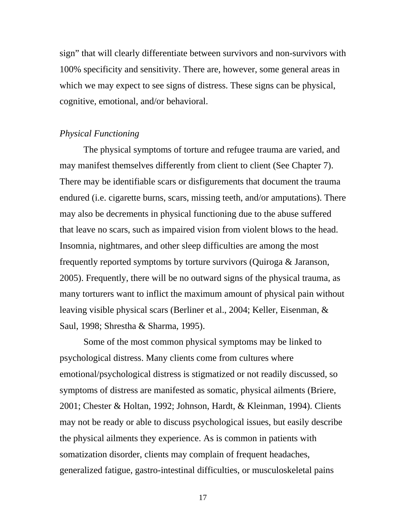sign" that will clearly differentiate between survivors and non-survivors with 100% specificity and sensitivity. There are, however, some general areas in which we may expect to see signs of distress. These signs can be physical, cognitive, emotional, and/or behavioral.

## *Physical Functioning*

The physical symptoms of torture and refugee trauma are varied, and may manifest themselves differently from client to client (See Chapter 7). There may be identifiable scars or disfigurements that document the trauma endured (i.e. cigarette burns, scars, missing teeth, and/or amputations). There may also be decrements in physical functioning due to the abuse suffered that leave no scars, such as impaired vision from violent blows to the head. Insomnia, nightmares, and other sleep difficulties are among the most frequently reported symptoms by torture survivors (Quiroga & Jaranson, 2005). Frequently, there will be no outward signs of the physical trauma, as many torturers want to inflict the maximum amount of physical pain without leaving visible physical scars (Berliner et al., 2004; Keller, Eisenman, & Saul, 1998; Shrestha & Sharma, 1995).

Some of the most common physical symptoms may be linked to psychological distress. Many clients come from cultures where emotional/psychological distress is stigmatized or not readily discussed, so symptoms of distress are manifested as somatic, physical ailments (Briere, 2001; Chester & Holtan, 1992; Johnson, Hardt, & Kleinman, 1994). Clients may not be ready or able to discuss psychological issues, but easily describe the physical ailments they experience. As is common in patients with somatization disorder, clients may complain of frequent headaches, generalized fatigue, gastro-intestinal difficulties, or musculoskeletal pains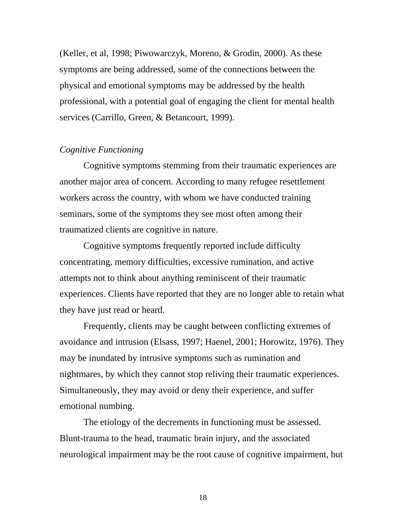(Keller, et al, 1998; Piwowarczyk, Moreno, & Grodin, 2000). As these symptoms are being addressed, some of the connections between the physical and emotional symptoms may be addressed by the health professional, with a potential goal of engaging the client for mental health services (Carrillo, Green, & Betancourt, 1999).

## *Cognitive Functioning*

Cognitive symptoms stemming from their traumatic experiences are another major area of concern. According to many refugee resettlement workers across the country, with whom we have conducted training seminars, some of the symptoms they see most often among their traumatized clients are cognitive in nature.

Cognitive symptoms frequently reported include difficulty concentrating, memory difficulties, excessive rumination, and active attempts not to think about anything reminiscent of their traumatic experiences. Clients have reported that they are no longer able to retain what they have just read or heard.

Frequently, clients may be caught between conflicting extremes of avoidance and intrusion (Elsass, 1997; Haenel, 2001; Horowitz, 1976). They may be inundated by intrusive symptoms such as rumination and nightmares, by which they cannot stop reliving their traumatic experiences. Simultaneously, they may avoid or deny their experience, and suffer emotional numbing.

The etiology of the decrements in functioning must be assessed. Blunt-trauma to the head, traumatic brain injury, and the associated neurological impairment may be the root cause of cognitive impairment, but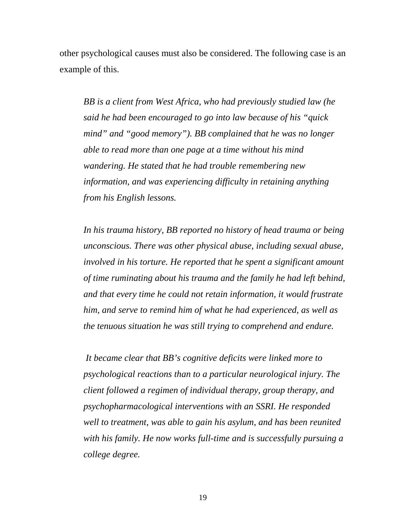other psychological causes must also be considered. The following case is an example of this.

*BB is a client from West Africa, who had previously studied law (he said he had been encouraged to go into law because of his "quick mind" and "good memory"). BB complained that he was no longer able to read more than one page at a time without his mind wandering. He stated that he had trouble remembering new information, and was experiencing difficulty in retaining anything from his English lessons.* 

*In his trauma history, BB reported no history of head trauma or being unconscious. There was other physical abuse, including sexual abuse, involved in his torture. He reported that he spent a significant amount of time ruminating about his trauma and the family he had left behind, and that every time he could not retain information, it would frustrate him, and serve to remind him of what he had experienced, as well as the tenuous situation he was still trying to comprehend and endure.* 

 *It became clear that BB's cognitive deficits were linked more to psychological reactions than to a particular neurological injury. The client followed a regimen of individual therapy, group therapy, and psychopharmacological interventions with an SSRI. He responded well to treatment, was able to gain his asylum, and has been reunited with his family. He now works full-time and is successfully pursuing a college degree.*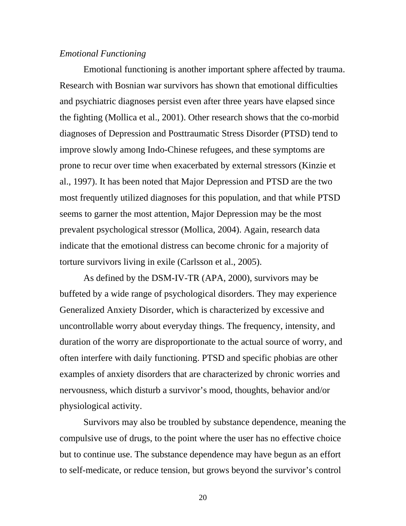## *Emotional Functioning*

Emotional functioning is another important sphere affected by trauma. Research with Bosnian war survivors has shown that emotional difficulties and psychiatric diagnoses persist even after three years have elapsed since the fighting (Mollica et al., 2001). Other research shows that the co-morbid diagnoses of Depression and Posttraumatic Stress Disorder (PTSD) tend to improve slowly among Indo-Chinese refugees, and these symptoms are prone to recur over time when exacerbated by external stressors (Kinzie et al., 1997). It has been noted that Major Depression and PTSD are the two most frequently utilized diagnoses for this population, and that while PTSD seems to garner the most attention, Major Depression may be the most prevalent psychological stressor (Mollica, 2004). Again, research data indicate that the emotional distress can become chronic for a majority of torture survivors living in exile (Carlsson et al., 2005).

As defined by the DSM-IV-TR (APA, 2000), survivors may be buffeted by a wide range of psychological disorders. They may experience Generalized Anxiety Disorder, which is characterized by excessive and uncontrollable worry about everyday things. The frequency, intensity, and duration of the worry are disproportionate to the actual source of worry, and often interfere with daily functioning. PTSD and specific phobias are other examples of anxiety disorders that are characterized by chronic worries and nervousness, which disturb a survivor's mood, thoughts, behavior and/or physiological activity.

Survivors may also be troubled by substance dependence, meaning the compulsive use of drugs, to the point where the user has no effective choice but to continue use. The substance dependence may have begun as an effort to self-medicate, or reduce tension, but grows beyond the survivor's control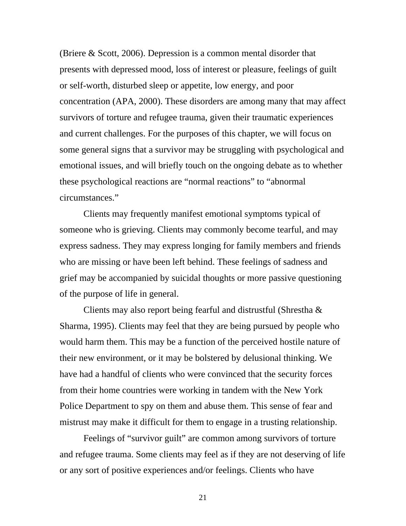(Briere & Scott, 2006). Depression is a common mental disorder that presents with depressed mood, loss of interest or pleasure, feelings of guilt or self-worth, disturbed sleep or appetite, low energy, and poor concentration (APA, 2000). These disorders are among many that may affect survivors of torture and refugee trauma, given their traumatic experiences and current challenges. For the purposes of this chapter, we will focus on some general signs that a survivor may be struggling with psychological and emotional issues, and will briefly touch on the ongoing debate as to whether these psychological reactions are "normal reactions" to "abnormal circumstances."

Clients may frequently manifest emotional symptoms typical of someone who is grieving. Clients may commonly become tearful, and may express sadness. They may express longing for family members and friends who are missing or have been left behind. These feelings of sadness and grief may be accompanied by suicidal thoughts or more passive questioning of the purpose of life in general.

Clients may also report being fearful and distrustful (Shrestha & Sharma, 1995). Clients may feel that they are being pursued by people who would harm them. This may be a function of the perceived hostile nature of their new environment, or it may be bolstered by delusional thinking. We have had a handful of clients who were convinced that the security forces from their home countries were working in tandem with the New York Police Department to spy on them and abuse them. This sense of fear and mistrust may make it difficult for them to engage in a trusting relationship.

Feelings of "survivor guilt" are common among survivors of torture and refugee trauma. Some clients may feel as if they are not deserving of life or any sort of positive experiences and/or feelings. Clients who have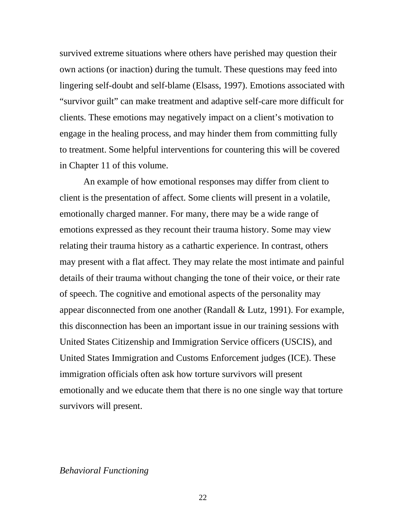survived extreme situations where others have perished may question their own actions (or inaction) during the tumult. These questions may feed into lingering self-doubt and self-blame (Elsass, 1997). Emotions associated with "survivor guilt" can make treatment and adaptive self-care more difficult for clients. These emotions may negatively impact on a client's motivation to engage in the healing process, and may hinder them from committing fully to treatment. Some helpful interventions for countering this will be covered in Chapter 11 of this volume.

An example of how emotional responses may differ from client to client is the presentation of affect. Some clients will present in a volatile, emotionally charged manner. For many, there may be a wide range of emotions expressed as they recount their trauma history. Some may view relating their trauma history as a cathartic experience. In contrast, others may present with a flat affect. They may relate the most intimate and painful details of their trauma without changing the tone of their voice, or their rate of speech. The cognitive and emotional aspects of the personality may appear disconnected from one another (Randall & Lutz, 1991). For example, this disconnection has been an important issue in our training sessions with United States Citizenship and Immigration Service officers (USCIS), and United States Immigration and Customs Enforcement judges (ICE). These immigration officials often ask how torture survivors will present emotionally and we educate them that there is no one single way that torture survivors will present.

## *Behavioral Functioning*

<u>22</u>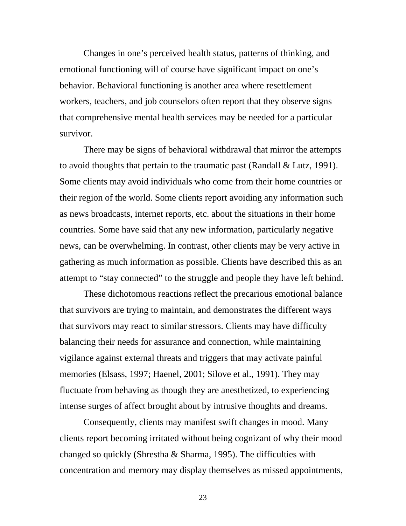Changes in one's perceived health status, patterns of thinking, and emotional functioning will of course have significant impact on one's behavior. Behavioral functioning is another area where resettlement workers, teachers, and job counselors often report that they observe signs that comprehensive mental health services may be needed for a particular survivor.

There may be signs of behavioral withdrawal that mirror the attempts to avoid thoughts that pertain to the traumatic past (Randall & Lutz, 1991). Some clients may avoid individuals who come from their home countries or their region of the world. Some clients report avoiding any information such as news broadcasts, internet reports, etc. about the situations in their home countries. Some have said that any new information, particularly negative news, can be overwhelming. In contrast, other clients may be very active in gathering as much information as possible. Clients have described this as an attempt to "stay connected" to the struggle and people they have left behind.

These dichotomous reactions reflect the precarious emotional balance that survivors are trying to maintain, and demonstrates the different ways that survivors may react to similar stressors. Clients may have difficulty balancing their needs for assurance and connection, while maintaining vigilance against external threats and triggers that may activate painful memories (Elsass, 1997; Haenel, 2001; Silove et al., 1991). They may fluctuate from behaving as though they are anesthetized, to experiencing intense surges of affect brought about by intrusive thoughts and dreams.

Consequently, clients may manifest swift changes in mood. Many clients report becoming irritated without being cognizant of why their mood changed so quickly (Shrestha & Sharma, 1995). The difficulties with concentration and memory may display themselves as missed appointments,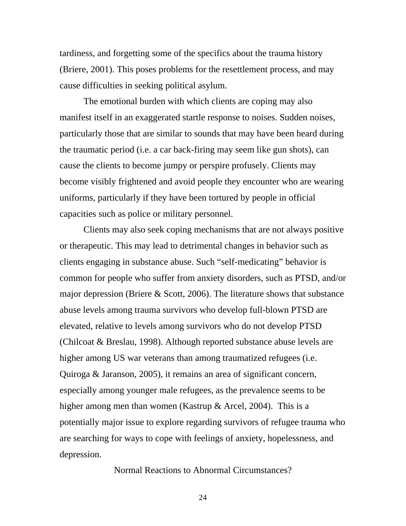tardiness, and forgetting some of the specifics about the trauma history (Briere, 2001). This poses problems for the resettlement process, and may cause difficulties in seeking political asylum.

The emotional burden with which clients are coping may also manifest itself in an exaggerated startle response to noises. Sudden noises, particularly those that are similar to sounds that may have been heard during the traumatic period (i.e. a car back-firing may seem like gun shots), can cause the clients to become jumpy or perspire profusely. Clients may become visibly frightened and avoid people they encounter who are wearing uniforms, particularly if they have been tortured by people in official capacities such as police or military personnel.

Clients may also seek coping mechanisms that are not always positive or therapeutic. This may lead to detrimental changes in behavior such as clients engaging in substance abuse. Such "self-medicating" behavior is common for people who suffer from anxiety disorders, such as PTSD, and/or major depression (Briere & Scott, 2006). The literature shows that substance abuse levels among trauma survivors who develop full-blown PTSD are elevated, relative to levels among survivors who do not develop PTSD (Chilcoat & Breslau, 1998). Although reported substance abuse levels are higher among US war veterans than among traumatized refugees (i.e. Quiroga & Jaranson, 2005), it remains an area of significant concern, especially among younger male refugees, as the prevalence seems to be higher among men than women (Kastrup & Arcel, 2004). This is a potentially major issue to explore regarding survivors of refugee trauma who are searching for ways to cope with feelings of anxiety, hopelessness, and depression.

Normal Reactions to Abnormal Circumstances?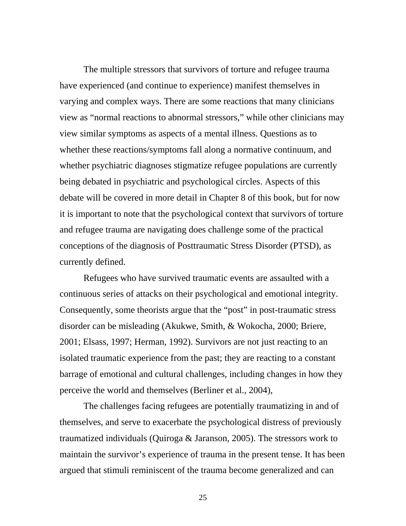The multiple stressors that survivors of torture and refugee trauma have experienced (and continue to experience) manifest themselves in varying and complex ways. There are some reactions that many clinicians view as "normal reactions to abnormal stressors," while other clinicians may view similar symptoms as aspects of a mental illness. Questions as to whether these reactions/symptoms fall along a normative continuum, and whether psychiatric diagnoses stigmatize refugee populations are currently being debated in psychiatric and psychological circles. Aspects of this debate will be covered in more detail in Chapter 8 of this book, but for now it is important to note that the psychological context that survivors of torture and refugee trauma are navigating does challenge some of the practical conceptions of the diagnosis of Posttraumatic Stress Disorder (PTSD), as currently defined.

Refugees who have survived traumatic events are assaulted with a continuous series of attacks on their psychological and emotional integrity. Consequently, some theorists argue that the "post" in post-traumatic stress disorder can be misleading (Akukwe, Smith, & Wokocha, 2000; Briere, 2001; Elsass, 1997; Herman, 1992). Survivors are not just reacting to an isolated traumatic experience from the past; they are reacting to a constant barrage of emotional and cultural challenges, including changes in how they perceive the world and themselves (Berliner et al., 2004),

The challenges facing refugees are potentially traumatizing in and of themselves, and serve to exacerbate the psychological distress of previously traumatized individuals (Quiroga & Jaranson, 2005). The stressors work to maintain the survivor's experience of trauma in the present tense. It has been argued that stimuli reminiscent of the trauma become generalized and can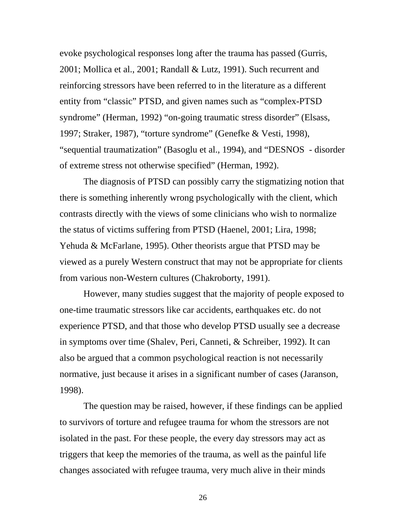evoke psychological responses long after the trauma has passed (Gurris, 2001; Mollica et al., 2001; Randall & Lutz, 1991). Such recurrent and reinforcing stressors have been referred to in the literature as a different entity from "classic" PTSD, and given names such as "complex-PTSD syndrome" (Herman, 1992) "on-going traumatic stress disorder" (Elsass, 1997; Straker, 1987), "torture syndrome" (Genefke & Vesti, 1998), "sequential traumatization" (Basoglu et al., 1994), and "DESNOS - disorder of extreme stress not otherwise specified" (Herman, 1992).

The diagnosis of PTSD can possibly carry the stigmatizing notion that there is something inherently wrong psychologically with the client, which contrasts directly with the views of some clinicians who wish to normalize the status of victims suffering from PTSD (Haenel, 2001; Lira, 1998; Yehuda & McFarlane, 1995). Other theorists argue that PTSD may be viewed as a purely Western construct that may not be appropriate for clients from various non-Western cultures (Chakroborty, 1991).

However, many studies suggest that the majority of people exposed to one-time traumatic stressors like car accidents, earthquakes etc. do not experience PTSD, and that those who develop PTSD usually see a decrease in symptoms over time (Shalev, Peri, Canneti, & Schreiber, 1992). It can also be argued that a common psychological reaction is not necessarily normative, just because it arises in a significant number of cases (Jaranson, 1998).

The question may be raised, however, if these findings can be applied to survivors of torture and refugee trauma for whom the stressors are not isolated in the past. For these people, the every day stressors may act as triggers that keep the memories of the trauma, as well as the painful life changes associated with refugee trauma, very much alive in their minds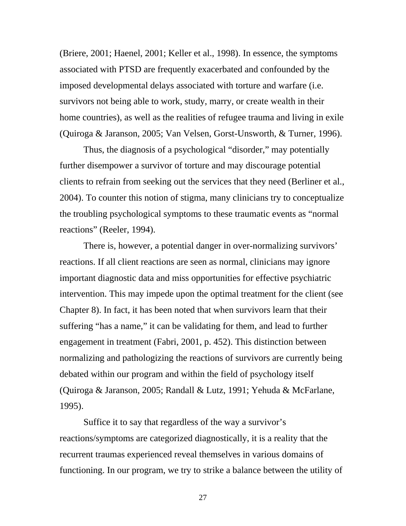(Briere, 2001; Haenel, 2001; Keller et al., 1998). In essence, the symptoms associated with PTSD are frequently exacerbated and confounded by the imposed developmental delays associated with torture and warfare (i.e. survivors not being able to work, study, marry, or create wealth in their home countries), as well as the realities of refugee trauma and living in exile (Quiroga & Jaranson, 2005; Van Velsen, Gorst-Unsworth, & Turner, 1996).

Thus, the diagnosis of a psychological "disorder," may potentially further disempower a survivor of torture and may discourage potential clients to refrain from seeking out the services that they need (Berliner et al., 2004). To counter this notion of stigma, many clinicians try to conceptualize the troubling psychological symptoms to these traumatic events as "normal reactions" (Reeler, 1994).

There is, however, a potential danger in over-normalizing survivors' reactions. If all client reactions are seen as normal, clinicians may ignore important diagnostic data and miss opportunities for effective psychiatric intervention. This may impede upon the optimal treatment for the client (see Chapter 8). In fact, it has been noted that when survivors learn that their suffering "has a name," it can be validating for them, and lead to further engagement in treatment (Fabri, 2001, p. 452). This distinction between normalizing and pathologizing the reactions of survivors are currently being debated within our program and within the field of psychology itself (Quiroga & Jaranson, 2005; Randall & Lutz, 1991; Yehuda & McFarlane, 1995).

Suffice it to say that regardless of the way a survivor's reactions/symptoms are categorized diagnostically, it is a reality that the recurrent traumas experienced reveal themselves in various domains of functioning. In our program, we try to strike a balance between the utility of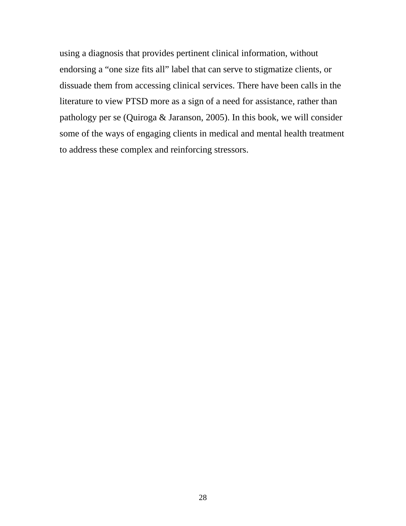using a diagnosis that provides pertinent clinical information, without endorsing a "one size fits all" label that can serve to stigmatize clients, or dissuade them from accessing clinical services. There have been calls in the literature to view PTSD more as a sign of a need for assistance, rather than pathology per se (Quiroga & Jaranson, 2005). In this book, we will consider some of the ways of engaging clients in medical and mental health treatment to address these complex and reinforcing stressors.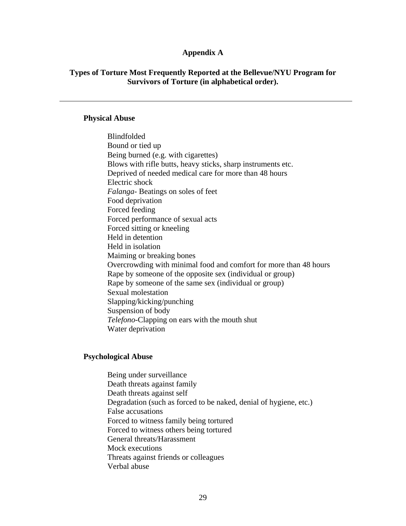#### **Appendix A**

## **Types of Torture Most Frequently Reported at the Bellevue/NYU Program for Survivors of Torture (in alphabetical order).**

#### **Physical Abuse**

Blindfolded Bound or tied up Being burned (e.g. with cigarettes) Blows with rifle butts, heavy sticks, sharp instruments etc. Deprived of needed medical care for more than 48 hours Electric shock *Falanga*- Beatings on soles of feet Food deprivation Forced feeding Forced performance of sexual acts Forced sitting or kneeling Held in detention Held in isolation Maiming or breaking bones Overcrowding with minimal food and comfort for more than 48 hours Rape by someone of the opposite sex (individual or group) Rape by someone of the same sex (individual or group) Sexual molestation Slapping/kicking/punching Suspension of body *Telefono*-Clapping on ears with the mouth shut Water deprivation

#### **Psychological Abuse**

Being under surveillance Death threats against family Death threats against self Degradation (such as forced to be naked, denial of hygiene, etc.) False accusations Forced to witness family being tortured Forced to witness others being tortured General threats/Harassment Mock executions Threats against friends or colleagues Verbal abuse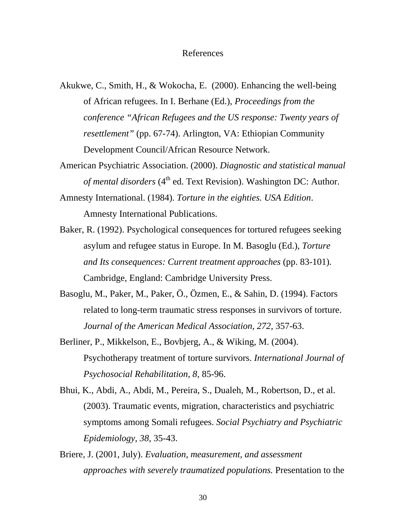### References

- Akukwe, C., Smith, H., & Wokocha, E. (2000). Enhancing the well-being of African refugees. In I. Berhane (Ed.), *Proceedings from the conference "African Refugees and the US response: Twenty years of resettlement"* (pp. 67-74). Arlington, VA: Ethiopian Community Development Council/African Resource Network.
- American Psychiatric Association. (2000). *Diagnostic and statistical manual of mental disorders* (4<sup>th</sup> ed. Text Revision). Washington DC: Author.
- Amnesty International. (1984). *Torture in the eighties. USA Edition*. Amnesty International Publications.
- Baker, R. (1992). Psychological consequences for tortured refugees seeking asylum and refugee status in Europe. In M. Basoglu (Ed.), *Torture and Its consequences: Current treatment approaches* (pp. 83-101)*.* Cambridge, England: Cambridge University Press.
- Basoglu, M., Paker, M., Paker, Ö., Özmen, E., & Sahin, D. (1994). Factors related to long-term traumatic stress responses in survivors of torture. *Journal of the American Medical Association, 272*, 357-63.
- Berliner, P., Mikkelson, E., Bovbjerg, A., & Wiking, M. (2004). Psychotherapy treatment of torture survivors. *International Journal of Psychosocial Rehabilitation, 8*, 85-96.
- Bhui, K., Abdi, A., Abdi, M., Pereira, S., Dualeh, M., Robertson, D., et al. (2003). Traumatic events, migration, characteristics and psychiatric symptoms among Somali refugees. *Social Psychiatry and Psychiatric Epidemiology, 38,* 35-43.
- Briere, J. (2001, July). *Evaluation, measurement, and assessment approaches with severely traumatized populations.* Presentation to the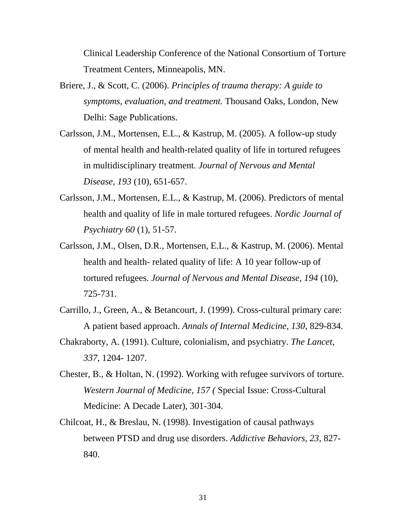Clinical Leadership Conference of the National Consortium of Torture Treatment Centers, Minneapolis, MN.

- Briere, J., & Scott, C. (2006). *Principles of trauma therapy: A guide to symptoms, evaluation, and treatment.* Thousand Oaks, London, New Delhi: Sage Publications.
- Carlsson, J.M., Mortensen, E.L., & Kastrup, M. (2005). A follow-up study of mental health and health-related quality of life in tortured refugees in multidisciplinary treatment. *Journal of Nervous and Mental Disease, 193* (10), 651-657.
- Carlsson, J.M., Mortensen, E.L., & Kastrup, M. (2006). Predictors of mental health and quality of life in male tortured refugees. *Nordic Journal of Psychiatry 60* (1), 51-57.
- Carlsson, J.M., Olsen, D.R., Mortensen, E.L., & Kastrup, M. (2006). Mental health and health- related quality of life: A 10 year follow-up of tortured refugees. *Journal of Nervous and Mental Disease, 194* (10), 725-731.
- Carrillo, J., Green, A., & Betancourt, J. (1999). Cross-cultural primary care: A patient based approach. *Annals of Internal Medicine, 130*, 829-834.
- Chakraborty, A. (1991). Culture, colonialism, and psychiatry. *The Lancet, 337*, 1204- 1207.
- Chester, B., & Holtan, N. (1992). Working with refugee survivors of torture. *Western Journal of Medicine, 157 (* Special Issue: Cross-Cultural Medicine: A Decade Later), 301-304.
- Chilcoat, H., & Breslau, N. (1998). Investigation of causal pathways between PTSD and drug use disorders. *Addictive Behaviors, 23*, 827- 840.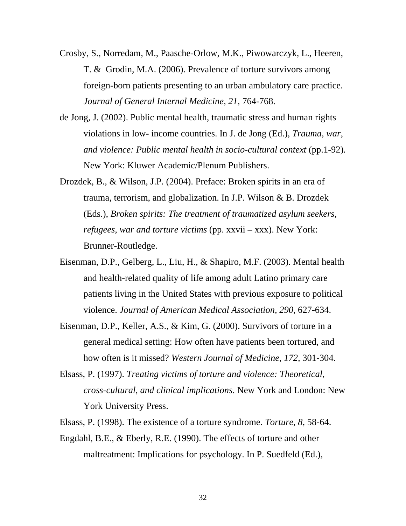- Crosby, S., Norredam, M., Paasche-Orlow, M.K., Piwowarczyk, L., Heeren, T. & Grodin, M.A. (2006). Prevalence of torture survivors among foreign-born patients presenting to an urban ambulatory care practice. *Journal of General Internal Medicine, 21,* 764-768.
- de Jong, J. (2002). Public mental health, traumatic stress and human rights violations in low- income countries. In J. de Jong (Ed.), *Trauma, war, and violence: Public mental health in socio-cultural context* (pp.1-92)*.*  New York: Kluwer Academic/Plenum Publishers.
- Drozdek, B., & Wilson, J.P. (2004). Preface: Broken spirits in an era of trauma, terrorism, and globalization. In J.P. Wilson & B. Drozdek (Eds.), *Broken spirits: The treatment of traumatized asylum seekers, refugees, war and torture victims* (pp. xxvii – xxx). New York: Brunner-Routledge.
- Eisenman, D.P., Gelberg, L., Liu, H., & Shapiro, M.F. (2003). Mental health and health-related quality of life among adult Latino primary care patients living in the United States with previous exposure to political violence. *Journal of American Medical Association, 290,* 627-634.
- Eisenman, D.P., Keller, A.S., & Kim, G. (2000). Survivors of torture in a general medical setting: How often have patients been tortured, and how often is it missed? *Western Journal of Medicine, 172,* 301-304.
- Elsass, P. (1997). *Treating victims of torture and violence: Theoretical, cross-cultural, and clinical implications*. New York and London: New York University Press.
- Elsass, P. (1998). The existence of a torture syndrome. *Torture, 8*, 58-64.
- Engdahl, B.E., & Eberly, R.E. (1990). The effects of torture and other maltreatment: Implications for psychology. In P. Suedfeld (Ed.),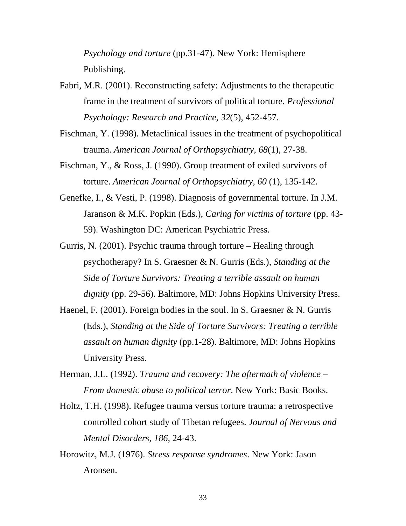*Psychology and torture* (pp.31-47)*.* New York: Hemisphere Publishing.

Fabri, M.R. (2001). Reconstructing safety: Adjustments to the therapeutic frame in the treatment of survivors of political torture. *Professional Psychology: Research and Practice, 32*(5), 452-457.

Fischman, Y. (1998). Metaclinical issues in the treatment of psychopolitical trauma. *American Journal of Orthopsychiatry, 68*(1), 27-38.

Fischman, Y., & Ross, J. (1990). Group treatment of exiled survivors of torture. *American Journal of Orthopsychiatry, 60* (1), 135-142.

Genefke, I., & Vesti, P. (1998). Diagnosis of governmental torture. In J.M. Jaranson & M.K. Popkin (Eds.), *Caring for victims of torture* (pp. 43- 59). Washington DC: American Psychiatric Press.

Gurris, N. (2001). Psychic trauma through torture – Healing through psychotherapy? In S. Graesner & N. Gurris (Eds.), *Standing at the Side of Torture Survivors: Treating a terrible assault on human dignity* (pp. 29-56). Baltimore, MD: Johns Hopkins University Press.

Haenel, F. (2001). Foreign bodies in the soul. In S. Graesner & N. Gurris (Eds.), *Standing at the Side of Torture Survivors: Treating a terrible assault on human dignity* (pp.1-28). Baltimore, MD: Johns Hopkins University Press.

Herman, J.L. (1992). *Trauma and recovery: The aftermath of violence – From domestic abuse to political terror*. New York: Basic Books.

Holtz, T.H. (1998). Refugee trauma versus torture trauma: a retrospective controlled cohort study of Tibetan refugees. *Journal of Nervous and Mental Disorders*, *186,* 24-43.

Horowitz, M.J. (1976). *Stress response syndromes*. New York: Jason Aronsen.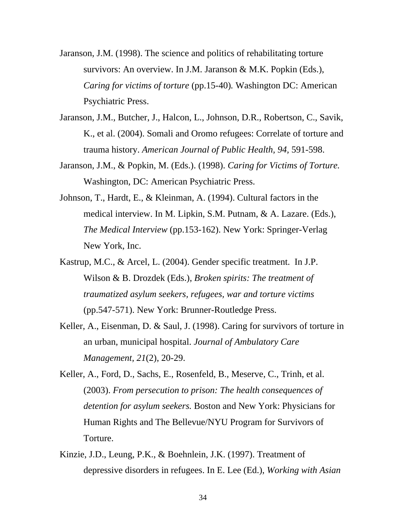- Jaranson, J.M. (1998). The science and politics of rehabilitating torture survivors: An overview. In J.M. Jaranson & M.K. Popkin (Eds.), *Caring for victims of torture* (pp.15-40)*.* Washington DC: American Psychiatric Press.
- Jaranson, J.M., Butcher, J., Halcon, L., Johnson, D.R., Robertson, C., Savik, K., et al. (2004). Somali and Oromo refugees: Correlate of torture and trauma history. *American Journal of Public Health, 94,* 591-598.
- Jaranson, J.M., & Popkin, M. (Eds.). (1998). *Caring for Victims of Torture.* Washington, DC: American Psychiatric Press.
- Johnson, T., Hardt, E., & Kleinman, A. (1994). Cultural factors in the medical interview. In M. Lipkin, S.M. Putnam, & A. Lazare. (Eds.), *The Medical Interview* (pp.153-162). New York: Springer-Verlag New York, Inc.
- Kastrup, M.C., & Arcel, L. (2004). Gender specific treatment. In J.P. Wilson & B. Drozdek (Eds.), *Broken spirits: The treatment of traumatized asylum seekers, refugees, war and torture victims*  (pp.547-571). New York: Brunner-Routledge Press.
- Keller, A., Eisenman, D. & Saul, J. (1998). Caring for survivors of torture in an urban, municipal hospital. *Journal of Ambulatory Care Management, 21*(2), 20-29.
- Keller, A., Ford, D., Sachs, E., Rosenfeld, B., Meserve, C., Trinh, et al. (2003). *From persecution to prison: The health consequences of detention for asylum seekers.* Boston and New York: Physicians for Human Rights and The Bellevue/NYU Program for Survivors of Torture.
- Kinzie, J.D., Leung, P.K., & Boehnlein, J.K. (1997). Treatment of depressive disorders in refugees. In E. Lee (Ed.), *Working with Asian*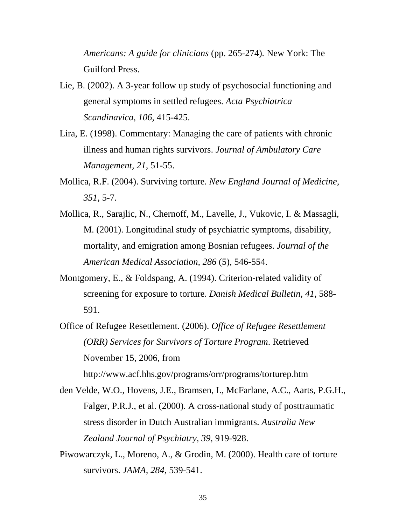*Americans: A guide for clinicians* (pp. 265-274)*.* New York: The Guilford Press.

- Lie, B. (2002). A 3-year follow up study of psychosocial functioning and general symptoms in settled refugees. *Acta Psychiatrica Scandinavica, 106*, 415-425.
- Lira, E. (1998). Commentary: Managing the care of patients with chronic illness and human rights survivors. *Journal of Ambulatory Care Management, 21*, 51-55.
- Mollica, R.F. (2004). Surviving torture. *New England Journal of Medicine, 351*, 5-7.
- Mollica, R., Sarajlic, N., Chernoff, M., Lavelle, J., Vukovic, I. & Massagli, M. (2001). Longitudinal study of psychiatric symptoms, disability, mortality, and emigration among Bosnian refugees. *Journal of the American Medical Association, 286* (5), 546-554.
- Montgomery, E., & Foldspang, A. (1994). Criterion-related validity of screening for exposure to torture. *Danish Medical Bulletin, 41*, 588- 591.
- Office of Refugee Resettlement. (2006). *Office of Refugee Resettlement (ORR) Services for Survivors of Torture Program*. Retrieved November 15, 2006, from

http://www.acf.hhs.gov/programs/orr/programs/torturep.htm

- den Velde, W.O., Hovens, J.E., Bramsen, I., McFarlane, A.C., Aarts, P.G.H., Falger, P.R.J., et al. (2000). A cross-national study of posttraumatic stress disorder in Dutch Australian immigrants. *Australia New Zealand Journal of Psychiatry, 39*, 919-928.
- Piwowarczyk, L., Moreno, A., & Grodin, M. (2000). Health care of torture survivors. *JAMA, 284,* 539-541.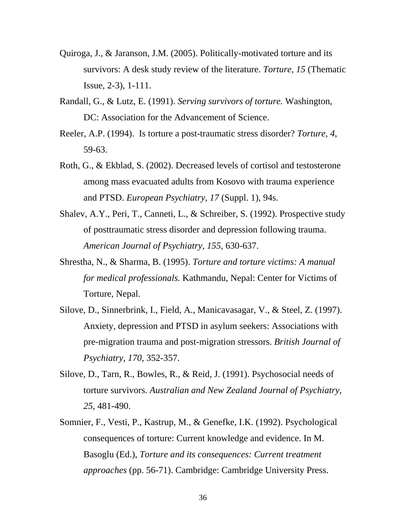- Quiroga, J., & Jaranson, J.M. (2005). Politically-motivated torture and its survivors: A desk study review of the literature. *Torture, 15* (Thematic Issue, 2-3)*,* 1-111.
- Randall, G., & Lutz, E. (1991). *Serving survivors of torture.* Washington, DC: Association for the Advancement of Science.
- Reeler, A.P. (1994). Is torture a post-traumatic stress disorder? *Torture, 4*, 59-63.
- Roth, G., & Ekblad, S. (2002). Decreased levels of cortisol and testosterone among mass evacuated adults from Kosovo with trauma experience and PTSD. *European Psychiatry, 17* (Suppl. 1), 94s.
- Shalev, A.Y., Peri, T., Canneti, L., & Schreiber, S. (1992). Prospective study of posttraumatic stress disorder and depression following trauma. *American Journal of Psychiatry, 155,* 630-637.
- Shrestha, N., & Sharma, B. (1995). *Torture and torture victims: A manual for medical professionals.* Kathmandu, Nepal: Center for Victims of Torture, Nepal.
- Silove, D., Sinnerbrink, I., Field, A., Manicavasagar, V., & Steel, Z. (1997). Anxiety, depression and PTSD in asylum seekers: Associations with pre-migration trauma and post-migration stressors. *British Journal of Psychiatry, 170*, 352-357.
- Silove, D., Tarn, R., Bowles, R., & Reid, J. (1991). Psychosocial needs of torture survivors. *Australian and New Zealand Journal of Psychiatry, 25*, 481-490.
- Somnier, F., Vesti, P., Kastrup, M., & Genefke, I.K. (1992). Psychological consequences of torture: Current knowledge and evidence. In M. Basoglu (Ed.), *Torture and its consequences: Current treatment approaches* (pp. 56-71). Cambridge: Cambridge University Press.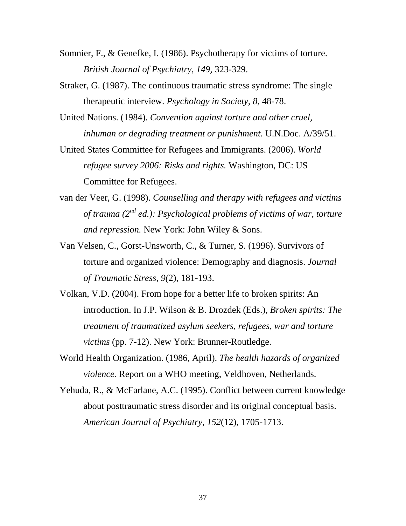- Somnier, F., & Genefke, I. (1986). Psychotherapy for victims of torture. *British Journal of Psychiatry, 149,* 323-329.
- Straker, G. (1987). The continuous traumatic stress syndrome: The single therapeutic interview. *Psychology in Society, 8*, 48-78.
- United Nations. (1984). *Convention against torture and other cruel, inhuman or degrading treatment or punishment*. U.N.Doc. A/39/51.
- United States Committee for Refugees and Immigrants. (2006). *World refugee survey 2006: Risks and rights.* Washington, DC: US Committee for Refugees.
- van der Veer, G. (1998). *Counselling and therapy with refugees and victims of trauma (2nd ed.): Psychological problems of victims of war, torture and repression.* New York: John Wiley & Sons.
- Van Velsen, C., Gorst-Unsworth, C., & Turner, S. (1996). Survivors of torture and organized violence: Demography and diagnosis. *Journal of Traumatic Stress, 9(*2), 181-193.
- Volkan, V.D. (2004). From hope for a better life to broken spirits: An introduction. In J.P. Wilson & B. Drozdek (Eds.), *Broken spirits: The treatment of traumatized asylum seekers, refugees, war and torture victims* (pp. 7-12). New York: Brunner-Routledge.
- World Health Organization. (1986, April). *The health hazards of organized violence.* Report on a WHO meeting, Veldhoven, Netherlands.
- Yehuda, R., & McFarlane, A.C. (1995). Conflict between current knowledge about posttraumatic stress disorder and its original conceptual basis. *American Journal of Psychiatry, 152*(12), 1705-1713.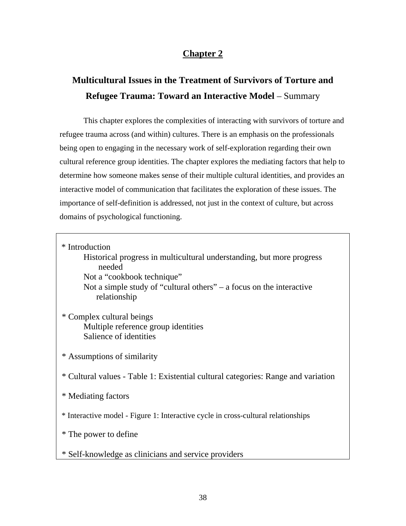# **Chapter 2**

# **Multicultural Issues in the Treatment of Survivors of Torture and Refugee Trauma: Toward an Interactive Model** – Summary

 This chapter explores the complexities of interacting with survivors of torture and refugee trauma across (and within) cultures. There is an emphasis on the professionals being open to engaging in the necessary work of self-exploration regarding their own cultural reference group identities. The chapter explores the mediating factors that help to determine how someone makes sense of their multiple cultural identities, and provides an interactive model of communication that facilitates the exploration of these issues. The importance of self-definition is addressed, not just in the context of culture, but across domains of psychological functioning.

\* Introduction

 Historical progress in multicultural understanding, but more progress needed

Not a "cookbook technique"

 Not a simple study of "cultural others" – a focus on the interactive relationship

 \* Complex cultural beings Multiple reference group identities Salience of identities

\* Assumptions of similarity

\* Cultural values - Table 1: Existential cultural categories: Range and variation

\* Mediating factors

\* Interactive model - Figure 1: Interactive cycle in cross-cultural relationships

\* The power to define

\* Self-knowledge as clinicians and service providers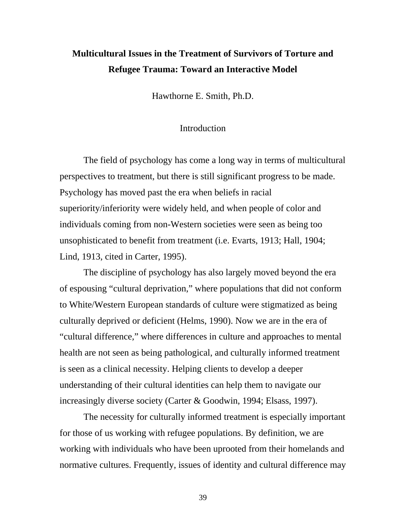# **Multicultural Issues in the Treatment of Survivors of Torture and Refugee Trauma: Toward an Interactive Model**

Hawthorne E. Smith, Ph.D.

## Introduction

The field of psychology has come a long way in terms of multicultural perspectives to treatment, but there is still significant progress to be made. Psychology has moved past the era when beliefs in racial superiority/inferiority were widely held, and when people of color and individuals coming from non-Western societies were seen as being too unsophisticated to benefit from treatment (i.e. Evarts, 1913; Hall, 1904; Lind, 1913, cited in Carter, 1995).

The discipline of psychology has also largely moved beyond the era of espousing "cultural deprivation," where populations that did not conform to White/Western European standards of culture were stigmatized as being culturally deprived or deficient (Helms, 1990). Now we are in the era of "cultural difference*,*" where differences in culture and approaches to mental health are not seen as being pathological, and culturally informed treatment is seen as a clinical necessity. Helping clients to develop a deeper understanding of their cultural identities can help them to navigate our increasingly diverse society (Carter & Goodwin, 1994; Elsass, 1997).

The necessity for culturally informed treatment is especially important for those of us working with refugee populations. By definition, we are working with individuals who have been uprooted from their homelands and normative cultures. Frequently, issues of identity and cultural difference may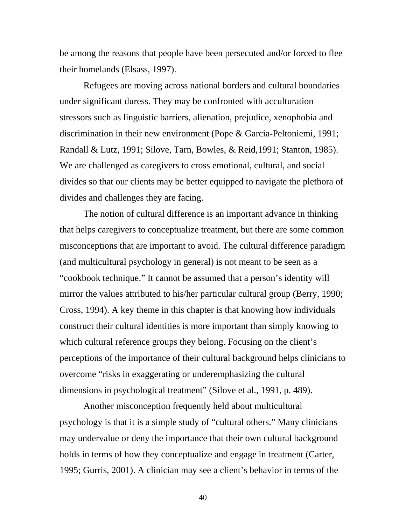be among the reasons that people have been persecuted and/or forced to flee their homelands (Elsass, 1997).

Refugees are moving across national borders and cultural boundaries under significant duress. They may be confronted with acculturation stressors such as linguistic barriers, alienation, prejudice, xenophobia and discrimination in their new environment (Pope & Garcia-Peltoniemi, 1991; Randall & Lutz, 1991; Silove, Tarn, Bowles, & Reid,1991; Stanton, 1985). We are challenged as caregivers to cross emotional, cultural, and social divides so that our clients may be better equipped to navigate the plethora of divides and challenges they are facing.

The notion of cultural difference is an important advance in thinking that helps caregivers to conceptualize treatment, but there are some common misconceptions that are important to avoid. The cultural difference paradigm (and multicultural psychology in general) is not meant to be seen as a "cookbook technique." It cannot be assumed that a person's identity will mirror the values attributed to his/her particular cultural group (Berry, 1990; Cross, 1994). A key theme in this chapter is that knowing how individuals construct their cultural identities is more important than simply knowing to which cultural reference groups they belong. Focusing on the client's perceptions of the importance of their cultural background helps clinicians to overcome "risks in exaggerating or underemphasizing the cultural dimensions in psychological treatment" (Silove et al., 1991, p. 489).

Another misconception frequently held about multicultural psychology is that it is a simple study of "cultural others." Many clinicians may undervalue or deny the importance that their own cultural background holds in terms of how they conceptualize and engage in treatment (Carter, 1995; Gurris, 2001). A clinician may see a client's behavior in terms of the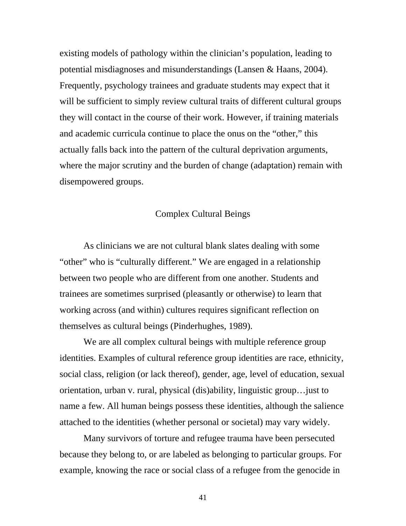existing models of pathology within the clinician's population, leading to potential misdiagnoses and misunderstandings (Lansen & Haans, 2004). Frequently, psychology trainees and graduate students may expect that it will be sufficient to simply review cultural traits of different cultural groups they will contact in the course of their work. However, if training materials and academic curricula continue to place the onus on the "other," this actually falls back into the pattern of the cultural deprivation arguments, where the major scrutiny and the burden of change (adaptation) remain with disempowered groups.

# Complex Cultural Beings

As clinicians we are not cultural blank slates dealing with some "other" who is "culturally different." We are engaged in a relationship between two people who are different from one another. Students and trainees are sometimes surprised (pleasantly or otherwise) to learn that working across (and within) cultures requires significant reflection on themselves as cultural beings (Pinderhughes, 1989).

We are all complex cultural beings with multiple reference group identities. Examples of cultural reference group identities are race, ethnicity, social class, religion (or lack thereof), gender, age, level of education, sexual orientation, urban v. rural, physical (dis)ability, linguistic group…just to name a few. All human beings possess these identities, although the salience attached to the identities (whether personal or societal) may vary widely.

Many survivors of torture and refugee trauma have been persecuted because they belong to, or are labeled as belonging to particular groups. For example, knowing the race or social class of a refugee from the genocide in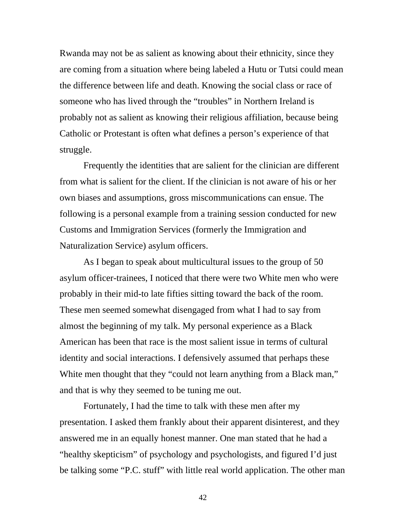Rwanda may not be as salient as knowing about their ethnicity, since they are coming from a situation where being labeled a Hutu or Tutsi could mean the difference between life and death. Knowing the social class or race of someone who has lived through the "troubles" in Northern Ireland is probably not as salient as knowing their religious affiliation, because being Catholic or Protestant is often what defines a person's experience of that struggle.

Frequently the identities that are salient for the clinician are different from what is salient for the client. If the clinician is not aware of his or her own biases and assumptions, gross miscommunications can ensue. The following is a personal example from a training session conducted for new Customs and Immigration Services (formerly the Immigration and Naturalization Service) asylum officers.

 As I began to speak about multicultural issues to the group of 50 asylum officer-trainees, I noticed that there were two White men who were probably in their mid-to late fifties sitting toward the back of the room. These men seemed somewhat disengaged from what I had to say from almost the beginning of my talk. My personal experience as a Black American has been that race is the most salient issue in terms of cultural identity and social interactions. I defensively assumed that perhaps these White men thought that they "could not learn anything from a Black man," and that is why they seemed to be tuning me out.

Fortunately, I had the time to talk with these men after my presentation. I asked them frankly about their apparent disinterest, and they answered me in an equally honest manner. One man stated that he had a "healthy skepticism" of psychology and psychologists, and figured I'd just be talking some "P.C. stuff" with little real world application. The other man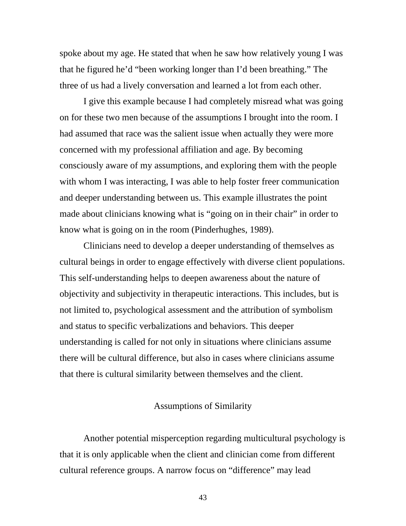spoke about my age. He stated that when he saw how relatively young I was that he figured he'd "been working longer than I'd been breathing." The three of us had a lively conversation and learned a lot from each other.

I give this example because I had completely misread what was going on for these two men because of the assumptions I brought into the room. I had assumed that race was the salient issue when actually they were more concerned with my professional affiliation and age. By becoming consciously aware of my assumptions, and exploring them with the people with whom I was interacting, I was able to help foster freer communication and deeper understanding between us. This example illustrates the point made about clinicians knowing what is "going on in their chair" in order to know what is going on in the room (Pinderhughes, 1989).

Clinicians need to develop a deeper understanding of themselves as cultural beings in order to engage effectively with diverse client populations. This self-understanding helps to deepen awareness about the nature of objectivity and subjectivity in therapeutic interactions. This includes, but is not limited to, psychological assessment and the attribution of symbolism and status to specific verbalizations and behaviors. This deeper understanding is called for not only in situations where clinicians assume there will be cultural difference, but also in cases where clinicians assume that there is cultural similarity between themselves and the client.

## Assumptions of Similarity

Another potential misperception regarding multicultural psychology is that it is only applicable when the client and clinician come from different cultural reference groups. A narrow focus on "difference" may lead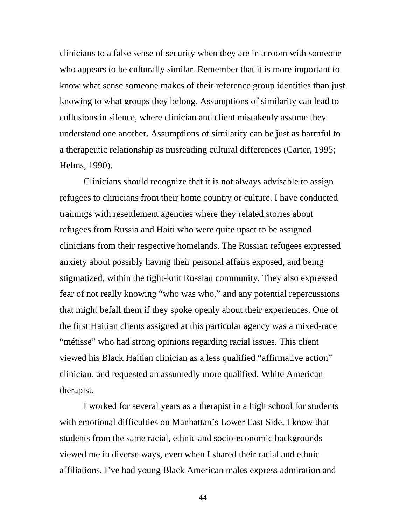clinicians to a false sense of security when they are in a room with someone who appears to be culturally similar. Remember that it is more important to know what sense someone makes of their reference group identities than just knowing to what groups they belong. Assumptions of similarity can lead to collusions in silence, where clinician and client mistakenly assume they understand one another. Assumptions of similarity can be just as harmful to a therapeutic relationship as misreading cultural differences (Carter, 1995; Helms, 1990).

Clinicians should recognize that it is not always advisable to assign refugees to clinicians from their home country or culture. I have conducted trainings with resettlement agencies where they related stories about refugees from Russia and Haiti who were quite upset to be assigned clinicians from their respective homelands. The Russian refugees expressed anxiety about possibly having their personal affairs exposed, and being stigmatized, within the tight-knit Russian community. They also expressed fear of not really knowing "who was who," and any potential repercussions that might befall them if they spoke openly about their experiences. One of the first Haitian clients assigned at this particular agency was a mixed-race "métisse" who had strong opinions regarding racial issues. This client viewed his Black Haitian clinician as a less qualified "affirmative action" clinician, and requested an assumedly more qualified, White American therapist.

I worked for several years as a therapist in a high school for students with emotional difficulties on Manhattan's Lower East Side. I know that students from the same racial, ethnic and socio-economic backgrounds viewed me in diverse ways, even when I shared their racial and ethnic affiliations. I've had young Black American males express admiration and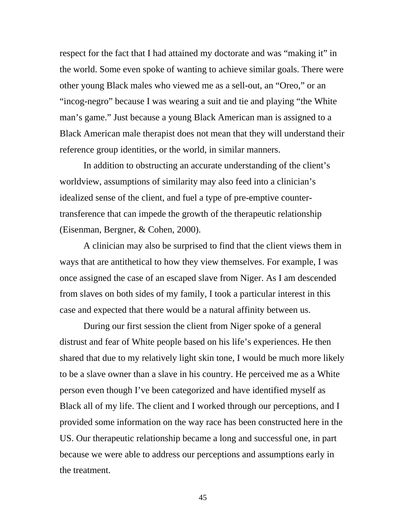respect for the fact that I had attained my doctorate and was "making it" in the world. Some even spoke of wanting to achieve similar goals. There were other young Black males who viewed me as a sell-out, an "Oreo," or an "incog-negro" because I was wearing a suit and tie and playing "the White man's game." Just because a young Black American man is assigned to a Black American male therapist does not mean that they will understand their reference group identities, or the world, in similar manners.

In addition to obstructing an accurate understanding of the client's worldview, assumptions of similarity may also feed into a clinician's idealized sense of the client, and fuel a type of pre-emptive countertransference that can impede the growth of the therapeutic relationship (Eisenman, Bergner, & Cohen, 2000).

A clinician may also be surprised to find that the client views them in ways that are antithetical to how they view themselves. For example, I was once assigned the case of an escaped slave from Niger. As I am descended from slaves on both sides of my family, I took a particular interest in this case and expected that there would be a natural affinity between us.

During our first session the client from Niger spoke of a general distrust and fear of White people based on his life's experiences. He then shared that due to my relatively light skin tone, I would be much more likely to be a slave owner than a slave in his country. He perceived me as a White person even though I've been categorized and have identified myself as Black all of my life. The client and I worked through our perceptions, and I provided some information on the way race has been constructed here in the US. Our therapeutic relationship became a long and successful one, in part because we were able to address our perceptions and assumptions early in the treatment.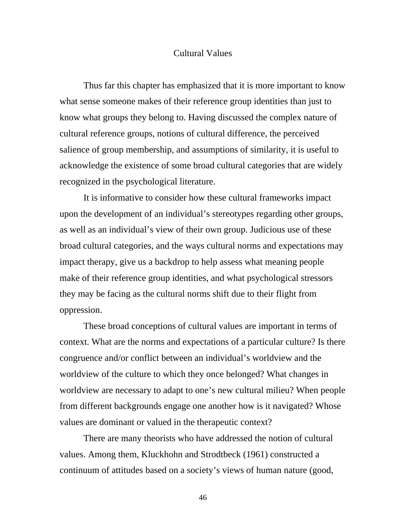#### Cultural Values

Thus far this chapter has emphasized that it is more important to know what sense someone makes of their reference group identities than just to know what groups they belong to. Having discussed the complex nature of cultural reference groups, notions of cultural difference, the perceived salience of group membership, and assumptions of similarity, it is useful to acknowledge the existence of some broad cultural categories that are widely recognized in the psychological literature.

It is informative to consider how these cultural frameworks impact upon the development of an individual's stereotypes regarding other groups, as well as an individual's view of their own group. Judicious use of these broad cultural categories, and the ways cultural norms and expectations may impact therapy, give us a backdrop to help assess what meaning people make of their reference group identities, and what psychological stressors they may be facing as the cultural norms shift due to their flight from oppression.

These broad conceptions of cultural values are important in terms of context. What are the norms and expectations of a particular culture? Is there congruence and/or conflict between an individual's worldview and the worldview of the culture to which they once belonged? What changes in worldview are necessary to adapt to one's new cultural milieu? When people from different backgrounds engage one another how is it navigated? Whose values are dominant or valued in the therapeutic context?

There are many theorists who have addressed the notion of cultural values. Among them, Kluckhohn and Strodtbeck (1961) constructed a continuum of attitudes based on a society's views of human nature (good,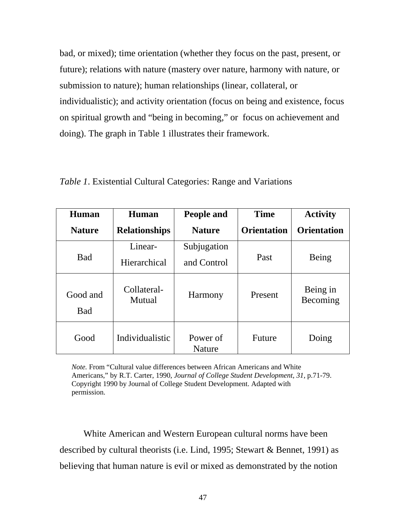bad, or mixed); time orientation (whether they focus on the past, present, or future); relations with nature (mastery over nature, harmony with nature, or submission to nature); human relationships (linear, collateral, or individualistic); and activity orientation (focus on being and existence, focus on spiritual growth and "being in becoming," or focus on achievement and doing). The graph in Table 1 illustrates their framework.

| Human           | Human                        | People and         | <b>Time</b>        | <b>Activity</b>      |
|-----------------|------------------------------|--------------------|--------------------|----------------------|
| <b>Nature</b>   | <b>Relationships</b>         | <b>Nature</b>      | <b>Orientation</b> | <b>Orientation</b>   |
|                 | Linear-                      | Subjugation        |                    |                      |
| <b>Bad</b>      | Hierarchical                 | and Control        | Past               | Being                |
| Good and<br>Bad | Collateral-<br><b>Mutual</b> | <b>Harmony</b>     | Present            | Being in<br>Becoming |
| Good            | Individualistic              | Power of<br>Nature | Future             | Doing                |

*Table 1*. Existential Cultural Categories: Range and Variations

*Note.* From "Cultural value differences between African Americans and White Americans," by R.T. Carter, 1990, *Journal of College Student Development, 31,* p.71-79. Copyright 1990 by Journal of College Student Development. Adapted with permission.

White American and Western European cultural norms have been described by cultural theorists (i.e. Lind, 1995; Stewart & Bennet, 1991) as believing that human nature is evil or mixed as demonstrated by the notion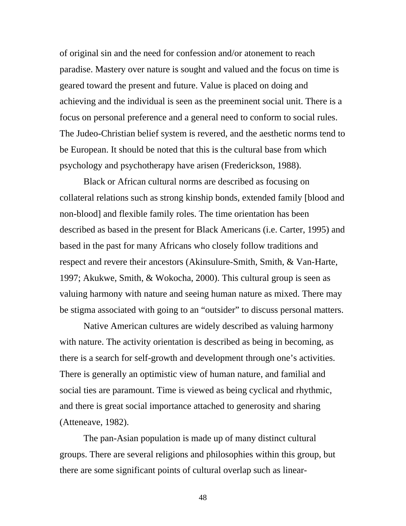of original sin and the need for confession and/or atonement to reach paradise. Mastery over nature is sought and valued and the focus on time is geared toward the present and future. Value is placed on doing and achieving and the individual is seen as the preeminent social unit. There is a focus on personal preference and a general need to conform to social rules. The Judeo-Christian belief system is revered, and the aesthetic norms tend to be European. It should be noted that this is the cultural base from which psychology and psychotherapy have arisen (Frederickson, 1988).

Black or African cultural norms are described as focusing on collateral relations such as strong kinship bonds, extended family [blood and non-blood] and flexible family roles. The time orientation has been described as based in the present for Black Americans (i.e. Carter, 1995) and based in the past for many Africans who closely follow traditions and respect and revere their ancestors (Akinsulure-Smith, Smith, & Van-Harte, 1997; Akukwe, Smith, & Wokocha, 2000). This cultural group is seen as valuing harmony with nature and seeing human nature as mixed. There may be stigma associated with going to an "outsider" to discuss personal matters.

Native American cultures are widely described as valuing harmony with nature. The activity orientation is described as being in becoming, as there is a search for self-growth and development through one's activities. There is generally an optimistic view of human nature, and familial and social ties are paramount. Time is viewed as being cyclical and rhythmic, and there is great social importance attached to generosity and sharing (Atteneave, 1982).

The pan-Asian population is made up of many distinct cultural groups. There are several religions and philosophies within this group, but there are some significant points of cultural overlap such as linear-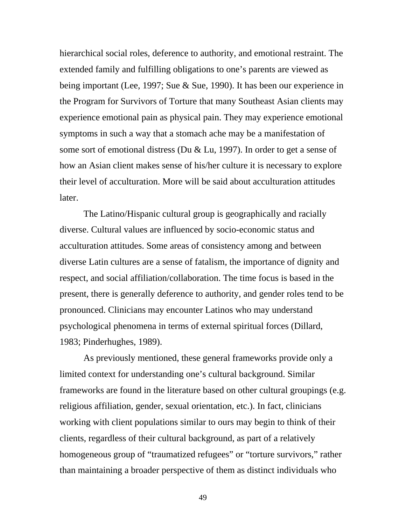hierarchical social roles, deference to authority, and emotional restraint. The extended family and fulfilling obligations to one's parents are viewed as being important (Lee, 1997; Sue & Sue, 1990). It has been our experience in the Program for Survivors of Torture that many Southeast Asian clients may experience emotional pain as physical pain. They may experience emotional symptoms in such a way that a stomach ache may be a manifestation of some sort of emotional distress (Du & Lu, 1997). In order to get a sense of how an Asian client makes sense of his/her culture it is necessary to explore their level of acculturation. More will be said about acculturation attitudes later.

The Latino/Hispanic cultural group is geographically and racially diverse. Cultural values are influenced by socio-economic status and acculturation attitudes. Some areas of consistency among and between diverse Latin cultures are a sense of fatalism, the importance of dignity and respect, and social affiliation/collaboration. The time focus is based in the present, there is generally deference to authority, and gender roles tend to be pronounced. Clinicians may encounter Latinos who may understand psychological phenomena in terms of external spiritual forces (Dillard, 1983; Pinderhughes, 1989).

As previously mentioned, these general frameworks provide only a limited context for understanding one's cultural background. Similar frameworks are found in the literature based on other cultural groupings (e.g. religious affiliation, gender, sexual orientation, etc.). In fact, clinicians working with client populations similar to ours may begin to think of their clients, regardless of their cultural background, as part of a relatively homogeneous group of "traumatized refugees" or "torture survivors," rather than maintaining a broader perspective of them as distinct individuals who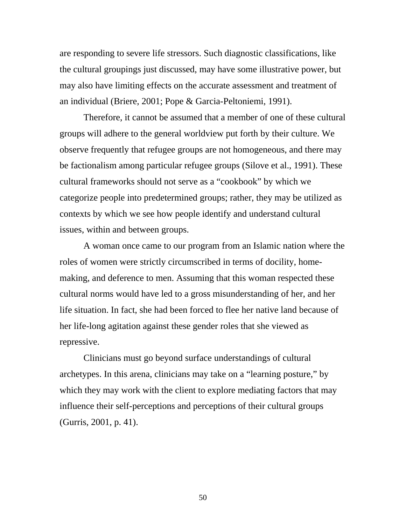are responding to severe life stressors. Such diagnostic classifications, like the cultural groupings just discussed, may have some illustrative power, but may also have limiting effects on the accurate assessment and treatment of an individual (Briere, 2001; Pope & Garcia-Peltoniemi, 1991).

Therefore, it cannot be assumed that a member of one of these cultural groups will adhere to the general worldview put forth by their culture. We observe frequently that refugee groups are not homogeneous, and there may be factionalism among particular refugee groups (Silove et al., 1991). These cultural frameworks should not serve as a "cookbook" by which we categorize people into predetermined groups; rather, they may be utilized as contexts by which we see how people identify and understand cultural issues, within and between groups.

A woman once came to our program from an Islamic nation where the roles of women were strictly circumscribed in terms of docility, homemaking, and deference to men. Assuming that this woman respected these cultural norms would have led to a gross misunderstanding of her, and her life situation. In fact, she had been forced to flee her native land because of her life-long agitation against these gender roles that she viewed as repressive.

Clinicians must go beyond surface understandings of cultural archetypes. In this arena, clinicians may take on a "learning posture," by which they may work with the client to explore mediating factors that may influence their self-perceptions and perceptions of their cultural groups (Gurris, 2001, p. 41).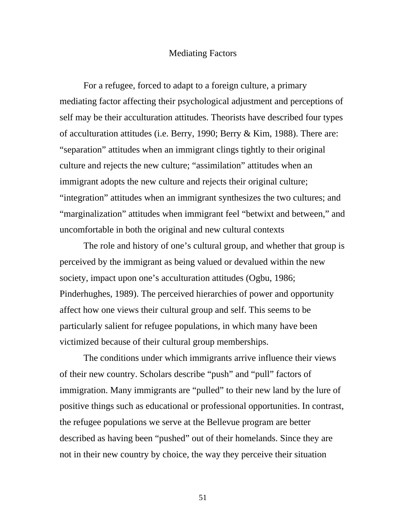#### Mediating Factors

For a refugee, forced to adapt to a foreign culture, a primary mediating factor affecting their psychological adjustment and perceptions of self may be their acculturation attitudes. Theorists have described four types of acculturation attitudes (i.e. Berry, 1990; Berry & Kim, 1988). There are: "separation" attitudes when an immigrant clings tightly to their original culture and rejects the new culture; "assimilation" attitudes when an immigrant adopts the new culture and rejects their original culture; "integration" attitudes when an immigrant synthesizes the two cultures; and "marginalization" attitudes when immigrant feel "betwixt and between," and uncomfortable in both the original and new cultural contexts

The role and history of one's cultural group, and whether that group is perceived by the immigrant as being valued or devalued within the new society, impact upon one's acculturation attitudes (Ogbu, 1986; Pinderhughes, 1989). The perceived hierarchies of power and opportunity affect how one views their cultural group and self. This seems to be particularly salient for refugee populations, in which many have been victimized because of their cultural group memberships.

The conditions under which immigrants arrive influence their views of their new country. Scholars describe "push" and "pull" factors of immigration. Many immigrants are "pulled" to their new land by the lure of positive things such as educational or professional opportunities. In contrast, the refugee populations we serve at the Bellevue program are better described as having been "pushed" out of their homelands. Since they are not in their new country by choice, the way they perceive their situation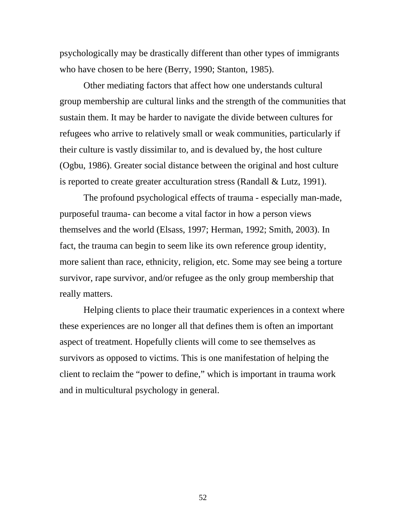psychologically may be drastically different than other types of immigrants who have chosen to be here (Berry, 1990; Stanton, 1985).

Other mediating factors that affect how one understands cultural group membership are cultural links and the strength of the communities that sustain them. It may be harder to navigate the divide between cultures for refugees who arrive to relatively small or weak communities, particularly if their culture is vastly dissimilar to, and is devalued by, the host culture (Ogbu, 1986). Greater social distance between the original and host culture is reported to create greater acculturation stress (Randall & Lutz, 1991).

The profound psychological effects of trauma - especially man-made, purposeful trauma- can become a vital factor in how a person views themselves and the world (Elsass, 1997; Herman, 1992; Smith, 2003). In fact, the trauma can begin to seem like its own reference group identity, more salient than race, ethnicity, religion, etc. Some may see being a torture survivor, rape survivor, and/or refugee as the only group membership that really matters.

Helping clients to place their traumatic experiences in a context where these experiences are no longer all that defines them is often an important aspect of treatment. Hopefully clients will come to see themselves as survivors as opposed to victims. This is one manifestation of helping the client to reclaim the "power to define," which is important in trauma work and in multicultural psychology in general.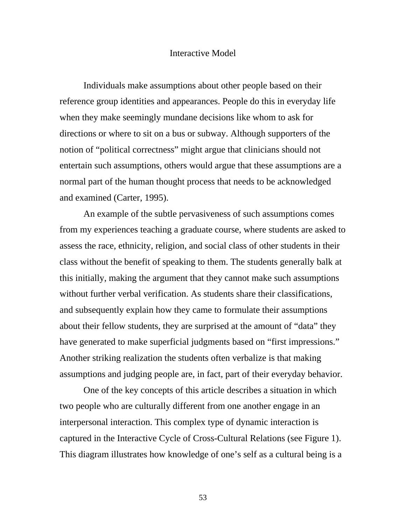#### Interactive Model

Individuals make assumptions about other people based on their reference group identities and appearances. People do this in everyday life when they make seemingly mundane decisions like whom to ask for directions or where to sit on a bus or subway. Although supporters of the notion of "political correctness" might argue that clinicians should not entertain such assumptions, others would argue that these assumptions are a normal part of the human thought process that needs to be acknowledged and examined (Carter, 1995).

An example of the subtle pervasiveness of such assumptions comes from my experiences teaching a graduate course, where students are asked to assess the race, ethnicity, religion, and social class of other students in their class without the benefit of speaking to them. The students generally balk at this initially, making the argument that they cannot make such assumptions without further verbal verification. As students share their classifications, and subsequently explain how they came to formulate their assumptions about their fellow students, they are surprised at the amount of "data" they have generated to make superficial judgments based on "first impressions." Another striking realization the students often verbalize is that making assumptions and judging people are, in fact, part of their everyday behavior.

One of the key concepts of this article describes a situation in which two people who are culturally different from one another engage in an interpersonal interaction. This complex type of dynamic interaction is captured in the Interactive Cycle of Cross-Cultural Relations (see Figure 1). This diagram illustrates how knowledge of one's self as a cultural being is a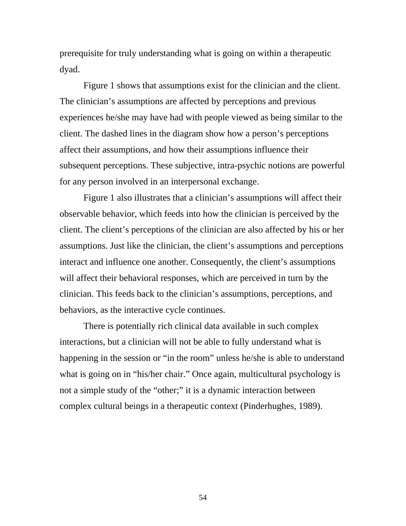prerequisite for truly understanding what is going on within a therapeutic dyad.

Figure 1 shows that assumptions exist for the clinician and the client. The clinician's assumptions are affected by perceptions and previous experiences he/she may have had with people viewed as being similar to the client. The dashed lines in the diagram show how a person's perceptions affect their assumptions, and how their assumptions influence their subsequent perceptions. These subjective, intra-psychic notions are powerful for any person involved in an interpersonal exchange.

Figure 1 also illustrates that a clinician's assumptions will affect their observable behavior, which feeds into how the clinician is perceived by the client. The client's perceptions of the clinician are also affected by his or her assumptions. Just like the clinician, the client's assumptions and perceptions interact and influence one another. Consequently, the client's assumptions will affect their behavioral responses, which are perceived in turn by the clinician. This feeds back to the clinician's assumptions, perceptions, and behaviors, as the interactive cycle continues.

There is potentially rich clinical data available in such complex interactions, but a clinician will not be able to fully understand what is happening in the session or "in the room" unless he/she is able to understand what is going on in "his/her chair." Once again, multicultural psychology is not a simple study of the "other;" it is a dynamic interaction between complex cultural beings in a therapeutic context (Pinderhughes, 1989).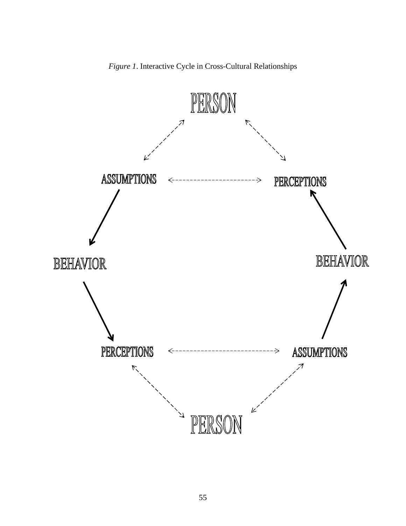

*Figure 1*. Interactive Cycle in Cross-Cultural Relationships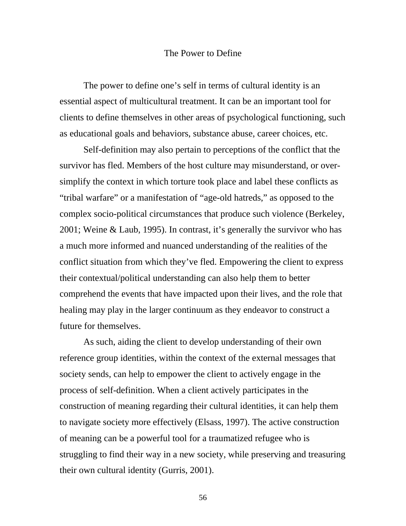### The Power to Define

The power to define one's self in terms of cultural identity is an essential aspect of multicultural treatment. It can be an important tool for clients to define themselves in other areas of psychological functioning, such as educational goals and behaviors, substance abuse, career choices, etc.

Self-definition may also pertain to perceptions of the conflict that the survivor has fled. Members of the host culture may misunderstand, or oversimplify the context in which torture took place and label these conflicts as "tribal warfare" or a manifestation of "age-old hatreds," as opposed to the complex socio-political circumstances that produce such violence (Berkeley, 2001; Weine & Laub, 1995). In contrast, it's generally the survivor who has a much more informed and nuanced understanding of the realities of the conflict situation from which they've fled. Empowering the client to express their contextual/political understanding can also help them to better comprehend the events that have impacted upon their lives, and the role that healing may play in the larger continuum as they endeavor to construct a future for themselves.

As such, aiding the client to develop understanding of their own reference group identities, within the context of the external messages that society sends, can help to empower the client to actively engage in the process of self-definition. When a client actively participates in the construction of meaning regarding their cultural identities, it can help them to navigate society more effectively (Elsass, 1997). The active construction of meaning can be a powerful tool for a traumatized refugee who is struggling to find their way in a new society, while preserving and treasuring their own cultural identity (Gurris, 2001).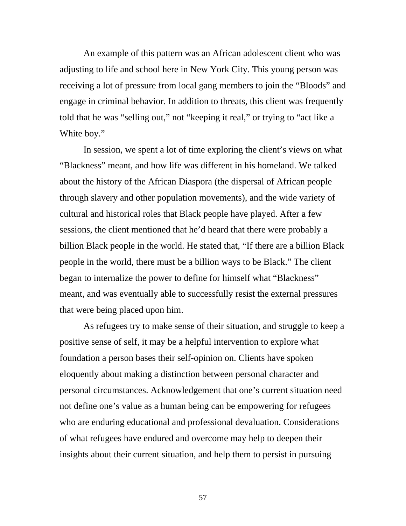An example of this pattern was an African adolescent client who was adjusting to life and school here in New York City. This young person was receiving a lot of pressure from local gang members to join the "Bloods" and engage in criminal behavior. In addition to threats, this client was frequently told that he was "selling out," not "keeping it real," or trying to "act like a White boy."

In session, we spent a lot of time exploring the client's views on what "Blackness" meant, and how life was different in his homeland. We talked about the history of the African Diaspora (the dispersal of African people through slavery and other population movements), and the wide variety of cultural and historical roles that Black people have played. After a few sessions, the client mentioned that he'd heard that there were probably a billion Black people in the world. He stated that, "If there are a billion Black people in the world, there must be a billion ways to be Black." The client began to internalize the power to define for himself what "Blackness" meant, and was eventually able to successfully resist the external pressures that were being placed upon him.

As refugees try to make sense of their situation, and struggle to keep a positive sense of self, it may be a helpful intervention to explore what foundation a person bases their self-opinion on. Clients have spoken eloquently about making a distinction between personal character and personal circumstances. Acknowledgement that one's current situation need not define one's value as a human being can be empowering for refugees who are enduring educational and professional devaluation. Considerations of what refugees have endured and overcome may help to deepen their insights about their current situation, and help them to persist in pursuing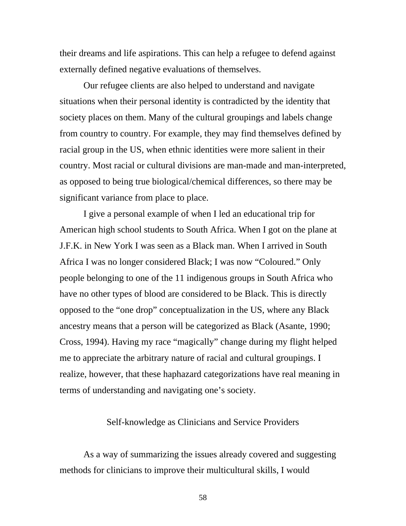their dreams and life aspirations. This can help a refugee to defend against externally defined negative evaluations of themselves.

Our refugee clients are also helped to understand and navigate situations when their personal identity is contradicted by the identity that society places on them. Many of the cultural groupings and labels change from country to country. For example, they may find themselves defined by racial group in the US, when ethnic identities were more salient in their country. Most racial or cultural divisions are man-made and man-interpreted, as opposed to being true biological/chemical differences, so there may be significant variance from place to place.

I give a personal example of when I led an educational trip for American high school students to South Africa. When I got on the plane at J.F.K. in New York I was seen as a Black man. When I arrived in South Africa I was no longer considered Black; I was now "Coloured." Only people belonging to one of the 11 indigenous groups in South Africa who have no other types of blood are considered to be Black. This is directly opposed to the "one drop" conceptualization in the US, where any Black ancestry means that a person will be categorized as Black (Asante, 1990; Cross, 1994). Having my race "magically" change during my flight helped me to appreciate the arbitrary nature of racial and cultural groupings. I realize, however, that these haphazard categorizations have real meaning in terms of understanding and navigating one's society.

### Self-knowledge as Clinicians and Service Providers

As a way of summarizing the issues already covered and suggesting methods for clinicians to improve their multicultural skills, I would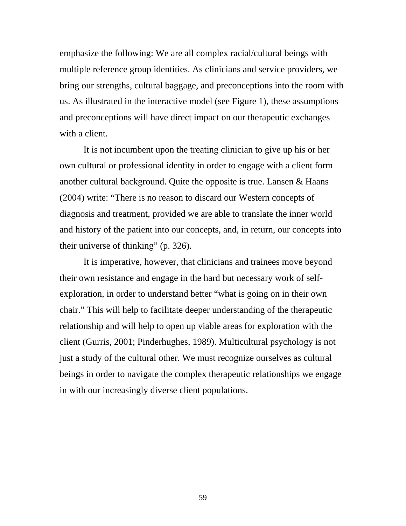emphasize the following: We are all complex racial/cultural beings with multiple reference group identities. As clinicians and service providers, we bring our strengths, cultural baggage, and preconceptions into the room with us. As illustrated in the interactive model (see Figure 1), these assumptions and preconceptions will have direct impact on our therapeutic exchanges with a client.

It is not incumbent upon the treating clinician to give up his or her own cultural or professional identity in order to engage with a client form another cultural background. Quite the opposite is true. Lansen & Haans (2004) write: "There is no reason to discard our Western concepts of diagnosis and treatment, provided we are able to translate the inner world and history of the patient into our concepts, and, in return, our concepts into their universe of thinking" (p. 326).

It is imperative, however, that clinicians and trainees move beyond their own resistance and engage in the hard but necessary work of selfexploration, in order to understand better "what is going on in their own chair." This will help to facilitate deeper understanding of the therapeutic relationship and will help to open up viable areas for exploration with the client (Gurris, 2001; Pinderhughes, 1989). Multicultural psychology is not just a study of the cultural other. We must recognize ourselves as cultural beings in order to navigate the complex therapeutic relationships we engage in with our increasingly diverse client populations.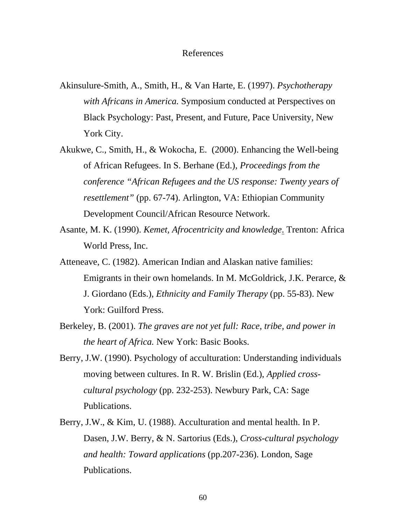#### References

- Akinsulure-Smith, A., Smith, H., & Van Harte, E. (1997). *Psychotherapy with Africans in America.* Symposium conducted at Perspectives on Black Psychology: Past, Present, and Future, Pace University, New York City.
- Akukwe, C., Smith, H., & Wokocha, E. (2000). Enhancing the Well-being of African Refugees. In S. Berhane (Ed.), *Proceedings from the conference "African Refugees and the US response: Twenty years of resettlement"* (pp. 67-74). Arlington, VA: Ethiopian Community Development Council/African Resource Network.
- Asante, M. K. (1990). *Kemet, Afrocentricity and knowledge*. Trenton: Africa World Press, Inc.
- Atteneave, C. (1982). American Indian and Alaskan native families: Emigrants in their own homelands. In M. McGoldrick, J.K. Perarce, & J. Giordano (Eds.), *Ethnicity and Family Therapy* (pp. 55-83). New York: Guilford Press.
- Berkeley, B. (2001). *The graves are not yet full: Race, tribe, and power in the heart of Africa.* New York: Basic Books.
- Berry, J.W. (1990). Psychology of acculturation: Understanding individuals moving between cultures. In R. W. Brislin (Ed.), *Applied crosscultural psychology* (pp. 232-253). Newbury Park, CA: Sage Publications.
- Berry, J.W., & Kim, U. (1988). Acculturation and mental health. In P. Dasen, J.W. Berry, & N. Sartorius (Eds.), *Cross-cultural psychology and health: Toward applications* (pp.207-236). London, Sage Publications.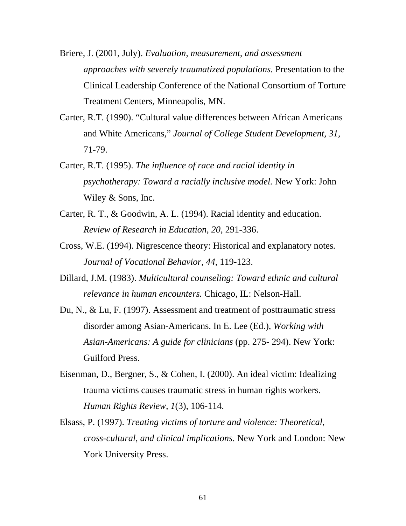- Briere, J. (2001, July). *Evaluation, measurement, and assessment approaches with severely traumatized populations.* Presentation to the Clinical Leadership Conference of the National Consortium of Torture Treatment Centers, Minneapolis, MN.
- Carter, R.T. (1990). "Cultural value differences between African Americans and White Americans," *Journal of College Student Development, 31,*  71-79.
- Carter, R.T. (1995). *The influence of race and racial identity in psychotherapy: Toward a racially inclusive model.* New York: John Wiley & Sons, Inc.
- Carter, R. T., & Goodwin, A. L. (1994). Racial identity and education. *Review of Research in Education, 20*, 291-336.
- Cross, W.E. (1994). Nigrescence theory: Historical and explanatory notes*. Journal of Vocational Behavior, 44*, 119-123.
- Dillard, J.M. (1983). *Multicultural counseling: Toward ethnic and cultural relevance in human encounters.* Chicago, IL: Nelson-Hall.
- Du, N., & Lu, F. (1997). Assessment and treatment of posttraumatic stress disorder among Asian-Americans. In E. Lee (Ed.), *Working with Asian-Americans: A guide for clinicians* (pp. 275- 294). New York: Guilford Press.
- Eisenman, D., Bergner, S., & Cohen, I. (2000). An ideal victim: Idealizing trauma victims causes traumatic stress in human rights workers. *Human Rights Review, 1*(3), 106-114.
- Elsass, P. (1997). *Treating victims of torture and violence: Theoretical, cross-cultural, and clinical implications*. New York and London: New York University Press.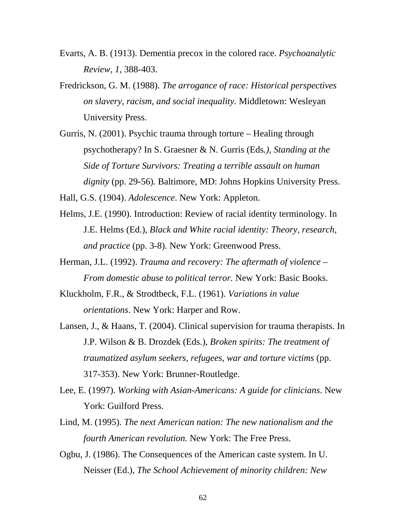- Evarts, A. B. (1913). Dementia precox in the colored race. *Psychoanalytic Review, 1,* 388-403.
- Fredrickson, G. M. (1988). *The arrogance of race: Historical perspectives on slavery, racism, and social inequality.* Middletown: Wesleyan University Press.
- Gurris, N. (2001). Psychic trauma through torture Healing through psychotherapy? In S. Graesner & N. Gurris (Eds*.), Standing at the Side of Torture Survivors: Treating a terrible assault on human dignity* (pp. 29-56). Baltimore, MD: Johns Hopkins University Press.

Hall, G.S. (1904). *Adolescence*. New York: Appleton.

- Helms, J.E. (1990). Introduction: Review of racial identity terminology. In J.E. Helms (Ed.), *Black and White racial identity: Theory, research, and practice* (pp. 3-8). New York: Greenwood Press.
- Herman, J.L. (1992). *Trauma and recovery: The aftermath of violence From domestic abuse to political terror.* New York: Basic Books.
- Kluckholm, F.R., & Strodtbeck, F.L. (1961). *Variations in value orientations*. New York: Harper and Row.
- Lansen, J., & Haans, T. (2004). Clinical supervision for trauma therapists. In J.P. Wilson & B. Drozdek (Eds.), *Broken spirits: The treatment of traumatized asylum seekers, refugees, war and torture victims* (pp. 317-353). New York: Brunner-Routledge.
- Lee, E. (1997). *Working with Asian-Americans: A guide for clinicians*. New York: Guilford Press.
- Lind, M. (1995). *The next American nation: The new nationalism and the fourth American revolution.* New York: The Free Press.
- Ogbu, J. (1986). The Consequences of the American caste system. In U. Neisser (Ed.), *The School Achievement of minority children: New*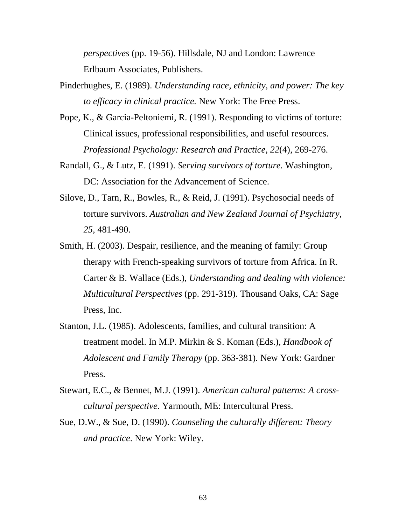*perspectives* (pp. 19-56). Hillsdale, NJ and London: Lawrence Erlbaum Associates, Publishers.

- Pinderhughes, E. (1989). *Understanding race, ethnicity, and power: The key to efficacy in clinical practice.* New York: The Free Press.
- Pope, K., & Garcia-Peltoniemi, R. (1991). Responding to victims of torture: Clinical issues, professional responsibilities, and useful resources. *Professional Psychology: Research and Practice, 22*(4)*,* 269-276.
- Randall, G., & Lutz, E. (1991). *Serving survivors of torture.* Washington, DC: Association for the Advancement of Science.
- Silove, D., Tarn, R., Bowles, R., & Reid, J. (1991). Psychosocial needs of torture survivors. *Australian and New Zealand Journal of Psychiatry, 25,* 481-490.
- Smith, H. (2003). Despair, resilience, and the meaning of family: Group therapy with French-speaking survivors of torture from Africa. In R. Carter & B. Wallace (Eds.), *Understanding and dealing with violence: Multicultural Perspectives* (pp. 291-319). Thousand Oaks, CA: Sage Press, Inc.
- Stanton, J.L. (1985). Adolescents, families, and cultural transition: A treatment model. In M.P. Mirkin & S. Koman (Eds.), *Handbook of Adolescent and Family Therapy* (pp. 363-381)*.* New York: Gardner Press.
- Stewart, E.C., & Bennet, M.J. (1991). *American cultural patterns: A crosscultural perspective*. Yarmouth, ME: Intercultural Press.
- Sue, D.W., & Sue, D. (1990). *Counseling the culturally different: Theory and practice*. New York: Wiley.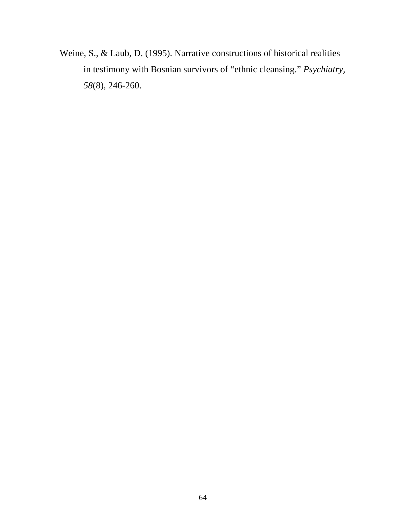Weine, S., & Laub, D. (1995). Narrative constructions of historical realities in testimony with Bosnian survivors of "ethnic cleansing." *Psychiatry, 58*(8), 246-260.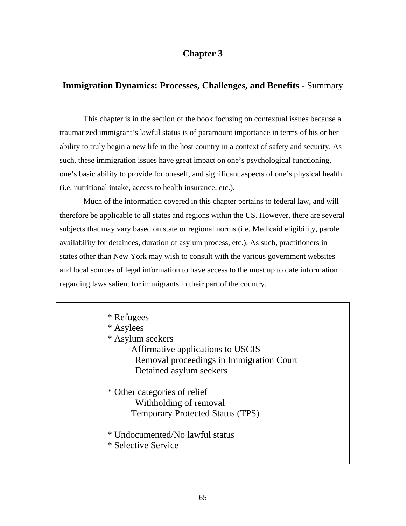# **Chapter 3**

# **Immigration Dynamics: Processes, Challenges, and Benefits** - Summary

This chapter is in the section of the book focusing on contextual issues because a traumatized immigrant's lawful status is of paramount importance in terms of his or her ability to truly begin a new life in the host country in a context of safety and security. As such, these immigration issues have great impact on one's psychological functioning, one's basic ability to provide for oneself, and significant aspects of one's physical health (i.e. nutritional intake, access to health insurance, etc.).

Much of the information covered in this chapter pertains to federal law, and will therefore be applicable to all states and regions within the US. However, there are several subjects that may vary based on state or regional norms (i.e. Medicaid eligibility, parole availability for detainees, duration of asylum process, etc.). As such, practitioners in states other than New York may wish to consult with the various government websites and local sources of legal information to have access to the most up to date information regarding laws salient for immigrants in their part of the country.

| * Refugees<br>* Asylees<br>* Asylum seekers<br>Affirmative applications to USCIS<br>Removal proceedings in Immigration Court<br>Detained asylum seekers |
|---------------------------------------------------------------------------------------------------------------------------------------------------------|
| * Other categories of relief<br>Withholding of removal<br><b>Temporary Protected Status (TPS)</b>                                                       |
| * Undocumented/No lawful status<br>* Selective Service                                                                                                  |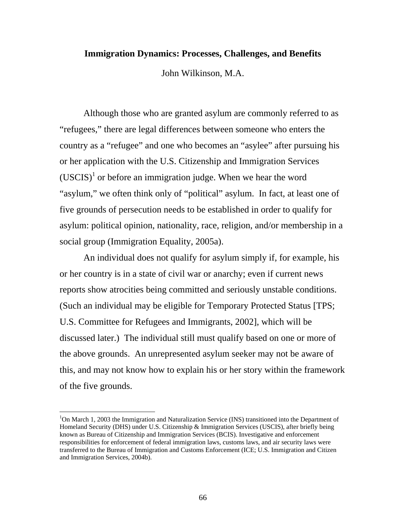## **Immigration Dynamics: Processes, Challenges, and Benefits**

John Wilkinson, M.A.

Although those who are granted asylum are commonly referred to as "refugees," there are legal differences between someone who enters the country as a "refugee" and one who becomes an "asylee" after pursuing his or her application with the U.S. Citizenship and Immigration Services  $(USCIS)^1$  or before an immigration judge. When we hear the word "asylum," we often think only of "political" asylum. In fact, at least one of five grounds of persecution needs to be established in order to qualify for asylum: political opinion, nationality, race, religion, and/or membership in a social group (Immigration Equality, 2005a).

An individual does not qualify for asylum simply if, for example, his or her country is in a state of civil war or anarchy; even if current news reports show atrocities being committed and seriously unstable conditions. (Such an individual may be eligible for Temporary Protected Status [TPS; U.S. Committee for Refugees and Immigrants, 2002], which will be discussed later.) The individual still must qualify based on one or more of the above grounds. An unrepresented asylum seeker may not be aware of this, and may not know how to explain his or her story within the framework of the five grounds.

 $\overline{a}$ 

<sup>&</sup>lt;sup>1</sup>On March 1, 2003 the Immigration and Naturalization Service (INS) transitioned into the Department of Homeland Security (DHS) under U.S. Citizenship & Immigration Services (USCIS), after briefly being known as Bureau of Citizenship and Immigration Services (BCIS). Investigative and enforcement responsibilities for enforcement of federal immigration laws, customs laws, and air security laws were transferred to the Bureau of Immigration and Customs Enforcement (ICE; U.S. Immigration and Citizen and Immigration Services, 2004b).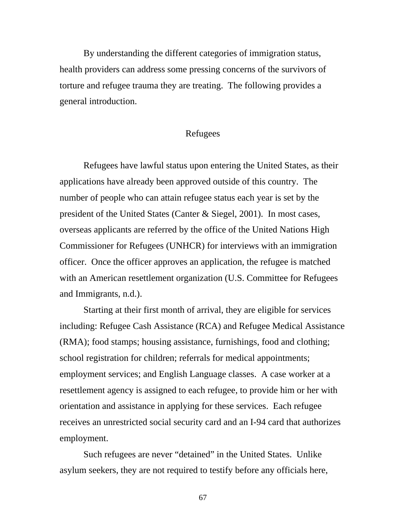By understanding the different categories of immigration status, health providers can address some pressing concerns of the survivors of torture and refugee trauma they are treating. The following provides a general introduction.

# Refugees

Refugees have lawful status upon entering the United States, as their applications have already been approved outside of this country. The number of people who can attain refugee status each year is set by the president of the United States (Canter & Siegel, 2001). In most cases, overseas applicants are referred by the office of the United Nations High Commissioner for Refugees (UNHCR) for interviews with an immigration officer. Once the officer approves an application, the refugee is matched with an American resettlement organization (U.S. Committee for Refugees and Immigrants, n.d.).

Starting at their first month of arrival, they are eligible for services including: Refugee Cash Assistance (RCA) and Refugee Medical Assistance (RMA); food stamps; housing assistance, furnishings, food and clothing; school registration for children; referrals for medical appointments; employment services; and English Language classes. A case worker at a resettlement agency is assigned to each refugee, to provide him or her with orientation and assistance in applying for these services. Each refugee receives an unrestricted social security card and an I-94 card that authorizes employment.

Such refugees are never "detained" in the United States. Unlike asylum seekers, they are not required to testify before any officials here,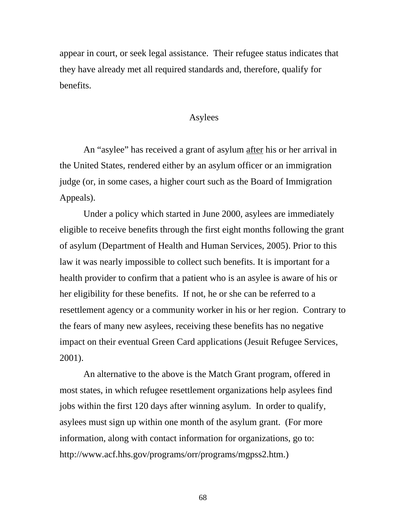appear in court, or seek legal assistance. Their refugee status indicates that they have already met all required standards and, therefore, qualify for benefits.

# Asylees

An "asylee" has received a grant of asylum after his or her arrival in the United States, rendered either by an asylum officer or an immigration judge (or, in some cases, a higher court such as the Board of Immigration Appeals).

Under a policy which started in June 2000, asylees are immediately eligible to receive benefits through the first eight months following the grant of asylum (Department of Health and Human Services, 2005). Prior to this law it was nearly impossible to collect such benefits. It is important for a health provider to confirm that a patient who is an asylee is aware of his or her eligibility for these benefits. If not, he or she can be referred to a resettlement agency or a community worker in his or her region. Contrary to the fears of many new asylees, receiving these benefits has no negative impact on their eventual Green Card applications (Jesuit Refugee Services, 2001).

An alternative to the above is the Match Grant program, offered in most states, in which refugee resettlement organizations help asylees find jobs within the first 120 days after winning asylum. In order to qualify, asylees must sign up within one month of the asylum grant. (For more information, along with contact information for organizations, go to: http://www.acf.hhs.gov/programs/orr/programs/mgpss2.htm.)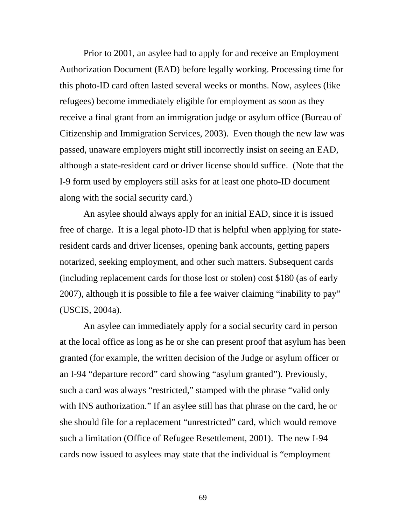Prior to 2001, an asylee had to apply for and receive an Employment Authorization Document (EAD) before legally working. Processing time for this photo-ID card often lasted several weeks or months. Now, asylees (like refugees) become immediately eligible for employment as soon as they receive a final grant from an immigration judge or asylum office (Bureau of Citizenship and Immigration Services, 2003). Even though the new law was passed, unaware employers might still incorrectly insist on seeing an EAD, although a state-resident card or driver license should suffice. (Note that the I-9 form used by employers still asks for at least one photo-ID document along with the social security card.)

 An asylee should always apply for an initial EAD, since it is issued free of charge. It is a legal photo-ID that is helpful when applying for stateresident cards and driver licenses, opening bank accounts, getting papers notarized, seeking employment, and other such matters. Subsequent cards (including replacement cards for those lost or stolen) cost \$180 (as of early 2007), although it is possible to file a fee waiver claiming "inability to pay" (USCIS, 2004a).

An asylee can immediately apply for a social security card in person at the local office as long as he or she can present proof that asylum has been granted (for example, the written decision of the Judge or asylum officer or an I-94 "departure record" card showing "asylum granted"). Previously, such a card was always "restricted," stamped with the phrase "valid only with INS authorization." If an asylee still has that phrase on the card, he or she should file for a replacement "unrestricted" card, which would remove such a limitation (Office of Refugee Resettlement, 2001). The new I-94 cards now issued to asylees may state that the individual is "employment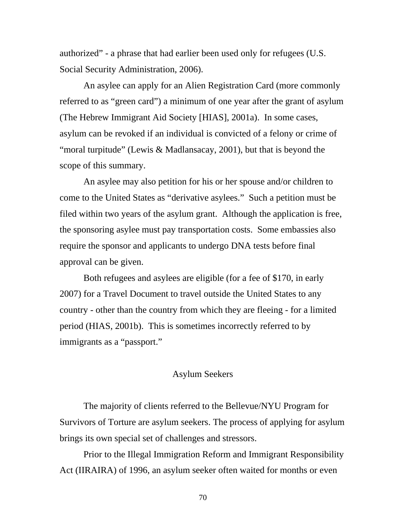authorized" - a phrase that had earlier been used only for refugees (U.S. Social Security Administration, 2006).

An asylee can apply for an Alien Registration Card (more commonly referred to as "green card") a minimum of one year after the grant of asylum (The Hebrew Immigrant Aid Society [HIAS], 2001a). In some cases, asylum can be revoked if an individual is convicted of a felony or crime of "moral turpitude" (Lewis & Madlansacay, 2001), but that is beyond the scope of this summary.

An asylee may also petition for his or her spouse and/or children to come to the United States as "derivative asylees." Such a petition must be filed within two years of the asylum grant. Although the application is free, the sponsoring asylee must pay transportation costs. Some embassies also require the sponsor and applicants to undergo DNA tests before final approval can be given.

Both refugees and asylees are eligible (for a fee of \$170, in early 2007) for a Travel Document to travel outside the United States to any country - other than the country from which they are fleeing - for a limited period (HIAS, 2001b). This is sometimes incorrectly referred to by immigrants as a "passport."

# Asylum Seekers

The majority of clients referred to the Bellevue/NYU Program for Survivors of Torture are asylum seekers. The process of applying for asylum brings its own special set of challenges and stressors.

Prior to the Illegal Immigration Reform and Immigrant Responsibility Act (IIRAIRA) of 1996, an asylum seeker often waited for months or even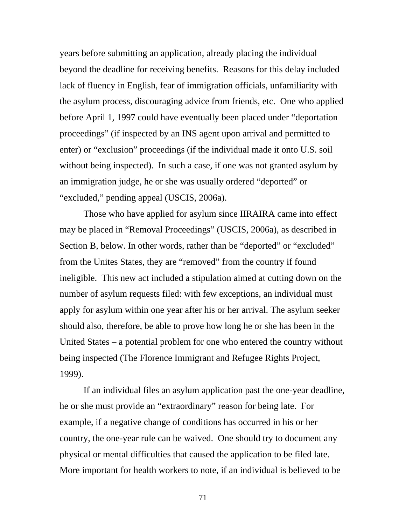years before submitting an application, already placing the individual beyond the deadline for receiving benefits. Reasons for this delay included lack of fluency in English, fear of immigration officials, unfamiliarity with the asylum process, discouraging advice from friends, etc. One who applied before April 1, 1997 could have eventually been placed under "deportation proceedings" (if inspected by an INS agent upon arrival and permitted to enter) or "exclusion" proceedings (if the individual made it onto U.S. soil without being inspected). In such a case, if one was not granted asylum by an immigration judge, he or she was usually ordered "deported" or "excluded," pending appeal (USCIS, 2006a).

Those who have applied for asylum since IIRAIRA came into effect may be placed in "Removal Proceedings" (USCIS, 2006a), as described in Section B, below. In other words, rather than be "deported" or "excluded" from the Unites States, they are "removed" from the country if found ineligible. This new act included a stipulation aimed at cutting down on the number of asylum requests filed: with few exceptions, an individual must apply for asylum within one year after his or her arrival. The asylum seeker should also, therefore, be able to prove how long he or she has been in the United States – a potential problem for one who entered the country without being inspected (The Florence Immigrant and Refugee Rights Project, 1999).

If an individual files an asylum application past the one-year deadline, he or she must provide an "extraordinary" reason for being late. For example, if a negative change of conditions has occurred in his or her country, the one-year rule can be waived. One should try to document any physical or mental difficulties that caused the application to be filed late. More important for health workers to note, if an individual is believed to be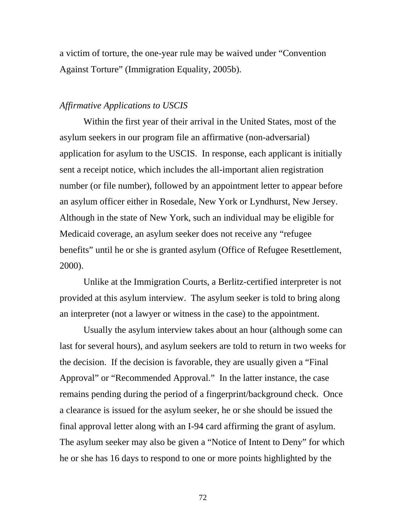a victim of torture, the one-year rule may be waived under "Convention Against Torture" (Immigration Equality, 2005b).

### *Affirmative Applications to USCIS*

Within the first year of their arrival in the United States, most of the asylum seekers in our program file an affirmative (non-adversarial) application for asylum to the USCIS. In response, each applicant is initially sent a receipt notice, which includes the all-important alien registration number (or file number), followed by an appointment letter to appear before an asylum officer either in Rosedale, New York or Lyndhurst, New Jersey. Although in the state of New York, such an individual may be eligible for Medicaid coverage, an asylum seeker does not receive any "refugee benefits" until he or she is granted asylum (Office of Refugee Resettlement, 2000).

Unlike at the Immigration Courts, a Berlitz-certified interpreter is not provided at this asylum interview. The asylum seeker is told to bring along an interpreter (not a lawyer or witness in the case) to the appointment.

Usually the asylum interview takes about an hour (although some can last for several hours), and asylum seekers are told to return in two weeks for the decision. If the decision is favorable, they are usually given a "Final Approval" or "Recommended Approval." In the latter instance, the case remains pending during the period of a fingerprint/background check. Once a clearance is issued for the asylum seeker, he or she should be issued the final approval letter along with an I-94 card affirming the grant of asylum. The asylum seeker may also be given a "Notice of Intent to Deny" for which he or she has 16 days to respond to one or more points highlighted by the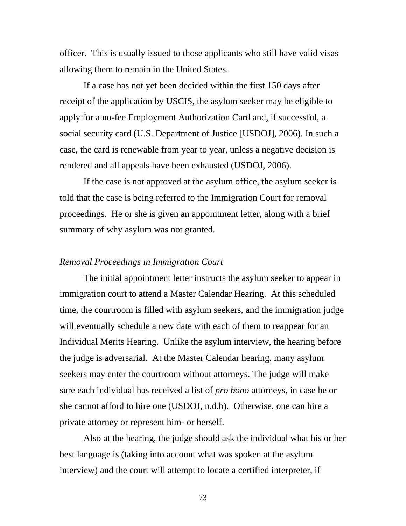officer. This is usually issued to those applicants who still have valid visas allowing them to remain in the United States.

If a case has not yet been decided within the first 150 days after receipt of the application by USCIS, the asylum seeker may be eligible to apply for a no-fee Employment Authorization Card and, if successful, a social security card (U.S. Department of Justice [USDOJ], 2006). In such a case, the card is renewable from year to year, unless a negative decision is rendered and all appeals have been exhausted (USDOJ, 2006).

If the case is not approved at the asylum office, the asylum seeker is told that the case is being referred to the Immigration Court for removal proceedings. He or she is given an appointment letter, along with a brief summary of why asylum was not granted.

#### *Removal Proceedings in Immigration Court*

The initial appointment letter instructs the asylum seeker to appear in immigration court to attend a Master Calendar Hearing. At this scheduled time, the courtroom is filled with asylum seekers, and the immigration judge will eventually schedule a new date with each of them to reappear for an Individual Merits Hearing. Unlike the asylum interview, the hearing before the judge is adversarial. At the Master Calendar hearing, many asylum seekers may enter the courtroom without attorneys. The judge will make sure each individual has received a list of *pro bono* attorneys, in case he or she cannot afford to hire one (USDOJ, n.d.b). Otherwise, one can hire a private attorney or represent him- or herself.

Also at the hearing, the judge should ask the individual what his or her best language is (taking into account what was spoken at the asylum interview) and the court will attempt to locate a certified interpreter, if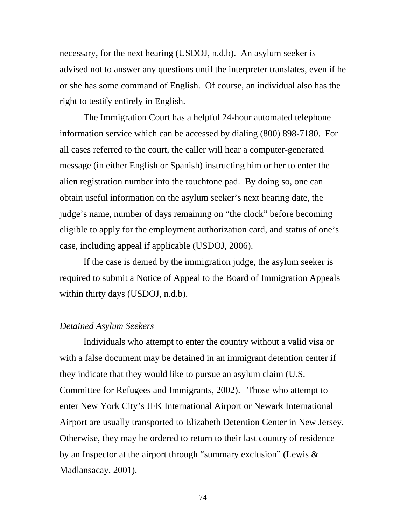necessary, for the next hearing (USDOJ, n.d.b). An asylum seeker is advised not to answer any questions until the interpreter translates, even if he or she has some command of English. Of course, an individual also has the right to testify entirely in English.

The Immigration Court has a helpful 24-hour automated telephone information service which can be accessed by dialing (800) 898-7180. For all cases referred to the court, the caller will hear a computer-generated message (in either English or Spanish) instructing him or her to enter the alien registration number into the touchtone pad. By doing so, one can obtain useful information on the asylum seeker's next hearing date, the judge's name, number of days remaining on "the clock" before becoming eligible to apply for the employment authorization card, and status of one's case, including appeal if applicable (USDOJ, 2006).

If the case is denied by the immigration judge, the asylum seeker is required to submit a Notice of Appeal to the Board of Immigration Appeals within thirty days (USDOJ, n.d.b).

## *Detained Asylum Seekers*

Individuals who attempt to enter the country without a valid visa or with a false document may be detained in an immigrant detention center if they indicate that they would like to pursue an asylum claim (U.S. Committee for Refugees and Immigrants, 2002). Those who attempt to enter New York City's JFK International Airport or Newark International Airport are usually transported to Elizabeth Detention Center in New Jersey. Otherwise, they may be ordered to return to their last country of residence by an Inspector at the airport through "summary exclusion" (Lewis & Madlansacay, 2001).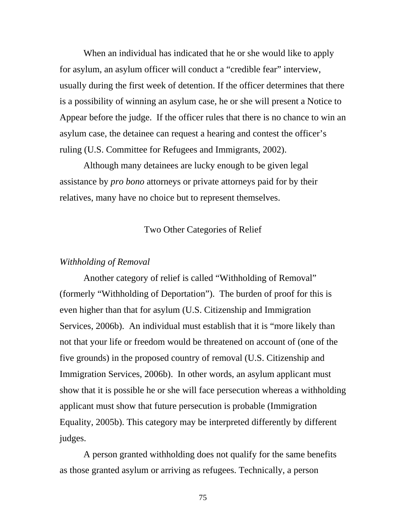When an individual has indicated that he or she would like to apply for asylum, an asylum officer will conduct a "credible fear" interview, usually during the first week of detention. If the officer determines that there is a possibility of winning an asylum case, he or she will present a Notice to Appear before the judge. If the officer rules that there is no chance to win an asylum case, the detainee can request a hearing and contest the officer's ruling (U.S. Committee for Refugees and Immigrants, 2002).

Although many detainees are lucky enough to be given legal assistance by *pro bono* attorneys or private attorneys paid for by their relatives, many have no choice but to represent themselves.

### Two Other Categories of Relief

#### *Withholding of Removal*

Another category of relief is called "Withholding of Removal" (formerly "Withholding of Deportation"). The burden of proof for this is even higher than that for asylum (U.S. Citizenship and Immigration Services, 2006b). An individual must establish that it is "more likely than not that your life or freedom would be threatened on account of (one of the five grounds) in the proposed country of removal (U.S. Citizenship and Immigration Services, 2006b). In other words, an asylum applicant must show that it is possible he or she will face persecution whereas a withholding applicant must show that future persecution is probable (Immigration Equality, 2005b). This category may be interpreted differently by different judges.

A person granted withholding does not qualify for the same benefits as those granted asylum or arriving as refugees. Technically, a person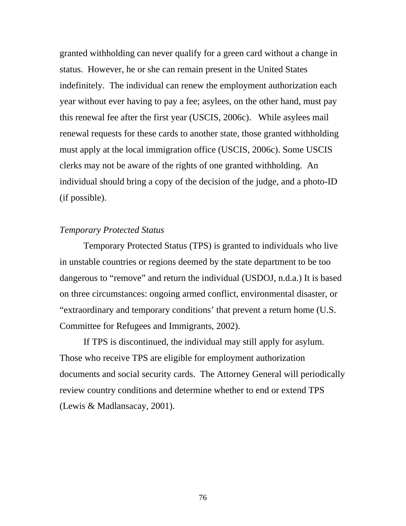granted withholding can never qualify for a green card without a change in status. However, he or she can remain present in the United States indefinitely. The individual can renew the employment authorization each year without ever having to pay a fee; asylees, on the other hand, must pay this renewal fee after the first year (USCIS, 2006c). While asylees mail renewal requests for these cards to another state, those granted withholding must apply at the local immigration office (USCIS, 2006c). Some USCIS clerks may not be aware of the rights of one granted withholding. An individual should bring a copy of the decision of the judge, and a photo-ID (if possible).

## *Temporary Protected Status*

Temporary Protected Status (TPS) is granted to individuals who live in unstable countries or regions deemed by the state department to be too dangerous to "remove" and return the individual (USDOJ, n.d.a.) It is based on three circumstances: ongoing armed conflict, environmental disaster, or "extraordinary and temporary conditions' that prevent a return home (U.S. Committee for Refugees and Immigrants, 2002).

If TPS is discontinued, the individual may still apply for asylum. Those who receive TPS are eligible for employment authorization documents and social security cards. The Attorney General will periodically review country conditions and determine whether to end or extend TPS (Lewis & Madlansacay, 2001).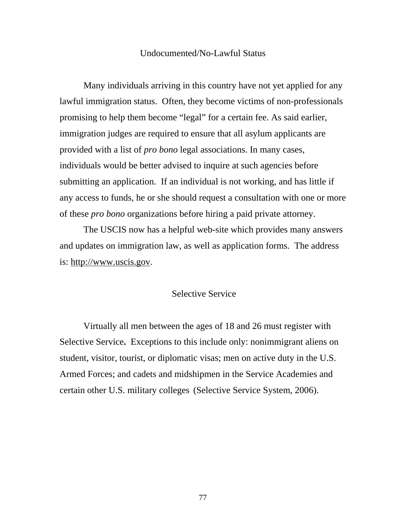#### Undocumented/No-Lawful Status

Many individuals arriving in this country have not yet applied for any lawful immigration status. Often, they become victims of non-professionals promising to help them become "legal" for a certain fee. As said earlier, immigration judges are required to ensure that all asylum applicants are provided with a list of *pro bono* legal associations. In many cases, individuals would be better advised to inquire at such agencies before submitting an application. If an individual is not working, and has little if any access to funds, he or she should request a consultation with one or more of these *pro bono* organizations before hiring a paid private attorney.

The USCIS now has a helpful web-site which provides many answers and updates on immigration law, as well as application forms. The address is: http://www.uscis.gov.

### Selective Service

Virtually all men between the ages of 18 and 26 must register with Selective Service**.** Exceptions to this include only: nonimmigrant aliens on student, visitor, tourist, or diplomatic visas; men on active duty in the U.S. Armed Forces; and cadets and midshipmen in the Service Academies and certain other U.S. military colleges (Selective Service System, 2006).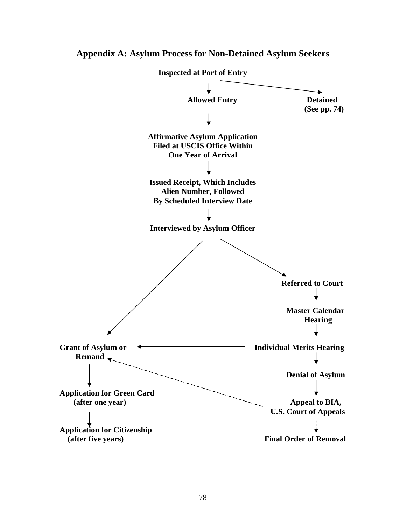

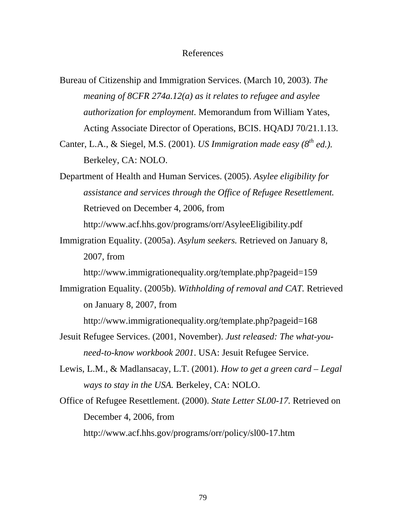#### References

Bureau of Citizenship and Immigration Services. (March 10, 2003). *The meaning of 8CFR 274a.12(a) as it relates to refugee and asylee authorization for employment*. Memorandum from William Yates, Acting Associate Director of Operations, BCIS. HQADJ 70/21.1.13.

Canter, L.A., & Siegel, M.S. (2001). *US Immigration made easy (8th ed.).*  Berkeley, CA: NOLO.

Department of Health and Human Services. (2005). *Asylee eligibility for assistance and services through the Office of Refugee Resettlement.*  Retrieved on December 4, 2006, from

http://www.acf.hhs.gov/programs/orr/AsyleeEligibility.pdf

Immigration Equality. (2005a). *Asylum seekers.* Retrieved on January 8, 2007, from

http://www.immigrationequality.org/template.php?pageid=159

Immigration Equality. (2005b). *Withholding of removal and CAT.* Retrieved on January 8, 2007, from

http://www.immigrationequality.org/template.php?pageid=168

- Jesuit Refugee Services. (2001, November). *Just released: The what-youneed-to-know workbook 2001*. USA: Jesuit Refugee Service.
- Lewis, L.M., & Madlansacay, L.T. (2001). *How to get a green card Legal ways to stay in the USA.* Berkeley, CA: NOLO.
- Office of Refugee Resettlement. (2000). *State Letter SL00-17.* Retrieved on December 4, 2006, from http://www.acf.hhs.gov/programs/orr/policy/sl00-17.htm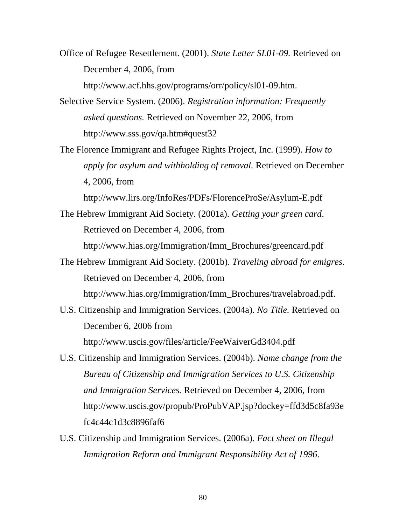Office of Refugee Resettlement. (2001). *State Letter SL01-09.* Retrieved on December 4, 2006, from http://www.acf.hhs.gov/programs/orr/policy/sl01-09.htm.

- Selective Service System. (2006). *Registration information: Frequently asked questions.* Retrieved on November 22, 2006, from http://www.sss.gov/qa.htm#quest32
- The Florence Immigrant and Refugee Rights Project, Inc. (1999). *How to apply for asylum and withholding of removal.* Retrieved on December 4, 2006, from

http://www.lirs.org/InfoRes/PDFs/FlorenceProSe/Asylum-E.pdf

- The Hebrew Immigrant Aid Society. (2001a). *Getting your green card*. Retrieved on December 4, 2006, from http://www.hias.org/Immigration/Imm\_Brochures/greencard.pdf
- The Hebrew Immigrant Aid Society. (2001b). *Traveling abroad for emigres*. Retrieved on December 4, 2006, from http://www.hias.org/Immigration/Imm\_Brochures/travelabroad.pdf.
- U.S. Citizenship and Immigration Services. (2004a). *No Title.* Retrieved on December 6, 2006 from http://www.uscis.gov/files/article/FeeWaiverGd3404.pdf
- U.S. Citizenship and Immigration Services. (2004b). *Name change from the Bureau of Citizenship and Immigration Services to U.S. Citizenship and Immigration Services.* Retrieved on December 4, 2006, from http://www.uscis.gov/propub/ProPubVAP.jsp?dockey=ffd3d5c8fa93e fc4c44c1d3c8896faf6
- U.S. Citizenship and Immigration Services. (2006a). *Fact sheet on Illegal Immigration Reform and Immigrant Responsibility Act of 1996*.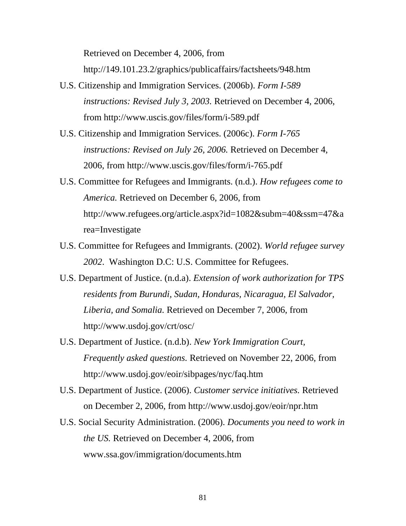Retrieved on December 4, 2006, from

http://149.101.23.2/graphics/publicaffairs/factsheets/948.htm

- U.S. Citizenship and Immigration Services. (2006b). *Form I-589 instructions: Revised July 3, 2003.* Retrieved on December 4, 2006, from http://www.uscis.gov/files/form/i-589.pdf
- U.S. Citizenship and Immigration Services. (2006c). *Form I-765 instructions: Revised on July 26, 2006.* Retrieved on December 4, 2006, from http://www.uscis.gov/files/form/i-765.pdf
- U.S. Committee for Refugees and Immigrants. (n.d.). *How refugees come to America.* Retrieved on December 6, 2006, from http://www.refugees.org/article.aspx?id=1082&subm=40&ssm=47&a rea=Investigate
- U.S. Committee for Refugees and Immigrants. (2002). *World refugee survey 2002*. Washington D.C: U.S. Committee for Refugees.
- U.S. Department of Justice. (n.d.a). *Extension of work authorization for TPS residents from Burundi, Sudan, Honduras, Nicaragua, El Salvador, Liberia, and Somalia.* Retrieved on December 7, 2006, from http://www.usdoj.gov/crt/osc/
- U.S. Department of Justice. (n.d.b). *New York Immigration Court, Frequently asked questions.* Retrieved on November 22, 2006, from http://www.usdoj.gov/eoir/sibpages/nyc/faq.htm
- U.S. Department of Justice. (2006). *Customer service initiatives.* Retrieved on December 2, 2006, from http://www.usdoj.gov/eoir/npr.htm
- U.S. Social Security Administration. (2006). *Documents you need to work in the US.* Retrieved on December 4, 2006, from www.ssa.gov/immigration/documents.htm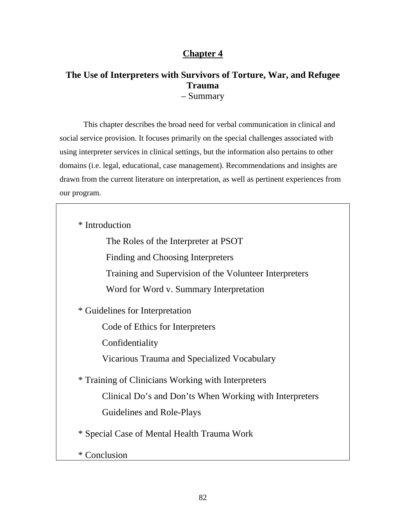# **Chapter 4**

# **The Use of Interpreters with Survivors of Torture, War, and Refugee Trauma** – Summary

 This chapter describes the broad need for verbal communication in clinical and social service provision. It focuses primarily on the special challenges associated with using interpreter services in clinical settings, but the information also pertains to other domains (i.e. legal, educational, case management). Recommendations and insights are drawn from the current literature on interpretation, as well as pertinent experiences from our program.

\* Introduction

The Roles of the Interpreter at PSOT

Finding and Choosing Interpreters

Training and Supervision of the Volunteer Interpreters

Word for Word v. Summary Interpretation

\* Guidelines for Interpretation

Code of Ethics for Interpreters

Confidentiality

Vicarious Trauma and Specialized Vocabulary

 \* Training of Clinicians Working with Interpreters Clinical Do's and Don'ts When Working with Interpreters Guidelines and Role-Plays

\* Special Case of Mental Health Trauma Work

\* Conclusion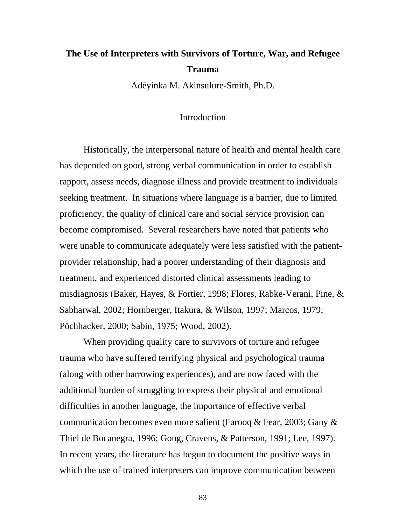# **The Use of Interpreters with Survivors of Torture, War, and Refugee Trauma**

Adéyinka M. Akinsulure-Smith, Ph.D.

### Introduction

Historically, the interpersonal nature of health and mental health care has depended on good, strong verbal communication in order to establish rapport, assess needs, diagnose illness and provide treatment to individuals seeking treatment. In situations where language is a barrier, due to limited proficiency, the quality of clinical care and social service provision can become compromised. Several researchers have noted that patients who were unable to communicate adequately were less satisfied with the patientprovider relationship, had a poorer understanding of their diagnosis and treatment, and experienced distorted clinical assessments leading to misdiagnosis (Baker, Hayes, & Fortier, 1998; Flores, Rabke-Verani, Pine, & Sabharwal, 2002; Hornberger, Itakura, & Wilson, 1997; Marcos, 1979; Pöchhacker, 2000; Sabin, 1975; Wood, 2002).

When providing quality care to survivors of torture and refugee trauma who have suffered terrifying physical and psychological trauma (along with other harrowing experiences), and are now faced with the additional burden of struggling to express their physical and emotional difficulties in another language, the importance of effective verbal communication becomes even more salient (Farooq & Fear, 2003; Gany & Thiel de Bocanegra, 1996; Gong, Cravens, & Patterson, 1991; Lee, 1997). In recent years, the literature has begun to document the positive ways in which the use of trained interpreters can improve communication between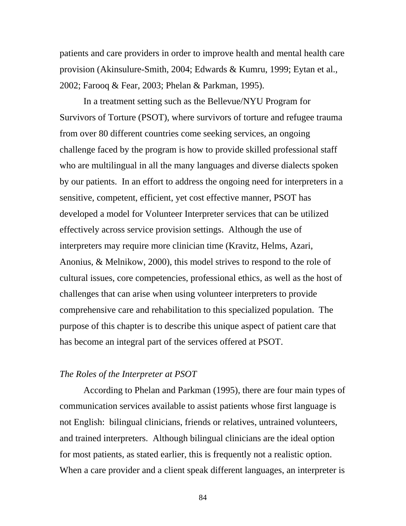patients and care providers in order to improve health and mental health care provision (Akinsulure-Smith, 2004; Edwards & Kumru, 1999; Eytan et al., 2002; Farooq & Fear, 2003; Phelan & Parkman, 1995).

In a treatment setting such as the Bellevue/NYU Program for Survivors of Torture (PSOT), where survivors of torture and refugee trauma from over 80 different countries come seeking services, an ongoing challenge faced by the program is how to provide skilled professional staff who are multilingual in all the many languages and diverse dialects spoken by our patients. In an effort to address the ongoing need for interpreters in a sensitive, competent, efficient, yet cost effective manner, PSOT has developed a model for Volunteer Interpreter services that can be utilized effectively across service provision settings. Although the use of interpreters may require more clinician time (Kravitz, Helms, Azari, Anonius, & Melnikow, 2000), this model strives to respond to the role of cultural issues, core competencies, professional ethics, as well as the host of challenges that can arise when using volunteer interpreters to provide comprehensive care and rehabilitation to this specialized population. The purpose of this chapter is to describe this unique aspect of patient care that has become an integral part of the services offered at PSOT.

### *The Roles of the Interpreter at PSOT*

According to Phelan and Parkman (1995), there are four main types of communication services available to assist patients whose first language is not English: bilingual clinicians, friends or relatives, untrained volunteers, and trained interpreters. Although bilingual clinicians are the ideal option for most patients, as stated earlier, this is frequently not a realistic option. When a care provider and a client speak different languages, an interpreter is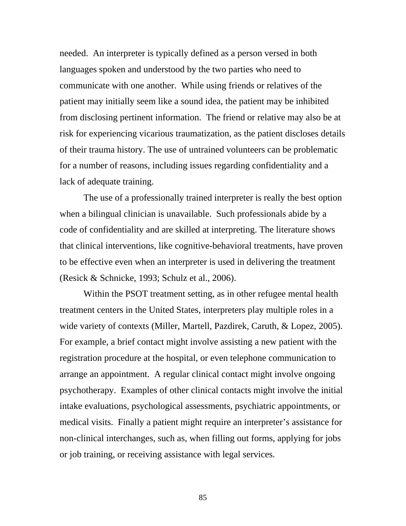needed. An interpreter is typically defined as a person versed in both languages spoken and understood by the two parties who need to communicate with one another. While using friends or relatives of the patient may initially seem like a sound idea, the patient may be inhibited from disclosing pertinent information. The friend or relative may also be at risk for experiencing vicarious traumatization, as the patient discloses details of their trauma history. The use of untrained volunteers can be problematic for a number of reasons, including issues regarding confidentiality and a lack of adequate training.

The use of a professionally trained interpreter is really the best option when a bilingual clinician is unavailable. Such professionals abide by a code of confidentiality and are skilled at interpreting. The literature shows that clinical interventions, like cognitive-behavioral treatments, have proven to be effective even when an interpreter is used in delivering the treatment (Resick & Schnicke, 1993; Schulz et al., 2006).

Within the PSOT treatment setting, as in other refugee mental health treatment centers in the United States, interpreters play multiple roles in a wide variety of contexts (Miller, Martell, Pazdirek, Caruth, & Lopez, 2005). For example, a brief contact might involve assisting a new patient with the registration procedure at the hospital, or even telephone communication to arrange an appointment. A regular clinical contact might involve ongoing psychotherapy. Examples of other clinical contacts might involve the initial intake evaluations, psychological assessments, psychiatric appointments, or medical visits. Finally a patient might require an interpreter's assistance for non-clinical interchanges, such as, when filling out forms, applying for jobs or job training, or receiving assistance with legal services.

85 and the state of the state of the state of the state of the state of the state of the state of the state of the state of the state of the state of the state of the state of the state of the state of the state of the sta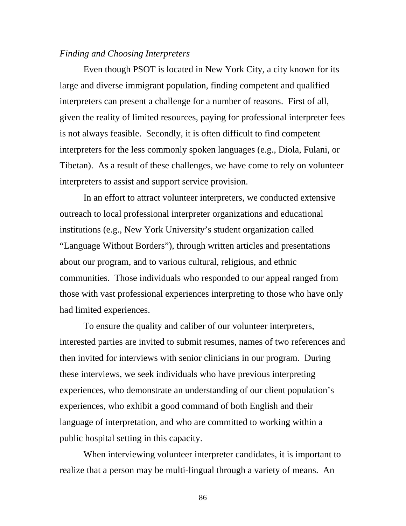### *Finding and Choosing Interpreters*

Even though PSOT is located in New York City, a city known for its large and diverse immigrant population, finding competent and qualified interpreters can present a challenge for a number of reasons. First of all, given the reality of limited resources, paying for professional interpreter fees is not always feasible. Secondly, it is often difficult to find competent interpreters for the less commonly spoken languages (e.g., Diola, Fulani, or Tibetan). As a result of these challenges, we have come to rely on volunteer interpreters to assist and support service provision.

In an effort to attract volunteer interpreters, we conducted extensive outreach to local professional interpreter organizations and educational institutions (e.g., New York University's student organization called "Language Without Borders"), through written articles and presentations about our program, and to various cultural, religious, and ethnic communities. Those individuals who responded to our appeal ranged from those with vast professional experiences interpreting to those who have only had limited experiences.

To ensure the quality and caliber of our volunteer interpreters, interested parties are invited to submit resumes, names of two references and then invited for interviews with senior clinicians in our program. During these interviews, we seek individuals who have previous interpreting experiences, who demonstrate an understanding of our client population's experiences, who exhibit a good command of both English and their language of interpretation, and who are committed to working within a public hospital setting in this capacity.

When interviewing volunteer interpreter candidates, it is important to realize that a person may be multi-lingual through a variety of means. An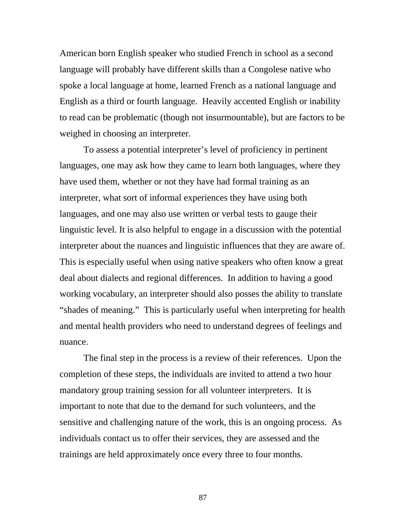American born English speaker who studied French in school as a second language will probably have different skills than a Congolese native who spoke a local language at home, learned French as a national language and English as a third or fourth language. Heavily accented English or inability to read can be problematic (though not insurmountable), but are factors to be weighed in choosing an interpreter.

To assess a potential interpreter's level of proficiency in pertinent languages, one may ask how they came to learn both languages, where they have used them, whether or not they have had formal training as an interpreter, what sort of informal experiences they have using both languages, and one may also use written or verbal tests to gauge their linguistic level. It is also helpful to engage in a discussion with the potential interpreter about the nuances and linguistic influences that they are aware of. This is especially useful when using native speakers who often know a great deal about dialects and regional differences. In addition to having a good working vocabulary, an interpreter should also posses the ability to translate "shades of meaning." This is particularly useful when interpreting for health and mental health providers who need to understand degrees of feelings and nuance.

The final step in the process is a review of their references. Upon the completion of these steps, the individuals are invited to attend a two hour mandatory group training session for all volunteer interpreters. It is important to note that due to the demand for such volunteers, and the sensitive and challenging nature of the work, this is an ongoing process. As individuals contact us to offer their services, they are assessed and the trainings are held approximately once every three to four months.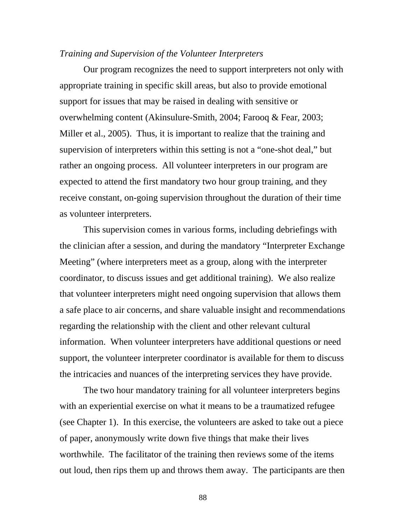#### *Training and Supervision of the Volunteer Interpreters*

 Our program recognizes the need to support interpreters not only with appropriate training in specific skill areas, but also to provide emotional support for issues that may be raised in dealing with sensitive or overwhelming content (Akinsulure-Smith, 2004; Farooq & Fear, 2003; Miller et al., 2005). Thus, it is important to realize that the training and supervision of interpreters within this setting is not a "one-shot deal," but rather an ongoing process. All volunteer interpreters in our program are expected to attend the first mandatory two hour group training, and they receive constant, on-going supervision throughout the duration of their time as volunteer interpreters.

This supervision comes in various forms, including debriefings with the clinician after a session, and during the mandatory "Interpreter Exchange Meeting" (where interpreters meet as a group, along with the interpreter coordinator, to discuss issues and get additional training). We also realize that volunteer interpreters might need ongoing supervision that allows them a safe place to air concerns, and share valuable insight and recommendations regarding the relationship with the client and other relevant cultural information. When volunteer interpreters have additional questions or need support, the volunteer interpreter coordinator is available for them to discuss the intricacies and nuances of the interpreting services they have provide.

The two hour mandatory training for all volunteer interpreters begins with an experiential exercise on what it means to be a traumatized refugee (see Chapter 1). In this exercise, the volunteers are asked to take out a piece of paper, anonymously write down five things that make their lives worthwhile. The facilitator of the training then reviews some of the items out loud, then rips them up and throws them away. The participants are then

external and the set of the set of the set of the set of the set of the set of the set of the set of the set o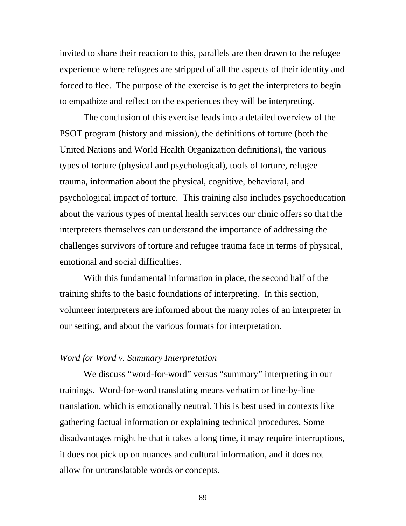invited to share their reaction to this, parallels are then drawn to the refugee experience where refugees are stripped of all the aspects of their identity and forced to flee. The purpose of the exercise is to get the interpreters to begin to empathize and reflect on the experiences they will be interpreting.

The conclusion of this exercise leads into a detailed overview of the PSOT program (history and mission), the definitions of torture (both the United Nations and World Health Organization definitions), the various types of torture (physical and psychological), tools of torture, refugee trauma, information about the physical, cognitive, behavioral, and psychological impact of torture. This training also includes psychoeducation about the various types of mental health services our clinic offers so that the interpreters themselves can understand the importance of addressing the challenges survivors of torture and refugee trauma face in terms of physical, emotional and social difficulties.

With this fundamental information in place, the second half of the training shifts to the basic foundations of interpreting. In this section, volunteer interpreters are informed about the many roles of an interpreter in our setting, and about the various formats for interpretation.

### *Word for Word v. Summary Interpretation*

We discuss "word-for-word" versus "summary" interpreting in our trainings. Word-for-word translating means verbatim or line-by-line translation, which is emotionally neutral. This is best used in contexts like gathering factual information or explaining technical procedures. Some disadvantages might be that it takes a long time, it may require interruptions, it does not pick up on nuances and cultural information, and it does not allow for untranslatable words or concepts.

89 and the state of the state of the state of the state of the state of the state of the state of the state of the state of the state of the state of the state of the state of the state of the state of the state of the sta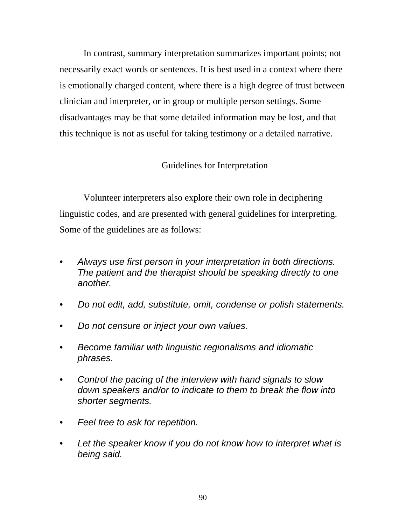In contrast, summary interpretation summarizes important points; not necessarily exact words or sentences. It is best used in a context where there is emotionally charged content, where there is a high degree of trust between clinician and interpreter, or in group or multiple person settings. Some disadvantages may be that some detailed information may be lost, and that this technique is not as useful for taking testimony or a detailed narrative.

# Guidelines for Interpretation

Volunteer interpreters also explore their own role in deciphering linguistic codes, and are presented with general guidelines for interpreting. Some of the guidelines are as follows:

- *Always use first person in your interpretation in both directions. The patient and the therapist should be speaking directly to one another.*
- *Do not edit, add, substitute, omit, condense or polish statements.*
- *Do not censure or inject your own values.*
- *Become familiar with linguistic regionalisms and idiomatic phrases.*
- *Control the pacing of the interview with hand signals to slow down speakers and/or to indicate to them to break the flow into shorter segments.*
- *Feel free to ask for repetition.*
- *Let the speaker know if you do not know how to interpret what is being said.*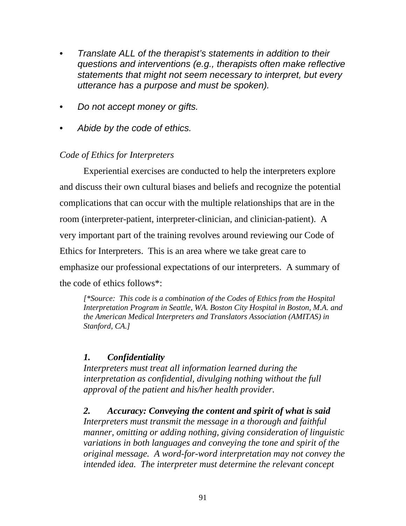- *Translate ALL of the therapist's statements in addition to their questions and interventions (e.g., therapists often make reflective statements that might not seem necessary to interpret, but every utterance has a purpose and must be spoken).*
- *Do not accept money or gifts.*
- *Abide by the code of ethics.*

# *Code of Ethics for Interpreters*

Experiential exercises are conducted to help the interpreters explore and discuss their own cultural biases and beliefs and recognize the potential complications that can occur with the multiple relationships that are in the room (interpreter-patient, interpreter-clinician, and clinician-patient). A very important part of the training revolves around reviewing our Code of Ethics for Interpreters. This is an area where we take great care to emphasize our professional expectations of our interpreters. A summary of the code of ethics follows\*:

*[\*Source: This code is a combination of the Codes of Ethics from the Hospital Interpretation Program in Seattle, WA. Boston City Hospital in Boston, M.A. and the American Medical Interpreters and Translators Association (AMITAS) in Stanford, CA.]* 

# *1. Confidentiality*

*Interpreters must treat all information learned during the interpretation as confidential, divulging nothing without the full approval of the patient and his/her health provider.*

*2. Accuracy: Conveying the content and spirit of what is said Interpreters must transmit the message in a thorough and faithful manner, omitting or adding nothing, giving consideration of linguistic variations in both languages and conveying the tone and spirit of the original message. A word-for-word interpretation may not convey the intended idea. The interpreter must determine the relevant concept*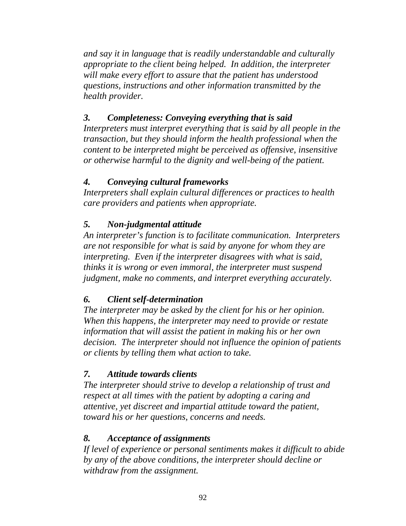*and say it in language that is readily understandable and culturally appropriate to the client being helped. In addition, the interpreter will make every effort to assure that the patient has understood questions, instructions and other information transmitted by the health provider.* 

# *3. Completeness: Conveying everything that is said*

*Interpreters must interpret everything that is said by all people in the transaction, but they should inform the health professional when the content to be interpreted might be perceived as offensive, insensitive or otherwise harmful to the dignity and well-being of the patient.*

# *4. Conveying cultural frameworks*

*Interpreters shall explain cultural differences or practices to health care providers and patients when appropriate.*

# *5. Non-judgmental attitude*

*An interpreter's function is to facilitate communication. Interpreters are not responsible for what is said by anyone for whom they are interpreting. Even if the interpreter disagrees with what is said, thinks it is wrong or even immoral, the interpreter must suspend judgment, make no comments, and interpret everything accurately.* 

# *6. Client self-determination*

*The interpreter may be asked by the client for his or her opinion. When this happens, the interpreter may need to provide or restate information that will assist the patient in making his or her own decision. The interpreter should not influence the opinion of patients or clients by telling them what action to take.* 

# *7. Attitude towards clients*

*The interpreter should strive to develop a relationship of trust and respect at all times with the patient by adopting a caring and attentive, yet discreet and impartial attitude toward the patient, toward his or her questions, concerns and needs.* 

# *8. Acceptance of assignments*

*If level of experience or personal sentiments makes it difficult to abide by any of the above conditions, the interpreter should decline or withdraw from the assignment.*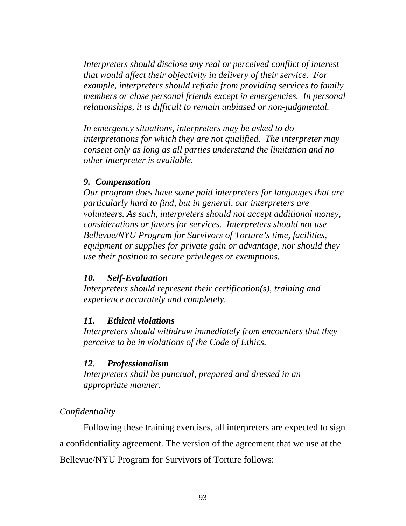*Interpreters should disclose any real or perceived conflict of interest that would affect their objectivity in delivery of their service. For example, interpreters should refrain from providing services to family members or close personal friends except in emergencies. In personal relationships, it is difficult to remain unbiased or non-judgmental.* 

*In emergency situations, interpreters may be asked to do interpretations for which they are not qualified. The interpreter may consent only as long as all parties understand the limitation and no other interpreter is available.* 

### *9. Compensation*

*Our program does have some paid interpreters for languages that are particularly hard to find, but in general, our interpreters are volunteers. As such, interpreters should not accept additional money, considerations or favors for services. Interpreters should not use Bellevue/NYU Program for Survivors of Torture's time, facilities, equipment or supplies for private gain or advantage, nor should they use their position to secure privileges or exemptions.* 

### *10. Self-Evaluation*

*Interpreters should represent their certification(s), training and experience accurately and completely.*

### *11. Ethical violations*

*Interpreters should withdraw immediately from encounters that they perceive to be in violations of the Code of Ethics.* 

### *12. Professionalism*

*Interpreters shall be punctual, prepared and dressed in an appropriate manner.* 

### *Confidentiality*

Following these training exercises, all interpreters are expected to sign a confidentiality agreement. The version of the agreement that we use at the Bellevue/NYU Program for Survivors of Torture follows: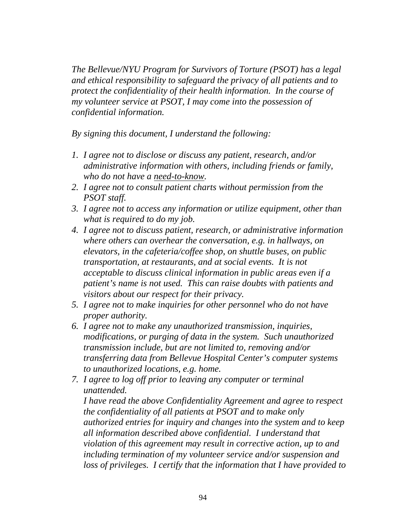*The Bellevue/NYU Program for Survivors of Torture (PSOT) has a legal and ethical responsibility to safeguard the privacy of all patients and to protect the confidentiality of their health information. In the course of my volunteer service at PSOT, I may come into the possession of confidential information.* 

*By signing this document, I understand the following:* 

- *1. I agree not to disclose or discuss any patient, research, and/or administrative information with others, including friends or family, who do not have a need-to-know.*
- *2. I agree not to consult patient charts without permission from the PSOT staff.*
- *3. I agree not to access any information or utilize equipment, other than what is required to do my job.*
- *4. I agree not to discuss patient, research, or administrative information where others can overhear the conversation, e.g. in hallways, on elevators, in the cafeteria/coffee shop, on shuttle buses, on public transportation, at restaurants, and at social events. It is not acceptable to discuss clinical information in public areas even if a patient's name is not used. This can raise doubts with patients and visitors about our respect for their privacy.*
- *5. I agree not to make inquiries for other personnel who do not have proper authority.*
- *6. I agree not to make any unauthorized transmission, inquiries, modifications, or purging of data in the system. Such unauthorized transmission include, but are not limited to, removing and/or transferring data from Bellevue Hospital Center's computer systems to unauthorized locations, e.g. home.*
- *7. I agree to log off prior to leaving any computer or terminal unattended.*

*I have read the above Confidentiality Agreement and agree to respect the confidentiality of all patients at PSOT and to make only authorized entries for inquiry and changes into the system and to keep all information described above confidential. I understand that violation of this agreement may result in corrective action, up to and including termination of my volunteer service and/or suspension and loss of privileges. I certify that the information that I have provided to*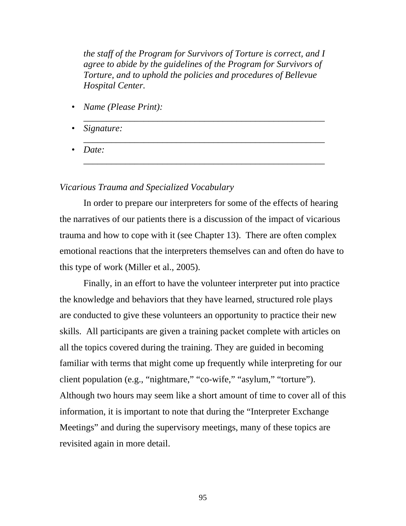*the staff of the Program for Survivors of Torture is correct, and I agree to abide by the guidelines of the Program for Survivors of Torture, and to uphold the policies and procedures of Bellevue Hospital Center.* 

*\_\_\_\_\_\_\_\_\_\_\_\_\_\_\_\_\_\_\_\_\_\_\_\_\_\_\_\_\_\_\_\_\_\_\_\_\_\_\_\_\_\_\_\_\_\_\_\_\_\_\_\_* 

*\_\_\_\_\_\_\_\_\_\_\_\_\_\_\_\_\_\_\_\_\_\_\_\_\_\_\_\_\_\_\_\_\_\_\_\_\_\_\_\_\_\_\_\_\_\_\_\_\_\_\_\_* 

*\_\_\_\_\_\_\_\_\_\_\_\_\_\_\_\_\_\_\_\_\_\_\_\_\_\_\_\_\_\_\_\_\_\_\_\_\_\_\_\_\_\_\_\_\_\_\_\_\_\_\_\_* 

- *Name (Please Print):*
- *Signature:*
- *Date:*

### *Vicarious Trauma and Specialized Vocabulary*

In order to prepare our interpreters for some of the effects of hearing the narratives of our patients there is a discussion of the impact of vicarious trauma and how to cope with it (see Chapter 13). There are often complex emotional reactions that the interpreters themselves can and often do have to this type of work (Miller et al., 2005).

Finally, in an effort to have the volunteer interpreter put into practice the knowledge and behaviors that they have learned, structured role plays are conducted to give these volunteers an opportunity to practice their new skills. All participants are given a training packet complete with articles on all the topics covered during the training. They are guided in becoming familiar with terms that might come up frequently while interpreting for our client population (e.g., "nightmare," "co-wife," "asylum," "torture"). Although two hours may seem like a short amount of time to cover all of this information, it is important to note that during the "Interpreter Exchange Meetings" and during the supervisory meetings, many of these topics are revisited again in more detail.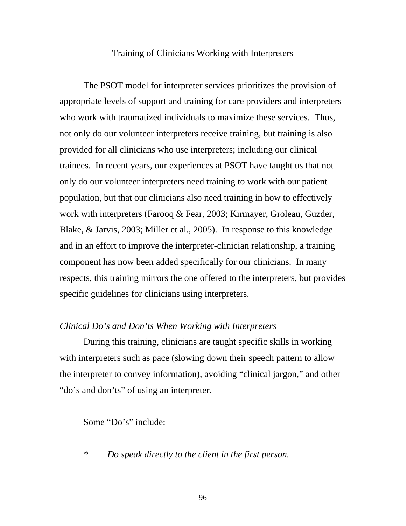#### Training of Clinicians Working with Interpreters

The PSOT model for interpreter services prioritizes the provision of appropriate levels of support and training for care providers and interpreters who work with traumatized individuals to maximize these services. Thus, not only do our volunteer interpreters receive training, but training is also provided for all clinicians who use interpreters; including our clinical trainees. In recent years, our experiences at PSOT have taught us that not only do our volunteer interpreters need training to work with our patient population, but that our clinicians also need training in how to effectively work with interpreters (Farooq & Fear, 2003; Kirmayer, Groleau, Guzder, Blake, & Jarvis, 2003; Miller et al., 2005). In response to this knowledge and in an effort to improve the interpreter-clinician relationship, a training component has now been added specifically for our clinicians. In many respects, this training mirrors the one offered to the interpreters, but provides specific guidelines for clinicians using interpreters.

### *Clinical Do's and Don'ts When Working with Interpreters*

During this training, clinicians are taught specific skills in working with interpreters such as pace (slowing down their speech pattern to allow the interpreter to convey information), avoiding "clinical jargon," and other "do's and don'ts" of using an interpreter.

Some "Do's" include:

*\* Do speak directly to the client in the first person.*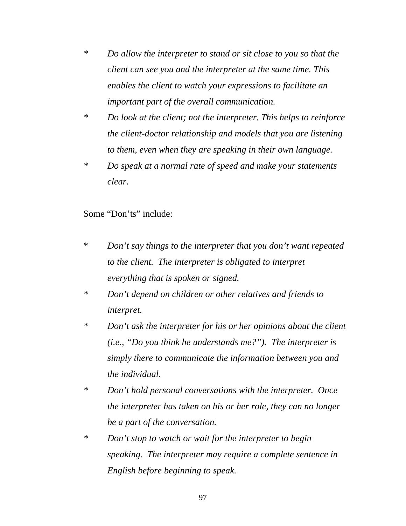- *\* Do allow the interpreter to stand or sit close to you so that the client can see you and the interpreter at the same time. This enables the client to watch your expressions to facilitate an important part of the overall communication.*
- *\* Do look at the client; not the interpreter. This helps to reinforce the client-doctor relationship and models that you are listening to them, even when they are speaking in their own language.*
- *\* Do speak at a normal rate of speed and make your statements clear.*

Some "Don'ts" include:

- \* *Don't say things to the interpreter that you don't want repeated to the client. The interpreter is obligated to interpret everything that is spoken or signed.*
- *\* Don't depend on children or other relatives and friends to interpret.*
- *\* Don't ask the interpreter for his or her opinions about the client (i.e., "Do you think he understands me?"). The interpreter is simply there to communicate the information between you and the individual.*
- *\* Don't hold personal conversations with the interpreter. Once the interpreter has taken on his or her role, they can no longer be a part of the conversation.*
- *\* Don't stop to watch or wait for the interpreter to begin speaking. The interpreter may require a complete sentence in English before beginning to speak.*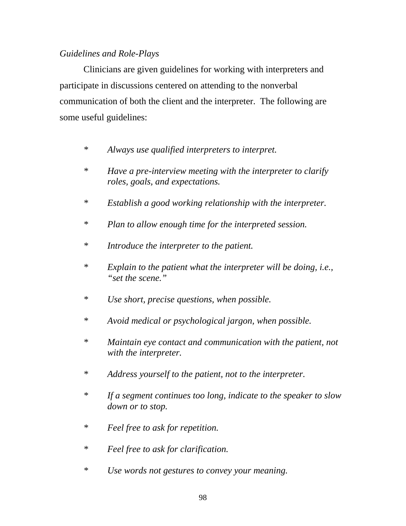### *Guidelines and Role-Plays*

Clinicians are given guidelines for working with interpreters and participate in discussions centered on attending to the nonverbal communication of both the client and the interpreter. The following are some useful guidelines:

- *\* Always use qualified interpreters to interpret.*
- *\* Have a pre-interview meeting with the interpreter to clarify roles, goals, and expectations.*
- *\* Establish a good working relationship with the interpreter.*
- *\* Plan to allow enough time for the interpreted session.*
- *\* Introduce the interpreter to the patient.*
- *\* Explain to the patient what the interpreter will be doing, i.e., "set the scene."*
- *\* Use short, precise questions, when possible.*
- *\* Avoid medical or psychological jargon, when possible.*
- *\* Maintain eye contact and communication with the patient, not with the interpreter.*
- *\* Address yourself to the patient, not to the interpreter.*
- *\* If a segment continues too long, indicate to the speaker to slow down or to stop.*
- *\* Feel free to ask for repetition.*
- *\* Feel free to ask for clarification.*
- *\* Use words not gestures to convey your meaning.*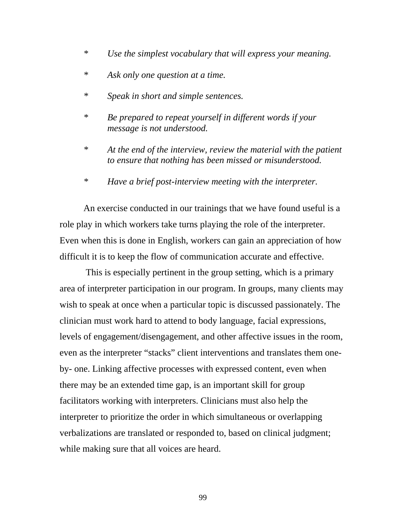- *\* Use the simplest vocabulary that will express your meaning.*
- *\* Ask only one question at a time.*
- *\* Speak in short and simple sentences.*
- *\* Be prepared to repeat yourself in different words if your message is not understood.*
- *\* At the end of the interview, review the material with the patient to ensure that nothing has been missed or misunderstood.*
- *\* Have a brief post-interview meeting with the interpreter.*

An exercise conducted in our trainings that we have found useful is a role play in which workers take turns playing the role of the interpreter. Even when this is done in English, workers can gain an appreciation of how difficult it is to keep the flow of communication accurate and effective.

 This is especially pertinent in the group setting, which is a primary area of interpreter participation in our program. In groups, many clients may wish to speak at once when a particular topic is discussed passionately. The clinician must work hard to attend to body language, facial expressions, levels of engagement/disengagement, and other affective issues in the room, even as the interpreter "stacks" client interventions and translates them oneby- one. Linking affective processes with expressed content, even when there may be an extended time gap, is an important skill for group facilitators working with interpreters. Clinicians must also help the interpreter to prioritize the order in which simultaneous or overlapping verbalizations are translated or responded to, based on clinical judgment; while making sure that all voices are heard.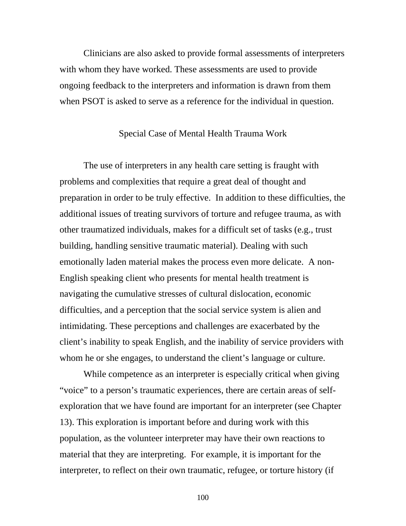Clinicians are also asked to provide formal assessments of interpreters with whom they have worked. These assessments are used to provide ongoing feedback to the interpreters and information is drawn from them when PSOT is asked to serve as a reference for the individual in question.

#### Special Case of Mental Health Trauma Work

The use of interpreters in any health care setting is fraught with problems and complexities that require a great deal of thought and preparation in order to be truly effective. In addition to these difficulties, the additional issues of treating survivors of torture and refugee trauma, as with other traumatized individuals, makes for a difficult set of tasks (e.g., trust building, handling sensitive traumatic material). Dealing with such emotionally laden material makes the process even more delicate. A non-English speaking client who presents for mental health treatment is navigating the cumulative stresses of cultural dislocation, economic difficulties, and a perception that the social service system is alien and intimidating. These perceptions and challenges are exacerbated by the client's inability to speak English, and the inability of service providers with whom he or she engages, to understand the client's language or culture.

While competence as an interpreter is especially critical when giving "voice" to a person's traumatic experiences, there are certain areas of selfexploration that we have found are important for an interpreter (see Chapter 13). This exploration is important before and during work with this population, as the volunteer interpreter may have their own reactions to material that they are interpreting. For example, it is important for the interpreter, to reflect on their own traumatic, refugee, or torture history (if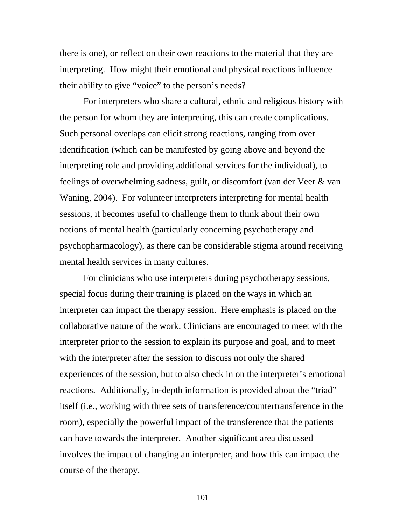there is one), or reflect on their own reactions to the material that they are interpreting. How might their emotional and physical reactions influence their ability to give "voice" to the person's needs?

For interpreters who share a cultural, ethnic and religious history with the person for whom they are interpreting, this can create complications. Such personal overlaps can elicit strong reactions, ranging from over identification (which can be manifested by going above and beyond the interpreting role and providing additional services for the individual), to feelings of overwhelming sadness, guilt, or discomfort (van der Veer & van Waning, 2004). For volunteer interpreters interpreting for mental health sessions, it becomes useful to challenge them to think about their own notions of mental health (particularly concerning psychotherapy and psychopharmacology), as there can be considerable stigma around receiving mental health services in many cultures.

For clinicians who use interpreters during psychotherapy sessions, special focus during their training is placed on the ways in which an interpreter can impact the therapy session. Here emphasis is placed on the collaborative nature of the work. Clinicians are encouraged to meet with the interpreter prior to the session to explain its purpose and goal, and to meet with the interpreter after the session to discuss not only the shared experiences of the session, but to also check in on the interpreter's emotional reactions. Additionally, in-depth information is provided about the "triad" itself (i.e., working with three sets of transference/countertransference in the room), especially the powerful impact of the transference that the patients can have towards the interpreter. Another significant area discussed involves the impact of changing an interpreter, and how this can impact the course of the therapy.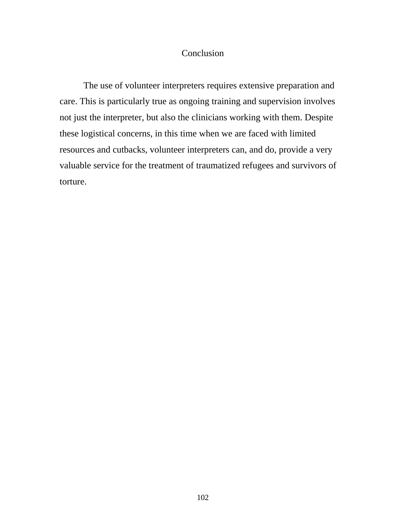### Conclusion

 The use of volunteer interpreters requires extensive preparation and care. This is particularly true as ongoing training and supervision involves not just the interpreter, but also the clinicians working with them. Despite these logistical concerns, in this time when we are faced with limited resources and cutbacks, volunteer interpreters can, and do, provide a very valuable service for the treatment of traumatized refugees and survivors of torture.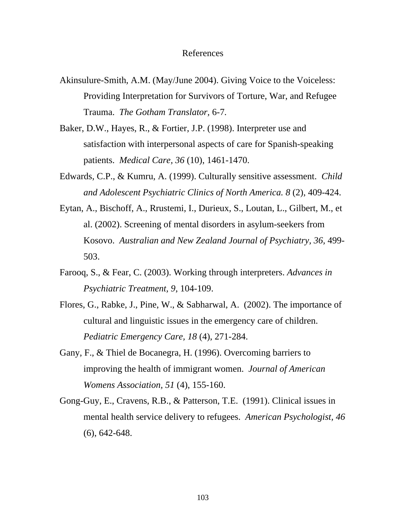#### References

- Akinsulure-Smith, A.M. (May/June 2004). Giving Voice to the Voiceless: Providing Interpretation for Survivors of Torture, War, and Refugee Trauma. *The Gotham Translator,* 6-7*.*
- Baker, D.W., Hayes, R., & Fortier, J.P. (1998). Interpreter use and satisfaction with interpersonal aspects of care for Spanish-speaking patients. *Medical Care, 36* (10), 1461-1470.
- Edwards, C.P., & Kumru, A. (1999). Culturally sensitive assessment. *Child and Adolescent Psychiatric Clinics of North America. 8* (2), 409-424.
- Eytan, A., Bischoff, A., Rrustemi, I., Durieux, S., Loutan, L., Gilbert, M., et al. (2002). Screening of mental disorders in asylum-seekers from Kosovo. *Australian and New Zealand Journal of Psychiatry, 36,* 499- 503.
- Farooq, S., & Fear, C. (2003). Working through interpreters. *Advances in Psychiatric Treatment, 9*, 104-109.
- Flores, G., Rabke, J., Pine, W., & Sabharwal, A. (2002). The importance of cultural and linguistic issues in the emergency care of children. *Pediatric Emergency Care, 18* (4), 271-284.
- Gany, F., & Thiel de Bocanegra, H. (1996). Overcoming barriers to improving the health of immigrant women. *Journal of American Womens Association, 51* (4), 155-160.
- Gong-Guy, E., Cravens, R.B., & Patterson, T.E. (1991). Clinical issues in mental health service delivery to refugees. *American Psychologist, 46*  (6), 642-648.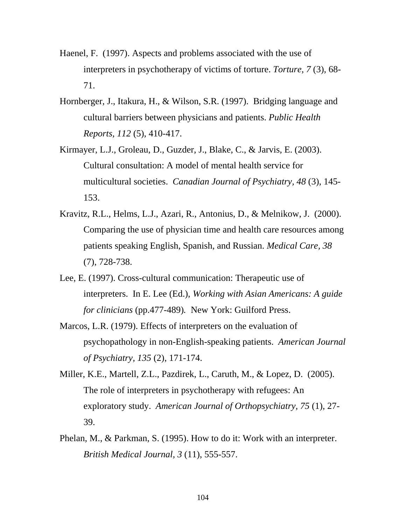- Haenel, F. (1997). Aspects and problems associated with the use of interpreters in psychotherapy of victims of torture. *Torture, 7* (3), 68- 71.
- Hornberger, J., Itakura, H., & Wilson, S.R. (1997). Bridging language and cultural barriers between physicians and patients. *Public Health Reports, 112* (5), 410-417.
- Kirmayer, L.J., Groleau, D., Guzder, J., Blake, C., & Jarvis, E. (2003). Cultural consultation: A model of mental health service for multicultural societies. *Canadian Journal of Psychiatry, 48* (3), 145- 153.
- Kravitz, R.L., Helms, L.J., Azari, R., Antonius, D., & Melnikow, J. (2000). Comparing the use of physician time and health care resources among patients speaking English, Spanish, and Russian. *Medical Care, 38* (7), 728-738.
- Lee, E. (1997). Cross-cultural communication: Therapeutic use of interpreters. In E. Lee (Ed.), *Working with Asian Americans: A guide for clinicians* (pp.477-489)*.* New York: Guilford Press.
- Marcos, L.R. (1979). Effects of interpreters on the evaluation of psychopathology in non-English-speaking patients. *American Journal of Psychiatry, 135* (2), 171-174.
- Miller, K.E., Martell, Z.L., Pazdirek, L., Caruth, M., & Lopez, D. (2005). The role of interpreters in psychotherapy with refugees: An exploratory study. *American Journal of Orthopsychiatry, 75* (1), 27- 39.
- Phelan, M., & Parkman, S. (1995). How to do it: Work with an interpreter. *British Medical Journal, 3* (11), 555-557.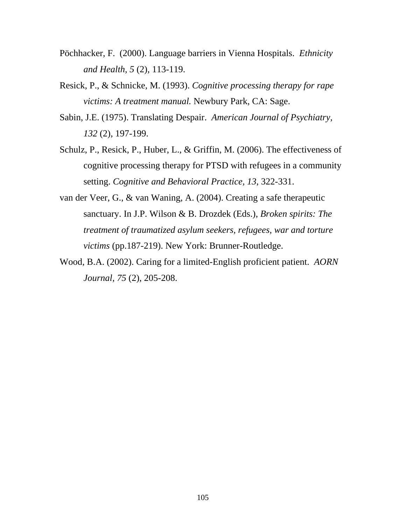- Pöchhacker, F. (2000). Language barriers in Vienna Hospitals. *Ethnicity and Health, 5* (2), 113-119.
- Resick, P., & Schnicke, M. (1993). *Cognitive processing therapy for rape victims: A treatment manual.* Newbury Park, CA: Sage.
- Sabin, J.E. (1975). Translating Despair. *American Journal of Psychiatry, 132* (2), 197-199.
- Schulz, P., Resick, P., Huber, L., & Griffin, M. (2006). The effectiveness of cognitive processing therapy for PTSD with refugees in a community setting. *Cognitive and Behavioral Practice, 13*, 322-331.
- van der Veer, G., & van Waning, A. (2004). Creating a safe therapeutic sanctuary. In J.P. Wilson & B. Drozdek (Eds.), *Broken spirits: The treatment of traumatized asylum seekers, refugees, war and torture victims* (pp.187-219). New York: Brunner-Routledge.
- Wood, B.A. (2002). Caring for a limited-English proficient patient. *AORN Journal, 75* (2), 205-208.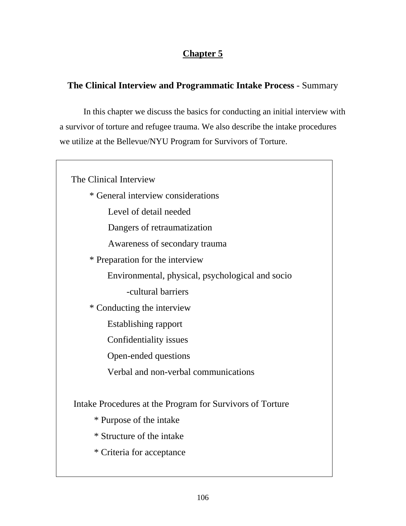# **Chapter 5**

# **The Clinical Interview and Programmatic Intake Process** - Summary

In this chapter we discuss the basics for conducting an initial interview with a survivor of torture and refugee trauma. We also describe the intake procedures we utilize at the Bellevue/NYU Program for Survivors of Torture.

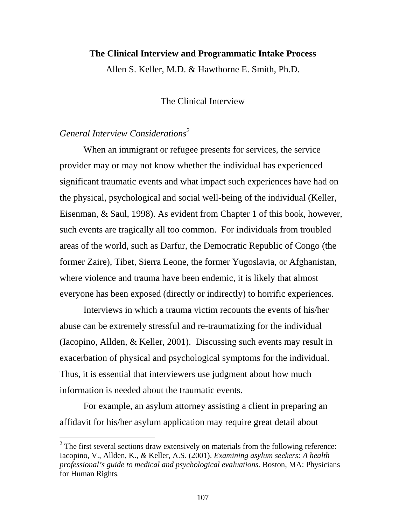#### **The Clinical Interview and Programmatic Intake Process**

Allen S. Keller, M.D. & Hawthorne E. Smith, Ph.D.

The Clinical Interview

# *General Interview Considerations2*

 $\overline{a}$ 

When an immigrant or refugee presents for services, the service provider may or may not know whether the individual has experienced significant traumatic events and what impact such experiences have had on the physical, psychological and social well-being of the individual (Keller, Eisenman, & Saul, 1998). As evident from Chapter 1 of this book, however, such events are tragically all too common. For individuals from troubled areas of the world, such as Darfur, the Democratic Republic of Congo (the former Zaire), Tibet, Sierra Leone, the former Yugoslavia, or Afghanistan, where violence and trauma have been endemic, it is likely that almost everyone has been exposed (directly or indirectly) to horrific experiences.

Interviews in which a trauma victim recounts the events of his/her abuse can be extremely stressful and re-traumatizing for the individual (Iacopino, Allden, & Keller, 2001). Discussing such events may result in exacerbation of physical and psychological symptoms for the individual. Thus, it is essential that interviewers use judgment about how much information is needed about the traumatic events.

For example, an asylum attorney assisting a client in preparing an affidavit for his/her asylum application may require great detail about

 $2^2$  The first several sections draw extensively on materials from the following reference: Iacopino, V., Allden, K.*, &* Keller, A.S. (2001). *Examining asylum seekers: A health professional's guide to medical and psychological evaluations.* Boston, MA: Physicians for Human Rights.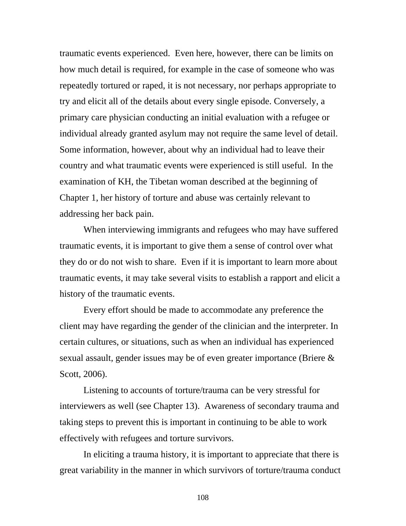traumatic events experienced. Even here, however, there can be limits on how much detail is required, for example in the case of someone who was repeatedly tortured or raped, it is not necessary, nor perhaps appropriate to try and elicit all of the details about every single episode. Conversely, a primary care physician conducting an initial evaluation with a refugee or individual already granted asylum may not require the same level of detail. Some information, however, about why an individual had to leave their country and what traumatic events were experienced is still useful. In the examination of KH, the Tibetan woman described at the beginning of Chapter 1, her history of torture and abuse was certainly relevant to addressing her back pain.

When interviewing immigrants and refugees who may have suffered traumatic events, it is important to give them a sense of control over what they do or do not wish to share. Even if it is important to learn more about traumatic events, it may take several visits to establish a rapport and elicit a history of the traumatic events.

Every effort should be made to accommodate any preference the client may have regarding the gender of the clinician and the interpreter. In certain cultures, or situations, such as when an individual has experienced sexual assault, gender issues may be of even greater importance (Briere & Scott, 2006).

Listening to accounts of torture/trauma can be very stressful for interviewers as well (see Chapter 13). Awareness of secondary trauma and taking steps to prevent this is important in continuing to be able to work effectively with refugees and torture survivors.

In eliciting a trauma history, it is important to appreciate that there is great variability in the manner in which survivors of torture/trauma conduct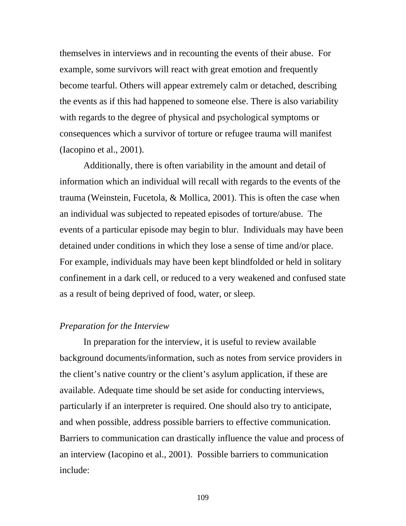themselves in interviews and in recounting the events of their abuse. For example, some survivors will react with great emotion and frequently become tearful. Others will appear extremely calm or detached, describing the events as if this had happened to someone else. There is also variability with regards to the degree of physical and psychological symptoms or consequences which a survivor of torture or refugee trauma will manifest (Iacopino et al., 2001).

Additionally, there is often variability in the amount and detail of information which an individual will recall with regards to the events of the trauma (Weinstein, Fucetola, & Mollica, 2001). This is often the case when an individual was subjected to repeated episodes of torture/abuse. The events of a particular episode may begin to blur. Individuals may have been detained under conditions in which they lose a sense of time and/or place. For example, individuals may have been kept blindfolded or held in solitary confinement in a dark cell, or reduced to a very weakened and confused state as a result of being deprived of food, water, or sleep.

### *Preparation for the Interview*

In preparation for the interview, it is useful to review available background documents/information, such as notes from service providers in the client's native country or the client's asylum application, if these are available. Adequate time should be set aside for conducting interviews, particularly if an interpreter is required. One should also try to anticipate, and when possible, address possible barriers to effective communication. Barriers to communication can drastically influence the value and process of an interview (Iacopino et al., 2001). Possible barriers to communication include: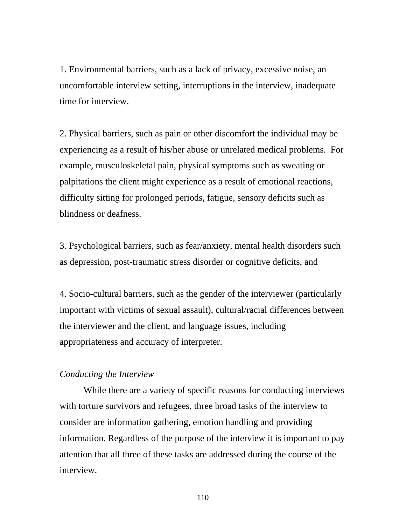1. Environmental barriers, such as a lack of privacy, excessive noise, an uncomfortable interview setting, interruptions in the interview, inadequate time for interview.

2. Physical barriers, such as pain or other discomfort the individual may be experiencing as a result of his/her abuse or unrelated medical problems. For example, musculoskeletal pain, physical symptoms such as sweating or palpitations the client might experience as a result of emotional reactions, difficulty sitting for prolonged periods, fatigue, sensory deficits such as blindness or deafness.

3. Psychological barriers, such as fear/anxiety, mental health disorders such as depression, post-traumatic stress disorder or cognitive deficits, and

4. Socio-cultural barriers, such as the gender of the interviewer (particularly important with victims of sexual assault), cultural/racial differences between the interviewer and the client, and language issues, including appropriateness and accuracy of interpreter.

### *Conducting the Interview*

While there are a variety of specific reasons for conducting interviews with torture survivors and refugees, three broad tasks of the interview to consider are information gathering, emotion handling and providing information. Regardless of the purpose of the interview it is important to pay attention that all three of these tasks are addressed during the course of the interview.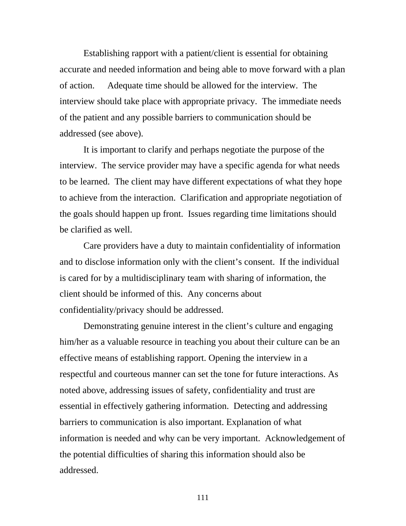Establishing rapport with a patient/client is essential for obtaining accurate and needed information and being able to move forward with a plan of action. Adequate time should be allowed for the interview. The interview should take place with appropriate privacy. The immediate needs of the patient and any possible barriers to communication should be addressed (see above).

It is important to clarify and perhaps negotiate the purpose of the interview. The service provider may have a specific agenda for what needs to be learned. The client may have different expectations of what they hope to achieve from the interaction. Clarification and appropriate negotiation of the goals should happen up front. Issues regarding time limitations should be clarified as well.

Care providers have a duty to maintain confidentiality of information and to disclose information only with the client's consent. If the individual is cared for by a multidisciplinary team with sharing of information, the client should be informed of this. Any concerns about confidentiality/privacy should be addressed.

Demonstrating genuine interest in the client's culture and engaging him/her as a valuable resource in teaching you about their culture can be an effective means of establishing rapport. Opening the interview in a respectful and courteous manner can set the tone for future interactions. As noted above, addressing issues of safety, confidentiality and trust are essential in effectively gathering information. Detecting and addressing barriers to communication is also important. Explanation of what information is needed and why can be very important. Acknowledgement of the potential difficulties of sharing this information should also be addressed.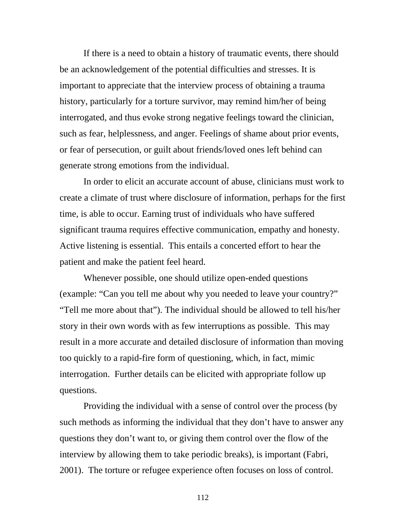If there is a need to obtain a history of traumatic events, there should be an acknowledgement of the potential difficulties and stresses. It is important to appreciate that the interview process of obtaining a trauma history, particularly for a torture survivor, may remind him/her of being interrogated, and thus evoke strong negative feelings toward the clinician, such as fear, helplessness, and anger. Feelings of shame about prior events, or fear of persecution, or guilt about friends/loved ones left behind can generate strong emotions from the individual.

In order to elicit an accurate account of abuse, clinicians must work to create a climate of trust where disclosure of information, perhaps for the first time, is able to occur. Earning trust of individuals who have suffered significant trauma requires effective communication, empathy and honesty. Active listening is essential. This entails a concerted effort to hear the patient and make the patient feel heard.

Whenever possible, one should utilize open-ended questions (example: "Can you tell me about why you needed to leave your country?" "Tell me more about that"). The individual should be allowed to tell his/her story in their own words with as few interruptions as possible. This may result in a more accurate and detailed disclosure of information than moving too quickly to a rapid-fire form of questioning, which, in fact, mimic interrogation. Further details can be elicited with appropriate follow up questions.

Providing the individual with a sense of control over the process (by such methods as informing the individual that they don't have to answer any questions they don't want to, or giving them control over the flow of the interview by allowing them to take periodic breaks), is important (Fabri, 2001). The torture or refugee experience often focuses on loss of control.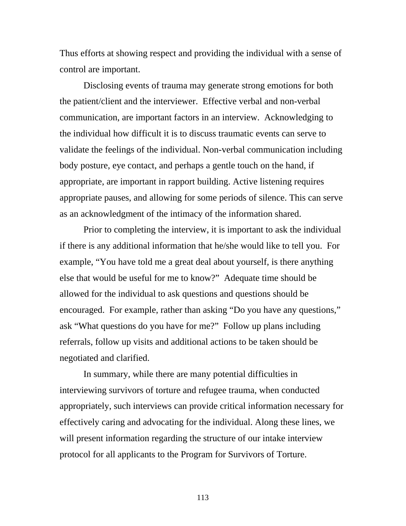Thus efforts at showing respect and providing the individual with a sense of control are important.

Disclosing events of trauma may generate strong emotions for both the patient/client and the interviewer. Effective verbal and non-verbal communication, are important factors in an interview. Acknowledging to the individual how difficult it is to discuss traumatic events can serve to validate the feelings of the individual. Non-verbal communication including body posture, eye contact, and perhaps a gentle touch on the hand, if appropriate, are important in rapport building. Active listening requires appropriate pauses, and allowing for some periods of silence. This can serve as an acknowledgment of the intimacy of the information shared.

Prior to completing the interview, it is important to ask the individual if there is any additional information that he/she would like to tell you. For example, "You have told me a great deal about yourself, is there anything else that would be useful for me to know?" Adequate time should be allowed for the individual to ask questions and questions should be encouraged. For example, rather than asking "Do you have any questions," ask "What questions do you have for me?" Follow up plans including referrals, follow up visits and additional actions to be taken should be negotiated and clarified.

In summary, while there are many potential difficulties in interviewing survivors of torture and refugee trauma, when conducted appropriately, such interviews can provide critical information necessary for effectively caring and advocating for the individual. Along these lines, we will present information regarding the structure of our intake interview protocol for all applicants to the Program for Survivors of Torture.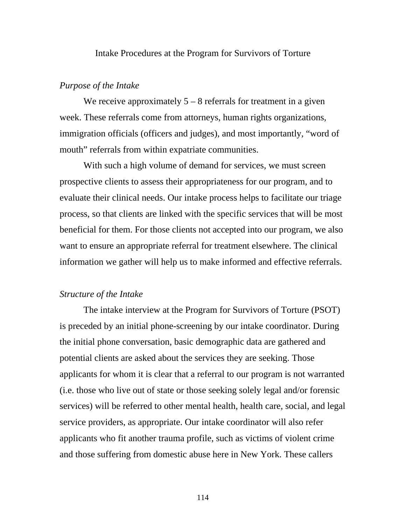Intake Procedures at the Program for Survivors of Torture

#### *Purpose of the Intake*

We receive approximately  $5 - 8$  referrals for treatment in a given week. These referrals come from attorneys, human rights organizations, immigration officials (officers and judges), and most importantly, "word of mouth" referrals from within expatriate communities.

With such a high volume of demand for services, we must screen prospective clients to assess their appropriateness for our program, and to evaluate their clinical needs. Our intake process helps to facilitate our triage process, so that clients are linked with the specific services that will be most beneficial for them. For those clients not accepted into our program, we also want to ensure an appropriate referral for treatment elsewhere. The clinical information we gather will help us to make informed and effective referrals.

### *Structure of the Intake*

 The intake interview at the Program for Survivors of Torture (PSOT) is preceded by an initial phone-screening by our intake coordinator. During the initial phone conversation, basic demographic data are gathered and potential clients are asked about the services they are seeking. Those applicants for whom it is clear that a referral to our program is not warranted (i.e. those who live out of state or those seeking solely legal and/or forensic services) will be referred to other mental health, health care, social, and legal service providers, as appropriate. Our intake coordinator will also refer applicants who fit another trauma profile, such as victims of violent crime and those suffering from domestic abuse here in New York. These callers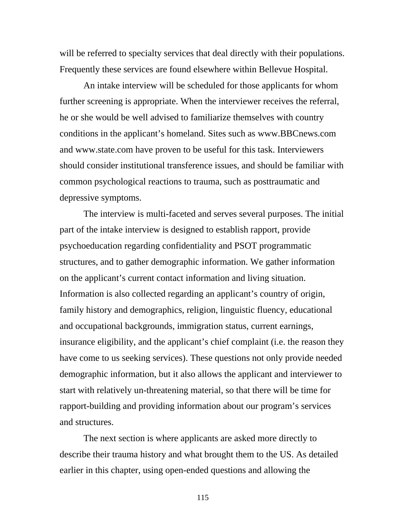will be referred to specialty services that deal directly with their populations. Frequently these services are found elsewhere within Bellevue Hospital.

An intake interview will be scheduled for those applicants for whom further screening is appropriate. When the interviewer receives the referral, he or she would be well advised to familiarize themselves with country conditions in the applicant's homeland. Sites such as www.BBCnews.com and www.state.com have proven to be useful for this task. Interviewers should consider institutional transference issues, and should be familiar with common psychological reactions to trauma, such as posttraumatic and depressive symptoms.

The interview is multi-faceted and serves several purposes. The initial part of the intake interview is designed to establish rapport, provide psychoeducation regarding confidentiality and PSOT programmatic structures, and to gather demographic information. We gather information on the applicant's current contact information and living situation. Information is also collected regarding an applicant's country of origin, family history and demographics, religion, linguistic fluency, educational and occupational backgrounds, immigration status, current earnings, insurance eligibility, and the applicant's chief complaint (i.e. the reason they have come to us seeking services). These questions not only provide needed demographic information, but it also allows the applicant and interviewer to start with relatively un-threatening material, so that there will be time for rapport-building and providing information about our program's services and structures.

The next section is where applicants are asked more directly to describe their trauma history and what brought them to the US. As detailed earlier in this chapter, using open-ended questions and allowing the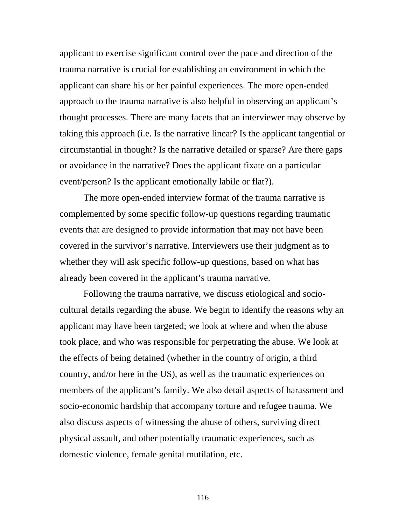applicant to exercise significant control over the pace and direction of the trauma narrative is crucial for establishing an environment in which the applicant can share his or her painful experiences. The more open-ended approach to the trauma narrative is also helpful in observing an applicant's thought processes. There are many facets that an interviewer may observe by taking this approach (i.e. Is the narrative linear? Is the applicant tangential or circumstantial in thought? Is the narrative detailed or sparse? Are there gaps or avoidance in the narrative? Does the applicant fixate on a particular event/person? Is the applicant emotionally labile or flat?).

The more open-ended interview format of the trauma narrative is complemented by some specific follow-up questions regarding traumatic events that are designed to provide information that may not have been covered in the survivor's narrative. Interviewers use their judgment as to whether they will ask specific follow-up questions, based on what has already been covered in the applicant's trauma narrative.

Following the trauma narrative, we discuss etiological and sociocultural details regarding the abuse. We begin to identify the reasons why an applicant may have been targeted; we look at where and when the abuse took place, and who was responsible for perpetrating the abuse. We look at the effects of being detained (whether in the country of origin, a third country, and/or here in the US), as well as the traumatic experiences on members of the applicant's family. We also detail aspects of harassment and socio-economic hardship that accompany torture and refugee trauma. We also discuss aspects of witnessing the abuse of others, surviving direct physical assault, and other potentially traumatic experiences, such as domestic violence, female genital mutilation, etc.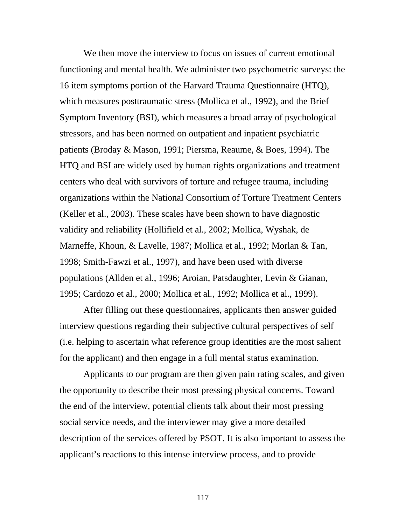We then move the interview to focus on issues of current emotional functioning and mental health. We administer two psychometric surveys: the 16 item symptoms portion of the Harvard Trauma Questionnaire (HTQ), which measures posttraumatic stress (Mollica et al., 1992), and the Brief Symptom Inventory (BSI), which measures a broad array of psychological stressors, and has been normed on outpatient and inpatient psychiatric patients (Broday & Mason, 1991; Piersma, Reaume, & Boes, 1994). The HTQ and BSI are widely used by human rights organizations and treatment centers who deal with survivors of torture and refugee trauma, including organizations within the National Consortium of Torture Treatment Centers (Keller et al., 2003). These scales have been shown to have diagnostic validity and reliability (Hollifield et al., 2002; Mollica, Wyshak, de Marneffe, Khoun, & Lavelle, 1987; Mollica et al., 1992; Morlan & Tan, 1998; Smith-Fawzi et al., 1997), and have been used with diverse populations (Allden et al., 1996; Aroian, Patsdaughter, Levin & Gianan, 1995; Cardozo et al., 2000; Mollica et al., 1992; Mollica et al., 1999).

After filling out these questionnaires, applicants then answer guided interview questions regarding their subjective cultural perspectives of self (i.e. helping to ascertain what reference group identities are the most salient for the applicant) and then engage in a full mental status examination.

Applicants to our program are then given pain rating scales, and given the opportunity to describe their most pressing physical concerns. Toward the end of the interview, potential clients talk about their most pressing social service needs, and the interviewer may give a more detailed description of the services offered by PSOT. It is also important to assess the applicant's reactions to this intense interview process, and to provide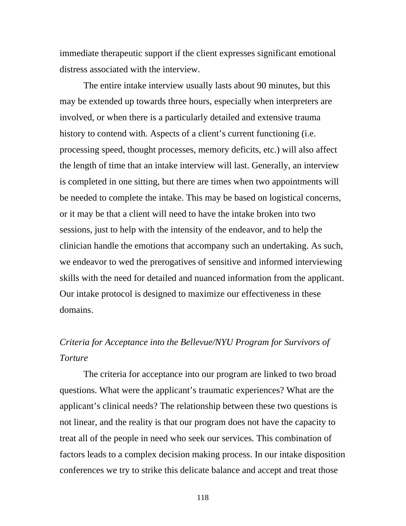immediate therapeutic support if the client expresses significant emotional distress associated with the interview.

The entire intake interview usually lasts about 90 minutes, but this may be extended up towards three hours, especially when interpreters are involved, or when there is a particularly detailed and extensive trauma history to contend with. Aspects of a client's current functioning (i.e. processing speed, thought processes, memory deficits, etc.) will also affect the length of time that an intake interview will last. Generally, an interview is completed in one sitting, but there are times when two appointments will be needed to complete the intake. This may be based on logistical concerns, or it may be that a client will need to have the intake broken into two sessions, just to help with the intensity of the endeavor, and to help the clinician handle the emotions that accompany such an undertaking. As such, we endeavor to wed the prerogatives of sensitive and informed interviewing skills with the need for detailed and nuanced information from the applicant. Our intake protocol is designed to maximize our effectiveness in these domains.

## *Criteria for Acceptance into the Bellevue/NYU Program for Survivors of Torture*

 The criteria for acceptance into our program are linked to two broad questions. What were the applicant's traumatic experiences? What are the applicant's clinical needs? The relationship between these two questions is not linear, and the reality is that our program does not have the capacity to treat all of the people in need who seek our services. This combination of factors leads to a complex decision making process. In our intake disposition conferences we try to strike this delicate balance and accept and treat those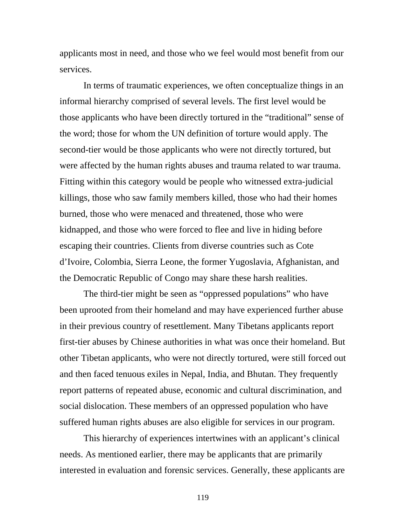applicants most in need, and those who we feel would most benefit from our services.

 In terms of traumatic experiences, we often conceptualize things in an informal hierarchy comprised of several levels. The first level would be those applicants who have been directly tortured in the "traditional" sense of the word; those for whom the UN definition of torture would apply. The second-tier would be those applicants who were not directly tortured, but were affected by the human rights abuses and trauma related to war trauma. Fitting within this category would be people who witnessed extra-judicial killings, those who saw family members killed, those who had their homes burned, those who were menaced and threatened, those who were kidnapped, and those who were forced to flee and live in hiding before escaping their countries. Clients from diverse countries such as Cote d'Ivoire, Colombia, Sierra Leone, the former Yugoslavia, Afghanistan, and the Democratic Republic of Congo may share these harsh realities.

 The third-tier might be seen as "oppressed populations" who have been uprooted from their homeland and may have experienced further abuse in their previous country of resettlement. Many Tibetans applicants report first-tier abuses by Chinese authorities in what was once their homeland. But other Tibetan applicants, who were not directly tortured, were still forced out and then faced tenuous exiles in Nepal, India, and Bhutan. They frequently report patterns of repeated abuse, economic and cultural discrimination, and social dislocation. These members of an oppressed population who have suffered human rights abuses are also eligible for services in our program.

 This hierarchy of experiences intertwines with an applicant's clinical needs. As mentioned earlier, there may be applicants that are primarily interested in evaluation and forensic services. Generally, these applicants are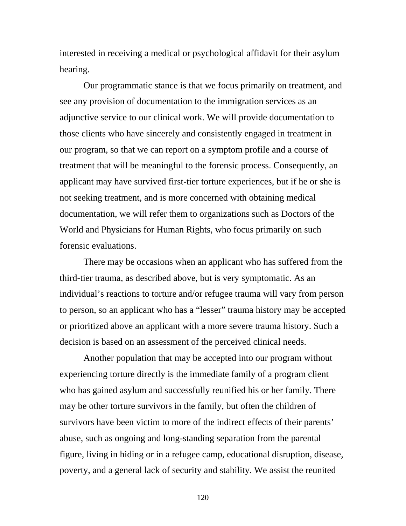interested in receiving a medical or psychological affidavit for their asylum hearing.

Our programmatic stance is that we focus primarily on treatment, and see any provision of documentation to the immigration services as an adjunctive service to our clinical work. We will provide documentation to those clients who have sincerely and consistently engaged in treatment in our program, so that we can report on a symptom profile and a course of treatment that will be meaningful to the forensic process. Consequently, an applicant may have survived first-tier torture experiences, but if he or she is not seeking treatment, and is more concerned with obtaining medical documentation, we will refer them to organizations such as Doctors of the World and Physicians for Human Rights, who focus primarily on such forensic evaluations.

There may be occasions when an applicant who has suffered from the third-tier trauma, as described above, but is very symptomatic. As an individual's reactions to torture and/or refugee trauma will vary from person to person, so an applicant who has a "lesser" trauma history may be accepted or prioritized above an applicant with a more severe trauma history. Such a decision is based on an assessment of the perceived clinical needs.

Another population that may be accepted into our program without experiencing torture directly is the immediate family of a program client who has gained asylum and successfully reunified his or her family. There may be other torture survivors in the family, but often the children of survivors have been victim to more of the indirect effects of their parents' abuse, such as ongoing and long-standing separation from the parental figure, living in hiding or in a refugee camp, educational disruption, disease, poverty, and a general lack of security and stability. We assist the reunited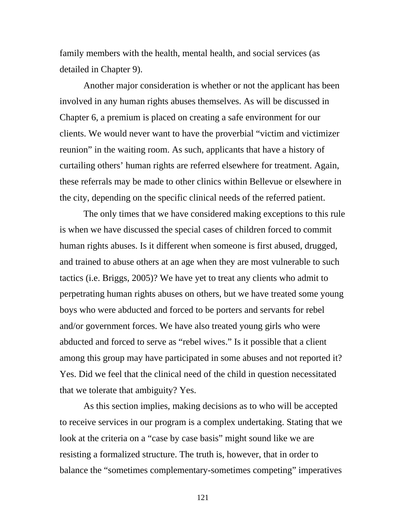family members with the health, mental health, and social services (as detailed in Chapter 9).

Another major consideration is whether or not the applicant has been involved in any human rights abuses themselves. As will be discussed in Chapter 6, a premium is placed on creating a safe environment for our clients. We would never want to have the proverbial "victim and victimizer reunion" in the waiting room. As such, applicants that have a history of curtailing others' human rights are referred elsewhere for treatment. Again, these referrals may be made to other clinics within Bellevue or elsewhere in the city, depending on the specific clinical needs of the referred patient.

The only times that we have considered making exceptions to this rule is when we have discussed the special cases of children forced to commit human rights abuses. Is it different when someone is first abused, drugged, and trained to abuse others at an age when they are most vulnerable to such tactics (i.e. Briggs, 2005)? We have yet to treat any clients who admit to perpetrating human rights abuses on others, but we have treated some young boys who were abducted and forced to be porters and servants for rebel and/or government forces. We have also treated young girls who were abducted and forced to serve as "rebel wives." Is it possible that a client among this group may have participated in some abuses and not reported it? Yes. Did we feel that the clinical need of the child in question necessitated that we tolerate that ambiguity? Yes.

As this section implies, making decisions as to who will be accepted to receive services in our program is a complex undertaking. Stating that we look at the criteria on a "case by case basis" might sound like we are resisting a formalized structure. The truth is, however, that in order to balance the "sometimes complementary-sometimes competing" imperatives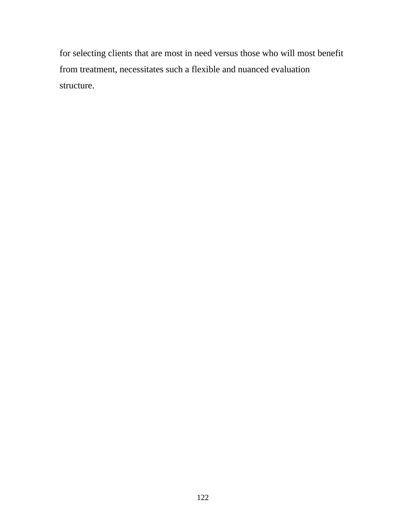for selecting clients that are most in need versus those who will most benefit from treatment, necessitates such a flexible and nuanced evaluation structure.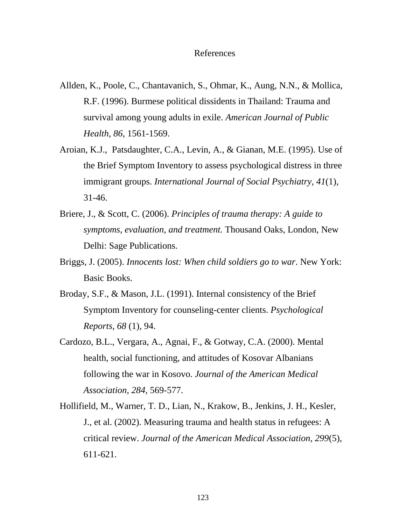#### References

- Allden, K., Poole, C., Chantavanich, S., Ohmar, K., Aung, N.N., & Mollica, R.F. (1996). Burmese political dissidents in Thailand: Trauma and survival among young adults in exile. *American Journal of Public Health, 86*, 1561-1569.
- Aroian, K.J., Patsdaughter, C.A., Levin, A., & Gianan, M.E. (1995). Use of the Brief Symptom Inventory to assess psychological distress in three immigrant groups. *International Journal of Social Psychiatry, 41*(1), 31-46.
- Briere, J., & Scott, C. (2006). *Principles of trauma therapy: A guide to symptoms, evaluation, and treatment.* Thousand Oaks, London, New Delhi: Sage Publications.
- Briggs, J. (2005). *Innocents lost: When child soldiers go to war*. New York: Basic Books.
- Broday, S.F., & Mason, J.L. (1991). Internal consistency of the Brief Symptom Inventory for counseling-center clients. *Psychological Reports, 68* (1)*,* 94.
- Cardozo, B.L., Vergara, A., Agnai, F., & Gotway, C.A. (2000). Mental health, social functioning, and attitudes of Kosovar Albanians following the war in Kosovo. *Journal of the American Medical Association, 284*, 569-577.
- Hollifield, M., Warner, T. D., Lian, N., Krakow, B., Jenkins, J. H., Kesler, J., et al. (2002). Measuring trauma and health status in refugees: A critical review. *Journal of the American Medical Association, 299*(5), 611-621.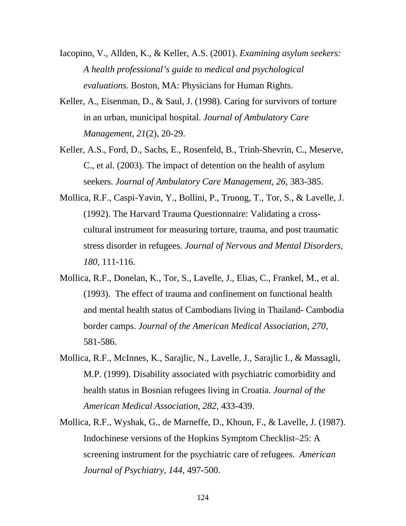- Iacopino, V., Allden, K.*,* & Keller, A.S. (2001). *Examining asylum seekers: A health professional's guide to medical and psychological evaluations.* Boston, MA: Physicians for Human Rights.
- Keller, A., Eisenman, D., & Saul, J. (1998). Caring for survivors of torture in an urban, municipal hospital. *Journal of Ambulatory Care Management, 21*(2), 20-29.
- Keller, A.S., Ford, D., Sachs, E., Rosenfeld, B., Trinh-Shevrin, C., Meserve, C., et al. (2003). The impact of detention on the health of asylum seekers. *Journal of Ambulatory Care Management, 26,* 383-385.
- Mollica, R.F., Caspi-Yavin, Y., Bollini, P., Truong, T., Tor, S., & Lavelle, J. (1992). The Harvard Trauma Questionnaire: Validating a crosscultural instrument for measuring torture, trauma, and post traumatic stress disorder in refugees. *Journal of Nervous and Mental Disorders, 180,* 111-116.
- Mollica, R.F., Donelan, K., Tor, S., Lavelle, J., Elias, C., Frankel, M., et al. (1993). The effect of trauma and confinement on functional health and mental health status of Cambodians living in Thailand- Cambodia border camps. *Journal of the American Medical Association, 270*, 581-586.
- Mollica, R.F., McInnes, K., Sarajlic, N., Lavelle, J., Sarajlic I., & Massagli, M.P. (1999). Disability associated with psychiatric comorbidity and health status in Bosnian refugees living in Croatia. *Journal of the American Medical Association*, *282*, 433-439.
- Mollica, R.F., Wyshak, G., de Marneffe, D., Khoun, F., & Lavelle, J. (1987). Indochinese versions of the Hopkins Symptom Checklist–25: A screening instrument for the psychiatric care of refugees. *American Journal of Psychiatry, 144*, 497-500.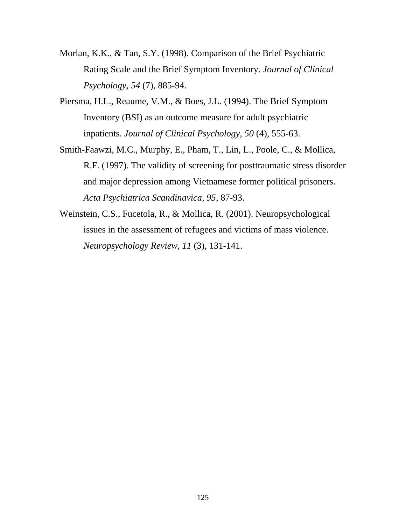- Morlan, K.K., & Tan, S.Y. (1998). Comparison of the Brief Psychiatric Rating Scale and the Brief Symptom Inventory. *Journal of Clinical Psychology, 54* (7), 885-94.
- Piersma, H.L., Reaume, V.M., & Boes, J.L. (1994). The Brief Symptom Inventory (BSI) as an outcome measure for adult psychiatric inpatients. *Journal of Clinical Psychology, 50* (4)*,* 555-63.
- Smith-Faawzi, M.C., Murphy, E., Pham, T., Lin, L., Poole, C., & Mollica, R.F. (1997). The validity of screening for posttraumatic stress disorder and major depression among Vietnamese former political prisoners. *Acta Psychiatrica Scandinavica, 95*, 87-93.
- Weinstein, C.S., Fucetola, R., & Mollica, R. (2001). Neuropsychological issues in the assessment of refugees and victims of mass violence. *Neuropsychology Review, 11* (3), 131-141.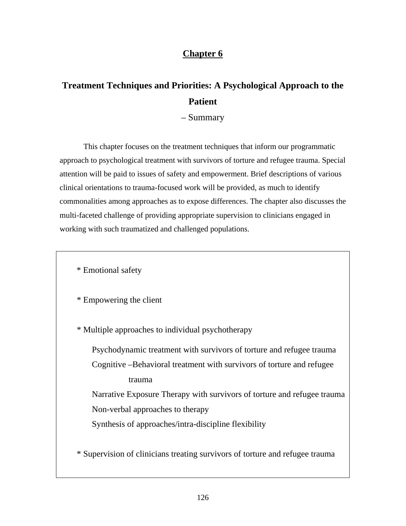### **Chapter 6**

# **Treatment Techniques and Priorities: A Psychological Approach to the Patient**

– Summary

 This chapter focuses on the treatment techniques that inform our programmatic approach to psychological treatment with survivors of torture and refugee trauma. Special attention will be paid to issues of safety and empowerment. Brief descriptions of various clinical orientations to trauma-focused work will be provided, as much to identify commonalities among approaches as to expose differences. The chapter also discusses the multi-faceted challenge of providing appropriate supervision to clinicians engaged in working with such traumatized and challenged populations.

\* Emotional safety

\* Empowering the client

\* Multiple approaches to individual psychotherapy

Psychodynamic treatment with survivors of torture and refugee trauma Cognitive –Behavioral treatment with survivors of torture and refugee trauma

 Narrative Exposure Therapy with survivors of torture and refugee trauma Non-verbal approaches to therapy

Synthesis of approaches/intra-discipline flexibility

\* Supervision of clinicians treating survivors of torture and refugee trauma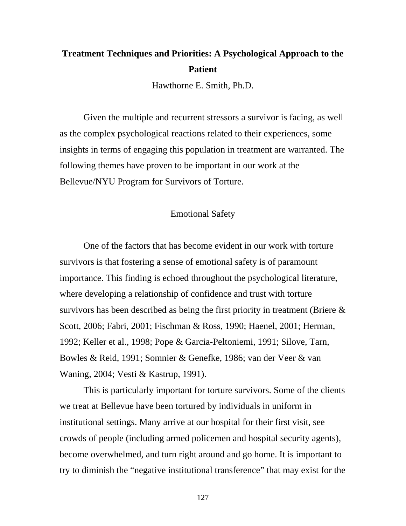# **Treatment Techniques and Priorities: A Psychological Approach to the Patient**

Hawthorne E. Smith, Ph.D.

Given the multiple and recurrent stressors a survivor is facing, as well as the complex psychological reactions related to their experiences, some insights in terms of engaging this population in treatment are warranted. The following themes have proven to be important in our work at the Bellevue/NYU Program for Survivors of Torture.

#### Emotional Safety

 One of the factors that has become evident in our work with torture survivors is that fostering a sense of emotional safety is of paramount importance. This finding is echoed throughout the psychological literature, where developing a relationship of confidence and trust with torture survivors has been described as being the first priority in treatment (Briere & Scott, 2006; Fabri, 2001; Fischman & Ross, 1990; Haenel, 2001; Herman, 1992; Keller et al., 1998; Pope & Garcia-Peltoniemi, 1991; Silove, Tarn, Bowles & Reid, 1991; Somnier & Genefke, 1986; van der Veer & van Waning, 2004; Vesti & Kastrup, 1991).

This is particularly important for torture survivors. Some of the clients we treat at Bellevue have been tortured by individuals in uniform in institutional settings. Many arrive at our hospital for their first visit, see crowds of people (including armed policemen and hospital security agents), become overwhelmed, and turn right around and go home. It is important to try to diminish the "negative institutional transference" that may exist for the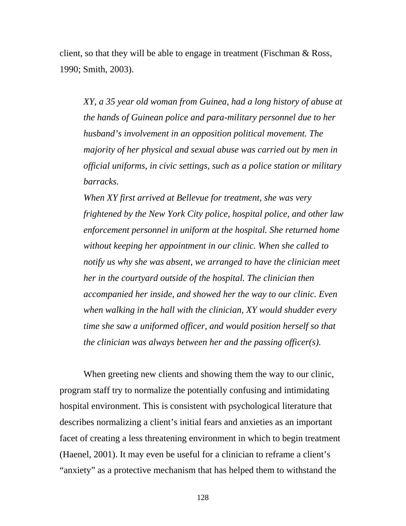client, so that they will be able to engage in treatment (Fischman  $& Ross,$ 1990; Smith, 2003).

*XY, a 35 year old woman from Guinea, had a long history of abuse at the hands of Guinean police and para-military personnel due to her husband's involvement in an opposition political movement. The majority of her physical and sexual abuse was carried out by men in official uniforms, in civic settings, such as a police station or military barracks.* 

*When XY first arrived at Bellevue for treatment, she was very frightened by the New York City police, hospital police, and other law enforcement personnel in uniform at the hospital. She returned home without keeping her appointment in our clinic. When she called to notify us why she was absent, we arranged to have the clinician meet her in the courtyard outside of the hospital. The clinician then accompanied her inside, and showed her the way to our clinic. Even when walking in the hall with the clinician, XY would shudder every time she saw a uniformed officer, and would position herself so that the clinician was always between her and the passing officer(s).* 

When greeting new clients and showing them the way to our clinic, program staff try to normalize the potentially confusing and intimidating hospital environment. This is consistent with psychological literature that describes normalizing a client's initial fears and anxieties as an important facet of creating a less threatening environment in which to begin treatment (Haenel, 2001). It may even be useful for a clinician to reframe a client's "anxiety" as a protective mechanism that has helped them to withstand the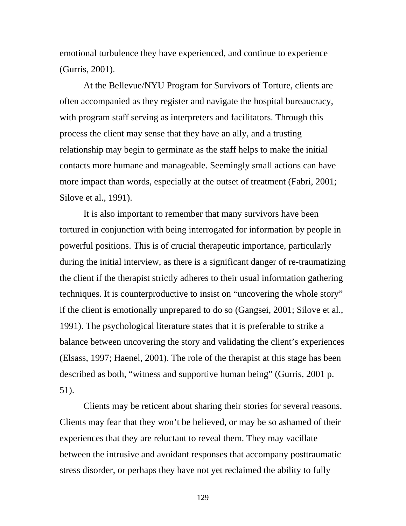emotional turbulence they have experienced, and continue to experience (Gurris, 2001).

At the Bellevue/NYU Program for Survivors of Torture, clients are often accompanied as they register and navigate the hospital bureaucracy, with program staff serving as interpreters and facilitators. Through this process the client may sense that they have an ally, and a trusting relationship may begin to germinate as the staff helps to make the initial contacts more humane and manageable. Seemingly small actions can have more impact than words, especially at the outset of treatment (Fabri, 2001; Silove et al., 1991).

It is also important to remember that many survivors have been tortured in conjunction with being interrogated for information by people in powerful positions. This is of crucial therapeutic importance, particularly during the initial interview, as there is a significant danger of re-traumatizing the client if the therapist strictly adheres to their usual information gathering techniques. It is counterproductive to insist on "uncovering the whole story" if the client is emotionally unprepared to do so (Gangsei, 2001; Silove et al., 1991). The psychological literature states that it is preferable to strike a balance between uncovering the story and validating the client's experiences (Elsass, 1997; Haenel, 2001). The role of the therapist at this stage has been described as both, "witness and supportive human being" (Gurris, 2001 p. 51).

Clients may be reticent about sharing their stories for several reasons. Clients may fear that they won't be believed, or may be so ashamed of their experiences that they are reluctant to reveal them. They may vacillate between the intrusive and avoidant responses that accompany posttraumatic stress disorder, or perhaps they have not yet reclaimed the ability to fully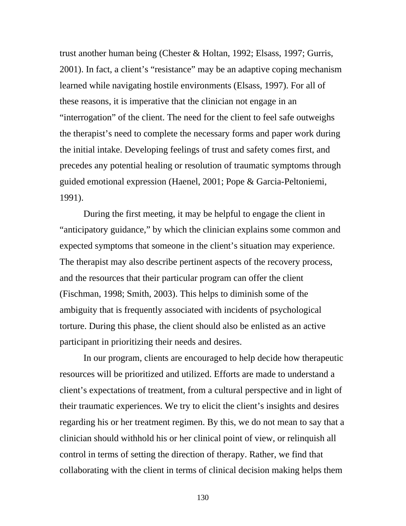trust another human being (Chester & Holtan, 1992; Elsass, 1997; Gurris, 2001). In fact, a client's "resistance" may be an adaptive coping mechanism learned while navigating hostile environments (Elsass, 1997). For all of these reasons, it is imperative that the clinician not engage in an "interrogation" of the client. The need for the client to feel safe outweighs the therapist's need to complete the necessary forms and paper work during the initial intake. Developing feelings of trust and safety comes first, and precedes any potential healing or resolution of traumatic symptoms through guided emotional expression (Haenel, 2001; Pope & Garcia-Peltoniemi, 1991).

During the first meeting, it may be helpful to engage the client in "anticipatory guidance," by which the clinician explains some common and expected symptoms that someone in the client's situation may experience. The therapist may also describe pertinent aspects of the recovery process, and the resources that their particular program can offer the client (Fischman, 1998; Smith, 2003). This helps to diminish some of the ambiguity that is frequently associated with incidents of psychological torture. During this phase, the client should also be enlisted as an active participant in prioritizing their needs and desires.

In our program, clients are encouraged to help decide how therapeutic resources will be prioritized and utilized. Efforts are made to understand a client's expectations of treatment, from a cultural perspective and in light of their traumatic experiences. We try to elicit the client's insights and desires regarding his or her treatment regimen. By this, we do not mean to say that a clinician should withhold his or her clinical point of view, or relinquish all control in terms of setting the direction of therapy. Rather, we find that collaborating with the client in terms of clinical decision making helps them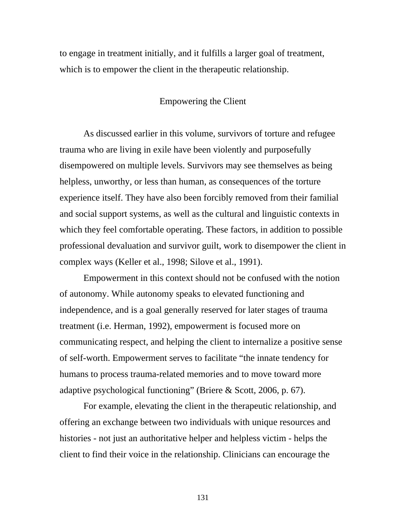to engage in treatment initially, and it fulfills a larger goal of treatment, which is to empower the client in the therapeutic relationship.

### Empowering the Client

As discussed earlier in this volume, survivors of torture and refugee trauma who are living in exile have been violently and purposefully disempowered on multiple levels. Survivors may see themselves as being helpless, unworthy, or less than human, as consequences of the torture experience itself. They have also been forcibly removed from their familial and social support systems, as well as the cultural and linguistic contexts in which they feel comfortable operating. These factors, in addition to possible professional devaluation and survivor guilt, work to disempower the client in complex ways (Keller et al., 1998; Silove et al., 1991).

Empowerment in this context should not be confused with the notion of autonomy. While autonomy speaks to elevated functioning and independence, and is a goal generally reserved for later stages of trauma treatment (i.e. Herman, 1992), empowerment is focused more on communicating respect, and helping the client to internalize a positive sense of self-worth. Empowerment serves to facilitate "the innate tendency for humans to process trauma-related memories and to move toward more adaptive psychological functioning" (Briere & Scott, 2006, p. 67).

For example, elevating the client in the therapeutic relationship, and offering an exchange between two individuals with unique resources and histories - not just an authoritative helper and helpless victim - helps the client to find their voice in the relationship. Clinicians can encourage the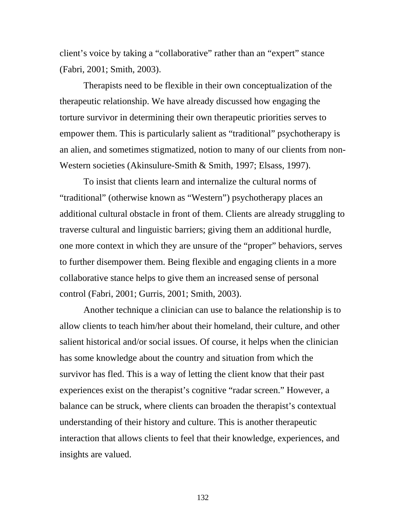client's voice by taking a "collaborative" rather than an "expert" stance (Fabri, 2001; Smith, 2003).

Therapists need to be flexible in their own conceptualization of the therapeutic relationship. We have already discussed how engaging the torture survivor in determining their own therapeutic priorities serves to empower them. This is particularly salient as "traditional" psychotherapy is an alien, and sometimes stigmatized, notion to many of our clients from non-Western societies (Akinsulure-Smith & Smith, 1997; Elsass, 1997).

To insist that clients learn and internalize the cultural norms of "traditional" (otherwise known as "Western") psychotherapy places an additional cultural obstacle in front of them. Clients are already struggling to traverse cultural and linguistic barriers; giving them an additional hurdle, one more context in which they are unsure of the "proper" behaviors, serves to further disempower them. Being flexible and engaging clients in a more collaborative stance helps to give them an increased sense of personal control (Fabri, 2001; Gurris, 2001; Smith, 2003).

Another technique a clinician can use to balance the relationship is to allow clients to teach him/her about their homeland, their culture, and other salient historical and/or social issues. Of course, it helps when the clinician has some knowledge about the country and situation from which the survivor has fled. This is a way of letting the client know that their past experiences exist on the therapist's cognitive "radar screen." However, a balance can be struck, where clients can broaden the therapist's contextual understanding of their history and culture. This is another therapeutic interaction that allows clients to feel that their knowledge, experiences, and insights are valued.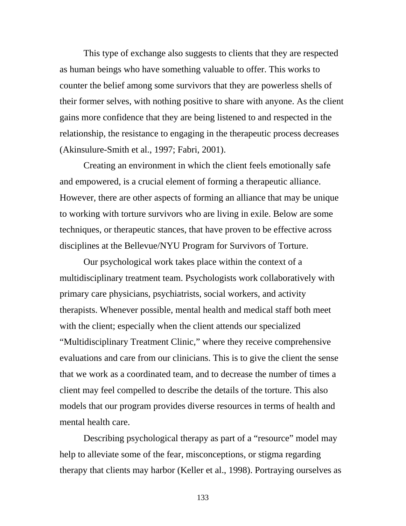This type of exchange also suggests to clients that they are respected as human beings who have something valuable to offer. This works to counter the belief among some survivors that they are powerless shells of their former selves, with nothing positive to share with anyone. As the client gains more confidence that they are being listened to and respected in the relationship, the resistance to engaging in the therapeutic process decreases (Akinsulure-Smith et al., 1997; Fabri, 2001).

Creating an environment in which the client feels emotionally safe and empowered, is a crucial element of forming a therapeutic alliance. However, there are other aspects of forming an alliance that may be unique to working with torture survivors who are living in exile. Below are some techniques, or therapeutic stances, that have proven to be effective across disciplines at the Bellevue/NYU Program for Survivors of Torture.

Our psychological work takes place within the context of a multidisciplinary treatment team. Psychologists work collaboratively with primary care physicians, psychiatrists, social workers, and activity therapists. Whenever possible, mental health and medical staff both meet with the client; especially when the client attends our specialized "Multidisciplinary Treatment Clinic," where they receive comprehensive evaluations and care from our clinicians. This is to give the client the sense that we work as a coordinated team, and to decrease the number of times a client may feel compelled to describe the details of the torture. This also models that our program provides diverse resources in terms of health and mental health care.

 Describing psychological therapy as part of a "resource" model may help to alleviate some of the fear, misconceptions, or stigma regarding therapy that clients may harbor (Keller et al., 1998). Portraying ourselves as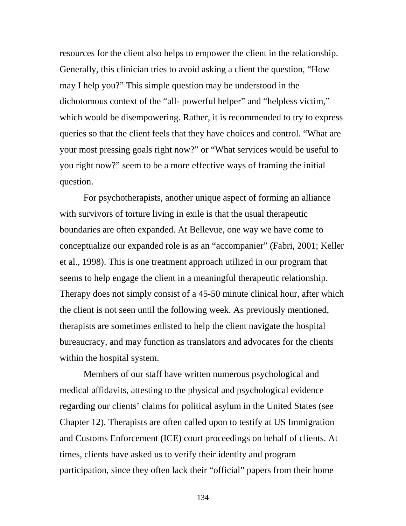resources for the client also helps to empower the client in the relationship. Generally, this clinician tries to avoid asking a client the question, "How may I help you?" This simple question may be understood in the dichotomous context of the "all- powerful helper" and "helpless victim," which would be disempowering. Rather, it is recommended to try to express queries so that the client feels that they have choices and control. "What are your most pressing goals right now?" or "What services would be useful to you right now?" seem to be a more effective ways of framing the initial question.

 For psychotherapists, another unique aspect of forming an alliance with survivors of torture living in exile is that the usual therapeutic boundaries are often expanded. At Bellevue, one way we have come to conceptualize our expanded role is as an "accompanier" (Fabri, 2001; Keller et al., 1998). This is one treatment approach utilized in our program that seems to help engage the client in a meaningful therapeutic relationship. Therapy does not simply consist of a 45-50 minute clinical hour, after which the client is not seen until the following week. As previously mentioned, therapists are sometimes enlisted to help the client navigate the hospital bureaucracy, and may function as translators and advocates for the clients within the hospital system.

 Members of our staff have written numerous psychological and medical affidavits, attesting to the physical and psychological evidence regarding our clients' claims for political asylum in the United States (see Chapter 12). Therapists are often called upon to testify at US Immigration and Customs Enforcement (ICE) court proceedings on behalf of clients. At times, clients have asked us to verify their identity and program participation, since they often lack their "official" papers from their home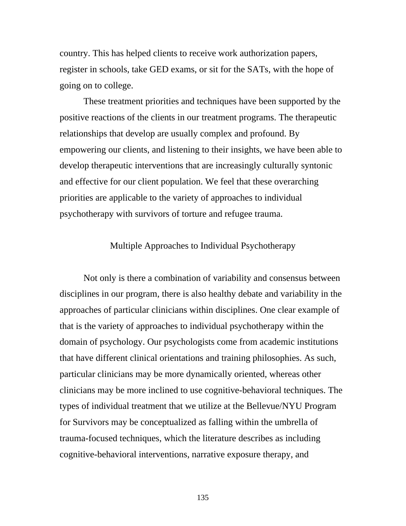country. This has helped clients to receive work authorization papers, register in schools, take GED exams, or sit for the SATs, with the hope of going on to college.

 These treatment priorities and techniques have been supported by the positive reactions of the clients in our treatment programs. The therapeutic relationships that develop are usually complex and profound. By empowering our clients, and listening to their insights, we have been able to develop therapeutic interventions that are increasingly culturally syntonic and effective for our client population. We feel that these overarching priorities are applicable to the variety of approaches to individual psychotherapy with survivors of torture and refugee trauma.

### Multiple Approaches to Individual Psychotherapy

 Not only is there a combination of variability and consensus between disciplines in our program, there is also healthy debate and variability in the approaches of particular clinicians within disciplines. One clear example of that is the variety of approaches to individual psychotherapy within the domain of psychology. Our psychologists come from academic institutions that have different clinical orientations and training philosophies. As such, particular clinicians may be more dynamically oriented, whereas other clinicians may be more inclined to use cognitive-behavioral techniques. The types of individual treatment that we utilize at the Bellevue/NYU Program for Survivors may be conceptualized as falling within the umbrella of trauma-focused techniques, which the literature describes as including cognitive-behavioral interventions, narrative exposure therapy, and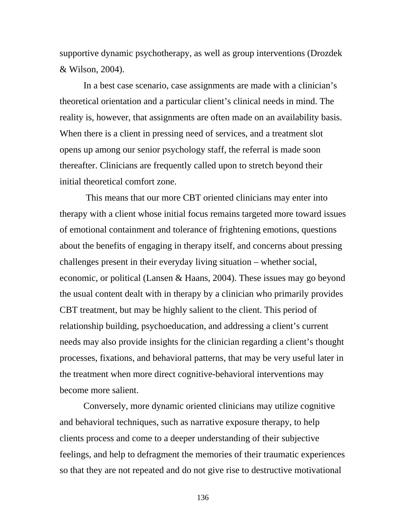supportive dynamic psychotherapy, as well as group interventions (Drozdek & Wilson, 2004).

In a best case scenario, case assignments are made with a clinician's theoretical orientation and a particular client's clinical needs in mind. The reality is, however, that assignments are often made on an availability basis. When there is a client in pressing need of services, and a treatment slot opens up among our senior psychology staff, the referral is made soon thereafter. Clinicians are frequently called upon to stretch beyond their initial theoretical comfort zone.

 This means that our more CBT oriented clinicians may enter into therapy with a client whose initial focus remains targeted more toward issues of emotional containment and tolerance of frightening emotions, questions about the benefits of engaging in therapy itself, and concerns about pressing challenges present in their everyday living situation – whether social, economic, or political (Lansen & Haans, 2004). These issues may go beyond the usual content dealt with in therapy by a clinician who primarily provides CBT treatment, but may be highly salient to the client. This period of relationship building, psychoeducation, and addressing a client's current needs may also provide insights for the clinician regarding a client's thought processes, fixations, and behavioral patterns, that may be very useful later in the treatment when more direct cognitive-behavioral interventions may become more salient.

Conversely, more dynamic oriented clinicians may utilize cognitive and behavioral techniques, such as narrative exposure therapy, to help clients process and come to a deeper understanding of their subjective feelings, and help to defragment the memories of their traumatic experiences so that they are not repeated and do not give rise to destructive motivational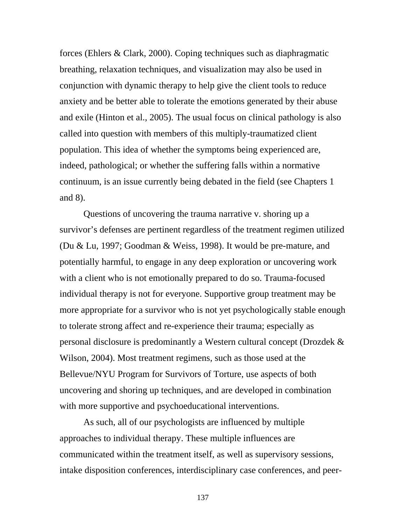forces (Ehlers & Clark, 2000). Coping techniques such as diaphragmatic breathing, relaxation techniques, and visualization may also be used in conjunction with dynamic therapy to help give the client tools to reduce anxiety and be better able to tolerate the emotions generated by their abuse and exile (Hinton et al., 2005). The usual focus on clinical pathology is also called into question with members of this multiply-traumatized client population. This idea of whether the symptoms being experienced are, indeed, pathological; or whether the suffering falls within a normative continuum, is an issue currently being debated in the field (see Chapters 1 and 8).

Questions of uncovering the trauma narrative v. shoring up a survivor's defenses are pertinent regardless of the treatment regimen utilized (Du & Lu, 1997; Goodman & Weiss, 1998). It would be pre-mature, and potentially harmful, to engage in any deep exploration or uncovering work with a client who is not emotionally prepared to do so. Trauma-focused individual therapy is not for everyone. Supportive group treatment may be more appropriate for a survivor who is not yet psychologically stable enough to tolerate strong affect and re-experience their trauma; especially as personal disclosure is predominantly a Western cultural concept (Drozdek & Wilson, 2004). Most treatment regimens, such as those used at the Bellevue/NYU Program for Survivors of Torture, use aspects of both uncovering and shoring up techniques, and are developed in combination with more supportive and psychoeducational interventions.

As such, all of our psychologists are influenced by multiple approaches to individual therapy. These multiple influences are communicated within the treatment itself, as well as supervisory sessions, intake disposition conferences, interdisciplinary case conferences, and peer-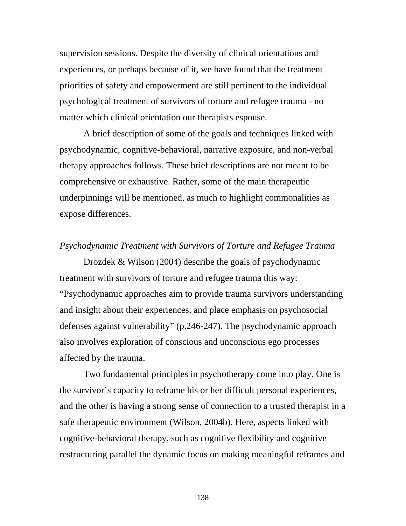supervision sessions. Despite the diversity of clinical orientations and experiences, or perhaps because of it, we have found that the treatment priorities of safety and empowerment are still pertinent to the individual psychological treatment of survivors of torture and refugee trauma - no matter which clinical orientation our therapists espouse.

A brief description of some of the goals and techniques linked with psychodynamic, cognitive-behavioral, narrative exposure, and non-verbal therapy approaches follows. These brief descriptions are not meant to be comprehensive or exhaustive. Rather, some of the main therapeutic underpinnings will be mentioned, as much to highlight commonalities as expose differences.

### *Psychodynamic Treatment with Survivors of Torture and Refugee Trauma*

 Drozdek & Wilson (2004) describe the goals of psychodynamic treatment with survivors of torture and refugee trauma this way: "Psychodynamic approaches aim to provide trauma survivors understanding and insight about their experiences, and place emphasis on psychosocial defenses against vulnerability" (p.246-247). The psychodynamic approach also involves exploration of conscious and unconscious ego processes affected by the trauma.

Two fundamental principles in psychotherapy come into play. One is the survivor's capacity to reframe his or her difficult personal experiences, and the other is having a strong sense of connection to a trusted therapist in a safe therapeutic environment (Wilson, 2004b). Here, aspects linked with cognitive-behavioral therapy, such as cognitive flexibility and cognitive restructuring parallel the dynamic focus on making meaningful reframes and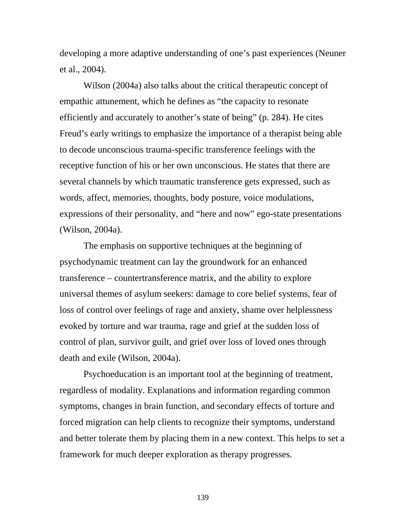developing a more adaptive understanding of one's past experiences (Neuner et al., 2004).

 Wilson (2004a) also talks about the critical therapeutic concept of empathic attunement, which he defines as "the capacity to resonate efficiently and accurately to another's state of being" (p. 284). He cites Freud's early writings to emphasize the importance of a therapist being able to decode unconscious trauma-specific transference feelings with the receptive function of his or her own unconscious. He states that there are several channels by which traumatic transference gets expressed, such as words, affect, memories, thoughts, body posture, voice modulations, expressions of their personality, and "here and now" ego-state presentations (Wilson, 2004a).

 The emphasis on supportive techniques at the beginning of psychodynamic treatment can lay the groundwork for an enhanced transference – countertransference matrix, and the ability to explore universal themes of asylum seekers: damage to core belief systems, fear of loss of control over feelings of rage and anxiety, shame over helplessness evoked by torture and war trauma, rage and grief at the sudden loss of control of plan, survivor guilt, and grief over loss of loved ones through death and exile (Wilson, 2004a).

Psychoeducation is an important tool at the beginning of treatment, regardless of modality. Explanations and information regarding common symptoms, changes in brain function, and secondary effects of torture and forced migration can help clients to recognize their symptoms, understand and better tolerate them by placing them in a new context. This helps to set a framework for much deeper exploration as therapy progresses.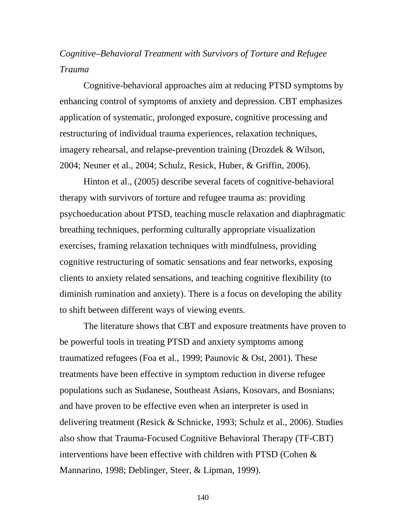# *Cognitive–Behavioral Treatment with Survivors of Torture and Refugee Trauma*

 Cognitive-behavioral approaches aim at reducing PTSD symptoms by enhancing control of symptoms of anxiety and depression. CBT emphasizes application of systematic, prolonged exposure, cognitive processing and restructuring of individual trauma experiences, relaxation techniques, imagery rehearsal, and relapse-prevention training (Drozdek & Wilson, 2004; Neuner et al., 2004; Schulz, Resick, Huber, & Griffin, 2006).

Hinton et al., (2005) describe several facets of cognitive-behavioral therapy with survivors of torture and refugee trauma as: providing psychoeducation about PTSD, teaching muscle relaxation and diaphragmatic breathing techniques, performing culturally appropriate visualization exercises, framing relaxation techniques with mindfulness, providing cognitive restructuring of somatic sensations and fear networks, exposing clients to anxiety related sensations, and teaching cognitive flexibility (to diminish rumination and anxiety). There is a focus on developing the ability to shift between different ways of viewing events.

The literature shows that CBT and exposure treatments have proven to be powerful tools in treating PTSD and anxiety symptoms among traumatized refugees (Foa et al., 1999; Paunovic & Ost, 2001). These treatments have been effective in symptom reduction in diverse refugee populations such as Sudanese, Southeast Asians, Kosovars, and Bosnians; and have proven to be effective even when an interpreter is used in delivering treatment (Resick & Schnicke, 1993; Schulz et al., 2006). Studies also show that Trauma-Focused Cognitive Behavioral Therapy (TF-CBT) interventions have been effective with children with PTSD (Cohen & Mannarino, 1998; Deblinger, Steer, & Lipman, 1999).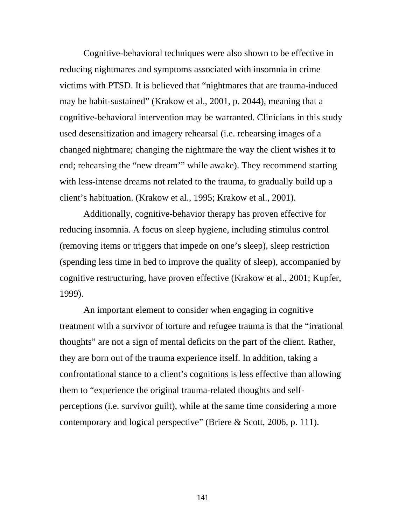Cognitive-behavioral techniques were also shown to be effective in reducing nightmares and symptoms associated with insomnia in crime victims with PTSD. It is believed that "nightmares that are trauma-induced may be habit-sustained" (Krakow et al., 2001, p. 2044), meaning that a cognitive-behavioral intervention may be warranted. Clinicians in this study used desensitization and imagery rehearsal (i.e. rehearsing images of a changed nightmare; changing the nightmare the way the client wishes it to end; rehearsing the "new dream'" while awake). They recommend starting with less-intense dreams not related to the trauma, to gradually build up a client's habituation. (Krakow et al., 1995; Krakow et al., 2001).

Additionally, cognitive-behavior therapy has proven effective for reducing insomnia. A focus on sleep hygiene, including stimulus control (removing items or triggers that impede on one's sleep), sleep restriction (spending less time in bed to improve the quality of sleep), accompanied by cognitive restructuring, have proven effective (Krakow et al., 2001; Kupfer, 1999).

An important element to consider when engaging in cognitive treatment with a survivor of torture and refugee trauma is that the "irrational thoughts" are not a sign of mental deficits on the part of the client. Rather, they are born out of the trauma experience itself. In addition, taking a confrontational stance to a client's cognitions is less effective than allowing them to "experience the original trauma-related thoughts and selfperceptions (i.e. survivor guilt), while at the same time considering a more contemporary and logical perspective" (Briere & Scott, 2006, p. 111).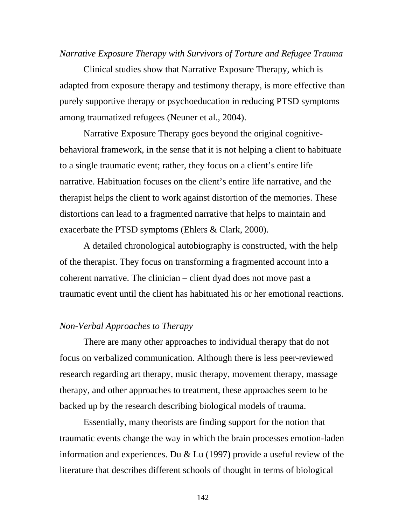#### *Narrative Exposure Therapy with Survivors of Torture and Refugee Trauma*

Clinical studies show that Narrative Exposure Therapy, which is adapted from exposure therapy and testimony therapy, is more effective than purely supportive therapy or psychoeducation in reducing PTSD symptoms among traumatized refugees (Neuner et al., 2004).

Narrative Exposure Therapy goes beyond the original cognitivebehavioral framework, in the sense that it is not helping a client to habituate to a single traumatic event; rather, they focus on a client's entire life narrative. Habituation focuses on the client's entire life narrative, and the therapist helps the client to work against distortion of the memories. These distortions can lead to a fragmented narrative that helps to maintain and exacerbate the PTSD symptoms (Ehlers & Clark, 2000).

A detailed chronological autobiography is constructed, with the help of the therapist. They focus on transforming a fragmented account into a coherent narrative. The clinician – client dyad does not move past a traumatic event until the client has habituated his or her emotional reactions.

### *Non-Verbal Approaches to Therapy*

 There are many other approaches to individual therapy that do not focus on verbalized communication. Although there is less peer-reviewed research regarding art therapy, music therapy, movement therapy, massage therapy, and other approaches to treatment, these approaches seem to be backed up by the research describing biological models of trauma.

 Essentially, many theorists are finding support for the notion that traumatic events change the way in which the brain processes emotion-laden information and experiences. Du & Lu (1997) provide a useful review of the literature that describes different schools of thought in terms of biological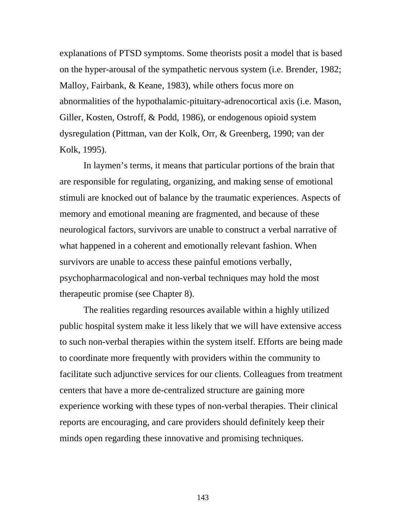explanations of PTSD symptoms. Some theorists posit a model that is based on the hyper-arousal of the sympathetic nervous system (i.e. Brender, 1982; Malloy, Fairbank, & Keane, 1983), while others focus more on abnormalities of the hypothalamic-pituitary-adrenocortical axis (i.e. Mason, Giller, Kosten, Ostroff, & Podd, 1986), or endogenous opioid system dysregulation (Pittman, van der Kolk, Orr, & Greenberg, 1990; van der Kolk, 1995).

In laymen's terms, it means that particular portions of the brain that are responsible for regulating, organizing, and making sense of emotional stimuli are knocked out of balance by the traumatic experiences. Aspects of memory and emotional meaning are fragmented, and because of these neurological factors, survivors are unable to construct a verbal narrative of what happened in a coherent and emotionally relevant fashion. When survivors are unable to access these painful emotions verbally, psychopharmacological and non-verbal techniques may hold the most therapeutic promise (see Chapter 8).

 The realities regarding resources available within a highly utilized public hospital system make it less likely that we will have extensive access to such non-verbal therapies within the system itself. Efforts are being made to coordinate more frequently with providers within the community to facilitate such adjunctive services for our clients. Colleagues from treatment centers that have a more de-centralized structure are gaining more experience working with these types of non-verbal therapies. Their clinical reports are encouraging, and care providers should definitely keep their minds open regarding these innovative and promising techniques.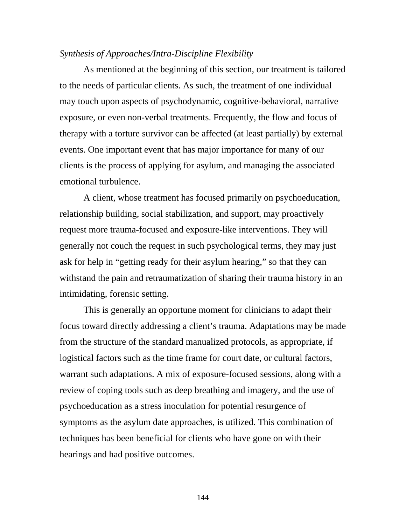### *Synthesis of Approaches/Intra-Discipline Flexibility*

 As mentioned at the beginning of this section, our treatment is tailored to the needs of particular clients. As such, the treatment of one individual may touch upon aspects of psychodynamic, cognitive-behavioral, narrative exposure, or even non-verbal treatments. Frequently, the flow and focus of therapy with a torture survivor can be affected (at least partially) by external events. One important event that has major importance for many of our clients is the process of applying for asylum, and managing the associated emotional turbulence.

 A client, whose treatment has focused primarily on psychoeducation, relationship building, social stabilization, and support, may proactively request more trauma-focused and exposure-like interventions. They will generally not couch the request in such psychological terms, they may just ask for help in "getting ready for their asylum hearing," so that they can withstand the pain and retraumatization of sharing their trauma history in an intimidating, forensic setting.

 This is generally an opportune moment for clinicians to adapt their focus toward directly addressing a client's trauma. Adaptations may be made from the structure of the standard manualized protocols, as appropriate, if logistical factors such as the time frame for court date, or cultural factors, warrant such adaptations. A mix of exposure-focused sessions, along with a review of coping tools such as deep breathing and imagery, and the use of psychoeducation as a stress inoculation for potential resurgence of symptoms as the asylum date approaches, is utilized. This combination of techniques has been beneficial for clients who have gone on with their hearings and had positive outcomes.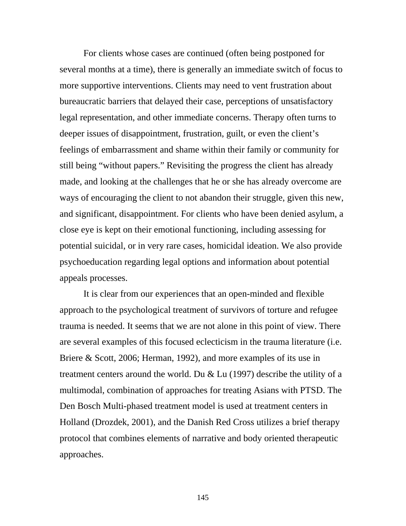For clients whose cases are continued (often being postponed for several months at a time), there is generally an immediate switch of focus to more supportive interventions. Clients may need to vent frustration about bureaucratic barriers that delayed their case, perceptions of unsatisfactory legal representation, and other immediate concerns. Therapy often turns to deeper issues of disappointment, frustration, guilt, or even the client's feelings of embarrassment and shame within their family or community for still being "without papers." Revisiting the progress the client has already made, and looking at the challenges that he or she has already overcome are ways of encouraging the client to not abandon their struggle, given this new, and significant, disappointment. For clients who have been denied asylum, a close eye is kept on their emotional functioning, including assessing for potential suicidal, or in very rare cases, homicidal ideation. We also provide psychoeducation regarding legal options and information about potential appeals processes.

 It is clear from our experiences that an open-minded and flexible approach to the psychological treatment of survivors of torture and refugee trauma is needed. It seems that we are not alone in this point of view. There are several examples of this focused eclecticism in the trauma literature (i.e. Briere & Scott, 2006; Herman, 1992), and more examples of its use in treatment centers around the world. Du & Lu (1997) describe the utility of a multimodal, combination of approaches for treating Asians with PTSD. The Den Bosch Multi-phased treatment model is used at treatment centers in Holland (Drozdek, 2001), and the Danish Red Cross utilizes a brief therapy protocol that combines elements of narrative and body oriented therapeutic approaches.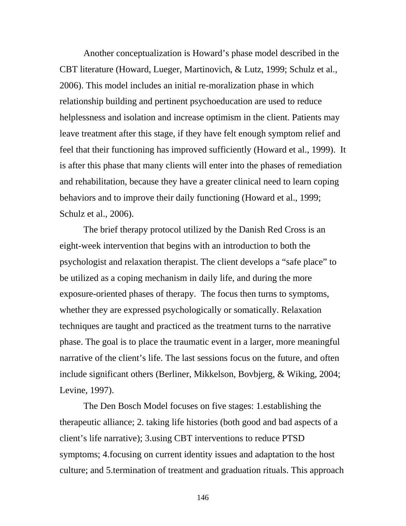Another conceptualization is Howard's phase model described in the CBT literature (Howard, Lueger, Martinovich, & Lutz, 1999; Schulz et al., 2006). This model includes an initial re-moralization phase in which relationship building and pertinent psychoeducation are used to reduce helplessness and isolation and increase optimism in the client. Patients may leave treatment after this stage, if they have felt enough symptom relief and feel that their functioning has improved sufficiently (Howard et al., 1999). It is after this phase that many clients will enter into the phases of remediation and rehabilitation, because they have a greater clinical need to learn coping behaviors and to improve their daily functioning (Howard et al., 1999; Schulz et al., 2006).

The brief therapy protocol utilized by the Danish Red Cross is an eight-week intervention that begins with an introduction to both the psychologist and relaxation therapist. The client develops a "safe place" to be utilized as a coping mechanism in daily life, and during the more exposure-oriented phases of therapy. The focus then turns to symptoms, whether they are expressed psychologically or somatically. Relaxation techniques are taught and practiced as the treatment turns to the narrative phase. The goal is to place the traumatic event in a larger, more meaningful narrative of the client's life. The last sessions focus on the future, and often include significant others (Berliner, Mikkelson, Bovbjerg, & Wiking, 2004; Levine, 1997).

 The Den Bosch Model focuses on five stages: 1.establishing the therapeutic alliance; 2. taking life histories (both good and bad aspects of a client's life narrative); 3.using CBT interventions to reduce PTSD symptoms; 4.focusing on current identity issues and adaptation to the host culture; and 5.termination of treatment and graduation rituals. This approach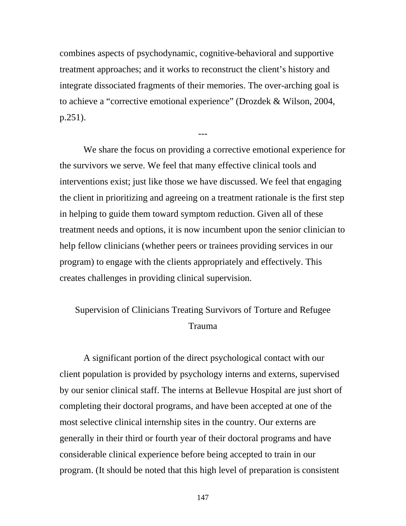combines aspects of psychodynamic, cognitive-behavioral and supportive treatment approaches; and it works to reconstruct the client's history and integrate dissociated fragments of their memories. The over-arching goal is to achieve a "corrective emotional experience" (Drozdek & Wilson, 2004, p.251).

---

 We share the focus on providing a corrective emotional experience for the survivors we serve. We feel that many effective clinical tools and interventions exist; just like those we have discussed. We feel that engaging the client in prioritizing and agreeing on a treatment rationale is the first step in helping to guide them toward symptom reduction. Given all of these treatment needs and options, it is now incumbent upon the senior clinician to help fellow clinicians (whether peers or trainees providing services in our program) to engage with the clients appropriately and effectively. This creates challenges in providing clinical supervision.

# Supervision of Clinicians Treating Survivors of Torture and Refugee Trauma

A significant portion of the direct psychological contact with our client population is provided by psychology interns and externs, supervised by our senior clinical staff. The interns at Bellevue Hospital are just short of completing their doctoral programs, and have been accepted at one of the most selective clinical internship sites in the country. Our externs are generally in their third or fourth year of their doctoral programs and have considerable clinical experience before being accepted to train in our program. (It should be noted that this high level of preparation is consistent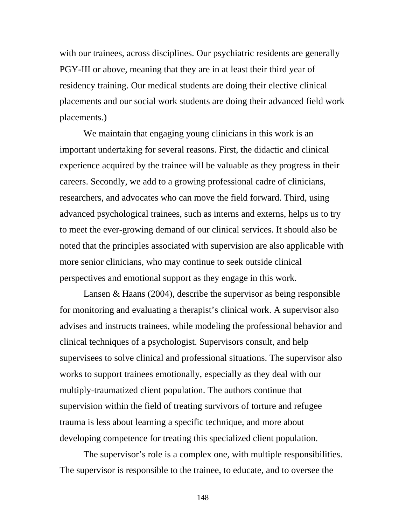with our trainees, across disciplines. Our psychiatric residents are generally PGY-III or above, meaning that they are in at least their third year of residency training. Our medical students are doing their elective clinical placements and our social work students are doing their advanced field work placements.)

We maintain that engaging young clinicians in this work is an important undertaking for several reasons. First, the didactic and clinical experience acquired by the trainee will be valuable as they progress in their careers. Secondly, we add to a growing professional cadre of clinicians, researchers, and advocates who can move the field forward. Third, using advanced psychological trainees, such as interns and externs, helps us to try to meet the ever-growing demand of our clinical services. It should also be noted that the principles associated with supervision are also applicable with more senior clinicians, who may continue to seek outside clinical perspectives and emotional support as they engage in this work.

 Lansen & Haans (2004), describe the supervisor as being responsible for monitoring and evaluating a therapist's clinical work. A supervisor also advises and instructs trainees, while modeling the professional behavior and clinical techniques of a psychologist. Supervisors consult, and help supervisees to solve clinical and professional situations. The supervisor also works to support trainees emotionally, especially as they deal with our multiply-traumatized client population. The authors continue that supervision within the field of treating survivors of torture and refugee trauma is less about learning a specific technique, and more about developing competence for treating this specialized client population.

 The supervisor's role is a complex one, with multiple responsibilities. The supervisor is responsible to the trainee, to educate, and to oversee the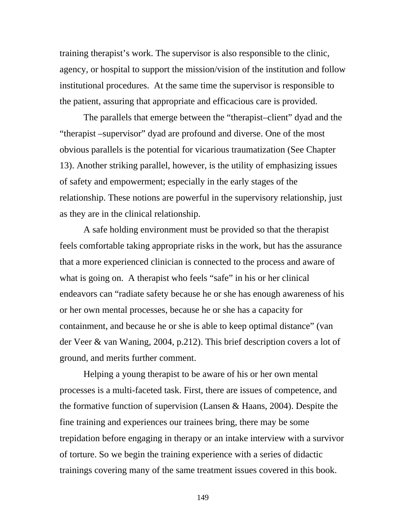training therapist's work. The supervisor is also responsible to the clinic, agency, or hospital to support the mission/vision of the institution and follow institutional procedures. At the same time the supervisor is responsible to the patient, assuring that appropriate and efficacious care is provided.

The parallels that emerge between the "therapist–client" dyad and the "therapist –supervisor" dyad are profound and diverse. One of the most obvious parallels is the potential for vicarious traumatization (See Chapter 13). Another striking parallel, however, is the utility of emphasizing issues of safety and empowerment; especially in the early stages of the relationship. These notions are powerful in the supervisory relationship, just as they are in the clinical relationship.

A safe holding environment must be provided so that the therapist feels comfortable taking appropriate risks in the work, but has the assurance that a more experienced clinician is connected to the process and aware of what is going on. A therapist who feels "safe" in his or her clinical endeavors can "radiate safety because he or she has enough awareness of his or her own mental processes, because he or she has a capacity for containment, and because he or she is able to keep optimal distance" (van der Veer & van Waning, 2004, p.212). This brief description covers a lot of ground, and merits further comment.

Helping a young therapist to be aware of his or her own mental processes is a multi-faceted task. First, there are issues of competence, and the formative function of supervision (Lansen & Haans, 2004). Despite the fine training and experiences our trainees bring, there may be some trepidation before engaging in therapy or an intake interview with a survivor of torture. So we begin the training experience with a series of didactic trainings covering many of the same treatment issues covered in this book.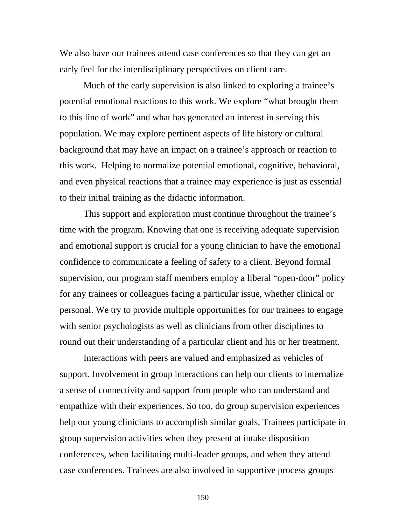We also have our trainees attend case conferences so that they can get an early feel for the interdisciplinary perspectives on client care.

Much of the early supervision is also linked to exploring a trainee's potential emotional reactions to this work. We explore "what brought them to this line of work" and what has generated an interest in serving this population. We may explore pertinent aspects of life history or cultural background that may have an impact on a trainee's approach or reaction to this work. Helping to normalize potential emotional, cognitive, behavioral, and even physical reactions that a trainee may experience is just as essential to their initial training as the didactic information.

This support and exploration must continue throughout the trainee's time with the program. Knowing that one is receiving adequate supervision and emotional support is crucial for a young clinician to have the emotional confidence to communicate a feeling of safety to a client. Beyond formal supervision, our program staff members employ a liberal "open-door" policy for any trainees or colleagues facing a particular issue, whether clinical or personal. We try to provide multiple opportunities for our trainees to engage with senior psychologists as well as clinicians from other disciplines to round out their understanding of a particular client and his or her treatment.

Interactions with peers are valued and emphasized as vehicles of support. Involvement in group interactions can help our clients to internalize a sense of connectivity and support from people who can understand and empathize with their experiences. So too, do group supervision experiences help our young clinicians to accomplish similar goals. Trainees participate in group supervision activities when they present at intake disposition conferences, when facilitating multi-leader groups, and when they attend case conferences. Trainees are also involved in supportive process groups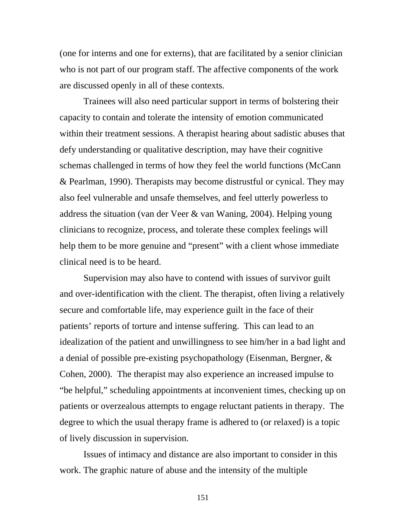(one for interns and one for externs), that are facilitated by a senior clinician who is not part of our program staff. The affective components of the work are discussed openly in all of these contexts.

Trainees will also need particular support in terms of bolstering their capacity to contain and tolerate the intensity of emotion communicated within their treatment sessions. A therapist hearing about sadistic abuses that defy understanding or qualitative description, may have their cognitive schemas challenged in terms of how they feel the world functions (McCann & Pearlman, 1990). Therapists may become distrustful or cynical. They may also feel vulnerable and unsafe themselves, and feel utterly powerless to address the situation (van der Veer & van Waning, 2004). Helping young clinicians to recognize, process, and tolerate these complex feelings will help them to be more genuine and "present" with a client whose immediate clinical need is to be heard.

Supervision may also have to contend with issues of survivor guilt and over-identification with the client. The therapist, often living a relatively secure and comfortable life, may experience guilt in the face of their patients' reports of torture and intense suffering. This can lead to an idealization of the patient and unwillingness to see him/her in a bad light and a denial of possible pre-existing psychopathology (Eisenman, Bergner, & Cohen, 2000). The therapist may also experience an increased impulse to "be helpful," scheduling appointments at inconvenient times, checking up on patients or overzealous attempts to engage reluctant patients in therapy. The degree to which the usual therapy frame is adhered to (or relaxed) is a topic of lively discussion in supervision.

Issues of intimacy and distance are also important to consider in this work. The graphic nature of abuse and the intensity of the multiple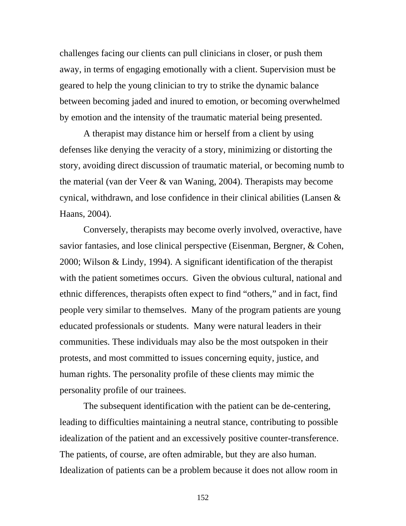challenges facing our clients can pull clinicians in closer, or push them away, in terms of engaging emotionally with a client. Supervision must be geared to help the young clinician to try to strike the dynamic balance between becoming jaded and inured to emotion, or becoming overwhelmed by emotion and the intensity of the traumatic material being presented.

A therapist may distance him or herself from a client by using defenses like denying the veracity of a story, minimizing or distorting the story, avoiding direct discussion of traumatic material, or becoming numb to the material (van der Veer & van Waning, 2004). Therapists may become cynical, withdrawn, and lose confidence in their clinical abilities (Lansen & Haans, 2004).

Conversely, therapists may become overly involved, overactive, have savior fantasies, and lose clinical perspective (Eisenman, Bergner, & Cohen, 2000; Wilson & Lindy, 1994). A significant identification of the therapist with the patient sometimes occurs. Given the obvious cultural, national and ethnic differences, therapists often expect to find "others," and in fact, find people very similar to themselves. Many of the program patients are young educated professionals or students. Many were natural leaders in their communities. These individuals may also be the most outspoken in their protests, and most committed to issues concerning equity, justice, and human rights. The personality profile of these clients may mimic the personality profile of our trainees.

The subsequent identification with the patient can be de-centering, leading to difficulties maintaining a neutral stance, contributing to possible idealization of the patient and an excessively positive counter-transference. The patients, of course, are often admirable, but they are also human. Idealization of patients can be a problem because it does not allow room in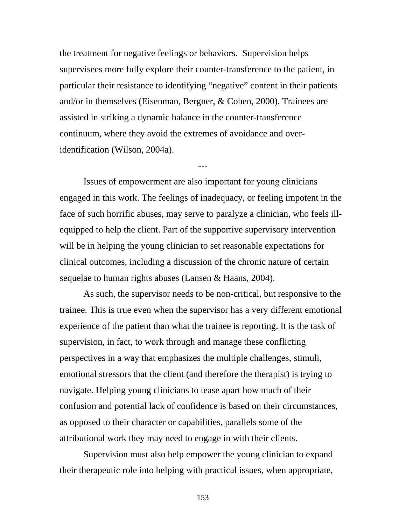the treatment for negative feelings or behaviors. Supervision helps supervisees more fully explore their counter-transference to the patient, in particular their resistance to identifying "negative" content in their patients and/or in themselves (Eisenman, Bergner, & Cohen, 2000). Trainees are assisted in striking a dynamic balance in the counter-transference continuum, where they avoid the extremes of avoidance and overidentification (Wilson, 2004a).

Issues of empowerment are also important for young clinicians engaged in this work. The feelings of inadequacy, or feeling impotent in the face of such horrific abuses, may serve to paralyze a clinician, who feels illequipped to help the client. Part of the supportive supervisory intervention will be in helping the young clinician to set reasonable expectations for clinical outcomes, including a discussion of the chronic nature of certain sequelae to human rights abuses (Lansen & Haans, 2004).

---

As such, the supervisor needs to be non-critical, but responsive to the trainee. This is true even when the supervisor has a very different emotional experience of the patient than what the trainee is reporting. It is the task of supervision, in fact, to work through and manage these conflicting perspectives in a way that emphasizes the multiple challenges, stimuli, emotional stressors that the client (and therefore the therapist) is trying to navigate. Helping young clinicians to tease apart how much of their confusion and potential lack of confidence is based on their circumstances, as opposed to their character or capabilities, parallels some of the attributional work they may need to engage in with their clients.

Supervision must also help empower the young clinician to expand their therapeutic role into helping with practical issues, when appropriate,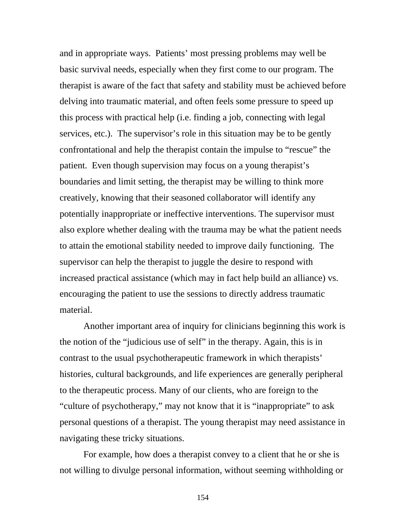and in appropriate ways. Patients' most pressing problems may well be basic survival needs, especially when they first come to our program. The therapist is aware of the fact that safety and stability must be achieved before delving into traumatic material, and often feels some pressure to speed up this process with practical help (i.e. finding a job, connecting with legal services, etc.). The supervisor's role in this situation may be to be gently confrontational and help the therapist contain the impulse to "rescue" the patient. Even though supervision may focus on a young therapist's boundaries and limit setting, the therapist may be willing to think more creatively, knowing that their seasoned collaborator will identify any potentially inappropriate or ineffective interventions. The supervisor must also explore whether dealing with the trauma may be what the patient needs to attain the emotional stability needed to improve daily functioning. The supervisor can help the therapist to juggle the desire to respond with increased practical assistance (which may in fact help build an alliance) vs. encouraging the patient to use the sessions to directly address traumatic material.

Another important area of inquiry for clinicians beginning this work is the notion of the "judicious use of self" in the therapy. Again, this is in contrast to the usual psychotherapeutic framework in which therapists' histories, cultural backgrounds, and life experiences are generally peripheral to the therapeutic process. Many of our clients, who are foreign to the "culture of psychotherapy," may not know that it is "inappropriate" to ask personal questions of a therapist. The young therapist may need assistance in navigating these tricky situations.

For example, how does a therapist convey to a client that he or she is not willing to divulge personal information, without seeming withholding or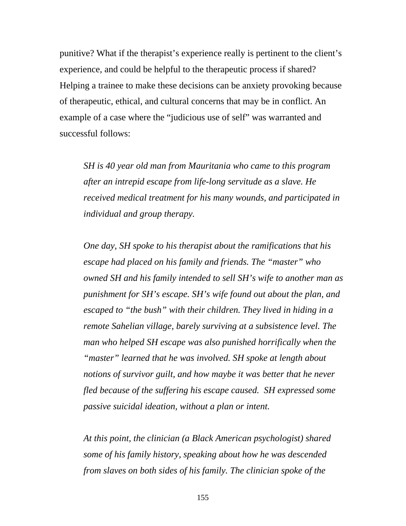punitive? What if the therapist's experience really is pertinent to the client's experience, and could be helpful to the therapeutic process if shared? Helping a trainee to make these decisions can be anxiety provoking because of therapeutic, ethical, and cultural concerns that may be in conflict. An example of a case where the "judicious use of self" was warranted and successful follows:

*SH is 40 year old man from Mauritania who came to this program after an intrepid escape from life-long servitude as a slave. He received medical treatment for his many wounds, and participated in individual and group therapy.* 

*One day, SH spoke to his therapist about the ramifications that his escape had placed on his family and friends. The "master" who owned SH and his family intended to sell SH's wife to another man as punishment for SH's escape. SH's wife found out about the plan, and escaped to "the bush" with their children. They lived in hiding in a remote Sahelian village, barely surviving at a subsistence level. The man who helped SH escape was also punished horrifically when the "master" learned that he was involved. SH spoke at length about notions of survivor guilt, and how maybe it was better that he never fled because of the suffering his escape caused. SH expressed some passive suicidal ideation, without a plan or intent.* 

*At this point, the clinician (a Black American psychologist) shared some of his family history, speaking about how he was descended from slaves on both sides of his family. The clinician spoke of the*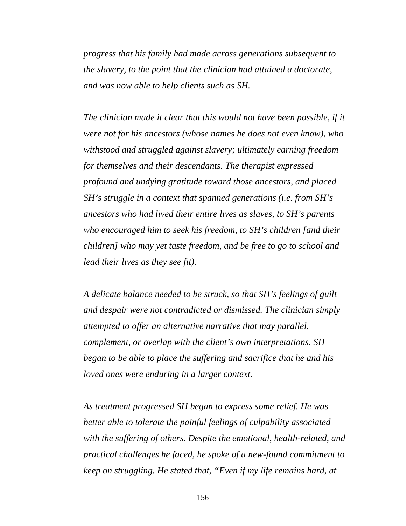*progress that his family had made across generations subsequent to the slavery, to the point that the clinician had attained a doctorate, and was now able to help clients such as SH.* 

The clinician made it clear that this would not have been possible, if it *were not for his ancestors (whose names he does not even know), who withstood and struggled against slavery; ultimately earning freedom for themselves and their descendants. The therapist expressed profound and undying gratitude toward those ancestors, and placed SH's struggle in a context that spanned generations (i.e. from SH's ancestors who had lived their entire lives as slaves, to SH's parents who encouraged him to seek his freedom, to SH's children [and their children] who may yet taste freedom, and be free to go to school and lead their lives as they see fit).* 

*A delicate balance needed to be struck, so that SH's feelings of guilt and despair were not contradicted or dismissed. The clinician simply attempted to offer an alternative narrative that may parallel, complement, or overlap with the client's own interpretations. SH began to be able to place the suffering and sacrifice that he and his loved ones were enduring in a larger context.* 

*As treatment progressed SH began to express some relief. He was better able to tolerate the painful feelings of culpability associated with the suffering of others. Despite the emotional, health-related, and practical challenges he faced, he spoke of a new-found commitment to keep on struggling. He stated that, "Even if my life remains hard, at*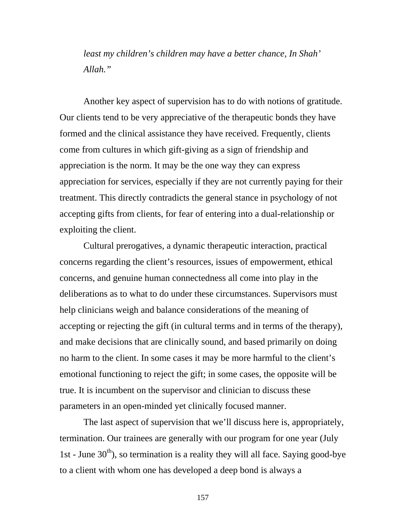*least my children's children may have a better chance, In Shah' Allah."* 

Another key aspect of supervision has to do with notions of gratitude. Our clients tend to be very appreciative of the therapeutic bonds they have formed and the clinical assistance they have received. Frequently, clients come from cultures in which gift-giving as a sign of friendship and appreciation is the norm. It may be the one way they can express appreciation for services, especially if they are not currently paying for their treatment. This directly contradicts the general stance in psychology of not accepting gifts from clients, for fear of entering into a dual-relationship or exploiting the client.

Cultural prerogatives, a dynamic therapeutic interaction, practical concerns regarding the client's resources, issues of empowerment, ethical concerns, and genuine human connectedness all come into play in the deliberations as to what to do under these circumstances. Supervisors must help clinicians weigh and balance considerations of the meaning of accepting or rejecting the gift (in cultural terms and in terms of the therapy), and make decisions that are clinically sound, and based primarily on doing no harm to the client. In some cases it may be more harmful to the client's emotional functioning to reject the gift; in some cases, the opposite will be true. It is incumbent on the supervisor and clinician to discuss these parameters in an open-minded yet clinically focused manner.

The last aspect of supervision that we'll discuss here is, appropriately, termination. Our trainees are generally with our program for one year (July 1st - June  $30<sup>th</sup>$ ), so termination is a reality they will all face. Saying good-bye to a client with whom one has developed a deep bond is always a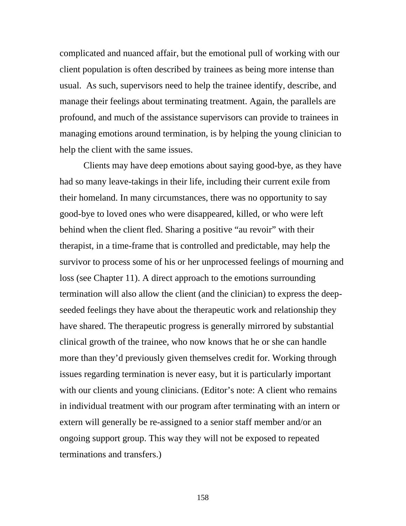complicated and nuanced affair, but the emotional pull of working with our client population is often described by trainees as being more intense than usual. As such, supervisors need to help the trainee identify, describe, and manage their feelings about terminating treatment. Again, the parallels are profound, and much of the assistance supervisors can provide to trainees in managing emotions around termination, is by helping the young clinician to help the client with the same issues.

Clients may have deep emotions about saying good-bye, as they have had so many leave-takings in their life, including their current exile from their homeland. In many circumstances, there was no opportunity to say good-bye to loved ones who were disappeared, killed, or who were left behind when the client fled. Sharing a positive "au revoir" with their therapist, in a time-frame that is controlled and predictable, may help the survivor to process some of his or her unprocessed feelings of mourning and loss (see Chapter 11). A direct approach to the emotions surrounding termination will also allow the client (and the clinician) to express the deepseeded feelings they have about the therapeutic work and relationship they have shared. The therapeutic progress is generally mirrored by substantial clinical growth of the trainee, who now knows that he or she can handle more than they'd previously given themselves credit for. Working through issues regarding termination is never easy, but it is particularly important with our clients and young clinicians. (Editor's note: A client who remains in individual treatment with our program after terminating with an intern or extern will generally be re-assigned to a senior staff member and/or an ongoing support group. This way they will not be exposed to repeated terminations and transfers.)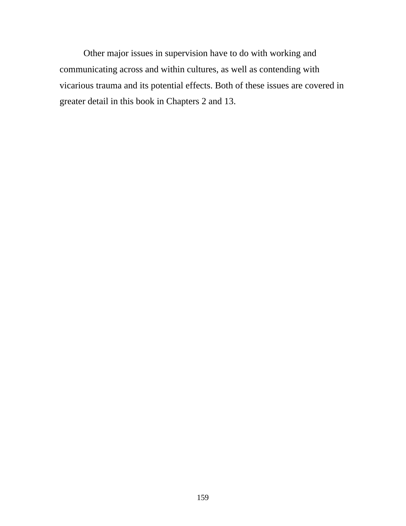Other major issues in supervision have to do with working and communicating across and within cultures, as well as contending with vicarious trauma and its potential effects. Both of these issues are covered in greater detail in this book in Chapters 2 and 13.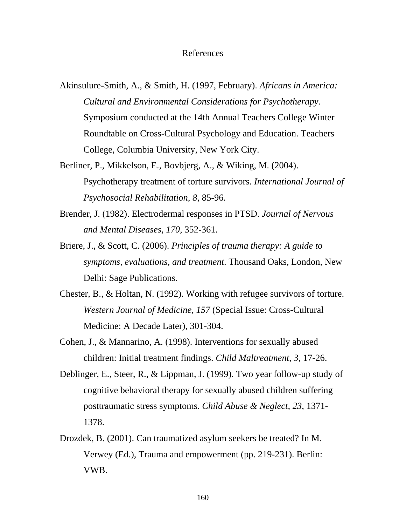#### References

- Akinsulure-Smith, A., & Smith, H. (1997, February). *Africans in America: Cultural and Environmental Considerations for Psychotherapy.* Symposium conducted at the 14th Annual Teachers College Winter Roundtable on Cross-Cultural Psychology and Education. Teachers College, Columbia University, New York City.
- Berliner, P., Mikkelson, E., Bovbjerg, A., & Wiking, M. (2004). Psychotherapy treatment of torture survivors. *International Journal of Psychosocial Rehabilitation, 8*, 85-96.
- Brender, J. (1982). Electrodermal responses in PTSD. *Journal of Nervous and Mental Diseases, 170,* 352-361.
- Briere, J., & Scott, C. (2006). *Principles of trauma therapy: A guide to symptoms, evaluations, and treatment*. Thousand Oaks, London, New Delhi: Sage Publications.
- Chester, B., & Holtan, N. (1992). Working with refugee survivors of torture. *Western Journal of Medicine, 157* (Special Issue: Cross-Cultural Medicine: A Decade Later), 301-304.
- Cohen, J., & Mannarino, A. (1998). Interventions for sexually abused children: Initial treatment findings. *Child Maltreatment, 3,* 17-26.
- Deblinger, E., Steer, R., & Lippman, J. (1999). Two year follow-up study of cognitive behavioral therapy for sexually abused children suffering posttraumatic stress symptoms. *Child Abuse & Neglect, 23*, 1371- 1378.
- Drozdek, B. (2001). Can traumatized asylum seekers be treated? In M. Verwey (Ed.), Trauma and empowerment (pp. 219-231). Berlin: VWB.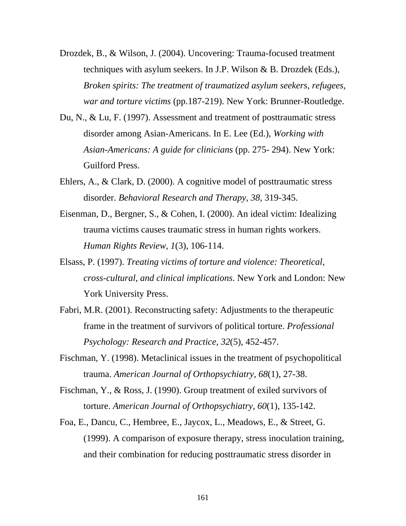- Drozdek, B., & Wilson, J. (2004). Uncovering: Trauma-focused treatment techniques with asylum seekers. In J.P. Wilson & B. Drozdek (Eds.), *Broken spirits: The treatment of traumatized asylum seekers, refugees, war and torture victims* (pp.187-219). New York: Brunner-Routledge.
- Du, N., & Lu, F. (1997). Assessment and treatment of posttraumatic stress disorder among Asian-Americans. In E. Lee (Ed.), *Working with Asian-Americans: A guide for clinicians* (pp. 275- 294). New York: Guilford Press.
- Ehlers, A., & Clark, D. (2000). A cognitive model of posttraumatic stress disorder. *Behavioral Research and Therapy, 38,* 319-345.
- Eisenman, D., Bergner, S., & Cohen, I. (2000). An ideal victim: Idealizing trauma victims causes traumatic stress in human rights workers. *Human Rights Review, 1*(3), 106-114.
- Elsass, P. (1997). *Treating victims of torture and violence: Theoretical, cross-cultural, and clinical implications*. New York and London: New York University Press.
- Fabri, M.R. (2001). Reconstructing safety: Adjustments to the therapeutic frame in the treatment of survivors of political torture. *Professional Psychology: Research and Practice, 32*(5), 452-457.
- Fischman, Y. (1998). Metaclinical issues in the treatment of psychopolitical trauma. *American Journal of Orthopsychiatry, 68*(1), 27-38.
- Fischman, Y., & Ross, J. (1990). Group treatment of exiled survivors of torture. *American Journal of Orthopsychiatry, 60*(1), 135-142.
- Foa, E., Dancu, C., Hembree, E., Jaycox, L., Meadows, E., & Street, G. (1999). A comparison of exposure therapy, stress inoculation training, and their combination for reducing posttraumatic stress disorder in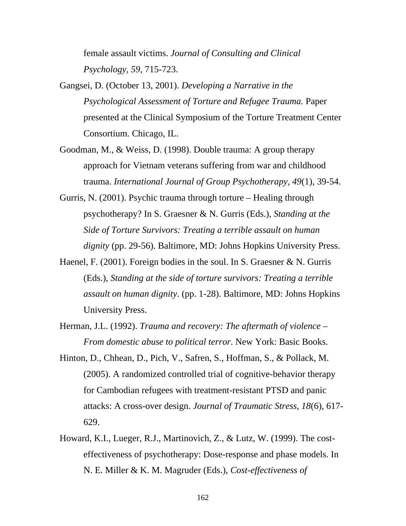female assault victims. *Journal of Consulting and Clinical Psychology, 59,* 715-723.

- Gangsei, D. (October 13, 2001). *Developing a Narrative in the Psychological Assessment of Torture and Refugee Trauma.* Paper presented at the Clinical Symposium of the Torture Treatment Center Consortium. Chicago, IL.
- Goodman, M., & Weiss, D. (1998). Double trauma: A group therapy approach for Vietnam veterans suffering from war and childhood trauma. *International Journal of Group Psychotherapy, 49*(1), 39-54.
- Gurris, N. (2001). Psychic trauma through torture Healing through psychotherapy? In S. Graesner & N. Gurris (Eds.), *Standing at the Side of Torture Survivors: Treating a terrible assault on human dignity* (pp. 29-56). Baltimore, MD: Johns Hopkins University Press.
- Haenel, F. (2001). Foreign bodies in the soul. In S. Graesner & N. Gurris (Eds.), *Standing at the side of torture survivors: Treating a terrible assault on human dignity*. (pp. 1-28). Baltimore, MD: Johns Hopkins University Press.
- Herman, J.L. (1992). *Trauma and recovery: The aftermath of violence From domestic abuse to political terror*. New York: Basic Books.
- Hinton, D., Chhean, D., Pich, V., Safren, S., Hoffman, S., & Pollack, M. (2005). A randomized controlled trial of cognitive-behavior therapy for Cambodian refugees with treatment-resistant PTSD and panic attacks: A cross-over design. *Journal of Traumatic Stress, 18*(6), 617- 629.
- Howard, K.I., Lueger, R.J., Martinovich, Z., & Lutz, W. (1999). The costeffectiveness of psychotherapy: Dose-response and phase models. In N. E. Miller & K. M. Magruder (Eds.), *Cost-effectiveness of*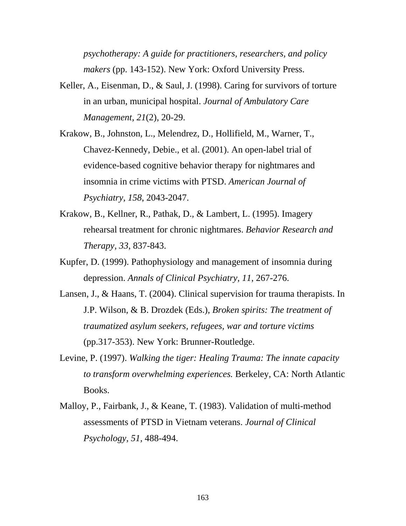*psychotherapy: A guide for practitioners, researchers, and policy makers* (pp. 143-152). New York: Oxford University Press.

- Keller, A., Eisenman, D., & Saul, J. (1998). Caring for survivors of torture in an urban, municipal hospital. *Journal of Ambulatory Care Management, 21*(2), 20-29.
- Krakow, B., Johnston, L., Melendrez, D., Hollifield, M., Warner, T., Chavez-Kennedy, Debie., et al. (2001). An open-label trial of evidence-based cognitive behavior therapy for nightmares and insomnia in crime victims with PTSD. *American Journal of Psychiatry, 158*, 2043-2047.
- Krakow, B., Kellner, R., Pathak, D., & Lambert, L. (1995). Imagery rehearsal treatment for chronic nightmares. *Behavior Research and Therapy, 33*, 837-843.
- Kupfer, D. (1999). Pathophysiology and management of insomnia during depression. *Annals of Clinical Psychiatry, 11*, 267-276.
- Lansen, J., & Haans, T. (2004). Clinical supervision for trauma therapists. In J.P. Wilson, & B. Drozdek (Eds.), *Broken spirits: The treatment of traumatized asylum seekers, refugees, war and torture victims* (pp.317-353). New York: Brunner-Routledge.
- Levine, P. (1997). *Walking the tiger: Healing Trauma: The innate capacity to transform overwhelming experiences.* Berkeley, CA: North Atlantic Books.
- Malloy, P., Fairbank, J., & Keane, T. (1983). Validation of multi-method assessments of PTSD in Vietnam veterans. *Journal of Clinical Psychology, 51,* 488-494.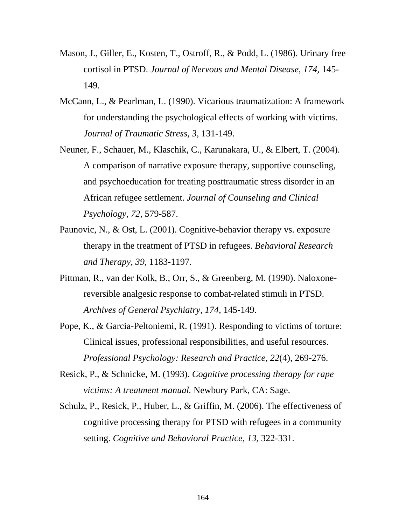- Mason, J., Giller, E., Kosten, T., Ostroff, R., & Podd, L. (1986). Urinary free cortisol in PTSD. *Journal of Nervous and Mental Disease, 174,* 145- 149.
- McCann, L., & Pearlman, L. (1990). Vicarious traumatization: A framework for understanding the psychological effects of working with victims. *Journal of Traumatic Stress, 3,* 131-149.
- Neuner, F., Schauer, M., Klaschik, C., Karunakara, U., & Elbert, T. (2004). A comparison of narrative exposure therapy, supportive counseling, and psychoeducation for treating posttraumatic stress disorder in an African refugee settlement. *Journal of Counseling and Clinical Psychology, 72,* 579-587.
- Paunovic, N., & Ost, L. (2001). Cognitive-behavior therapy vs. exposure therapy in the treatment of PTSD in refugees. *Behavioral Research and Therapy, 39,* 1183-1197.
- Pittman, R., van der Kolk, B., Orr, S., & Greenberg, M. (1990). Naloxonereversible analgesic response to combat-related stimuli in PTSD. *Archives of General Psychiatry, 174,* 145-149.
- Pope, K., & Garcia-Peltoniemi, R. (1991). Responding to victims of torture: Clinical issues, professional responsibilities, and useful resources. *Professional Psychology: Research and Practice, 22*(4), 269-276.
- Resick, P., & Schnicke, M. (1993). *Cognitive processing therapy for rape victims: A treatment manual.* Newbury Park, CA: Sage.
- Schulz, P., Resick, P., Huber, L., & Griffin, M. (2006). The effectiveness of cognitive processing therapy for PTSD with refugees in a community setting. *Cognitive and Behavioral Practice, 13,* 322-331.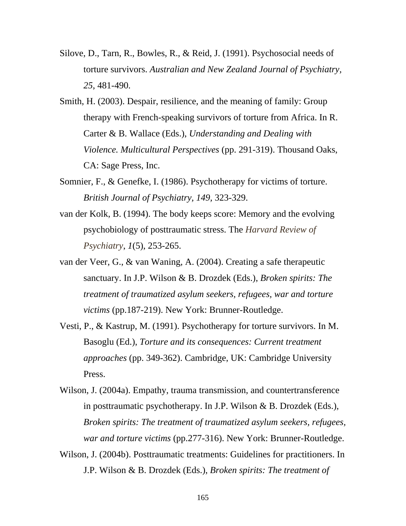- Silove, D., Tarn, R., Bowles, R., & Reid, J. (1991). Psychosocial needs of torture survivors. *Australian and New Zealand Journal of Psychiatry, 25*, 481-490.
- Smith, H. (2003). Despair, resilience, and the meaning of family: Group therapy with French-speaking survivors of torture from Africa. In R. Carter & B. Wallace (Eds.), *Understanding and Dealing with Violence. Multicultural Perspectives* (pp. 291-319). Thousand Oaks, CA: Sage Press, Inc.
- Somnier, F., & Genefke, I. (1986). Psychotherapy for victims of torture. *British Journal of Psychiatry, 149,* 323-329.
- van der Kolk, B. (1994). The body keeps score: Memory and the evolving psychobiology of posttraumatic stress. The *Harvard Review of Psychiatry*, *1*(5), 253-265.
- van der Veer, G., & van Waning, A. (2004). Creating a safe therapeutic sanctuary. In J.P. Wilson & B. Drozdek (Eds.), *Broken spirits: The treatment of traumatized asylum seekers, refugees, war and torture victims* (pp.187-219). New York: Brunner-Routledge.
- Vesti, P., & Kastrup, M. (1991). Psychotherapy for torture survivors. In M. Basoglu (Ed.), *Torture and its consequences: Current treatment approaches* (pp. 349-362). Cambridge, UK: Cambridge University Press.
- Wilson, J. (2004a). Empathy, trauma transmission, and countertransference in posttraumatic psychotherapy. In J.P. Wilson & B. Drozdek (Eds.), *Broken spirits: The treatment of traumatized asylum seekers, refugees, war and torture victims* (pp.277-316). New York: Brunner-Routledge.
- Wilson, J. (2004b). Posttraumatic treatments: Guidelines for practitioners. In J.P. Wilson & B. Drozdek (Eds.), *Broken spirits: The treatment of*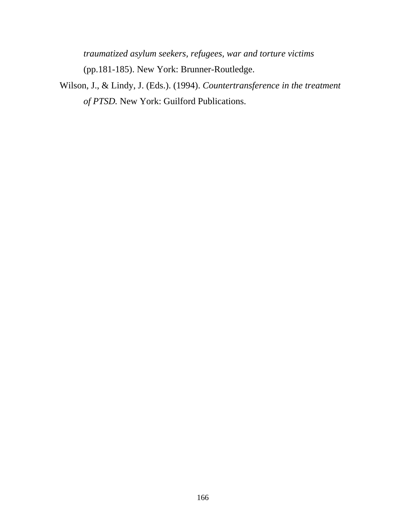*traumatized asylum seekers, refugees, war and torture victims* (pp.181-185). New York: Brunner-Routledge.

Wilson, J., & Lindy, J. (Eds.). (1994). *Countertransference in the treatment of PTSD.* New York: Guilford Publications.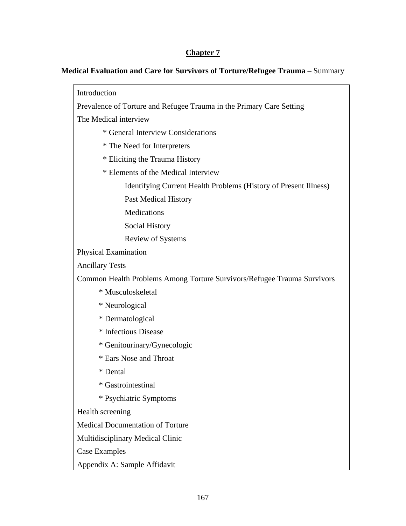#### **Chapter 7**

#### **Medical Evaluation and Care for Survivors of Torture/Refugee Trauma** – Summary

Introduction Prevalence of Torture and Refugee Trauma in the Primary Care Setting The Medical interview \* General Interview Considerations \* The Need for Interpreters \* Eliciting the Trauma History \* Elements of the Medical Interview Identifying Current Health Problems (History of Present Illness) Past Medical History **Medications**  Social History Review of Systems Physical Examination Ancillary Tests Common Health Problems Among Torture Survivors/Refugee Trauma Survivors \* Musculoskeletal \* Neurological \* Dermatological \* Infectious Disease \* Genitourinary/Gynecologic \* Ears Nose and Throat \* Dental \* Gastrointestinal \* Psychiatric Symptoms Health screening Medical Documentation of Torture Multidisciplinary Medical Clinic Case Examples Appendix A: Sample Affidavit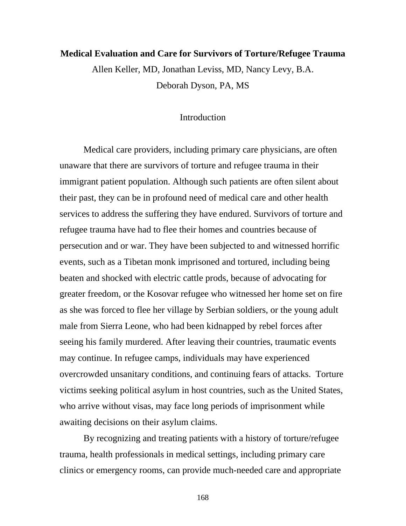# **Medical Evaluation and Care for Survivors of Torture/Refugee Trauma**  Allen Keller, MD, Jonathan Leviss, MD, Nancy Levy, B.A.

Deborah Dyson, PA, MS

### Introduction

Medical care providers, including primary care physicians, are often unaware that there are survivors of torture and refugee trauma in their immigrant patient population. Although such patients are often silent about their past, they can be in profound need of medical care and other health services to address the suffering they have endured. Survivors of torture and refugee trauma have had to flee their homes and countries because of persecution and or war. They have been subjected to and witnessed horrific events, such as a Tibetan monk imprisoned and tortured, including being beaten and shocked with electric cattle prods, because of advocating for greater freedom, or the Kosovar refugee who witnessed her home set on fire as she was forced to flee her village by Serbian soldiers, or the young adult male from Sierra Leone, who had been kidnapped by rebel forces after seeing his family murdered. After leaving their countries, traumatic events may continue. In refugee camps, individuals may have experienced overcrowded unsanitary conditions, and continuing fears of attacks. Torture victims seeking political asylum in host countries, such as the United States, who arrive without visas, may face long periods of imprisonment while awaiting decisions on their asylum claims.

By recognizing and treating patients with a history of torture/refugee trauma, health professionals in medical settings, including primary care clinics or emergency rooms, can provide much-needed care and appropriate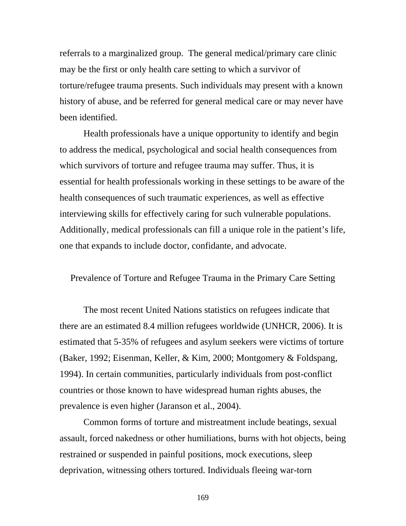referrals to a marginalized group. The general medical/primary care clinic may be the first or only health care setting to which a survivor of torture/refugee trauma presents. Such individuals may present with a known history of abuse, and be referred for general medical care or may never have been identified.

Health professionals have a unique opportunity to identify and begin to address the medical, psychological and social health consequences from which survivors of torture and refugee trauma may suffer. Thus, it is essential for health professionals working in these settings to be aware of the health consequences of such traumatic experiences, as well as effective interviewing skills for effectively caring for such vulnerable populations. Additionally, medical professionals can fill a unique role in the patient's life, one that expands to include doctor, confidante, and advocate.

Prevalence of Torture and Refugee Trauma in the Primary Care Setting

The most recent United Nations statistics on refugees indicate that there are an estimated 8.4 million refugees worldwide (UNHCR, 2006). It is estimated that 5-35% of refugees and asylum seekers were victims of torture (Baker, 1992; Eisenman, Keller, & Kim, 2000; Montgomery & Foldspang, 1994). In certain communities, particularly individuals from post-conflict countries or those known to have widespread human rights abuses, the prevalence is even higher (Jaranson et al., 2004).

Common forms of torture and mistreatment include beatings, sexual assault, forced nakedness or other humiliations, burns with hot objects, being restrained or suspended in painful positions, mock executions, sleep deprivation, witnessing others tortured. Individuals fleeing war-torn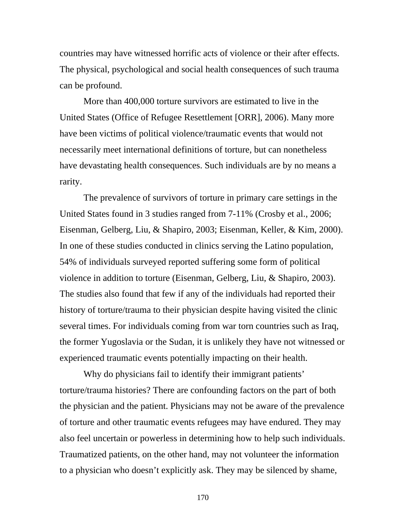countries may have witnessed horrific acts of violence or their after effects. The physical, psychological and social health consequences of such trauma can be profound.

More than 400,000 torture survivors are estimated to live in the United States (Office of Refugee Resettlement [ORR], 2006). Many more have been victims of political violence/traumatic events that would not necessarily meet international definitions of torture, but can nonetheless have devastating health consequences. Such individuals are by no means a rarity.

 The prevalence of survivors of torture in primary care settings in the United States found in 3 studies ranged from 7-11% (Crosby et al., 2006; Eisenman, Gelberg, Liu, & Shapiro, 2003; Eisenman, Keller, & Kim, 2000). In one of these studies conducted in clinics serving the Latino population, 54% of individuals surveyed reported suffering some form of political violence in addition to torture (Eisenman, Gelberg, Liu, & Shapiro, 2003). The studies also found that few if any of the individuals had reported their history of torture/trauma to their physician despite having visited the clinic several times. For individuals coming from war torn countries such as Iraq, the former Yugoslavia or the Sudan, it is unlikely they have not witnessed or experienced traumatic events potentially impacting on their health.

 Why do physicians fail to identify their immigrant patients' torture/trauma histories? There are confounding factors on the part of both the physician and the patient. Physicians may not be aware of the prevalence of torture and other traumatic events refugees may have endured. They may also feel uncertain or powerless in determining how to help such individuals. Traumatized patients, on the other hand, may not volunteer the information to a physician who doesn't explicitly ask. They may be silenced by shame,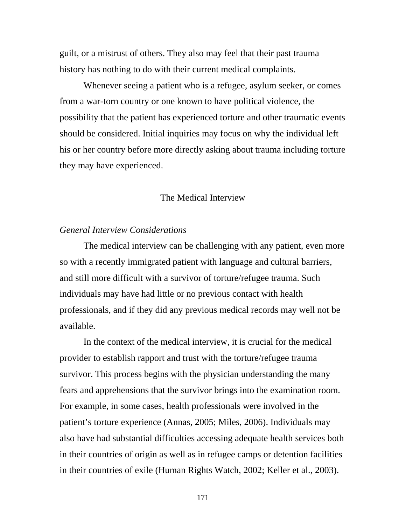guilt, or a mistrust of others. They also may feel that their past trauma history has nothing to do with their current medical complaints.

Whenever seeing a patient who is a refugee, asylum seeker, or comes from a war-torn country or one known to have political violence, the possibility that the patient has experienced torture and other traumatic events should be considered. Initial inquiries may focus on why the individual left his or her country before more directly asking about trauma including torture they may have experienced.

## The Medical Interview

# *General Interview Considerations*

The medical interview can be challenging with any patient, even more so with a recently immigrated patient with language and cultural barriers, and still more difficult with a survivor of torture/refugee trauma. Such individuals may have had little or no previous contact with health professionals, and if they did any previous medical records may well not be available.

 In the context of the medical interview, it is crucial for the medical provider to establish rapport and trust with the torture/refugee trauma survivor. This process begins with the physician understanding the many fears and apprehensions that the survivor brings into the examination room. For example, in some cases, health professionals were involved in the patient's torture experience (Annas, 2005; Miles, 2006). Individuals may also have had substantial difficulties accessing adequate health services both in their countries of origin as well as in refugee camps or detention facilities in their countries of exile (Human Rights Watch, 2002; Keller et al., 2003).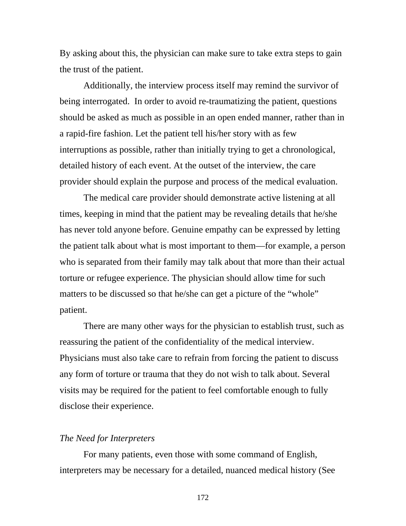By asking about this, the physician can make sure to take extra steps to gain the trust of the patient.

Additionally, the interview process itself may remind the survivor of being interrogated. In order to avoid re-traumatizing the patient, questions should be asked as much as possible in an open ended manner, rather than in a rapid-fire fashion. Let the patient tell his/her story with as few interruptions as possible, rather than initially trying to get a chronological, detailed history of each event. At the outset of the interview, the care provider should explain the purpose and process of the medical evaluation.

 The medical care provider should demonstrate active listening at all times, keeping in mind that the patient may be revealing details that he/she has never told anyone before. Genuine empathy can be expressed by letting the patient talk about what is most important to them—for example, a person who is separated from their family may talk about that more than their actual torture or refugee experience. The physician should allow time for such matters to be discussed so that he/she can get a picture of the "whole" patient.

 There are many other ways for the physician to establish trust, such as reassuring the patient of the confidentiality of the medical interview. Physicians must also take care to refrain from forcing the patient to discuss any form of torture or trauma that they do not wish to talk about. Several visits may be required for the patient to feel comfortable enough to fully disclose their experience.

#### *The Need for Interpreters*

 For many patients, even those with some command of English, interpreters may be necessary for a detailed, nuanced medical history (See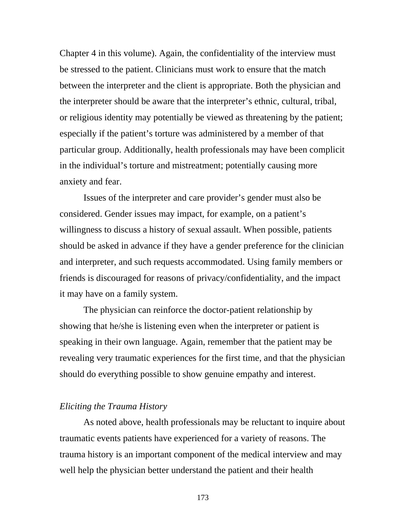Chapter 4 in this volume). Again, the confidentiality of the interview must be stressed to the patient. Clinicians must work to ensure that the match between the interpreter and the client is appropriate. Both the physician and the interpreter should be aware that the interpreter's ethnic, cultural, tribal, or religious identity may potentially be viewed as threatening by the patient; especially if the patient's torture was administered by a member of that particular group. Additionally, health professionals may have been complicit in the individual's torture and mistreatment; potentially causing more anxiety and fear.

Issues of the interpreter and care provider's gender must also be considered. Gender issues may impact, for example, on a patient's willingness to discuss a history of sexual assault. When possible, patients should be asked in advance if they have a gender preference for the clinician and interpreter, and such requests accommodated. Using family members or friends is discouraged for reasons of privacy/confidentiality, and the impact it may have on a family system.

 The physician can reinforce the doctor-patient relationship by showing that he/she is listening even when the interpreter or patient is speaking in their own language. Again, remember that the patient may be revealing very traumatic experiences for the first time, and that the physician should do everything possible to show genuine empathy and interest.

#### *Eliciting the Trauma History*

As noted above, health professionals may be reluctant to inquire about traumatic events patients have experienced for a variety of reasons. The trauma history is an important component of the medical interview and may well help the physician better understand the patient and their health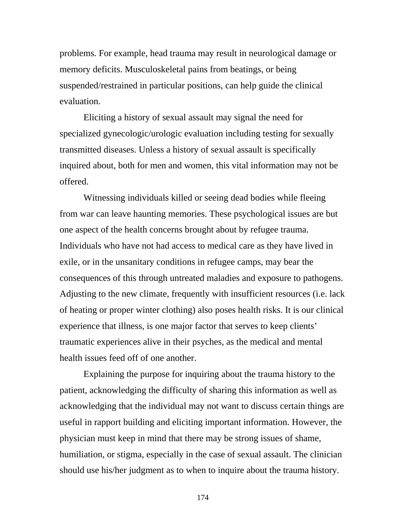problems. For example, head trauma may result in neurological damage or memory deficits. Musculoskeletal pains from beatings, or being suspended/restrained in particular positions, can help guide the clinical evaluation.

Eliciting a history of sexual assault may signal the need for specialized gynecologic/urologic evaluation including testing for sexually transmitted diseases. Unless a history of sexual assault is specifically inquired about, both for men and women, this vital information may not be offered.

Witnessing individuals killed or seeing dead bodies while fleeing from war can leave haunting memories. These psychological issues are but one aspect of the health concerns brought about by refugee trauma. Individuals who have not had access to medical care as they have lived in exile, or in the unsanitary conditions in refugee camps, may bear the consequences of this through untreated maladies and exposure to pathogens. Adjusting to the new climate, frequently with insufficient resources (i.e. lack of heating or proper winter clothing) also poses health risks. It is our clinical experience that illness, is one major factor that serves to keep clients' traumatic experiences alive in their psyches, as the medical and mental health issues feed off of one another.

Explaining the purpose for inquiring about the trauma history to the patient, acknowledging the difficulty of sharing this information as well as acknowledging that the individual may not want to discuss certain things are useful in rapport building and eliciting important information. However, the physician must keep in mind that there may be strong issues of shame, humiliation, or stigma, especially in the case of sexual assault. The clinician should use his/her judgment as to when to inquire about the trauma history.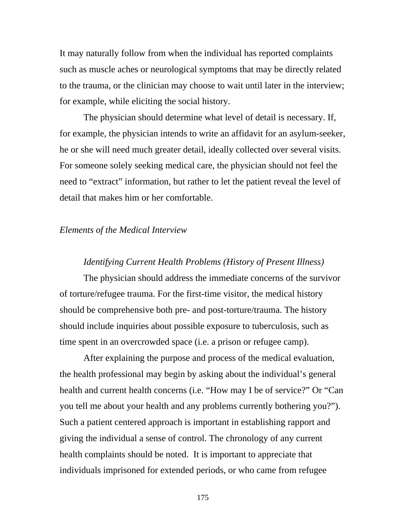It may naturally follow from when the individual has reported complaints such as muscle aches or neurological symptoms that may be directly related to the trauma, or the clinician may choose to wait until later in the interview; for example, while eliciting the social history.

 The physician should determine what level of detail is necessary. If, for example, the physician intends to write an affidavit for an asylum-seeker, he or she will need much greater detail, ideally collected over several visits. For someone solely seeking medical care, the physician should not feel the need to "extract" information, but rather to let the patient reveal the level of detail that makes him or her comfortable.

#### *Elements of the Medical Interview*

#### *Identifying Current Health Problems (History of Present Illness)*

The physician should address the immediate concerns of the survivor of torture/refugee trauma. For the first-time visitor, the medical history should be comprehensive both pre- and post-torture/trauma. The history should include inquiries about possible exposure to tuberculosis, such as time spent in an overcrowded space (i.e. a prison or refugee camp).

After explaining the purpose and process of the medical evaluation, the health professional may begin by asking about the individual's general health and current health concerns (i.e. "How may I be of service?" Or "Can you tell me about your health and any problems currently bothering you?"). Such a patient centered approach is important in establishing rapport and giving the individual a sense of control. The chronology of any current health complaints should be noted. It is important to appreciate that individuals imprisoned for extended periods, or who came from refugee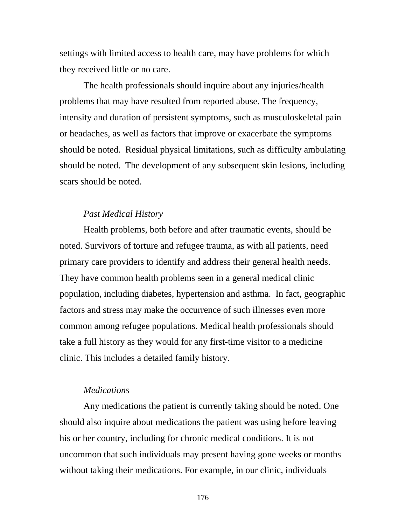settings with limited access to health care, may have problems for which they received little or no care.

The health professionals should inquire about any injuries/health problems that may have resulted from reported abuse. The frequency, intensity and duration of persistent symptoms, such as musculoskeletal pain or headaches, as well as factors that improve or exacerbate the symptoms should be noted. Residual physical limitations, such as difficulty ambulating should be noted. The development of any subsequent skin lesions, including scars should be noted.

#### *Past Medical History*

Health problems, both before and after traumatic events, should be noted. Survivors of torture and refugee trauma, as with all patients, need primary care providers to identify and address their general health needs. They have common health problems seen in a general medical clinic population, including diabetes, hypertension and asthma. In fact, geographic factors and stress may make the occurrence of such illnesses even more common among refugee populations. Medical health professionals should take a full history as they would for any first-time visitor to a medicine clinic. This includes a detailed family history.

#### *Medications*

Any medications the patient is currently taking should be noted. One should also inquire about medications the patient was using before leaving his or her country, including for chronic medical conditions. It is not uncommon that such individuals may present having gone weeks or months without taking their medications. For example, in our clinic, individuals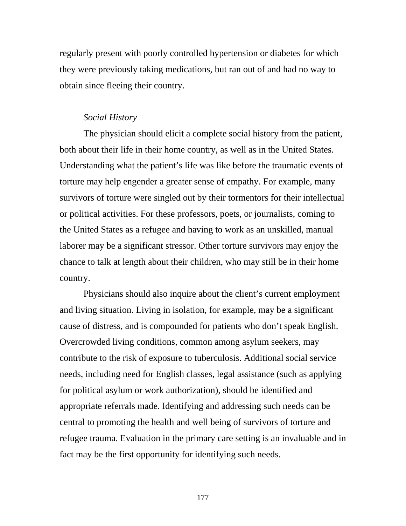regularly present with poorly controlled hypertension or diabetes for which they were previously taking medications, but ran out of and had no way to obtain since fleeing their country.

#### *Social History*

The physician should elicit a complete social history from the patient, both about their life in their home country, as well as in the United States. Understanding what the patient's life was like before the traumatic events of torture may help engender a greater sense of empathy. For example, many survivors of torture were singled out by their tormentors for their intellectual or political activities. For these professors, poets, or journalists, coming to the United States as a refugee and having to work as an unskilled, manual laborer may be a significant stressor. Other torture survivors may enjoy the chance to talk at length about their children, who may still be in their home country.

Physicians should also inquire about the client's current employment and living situation. Living in isolation, for example, may be a significant cause of distress, and is compounded for patients who don't speak English. Overcrowded living conditions, common among asylum seekers, may contribute to the risk of exposure to tuberculosis. Additional social service needs, including need for English classes, legal assistance (such as applying for political asylum or work authorization), should be identified and appropriate referrals made. Identifying and addressing such needs can be central to promoting the health and well being of survivors of torture and refugee trauma. Evaluation in the primary care setting is an invaluable and in fact may be the first opportunity for identifying such needs.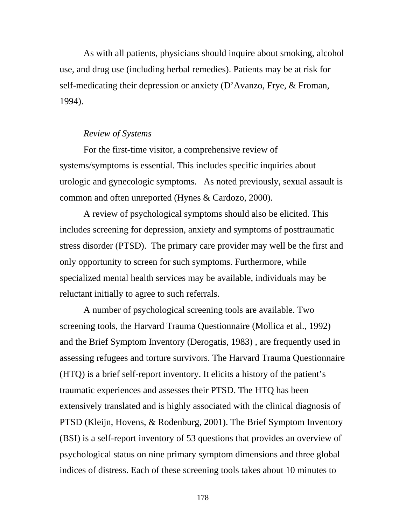As with all patients, physicians should inquire about smoking, alcohol use, and drug use (including herbal remedies). Patients may be at risk for self-medicating their depression or anxiety (D'Avanzo, Frye, & Froman, 1994).

#### *Review of Systems*

For the first-time visitor, a comprehensive review of systems/symptoms is essential. This includes specific inquiries about urologic and gynecologic symptoms. As noted previously, sexual assault is common and often unreported (Hynes & Cardozo, 2000).

A review of psychological symptoms should also be elicited. This includes screening for depression, anxiety and symptoms of posttraumatic stress disorder (PTSD). The primary care provider may well be the first and only opportunity to screen for such symptoms. Furthermore, while specialized mental health services may be available, individuals may be reluctant initially to agree to such referrals.

 A number of psychological screening tools are available. Two screening tools, the Harvard Trauma Questionnaire (Mollica et al., 1992) and the Brief Symptom Inventory (Derogatis, 1983) , are frequently used in assessing refugees and torture survivors. The Harvard Trauma Questionnaire (HTQ) is a brief self-report inventory. It elicits a history of the patient's traumatic experiences and assesses their PTSD. The HTQ has been extensively translated and is highly associated with the clinical diagnosis of PTSD (Kleijn, Hovens, & Rodenburg, 2001). The Brief Symptom Inventory (BSI) is a self-report inventory of 53 questions that provides an overview of psychological status on nine primary symptom dimensions and three global indices of distress. Each of these screening tools takes about 10 minutes to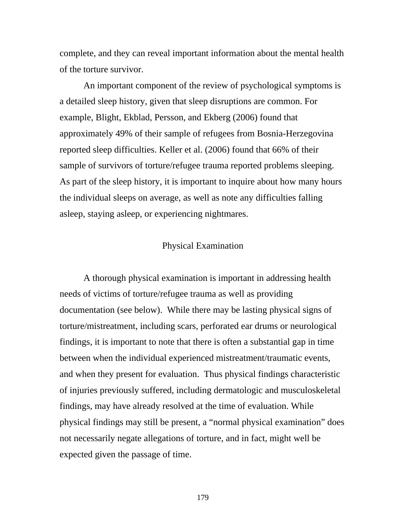complete, and they can reveal important information about the mental health of the torture survivor.

An important component of the review of psychological symptoms is a detailed sleep history, given that sleep disruptions are common. For example, Blight, Ekblad, Persson, and Ekberg (2006) found that approximately 49% of their sample of refugees from Bosnia-Herzegovina reported sleep difficulties. Keller et al. (2006) found that 66% of their sample of survivors of torture/refugee trauma reported problems sleeping. As part of the sleep history, it is important to inquire about how many hours the individual sleeps on average, as well as note any difficulties falling asleep, staying asleep, or experiencing nightmares.

# Physical Examination

A thorough physical examination is important in addressing health needs of victims of torture/refugee trauma as well as providing documentation (see below). While there may be lasting physical signs of torture/mistreatment, including scars, perforated ear drums or neurological findings, it is important to note that there is often a substantial gap in time between when the individual experienced mistreatment/traumatic events, and when they present for evaluation. Thus physical findings characteristic of injuries previously suffered, including dermatologic and musculoskeletal findings, may have already resolved at the time of evaluation. While physical findings may still be present, a "normal physical examination" does not necessarily negate allegations of torture, and in fact, might well be expected given the passage of time.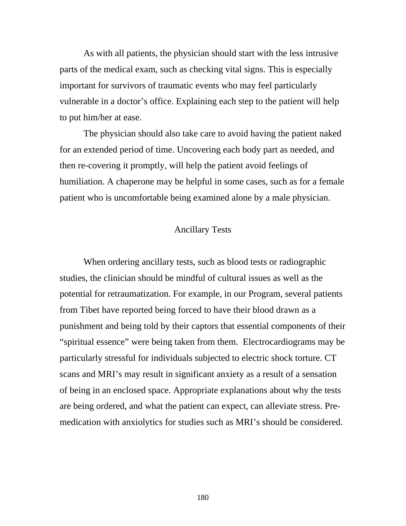As with all patients, the physician should start with the less intrusive parts of the medical exam, such as checking vital signs. This is especially important for survivors of traumatic events who may feel particularly vulnerable in a doctor's office. Explaining each step to the patient will help to put him/her at ease.

 The physician should also take care to avoid having the patient naked for an extended period of time. Uncovering each body part as needed, and then re-covering it promptly, will help the patient avoid feelings of humiliation. A chaperone may be helpful in some cases, such as for a female patient who is uncomfortable being examined alone by a male physician.

#### Ancillary Tests

When ordering ancillary tests, such as blood tests or radiographic studies, the clinician should be mindful of cultural issues as well as the potential for retraumatization. For example, in our Program, several patients from Tibet have reported being forced to have their blood drawn as a punishment and being told by their captors that essential components of their "spiritual essence" were being taken from them. Electrocardiograms may be particularly stressful for individuals subjected to electric shock torture. CT scans and MRI's may result in significant anxiety as a result of a sensation of being in an enclosed space. Appropriate explanations about why the tests are being ordered, and what the patient can expect, can alleviate stress. Premedication with anxiolytics for studies such as MRI's should be considered.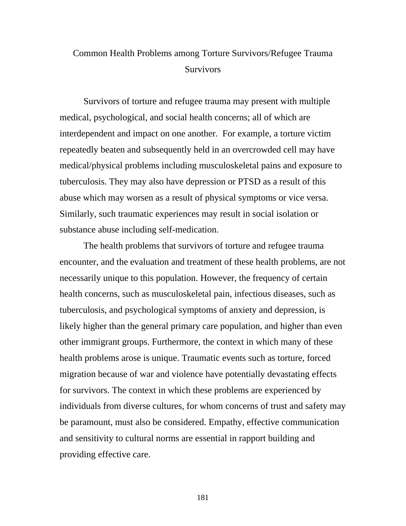# Common Health Problems among Torture Survivors/Refugee Trauma **Survivors**

Survivors of torture and refugee trauma may present with multiple medical, psychological, and social health concerns; all of which are interdependent and impact on one another. For example, a torture victim repeatedly beaten and subsequently held in an overcrowded cell may have medical/physical problems including musculoskeletal pains and exposure to tuberculosis. They may also have depression or PTSD as a result of this abuse which may worsen as a result of physical symptoms or vice versa. Similarly, such traumatic experiences may result in social isolation or substance abuse including self-medication.

The health problems that survivors of torture and refugee trauma encounter, and the evaluation and treatment of these health problems, are not necessarily unique to this population. However, the frequency of certain health concerns, such as musculoskeletal pain, infectious diseases, such as tuberculosis, and psychological symptoms of anxiety and depression, is likely higher than the general primary care population, and higher than even other immigrant groups. Furthermore, the context in which many of these health problems arose is unique. Traumatic events such as torture, forced migration because of war and violence have potentially devastating effects for survivors. The context in which these problems are experienced by individuals from diverse cultures, for whom concerns of trust and safety may be paramount, must also be considered. Empathy, effective communication and sensitivity to cultural norms are essential in rapport building and providing effective care.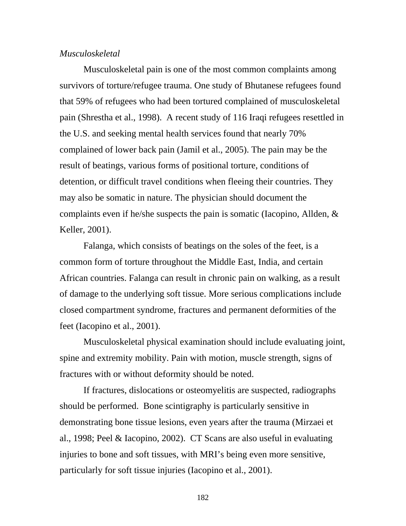#### *Musculoskeletal*

Musculoskeletal pain is one of the most common complaints among survivors of torture/refugee trauma. One study of Bhutanese refugees found that 59% of refugees who had been tortured complained of musculoskeletal pain (Shrestha et al., 1998). A recent study of 116 Iraqi refugees resettled in the U.S. and seeking mental health services found that nearly 70% complained of lower back pain (Jamil et al., 2005). The pain may be the result of beatings, various forms of positional torture, conditions of detention, or difficult travel conditions when fleeing their countries. They may also be somatic in nature. The physician should document the complaints even if he/she suspects the pain is somatic (Iacopino, Allden, & Keller, 2001).

Falanga, which consists of beatings on the soles of the feet, is a common form of torture throughout the Middle East, India, and certain African countries. Falanga can result in chronic pain on walking, as a result of damage to the underlying soft tissue. More serious complications include closed compartment syndrome, fractures and permanent deformities of the feet (Iacopino et al., 2001).

Musculoskeletal physical examination should include evaluating joint, spine and extremity mobility. Pain with motion, muscle strength, signs of fractures with or without deformity should be noted.

If fractures, dislocations or osteomyelitis are suspected, radiographs should be performed. Bone scintigraphy is particularly sensitive in demonstrating bone tissue lesions, even years after the trauma (Mirzaei et al., 1998; Peel & Iacopino, 2002). CT Scans are also useful in evaluating injuries to bone and soft tissues, with MRI's being even more sensitive, particularly for soft tissue injuries (Iacopino et al., 2001).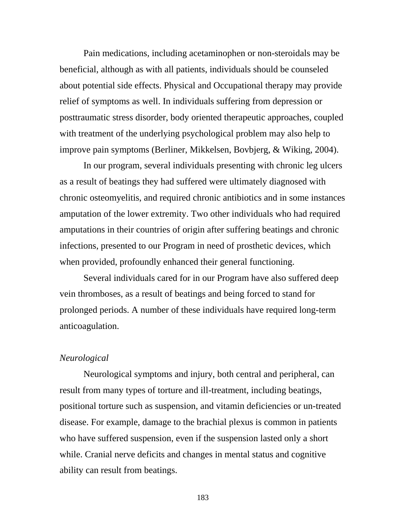Pain medications, including acetaminophen or non-steroidals may be beneficial, although as with all patients, individuals should be counseled about potential side effects. Physical and Occupational therapy may provide relief of symptoms as well. In individuals suffering from depression or posttraumatic stress disorder, body oriented therapeutic approaches, coupled with treatment of the underlying psychological problem may also help to improve pain symptoms (Berliner, Mikkelsen, Bovbjerg, & Wiking, 2004).

In our program, several individuals presenting with chronic leg ulcers as a result of beatings they had suffered were ultimately diagnosed with chronic osteomyelitis, and required chronic antibiotics and in some instances amputation of the lower extremity. Two other individuals who had required amputations in their countries of origin after suffering beatings and chronic infections, presented to our Program in need of prosthetic devices, which when provided, profoundly enhanced their general functioning.

 Several individuals cared for in our Program have also suffered deep vein thromboses, as a result of beatings and being forced to stand for prolonged periods. A number of these individuals have required long-term anticoagulation.

#### *Neurological*

Neurological symptoms and injury, both central and peripheral, can result from many types of torture and ill-treatment, including beatings, positional torture such as suspension, and vitamin deficiencies or un-treated disease. For example, damage to the brachial plexus is common in patients who have suffered suspension, even if the suspension lasted only a short while. Cranial nerve deficits and changes in mental status and cognitive ability can result from beatings.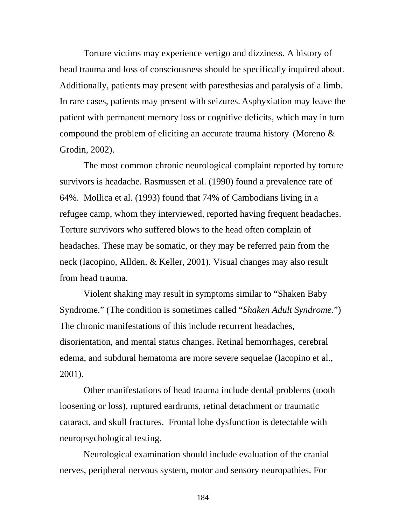Torture victims may experience vertigo and dizziness. A history of head trauma and loss of consciousness should be specifically inquired about. Additionally, patients may present with paresthesias and paralysis of a limb. In rare cases, patients may present with seizures. Asphyxiation may leave the patient with permanent memory loss or cognitive deficits, which may in turn compound the problem of eliciting an accurate trauma history (Moreno & Grodin, 2002).

The most common chronic neurological complaint reported by torture survivors is headache. Rasmussen et al. (1990) found a prevalence rate of 64%. Mollica et al. (1993) found that 74% of Cambodians living in a refugee camp, whom they interviewed, reported having frequent headaches. Torture survivors who suffered blows to the head often complain of headaches. These may be somatic, or they may be referred pain from the neck (Iacopino, Allden, & Keller, 2001). Visual changes may also result from head trauma.

Violent shaking may result in symptoms similar to "Shaken Baby Syndrome." (The condition is sometimes called "*Shaken Adult Syndrome.*") The chronic manifestations of this include recurrent headaches, disorientation, and mental status changes. Retinal hemorrhages, cerebral edema, and subdural hematoma are more severe sequelae (Iacopino et al., 2001).

Other manifestations of head trauma include dental problems (tooth loosening or loss), ruptured eardrums, retinal detachment or traumatic cataract, and skull fractures. Frontal lobe dysfunction is detectable with neuropsychological testing.

Neurological examination should include evaluation of the cranial nerves, peripheral nervous system, motor and sensory neuropathies. For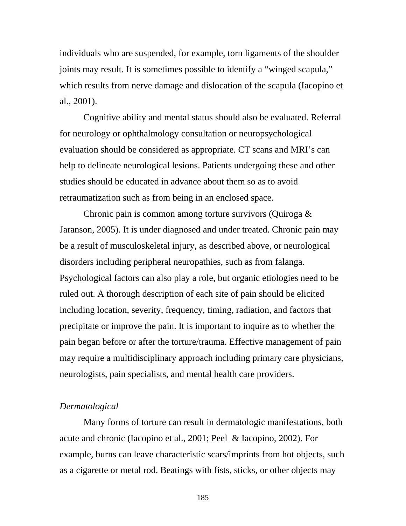individuals who are suspended, for example, torn ligaments of the shoulder joints may result. It is sometimes possible to identify a "winged scapula," which results from nerve damage and dislocation of the scapula (Iacopino et al., 2001).

Cognitive ability and mental status should also be evaluated. Referral for neurology or ophthalmology consultation or neuropsychological evaluation should be considered as appropriate. CT scans and MRI's can help to delineate neurological lesions. Patients undergoing these and other studies should be educated in advance about them so as to avoid retraumatization such as from being in an enclosed space.

Chronic pain is common among torture survivors (Quiroga & Jaranson, 2005). It is under diagnosed and under treated. Chronic pain may be a result of musculoskeletal injury, as described above, or neurological disorders including peripheral neuropathies, such as from falanga. Psychological factors can also play a role, but organic etiologies need to be ruled out. A thorough description of each site of pain should be elicited including location, severity, frequency, timing, radiation, and factors that precipitate or improve the pain. It is important to inquire as to whether the pain began before or after the torture/trauma. Effective management of pain may require a multidisciplinary approach including primary care physicians, neurologists, pain specialists, and mental health care providers.

#### *Dermatological*

Many forms of torture can result in dermatologic manifestations, both acute and chronic (Iacopino et al., 2001; Peel & Iacopino, 2002). For example, burns can leave characteristic scars/imprints from hot objects, such as a cigarette or metal rod. Beatings with fists, sticks, or other objects may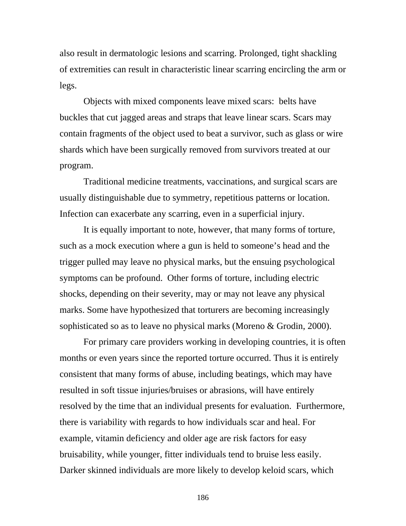also result in dermatologic lesions and scarring. Prolonged, tight shackling of extremities can result in characteristic linear scarring encircling the arm or legs.

Objects with mixed components leave mixed scars: belts have buckles that cut jagged areas and straps that leave linear scars. Scars may contain fragments of the object used to beat a survivor, such as glass or wire shards which have been surgically removed from survivors treated at our program.

Traditional medicine treatments, vaccinations, and surgical scars are usually distinguishable due to symmetry, repetitious patterns or location. Infection can exacerbate any scarring, even in a superficial injury.

It is equally important to note, however, that many forms of torture, such as a mock execution where a gun is held to someone's head and the trigger pulled may leave no physical marks, but the ensuing psychological symptoms can be profound. Other forms of torture, including electric shocks, depending on their severity, may or may not leave any physical marks. Some have hypothesized that torturers are becoming increasingly sophisticated so as to leave no physical marks (Moreno & Grodin, 2000).

For primary care providers working in developing countries, it is often months or even years since the reported torture occurred. Thus it is entirely consistent that many forms of abuse, including beatings, which may have resulted in soft tissue injuries/bruises or abrasions, will have entirely resolved by the time that an individual presents for evaluation. Furthermore, there is variability with regards to how individuals scar and heal. For example, vitamin deficiency and older age are risk factors for easy bruisability, while younger, fitter individuals tend to bruise less easily. Darker skinned individuals are more likely to develop keloid scars, which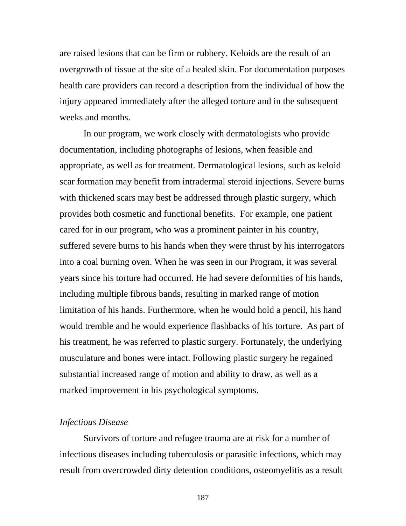are raised lesions that can be firm or rubbery. Keloids are the result of an overgrowth of tissue at the site of a healed skin. For documentation purposes health care providers can record a description from the individual of how the injury appeared immediately after the alleged torture and in the subsequent weeks and months.

In our program, we work closely with dermatologists who provide documentation, including photographs of lesions, when feasible and appropriate, as well as for treatment. Dermatological lesions, such as keloid scar formation may benefit from intradermal steroid injections. Severe burns with thickened scars may best be addressed through plastic surgery, which provides both cosmetic and functional benefits. For example, one patient cared for in our program, who was a prominent painter in his country, suffered severe burns to his hands when they were thrust by his interrogators into a coal burning oven. When he was seen in our Program, it was several years since his torture had occurred. He had severe deformities of his hands, including multiple fibrous bands, resulting in marked range of motion limitation of his hands. Furthermore, when he would hold a pencil, his hand would tremble and he would experience flashbacks of his torture. As part of his treatment, he was referred to plastic surgery. Fortunately, the underlying musculature and bones were intact. Following plastic surgery he regained substantial increased range of motion and ability to draw, as well as a marked improvement in his psychological symptoms.

#### *Infectious Disease*

Survivors of torture and refugee trauma are at risk for a number of infectious diseases including tuberculosis or parasitic infections, which may result from overcrowded dirty detention conditions, osteomyelitis as a result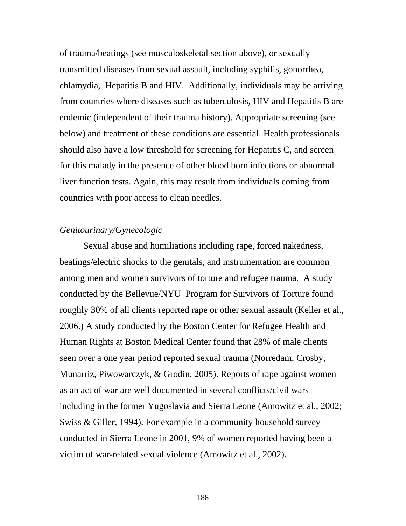of trauma/beatings (see musculoskeletal section above), or sexually transmitted diseases from sexual assault, including syphilis, gonorrhea, chlamydia, Hepatitis B and HIV. Additionally, individuals may be arriving from countries where diseases such as tuberculosis, HIV and Hepatitis B are endemic (independent of their trauma history). Appropriate screening (see below) and treatment of these conditions are essential. Health professionals should also have a low threshold for screening for Hepatitis C, and screen for this malady in the presence of other blood born infections or abnormal liver function tests. Again, this may result from individuals coming from countries with poor access to clean needles.

## *Genitourinary/Gynecologic*

Sexual abuse and humiliations including rape, forced nakedness, beatings/electric shocks to the genitals, and instrumentation are common among men and women survivors of torture and refugee trauma. A study conducted by the Bellevue/NYU Program for Survivors of Torture found roughly 30% of all clients reported rape or other sexual assault (Keller et al., 2006.) A study conducted by the Boston Center for Refugee Health and Human Rights at Boston Medical Center found that 28% of male clients seen over a one year period reported sexual trauma (Norredam, Crosby, Munarriz, Piwowarczyk, & Grodin, 2005). Reports of rape against women as an act of war are well documented in several conflicts/civil wars including in the former Yugoslavia and Sierra Leone (Amowitz et al., 2002; Swiss & Giller, 1994). For example in a community household survey conducted in Sierra Leone in 2001, 9% of women reported having been a victim of war-related sexual violence (Amowitz et al., 2002).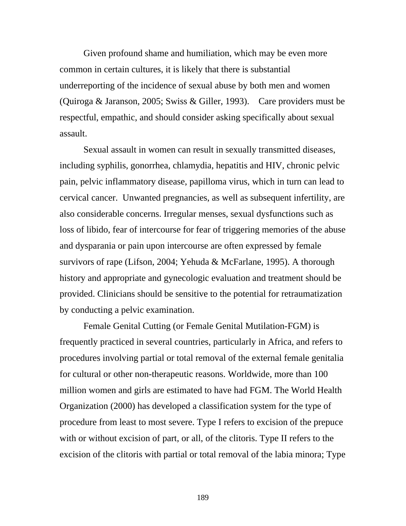Given profound shame and humiliation, which may be even more common in certain cultures, it is likely that there is substantial underreporting of the incidence of sexual abuse by both men and women (Quiroga & Jaranson, 2005; Swiss & Giller, 1993). Care providers must be respectful, empathic, and should consider asking specifically about sexual assault.

Sexual assault in women can result in sexually transmitted diseases, including syphilis, gonorrhea, chlamydia, hepatitis and HIV, chronic pelvic pain, pelvic inflammatory disease, papilloma virus, which in turn can lead to cervical cancer. Unwanted pregnancies, as well as subsequent infertility, are also considerable concerns. Irregular menses, sexual dysfunctions such as loss of libido, fear of intercourse for fear of triggering memories of the abuse and dysparania or pain upon intercourse are often expressed by female survivors of rape (Lifson, 2004; Yehuda & McFarlane, 1995). A thorough history and appropriate and gynecologic evaluation and treatment should be provided. Clinicians should be sensitive to the potential for retraumatization by conducting a pelvic examination.

Female Genital Cutting (or Female Genital Mutilation-FGM) is frequently practiced in several countries, particularly in Africa, and refers to procedures involving partial or total removal of the external female genitalia for cultural or other non-therapeutic reasons. Worldwide, more than 100 million women and girls are estimated to have had FGM. The World Health Organization (2000) has developed a classification system for the type of procedure from least to most severe. Type I refers to excision of the prepuce with or without excision of part, or all, of the clitoris. Type II refers to the excision of the clitoris with partial or total removal of the labia minora; Type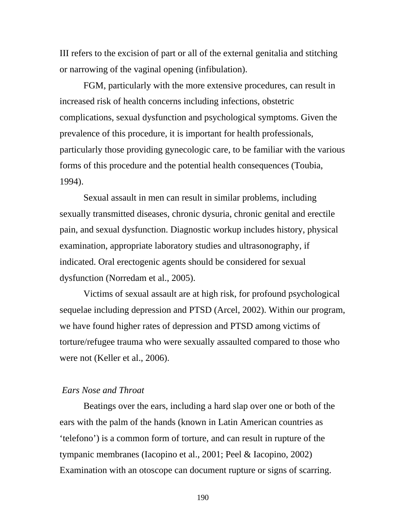III refers to the excision of part or all of the external genitalia and stitching or narrowing of the vaginal opening (infibulation).

FGM, particularly with the more extensive procedures, can result in increased risk of health concerns including infections, obstetric complications, sexual dysfunction and psychological symptoms. Given the prevalence of this procedure, it is important for health professionals, particularly those providing gynecologic care, to be familiar with the various forms of this procedure and the potential health consequences (Toubia, 1994).

Sexual assault in men can result in similar problems, including sexually transmitted diseases, chronic dysuria, chronic genital and erectile pain, and sexual dysfunction. Diagnostic workup includes history, physical examination, appropriate laboratory studies and ultrasonography, if indicated. Oral erectogenic agents should be considered for sexual dysfunction (Norredam et al., 2005).

 Victims of sexual assault are at high risk, for profound psychological sequelae including depression and PTSD (Arcel, 2002). Within our program, we have found higher rates of depression and PTSD among victims of torture/refugee trauma who were sexually assaulted compared to those who were not (Keller et al., 2006).

#### *Ears Nose and Throat*

Beatings over the ears, including a hard slap over one or both of the ears with the palm of the hands (known in Latin American countries as 'telefono') is a common form of torture, and can result in rupture of the tympanic membranes (Iacopino et al., 2001; Peel & Iacopino, 2002) Examination with an otoscope can document rupture or signs of scarring.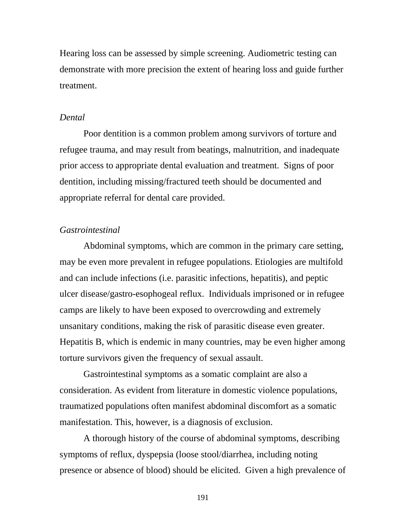Hearing loss can be assessed by simple screening. Audiometric testing can demonstrate with more precision the extent of hearing loss and guide further treatment.

#### *Dental*

Poor dentition is a common problem among survivors of torture and refugee trauma, and may result from beatings, malnutrition, and inadequate prior access to appropriate dental evaluation and treatment. Signs of poor dentition, including missing/fractured teeth should be documented and appropriate referral for dental care provided.

#### *Gastrointestinal*

Abdominal symptoms, which are common in the primary care setting, may be even more prevalent in refugee populations. Etiologies are multifold and can include infections (i.e. parasitic infections, hepatitis), and peptic ulcer disease/gastro-esophogeal reflux. Individuals imprisoned or in refugee camps are likely to have been exposed to overcrowding and extremely unsanitary conditions, making the risk of parasitic disease even greater. Hepatitis B, which is endemic in many countries, may be even higher among torture survivors given the frequency of sexual assault.

Gastrointestinal symptoms as a somatic complaint are also a consideration. As evident from literature in domestic violence populations, traumatized populations often manifest abdominal discomfort as a somatic manifestation. This, however, is a diagnosis of exclusion.

A thorough history of the course of abdominal symptoms, describing symptoms of reflux, dyspepsia (loose stool/diarrhea, including noting presence or absence of blood) should be elicited. Given a high prevalence of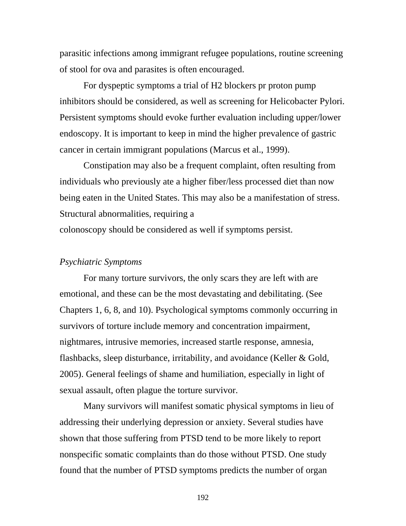parasitic infections among immigrant refugee populations, routine screening of stool for ova and parasites is often encouraged.

For dyspeptic symptoms a trial of H2 blockers pr proton pump inhibitors should be considered, as well as screening for Helicobacter Pylori. Persistent symptoms should evoke further evaluation including upper/lower endoscopy. It is important to keep in mind the higher prevalence of gastric cancer in certain immigrant populations (Marcus et al., 1999).

 Constipation may also be a frequent complaint, often resulting from individuals who previously ate a higher fiber/less processed diet than now being eaten in the United States. This may also be a manifestation of stress. Structural abnormalities, requiring a

colonoscopy should be considered as well if symptoms persist.

#### *Psychiatric Symptoms*

For many torture survivors, the only scars they are left with are emotional, and these can be the most devastating and debilitating. (See Chapters 1, 6, 8, and 10). Psychological symptoms commonly occurring in survivors of torture include memory and concentration impairment, nightmares, intrusive memories, increased startle response, amnesia, flashbacks, sleep disturbance, irritability, and avoidance (Keller & Gold, 2005). General feelings of shame and humiliation, especially in light of sexual assault, often plague the torture survivor.

Many survivors will manifest somatic physical symptoms in lieu of addressing their underlying depression or anxiety. Several studies have shown that those suffering from PTSD tend to be more likely to report nonspecific somatic complaints than do those without PTSD. One study found that the number of PTSD symptoms predicts the number of organ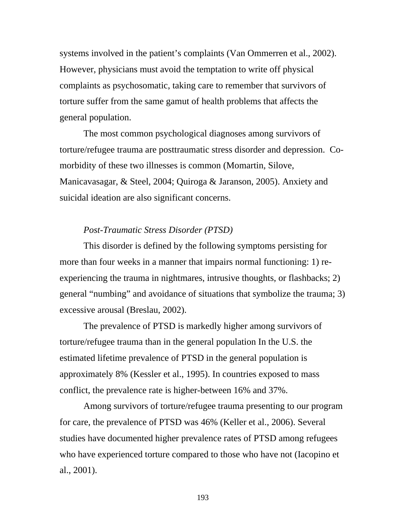systems involved in the patient's complaints (Van Ommerren et al., 2002). However, physicians must avoid the temptation to write off physical complaints as psychosomatic, taking care to remember that survivors of torture suffer from the same gamut of health problems that affects the general population.

 The most common psychological diagnoses among survivors of torture/refugee trauma are posttraumatic stress disorder and depression. Comorbidity of these two illnesses is common (Momartin, Silove, Manicavasagar, & Steel, 2004; Quiroga & Jaranson, 2005). Anxiety and suicidal ideation are also significant concerns.

### *Post-Traumatic Stress Disorder (PTSD)*

This disorder is defined by the following symptoms persisting for more than four weeks in a manner that impairs normal functioning: 1) reexperiencing the trauma in nightmares, intrusive thoughts, or flashbacks; 2) general "numbing" and avoidance of situations that symbolize the trauma; 3) excessive arousal (Breslau, 2002).

 The prevalence of PTSD is markedly higher among survivors of torture/refugee trauma than in the general population In the U.S. the estimated lifetime prevalence of PTSD in the general population is approximately 8% (Kessler et al., 1995). In countries exposed to mass conflict, the prevalence rate is higher-between 16% and 37%.

Among survivors of torture/refugee trauma presenting to our program for care, the prevalence of PTSD was 46% (Keller et al., 2006). Several studies have documented higher prevalence rates of PTSD among refugees who have experienced torture compared to those who have not (Iacopino et al., 2001).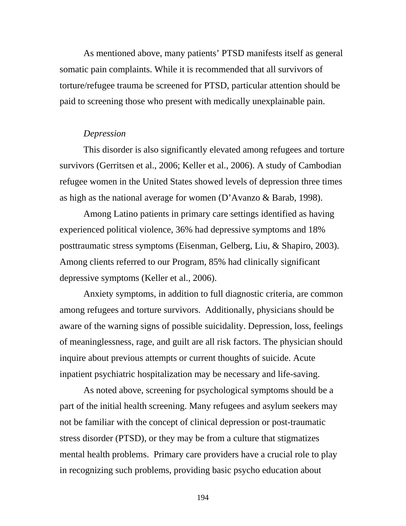As mentioned above, many patients' PTSD manifests itself as general somatic pain complaints. While it is recommended that all survivors of torture/refugee trauma be screened for PTSD, particular attention should be paid to screening those who present with medically unexplainable pain.

#### *Depression*

This disorder is also significantly elevated among refugees and torture survivors (Gerritsen et al., 2006; Keller et al., 2006). A study of Cambodian refugee women in the United States showed levels of depression three times as high as the national average for women (D'Avanzo & Barab, 1998).

Among Latino patients in primary care settings identified as having experienced political violence, 36% had depressive symptoms and 18% posttraumatic stress symptoms (Eisenman, Gelberg, Liu, & Shapiro, 2003). Among clients referred to our Program, 85% had clinically significant depressive symptoms (Keller et al., 2006).

Anxiety symptoms, in addition to full diagnostic criteria, are common among refugees and torture survivors. Additionally, physicians should be aware of the warning signs of possible suicidality. Depression, loss, feelings of meaninglessness, rage, and guilt are all risk factors. The physician should inquire about previous attempts or current thoughts of suicide. Acute inpatient psychiatric hospitalization may be necessary and life-saving.

As noted above, screening for psychological symptoms should be a part of the initial health screening. Many refugees and asylum seekers may not be familiar with the concept of clinical depression or post-traumatic stress disorder (PTSD), or they may be from a culture that stigmatizes mental health problems. Primary care providers have a crucial role to play in recognizing such problems, providing basic psycho education about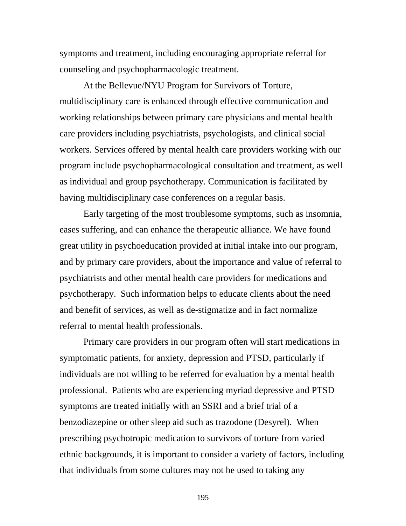symptoms and treatment, including encouraging appropriate referral for counseling and psychopharmacologic treatment.

At the Bellevue/NYU Program for Survivors of Torture, multidisciplinary care is enhanced through effective communication and working relationships between primary care physicians and mental health care providers including psychiatrists, psychologists, and clinical social workers. Services offered by mental health care providers working with our program include psychopharmacological consultation and treatment, as well as individual and group psychotherapy. Communication is facilitated by having multidisciplinary case conferences on a regular basis.

Early targeting of the most troublesome symptoms, such as insomnia, eases suffering, and can enhance the therapeutic alliance. We have found great utility in psychoeducation provided at initial intake into our program, and by primary care providers, about the importance and value of referral to psychiatrists and other mental health care providers for medications and psychotherapy. Such information helps to educate clients about the need and benefit of services, as well as de-stigmatize and in fact normalize referral to mental health professionals.

Primary care providers in our program often will start medications in symptomatic patients, for anxiety, depression and PTSD, particularly if individuals are not willing to be referred for evaluation by a mental health professional. Patients who are experiencing myriad depressive and PTSD symptoms are treated initially with an SSRI and a brief trial of a benzodiazepine or other sleep aid such as trazodone (Desyrel). When prescribing psychotropic medication to survivors of torture from varied ethnic backgrounds, it is important to consider a variety of factors, including that individuals from some cultures may not be used to taking any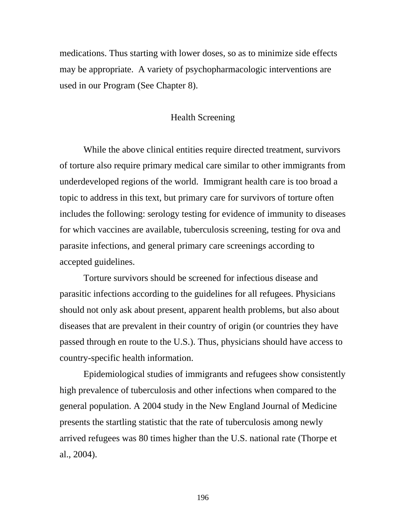medications. Thus starting with lower doses, so as to minimize side effects may be appropriate. A variety of psychopharmacologic interventions are used in our Program (See Chapter 8).

# Health Screening

While the above clinical entities require directed treatment, survivors of torture also require primary medical care similar to other immigrants from underdeveloped regions of the world. Immigrant health care is too broad a topic to address in this text, but primary care for survivors of torture often includes the following: serology testing for evidence of immunity to diseases for which vaccines are available, tuberculosis screening, testing for ova and parasite infections, and general primary care screenings according to accepted guidelines.

Torture survivors should be screened for infectious disease and parasitic infections according to the guidelines for all refugees. Physicians should not only ask about present, apparent health problems, but also about diseases that are prevalent in their country of origin (or countries they have passed through en route to the U.S.). Thus, physicians should have access to country-specific health information.

 Epidemiological studies of immigrants and refugees show consistently high prevalence of tuberculosis and other infections when compared to the general population. A 2004 study in the New England Journal of Medicine presents the startling statistic that the rate of tuberculosis among newly arrived refugees was 80 times higher than the U.S. national rate (Thorpe et al., 2004).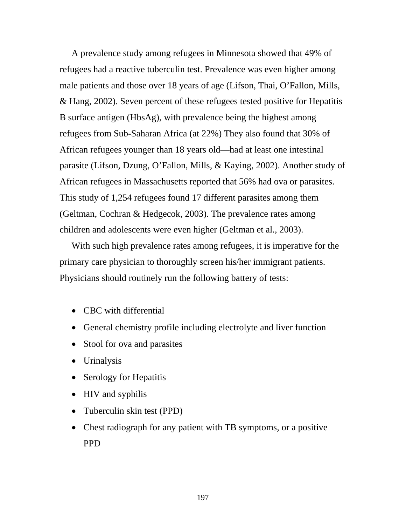A prevalence study among refugees in Minnesota showed that 49% of refugees had a reactive tuberculin test. Prevalence was even higher among male patients and those over 18 years of age (Lifson, Thai, O'Fallon, Mills, & Hang, 2002). Seven percent of these refugees tested positive for Hepatitis B surface antigen (HbsAg), with prevalence being the highest among refugees from Sub-Saharan Africa (at 22%) They also found that 30% of African refugees younger than 18 years old—had at least one intestinal parasite (Lifson, Dzung, O'Fallon, Mills, & Kaying, 2002). Another study of African refugees in Massachusetts reported that 56% had ova or parasites. This study of 1,254 refugees found 17 different parasites among them (Geltman, Cochran & Hedgecok, 2003). The prevalence rates among children and adolescents were even higher (Geltman et al., 2003).

With such high prevalence rates among refugees, it is imperative for the primary care physician to thoroughly screen his/her immigrant patients. Physicians should routinely run the following battery of tests:

- CBC with differential
- General chemistry profile including electrolyte and liver function
- Stool for ova and parasites
- Urinalysis
- Serology for Hepatitis
- HIV and syphilis
- Tuberculin skin test (PPD)
- Chest radiograph for any patient with TB symptoms, or a positive PPD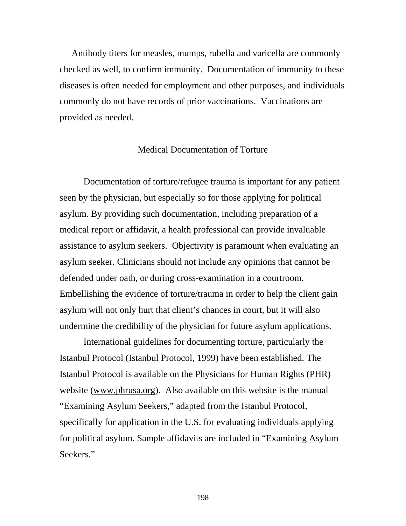Antibody titers for measles, mumps, rubella and varicella are commonly checked as well, to confirm immunity. Documentation of immunity to these diseases is often needed for employment and other purposes, and individuals commonly do not have records of prior vaccinations. Vaccinations are provided as needed.

#### Medical Documentation of Torture

 Documentation of torture/refugee trauma is important for any patient seen by the physician, but especially so for those applying for political asylum. By providing such documentation, including preparation of a medical report or affidavit, a health professional can provide invaluable assistance to asylum seekers. Objectivity is paramount when evaluating an asylum seeker. Clinicians should not include any opinions that cannot be defended under oath, or during cross-examination in a courtroom. Embellishing the evidence of torture/trauma in order to help the client gain asylum will not only hurt that client's chances in court, but it will also undermine the credibility of the physician for future asylum applications.

International guidelines for documenting torture, particularly the Istanbul Protocol (Istanbul Protocol, 1999) have been established. The Istanbul Protocol is available on the Physicians for Human Rights (PHR) website (www.phrusa.org). Also available on this website is the manual "Examining Asylum Seekers," adapted from the Istanbul Protocol, specifically for application in the U.S. for evaluating individuals applying for political asylum. Sample affidavits are included in "Examining Asylum Seekers."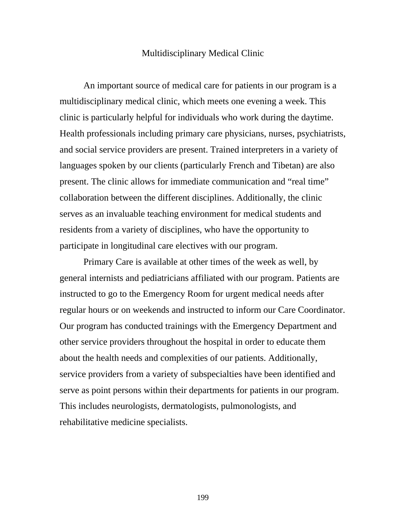#### Multidisciplinary Medical Clinic

An important source of medical care for patients in our program is a multidisciplinary medical clinic, which meets one evening a week. This clinic is particularly helpful for individuals who work during the daytime. Health professionals including primary care physicians, nurses, psychiatrists, and social service providers are present. Trained interpreters in a variety of languages spoken by our clients (particularly French and Tibetan) are also present. The clinic allows for immediate communication and "real time" collaboration between the different disciplines. Additionally, the clinic serves as an invaluable teaching environment for medical students and residents from a variety of disciplines, who have the opportunity to participate in longitudinal care electives with our program.

Primary Care is available at other times of the week as well, by general internists and pediatricians affiliated with our program. Patients are instructed to go to the Emergency Room for urgent medical needs after regular hours or on weekends and instructed to inform our Care Coordinator. Our program has conducted trainings with the Emergency Department and other service providers throughout the hospital in order to educate them about the health needs and complexities of our patients. Additionally, service providers from a variety of subspecialties have been identified and serve as point persons within their departments for patients in our program. This includes neurologists, dermatologists, pulmonologists, and rehabilitative medicine specialists.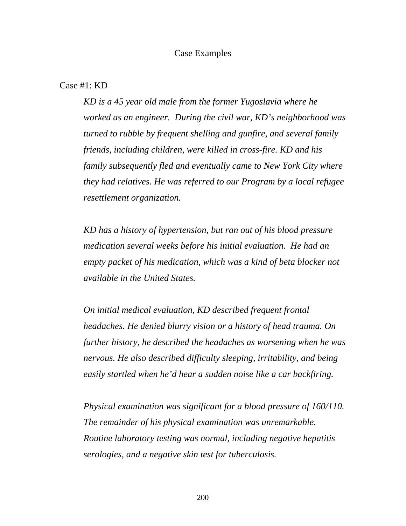#### Case Examples

#### Case #1: KD

*KD is a 45 year old male from the former Yugoslavia where he worked as an engineer. During the civil war, KD's neighborhood was turned to rubble by frequent shelling and gunfire, and several family friends, including children, were killed in cross-fire. KD and his family subsequently fled and eventually came to New York City where they had relatives. He was referred to our Program by a local refugee resettlement organization.* 

*KD has a history of hypertension, but ran out of his blood pressure medication several weeks before his initial evaluation. He had an empty packet of his medication, which was a kind of beta blocker not available in the United States.* 

*On initial medical evaluation, KD described frequent frontal headaches. He denied blurry vision or a history of head trauma. On further history, he described the headaches as worsening when he was nervous. He also described difficulty sleeping, irritability, and being easily startled when he'd hear a sudden noise like a car backfiring.* 

*Physical examination was significant for a blood pressure of 160/110. The remainder of his physical examination was unremarkable. Routine laboratory testing was normal, including negative hepatitis serologies, and a negative skin test for tuberculosis.*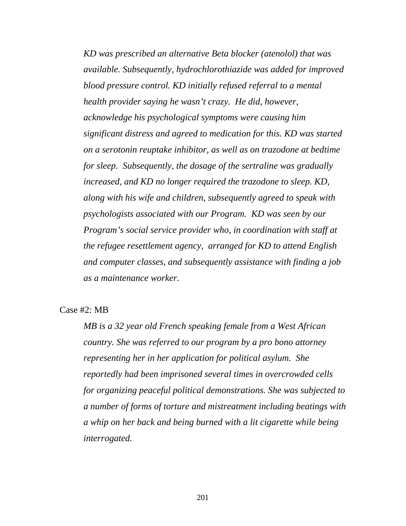*KD was prescribed an alternative Beta blocker (atenolol) that was available. Subsequently, hydrochlorothiazide was added for improved blood pressure control. KD initially refused referral to a mental health provider saying he wasn't crazy. He did, however, acknowledge his psychological symptoms were causing him significant distress and agreed to medication for this. KD was started on a serotonin reuptake inhibitor, as well as on trazodone at bedtime for sleep. Subsequently, the dosage of the sertraline was gradually increased, and KD no longer required the trazodone to sleep. KD, along with his wife and children, subsequently agreed to speak with psychologists associated with our Program. KD was seen by our Program's social service provider who, in coordination with staff at the refugee resettlement agency, arranged for KD to attend English and computer classes, and subsequently assistance with finding a job as a maintenance worker.* 

Case #2: MB

*MB is a 32 year old French speaking female from a West African country. She was referred to our program by a pro bono attorney representing her in her application for political asylum. She reportedly had been imprisoned several times in overcrowded cells for organizing peaceful political demonstrations. She was subjected to a number of forms of torture and mistreatment including beatings with a whip on her back and being burned with a lit cigarette while being interrogated.*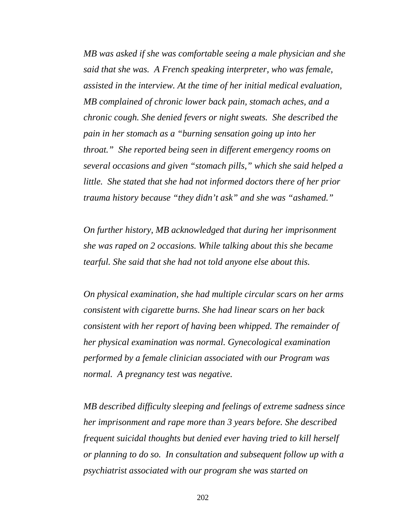*MB was asked if she was comfortable seeing a male physician and she said that she was. A French speaking interpreter, who was female, assisted in the interview. At the time of her initial medical evaluation, MB complained of chronic lower back pain, stomach aches, and a chronic cough. She denied fevers or night sweats. She described the pain in her stomach as a "burning sensation going up into her throat." She reported being seen in different emergency rooms on several occasions and given "stomach pills," which she said helped a little. She stated that she had not informed doctors there of her prior trauma history because "they didn't ask" and she was "ashamed."* 

*On further history, MB acknowledged that during her imprisonment she was raped on 2 occasions. While talking about this she became tearful. She said that she had not told anyone else about this.* 

*On physical examination, she had multiple circular scars on her arms consistent with cigarette burns. She had linear scars on her back consistent with her report of having been whipped. The remainder of her physical examination was normal. Gynecological examination performed by a female clinician associated with our Program was normal. A pregnancy test was negative.* 

*MB described difficulty sleeping and feelings of extreme sadness since her imprisonment and rape more than 3 years before. She described frequent suicidal thoughts but denied ever having tried to kill herself or planning to do so. In consultation and subsequent follow up with a psychiatrist associated with our program she was started on*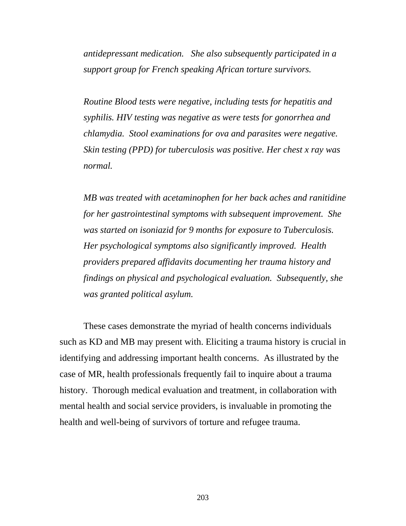*antidepressant medication. She also subsequently participated in a support group for French speaking African torture survivors.* 

*Routine Blood tests were negative, including tests for hepatitis and syphilis. HIV testing was negative as were tests for gonorrhea and chlamydia. Stool examinations for ova and parasites were negative. Skin testing (PPD) for tuberculosis was positive. Her chest x ray was normal.* 

*MB was treated with acetaminophen for her back aches and ranitidine for her gastrointestinal symptoms with subsequent improvement. She was started on isoniazid for 9 months for exposure to Tuberculosis. Her psychological symptoms also significantly improved. Health providers prepared affidavits documenting her trauma history and findings on physical and psychological evaluation. Subsequently, she was granted political asylum.* 

These cases demonstrate the myriad of health concerns individuals such as KD and MB may present with. Eliciting a trauma history is crucial in identifying and addressing important health concerns. As illustrated by the case of MR, health professionals frequently fail to inquire about a trauma history. Thorough medical evaluation and treatment, in collaboration with mental health and social service providers, is invaluable in promoting the health and well-being of survivors of torture and refugee trauma.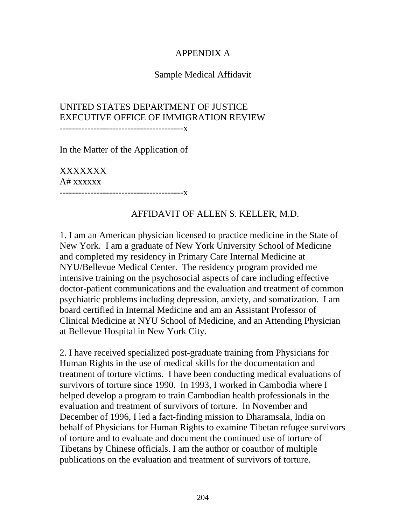# APPENDIX A

# Sample Medical Affidavit

# UNITED STATES DEPARTMENT OF JUSTICE EXECUTIVE OFFICE OF IMMIGRATION REVIEW

----------------------------------------x

In the Matter of the Application of

XXXXXXX A# xxxxxx ----------------------------------------x

## AFFIDAVIT OF ALLEN S. KELLER, M.D.

1. I am an American physician licensed to practice medicine in the State of New York. I am a graduate of New York University School of Medicine and completed my residency in Primary Care Internal Medicine at NYU/Bellevue Medical Center. The residency program provided me intensive training on the psychosocial aspects of care including effective doctor-patient communications and the evaluation and treatment of common psychiatric problems including depression, anxiety, and somatization. I am board certified in Internal Medicine and am an Assistant Professor of Clinical Medicine at NYU School of Medicine, and an Attending Physician at Bellevue Hospital in New York City.

2. I have received specialized post-graduate training from Physicians for Human Rights in the use of medical skills for the documentation and treatment of torture victims. I have been conducting medical evaluations of survivors of torture since 1990. In 1993, I worked in Cambodia where I helped develop a program to train Cambodian health professionals in the evaluation and treatment of survivors of torture. In November and December of 1996, I led a fact-finding mission to Dharamsala, India on behalf of Physicians for Human Rights to examine Tibetan refugee survivors of torture and to evaluate and document the continued use of torture of Tibetans by Chinese officials. I am the author or coauthor of multiple publications on the evaluation and treatment of survivors of torture.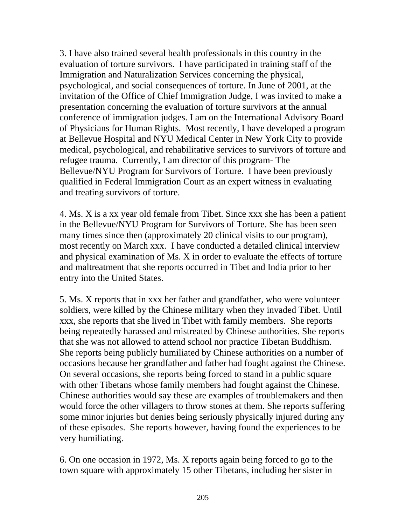3. I have also trained several health professionals in this country in the evaluation of torture survivors. I have participated in training staff of the Immigration and Naturalization Services concerning the physical, psychological, and social consequences of torture. In June of 2001, at the invitation of the Office of Chief Immigration Judge, I was invited to make a presentation concerning the evaluation of torture survivors at the annual conference of immigration judges. I am on the International Advisory Board of Physicians for Human Rights. Most recently, I have developed a program at Bellevue Hospital and NYU Medical Center in New York City to provide medical, psychological, and rehabilitative services to survivors of torture and refugee trauma. Currently, I am director of this program- The Bellevue/NYU Program for Survivors of Torture. I have been previously qualified in Federal Immigration Court as an expert witness in evaluating and treating survivors of torture.

4. Ms. X is a xx year old female from Tibet. Since xxx she has been a patient in the Bellevue/NYU Program for Survivors of Torture. She has been seen many times since then (approximately 20 clinical visits to our program), most recently on March xxx. I have conducted a detailed clinical interview and physical examination of Ms. X in order to evaluate the effects of torture and maltreatment that she reports occurred in Tibet and India prior to her entry into the United States.

5. Ms. X reports that in xxx her father and grandfather, who were volunteer soldiers, were killed by the Chinese military when they invaded Tibet. Until xxx, she reports that she lived in Tibet with family members. She reports being repeatedly harassed and mistreated by Chinese authorities. She reports that she was not allowed to attend school nor practice Tibetan Buddhism. She reports being publicly humiliated by Chinese authorities on a number of occasions because her grandfather and father had fought against the Chinese. On several occasions, she reports being forced to stand in a public square with other Tibetans whose family members had fought against the Chinese. Chinese authorities would say these are examples of troublemakers and then would force the other villagers to throw stones at them. She reports suffering some minor injuries but denies being seriously physically injured during any of these episodes. She reports however, having found the experiences to be very humiliating.

6. On one occasion in 1972, Ms. X reports again being forced to go to the town square with approximately 15 other Tibetans, including her sister in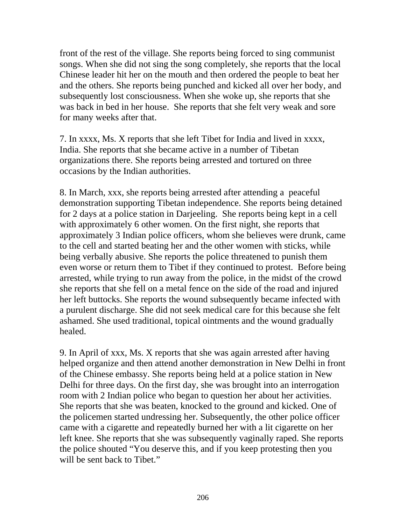front of the rest of the village. She reports being forced to sing communist songs. When she did not sing the song completely, she reports that the local Chinese leader hit her on the mouth and then ordered the people to beat her and the others. She reports being punched and kicked all over her body, and subsequently lost consciousness. When she woke up, she reports that she was back in bed in her house. She reports that she felt very weak and sore for many weeks after that.

7. In xxxx, Ms. X reports that she left Tibet for India and lived in xxxx, India. She reports that she became active in a number of Tibetan organizations there. She reports being arrested and tortured on three occasions by the Indian authorities.

8. In March, xxx, she reports being arrested after attending a peaceful demonstration supporting Tibetan independence. She reports being detained for 2 days at a police station in Darjeeling. She reports being kept in a cell with approximately 6 other women. On the first night, she reports that approximately 3 Indian police officers, whom she believes were drunk, came to the cell and started beating her and the other women with sticks, while being verbally abusive. She reports the police threatened to punish them even worse or return them to Tibet if they continued to protest. Before being arrested, while trying to run away from the police, in the midst of the crowd she reports that she fell on a metal fence on the side of the road and injured her left buttocks. She reports the wound subsequently became infected with a purulent discharge. She did not seek medical care for this because she felt ashamed. She used traditional, topical ointments and the wound gradually healed.

9. In April of xxx, Ms. X reports that she was again arrested after having helped organize and then attend another demonstration in New Delhi in front of the Chinese embassy. She reports being held at a police station in New Delhi for three days. On the first day, she was brought into an interrogation room with 2 Indian police who began to question her about her activities. She reports that she was beaten, knocked to the ground and kicked. One of the policemen started undressing her. Subsequently, the other police officer came with a cigarette and repeatedly burned her with a lit cigarette on her left knee. She reports that she was subsequently vaginally raped. She reports the police shouted "You deserve this, and if you keep protesting then you will be sent back to Tibet."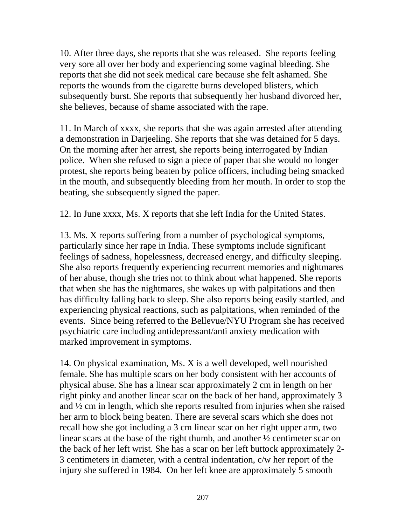10. After three days, she reports that she was released. She reports feeling very sore all over her body and experiencing some vaginal bleeding. She reports that she did not seek medical care because she felt ashamed. She reports the wounds from the cigarette burns developed blisters, which subsequently burst. She reports that subsequently her husband divorced her, she believes, because of shame associated with the rape.

11. In March of xxxx, she reports that she was again arrested after attending a demonstration in Darjeeling. She reports that she was detained for 5 days. On the morning after her arrest, she reports being interrogated by Indian police. When she refused to sign a piece of paper that she would no longer protest, she reports being beaten by police officers, including being smacked in the mouth, and subsequently bleeding from her mouth. In order to stop the beating, she subsequently signed the paper.

12. In June xxxx, Ms. X reports that she left India for the United States.

13. Ms. X reports suffering from a number of psychological symptoms, particularly since her rape in India. These symptoms include significant feelings of sadness, hopelessness, decreased energy, and difficulty sleeping. She also reports frequently experiencing recurrent memories and nightmares of her abuse, though she tries not to think about what happened. She reports that when she has the nightmares, she wakes up with palpitations and then has difficulty falling back to sleep. She also reports being easily startled, and experiencing physical reactions, such as palpitations, when reminded of the events. Since being referred to the Bellevue/NYU Program she has received psychiatric care including antidepressant/anti anxiety medication with marked improvement in symptoms.

14. On physical examination, Ms. X is a well developed, well nourished female. She has multiple scars on her body consistent with her accounts of physical abuse. She has a linear scar approximately 2 cm in length on her right pinky and another linear scar on the back of her hand, approximately 3 and ½ cm in length, which she reports resulted from injuries when she raised her arm to block being beaten. There are several scars which she does not recall how she got including a 3 cm linear scar on her right upper arm, two linear scars at the base of the right thumb, and another ½ centimeter scar on the back of her left wrist. She has a scar on her left buttock approximately 2- 3 centimeters in diameter, with a central indentation, c/w her report of the injury she suffered in 1984. On her left knee are approximately 5 smooth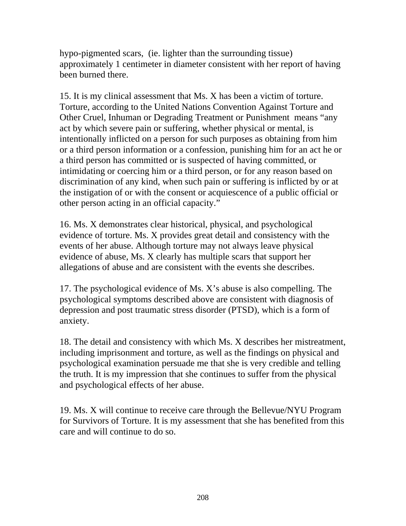hypo-pigmented scars, (ie. lighter than the surrounding tissue) approximately 1 centimeter in diameter consistent with her report of having been burned there.

15. It is my clinical assessment that Ms. X has been a victim of torture. Torture, according to the United Nations Convention Against Torture and Other Cruel, Inhuman or Degrading Treatment or Punishment means "any act by which severe pain or suffering, whether physical or mental, is intentionally inflicted on a person for such purposes as obtaining from him or a third person information or a confession, punishing him for an act he or a third person has committed or is suspected of having committed, or intimidating or coercing him or a third person, or for any reason based on discrimination of any kind, when such pain or suffering is inflicted by or at the instigation of or with the consent or acquiescence of a public official or other person acting in an official capacity."

16. Ms. X demonstrates clear historical, physical, and psychological evidence of torture. Ms. X provides great detail and consistency with the events of her abuse. Although torture may not always leave physical evidence of abuse, Ms. X clearly has multiple scars that support her allegations of abuse and are consistent with the events she describes.

17. The psychological evidence of Ms. X's abuse is also compelling. The psychological symptoms described above are consistent with diagnosis of depression and post traumatic stress disorder (PTSD), which is a form of anxiety.

18. The detail and consistency with which Ms. X describes her mistreatment, including imprisonment and torture, as well as the findings on physical and psychological examination persuade me that she is very credible and telling the truth. It is my impression that she continues to suffer from the physical and psychological effects of her abuse.

19. Ms. X will continue to receive care through the Bellevue/NYU Program for Survivors of Torture. It is my assessment that she has benefited from this care and will continue to do so.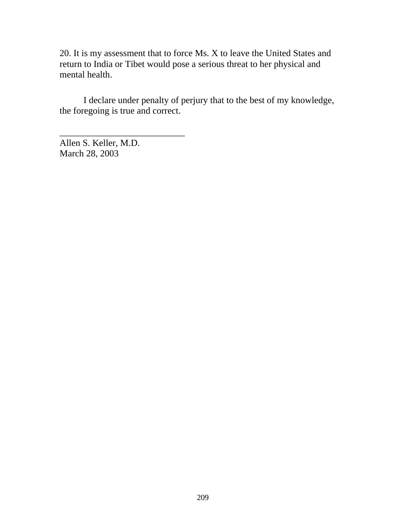20. It is my assessment that to force Ms. X to leave the United States and return to India or Tibet would pose a serious threat to her physical and mental health.

 I declare under penalty of perjury that to the best of my knowledge, the foregoing is true and correct.

Allen S. Keller, M.D. March 28, 2003

\_\_\_\_\_\_\_\_\_\_\_\_\_\_\_\_\_\_\_\_\_\_\_\_\_\_\_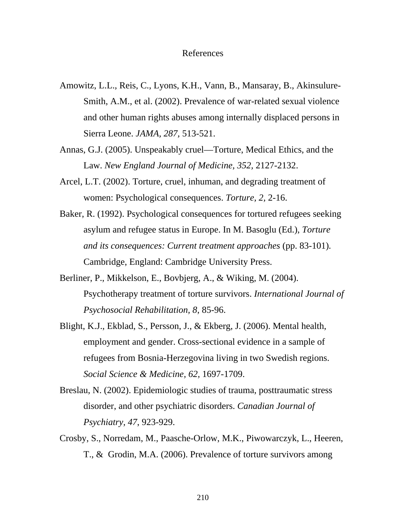#### References

- Amowitz, L.L., Reis, C., Lyons, K.H., Vann, B., Mansaray, B., Akinsulure-Smith, A.M., et al. (2002). Prevalence of war-related sexual violence and other human rights abuses among internally displaced persons in Sierra Leone. *JAMA, 287,* 513-521.
- Annas, G.J. (2005). Unspeakably cruel—Torture, Medical Ethics, and the Law. *New England Journal of Medicine, 352,* 2127-2132.
- Arcel, L.T. (2002). Torture, cruel, inhuman, and degrading treatment of women: Psychological consequences. *Torture, 2,* 2-16.
- Baker, R. (1992). Psychological consequences for tortured refugees seeking asylum and refugee status in Europe. In M. Basoglu (Ed.), *Torture and its consequences: Current treatment approaches* (pp. 83-101)*.* Cambridge, England: Cambridge University Press.
- Berliner, P., Mikkelson, E., Bovbjerg, A., & Wiking, M. (2004). Psychotherapy treatment of torture survivors. *International Journal of Psychosocial Rehabilitation, 8*, 85-96.
- Blight, K.J., Ekblad, S., Persson, J., & Ekberg, J. (2006). Mental health, employment and gender. Cross-sectional evidence in a sample of refugees from Bosnia-Herzegovina living in two Swedish regions. *Social Science & Medicine, 62,* 1697-1709.
- Breslau, N. (2002). Epidemiologic studies of trauma, posttraumatic stress disorder, and other psychiatric disorders. *Canadian Journal of Psychiatry, 47*, 923-929.
- Crosby, S., Norredam, M., Paasche-Orlow, M.K., Piwowarczyk, L., Heeren, T., & Grodin, M.A. (2006). Prevalence of torture survivors among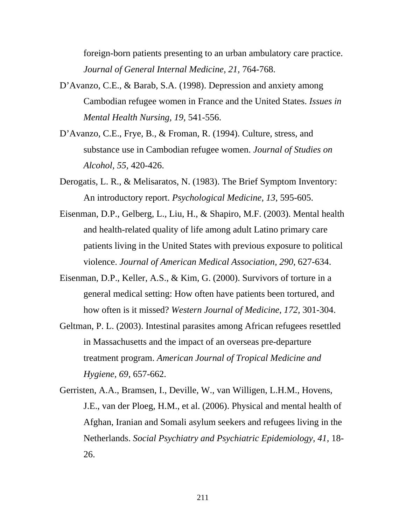foreign-born patients presenting to an urban ambulatory care practice. *Journal of General Internal Medicine, 21,* 764-768.

- D'Avanzo, C.E., & Barab, S.A. (1998). Depression and anxiety among Cambodian refugee women in France and the United States. *Issues in Mental Health Nursing, 19,* 541-556.
- D'Avanzo, C.E., Frye, B., & Froman, R. (1994). Culture, stress, and substance use in Cambodian refugee women. *Journal of Studies on Alcohol, 55,* 420-426.
- Derogatis, L. R., & Melisaratos, N. (1983). The Brief Symptom Inventory: An introductory report. *Psychological Medicine, 13*, 595-605.
- Eisenman, D.P., Gelberg, L., Liu, H., & Shapiro, M.F. (2003). Mental health and health-related quality of life among adult Latino primary care patients living in the United States with previous exposure to political violence. *Journal of American Medical Association, 290,* 627-634.
- Eisenman, D.P., Keller, A.S., & Kim, G. (2000). Survivors of torture in a general medical setting: How often have patients been tortured, and how often is it missed? *Western Journal of Medicine, 172,* 301-304.
- Geltman, P. L. (2003). Intestinal parasites among African refugees resettled in Massachusetts and the impact of an overseas pre-departure treatment program. *American Journal of Tropical Medicine and Hygiene, 69,* 657-662.
- Gerristen, A.A., Bramsen, I., Deville, W., van Willigen, L.H.M., Hovens, J.E., van der Ploeg, H.M., et al. (2006). Physical and mental health of Afghan, Iranian and Somali asylum seekers and refugees living in the Netherlands. *Social Psychiatry and Psychiatric Epidemiology, 41,* 18- 26.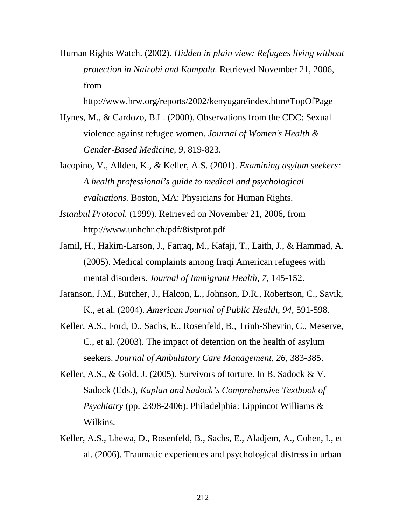Human Rights Watch. (2002). *Hidden in plain view: Refugees living without protection in Nairobi and Kampala.* Retrieved November 21, 2006, from

http://www.hrw.org/reports/2002/kenyugan/index.htm#TopOfPage

- Hynes, M., & Cardozo, B.L. (2000). Observations from the CDC: Sexual violence against refugee women. *Journal of Women's Health & Gender-Based Medicine, 9,* 819-823.
- Iacopino, V., Allden, K.*, &* Keller, A.S. (2001). *Examining asylum seekers: A health professional's guide to medical and psychological evaluations.* Boston, MA: Physicians for Human Rights.
- *Istanbul Protocol.* (1999). Retrieved on November 21, 2006, from http://www.unhchr.ch/pdf/8istprot.pdf
- Jamil, H., Hakim-Larson, J., Farraq, M., Kafaji, T., Laith, J., & Hammad, A. (2005). Medical complaints among Iraqi American refugees with mental disorders. *Journal of Immigrant Health, 7,* 145-152.
- Jaranson, J.M., Butcher, J., Halcon, L., Johnson, D.R., Robertson, C., Savik, K., et al. (2004). *American Journal of Public Health, 94,* 591-598.
- Keller, A.S., Ford, D., Sachs, E., Rosenfeld, B., Trinh-Shevrin, C., Meserve, C., et al. (2003). The impact of detention on the health of asylum seekers. *Journal of Ambulatory Care Management, 26,* 383-385.
- Keller, A.S., & Gold, J. (2005). Survivors of torture. In B. Sadock & V. Sadock (Eds.), *Kaplan and Sadock's Comprehensive Textbook of Psychiatry* (pp. 2398-2406). Philadelphia: Lippincot Williams & Wilkins.
- Keller, A.S., Lhewa, D., Rosenfeld, B., Sachs, E., Aladjem, A., Cohen, I., et al. (2006). Traumatic experiences and psychological distress in urban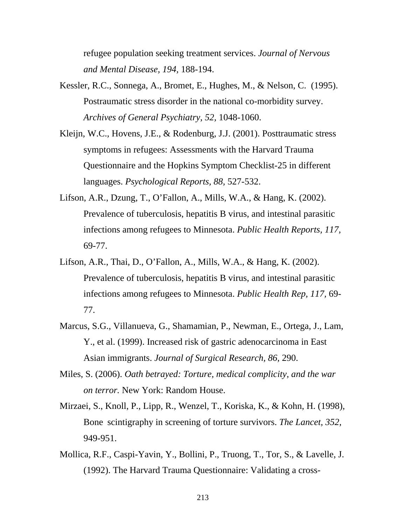refugee population seeking treatment services. *Journal of Nervous and Mental Disease, 194,* 188-194.

- Kessler, R.C., Sonnega, A., Bromet, E., Hughes, M., & Nelson, C. (1995). Postraumatic stress disorder in the national co-morbidity survey. *Archives of General Psychiatry, 52,* 1048-1060.
- Kleijn, W.C., Hovens, J.E., & Rodenburg, J.J. (2001). Posttraumatic stress symptoms in refugees: Assessments with the Harvard Trauma Questionnaire and the Hopkins Symptom Checklist-25 in different languages. *Psychological Reports, 88,* 527-532.
- Lifson, A.R., Dzung, T., O'Fallon, A., Mills, W.A., & Hang, K. (2002). Prevalence of tuberculosis, hepatitis B virus, and intestinal parasitic infections among refugees to Minnesota. *Public Health Reports, 117,*  69-77.
- Lifson, A.R., Thai, D., O'Fallon, A., Mills, W.A., & Hang, K. (2002). Prevalence of tuberculosis, hepatitis B virus, and intestinal parasitic infections among refugees to Minnesota. *Public Health Rep, 117,* 69- 77.
- Marcus, S.G., Villanueva, G., Shamamian, P., Newman, E., Ortega, J., Lam, Y., et al. (1999). Increased risk of gastric adenocarcinoma in East Asian immigrants. *Journal of Surgical Research, 86,* 290.
- Miles, S. (2006). *Oath betrayed: Torture, medical complicity, and the war on terror.* New York: Random House.
- Mirzaei, S., Knoll, P., Lipp, R., Wenzel, T., Koriska, K., & Kohn, H. (1998), Bone scintigraphy in screening of torture survivors. *The Lancet, 352,* 949-951.
- Mollica, R.F., Caspi-Yavin, Y., Bollini, P., Truong, T., Tor, S., & Lavelle, J. (1992). The Harvard Trauma Questionnaire: Validating a cross-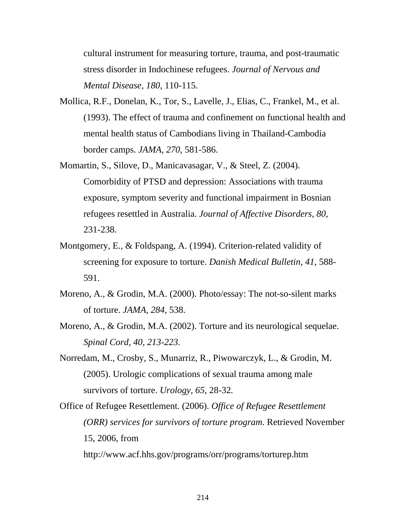cultural instrument for measuring torture, trauma, and post-traumatic stress disorder in Indochinese refugees. *Journal of Nervous and Mental Disease, 180,* 110-115.

- Mollica, R.F., Donelan, K., Tor, S., Lavelle, J., Elias, C., Frankel, M., et al. (1993). The effect of trauma and confinement on functional health and mental health status of Cambodians living in Thailand-Cambodia border camps. *JAMA, 270,* 581-586.
- Momartin, S., Silove, D., Manicavasagar, V., & Steel, Z. (2004). Comorbidity of PTSD and depression: Associations with trauma exposure, symptom severity and functional impairment in Bosnian refugees resettled in Australia. *Journal of Affective Disorders, 80,*  231-238.
- Montgomery, E., & Foldspang, A. (1994). Criterion-related validity of screening for exposure to torture. *Danish Medical Bulletin, 41*, 588- 591.
- Moreno, A., & Grodin, M.A. (2000). Photo/essay: The not-so-silent marks of torture. *JAMA, 284,* 538.
- Moreno, A., & Grodin, M.A. (2002). Torture and its neurological sequelae. *Spinal Cord, 40, 213-223.*
- Norredam, M., Crosby, S., Munarriz, R., Piwowarczyk, L., & Grodin, M. (2005). Urologic complications of sexual trauma among male survivors of torture. *Urology, 65,* 28-32*.*
- Office of Refugee Resettlement. (2006). *Office of Refugee Resettlement (ORR) services for survivors of torture program*. Retrieved November 15, 2006, from http://www.acf.hhs.gov/programs/orr/programs/torturep.htm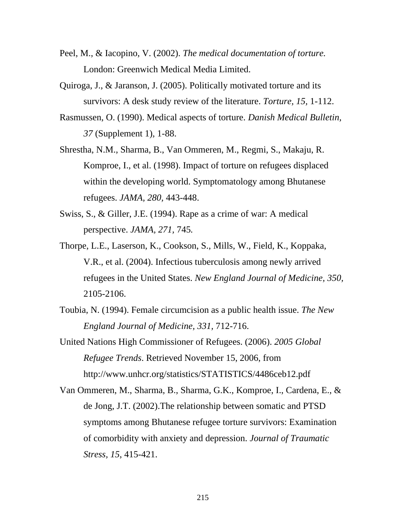- Peel, M., & Iacopino, V. (2002). *The medical documentation of torture.* London: Greenwich Medical Media Limited.
- Quiroga, J., & Jaranson, J. (2005). Politically motivated torture and its survivors: A desk study review of the literature. *Torture, 15,* 1-112.
- Rasmussen, O. (1990). Medical aspects of torture. *Danish Medical Bulletin, 37* (Supplement 1)*,* 1-88.
- Shrestha, N.M., Sharma, B., Van Ommeren, M., Regmi, S., Makaju, R. Komproe, I., et al. (1998). Impact of torture on refugees displaced within the developing world. Symptomatology among Bhutanese refugees. *JAMA, 280,* 443-448.
- Swiss, S., & Giller, J.E. (1994). Rape as a crime of war: A medical perspective. *JAMA, 271,* 745*.*
- Thorpe, L.E., Laserson, K., Cookson, S., Mills, W., Field, K., Koppaka, V.R., et al. (2004). Infectious tuberculosis among newly arrived refugees in the United States. *New England Journal of Medicine, 350,*  2105-2106.
- Toubia, N. (1994). Female circumcision as a public health issue. *The New England Journal of Medicine, 331,* 712-716.
- United Nations High Commissioner of Refugees. (2006). *2005 Global Refugee Trends*. Retrieved November 15, 2006, from http://www.unhcr.org/statistics/STATISTICS/4486ceb12.pdf
- Van Ommeren, M., Sharma, B., Sharma, G.K., Komproe, I., Cardena, E., & de Jong, J.T. (2002).The relationship between somatic and PTSD symptoms among Bhutanese refugee torture survivors: Examination of comorbidity with anxiety and depression. *Journal of Traumatic Stress, 15*, 415-421.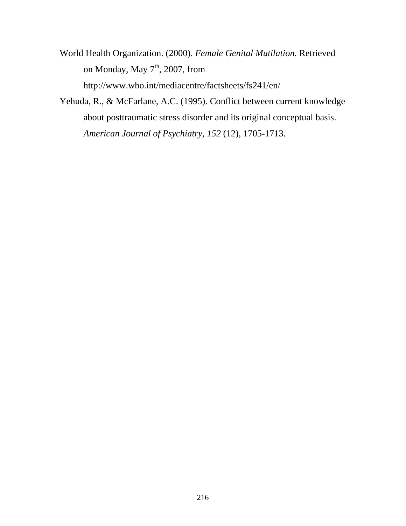World Health Organization. (2000). *Female Genital Mutilation.* Retrieved on Monday, May  $7<sup>th</sup>$ , 2007, from http://www.who.int/mediacentre/factsheets/fs241/en/

Yehuda, R., & McFarlane, A.C. (1995). Conflict between current knowledge about posttraumatic stress disorder and its original conceptual basis. *American Journal of Psychiatry, 152* (12), 1705-1713.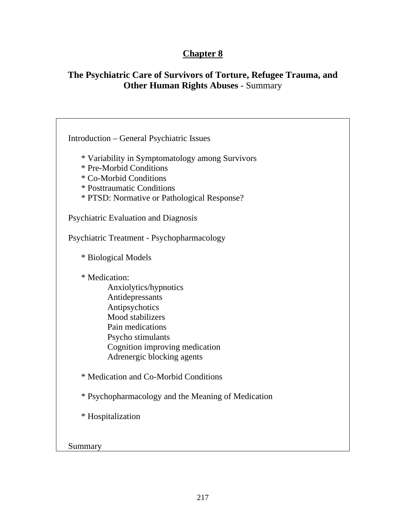# **Chapter 8**

# **The Psychiatric Care of Survivors of Torture, Refugee Trauma, and Other Human Rights Abuses** - Summary

| <b>Introduction – General Psychiatric Issues</b>   |
|----------------------------------------------------|
|                                                    |
| * Variability in Symptomatology among Survivors    |
| * Pre-Morbid Conditions                            |
|                                                    |
| * Co-Morbid Conditions                             |
| * Posttraumatic Conditions                         |
| * PTSD: Normative or Pathological Response?        |
| Psychiatric Evaluation and Diagnosis               |
| Psychiatric Treatment - Psychopharmacology         |
| * Biological Models                                |
| * Medication:                                      |
| Anxiolytics/hypnotics                              |
| Antidepressants                                    |
| Antipsychotics                                     |
| Mood stabilizers                                   |
| Pain medications                                   |
| Psycho stimulants                                  |
| Cognition improving medication                     |
| Adrenergic blocking agents                         |
|                                                    |
| * Medication and Co-Morbid Conditions              |
| * Psychopharmacology and the Meaning of Medication |
| * Hospitalization                                  |
|                                                    |
| Summary                                            |
|                                                    |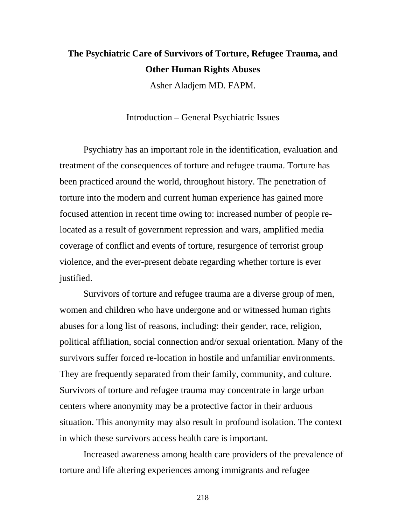# **The Psychiatric Care of Survivors of Torture, Refugee Trauma, and Other Human Rights Abuses**

Asher Aladjem MD. FAPM.

Introduction – General Psychiatric Issues

Psychiatry has an important role in the identification, evaluation and treatment of the consequences of torture and refugee trauma. Torture has been practiced around the world, throughout history. The penetration of torture into the modern and current human experience has gained more focused attention in recent time owing to: increased number of people relocated as a result of government repression and wars, amplified media coverage of conflict and events of torture, resurgence of terrorist group violence, and the ever-present debate regarding whether torture is ever justified.

Survivors of torture and refugee trauma are a diverse group of men, women and children who have undergone and or witnessed human rights abuses for a long list of reasons, including: their gender, race, religion, political affiliation, social connection and/or sexual orientation. Many of the survivors suffer forced re-location in hostile and unfamiliar environments. They are frequently separated from their family, community, and culture. Survivors of torture and refugee trauma may concentrate in large urban centers where anonymity may be a protective factor in their arduous situation. This anonymity may also result in profound isolation. The context in which these survivors access health care is important.

Increased awareness among health care providers of the prevalence of torture and life altering experiences among immigrants and refugee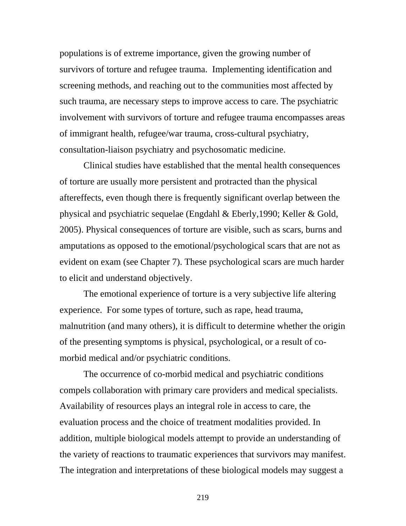populations is of extreme importance, given the growing number of survivors of torture and refugee trauma. Implementing identification and screening methods, and reaching out to the communities most affected by such trauma, are necessary steps to improve access to care. The psychiatric involvement with survivors of torture and refugee trauma encompasses areas of immigrant health, refugee/war trauma, cross-cultural psychiatry, consultation-liaison psychiatry and psychosomatic medicine.

Clinical studies have established that the mental health consequences of torture are usually more persistent and protracted than the physical aftereffects, even though there is frequently significant overlap between the physical and psychiatric sequelae (Engdahl & Eberly,1990; Keller & Gold, 2005). Physical consequences of torture are visible, such as scars, burns and amputations as opposed to the emotional/psychological scars that are not as evident on exam (see Chapter 7). These psychological scars are much harder to elicit and understand objectively.

The emotional experience of torture is a very subjective life altering experience. For some types of torture, such as rape, head trauma, malnutrition (and many others), it is difficult to determine whether the origin of the presenting symptoms is physical, psychological, or a result of comorbid medical and/or psychiatric conditions.

The occurrence of co-morbid medical and psychiatric conditions compels collaboration with primary care providers and medical specialists. Availability of resources plays an integral role in access to care, the evaluation process and the choice of treatment modalities provided. In addition, multiple biological models attempt to provide an understanding of the variety of reactions to traumatic experiences that survivors may manifest. The integration and interpretations of these biological models may suggest a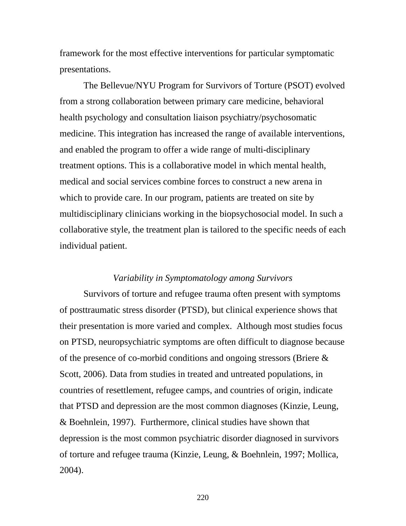framework for the most effective interventions for particular symptomatic presentations.

The Bellevue/NYU Program for Survivors of Torture (PSOT) evolved from a strong collaboration between primary care medicine, behavioral health psychology and consultation liaison psychiatry/psychosomatic medicine. This integration has increased the range of available interventions, and enabled the program to offer a wide range of multi-disciplinary treatment options. This is a collaborative model in which mental health, medical and social services combine forces to construct a new arena in which to provide care. In our program, patients are treated on site by multidisciplinary clinicians working in the biopsychosocial model. In such a collaborative style, the treatment plan is tailored to the specific needs of each individual patient.

#### *Variability in Symptomatology among Survivors*

Survivors of torture and refugee trauma often present with symptoms of posttraumatic stress disorder (PTSD), but clinical experience shows that their presentation is more varied and complex. Although most studies focus on PTSD, neuropsychiatric symptoms are often difficult to diagnose because of the presence of co-morbid conditions and ongoing stressors (Briere & Scott, 2006). Data from studies in treated and untreated populations, in countries of resettlement, refugee camps, and countries of origin, indicate that PTSD and depression are the most common diagnoses (Kinzie, Leung, & Boehnlein, 1997). Furthermore, clinical studies have shown that depression is the most common psychiatric disorder diagnosed in survivors of torture and refugee trauma (Kinzie, Leung, & Boehnlein, 1997; Mollica, 2004).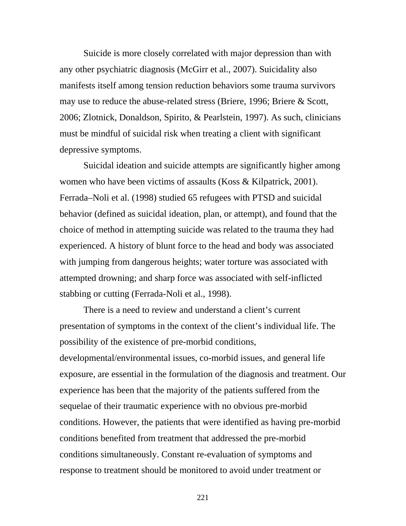Suicide is more closely correlated with major depression than with any other psychiatric diagnosis (McGirr et al., 2007). Suicidality also manifests itself among tension reduction behaviors some trauma survivors may use to reduce the abuse-related stress (Briere, 1996; Briere & Scott, 2006; Zlotnick, Donaldson, Spirito, & Pearlstein, 1997). As such, clinicians must be mindful of suicidal risk when treating a client with significant depressive symptoms.

Suicidal ideation and suicide attempts are significantly higher among women who have been victims of assaults (Koss & Kilpatrick, 2001). Ferrada–Noli et al. (1998) studied 65 refugees with PTSD and suicidal behavior (defined as suicidal ideation, plan, or attempt), and found that the choice of method in attempting suicide was related to the trauma they had experienced. A history of blunt force to the head and body was associated with jumping from dangerous heights; water torture was associated with attempted drowning; and sharp force was associated with self-inflicted stabbing or cutting (Ferrada-Noli et al., 1998).

There is a need to review and understand a client's current presentation of symptoms in the context of the client's individual life. The possibility of the existence of pre-morbid conditions, developmental/environmental issues, co-morbid issues, and general life exposure, are essential in the formulation of the diagnosis and treatment. Our experience has been that the majority of the patients suffered from the sequelae of their traumatic experience with no obvious pre-morbid conditions. However, the patients that were identified as having pre-morbid conditions benefited from treatment that addressed the pre-morbid conditions simultaneously. Constant re-evaluation of symptoms and response to treatment should be monitored to avoid under treatment or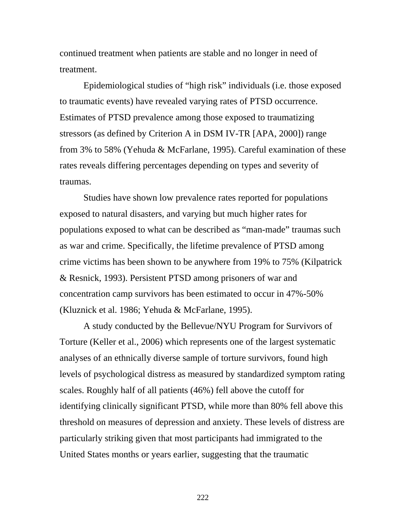continued treatment when patients are stable and no longer in need of treatment.

Epidemiological studies of "high risk" individuals (i.e. those exposed to traumatic events) have revealed varying rates of PTSD occurrence. Estimates of PTSD prevalence among those exposed to traumatizing stressors (as defined by Criterion A in DSM IV-TR [APA, 2000]) range from 3% to 58% (Yehuda & McFarlane, 1995). Careful examination of these rates reveals differing percentages depending on types and severity of traumas.

Studies have shown low prevalence rates reported for populations exposed to natural disasters, and varying but much higher rates for populations exposed to what can be described as "man-made" traumas such as war and crime. Specifically, the lifetime prevalence of PTSD among crime victims has been shown to be anywhere from 19% to 75% (Kilpatrick & Resnick, 1993). Persistent PTSD among prisoners of war and concentration camp survivors has been estimated to occur in 47%-50% (Kluznick et al. 1986; Yehuda & McFarlane, 1995).

A study conducted by the Bellevue/NYU Program for Survivors of Torture (Keller et al., 2006) which represents one of the largest systematic analyses of an ethnically diverse sample of torture survivors, found high levels of psychological distress as measured by standardized symptom rating scales. Roughly half of all patients (46%) fell above the cutoff for identifying clinically significant PTSD, while more than 80% fell above this threshold on measures of depression and anxiety. These levels of distress are particularly striking given that most participants had immigrated to the United States months or years earlier, suggesting that the traumatic

<u>222</u>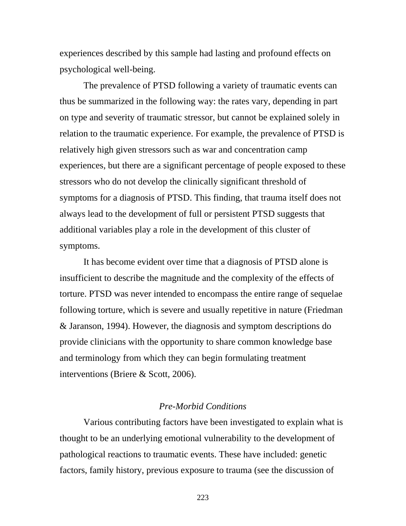experiences described by this sample had lasting and profound effects on psychological well-being.

 The prevalence of PTSD following a variety of traumatic events can thus be summarized in the following way: the rates vary, depending in part on type and severity of traumatic stressor, but cannot be explained solely in relation to the traumatic experience. For example, the prevalence of PTSD is relatively high given stressors such as war and concentration camp experiences, but there are a significant percentage of people exposed to these stressors who do not develop the clinically significant threshold of symptoms for a diagnosis of PTSD. This finding, that trauma itself does not always lead to the development of full or persistent PTSD suggests that additional variables play a role in the development of this cluster of symptoms.

It has become evident over time that a diagnosis of PTSD alone is insufficient to describe the magnitude and the complexity of the effects of torture. PTSD was never intended to encompass the entire range of sequelae following torture, which is severe and usually repetitive in nature (Friedman & Jaranson, 1994). However, the diagnosis and symptom descriptions do provide clinicians with the opportunity to share common knowledge base and terminology from which they can begin formulating treatment interventions (Briere & Scott, 2006).

# *Pre-Morbid Conditions*

 Various contributing factors have been investigated to explain what is thought to be an underlying emotional vulnerability to the development of pathological reactions to traumatic events. These have included: genetic factors, family history, previous exposure to trauma (see the discussion of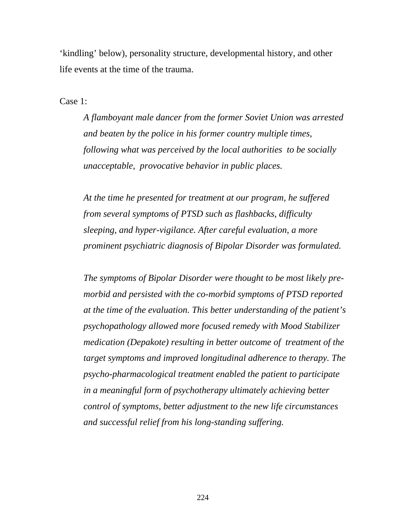'kindling' below), personality structure, developmental history, and other life events at the time of the trauma.

Case 1:

*A flamboyant male dancer from the former Soviet Union was arrested and beaten by the police in his former country multiple times, following what was perceived by the local authorities to be socially unacceptable, provocative behavior in public places.* 

*At the time he presented for treatment at our program, he suffered from several symptoms of PTSD such as flashbacks, difficulty sleeping, and hyper-vigilance. After careful evaluation, a more prominent psychiatric diagnosis of Bipolar Disorder was formulated.* 

*The symptoms of Bipolar Disorder were thought to be most likely premorbid and persisted with the co-morbid symptoms of PTSD reported at the time of the evaluation. This better understanding of the patient's psychopathology allowed more focused remedy with Mood Stabilizer medication (Depakote) resulting in better outcome of treatment of the target symptoms and improved longitudinal adherence to therapy. The psycho-pharmacological treatment enabled the patient to participate in a meaningful form of psychotherapy ultimately achieving better control of symptoms, better adjustment to the new life circumstances and successful relief from his long-standing suffering.*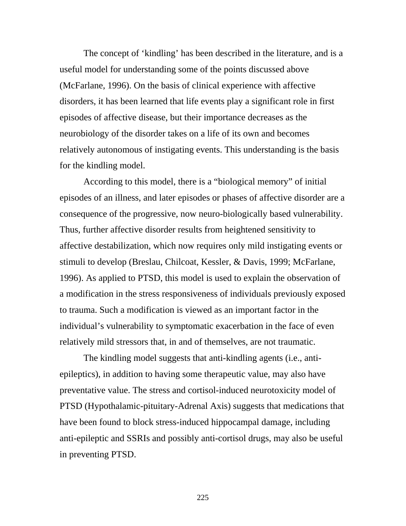The concept of 'kindling' has been described in the literature, and is a useful model for understanding some of the points discussed above (McFarlane, 1996). On the basis of clinical experience with affective disorders, it has been learned that life events play a significant role in first episodes of affective disease, but their importance decreases as the neurobiology of the disorder takes on a life of its own and becomes relatively autonomous of instigating events. This understanding is the basis for the kindling model.

According to this model, there is a "biological memory" of initial episodes of an illness, and later episodes or phases of affective disorder are a consequence of the progressive, now neuro-biologically based vulnerability. Thus, further affective disorder results from heightened sensitivity to affective destabilization, which now requires only mild instigating events or stimuli to develop (Breslau, Chilcoat, Kessler, & Davis, 1999; McFarlane, 1996). As applied to PTSD, this model is used to explain the observation of a modification in the stress responsiveness of individuals previously exposed to trauma. Such a modification is viewed as an important factor in the individual's vulnerability to symptomatic exacerbation in the face of even relatively mild stressors that, in and of themselves, are not traumatic.

The kindling model suggests that anti-kindling agents (i.e., antiepileptics), in addition to having some therapeutic value, may also have preventative value. The stress and cortisol-induced neurotoxicity model of PTSD (Hypothalamic-pituitary-Adrenal Axis) suggests that medications that have been found to block stress-induced hippocampal damage, including anti-epileptic and SSRIs and possibly anti-cortisol drugs, may also be useful in preventing PTSD.

<u>225</u>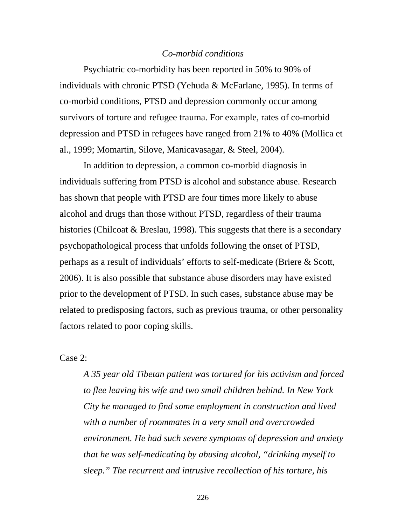### *Co-morbid conditions*

Psychiatric co-morbidity has been reported in 50% to 90% of individuals with chronic PTSD (Yehuda & McFarlane, 1995). In terms of co-morbid conditions, PTSD and depression commonly occur among survivors of torture and refugee trauma. For example, rates of co-morbid depression and PTSD in refugees have ranged from 21% to 40% (Mollica et al., 1999; Momartin, Silove, Manicavasagar, & Steel, 2004).

In addition to depression, a common co-morbid diagnosis in individuals suffering from PTSD is alcohol and substance abuse. Research has shown that people with PTSD are four times more likely to abuse alcohol and drugs than those without PTSD, regardless of their trauma histories (Chilcoat & Breslau, 1998). This suggests that there is a secondary psychopathological process that unfolds following the onset of PTSD, perhaps as a result of individuals' efforts to self-medicate (Briere & Scott, 2006). It is also possible that substance abuse disorders may have existed prior to the development of PTSD. In such cases, substance abuse may be related to predisposing factors, such as previous trauma, or other personality factors related to poor coping skills.

Case 2:

*A 35 year old Tibetan patient was tortured for his activism and forced to flee leaving his wife and two small children behind. In New York City he managed to find some employment in construction and lived with a number of roommates in a very small and overcrowded environment. He had such severe symptoms of depression and anxiety that he was self-medicating by abusing alcohol, "drinking myself to sleep." The recurrent and intrusive recollection of his torture, his* 

<u>226</u>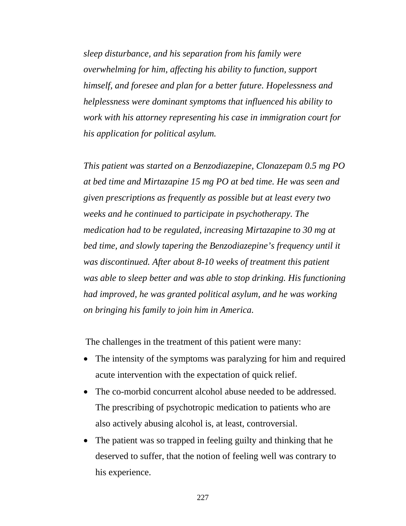*sleep disturbance, and his separation from his family were overwhelming for him, affecting his ability to function, support himself, and foresee and plan for a better future. Hopelessness and helplessness were dominant symptoms that influenced his ability to work with his attorney representing his case in immigration court for his application for political asylum.* 

*This patient was started on a Benzodiazepine, Clonazepam 0.5 mg PO at bed time and Mirtazapine 15 mg PO at bed time. He was seen and given prescriptions as frequently as possible but at least every two weeks and he continued to participate in psychotherapy. The medication had to be regulated, increasing Mirtazapine to 30 mg at bed time, and slowly tapering the Benzodiazepine's frequency until it was discontinued. After about 8-10 weeks of treatment this patient was able to sleep better and was able to stop drinking. His functioning had improved, he was granted political asylum, and he was working on bringing his family to join him in America.* 

The challenges in the treatment of this patient were many:

- The intensity of the symptoms was paralyzing for him and required acute intervention with the expectation of quick relief.
- The co-morbid concurrent alcohol abuse needed to be addressed. The prescribing of psychotropic medication to patients who are also actively abusing alcohol is, at least, controversial.
- The patient was so trapped in feeling guilty and thinking that he deserved to suffer, that the notion of feeling well was contrary to his experience.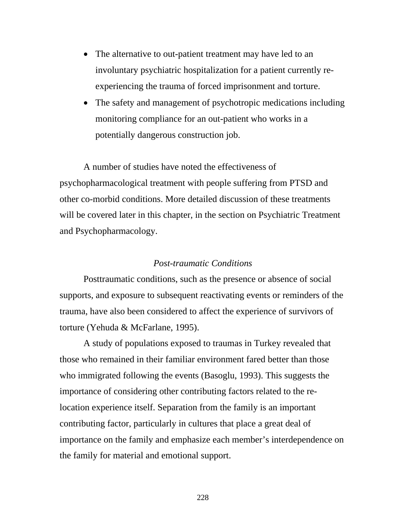- The alternative to out-patient treatment may have led to an involuntary psychiatric hospitalization for a patient currently reexperiencing the trauma of forced imprisonment and torture.
- The safety and management of psychotropic medications including monitoring compliance for an out-patient who works in a potentially dangerous construction job.

A number of studies have noted the effectiveness of psychopharmacological treatment with people suffering from PTSD and other co-morbid conditions. More detailed discussion of these treatments will be covered later in this chapter, in the section on Psychiatric Treatment and Psychopharmacology.

## *Post-traumatic Conditions*

Posttraumatic conditions, such as the presence or absence of social supports, and exposure to subsequent reactivating events or reminders of the trauma, have also been considered to affect the experience of survivors of torture (Yehuda & McFarlane, 1995).

A study of populations exposed to traumas in Turkey revealed that those who remained in their familiar environment fared better than those who immigrated following the events (Basoglu, 1993). This suggests the importance of considering other contributing factors related to the relocation experience itself. Separation from the family is an important contributing factor, particularly in cultures that place a great deal of importance on the family and emphasize each member's interdependence on the family for material and emotional support.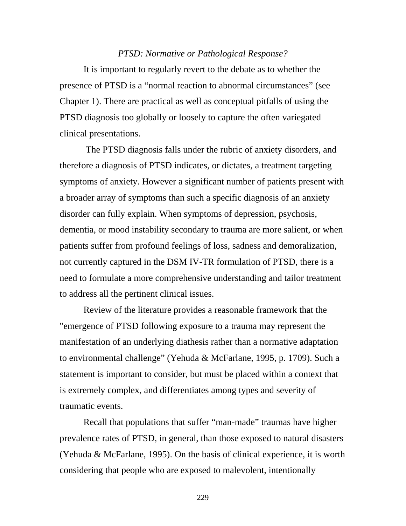### *PTSD: Normative or Pathological Response?*

It is important to regularly revert to the debate as to whether the presence of PTSD is a "normal reaction to abnormal circumstances" (see Chapter 1). There are practical as well as conceptual pitfalls of using the PTSD diagnosis too globally or loosely to capture the often variegated clinical presentations.

 The PTSD diagnosis falls under the rubric of anxiety disorders, and therefore a diagnosis of PTSD indicates, or dictates, a treatment targeting symptoms of anxiety. However a significant number of patients present with a broader array of symptoms than such a specific diagnosis of an anxiety disorder can fully explain. When symptoms of depression, psychosis, dementia, or mood instability secondary to trauma are more salient, or when patients suffer from profound feelings of loss, sadness and demoralization, not currently captured in the DSM IV-TR formulation of PTSD, there is a need to formulate a more comprehensive understanding and tailor treatment to address all the pertinent clinical issues.

Review of the literature provides a reasonable framework that the "emergence of PTSD following exposure to a trauma may represent the manifestation of an underlying diathesis rather than a normative adaptation to environmental challenge" (Yehuda & McFarlane, 1995, p. 1709). Such a statement is important to consider, but must be placed within a context that is extremely complex, and differentiates among types and severity of traumatic events.

Recall that populations that suffer "man-made" traumas have higher prevalence rates of PTSD, in general, than those exposed to natural disasters (Yehuda & McFarlane, 1995). On the basis of clinical experience, it is worth considering that people who are exposed to malevolent, intentionally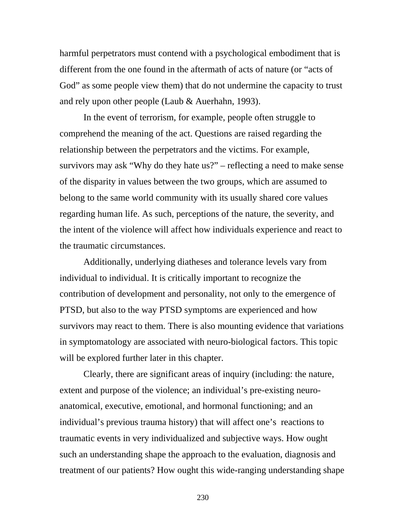harmful perpetrators must contend with a psychological embodiment that is different from the one found in the aftermath of acts of nature (or "acts of God" as some people view them) that do not undermine the capacity to trust and rely upon other people (Laub & Auerhahn, 1993).

In the event of terrorism, for example, people often struggle to comprehend the meaning of the act. Questions are raised regarding the relationship between the perpetrators and the victims. For example, survivors may ask "Why do they hate us?" – reflecting a need to make sense of the disparity in values between the two groups, which are assumed to belong to the same world community with its usually shared core values regarding human life. As such, perceptions of the nature, the severity, and the intent of the violence will affect how individuals experience and react to the traumatic circumstances.

Additionally, underlying diatheses and tolerance levels vary from individual to individual. It is critically important to recognize the contribution of development and personality, not only to the emergence of PTSD, but also to the way PTSD symptoms are experienced and how survivors may react to them. There is also mounting evidence that variations in symptomatology are associated with neuro-biological factors. This topic will be explored further later in this chapter.

 Clearly, there are significant areas of inquiry (including: the nature, extent and purpose of the violence; an individual's pre-existing neuroanatomical, executive, emotional, and hormonal functioning; and an individual's previous trauma history) that will affect one's reactions to traumatic events in very individualized and subjective ways. How ought such an understanding shape the approach to the evaluation, diagnosis and treatment of our patients? How ought this wide-ranging understanding shape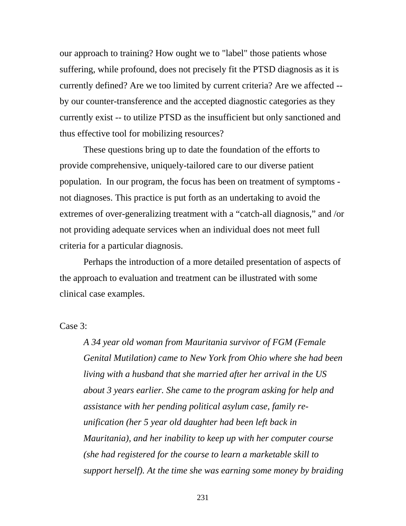our approach to training? How ought we to "label" those patients whose suffering, while profound, does not precisely fit the PTSD diagnosis as it is currently defined? Are we too limited by current criteria? Are we affected - by our counter-transference and the accepted diagnostic categories as they currently exist -- to utilize PTSD as the insufficient but only sanctioned and thus effective tool for mobilizing resources?

 These questions bring up to date the foundation of the efforts to provide comprehensive, uniquely-tailored care to our diverse patient population. In our program, the focus has been on treatment of symptoms not diagnoses. This practice is put forth as an undertaking to avoid the extremes of over-generalizing treatment with a "catch-all diagnosis," and /or not providing adequate services when an individual does not meet full criteria for a particular diagnosis.

Perhaps the introduction of a more detailed presentation of aspects of the approach to evaluation and treatment can be illustrated with some clinical case examples.

## Case 3:

*A 34 year old woman from Mauritania survivor of FGM (Female Genital Mutilation) came to New York from Ohio where she had been living with a husband that she married after her arrival in the US about 3 years earlier. She came to the program asking for help and assistance with her pending political asylum case, family reunification (her 5 year old daughter had been left back in Mauritania), and her inability to keep up with her computer course (she had registered for the course to learn a marketable skill to support herself). At the time she was earning some money by braiding*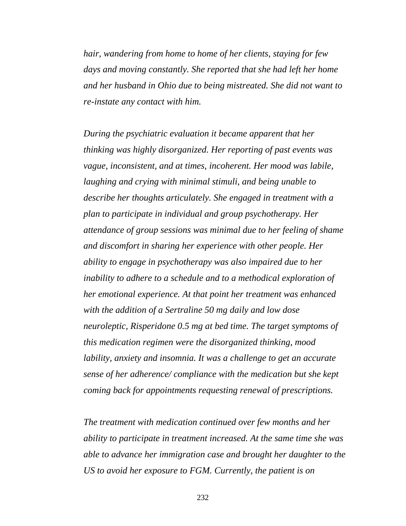*hair, wandering from home to home of her clients, staying for few days and moving constantly. She reported that she had left her home and her husband in Ohio due to being mistreated. She did not want to re-instate any contact with him.* 

*During the psychiatric evaluation it became apparent that her thinking was highly disorganized. Her reporting of past events was vague, inconsistent, and at times, incoherent. Her mood was labile, laughing and crying with minimal stimuli, and being unable to describe her thoughts articulately. She engaged in treatment with a plan to participate in individual and group psychotherapy. Her attendance of group sessions was minimal due to her feeling of shame and discomfort in sharing her experience with other people. Her ability to engage in psychotherapy was also impaired due to her inability to adhere to a schedule and to a methodical exploration of her emotional experience. At that point her treatment was enhanced with the addition of a Sertraline 50 mg daily and low dose neuroleptic, Risperidone 0.5 mg at bed time. The target symptoms of this medication regimen were the disorganized thinking, mood lability, anxiety and insomnia. It was a challenge to get an accurate sense of her adherence/ compliance with the medication but she kept coming back for appointments requesting renewal of prescriptions.* 

*The treatment with medication continued over few months and her ability to participate in treatment increased. At the same time she was able to advance her immigration case and brought her daughter to the US to avoid her exposure to FGM. Currently, the patient is on*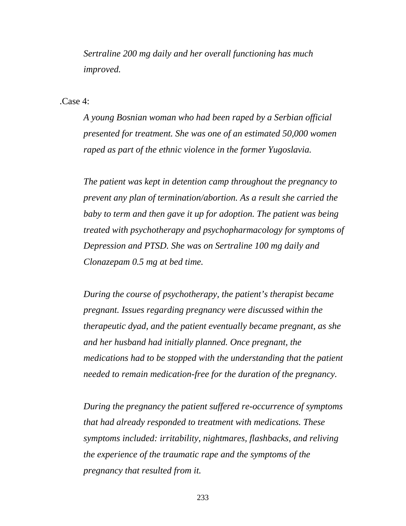*Sertraline 200 mg daily and her overall functioning has much improved.* 

.Case 4:

*A young Bosnian woman who had been raped by a Serbian official presented for treatment. She was one of an estimated 50,000 women raped as part of the ethnic violence in the former Yugoslavia.* 

*The patient was kept in detention camp throughout the pregnancy to prevent any plan of termination/abortion. As a result she carried the baby to term and then gave it up for adoption. The patient was being treated with psychotherapy and psychopharmacology for symptoms of Depression and PTSD. She was on Sertraline 100 mg daily and Clonazepam 0.5 mg at bed time.* 

*During the course of psychotherapy, the patient's therapist became pregnant. Issues regarding pregnancy were discussed within the therapeutic dyad, and the patient eventually became pregnant, as she and her husband had initially planned. Once pregnant, the medications had to be stopped with the understanding that the patient needed to remain medication-free for the duration of the pregnancy.* 

*During the pregnancy the patient suffered re-occurrence of symptoms that had already responded to treatment with medications. These symptoms included: irritability, nightmares, flashbacks, and reliving the experience of the traumatic rape and the symptoms of the pregnancy that resulted from it.*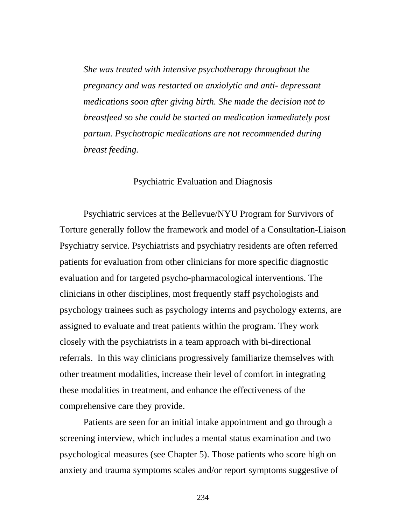*She was treated with intensive psychotherapy throughout the pregnancy and was restarted on anxiolytic and anti- depressant medications soon after giving birth. She made the decision not to breastfeed so she could be started on medication immediately post partum. Psychotropic medications are not recommended during breast feeding.* 

### Psychiatric Evaluation and Diagnosis

 Psychiatric services at the Bellevue/NYU Program for Survivors of Torture generally follow the framework and model of a Consultation-Liaison Psychiatry service. Psychiatrists and psychiatry residents are often referred patients for evaluation from other clinicians for more specific diagnostic evaluation and for targeted psycho-pharmacological interventions. The clinicians in other disciplines, most frequently staff psychologists and psychology trainees such as psychology interns and psychology externs, are assigned to evaluate and treat patients within the program. They work closely with the psychiatrists in a team approach with bi-directional referrals. In this way clinicians progressively familiarize themselves with other treatment modalities, increase their level of comfort in integrating these modalities in treatment, and enhance the effectiveness of the comprehensive care they provide.

Patients are seen for an initial intake appointment and go through a screening interview, which includes a mental status examination and two psychological measures (see Chapter 5). Those patients who score high on anxiety and trauma symptoms scales and/or report symptoms suggestive of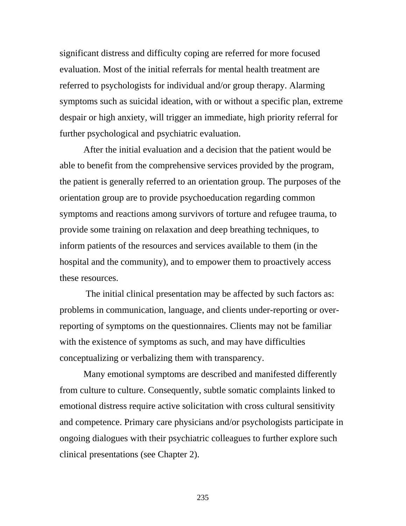significant distress and difficulty coping are referred for more focused evaluation. Most of the initial referrals for mental health treatment are referred to psychologists for individual and/or group therapy. Alarming symptoms such as suicidal ideation, with or without a specific plan, extreme despair or high anxiety, will trigger an immediate, high priority referral for further psychological and psychiatric evaluation.

After the initial evaluation and a decision that the patient would be able to benefit from the comprehensive services provided by the program, the patient is generally referred to an orientation group. The purposes of the orientation group are to provide psychoeducation regarding common symptoms and reactions among survivors of torture and refugee trauma, to provide some training on relaxation and deep breathing techniques, to inform patients of the resources and services available to them (in the hospital and the community), and to empower them to proactively access these resources.

 The initial clinical presentation may be affected by such factors as: problems in communication, language, and clients under-reporting or overreporting of symptoms on the questionnaires. Clients may not be familiar with the existence of symptoms as such, and may have difficulties conceptualizing or verbalizing them with transparency.

Many emotional symptoms are described and manifested differently from culture to culture. Consequently, subtle somatic complaints linked to emotional distress require active solicitation with cross cultural sensitivity and competence. Primary care physicians and/or psychologists participate in ongoing dialogues with their psychiatric colleagues to further explore such clinical presentations (see Chapter 2).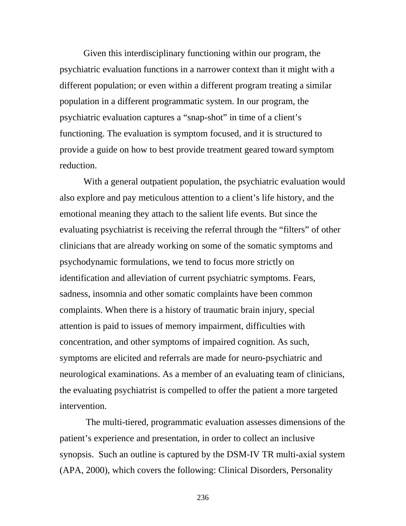Given this interdisciplinary functioning within our program, the psychiatric evaluation functions in a narrower context than it might with a different population; or even within a different program treating a similar population in a different programmatic system. In our program, the psychiatric evaluation captures a "snap-shot" in time of a client's functioning. The evaluation is symptom focused, and it is structured to provide a guide on how to best provide treatment geared toward symptom reduction.

With a general outpatient population, the psychiatric evaluation would also explore and pay meticulous attention to a client's life history, and the emotional meaning they attach to the salient life events. But since the evaluating psychiatrist is receiving the referral through the "filters" of other clinicians that are already working on some of the somatic symptoms and psychodynamic formulations, we tend to focus more strictly on identification and alleviation of current psychiatric symptoms. Fears, sadness, insomnia and other somatic complaints have been common complaints. When there is a history of traumatic brain injury, special attention is paid to issues of memory impairment, difficulties with concentration, and other symptoms of impaired cognition. As such, symptoms are elicited and referrals are made for neuro-psychiatric and neurological examinations. As a member of an evaluating team of clinicians, the evaluating psychiatrist is compelled to offer the patient a more targeted intervention.

 The multi-tiered, programmatic evaluation assesses dimensions of the patient's experience and presentation, in order to collect an inclusive synopsis. Such an outline is captured by the DSM-IV TR multi-axial system (APA, 2000), which covers the following: Clinical Disorders, Personality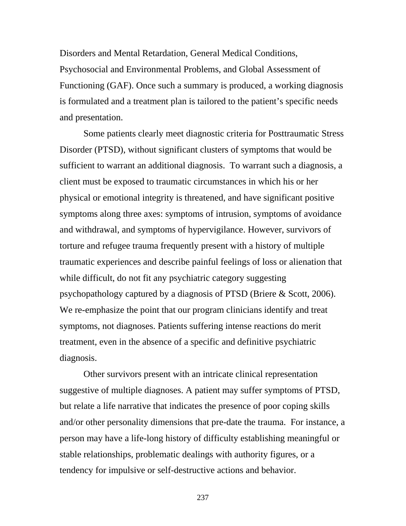Disorders and Mental Retardation, General Medical Conditions, Psychosocial and Environmental Problems, and Global Assessment of Functioning (GAF). Once such a summary is produced, a working diagnosis is formulated and a treatment plan is tailored to the patient's specific needs and presentation.

Some patients clearly meet diagnostic criteria for Posttraumatic Stress Disorder (PTSD), without significant clusters of symptoms that would be sufficient to warrant an additional diagnosis. To warrant such a diagnosis, a client must be exposed to traumatic circumstances in which his or her physical or emotional integrity is threatened, and have significant positive symptoms along three axes: symptoms of intrusion, symptoms of avoidance and withdrawal, and symptoms of hypervigilance. However, survivors of torture and refugee trauma frequently present with a history of multiple traumatic experiences and describe painful feelings of loss or alienation that while difficult, do not fit any psychiatric category suggesting psychopathology captured by a diagnosis of PTSD (Briere & Scott, 2006). We re-emphasize the point that our program clinicians identify and treat symptoms, not diagnoses. Patients suffering intense reactions do merit treatment, even in the absence of a specific and definitive psychiatric diagnosis.

Other survivors present with an intricate clinical representation suggestive of multiple diagnoses. A patient may suffer symptoms of PTSD, but relate a life narrative that indicates the presence of poor coping skills and/or other personality dimensions that pre-date the trauma. For instance, a person may have a life-long history of difficulty establishing meaningful or stable relationships, problematic dealings with authority figures, or a tendency for impulsive or self-destructive actions and behavior.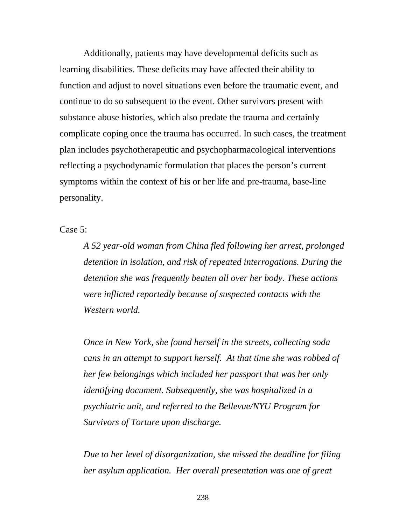Additionally, patients may have developmental deficits such as learning disabilities. These deficits may have affected their ability to function and adjust to novel situations even before the traumatic event, and continue to do so subsequent to the event. Other survivors present with substance abuse histories, which also predate the trauma and certainly complicate coping once the trauma has occurred. In such cases, the treatment plan includes psychotherapeutic and psychopharmacological interventions reflecting a psychodynamic formulation that places the person's current symptoms within the context of his or her life and pre-trauma, base-line personality.

Case 5:

*A 52 year-old woman from China fled following her arrest, prolonged detention in isolation, and risk of repeated interrogations. During the detention she was frequently beaten all over her body. These actions were inflicted reportedly because of suspected contacts with the Western world.* 

 *Once in New York, she found herself in the streets, collecting soda cans in an attempt to support herself. At that time she was robbed of her few belongings which included her passport that was her only identifying document. Subsequently, she was hospitalized in a psychiatric unit, and referred to the Bellevue/NYU Program for Survivors of Torture upon discharge.* 

*Due to her level of disorganization, she missed the deadline for filing her asylum application. Her overall presentation was one of great*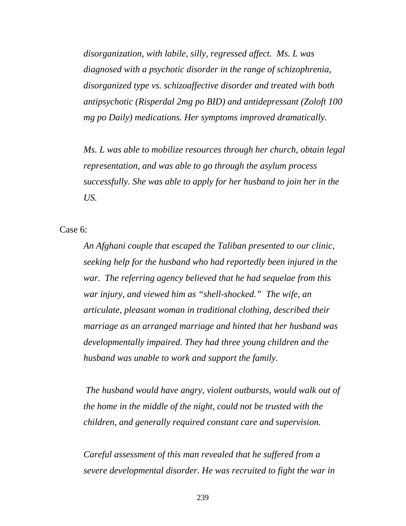*disorganization, with labile, silly, regressed affect. Ms. L was diagnosed with a psychotic disorder in the range of schizophrenia, disorganized type vs. schizoaffective disorder and treated with both antipsychotic (Risperdal 2mg po BID) and antidepressant (Zoloft 100 mg po Daily) medications. Her symptoms improved dramatically.* 

*Ms. L was able to mobilize resources through her church, obtain legal representation, and was able to go through the asylum process successfully. She was able to apply for her husband to join her in the US.* 

Case 6:

*An Afghani couple that escaped the Taliban presented to our clinic, seeking help for the husband who had reportedly been injured in the war. The referring agency believed that he had sequelae from this war injury, and viewed him as "shell-shocked." The wife, an articulate, pleasant woman in traditional clothing, described their marriage as an arranged marriage and hinted that her husband was developmentally impaired. They had three young children and the husband was unable to work and support the family.* 

 *The husband would have angry, violent outbursts, would walk out of the home in the middle of the night, could not be trusted with the children, and generally required constant care and supervision.* 

*Careful assessment of this man revealed that he suffered from a severe developmental disorder. He was recruited to fight the war in*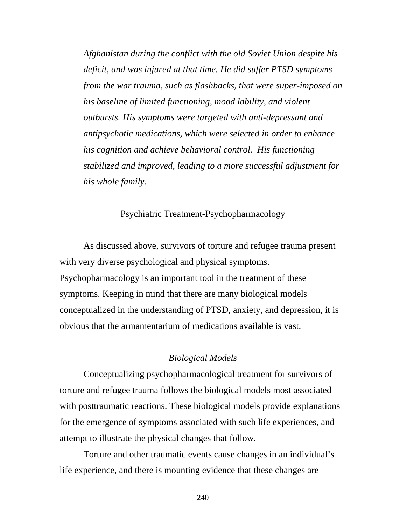*Afghanistan during the conflict with the old Soviet Union despite his deficit, and was injured at that time. He did suffer PTSD symptoms from the war trauma, such as flashbacks, that were super-imposed on his baseline of limited functioning, mood lability, and violent outbursts. His symptoms were targeted with anti-depressant and antipsychotic medications, which were selected in order to enhance his cognition and achieve behavioral control. His functioning stabilized and improved, leading to a more successful adjustment for his whole family.* 

### Psychiatric Treatment-Psychopharmacology

As discussed above, survivors of torture and refugee trauma present with very diverse psychological and physical symptoms. Psychopharmacology is an important tool in the treatment of these symptoms. Keeping in mind that there are many biological models conceptualized in the understanding of PTSD, anxiety, and depression, it is obvious that the armamentarium of medications available is vast.

### *Biological Models*

Conceptualizing psychopharmacological treatment for survivors of torture and refugee trauma follows the biological models most associated with posttraumatic reactions. These biological models provide explanations for the emergence of symptoms associated with such life experiences, and attempt to illustrate the physical changes that follow.

Torture and other traumatic events cause changes in an individual's life experience, and there is mounting evidence that these changes are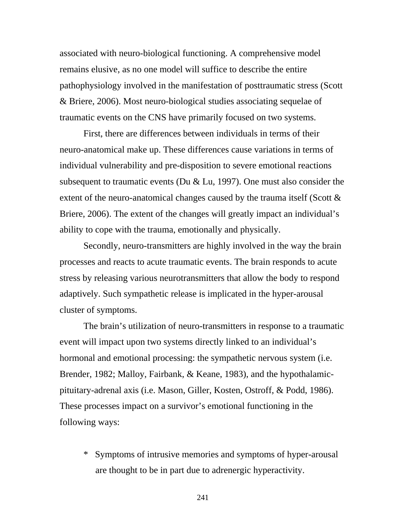associated with neuro-biological functioning. A comprehensive model remains elusive, as no one model will suffice to describe the entire pathophysiology involved in the manifestation of posttraumatic stress (Scott & Briere, 2006). Most neuro-biological studies associating sequelae of traumatic events on the CNS have primarily focused on two systems.

First, there are differences between individuals in terms of their neuro-anatomical make up. These differences cause variations in terms of individual vulnerability and pre-disposition to severe emotional reactions subsequent to traumatic events (Du  $& Lu, 1997$ ). One must also consider the extent of the neuro-anatomical changes caused by the trauma itself (Scott  $\&$ Briere, 2006). The extent of the changes will greatly impact an individual's ability to cope with the trauma, emotionally and physically.

Secondly, neuro-transmitters are highly involved in the way the brain processes and reacts to acute traumatic events. The brain responds to acute stress by releasing various neurotransmitters that allow the body to respond adaptively. Such sympathetic release is implicated in the hyper-arousal cluster of symptoms.

The brain's utilization of neuro-transmitters in response to a traumatic event will impact upon two systems directly linked to an individual's hormonal and emotional processing: the sympathetic nervous system (i.e. Brender, 1982; Malloy, Fairbank, & Keane, 1983), and the hypothalamicpituitary-adrenal axis (i.e. Mason, Giller, Kosten, Ostroff, & Podd, 1986). These processes impact on a survivor's emotional functioning in the following ways:

\* Symptoms of intrusive memories and symptoms of hyper-arousal are thought to be in part due to adrenergic hyperactivity.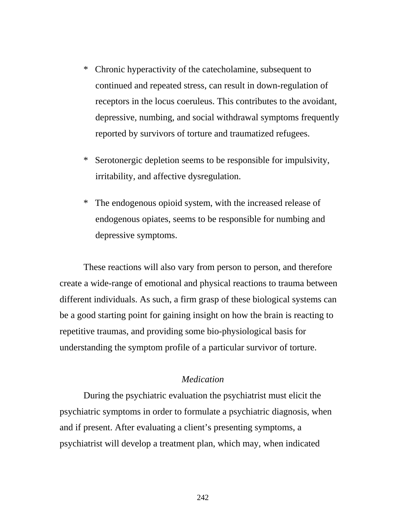- \* Chronic hyperactivity of the catecholamine, subsequent to continued and repeated stress, can result in down-regulation of receptors in the locus coeruleus. This contributes to the avoidant, depressive, numbing, and social withdrawal symptoms frequently reported by survivors of torture and traumatized refugees.
- \* Serotonergic depletion seems to be responsible for impulsivity, irritability, and affective dysregulation.
- \* The endogenous opioid system, with the increased release of endogenous opiates, seems to be responsible for numbing and depressive symptoms.

These reactions will also vary from person to person, and therefore create a wide-range of emotional and physical reactions to trauma between different individuals. As such, a firm grasp of these biological systems can be a good starting point for gaining insight on how the brain is reacting to repetitive traumas, and providing some bio-physiological basis for understanding the symptom profile of a particular survivor of torture.

# *Medication*

During the psychiatric evaluation the psychiatrist must elicit the psychiatric symptoms in order to formulate a psychiatric diagnosis, when and if present. After evaluating a client's presenting symptoms, a psychiatrist will develop a treatment plan, which may, when indicated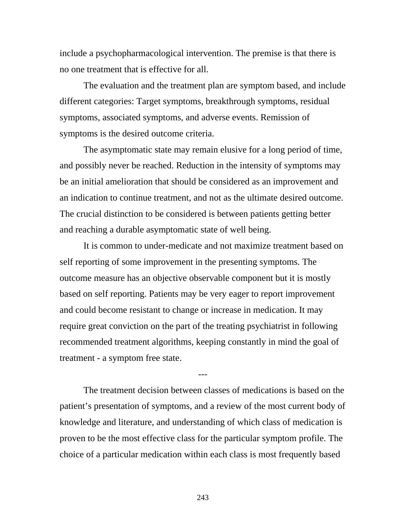include a psychopharmacological intervention. The premise is that there is no one treatment that is effective for all.

The evaluation and the treatment plan are symptom based, and include different categories: Target symptoms, breakthrough symptoms, residual symptoms, associated symptoms, and adverse events. Remission of symptoms is the desired outcome criteria.

The asymptomatic state may remain elusive for a long period of time, and possibly never be reached. Reduction in the intensity of symptoms may be an initial amelioration that should be considered as an improvement and an indication to continue treatment, and not as the ultimate desired outcome. The crucial distinction to be considered is between patients getting better and reaching a durable asymptomatic state of well being.

It is common to under-medicate and not maximize treatment based on self reporting of some improvement in the presenting symptoms. The outcome measure has an objective observable component but it is mostly based on self reporting. Patients may be very eager to report improvement and could become resistant to change or increase in medication. It may require great conviction on the part of the treating psychiatrist in following recommended treatment algorithms, keeping constantly in mind the goal of treatment - a symptom free state.

The treatment decision between classes of medications is based on the patient's presentation of symptoms, and a review of the most current body of knowledge and literature, and understanding of which class of medication is proven to be the most effective class for the particular symptom profile. The choice of a particular medication within each class is most frequently based

---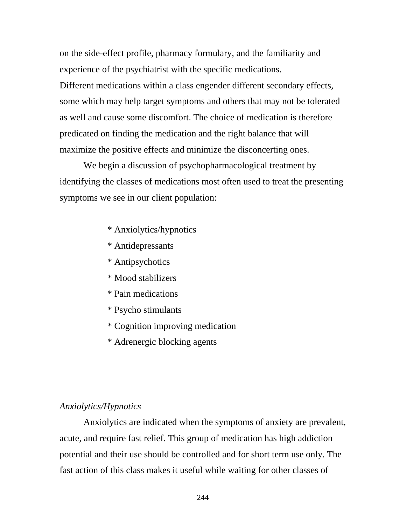on the side-effect profile, pharmacy formulary, and the familiarity and experience of the psychiatrist with the specific medications. Different medications within a class engender different secondary effects, some which may help target symptoms and others that may not be tolerated as well and cause some discomfort. The choice of medication is therefore predicated on finding the medication and the right balance that will maximize the positive effects and minimize the disconcerting ones.

We begin a discussion of psychopharmacological treatment by identifying the classes of medications most often used to treat the presenting symptoms we see in our client population:

- \* Anxiolytics/hypnotics
- \* Antidepressants
- \* Antipsychotics
- \* Mood stabilizers
- \* Pain medications
- \* Psycho stimulants
- \* Cognition improving medication
- \* Adrenergic blocking agents

# *Anxiolytics/Hypnotics*

Anxiolytics are indicated when the symptoms of anxiety are prevalent, acute, and require fast relief. This group of medication has high addiction potential and their use should be controlled and for short term use only. The fast action of this class makes it useful while waiting for other classes of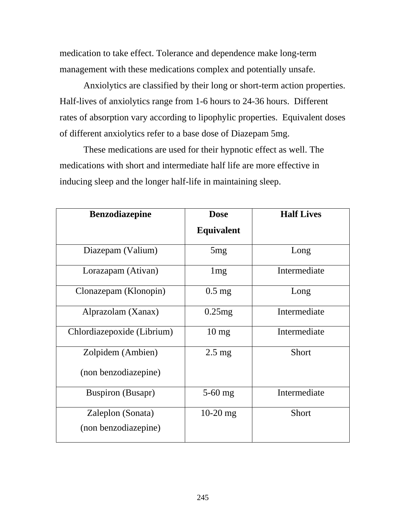medication to take effect. Tolerance and dependence make long-term management with these medications complex and potentially unsafe.

Anxiolytics are classified by their long or short-term action properties. Half-lives of anxiolytics range from 1-6 hours to 24-36 hours. Different rates of absorption vary according to lipophylic properties. Equivalent doses of different anxiolytics refer to a base dose of Diazepam 5mg.

These medications are used for their hypnotic effect as well. The medications with short and intermediate half life are more effective in inducing sleep and the longer half-life in maintaining sleep.

| <b>Benzodiazepine</b>                     | <b>Dose</b>       | <b>Half Lives</b> |
|-------------------------------------------|-------------------|-------------------|
|                                           | <b>Equivalent</b> |                   |
| Diazepam (Valium)                         | 5 <sub>mg</sub>   | Long              |
| Lorazapam (Ativan)                        | 1mg               | Intermediate      |
| Clonazepam (Klonopin)                     | $0.5$ mg          | Long              |
| Alprazolam (Xanax)                        | 0.25mg            | Intermediate      |
| Chlordiazepoxide (Librium)                | $10 \text{ mg}$   | Intermediate      |
| Zolpidem (Ambien)<br>(non benzodiazepine) | $2.5 \text{ mg}$  | Short             |
| <b>Buspiron</b> (Busapr)                  | $5-60$ mg         | Intermediate      |
| Zaleplon (Sonata)<br>(non benzodiazepine) | $10-20$ mg        | <b>Short</b>      |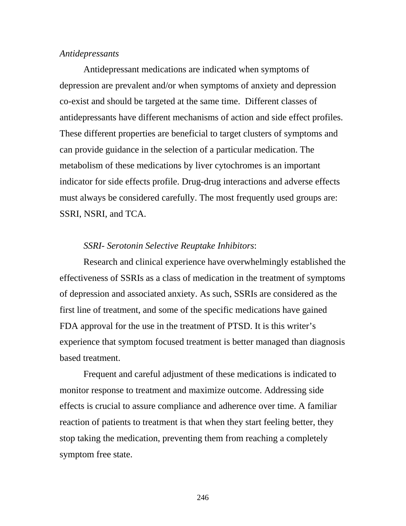## *Antidepressants*

Antidepressant medications are indicated when symptoms of depression are prevalent and/or when symptoms of anxiety and depression co-exist and should be targeted at the same time. Different classes of antidepressants have different mechanisms of action and side effect profiles. These different properties are beneficial to target clusters of symptoms and can provide guidance in the selection of a particular medication. The metabolism of these medications by liver cytochromes is an important indicator for side effects profile. Drug-drug interactions and adverse effects must always be considered carefully. The most frequently used groups are: SSRI, NSRI, and TCA.

### *SSRI- Serotonin Selective Reuptake Inhibitors*:

Research and clinical experience have overwhelmingly established the effectiveness of SSRIs as a class of medication in the treatment of symptoms of depression and associated anxiety. As such, SSRIs are considered as the first line of treatment, and some of the specific medications have gained FDA approval for the use in the treatment of PTSD. It is this writer's experience that symptom focused treatment is better managed than diagnosis based treatment.

Frequent and careful adjustment of these medications is indicated to monitor response to treatment and maximize outcome. Addressing side effects is crucial to assure compliance and adherence over time. A familiar reaction of patients to treatment is that when they start feeling better, they stop taking the medication, preventing them from reaching a completely symptom free state.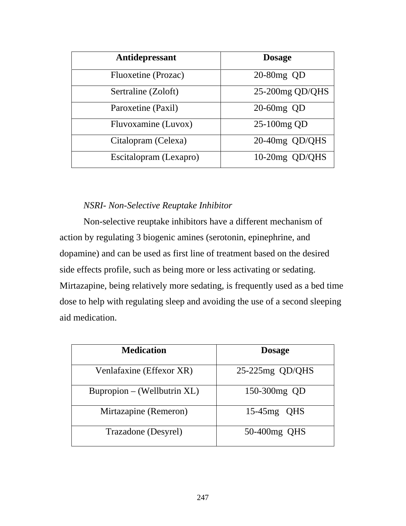| Antidepressant         | <b>Dosage</b>      |
|------------------------|--------------------|
| Fluoxetine (Prozac)    | 20-80mg QD         |
| Sertraline (Zoloft)    | $25-200$ mg QD/QHS |
| Paroxetine (Paxil)     | 20-60mg QD         |
| Fluvoxamine (Luvox)    | 25-100mg QD        |
| Citalopram (Celexa)    | 20-40mg QD/QHS     |
| Escitalopram (Lexapro) | 10-20mg QD/QHS     |

# *NSRI- Non-Selective Reuptake Inhibitor*

Non-selective reuptake inhibitors have a different mechanism of action by regulating 3 biogenic amines (serotonin, epinephrine, and dopamine) and can be used as first line of treatment based on the desired side effects profile, such as being more or less activating or sedating. Mirtazapine, being relatively more sedating, is frequently used as a bed time dose to help with regulating sleep and avoiding the use of a second sleeping aid medication.

| <b>Medication</b>           | <b>Dosage</b>     |
|-----------------------------|-------------------|
| Venlafaxine (Effexor XR)    | $25-225mg$ QD/QHS |
| Bupropion – (Wellbutrin XL) | 150-300mg QD      |
| Mirtazapine (Remeron)       | $15-45mg$ QHS     |
| Trazadone (Desyrel)         | 50-400mg QHS      |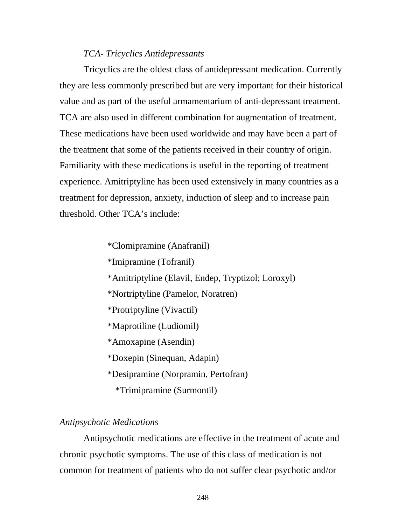## *TCA- Tricyclics Antidepressants*

Tricyclics are the oldest class of antidepressant medication. Currently they are less commonly prescribed but are very important for their historical value and as part of the useful armamentarium of anti-depressant treatment. TCA are also used in different combination for augmentation of treatment. These medications have been used worldwide and may have been a part of the treatment that some of the patients received in their country of origin. Familiarity with these medications is useful in the reporting of treatment experience. Amitriptyline has been used extensively in many countries as a treatment for depression, anxiety, induction of sleep and to increase pain threshold. Other TCA's include:

> \*Clomipramine (Anafranil) \*Imipramine (Tofranil) \*Amitriptyline (Elavil, Endep, Tryptizol; Loroxyl) \*Nortriptyline (Pamelor, Noratren) \*Protriptyline (Vivactil) \*Maprotiline (Ludiomil) \*Amoxapine (Asendin) \*Doxepin (Sinequan, Adapin) \*Desipramine (Norpramin, Pertofran) \*Trimipramine (Surmontil)

# *Antipsychotic Medications*

 Antipsychotic medications are effective in the treatment of acute and chronic psychotic symptoms. The use of this class of medication is not common for treatment of patients who do not suffer clear psychotic and/or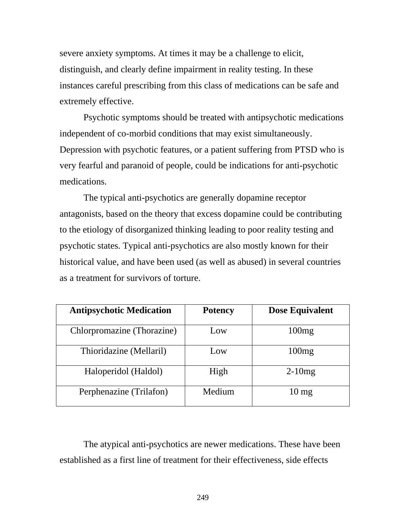severe anxiety symptoms. At times it may be a challenge to elicit, distinguish, and clearly define impairment in reality testing. In these instances careful prescribing from this class of medications can be safe and extremely effective.

Psychotic symptoms should be treated with antipsychotic medications independent of co-morbid conditions that may exist simultaneously. Depression with psychotic features, or a patient suffering from PTSD who is very fearful and paranoid of people, could be indications for anti-psychotic medications.

The typical anti-psychotics are generally dopamine receptor antagonists, based on the theory that excess dopamine could be contributing to the etiology of disorganized thinking leading to poor reality testing and psychotic states. Typical anti-psychotics are also mostly known for their historical value, and have been used (as well as abused) in several countries as a treatment for survivors of torture.

| <b>Antipsychotic Medication</b> | <b>Potency</b> | <b>Dose Equivalent</b> |
|---------------------------------|----------------|------------------------|
| Chlorpromazine (Thorazine)      | Low            | 100mg                  |
| Thioridazine (Mellaril)         | Low            | 100mg                  |
| Haloperidol (Haldol)            | High           | $2-10mg$               |
| Perphenazine (Trilafon)         | Medium         | $10 \text{ mg}$        |

The atypical anti-psychotics are newer medications. These have been established as a first line of treatment for their effectiveness, side effects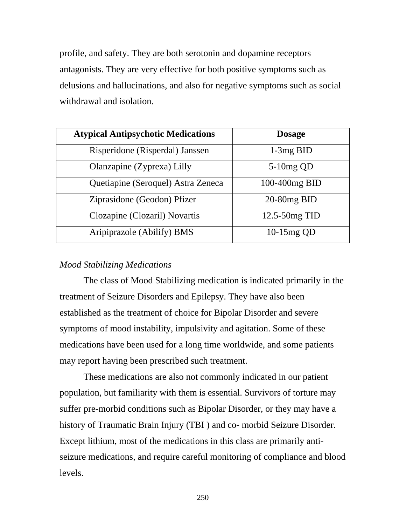profile, and safety. They are both serotonin and dopamine receptors antagonists. They are very effective for both positive symptoms such as delusions and hallucinations, and also for negative symptoms such as social withdrawal and isolation.

| <b>Atypical Antipsychotic Medications</b> | <b>Dosage</b>     |
|-------------------------------------------|-------------------|
| Risperidone (Risperdal) Janssen           | $1-3mg$ BID       |
| Olanzapine (Zyprexa) Lilly                | $5-10mg$ QD       |
| Quetiapine (Seroquel) Astra Zeneca        | 100-400mg BID     |
| Ziprasidone (Geodon) Pfizer               | $20-80mg$ BID     |
| Clozapine (Clozaril) Novartis             | $12.5 - 50mg$ TID |
| Aripiprazole (Abilify) BMS                | 10-15mg QD        |

# *Mood Stabilizing Medications*

The class of Mood Stabilizing medication is indicated primarily in the treatment of Seizure Disorders and Epilepsy. They have also been established as the treatment of choice for Bipolar Disorder and severe symptoms of mood instability, impulsivity and agitation. Some of these medications have been used for a long time worldwide, and some patients may report having been prescribed such treatment.

These medications are also not commonly indicated in our patient population, but familiarity with them is essential. Survivors of torture may suffer pre-morbid conditions such as Bipolar Disorder, or they may have a history of Traumatic Brain Injury (TBI ) and co- morbid Seizure Disorder. Except lithium, most of the medications in this class are primarily antiseizure medications, and require careful monitoring of compliance and blood levels.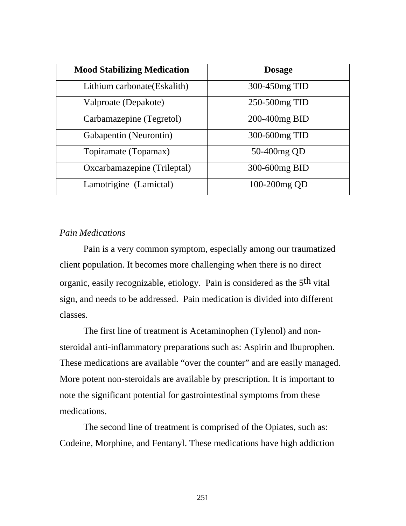| <b>Mood Stabilizing Medication</b> | <b>Dosage</b> |
|------------------------------------|---------------|
| Lithium carbonate (Eskalith)       | 300-450mg TID |
| Valproate (Depakote)               | 250-500mg TID |
| Carbamazepine (Tegretol)           | 200-400mg BID |
| Gabapentin (Neurontin)             | 300-600mg TID |
| Topiramate (Topamax)               | 50-400mg QD   |
| Oxcarbamazepine (Trileptal)        | 300-600mg BID |
| Lamotrigine (Lamictal)             | 100-200mg QD  |

# *Pain Medications*

Pain is a very common symptom, especially among our traumatized client population. It becomes more challenging when there is no direct organic, easily recognizable, etiology. Pain is considered as the 5th vital sign, and needs to be addressed. Pain medication is divided into different classes.

The first line of treatment is Acetaminophen (Tylenol) and nonsteroidal anti-inflammatory preparations such as: Aspirin and Ibuprophen. These medications are available "over the counter" and are easily managed. More potent non-steroidals are available by prescription. It is important to note the significant potential for gastrointestinal symptoms from these medications.

The second line of treatment is comprised of the Opiates, such as: Codeine, Morphine, and Fentanyl. These medications have high addiction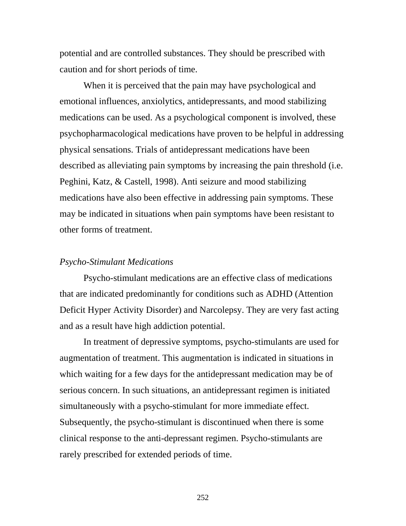potential and are controlled substances. They should be prescribed with caution and for short periods of time.

When it is perceived that the pain may have psychological and emotional influences, anxiolytics, antidepressants, and mood stabilizing medications can be used. As a psychological component is involved, these psychopharmacological medications have proven to be helpful in addressing physical sensations. Trials of antidepressant medications have been described as alleviating pain symptoms by increasing the pain threshold (i.e. Peghini, Katz, & Castell, 1998). Anti seizure and mood stabilizing medications have also been effective in addressing pain symptoms. These may be indicated in situations when pain symptoms have been resistant to other forms of treatment.

### *Psycho-Stimulant Medications*

Psycho-stimulant medications are an effective class of medications that are indicated predominantly for conditions such as ADHD (Attention Deficit Hyper Activity Disorder) and Narcolepsy. They are very fast acting and as a result have high addiction potential.

In treatment of depressive symptoms, psycho-stimulants are used for augmentation of treatment. This augmentation is indicated in situations in which waiting for a few days for the antidepressant medication may be of serious concern. In such situations, an antidepressant regimen is initiated simultaneously with a psycho-stimulant for more immediate effect. Subsequently, the psycho-stimulant is discontinued when there is some clinical response to the anti-depressant regimen. Psycho-stimulants are rarely prescribed for extended periods of time.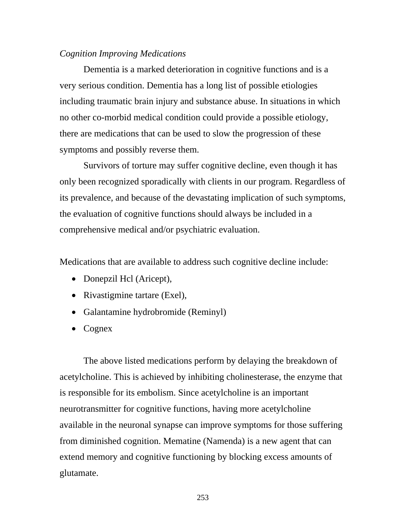### *Cognition Improving Medications*

Dementia is a marked deterioration in cognitive functions and is a very serious condition. Dementia has a long list of possible etiologies including traumatic brain injury and substance abuse. In situations in which no other co-morbid medical condition could provide a possible etiology, there are medications that can be used to slow the progression of these symptoms and possibly reverse them.

Survivors of torture may suffer cognitive decline, even though it has only been recognized sporadically with clients in our program. Regardless of its prevalence, and because of the devastating implication of such symptoms, the evaluation of cognitive functions should always be included in a comprehensive medical and/or psychiatric evaluation.

Medications that are available to address such cognitive decline include:

- Donepzil Hcl (Aricept),
- Rivastigmine tartare (Exel),
- Galantamine hydrobromide (Reminyl)
- Cognex

The above listed medications perform by delaying the breakdown of acetylcholine. This is achieved by inhibiting cholinesterase, the enzyme that is responsible for its embolism. Since acetylcholine is an important neurotransmitter for cognitive functions, having more acetylcholine available in the neuronal synapse can improve symptoms for those suffering from diminished cognition. Mematine (Namenda) is a new agent that can extend memory and cognitive functioning by blocking excess amounts of glutamate.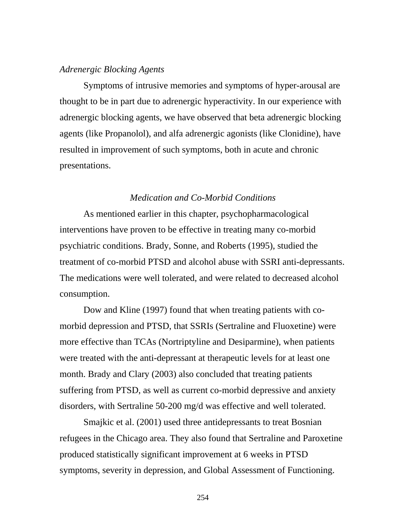### *Adrenergic Blocking Agents*

Symptoms of intrusive memories and symptoms of hyper-arousal are thought to be in part due to adrenergic hyperactivity. In our experience with adrenergic blocking agents, we have observed that beta adrenergic blocking agents (like Propanolol), and alfa adrenergic agonists (like Clonidine), have resulted in improvement of such symptoms, both in acute and chronic presentations.

# *Medication and Co-Morbid Conditions*

As mentioned earlier in this chapter, psychopharmacological interventions have proven to be effective in treating many co-morbid psychiatric conditions. Brady, Sonne, and Roberts (1995), studied the treatment of co-morbid PTSD and alcohol abuse with SSRI anti-depressants. The medications were well tolerated, and were related to decreased alcohol consumption.

Dow and Kline (1997) found that when treating patients with comorbid depression and PTSD, that SSRIs (Sertraline and Fluoxetine) were more effective than TCAs (Nortriptyline and Desiparmine), when patients were treated with the anti-depressant at therapeutic levels for at least one month. Brady and Clary (2003) also concluded that treating patients suffering from PTSD, as well as current co-morbid depressive and anxiety disorders, with Sertraline 50-200 mg/d was effective and well tolerated.

Smajkic et al. (2001) used three antidepressants to treat Bosnian refugees in the Chicago area. They also found that Sertraline and Paroxetine produced statistically significant improvement at 6 weeks in PTSD symptoms, severity in depression, and Global Assessment of Functioning.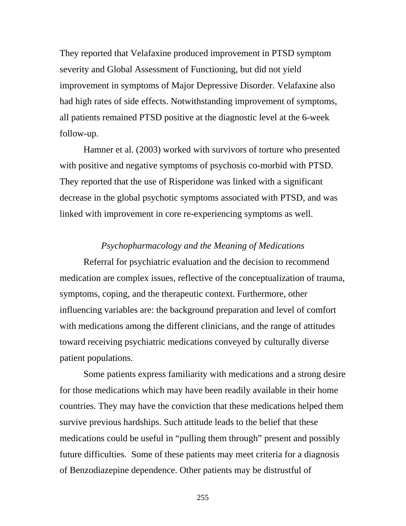They reported that Velafaxine produced improvement in PTSD symptom severity and Global Assessment of Functioning, but did not yield improvement in symptoms of Major Depressive Disorder. Velafaxine also had high rates of side effects. Notwithstanding improvement of symptoms, all patients remained PTSD positive at the diagnostic level at the 6-week follow-up.

Hamner et al. (2003) worked with survivors of torture who presented with positive and negative symptoms of psychosis co-morbid with PTSD. They reported that the use of Risperidone was linked with a significant decrease in the global psychotic symptoms associated with PTSD, and was linked with improvement in core re-experiencing symptoms as well.

### *Psychopharmacology and the Meaning of Medications*

Referral for psychiatric evaluation and the decision to recommend medication are complex issues, reflective of the conceptualization of trauma, symptoms, coping, and the therapeutic context. Furthermore, other influencing variables are: the background preparation and level of comfort with medications among the different clinicians, and the range of attitudes toward receiving psychiatric medications conveyed by culturally diverse patient populations.

Some patients express familiarity with medications and a strong desire for those medications which may have been readily available in their home countries. They may have the conviction that these medications helped them survive previous hardships. Such attitude leads to the belief that these medications could be useful in "pulling them through" present and possibly future difficulties. Some of these patients may meet criteria for a diagnosis of Benzodiazepine dependence. Other patients may be distrustful of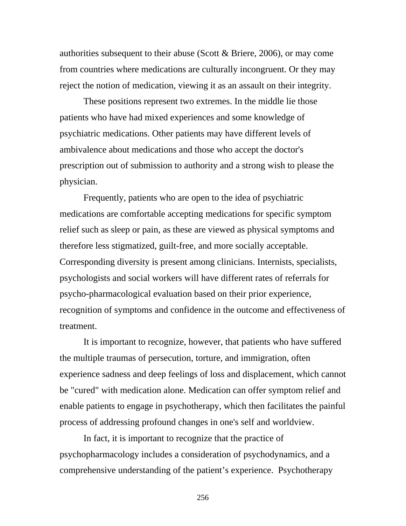authorities subsequent to their abuse (Scott & Briere, 2006), or may come from countries where medications are culturally incongruent. Or they may reject the notion of medication, viewing it as an assault on their integrity.

These positions represent two extremes. In the middle lie those patients who have had mixed experiences and some knowledge of psychiatric medications. Other patients may have different levels of ambivalence about medications and those who accept the doctor's prescription out of submission to authority and a strong wish to please the physician.

Frequently, patients who are open to the idea of psychiatric medications are comfortable accepting medications for specific symptom relief such as sleep or pain, as these are viewed as physical symptoms and therefore less stigmatized, guilt-free, and more socially acceptable. Corresponding diversity is present among clinicians. Internists, specialists, psychologists and social workers will have different rates of referrals for psycho-pharmacological evaluation based on their prior experience, recognition of symptoms and confidence in the outcome and effectiveness of treatment.

 It is important to recognize, however, that patients who have suffered the multiple traumas of persecution, torture, and immigration, often experience sadness and deep feelings of loss and displacement, which cannot be "cured" with medication alone. Medication can offer symptom relief and enable patients to engage in psychotherapy, which then facilitates the painful process of addressing profound changes in one's self and worldview.

In fact, it is important to recognize that the practice of psychopharmacology includes a consideration of psychodynamics, and a comprehensive understanding of the patient's experience. Psychotherapy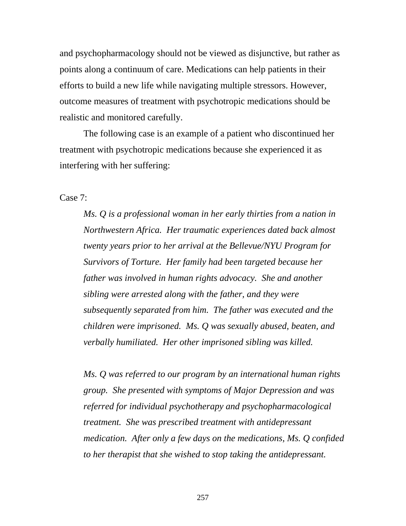and psychopharmacology should not be viewed as disjunctive, but rather as points along a continuum of care. Medications can help patients in their efforts to build a new life while navigating multiple stressors. However, outcome measures of treatment with psychotropic medications should be realistic and monitored carefully.

The following case is an example of a patient who discontinued her treatment with psychotropic medications because she experienced it as interfering with her suffering:

Case 7:

*Ms. Q is a professional woman in her early thirties from a nation in Northwestern Africa. Her traumatic experiences dated back almost twenty years prior to her arrival at the Bellevue/NYU Program for Survivors of Torture. Her family had been targeted because her father was involved in human rights advocacy. She and another sibling were arrested along with the father, and they were subsequently separated from him. The father was executed and the children were imprisoned. Ms. Q was sexually abused, beaten, and verbally humiliated. Her other imprisoned sibling was killed.* 

*Ms. Q was referred to our program by an international human rights group. She presented with symptoms of Major Depression and was referred for individual psychotherapy and psychopharmacological treatment. She was prescribed treatment with antidepressant medication. After only a few days on the medications, Ms. Q confided to her therapist that she wished to stop taking the antidepressant.*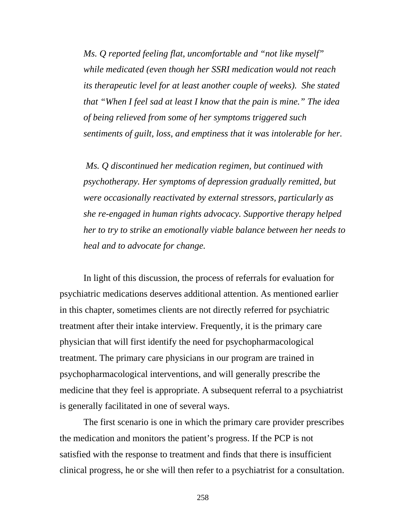*Ms. Q reported feeling flat, uncomfortable and "not like myself" while medicated (even though her SSRI medication would not reach its therapeutic level for at least another couple of weeks). She stated that "When I feel sad at least I know that the pain is mine." The idea of being relieved from some of her symptoms triggered such sentiments of guilt, loss, and emptiness that it was intolerable for her.* 

 *Ms. Q discontinued her medication regimen, but continued with psychotherapy. Her symptoms of depression gradually remitted, but were occasionally reactivated by external stressors, particularly as she re-engaged in human rights advocacy. Supportive therapy helped her to try to strike an emotionally viable balance between her needs to heal and to advocate for change.* 

 In light of this discussion, the process of referrals for evaluation for psychiatric medications deserves additional attention. As mentioned earlier in this chapter, sometimes clients are not directly referred for psychiatric treatment after their intake interview. Frequently, it is the primary care physician that will first identify the need for psychopharmacological treatment. The primary care physicians in our program are trained in psychopharmacological interventions, and will generally prescribe the medicine that they feel is appropriate. A subsequent referral to a psychiatrist is generally facilitated in one of several ways.

 The first scenario is one in which the primary care provider prescribes the medication and monitors the patient's progress. If the PCP is not satisfied with the response to treatment and finds that there is insufficient clinical progress, he or she will then refer to a psychiatrist for a consultation.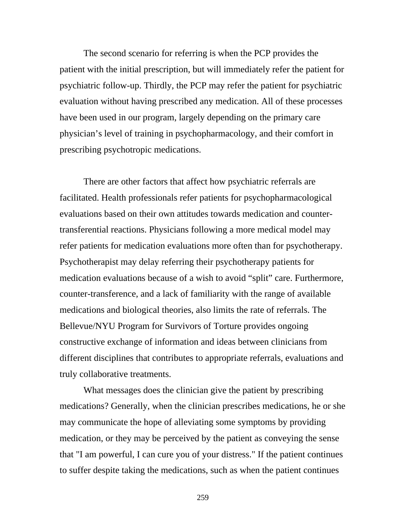The second scenario for referring is when the PCP provides the patient with the initial prescription, but will immediately refer the patient for psychiatric follow-up. Thirdly, the PCP may refer the patient for psychiatric evaluation without having prescribed any medication. All of these processes have been used in our program, largely depending on the primary care physician's level of training in psychopharmacology, and their comfort in prescribing psychotropic medications.

There are other factors that affect how psychiatric referrals are facilitated. Health professionals refer patients for psychopharmacological evaluations based on their own attitudes towards medication and countertransferential reactions. Physicians following a more medical model may refer patients for medication evaluations more often than for psychotherapy. Psychotherapist may delay referring their psychotherapy patients for medication evaluations because of a wish to avoid "split" care. Furthermore, counter-transference, and a lack of familiarity with the range of available medications and biological theories, also limits the rate of referrals. The Bellevue/NYU Program for Survivors of Torture provides ongoing constructive exchange of information and ideas between clinicians from different disciplines that contributes to appropriate referrals, evaluations and truly collaborative treatments.

 What messages does the clinician give the patient by prescribing medications? Generally, when the clinician prescribes medications, he or she may communicate the hope of alleviating some symptoms by providing medication, or they may be perceived by the patient as conveying the sense that "I am powerful, I can cure you of your distress." If the patient continues to suffer despite taking the medications, such as when the patient continues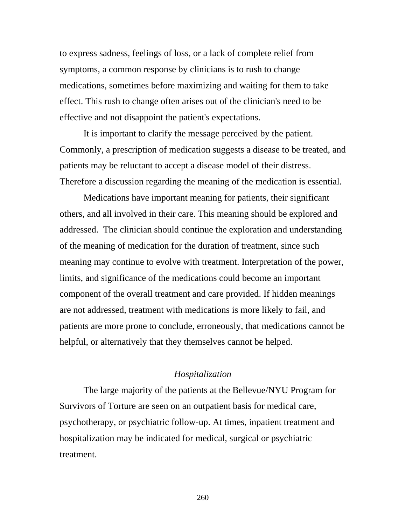to express sadness, feelings of loss, or a lack of complete relief from symptoms, a common response by clinicians is to rush to change medications, sometimes before maximizing and waiting for them to take effect. This rush to change often arises out of the clinician's need to be effective and not disappoint the patient's expectations.

 It is important to clarify the message perceived by the patient. Commonly, a prescription of medication suggests a disease to be treated, and patients may be reluctant to accept a disease model of their distress. Therefore a discussion regarding the meaning of the medication is essential.

Medications have important meaning for patients, their significant others, and all involved in their care. This meaning should be explored and addressed. The clinician should continue the exploration and understanding of the meaning of medication for the duration of treatment, since such meaning may continue to evolve with treatment. Interpretation of the power, limits, and significance of the medications could become an important component of the overall treatment and care provided. If hidden meanings are not addressed, treatment with medications is more likely to fail, and patients are more prone to conclude, erroneously, that medications cannot be helpful, or alternatively that they themselves cannot be helped.

## *Hospitalization*

The large majority of the patients at the Bellevue/NYU Program for Survivors of Torture are seen on an outpatient basis for medical care, psychotherapy, or psychiatric follow-up. At times, inpatient treatment and hospitalization may be indicated for medical, surgical or psychiatric treatment.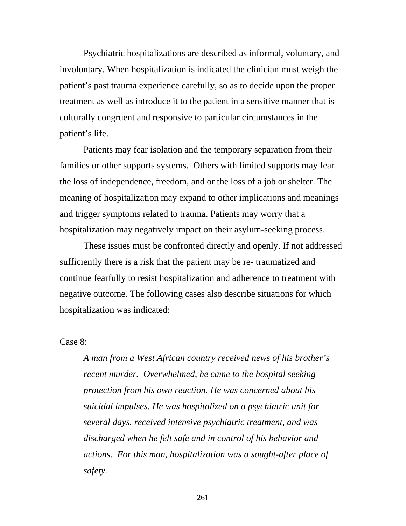Psychiatric hospitalizations are described as informal, voluntary, and involuntary. When hospitalization is indicated the clinician must weigh the patient's past trauma experience carefully, so as to decide upon the proper treatment as well as introduce it to the patient in a sensitive manner that is culturally congruent and responsive to particular circumstances in the patient's life.

Patients may fear isolation and the temporary separation from their families or other supports systems. Others with limited supports may fear the loss of independence, freedom, and or the loss of a job or shelter. The meaning of hospitalization may expand to other implications and meanings and trigger symptoms related to trauma. Patients may worry that a hospitalization may negatively impact on their asylum-seeking process.

 These issues must be confronted directly and openly. If not addressed sufficiently there is a risk that the patient may be re- traumatized and continue fearfully to resist hospitalization and adherence to treatment with negative outcome. The following cases also describe situations for which hospitalization was indicated:

Case 8:

*A man from a West African country received news of his brother's recent murder. Overwhelmed, he came to the hospital seeking protection from his own reaction. He was concerned about his suicidal impulses. He was hospitalized on a psychiatric unit for several days, received intensive psychiatric treatment, and was discharged when he felt safe and in control of his behavior and actions. For this man, hospitalization was a sought-after place of safety.*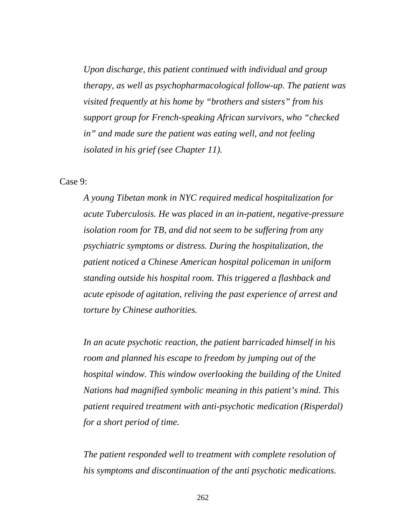*Upon discharge, this patient continued with individual and group therapy, as well as psychopharmacological follow-up. The patient was visited frequently at his home by "brothers and sisters" from his support group for French-speaking African survivors, who "checked in" and made sure the patient was eating well, and not feeling isolated in his grief (see Chapter 11).* 

#### Case 9:

*A young Tibetan monk in NYC required medical hospitalization for acute Tuberculosis. He was placed in an in-patient, negative-pressure isolation room for TB, and did not seem to be suffering from any psychiatric symptoms or distress. During the hospitalization, the patient noticed a Chinese American hospital policeman in uniform standing outside his hospital room. This triggered a flashback and acute episode of agitation, reliving the past experience of arrest and torture by Chinese authorities.* 

*In an acute psychotic reaction, the patient barricaded himself in his room and planned his escape to freedom by jumping out of the hospital window. This window overlooking the building of the United Nations had magnified symbolic meaning in this patient's mind. This patient required treatment with anti-psychotic medication (Risperdal) for a short period of time.* 

*The patient responded well to treatment with complete resolution of his symptoms and discontinuation of the anti psychotic medications.*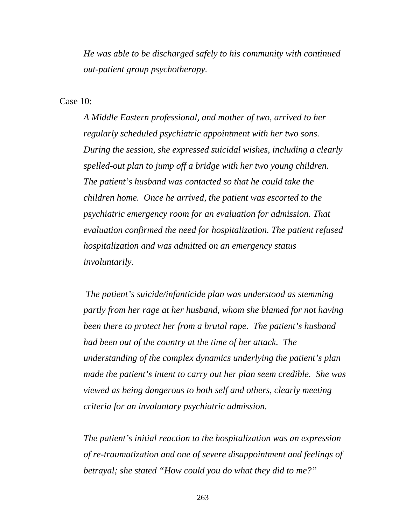*He was able to be discharged safely to his community with continued out-patient group psychotherapy.* 

Case 10:

*A Middle Eastern professional, and mother of two, arrived to her regularly scheduled psychiatric appointment with her two sons. During the session, she expressed suicidal wishes, including a clearly spelled-out plan to jump off a bridge with her two young children. The patient's husband was contacted so that he could take the children home. Once he arrived, the patient was escorted to the psychiatric emergency room for an evaluation for admission. That evaluation confirmed the need for hospitalization. The patient refused hospitalization and was admitted on an emergency status involuntarily.* 

 *The patient's suicide/infanticide plan was understood as stemming partly from her rage at her husband, whom she blamed for not having been there to protect her from a brutal rape. The patient's husband had been out of the country at the time of her attack. The understanding of the complex dynamics underlying the patient's plan made the patient's intent to carry out her plan seem credible. She was viewed as being dangerous to both self and others, clearly meeting criteria for an involuntary psychiatric admission.* 

*The patient's initial reaction to the hospitalization was an expression of re-traumatization and one of severe disappointment and feelings of betrayal; she stated "How could you do what they did to me?"*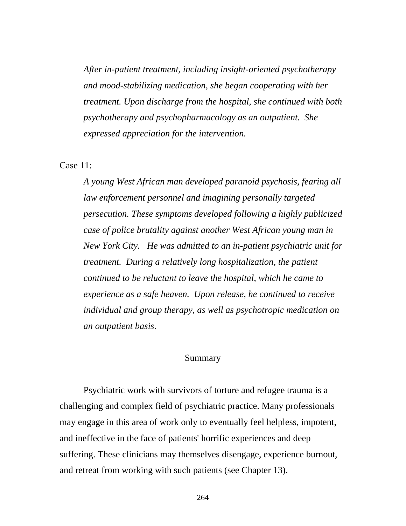*After in-patient treatment, including insight-oriented psychotherapy and mood-stabilizing medication, she began cooperating with her treatment. Upon discharge from the hospital, she continued with both psychotherapy and psychopharmacology as an outpatient. She expressed appreciation for the intervention.* 

## Case 11:

 *A young West African man developed paranoid psychosis, fearing all law enforcement personnel and imagining personally targeted persecution. These symptoms developed following a highly publicized case of police brutality against another West African young man in New York City. He was admitted to an in-patient psychiatric unit for treatment. During a relatively long hospitalization, the patient continued to be reluctant to leave the hospital, which he came to experience as a safe heaven. Upon release, he continued to receive individual and group therapy, as well as psychotropic medication on an outpatient basis*.

#### Summary

Psychiatric work with survivors of torture and refugee trauma is a challenging and complex field of psychiatric practice. Many professionals may engage in this area of work only to eventually feel helpless, impotent, and ineffective in the face of patients' horrific experiences and deep suffering. These clinicians may themselves disengage, experience burnout, and retreat from working with such patients (see Chapter 13).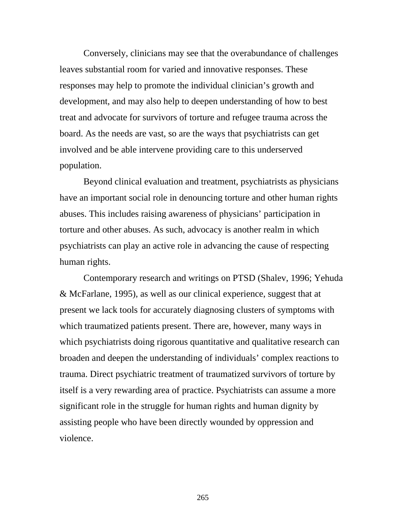Conversely, clinicians may see that the overabundance of challenges leaves substantial room for varied and innovative responses. These responses may help to promote the individual clinician's growth and development, and may also help to deepen understanding of how to best treat and advocate for survivors of torture and refugee trauma across the board. As the needs are vast, so are the ways that psychiatrists can get involved and be able intervene providing care to this underserved population.

Beyond clinical evaluation and treatment, psychiatrists as physicians have an important social role in denouncing torture and other human rights abuses. This includes raising awareness of physicians' participation in torture and other abuses. As such, advocacy is another realm in which psychiatrists can play an active role in advancing the cause of respecting human rights.

Contemporary research and writings on PTSD (Shalev, 1996; Yehuda & McFarlane, 1995), as well as our clinical experience, suggest that at present we lack tools for accurately diagnosing clusters of symptoms with which traumatized patients present. There are, however, many ways in which psychiatrists doing rigorous quantitative and qualitative research can broaden and deepen the understanding of individuals' complex reactions to trauma. Direct psychiatric treatment of traumatized survivors of torture by itself is a very rewarding area of practice. Psychiatrists can assume a more significant role in the struggle for human rights and human dignity by assisting people who have been directly wounded by oppression and violence.

<u>265</u>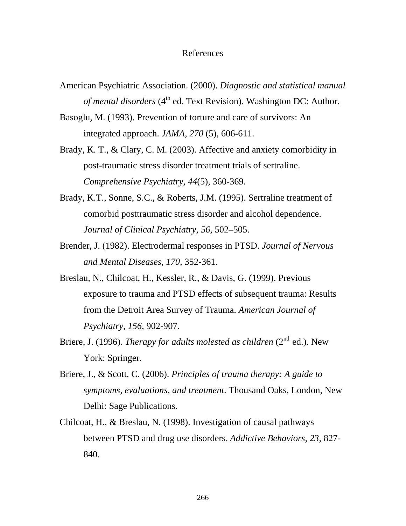#### References

- American Psychiatric Association. (2000). *Diagnostic and statistical manual of mental disorders* (4<sup>th</sup> ed. Text Revision). Washington DC: Author.
- Basoglu, M. (1993). Prevention of torture and care of survivors: An integrated approach. *JAMA, 270* (5), 606-611.
- Brady, K. T., & Clary, C. M. (2003). Affective and anxiety comorbidity in post-traumatic stress disorder treatment trials of sertraline. *Comprehensive Psychiatry, 44*(5), 360-369.
- Brady, K.T., Sonne, S.C., & Roberts, J.M. (1995). Sertraline treatment of comorbid posttraumatic stress disorder and alcohol dependence. *Journal of Clinical Psychiatry, 56*, 502–505.
- Brender, J. (1982). Electrodermal responses in PTSD. *Journal of Nervous and Mental Diseases, 170,* 352-361.
- Breslau, N., Chilcoat, H., Kessler, R., & Davis, G. (1999). Previous exposure to trauma and PTSD effects of subsequent trauma: Results from the Detroit Area Survey of Trauma. *American Journal of Psychiatry, 156*, 902-907.
- Briere, J. (1996). *Therapy for adults molested as children* (2<sup>nd</sup> ed.). New York: Springer.
- Briere, J., & Scott, C. (2006). *Principles of trauma therapy: A guide to symptoms, evaluations, and treatment*. Thousand Oaks, London, New Delhi: Sage Publications.
- Chilcoat, H., & Breslau, N. (1998). Investigation of causal pathways between PTSD and drug use disorders. *Addictive Behaviors, 23*, 827- 840.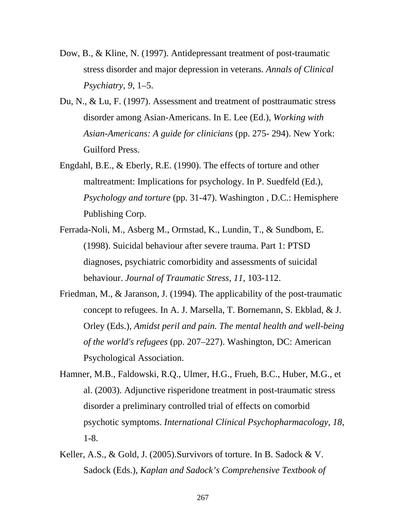- Dow, B., & Kline, N. (1997). Antidepressant treatment of post-traumatic stress disorder and major depression in veterans. *Annals of Clinical Psychiatry, 9*, 1–5.
- Du, N., & Lu, F. (1997). Assessment and treatment of posttraumatic stress disorder among Asian-Americans. In E. Lee (Ed.), *Working with Asian-Americans: A guide for clinicians* (pp. 275- 294). New York: Guilford Press.
- Engdahl, B.E., & Eberly, R.E. (1990). The effects of torture and other maltreatment: Implications for psychology. In P. Suedfeld (Ed.), *Psychology and torture* (pp. 31-47). Washington , D.C.: Hemisphere Publishing Corp.
- Ferrada-Noli, M., Asberg M., Ormstad, K., Lundin, T., & Sundbom, E. (1998). Suicidal behaviour after severe trauma. Part 1: PTSD diagnoses, psychiatric comorbidity and assessments of suicidal behaviour. *Journal of Traumatic Stress, 11,* 103-112.
- Friedman, M., & Jaranson, J. (1994). The applicability of the post-traumatic concept to refugees. In A. J. Marsella, T. Bornemann, S. Ekblad, & J. Orley (Eds.), *Amidst peril and pain. The mental health and well-being of the world's refugees* (pp. 207–227). Washington, DC: American Psychological Association.
- Hamner, M.B., Faldowski, R.Q., Ulmer, H.G., Frueh, B.C., Huber, M.G., et al. (2003). Adjunctive risperidone treatment in post-traumatic stress disorder a preliminary controlled trial of effects on comorbid psychotic symptoms. *International Clinical Psychopharmacology, 18,*  1-8.
- Keller, A.S., & Gold, J. (2005).Survivors of torture. In B. Sadock & V. Sadock (Eds.), *Kaplan and Sadock's Comprehensive Textbook of*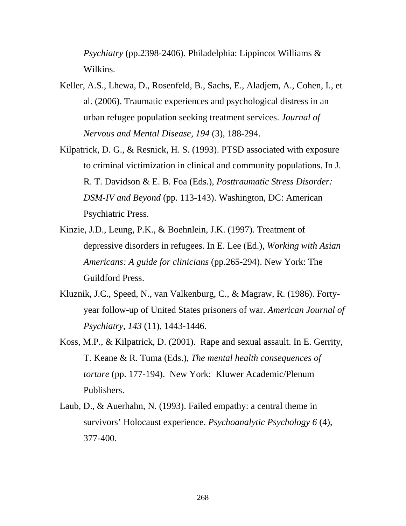*Psychiatry* (pp.2398-2406). Philadelphia: Lippincot Williams & Wilkins.

- Keller, A.S., Lhewa, D., Rosenfeld, B., Sachs, E., Aladjem, A., Cohen, I., et al. (2006). Traumatic experiences and psychological distress in an urban refugee population seeking treatment services. *Journal of Nervous and Mental Disease, 194* (3), 188-294.
- Kilpatrick, D. G., & Resnick, H. S. (1993). PTSD associated with exposure to criminal victimization in clinical and community populations. In J. R. T. Davidson & E. B. Foa (Eds.), *Posttraumatic Stress Disorder: DSM-IV and Beyond* (pp. 113-143). Washington, DC: American Psychiatric Press.
- Kinzie, J.D., Leung, P.K., & Boehnlein, J.K. (1997). Treatment of depressive disorders in refugees. In E. Lee (Ed.), *Working with Asian Americans: A guide for clinicians* (pp.265-294). New York: The Guildford Press.
- Kluznik, J.C., Speed, N., van Valkenburg, C., & Magraw, R. (1986). Fortyyear follow-up of United States prisoners of war. *American Journal of Psychiatry, 143* (11), 1443-1446.
- Koss, M.P., & Kilpatrick, D. (2001). Rape and sexual assault. In E. Gerrity, T. Keane & R. Tuma (Eds.), *The mental health consequences of torture* (pp. 177-194). New York: Kluwer Academic/Plenum Publishers.
- Laub, D., & Auerhahn, N. (1993). Failed empathy: a central theme in survivors' Holocaust experience. *Psychoanalytic Psychology 6* (4), 377-400.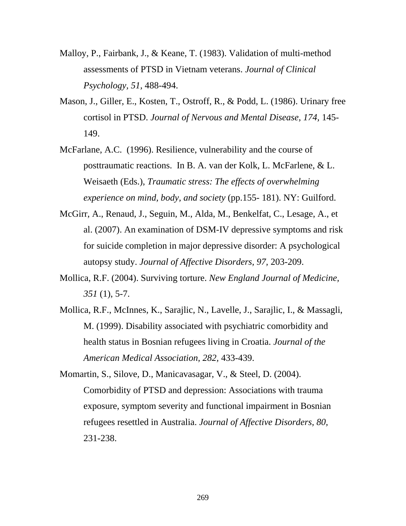- Malloy, P., Fairbank, J., & Keane, T. (1983). Validation of multi-method assessments of PTSD in Vietnam veterans. *Journal of Clinical Psychology, 51,* 488-494.
- Mason, J., Giller, E., Kosten, T., Ostroff, R., & Podd, L. (1986). Urinary free cortisol in PTSD. *Journal of Nervous and Mental Disease, 174,* 145- 149.
- McFarlane, A.C. (1996). Resilience, vulnerability and the course of posttraumatic reactions. In B. A. van der Kolk, L. McFarlene, & L. Weisaeth (Eds.), *Traumatic stress: The effects of overwhelming experience on mind, body, and society* (pp.155- 181). NY: Guilford.
- McGirr, A., Renaud, J., Seguin, M., Alda, M., Benkelfat, C., Lesage, A., et al. (2007). An examination of DSM-IV depressive symptoms and risk for suicide completion in major depressive disorder: A psychological autopsy study. *Journal of Affective Disorders, 97,* 203-209.
- Mollica, R.F. (2004). Surviving torture. *New England Journal of Medicine, 351* (1), 5-7.
- Mollica, R.F., McInnes, K., Sarajlic, N., Lavelle, J., Sarajlic, I., & Massagli, M. (1999). Disability associated with psychiatric comorbidity and health status in Bosnian refugees living in Croatia. *Journal of the American Medical Association, 282,* 433-439.

Momartin, S., Silove, D., Manicavasagar, V., & Steel, D. (2004). Comorbidity of PTSD and depression: Associations with trauma exposure, symptom severity and functional impairment in Bosnian refugees resettled in Australia. *Journal of Affective Disorders, 80,* 231-238.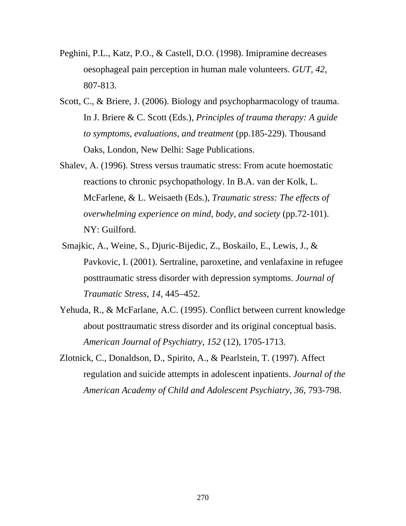- Peghini, P.L., Katz, P.O., & Castell, D.O. (1998). Imipramine decreases oesophageal pain perception in human male volunteers. *GUT, 42,*  807-813.
- Scott, C., & Briere, J. (2006). Biology and psychopharmacology of trauma. In J. Briere & C. Scott (Eds.), *Principles of trauma therapy: A guide to symptoms, evaluations, and treatment* (pp.185-229). Thousand Oaks, London, New Delhi: Sage Publications.
- Shalev, A. (1996). Stress versus traumatic stress: From acute hoemostatic reactions to chronic psychopathology. In B.A. van der Kolk, L. McFarlene, & L. Weisaeth (Eds.), *Traumatic stress: The effects of overwhelming experience on mind, body, and society* (pp.72-101). NY: Guilford.
- Smajkic, A., Weine, S., Djuric-Bijedic, Z., Boskailo, E., Lewis, J., & Pavkovic, I. (2001). Sertraline, paroxetine, and venlafaxine in refugee posttraumatic stress disorder with depression symptoms. *Journal of Traumatic Stress, 14,* 445–452.
- Yehuda, R., & McFarlane, A.C. (1995). Conflict between current knowledge about posttraumatic stress disorder and its original conceptual basis. *American Journal of Psychiatry, 152* (12), 1705-1713.
- Zlotnick, C., Donaldson, D., Spirito, A., & Pearlstein, T. (1997). Affect regulation and suicide attempts in adolescent inpatients. *Journal of the*  American Academy of Child and Adolescent Psychiatry, 36, 793-798.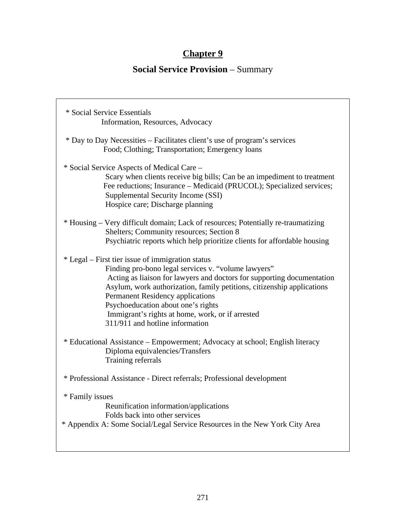# **Chapter 9**

# **Social Service Provision** – Summary

| * Social Service Essentials<br>Information, Resources, Advocacy                                                                                                                                                                                                                                                                                                                                                              |
|------------------------------------------------------------------------------------------------------------------------------------------------------------------------------------------------------------------------------------------------------------------------------------------------------------------------------------------------------------------------------------------------------------------------------|
| * Day to Day Necessities – Facilitates client's use of program's services<br>Food; Clothing; Transportation; Emergency loans                                                                                                                                                                                                                                                                                                 |
| * Social Service Aspects of Medical Care –<br>Scary when clients receive big bills; Can be an impediment to treatment<br>Fee reductions; Insurance – Medicaid (PRUCOL); Specialized services;<br>Supplemental Security Income (SSI)<br>Hospice care; Discharge planning                                                                                                                                                      |
| * Housing – Very difficult domain; Lack of resources; Potentially re-traumatizing<br>Shelters; Community resources; Section 8<br>Psychiatric reports which help prioritize clients for affordable housing                                                                                                                                                                                                                    |
| * Legal – First tier issue of immigration status<br>Finding pro-bono legal services v. "volume lawyers"<br>Acting as liaison for lawyers and doctors for supporting documentation<br>Asylum, work authorization, family petitions, citizenship applications<br>Permanent Residency applications<br>Psychoeducation about one's rights<br>Immigrant's rights at home, work, or if arrested<br>311/911 and hotline information |
| * Educational Assistance - Empowerment; Advocacy at school; English literacy<br>Diploma equivalencies/Transfers<br>Training referrals                                                                                                                                                                                                                                                                                        |
| * Professional Assistance - Direct referrals; Professional development                                                                                                                                                                                                                                                                                                                                                       |
| * Family issues<br>Reunification information/applications<br>Folds back into other services<br>* Appendix A: Some Social/Legal Service Resources in the New York City Area                                                                                                                                                                                                                                                   |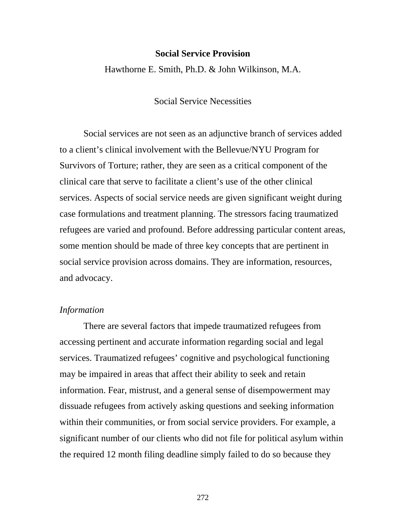#### **Social Service Provision**

Hawthorne E. Smith, Ph.D. & John Wilkinson, M.A.

## Social Service Necessities

Social services are not seen as an adjunctive branch of services added to a client's clinical involvement with the Bellevue/NYU Program for Survivors of Torture; rather, they are seen as a critical component of the clinical care that serve to facilitate a client's use of the other clinical services. Aspects of social service needs are given significant weight during case formulations and treatment planning. The stressors facing traumatized refugees are varied and profound. Before addressing particular content areas, some mention should be made of three key concepts that are pertinent in social service provision across domains. They are information, resources, and advocacy.

## *Information*

 There are several factors that impede traumatized refugees from accessing pertinent and accurate information regarding social and legal services. Traumatized refugees' cognitive and psychological functioning may be impaired in areas that affect their ability to seek and retain information. Fear, mistrust, and a general sense of disempowerment may dissuade refugees from actively asking questions and seeking information within their communities, or from social service providers. For example, a significant number of our clients who did not file for political asylum within the required 12 month filing deadline simply failed to do so because they

<u>272</u>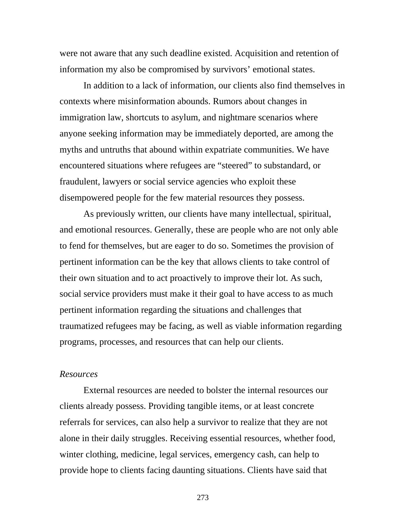were not aware that any such deadline existed. Acquisition and retention of information my also be compromised by survivors' emotional states.

 In addition to a lack of information, our clients also find themselves in contexts where misinformation abounds. Rumors about changes in immigration law, shortcuts to asylum, and nightmare scenarios where anyone seeking information may be immediately deported, are among the myths and untruths that abound within expatriate communities. We have encountered situations where refugees are "steered" to substandard, or fraudulent, lawyers or social service agencies who exploit these disempowered people for the few material resources they possess.

 As previously written, our clients have many intellectual, spiritual, and emotional resources. Generally, these are people who are not only able to fend for themselves, but are eager to do so. Sometimes the provision of pertinent information can be the key that allows clients to take control of their own situation and to act proactively to improve their lot. As such, social service providers must make it their goal to have access to as much pertinent information regarding the situations and challenges that traumatized refugees may be facing, as well as viable information regarding programs, processes, and resources that can help our clients.

#### *Resources*

 External resources are needed to bolster the internal resources our clients already possess. Providing tangible items, or at least concrete referrals for services, can also help a survivor to realize that they are not alone in their daily struggles. Receiving essential resources, whether food, winter clothing, medicine, legal services, emergency cash, can help to provide hope to clients facing daunting situations. Clients have said that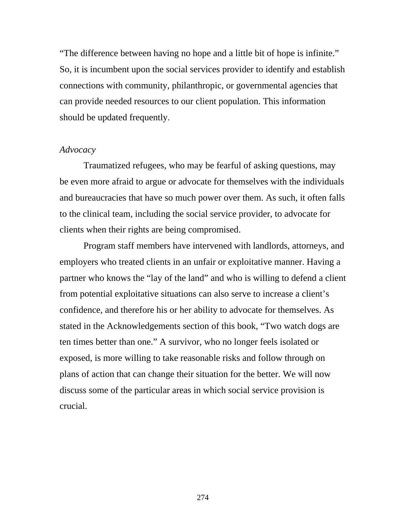"The difference between having no hope and a little bit of hope is infinite." So, it is incumbent upon the social services provider to identify and establish connections with community, philanthropic, or governmental agencies that can provide needed resources to our client population. This information should be updated frequently.

### *Advocacy*

 Traumatized refugees, who may be fearful of asking questions, may be even more afraid to argue or advocate for themselves with the individuals and bureaucracies that have so much power over them. As such, it often falls to the clinical team, including the social service provider, to advocate for clients when their rights are being compromised.

 Program staff members have intervened with landlords, attorneys, and employers who treated clients in an unfair or exploitative manner. Having a partner who knows the "lay of the land" and who is willing to defend a client from potential exploitative situations can also serve to increase a client's confidence, and therefore his or her ability to advocate for themselves. As stated in the Acknowledgements section of this book, "Two watch dogs are ten times better than one." A survivor, who no longer feels isolated or exposed, is more willing to take reasonable risks and follow through on plans of action that can change their situation for the better. We will now discuss some of the particular areas in which social service provision is crucial.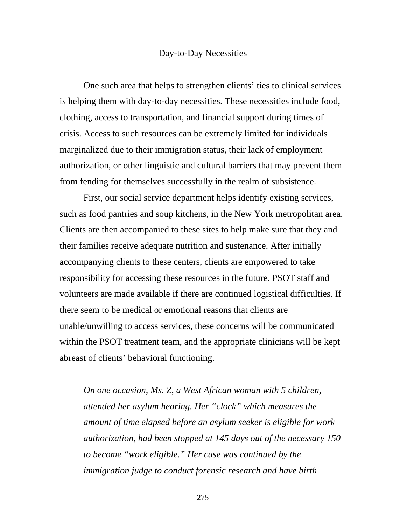#### Day-to-Day Necessities

 One such area that helps to strengthen clients' ties to clinical services is helping them with day-to-day necessities. These necessities include food, clothing, access to transportation, and financial support during times of crisis. Access to such resources can be extremely limited for individuals marginalized due to their immigration status, their lack of employment authorization, or other linguistic and cultural barriers that may prevent them from fending for themselves successfully in the realm of subsistence.

 First, our social service department helps identify existing services, such as food pantries and soup kitchens, in the New York metropolitan area. Clients are then accompanied to these sites to help make sure that they and their families receive adequate nutrition and sustenance. After initially accompanying clients to these centers, clients are empowered to take responsibility for accessing these resources in the future. PSOT staff and volunteers are made available if there are continued logistical difficulties. If there seem to be medical or emotional reasons that clients are unable/unwilling to access services, these concerns will be communicated within the PSOT treatment team, and the appropriate clinicians will be kept abreast of clients' behavioral functioning.

*On one occasion, Ms. Z, a West African woman with 5 children, attended her asylum hearing. Her "clock" which measures the amount of time elapsed before an asylum seeker is eligible for work authorization, had been stopped at 145 days out of the necessary 150 to become "work eligible." Her case was continued by the immigration judge to conduct forensic research and have birth*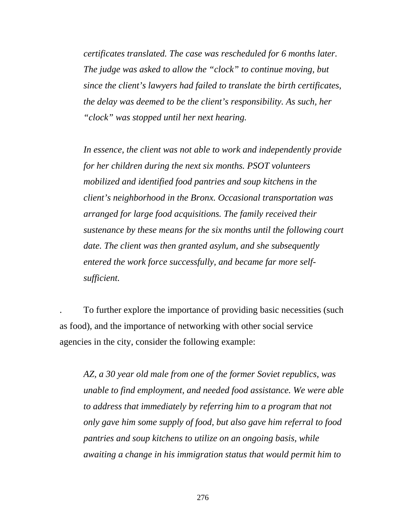*certificates translated. The case was rescheduled for 6 months later. The judge was asked to allow the "clock" to continue moving, but since the client's lawyers had failed to translate the birth certificates, the delay was deemed to be the client's responsibility. As such, her "clock" was stopped until her next hearing.* 

*In essence, the client was not able to work and independently provide for her children during the next six months. PSOT volunteers mobilized and identified food pantries and soup kitchens in the client's neighborhood in the Bronx. Occasional transportation was arranged for large food acquisitions. The family received their sustenance by these means for the six months until the following court date. The client was then granted asylum, and she subsequently entered the work force successfully, and became far more selfsufficient.* 

. To further explore the importance of providing basic necessities (such as food), and the importance of networking with other social service agencies in the city, consider the following example:

*AZ, a 30 year old male from one of the former Soviet republics, was unable to find employment, and needed food assistance. We were able to address that immediately by referring him to a program that not only gave him some supply of food, but also gave him referral to food pantries and soup kitchens to utilize on an ongoing basis, while awaiting a change in his immigration status that would permit him to*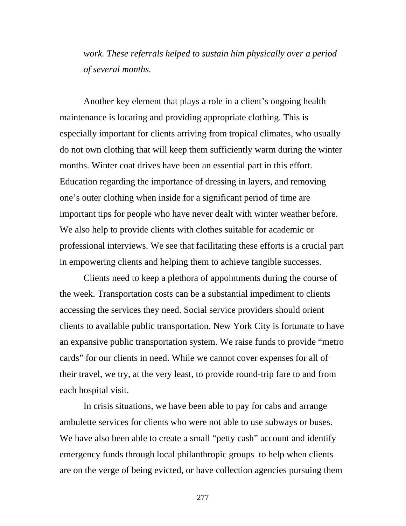*work. These referrals helped to sustain him physically over a period of several months.* 

 Another key element that plays a role in a client's ongoing health maintenance is locating and providing appropriate clothing. This is especially important for clients arriving from tropical climates, who usually do not own clothing that will keep them sufficiently warm during the winter months. Winter coat drives have been an essential part in this effort. Education regarding the importance of dressing in layers, and removing one's outer clothing when inside for a significant period of time are important tips for people who have never dealt with winter weather before. We also help to provide clients with clothes suitable for academic or professional interviews. We see that facilitating these efforts is a crucial part in empowering clients and helping them to achieve tangible successes.

 Clients need to keep a plethora of appointments during the course of the week. Transportation costs can be a substantial impediment to clients accessing the services they need. Social service providers should orient clients to available public transportation. New York City is fortunate to have an expansive public transportation system. We raise funds to provide "metro cards" for our clients in need. While we cannot cover expenses for all of their travel, we try, at the very least, to provide round-trip fare to and from each hospital visit.

In crisis situations, we have been able to pay for cabs and arrange ambulette services for clients who were not able to use subways or buses. We have also been able to create a small "petty cash" account and identify emergency funds through local philanthropic groups to help when clients are on the verge of being evicted, or have collection agencies pursuing them

<u>277</u>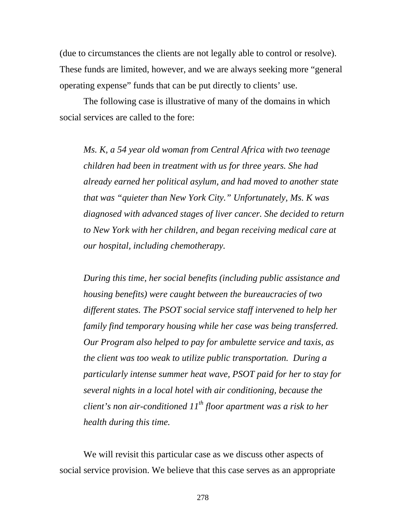(due to circumstances the clients are not legally able to control or resolve). These funds are limited, however, and we are always seeking more "general operating expense" funds that can be put directly to clients' use.

The following case is illustrative of many of the domains in which social services are called to the fore:

*Ms. K, a 54 year old woman from Central Africa with two teenage children had been in treatment with us for three years. She had already earned her political asylum, and had moved to another state that was "quieter than New York City." Unfortunately, Ms. K was diagnosed with advanced stages of liver cancer. She decided to return to New York with her children, and began receiving medical care at our hospital, including chemotherapy.* 

*During this time, her social benefits (including public assistance and housing benefits) were caught between the bureaucracies of two different states. The PSOT social service staff intervened to help her family find temporary housing while her case was being transferred. Our Program also helped to pay for ambulette service and taxis, as the client was too weak to utilize public transportation. During a particularly intense summer heat wave, PSOT paid for her to stay for several nights in a local hotel with air conditioning, because the client's non air-conditioned*  $11^{th}$  *floor apartment was a risk to her health during this time.* 

We will revisit this particular case as we discuss other aspects of social service provision. We believe that this case serves as an appropriate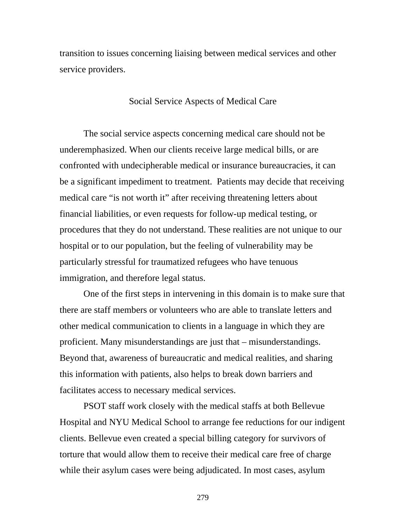transition to issues concerning liaising between medical services and other service providers.

## Social Service Aspects of Medical Care

 The social service aspects concerning medical care should not be underemphasized. When our clients receive large medical bills, or are confronted with undecipherable medical or insurance bureaucracies, it can be a significant impediment to treatment. Patients may decide that receiving medical care "is not worth it" after receiving threatening letters about financial liabilities, or even requests for follow-up medical testing, or procedures that they do not understand. These realities are not unique to our hospital or to our population, but the feeling of vulnerability may be particularly stressful for traumatized refugees who have tenuous immigration, and therefore legal status.

 One of the first steps in intervening in this domain is to make sure that there are staff members or volunteers who are able to translate letters and other medical communication to clients in a language in which they are proficient. Many misunderstandings are just that – misunderstandings. Beyond that, awareness of bureaucratic and medical realities, and sharing this information with patients, also helps to break down barriers and facilitates access to necessary medical services.

 PSOT staff work closely with the medical staffs at both Bellevue Hospital and NYU Medical School to arrange fee reductions for our indigent clients. Bellevue even created a special billing category for survivors of torture that would allow them to receive their medical care free of charge while their asylum cases were being adjudicated. In most cases, asylum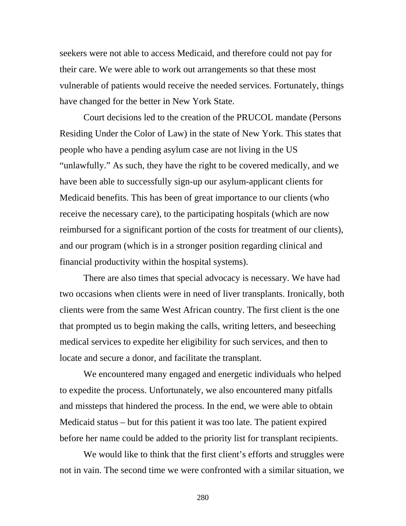seekers were not able to access Medicaid, and therefore could not pay for their care. We were able to work out arrangements so that these most vulnerable of patients would receive the needed services. Fortunately, things have changed for the better in New York State.

 Court decisions led to the creation of the PRUCOL mandate (Persons Residing Under the Color of Law) in the state of New York. This states that people who have a pending asylum case are not living in the US "unlawfully." As such, they have the right to be covered medically, and we have been able to successfully sign-up our asylum-applicant clients for Medicaid benefits. This has been of great importance to our clients (who receive the necessary care), to the participating hospitals (which are now reimbursed for a significant portion of the costs for treatment of our clients), and our program (which is in a stronger position regarding clinical and financial productivity within the hospital systems).

There are also times that special advocacy is necessary. We have had two occasions when clients were in need of liver transplants. Ironically, both clients were from the same West African country. The first client is the one that prompted us to begin making the calls, writing letters, and beseeching medical services to expedite her eligibility for such services, and then to locate and secure a donor, and facilitate the transplant.

We encountered many engaged and energetic individuals who helped to expedite the process. Unfortunately, we also encountered many pitfalls and missteps that hindered the process. In the end, we were able to obtain Medicaid status – but for this patient it was too late. The patient expired before her name could be added to the priority list for transplant recipients.

We would like to think that the first client's efforts and struggles were not in vain. The second time we were confronted with a similar situation, we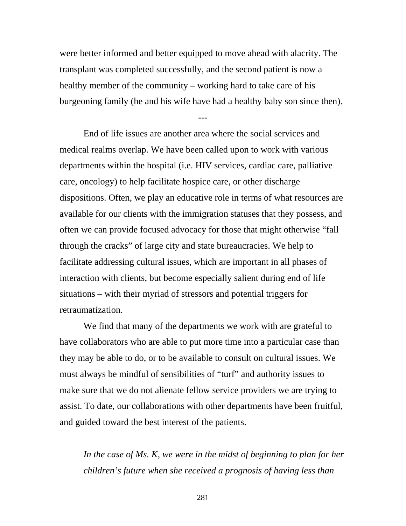were better informed and better equipped to move ahead with alacrity. The transplant was completed successfully, and the second patient is now a healthy member of the community – working hard to take care of his burgeoning family (he and his wife have had a healthy baby son since then).

---

 End of life issues are another area where the social services and medical realms overlap. We have been called upon to work with various departments within the hospital (i.e. HIV services, cardiac care, palliative care, oncology) to help facilitate hospice care, or other discharge dispositions. Often, we play an educative role in terms of what resources are available for our clients with the immigration statuses that they possess, and often we can provide focused advocacy for those that might otherwise "fall through the cracks" of large city and state bureaucracies. We help to facilitate addressing cultural issues, which are important in all phases of interaction with clients, but become especially salient during end of life situations – with their myriad of stressors and potential triggers for retraumatization.

We find that many of the departments we work with are grateful to have collaborators who are able to put more time into a particular case than they may be able to do, or to be available to consult on cultural issues. We must always be mindful of sensibilities of "turf" and authority issues to make sure that we do not alienate fellow service providers we are trying to assist. To date, our collaborations with other departments have been fruitful, and guided toward the best interest of the patients.

In the case of Ms. K, we were in the midst of beginning to plan for her *children's future when she received a prognosis of having less than*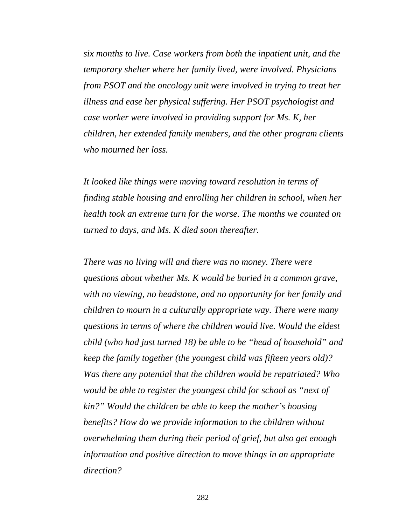*six months to live. Case workers from both the inpatient unit, and the temporary shelter where her family lived, were involved. Physicians from PSOT and the oncology unit were involved in trying to treat her illness and ease her physical suffering. Her PSOT psychologist and case worker were involved in providing support for Ms. K, her children, her extended family members, and the other program clients who mourned her loss.* 

*It looked like things were moving toward resolution in terms of finding stable housing and enrolling her children in school, when her health took an extreme turn for the worse. The months we counted on turned to days, and Ms. K died soon thereafter.* 

*There was no living will and there was no money. There were questions about whether Ms. K would be buried in a common grave, with no viewing, no headstone, and no opportunity for her family and children to mourn in a culturally appropriate way. There were many questions in terms of where the children would live. Would the eldest child (who had just turned 18) be able to be "head of household" and keep the family together (the youngest child was fifteen years old)? Was there any potential that the children would be repatriated? Who would be able to register the youngest child for school as "next of kin?" Would the children be able to keep the mother's housing benefits? How do we provide information to the children without overwhelming them during their period of grief, but also get enough information and positive direction to move things in an appropriate direction?*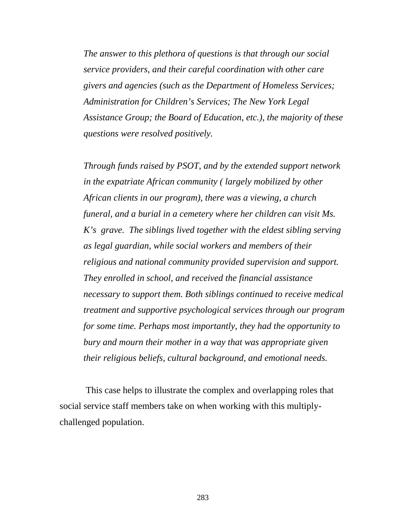*The answer to this plethora of questions is that through our social service providers, and their careful coordination with other care givers and agencies (such as the Department of Homeless Services; Administration for Children's Services; The New York Legal Assistance Group; the Board of Education, etc.), the majority of these questions were resolved positively.* 

*Through funds raised by PSOT, and by the extended support network in the expatriate African community ( largely mobilized by other African clients in our program), there was a viewing, a church funeral, and a burial in a cemetery where her children can visit Ms. K's grave. The siblings lived together with the eldest sibling serving as legal guardian, while social workers and members of their religious and national community provided supervision and support. They enrolled in school, and received the financial assistance necessary to support them. Both siblings continued to receive medical treatment and supportive psychological services through our program for some time. Perhaps most importantly, they had the opportunity to bury and mourn their mother in a way that was appropriate given their religious beliefs, cultural background, and emotional needs.* 

 This case helps to illustrate the complex and overlapping roles that social service staff members take on when working with this multiplychallenged population.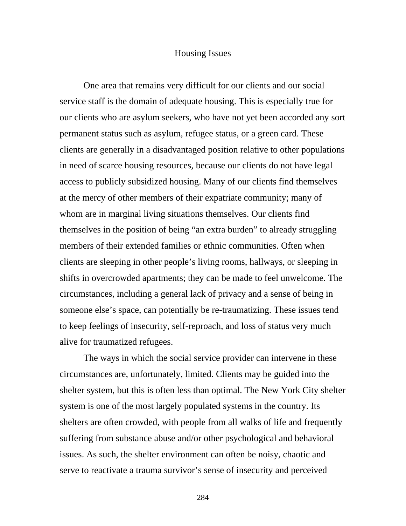#### Housing Issues

One area that remains very difficult for our clients and our social service staff is the domain of adequate housing. This is especially true for our clients who are asylum seekers, who have not yet been accorded any sort permanent status such as asylum, refugee status, or a green card. These clients are generally in a disadvantaged position relative to other populations in need of scarce housing resources, because our clients do not have legal access to publicly subsidized housing. Many of our clients find themselves at the mercy of other members of their expatriate community; many of whom are in marginal living situations themselves. Our clients find themselves in the position of being "an extra burden" to already struggling members of their extended families or ethnic communities. Often when clients are sleeping in other people's living rooms, hallways, or sleeping in shifts in overcrowded apartments; they can be made to feel unwelcome. The circumstances, including a general lack of privacy and a sense of being in someone else's space, can potentially be re-traumatizing. These issues tend to keep feelings of insecurity, self-reproach, and loss of status very much alive for traumatized refugees.

The ways in which the social service provider can intervene in these circumstances are, unfortunately, limited. Clients may be guided into the shelter system, but this is often less than optimal. The New York City shelter system is one of the most largely populated systems in the country. Its shelters are often crowded, with people from all walks of life and frequently suffering from substance abuse and/or other psychological and behavioral issues. As such, the shelter environment can often be noisy, chaotic and serve to reactivate a trauma survivor's sense of insecurity and perceived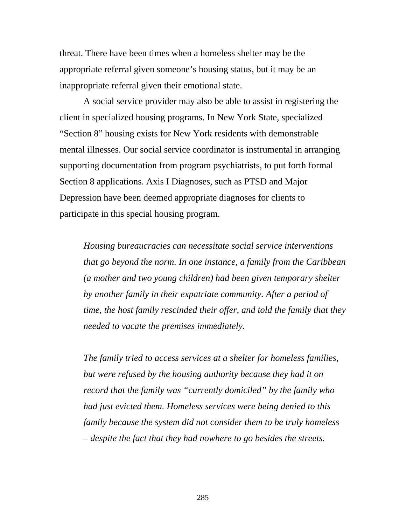threat. There have been times when a homeless shelter may be the appropriate referral given someone's housing status, but it may be an inappropriate referral given their emotional state.

A social service provider may also be able to assist in registering the client in specialized housing programs. In New York State, specialized "Section 8" housing exists for New York residents with demonstrable mental illnesses. Our social service coordinator is instrumental in arranging supporting documentation from program psychiatrists, to put forth formal Section 8 applications. Axis I Diagnoses, such as PTSD and Major Depression have been deemed appropriate diagnoses for clients to participate in this special housing program.

*Housing bureaucracies can necessitate social service interventions that go beyond the norm. In one instance, a family from the Caribbean (a mother and two young children) had been given temporary shelter by another family in their expatriate community. After a period of time, the host family rescinded their offer, and told the family that they needed to vacate the premises immediately.* 

*The family tried to access services at a shelter for homeless families, but were refused by the housing authority because they had it on record that the family was "currently domiciled" by the family who had just evicted them. Homeless services were being denied to this family because the system did not consider them to be truly homeless – despite the fact that they had nowhere to go besides the streets.*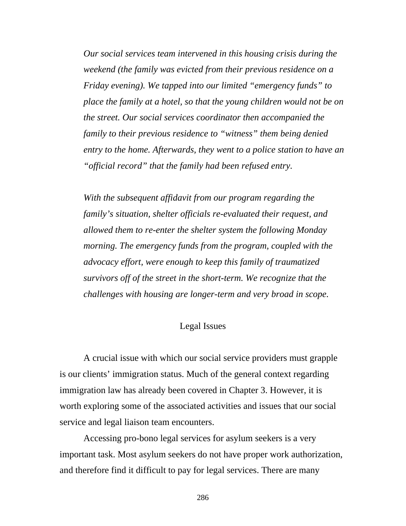*Our social services team intervened in this housing crisis during the weekend (the family was evicted from their previous residence on a Friday evening). We tapped into our limited "emergency funds" to place the family at a hotel, so that the young children would not be on the street. Our social services coordinator then accompanied the family to their previous residence to "witness" them being denied entry to the home. Afterwards, they went to a police station to have an "official record" that the family had been refused entry.* 

*With the subsequent affidavit from our program regarding the family's situation, shelter officials re-evaluated their request, and allowed them to re-enter the shelter system the following Monday morning. The emergency funds from the program, coupled with the advocacy effort, were enough to keep this family of traumatized survivors off of the street in the short-term. We recognize that the challenges with housing are longer-term and very broad in scope.* 

## Legal Issues

A crucial issue with which our social service providers must grapple is our clients' immigration status. Much of the general context regarding immigration law has already been covered in Chapter 3. However, it is worth exploring some of the associated activities and issues that our social service and legal liaison team encounters.

Accessing pro-bono legal services for asylum seekers is a very important task. Most asylum seekers do not have proper work authorization, and therefore find it difficult to pay for legal services. There are many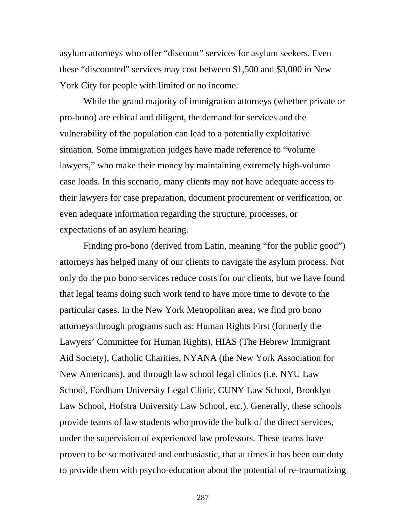asylum attorneys who offer "discount" services for asylum seekers. Even these "discounted" services may cost between \$1,500 and \$3,000 in New York City for people with limited or no income.

While the grand majority of immigration attorneys (whether private or pro-bono) are ethical and diligent, the demand for services and the vulnerability of the population can lead to a potentially exploitative situation. Some immigration judges have made reference to "volume lawyers," who make their money by maintaining extremely high-volume case loads. In this scenario, many clients may not have adequate access to their lawyers for case preparation, document procurement or verification, or even adequate information regarding the structure, processes, or expectations of an asylum hearing.

 Finding pro-bono (derived from Latin, meaning "for the public good") attorneys has helped many of our clients to navigate the asylum process. Not only do the pro bono services reduce costs for our clients, but we have found that legal teams doing such work tend to have more time to devote to the particular cases. In the New York Metropolitan area, we find pro bono attorneys through programs such as: Human Rights First (formerly the Lawyers' Committee for Human Rights), HIAS (The Hebrew Immigrant Aid Society), Catholic Charities, NYANA (the New York Association for New Americans), and through law school legal clinics (i.e. NYU Law School, Fordham University Legal Clinic, CUNY Law School, Brooklyn Law School, Hofstra University Law School, etc.). Generally, these schools provide teams of law students who provide the bulk of the direct services, under the supervision of experienced law professors. These teams have proven to be so motivated and enthusiastic, that at times it has been our duty to provide them with psycho-education about the potential of re-traumatizing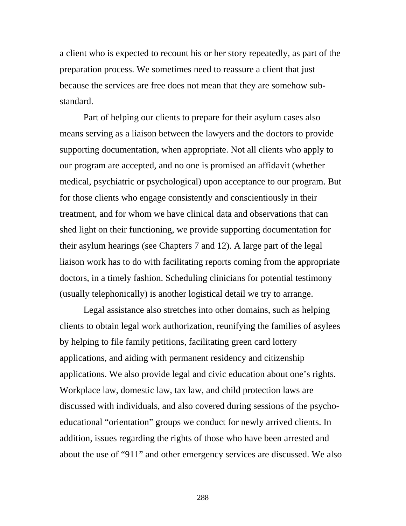a client who is expected to recount his or her story repeatedly, as part of the preparation process. We sometimes need to reassure a client that just because the services are free does not mean that they are somehow substandard.

 Part of helping our clients to prepare for their asylum cases also means serving as a liaison between the lawyers and the doctors to provide supporting documentation, when appropriate. Not all clients who apply to our program are accepted, and no one is promised an affidavit (whether medical, psychiatric or psychological) upon acceptance to our program. But for those clients who engage consistently and conscientiously in their treatment, and for whom we have clinical data and observations that can shed light on their functioning, we provide supporting documentation for their asylum hearings (see Chapters 7 and 12). A large part of the legal liaison work has to do with facilitating reports coming from the appropriate doctors, in a timely fashion. Scheduling clinicians for potential testimony (usually telephonically) is another logistical detail we try to arrange.

 Legal assistance also stretches into other domains, such as helping clients to obtain legal work authorization, reunifying the families of asylees by helping to file family petitions, facilitating green card lottery applications, and aiding with permanent residency and citizenship applications. We also provide legal and civic education about one's rights. Workplace law, domestic law, tax law, and child protection laws are discussed with individuals, and also covered during sessions of the psychoeducational "orientation" groups we conduct for newly arrived clients. In addition, issues regarding the rights of those who have been arrested and about the use of "911" and other emergency services are discussed. We also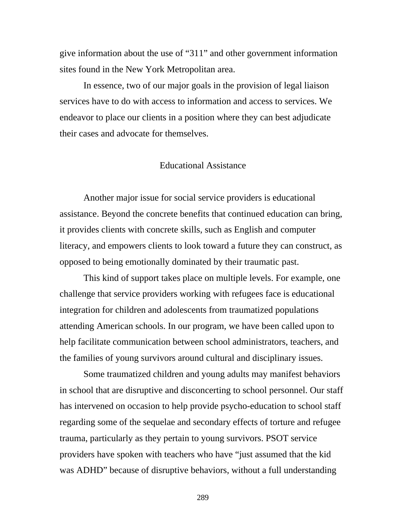give information about the use of "311" and other government information sites found in the New York Metropolitan area.

 In essence, two of our major goals in the provision of legal liaison services have to do with access to information and access to services. We endeavor to place our clients in a position where they can best adjudicate their cases and advocate for themselves.

## Educational Assistance

 Another major issue for social service providers is educational assistance. Beyond the concrete benefits that continued education can bring, it provides clients with concrete skills, such as English and computer literacy, and empowers clients to look toward a future they can construct, as opposed to being emotionally dominated by their traumatic past.

 This kind of support takes place on multiple levels. For example, one challenge that service providers working with refugees face is educational integration for children and adolescents from traumatized populations attending American schools. In our program, we have been called upon to help facilitate communication between school administrators, teachers, and the families of young survivors around cultural and disciplinary issues.

Some traumatized children and young adults may manifest behaviors in school that are disruptive and disconcerting to school personnel. Our staff has intervened on occasion to help provide psycho-education to school staff regarding some of the sequelae and secondary effects of torture and refugee trauma, particularly as they pertain to young survivors. PSOT service providers have spoken with teachers who have "just assumed that the kid was ADHD" because of disruptive behaviors, without a full understanding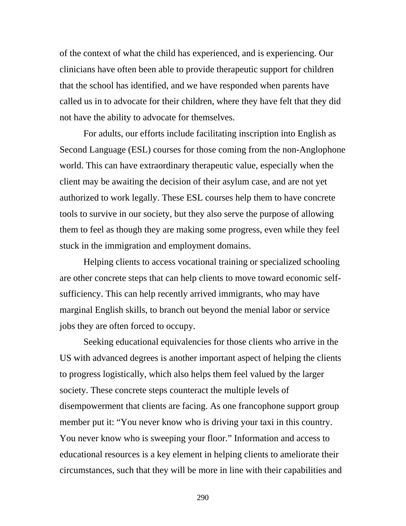of the context of what the child has experienced, and is experiencing. Our clinicians have often been able to provide therapeutic support for children that the school has identified, and we have responded when parents have called us in to advocate for their children, where they have felt that they did not have the ability to advocate for themselves.

For adults, our efforts include facilitating inscription into English as Second Language (ESL) courses for those coming from the non-Anglophone world. This can have extraordinary therapeutic value, especially when the client may be awaiting the decision of their asylum case, and are not yet authorized to work legally. These ESL courses help them to have concrete tools to survive in our society, but they also serve the purpose of allowing them to feel as though they are making some progress, even while they feel stuck in the immigration and employment domains.

Helping clients to access vocational training or specialized schooling are other concrete steps that can help clients to move toward economic selfsufficiency. This can help recently arrived immigrants, who may have marginal English skills, to branch out beyond the menial labor or service jobs they are often forced to occupy.

Seeking educational equivalencies for those clients who arrive in the US with advanced degrees is another important aspect of helping the clients to progress logistically, which also helps them feel valued by the larger society. These concrete steps counteract the multiple levels of disempowerment that clients are facing. As one francophone support group member put it: "You never know who is driving your taxi in this country. You never know who is sweeping your floor." Information and access to educational resources is a key element in helping clients to ameliorate their circumstances, such that they will be more in line with their capabilities and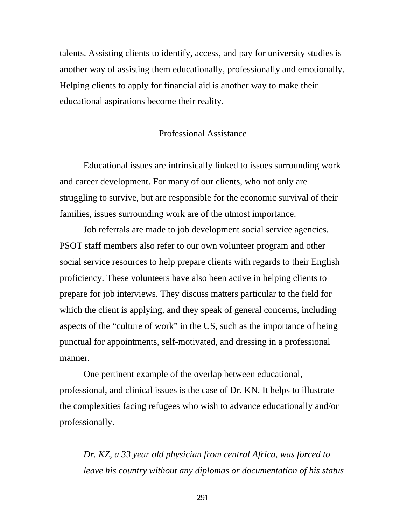talents. Assisting clients to identify, access, and pay for university studies is another way of assisting them educationally, professionally and emotionally. Helping clients to apply for financial aid is another way to make their educational aspirations become their reality.

## Professional Assistance

 Educational issues are intrinsically linked to issues surrounding work and career development. For many of our clients, who not only are struggling to survive, but are responsible for the economic survival of their families, issues surrounding work are of the utmost importance.

 Job referrals are made to job development social service agencies. PSOT staff members also refer to our own volunteer program and other social service resources to help prepare clients with regards to their English proficiency. These volunteers have also been active in helping clients to prepare for job interviews. They discuss matters particular to the field for which the client is applying, and they speak of general concerns, including aspects of the "culture of work" in the US, such as the importance of being punctual for appointments, self-motivated, and dressing in a professional manner.

 One pertinent example of the overlap between educational, professional, and clinical issues is the case of Dr. KN. It helps to illustrate the complexities facing refugees who wish to advance educationally and/or professionally.

*Dr. KZ, a 33 year old physician from central Africa, was forced to leave his country without any diplomas or documentation of his status*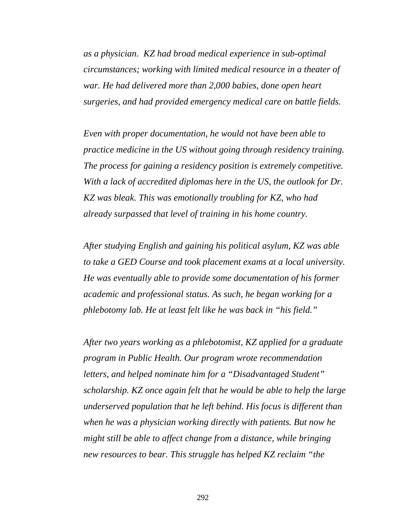*as a physician. KZ had broad medical experience in sub-optimal circumstances; working with limited medical resource in a theater of war. He had delivered more than 2,000 babies, done open heart surgeries, and had provided emergency medical care on battle fields.* 

*Even with proper documentation, he would not have been able to practice medicine in the US without going through residency training. The process for gaining a residency position is extremely competitive. With a lack of accredited diplomas here in the US, the outlook for Dr. KZ was bleak. This was emotionally troubling for KZ, who had already surpassed that level of training in his home country.* 

*After studying English and gaining his political asylum, KZ was able to take a GED Course and took placement exams at a local university. He was eventually able to provide some documentation of his former academic and professional status. As such, he began working for a phlebotomy lab. He at least felt like he was back in "his field."* 

*After two years working as a phlebotomist, KZ applied for a graduate program in Public Health. Our program wrote recommendation letters, and helped nominate him for a "Disadvantaged Student" scholarship. KZ once again felt that he would be able to help the large underserved population that he left behind. His focus is different than when he was a physician working directly with patients. But now he might still be able to affect change from a distance, while bringing new resources to bear. This struggle has helped KZ reclaim "the*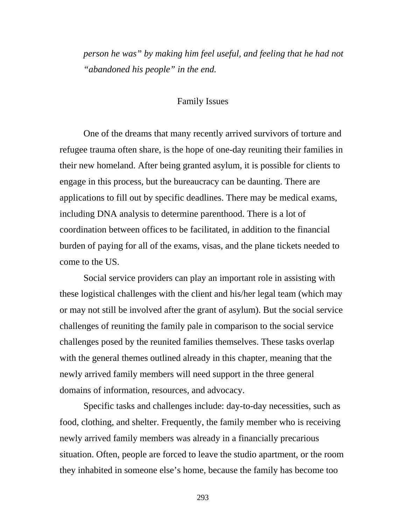*person he was" by making him feel useful, and feeling that he had not "abandoned his people" in the end.* 

## Family Issues

 One of the dreams that many recently arrived survivors of torture and refugee trauma often share, is the hope of one-day reuniting their families in their new homeland. After being granted asylum, it is possible for clients to engage in this process, but the bureaucracy can be daunting. There are applications to fill out by specific deadlines. There may be medical exams, including DNA analysis to determine parenthood. There is a lot of coordination between offices to be facilitated, in addition to the financial burden of paying for all of the exams, visas, and the plane tickets needed to come to the US.

 Social service providers can play an important role in assisting with these logistical challenges with the client and his/her legal team (which may or may not still be involved after the grant of asylum). But the social service challenges of reuniting the family pale in comparison to the social service challenges posed by the reunited families themselves. These tasks overlap with the general themes outlined already in this chapter, meaning that the newly arrived family members will need support in the three general domains of information, resources, and advocacy.

 Specific tasks and challenges include: day-to-day necessities, such as food, clothing, and shelter. Frequently, the family member who is receiving newly arrived family members was already in a financially precarious situation. Often, people are forced to leave the studio apartment, or the room they inhabited in someone else's home, because the family has become too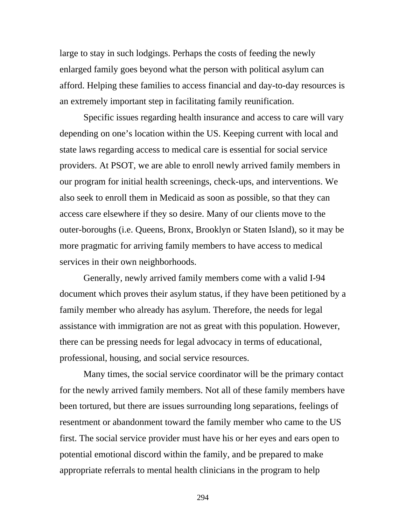large to stay in such lodgings. Perhaps the costs of feeding the newly enlarged family goes beyond what the person with political asylum can afford. Helping these families to access financial and day-to-day resources is an extremely important step in facilitating family reunification.

 Specific issues regarding health insurance and access to care will vary depending on one's location within the US. Keeping current with local and state laws regarding access to medical care is essential for social service providers. At PSOT, we are able to enroll newly arrived family members in our program for initial health screenings, check-ups, and interventions. We also seek to enroll them in Medicaid as soon as possible, so that they can access care elsewhere if they so desire. Many of our clients move to the outer-boroughs (i.e. Queens, Bronx, Brooklyn or Staten Island), so it may be more pragmatic for arriving family members to have access to medical services in their own neighborhoods.

 Generally, newly arrived family members come with a valid I-94 document which proves their asylum status, if they have been petitioned by a family member who already has asylum. Therefore, the needs for legal assistance with immigration are not as great with this population. However, there can be pressing needs for legal advocacy in terms of educational, professional, housing, and social service resources.

 Many times, the social service coordinator will be the primary contact for the newly arrived family members. Not all of these family members have been tortured, but there are issues surrounding long separations, feelings of resentment or abandonment toward the family member who came to the US first. The social service provider must have his or her eyes and ears open to potential emotional discord within the family, and be prepared to make appropriate referrals to mental health clinicians in the program to help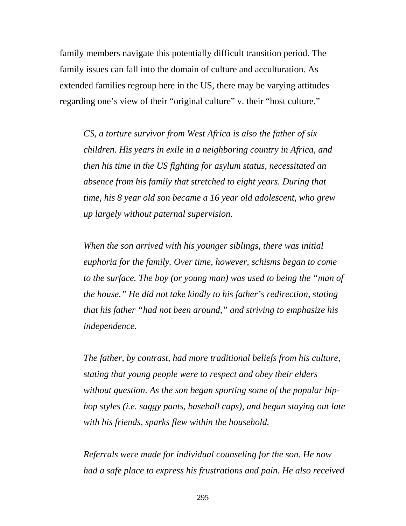family members navigate this potentially difficult transition period. The family issues can fall into the domain of culture and acculturation. As extended families regroup here in the US, there may be varying attitudes regarding one's view of their "original culture" v. their "host culture."

*CS, a torture survivor from West Africa is also the father of six children. His years in exile in a neighboring country in Africa, and then his time in the US fighting for asylum status, necessitated an absence from his family that stretched to eight years. During that time, his 8 year old son became a 16 year old adolescent, who grew up largely without paternal supervision.* 

*When the son arrived with his younger siblings, there was initial euphoria for the family. Over time, however, schisms began to come to the surface. The boy (or young man) was used to being the "man of the house." He did not take kindly to his father's redirection, stating that his father "had not been around," and striving to emphasize his independence.* 

*The father, by contrast, had more traditional beliefs from his culture, stating that young people were to respect and obey their elders without question. As the son began sporting some of the popular hiphop styles (i.e. saggy pants, baseball caps), and began staying out late with his friends, sparks flew within the household.* 

*Referrals were made for individual counseling for the son. He now had a safe place to express his frustrations and pain. He also received*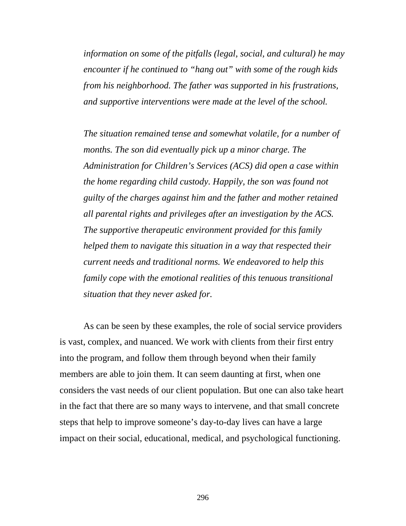*information on some of the pitfalls (legal, social, and cultural) he may encounter if he continued to "hang out" with some of the rough kids from his neighborhood. The father was supported in his frustrations, and supportive interventions were made at the level of the school.* 

*The situation remained tense and somewhat volatile, for a number of months. The son did eventually pick up a minor charge. The Administration for Children's Services (ACS) did open a case within the home regarding child custody. Happily, the son was found not guilty of the charges against him and the father and mother retained all parental rights and privileges after an investigation by the ACS. The supportive therapeutic environment provided for this family helped them to navigate this situation in a way that respected their current needs and traditional norms. We endeavored to help this family cope with the emotional realities of this tenuous transitional situation that they never asked for.* 

 As can be seen by these examples, the role of social service providers is vast, complex, and nuanced. We work with clients from their first entry into the program, and follow them through beyond when their family members are able to join them. It can seem daunting at first, when one considers the vast needs of our client population. But one can also take heart in the fact that there are so many ways to intervene, and that small concrete steps that help to improve someone's day-to-day lives can have a large impact on their social, educational, medical, and psychological functioning.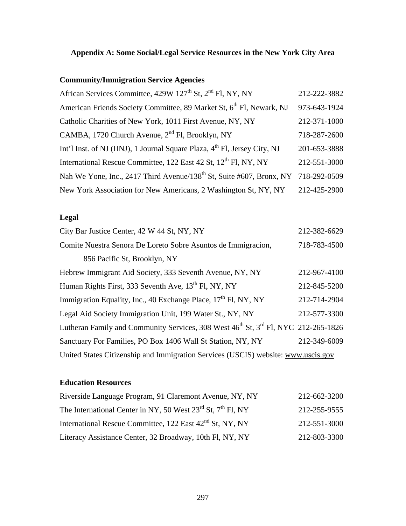## **Appendix A: Some Social/Legal Service Resources in the New York City Area**

### **Community/Immigration Service Agencies**

| African Services Committee, 429W 127 <sup>th</sup> St, 2 <sup>nd</sup> Fl, NY, NY             | 212-222-3882 |
|-----------------------------------------------------------------------------------------------|--------------|
| American Friends Society Committee, 89 Market St, 6 <sup>th</sup> Fl, Newark, NJ              | 973-643-1924 |
| Catholic Charities of New York, 1011 First Avenue, NY, NY                                     | 212-371-1000 |
| CAMBA, 1720 Church Avenue, 2 <sup>nd</sup> Fl, Brooklyn, NY                                   | 718-287-2600 |
| Int'l Inst. of NJ (IINJ), 1 Journal Square Plaza, 4 <sup>th</sup> Fl, Jersey City, NJ         | 201-653-3888 |
| International Rescue Committee, 122 East 42 St, 12 <sup>th</sup> Fl, NY, NY                   | 212-551-3000 |
| Nah We Yone, Inc., 2417 Third Avenue/138 <sup>th</sup> St, Suite #607, Bronx, NY 718-292-0509 |              |
| New York Association for New Americans, 2 Washington St, NY, NY                               | 212-425-2900 |

## **Legal**

| City Bar Justice Center, 42 W 44 St, NY, NY                                                                | 212-382-6629 |
|------------------------------------------------------------------------------------------------------------|--------------|
| Comite Nuestra Senora De Loreto Sobre Asuntos de Immigracion,                                              | 718-783-4500 |
| 856 Pacific St, Brooklyn, NY                                                                               |              |
| Hebrew Immigrant Aid Society, 333 Seventh Avenue, NY, NY                                                   | 212-967-4100 |
| Human Rights First, 333 Seventh Ave, 13 <sup>th</sup> Fl, NY, NY                                           | 212-845-5200 |
| Immigration Equality, Inc., 40 Exchange Place, 17 <sup>th</sup> Fl, NY, NY                                 | 212-714-2904 |
| Legal Aid Society Immigration Unit, 199 Water St., NY, NY                                                  | 212-577-3300 |
| Lutheran Family and Community Services, 308 West 46 <sup>th</sup> St, 3 <sup>rd</sup> Fl, NYC 212-265-1826 |              |
| Sanctuary For Families, PO Box 1406 Wall St Station, NY, NY                                                | 212-349-6009 |
| United States Citizenship and Immigration Services (USCIS) website: www.uscis.gov                          |              |

### **Education Resources**

| Riverside Language Program, 91 Claremont Avenue, NY, NY               | 212-662-3200 |
|-----------------------------------------------------------------------|--------------|
| The International Center in NY, 50 West $23^{rd}$ St, $7^{th}$ Fl, NY | 212-255-9555 |
| International Rescue Committee, 122 East 42 <sup>nd</sup> St, NY, NY  | 212-551-3000 |
| Literacy Assistance Center, 32 Broadway, 10th Fl, NY, NY              | 212-803-3300 |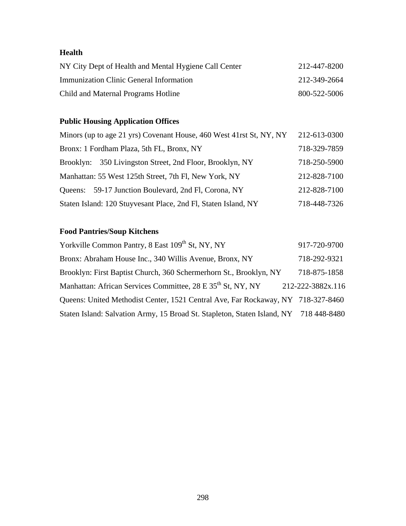## **Health**

| NY City Dept of Health and Mental Hygiene Call Center | 212-447-8200 |
|-------------------------------------------------------|--------------|
| Immunization Clinic General Information               | 212-349-2664 |
| Child and Maternal Programs Hotline                   | 800-522-5006 |

## **Public Housing Application Offices**

| Minors (up to age 21 yrs) Covenant House, 460 West 41rst St, NY, NY | 212-613-0300 |
|---------------------------------------------------------------------|--------------|
| Bronx: 1 Fordham Plaza, 5th FL, Bronx, NY                           | 718-329-7859 |
| 350 Livingston Street, 2nd Floor, Brooklyn, NY<br>Brooklyn:         | 718-250-5900 |
| Manhattan: 55 West 125th Street, 7th Fl, New York, NY               | 212-828-7100 |
| Queens: 59-17 Junction Boulevard, 2nd Fl, Corona, NY                | 212-828-7100 |
| Staten Island: 120 Stuyvesant Place, 2nd Fl, Staten Island, NY      | 718-448-7326 |

# **Food Pantries/Soup Kitchens**

| Yorkville Common Pantry, 8 East 109th St, NY, NY                                      | 917-720-9700      |
|---------------------------------------------------------------------------------------|-------------------|
| Bronx: Abraham House Inc., 340 Willis Avenue, Bronx, NY                               | 718-292-9321      |
| Brooklyn: First Baptist Church, 360 Schermerhorn St., Brooklyn, NY                    | 718-875-1858      |
| Manhattan: African Services Committee, 28 E 35 <sup>th</sup> St, NY, NY               | 212-222-3882x.116 |
| Queens: United Methodist Center, 1521 Central Ave, Far Rockaway, NY 718-327-8460      |                   |
| Staten Island: Salvation Army, 15 Broad St. Stapleton, Staten Island, NY 718 448-8480 |                   |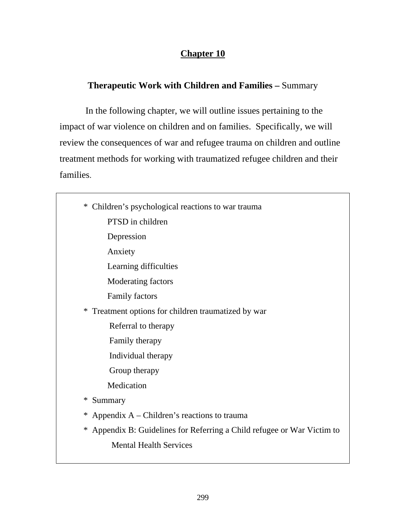## **Chapter 10**

## **Therapeutic Work with Children and Families –** Summary

In the following chapter, we will outline issues pertaining to the impact of war violence on children and on families. Specifically, we will review the consequences of war and refugee trauma on children and outline treatment methods for working with traumatized refugee children and their families.

| Children's psychological reactions to war trauma<br>∗                      |
|----------------------------------------------------------------------------|
| PTSD in children                                                           |
| Depression                                                                 |
| Anxiety                                                                    |
| Learning difficulties                                                      |
| Moderating factors                                                         |
| <b>Family factors</b>                                                      |
| Treatment options for children traumatized by war<br>$\ast$                |
| Referral to therapy                                                        |
| Family therapy                                                             |
| Individual therapy                                                         |
| Group therapy                                                              |
| Medication                                                                 |
| Summary<br>∗                                                               |
| Appendix A – Children's reactions to trauma<br>∗                           |
| Appendix B: Guidelines for Referring a Child refugee or War Victim to<br>∗ |
| <b>Mental Health Services</b>                                              |
|                                                                            |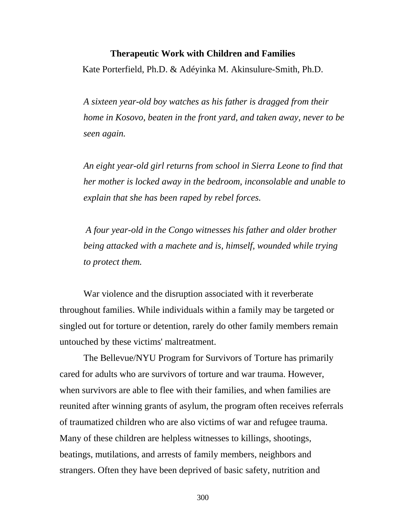#### **Therapeutic Work with Children and Families**

Kate Porterfield, Ph.D. & Adéyinka M. Akinsulure-Smith, Ph.D.

*A sixteen year-old boy watches as his father is dragged from their home in Kosovo, beaten in the front yard, and taken away, never to be seen again.* 

*An eight year-old girl returns from school in Sierra Leone to find that her mother is locked away in the bedroom, inconsolable and unable to explain that she has been raped by rebel forces.* 

 *A four year-old in the Congo witnesses his father and older brother being attacked with a machete and is, himself, wounded while trying to protect them.* 

War violence and the disruption associated with it reverberate throughout families. While individuals within a family may be targeted or singled out for torture or detention, rarely do other family members remain untouched by these victims' maltreatment.

The Bellevue/NYU Program for Survivors of Torture has primarily cared for adults who are survivors of torture and war trauma. However, when survivors are able to flee with their families, and when families are reunited after winning grants of asylum, the program often receives referrals of traumatized children who are also victims of war and refugee trauma. Many of these children are helpless witnesses to killings, shootings, beatings, mutilations, and arrests of family members, neighbors and strangers. Often they have been deprived of basic safety, nutrition and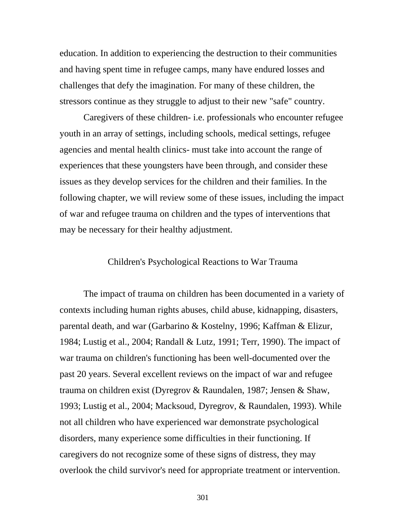education. In addition to experiencing the destruction to their communities and having spent time in refugee camps, many have endured losses and challenges that defy the imagination. For many of these children, the stressors continue as they struggle to adjust to their new "safe" country.

Caregivers of these children- i.e. professionals who encounter refugee youth in an array of settings, including schools, medical settings, refugee agencies and mental health clinics- must take into account the range of experiences that these youngsters have been through, and consider these issues as they develop services for the children and their families. In the following chapter, we will review some of these issues, including the impact of war and refugee trauma on children and the types of interventions that may be necessary for their healthy adjustment.

#### Children's Psychological Reactions to War Trauma

The impact of trauma on children has been documented in a variety of contexts including human rights abuses, child abuse, kidnapping, disasters, parental death, and war (Garbarino & Kostelny, 1996; Kaffman & Elizur, 1984; Lustig et al., 2004; Randall & Lutz, 1991; Terr, 1990). The impact of war trauma on children's functioning has been well-documented over the past 20 years. Several excellent reviews on the impact of war and refugee trauma on children exist (Dyregrov & Raundalen, 1987; Jensen & Shaw, 1993; Lustig et al., 2004; Macksoud, Dyregrov, & Raundalen, 1993). While not all children who have experienced war demonstrate psychological disorders, many experience some difficulties in their functioning. If caregivers do not recognize some of these signs of distress, they may overlook the child survivor's need for appropriate treatment or intervention.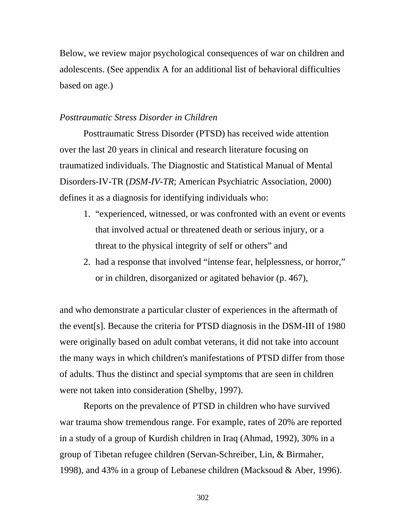Below, we review major psychological consequences of war on children and adolescents. (See appendix A for an additional list of behavioral difficulties based on age.)

### *Posttraumatic Stress Disorder in Children*

Posttraumatic Stress Disorder (PTSD) has received wide attention over the last 20 years in clinical and research literature focusing on traumatized individuals. The Diagnostic and Statistical Manual of Mental Disorders-IV-TR (*DSM-IV-TR*; American Psychiatric Association, 2000) defines it as a diagnosis for identifying individuals who:

- 1. "experienced, witnessed, or was confronted with an event or events that involved actual or threatened death or serious injury, or a threat to the physical integrity of self or others" and
- 2. had a response that involved "intense fear, helplessness, or horror," or in children, disorganized or agitated behavior (p. 467),

and who demonstrate a particular cluster of experiences in the aftermath of the event[s]. Because the criteria for PTSD diagnosis in the DSM-III of 1980 were originally based on adult combat veterans, it did not take into account the many ways in which children's manifestations of PTSD differ from those of adults. Thus the distinct and special symptoms that are seen in children were not taken into consideration (Shelby, 1997).

Reports on the prevalence of PTSD in children who have survived war trauma show tremendous range. For example, rates of 20% are reported in a study of a group of Kurdish children in Iraq (Ahmad, 1992), 30% in a group of Tibetan refugee children (Servan-Schreiber, Lin, & Birmaher, 1998), and 43% in a group of Lebanese children (Macksoud & Aber, 1996).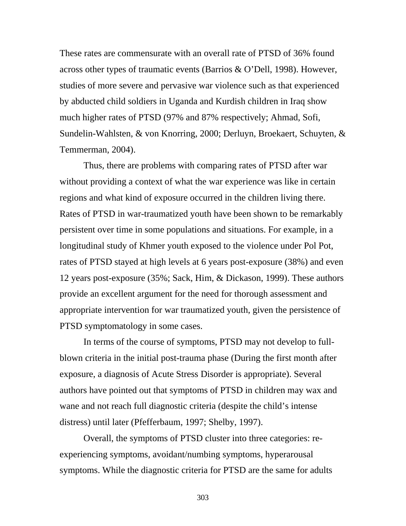These rates are commensurate with an overall rate of PTSD of 36% found across other types of traumatic events (Barrios & O'Dell, 1998). However, studies of more severe and pervasive war violence such as that experienced by abducted child soldiers in Uganda and Kurdish children in Iraq show much higher rates of PTSD (97% and 87% respectively; Ahmad, Sofi, Sundelin-Wahlsten, & von Knorring, 2000; Derluyn, Broekaert, Schuyten, & Temmerman, 2004).

Thus, there are problems with comparing rates of PTSD after war without providing a context of what the war experience was like in certain regions and what kind of exposure occurred in the children living there. Rates of PTSD in war-traumatized youth have been shown to be remarkably persistent over time in some populations and situations. For example, in a longitudinal study of Khmer youth exposed to the violence under Pol Pot, rates of PTSD stayed at high levels at 6 years post-exposure (38%) and even 12 years post-exposure (35%; Sack, Him, & Dickason, 1999). These authors provide an excellent argument for the need for thorough assessment and appropriate intervention for war traumatized youth, given the persistence of PTSD symptomatology in some cases.

In terms of the course of symptoms, PTSD may not develop to fullblown criteria in the initial post-trauma phase (During the first month after exposure, a diagnosis of Acute Stress Disorder is appropriate). Several authors have pointed out that symptoms of PTSD in children may wax and wane and not reach full diagnostic criteria (despite the child's intense distress) until later (Pfefferbaum, 1997; Shelby, 1997).

Overall, the symptoms of PTSD cluster into three categories: reexperiencing symptoms, avoidant/numbing symptoms, hyperarousal symptoms. While the diagnostic criteria for PTSD are the same for adults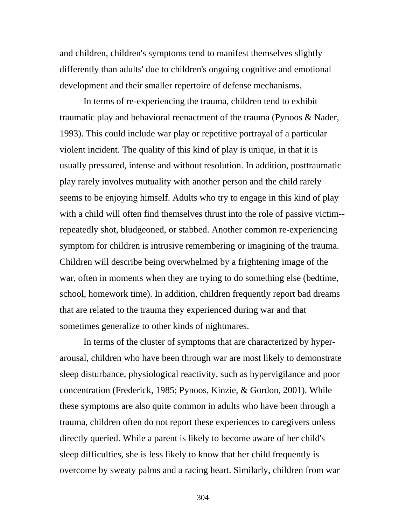and children, children's symptoms tend to manifest themselves slightly differently than adults' due to children's ongoing cognitive and emotional development and their smaller repertoire of defense mechanisms.

In terms of re-experiencing the trauma, children tend to exhibit traumatic play and behavioral reenactment of the trauma (Pynoos & Nader, 1993). This could include war play or repetitive portrayal of a particular violent incident. The quality of this kind of play is unique, in that it is usually pressured, intense and without resolution. In addition, posttraumatic play rarely involves mutuality with another person and the child rarely seems to be enjoying himself. Adults who try to engage in this kind of play with a child will often find themselves thrust into the role of passive victim- repeatedly shot, bludgeoned, or stabbed. Another common re-experiencing symptom for children is intrusive remembering or imagining of the trauma. Children will describe being overwhelmed by a frightening image of the war, often in moments when they are trying to do something else (bedtime, school, homework time). In addition, children frequently report bad dreams that are related to the trauma they experienced during war and that sometimes generalize to other kinds of nightmares.

In terms of the cluster of symptoms that are characterized by hyperarousal, children who have been through war are most likely to demonstrate sleep disturbance, physiological reactivity, such as hypervigilance and poor concentration (Frederick, 1985; Pynoos, Kinzie, & Gordon, 2001). While these symptoms are also quite common in adults who have been through a trauma, children often do not report these experiences to caregivers unless directly queried. While a parent is likely to become aware of her child's sleep difficulties, she is less likely to know that her child frequently is overcome by sweaty palms and a racing heart. Similarly, children from war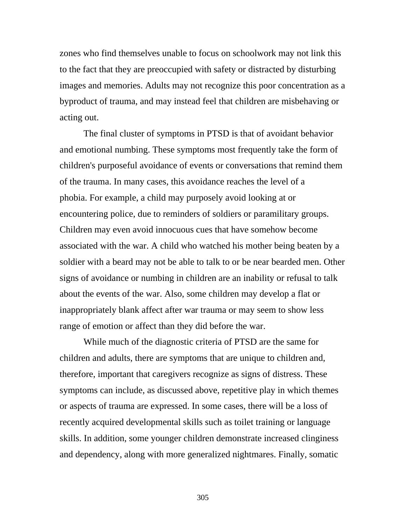zones who find themselves unable to focus on schoolwork may not link this to the fact that they are preoccupied with safety or distracted by disturbing images and memories. Adults may not recognize this poor concentration as a byproduct of trauma, and may instead feel that children are misbehaving or acting out.

The final cluster of symptoms in PTSD is that of avoidant behavior and emotional numbing. These symptoms most frequently take the form of children's purposeful avoidance of events or conversations that remind them of the trauma. In many cases, this avoidance reaches the level of a phobia. For example, a child may purposely avoid looking at or encountering police, due to reminders of soldiers or paramilitary groups. Children may even avoid innocuous cues that have somehow become associated with the war. A child who watched his mother being beaten by a soldier with a beard may not be able to talk to or be near bearded men. Other signs of avoidance or numbing in children are an inability or refusal to talk about the events of the war. Also, some children may develop a flat or inappropriately blank affect after war trauma or may seem to show less range of emotion or affect than they did before the war.

While much of the diagnostic criteria of PTSD are the same for children and adults, there are symptoms that are unique to children and, therefore, important that caregivers recognize as signs of distress. These symptoms can include, as discussed above, repetitive play in which themes or aspects of trauma are expressed. In some cases, there will be a loss of recently acquired developmental skills such as toilet training or language skills. In addition, some younger children demonstrate increased clinginess and dependency, along with more generalized nightmares. Finally, somatic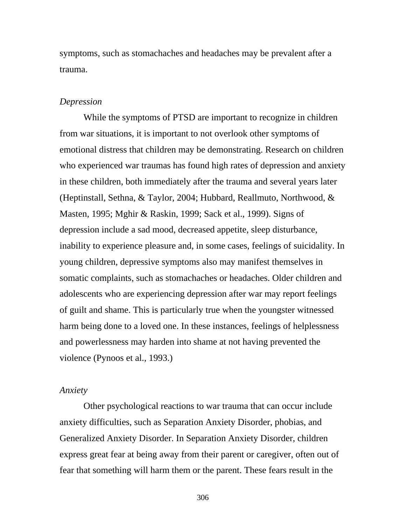symptoms, such as stomachaches and headaches may be prevalent after a trauma.

#### *Depression*

While the symptoms of PTSD are important to recognize in children from war situations, it is important to not overlook other symptoms of emotional distress that children may be demonstrating. Research on children who experienced war traumas has found high rates of depression and anxiety in these children, both immediately after the trauma and several years later (Heptinstall, Sethna, & Taylor, 2004; Hubbard, Reallmuto, Northwood, & Masten, 1995; Mghir & Raskin, 1999; Sack et al., 1999). Signs of depression include a sad mood, decreased appetite, sleep disturbance, inability to experience pleasure and, in some cases, feelings of suicidality. In young children, depressive symptoms also may manifest themselves in somatic complaints, such as stomachaches or headaches. Older children and adolescents who are experiencing depression after war may report feelings of guilt and shame. This is particularly true when the youngster witnessed harm being done to a loved one. In these instances, feelings of helplessness and powerlessness may harden into shame at not having prevented the violence (Pynoos et al., 1993.)

#### *Anxiety*

Other psychological reactions to war trauma that can occur include anxiety difficulties, such as Separation Anxiety Disorder, phobias, and Generalized Anxiety Disorder. In Separation Anxiety Disorder, children express great fear at being away from their parent or caregiver, often out of fear that something will harm them or the parent. These fears result in the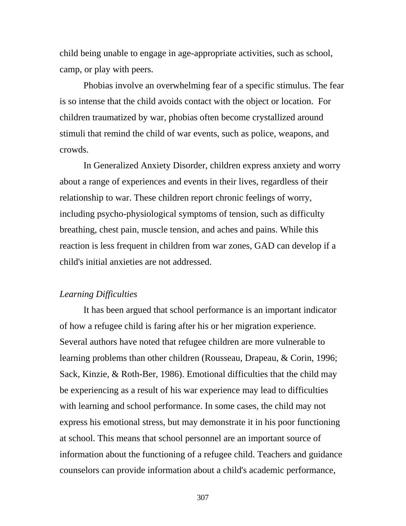child being unable to engage in age-appropriate activities, such as school, camp, or play with peers.

Phobias involve an overwhelming fear of a specific stimulus. The fear is so intense that the child avoids contact with the object or location. For children traumatized by war, phobias often become crystallized around stimuli that remind the child of war events, such as police, weapons, and crowds.

In Generalized Anxiety Disorder, children express anxiety and worry about a range of experiences and events in their lives, regardless of their relationship to war. These children report chronic feelings of worry, including psycho-physiological symptoms of tension, such as difficulty breathing, chest pain, muscle tension, and aches and pains. While this reaction is less frequent in children from war zones, GAD can develop if a child's initial anxieties are not addressed.

#### *Learning Difficulties*

It has been argued that school performance is an important indicator of how a refugee child is faring after his or her migration experience. Several authors have noted that refugee children are more vulnerable to learning problems than other children (Rousseau, Drapeau, & Corin, 1996; Sack, Kinzie, & Roth-Ber, 1986). Emotional difficulties that the child may be experiencing as a result of his war experience may lead to difficulties with learning and school performance. In some cases, the child may not express his emotional stress, but may demonstrate it in his poor functioning at school. This means that school personnel are an important source of information about the functioning of a refugee child. Teachers and guidance counselors can provide information about a child's academic performance,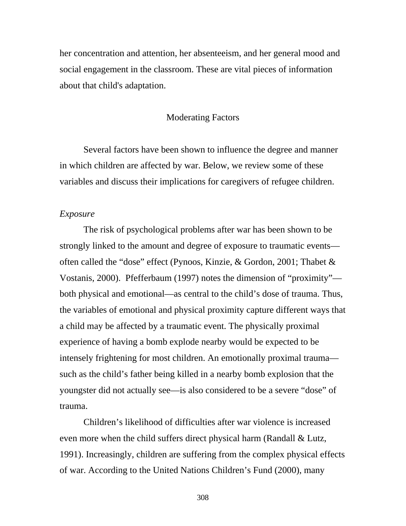her concentration and attention, her absenteeism, and her general mood and social engagement in the classroom. These are vital pieces of information about that child's adaptation.

### Moderating Factors

Several factors have been shown to influence the degree and manner in which children are affected by war. Below, we review some of these variables and discuss their implications for caregivers of refugee children.

#### *Exposure*

The risk of psychological problems after war has been shown to be strongly linked to the amount and degree of exposure to traumatic events often called the "dose" effect (Pynoos, Kinzie, & Gordon, 2001; Thabet & Vostanis, 2000). Pfefferbaum (1997) notes the dimension of "proximity" both physical and emotional—as central to the child's dose of trauma. Thus, the variables of emotional and physical proximity capture different ways that a child may be affected by a traumatic event. The physically proximal experience of having a bomb explode nearby would be expected to be intensely frightening for most children. An emotionally proximal trauma such as the child's father being killed in a nearby bomb explosion that the youngster did not actually see—is also considered to be a severe "dose" of trauma.

Children's likelihood of difficulties after war violence is increased even more when the child suffers direct physical harm (Randall & Lutz, 1991). Increasingly, children are suffering from the complex physical effects of war. According to the United Nations Children's Fund (2000), many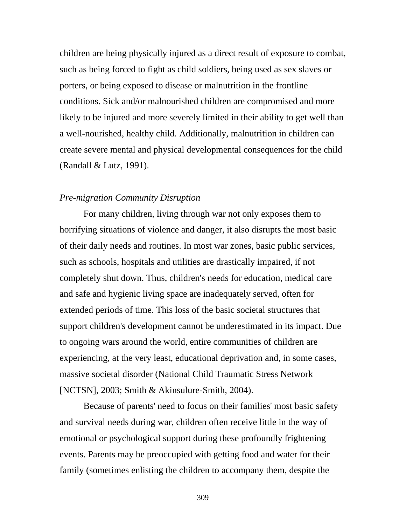children are being physically injured as a direct result of exposure to combat, such as being forced to fight as child soldiers, being used as sex slaves or porters, or being exposed to disease or malnutrition in the frontline conditions. Sick and/or malnourished children are compromised and more likely to be injured and more severely limited in their ability to get well than a well-nourished, healthy child. Additionally, malnutrition in children can create severe mental and physical developmental consequences for the child (Randall & Lutz, 1991).

#### *Pre-migration Community Disruption*

For many children, living through war not only exposes them to horrifying situations of violence and danger, it also disrupts the most basic of their daily needs and routines. In most war zones, basic public services, such as schools, hospitals and utilities are drastically impaired, if not completely shut down. Thus, children's needs for education, medical care and safe and hygienic living space are inadequately served, often for extended periods of time. This loss of the basic societal structures that support children's development cannot be underestimated in its impact. Due to ongoing wars around the world, entire communities of children are experiencing, at the very least, educational deprivation and, in some cases, massive societal disorder (National Child Traumatic Stress Network [NCTSN], 2003; Smith & Akinsulure-Smith, 2004).

Because of parents' need to focus on their families' most basic safety and survival needs during war, children often receive little in the way of emotional or psychological support during these profoundly frightening events. Parents may be preoccupied with getting food and water for their family (sometimes enlisting the children to accompany them, despite the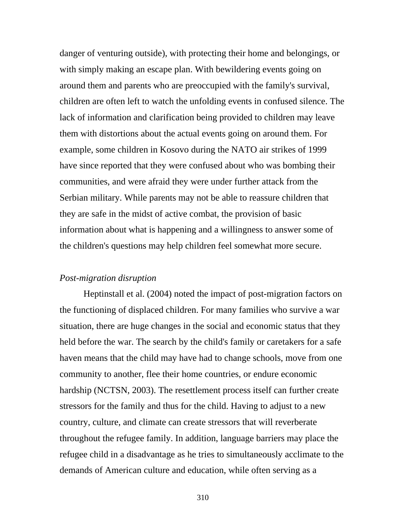danger of venturing outside), with protecting their home and belongings, or with simply making an escape plan. With bewildering events going on around them and parents who are preoccupied with the family's survival, children are often left to watch the unfolding events in confused silence. The lack of information and clarification being provided to children may leave them with distortions about the actual events going on around them. For example, some children in Kosovo during the NATO air strikes of 1999 have since reported that they were confused about who was bombing their communities, and were afraid they were under further attack from the Serbian military. While parents may not be able to reassure children that they are safe in the midst of active combat, the provision of basic information about what is happening and a willingness to answer some of the children's questions may help children feel somewhat more secure.

### *Post-migration disruption*

Heptinstall et al. (2004) noted the impact of post-migration factors on the functioning of displaced children. For many families who survive a war situation, there are huge changes in the social and economic status that they held before the war. The search by the child's family or caretakers for a safe haven means that the child may have had to change schools, move from one community to another, flee their home countries, or endure economic hardship (NCTSN, 2003). The resettlement process itself can further create stressors for the family and thus for the child. Having to adjust to a new country, culture, and climate can create stressors that will reverberate throughout the refugee family. In addition, language barriers may place the refugee child in a disadvantage as he tries to simultaneously acclimate to the demands of American culture and education, while often serving as a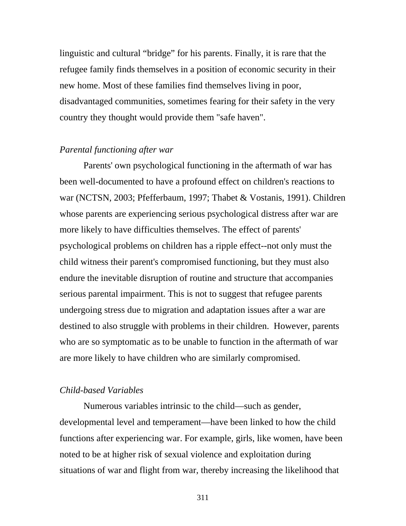linguistic and cultural "bridge" for his parents. Finally, it is rare that the refugee family finds themselves in a position of economic security in their new home. Most of these families find themselves living in poor, disadvantaged communities, sometimes fearing for their safety in the very country they thought would provide them "safe haven".

#### *Parental functioning after war*

Parents' own psychological functioning in the aftermath of war has been well-documented to have a profound effect on children's reactions to war (NCTSN, 2003; Pfefferbaum, 1997; Thabet & Vostanis, 1991). Children whose parents are experiencing serious psychological distress after war are more likely to have difficulties themselves. The effect of parents' psychological problems on children has a ripple effect--not only must the child witness their parent's compromised functioning, but they must also endure the inevitable disruption of routine and structure that accompanies serious parental impairment. This is not to suggest that refugee parents undergoing stress due to migration and adaptation issues after a war are destined to also struggle with problems in their children. However, parents who are so symptomatic as to be unable to function in the aftermath of war are more likely to have children who are similarly compromised.

#### *Child-based Variables*

Numerous variables intrinsic to the child—such as gender, developmental level and temperament—have been linked to how the child functions after experiencing war. For example, girls, like women, have been noted to be at higher risk of sexual violence and exploitation during situations of war and flight from war, thereby increasing the likelihood that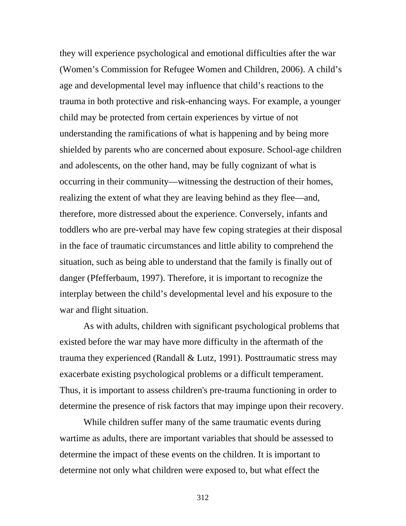they will experience psychological and emotional difficulties after the war (Women's Commission for Refugee Women and Children, 2006). A child's age and developmental level may influence that child's reactions to the trauma in both protective and risk-enhancing ways. For example, a younger child may be protected from certain experiences by virtue of not understanding the ramifications of what is happening and by being more shielded by parents who are concerned about exposure. School-age children and adolescents, on the other hand, may be fully cognizant of what is occurring in their community—witnessing the destruction of their homes, realizing the extent of what they are leaving behind as they flee—and, therefore, more distressed about the experience. Conversely, infants and toddlers who are pre-verbal may have few coping strategies at their disposal in the face of traumatic circumstances and little ability to comprehend the situation, such as being able to understand that the family is finally out of danger (Pfefferbaum, 1997). Therefore, it is important to recognize the interplay between the child's developmental level and his exposure to the war and flight situation.

As with adults, children with significant psychological problems that existed before the war may have more difficulty in the aftermath of the trauma they experienced (Randall & Lutz, 1991). Posttraumatic stress may exacerbate existing psychological problems or a difficult temperament. Thus, it is important to assess children's pre-trauma functioning in order to determine the presence of risk factors that may impinge upon their recovery.

While children suffer many of the same traumatic events during wartime as adults, there are important variables that should be assessed to determine the impact of these events on the children. It is important to determine not only what children were exposed to, but what effect the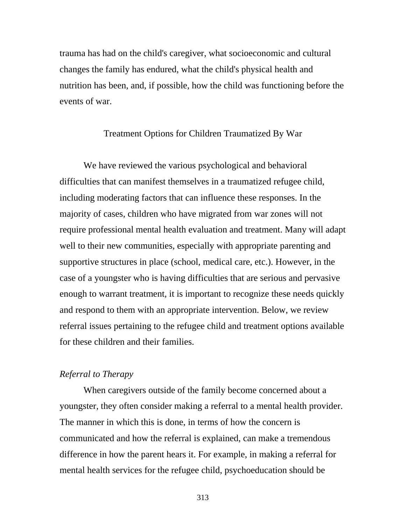trauma has had on the child's caregiver, what socioeconomic and cultural changes the family has endured, what the child's physical health and nutrition has been, and, if possible, how the child was functioning before the events of war.

### Treatment Options for Children Traumatized By War

We have reviewed the various psychological and behavioral difficulties that can manifest themselves in a traumatized refugee child, including moderating factors that can influence these responses. In the majority of cases, children who have migrated from war zones will not require professional mental health evaluation and treatment. Many will adapt well to their new communities, especially with appropriate parenting and supportive structures in place (school, medical care, etc.). However, in the case of a youngster who is having difficulties that are serious and pervasive enough to warrant treatment, it is important to recognize these needs quickly and respond to them with an appropriate intervention. Below, we review referral issues pertaining to the refugee child and treatment options available for these children and their families.

#### *Referral to Therapy*

When caregivers outside of the family become concerned about a youngster, they often consider making a referral to a mental health provider. The manner in which this is done, in terms of how the concern is communicated and how the referral is explained, can make a tremendous difference in how the parent hears it. For example, in making a referral for mental health services for the refugee child, psychoeducation should be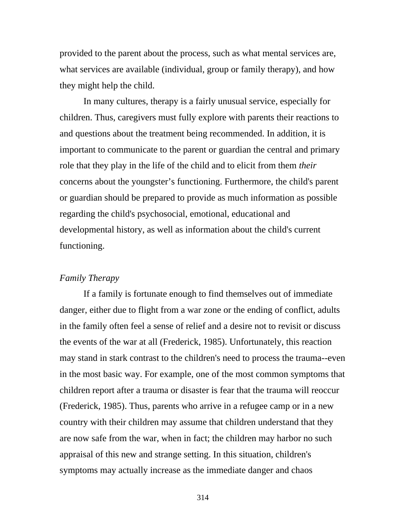provided to the parent about the process, such as what mental services are, what services are available (individual, group or family therapy), and how they might help the child.

In many cultures, therapy is a fairly unusual service, especially for children. Thus, caregivers must fully explore with parents their reactions to and questions about the treatment being recommended. In addition, it is important to communicate to the parent or guardian the central and primary role that they play in the life of the child and to elicit from them *their*  concerns about the youngster's functioning. Furthermore, the child's parent or guardian should be prepared to provide as much information as possible regarding the child's psychosocial, emotional, educational and developmental history, as well as information about the child's current functioning.

#### *Family Therapy*

If a family is fortunate enough to find themselves out of immediate danger, either due to flight from a war zone or the ending of conflict, adults in the family often feel a sense of relief and a desire not to revisit or discuss the events of the war at all (Frederick, 1985). Unfortunately, this reaction may stand in stark contrast to the children's need to process the trauma--even in the most basic way. For example, one of the most common symptoms that children report after a trauma or disaster is fear that the trauma will reoccur (Frederick, 1985). Thus, parents who arrive in a refugee camp or in a new country with their children may assume that children understand that they are now safe from the war, when in fact; the children may harbor no such appraisal of this new and strange setting. In this situation, children's symptoms may actually increase as the immediate danger and chaos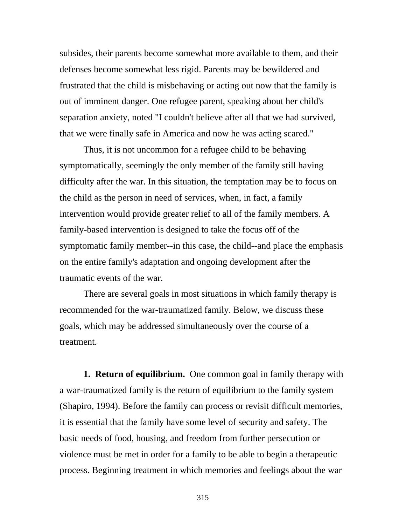subsides, their parents become somewhat more available to them, and their defenses become somewhat less rigid. Parents may be bewildered and frustrated that the child is misbehaving or acting out now that the family is out of imminent danger. One refugee parent, speaking about her child's separation anxiety, noted "I couldn't believe after all that we had survived, that we were finally safe in America and now he was acting scared."

Thus, it is not uncommon for a refugee child to be behaving symptomatically, seemingly the only member of the family still having difficulty after the war. In this situation, the temptation may be to focus on the child as the person in need of services, when, in fact, a family intervention would provide greater relief to all of the family members. A family-based intervention is designed to take the focus off of the symptomatic family member--in this case, the child--and place the emphasis on the entire family's adaptation and ongoing development after the traumatic events of the war.

There are several goals in most situations in which family therapy is recommended for the war-traumatized family. Below, we discuss these goals, which may be addressed simultaneously over the course of a treatment.

**1. Return of equilibrium.** One common goal in family therapy with a war-traumatized family is the return of equilibrium to the family system (Shapiro, 1994). Before the family can process or revisit difficult memories, it is essential that the family have some level of security and safety. The basic needs of food, housing, and freedom from further persecution or violence must be met in order for a family to be able to begin a therapeutic process. Beginning treatment in which memories and feelings about the war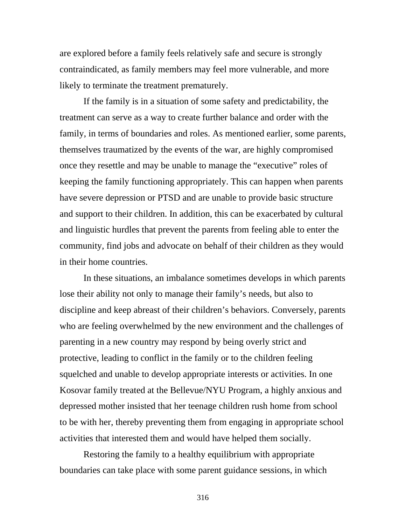are explored before a family feels relatively safe and secure is strongly contraindicated, as family members may feel more vulnerable, and more likely to terminate the treatment prematurely.

If the family is in a situation of some safety and predictability, the treatment can serve as a way to create further balance and order with the family, in terms of boundaries and roles. As mentioned earlier, some parents, themselves traumatized by the events of the war, are highly compromised once they resettle and may be unable to manage the "executive" roles of keeping the family functioning appropriately. This can happen when parents have severe depression or PTSD and are unable to provide basic structure and support to their children. In addition, this can be exacerbated by cultural and linguistic hurdles that prevent the parents from feeling able to enter the community, find jobs and advocate on behalf of their children as they would in their home countries.

In these situations, an imbalance sometimes develops in which parents lose their ability not only to manage their family's needs, but also to discipline and keep abreast of their children's behaviors. Conversely, parents who are feeling overwhelmed by the new environment and the challenges of parenting in a new country may respond by being overly strict and protective, leading to conflict in the family or to the children feeling squelched and unable to develop appropriate interests or activities. In one Kosovar family treated at the Bellevue/NYU Program, a highly anxious and depressed mother insisted that her teenage children rush home from school to be with her, thereby preventing them from engaging in appropriate school activities that interested them and would have helped them socially.

Restoring the family to a healthy equilibrium with appropriate boundaries can take place with some parent guidance sessions, in which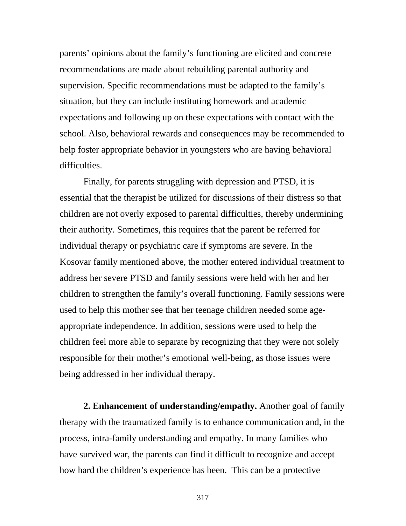parents' opinions about the family's functioning are elicited and concrete recommendations are made about rebuilding parental authority and supervision. Specific recommendations must be adapted to the family's situation, but they can include instituting homework and academic expectations and following up on these expectations with contact with the school. Also, behavioral rewards and consequences may be recommended to help foster appropriate behavior in youngsters who are having behavioral difficulties.

Finally, for parents struggling with depression and PTSD, it is essential that the therapist be utilized for discussions of their distress so that children are not overly exposed to parental difficulties, thereby undermining their authority. Sometimes, this requires that the parent be referred for individual therapy or psychiatric care if symptoms are severe. In the Kosovar family mentioned above, the mother entered individual treatment to address her severe PTSD and family sessions were held with her and her children to strengthen the family's overall functioning. Family sessions were used to help this mother see that her teenage children needed some ageappropriate independence. In addition, sessions were used to help the children feel more able to separate by recognizing that they were not solely responsible for their mother's emotional well-being, as those issues were being addressed in her individual therapy.

**2. Enhancement of understanding/empathy.** Another goal of family therapy with the traumatized family is to enhance communication and, in the process, intra-family understanding and empathy. In many families who have survived war, the parents can find it difficult to recognize and accept how hard the children's experience has been. This can be a protective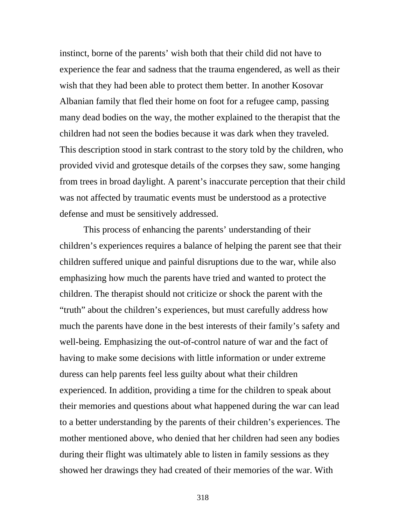instinct, borne of the parents' wish both that their child did not have to experience the fear and sadness that the trauma engendered, as well as their wish that they had been able to protect them better. In another Kosovar Albanian family that fled their home on foot for a refugee camp, passing many dead bodies on the way, the mother explained to the therapist that the children had not seen the bodies because it was dark when they traveled. This description stood in stark contrast to the story told by the children, who provided vivid and grotesque details of the corpses they saw, some hanging from trees in broad daylight. A parent's inaccurate perception that their child was not affected by traumatic events must be understood as a protective defense and must be sensitively addressed.

This process of enhancing the parents' understanding of their children's experiences requires a balance of helping the parent see that their children suffered unique and painful disruptions due to the war, while also emphasizing how much the parents have tried and wanted to protect the children. The therapist should not criticize or shock the parent with the "truth" about the children's experiences, but must carefully address how much the parents have done in the best interests of their family's safety and well-being. Emphasizing the out-of-control nature of war and the fact of having to make some decisions with little information or under extreme duress can help parents feel less guilty about what their children experienced. In addition, providing a time for the children to speak about their memories and questions about what happened during the war can lead to a better understanding by the parents of their children's experiences. The mother mentioned above, who denied that her children had seen any bodies during their flight was ultimately able to listen in family sessions as they showed her drawings they had created of their memories of the war. With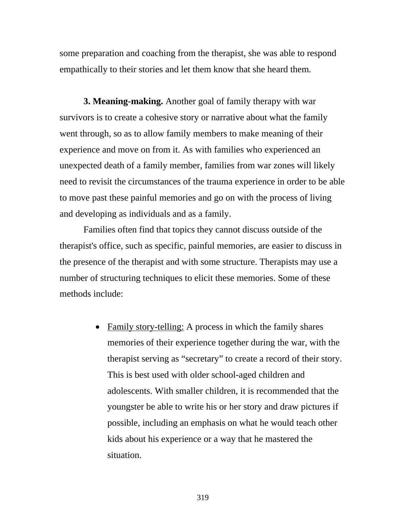some preparation and coaching from the therapist, she was able to respond empathically to their stories and let them know that she heard them.

**3. Meaning-making.** Another goal of family therapy with war survivors is to create a cohesive story or narrative about what the family went through, so as to allow family members to make meaning of their experience and move on from it. As with families who experienced an unexpected death of a family member, families from war zones will likely need to revisit the circumstances of the trauma experience in order to be able to move past these painful memories and go on with the process of living and developing as individuals and as a family.

Families often find that topics they cannot discuss outside of the therapist's office, such as specific, painful memories, are easier to discuss in the presence of the therapist and with some structure. Therapists may use a number of structuring techniques to elicit these memories. Some of these methods include:

> • Family story-telling: A process in which the family shares memories of their experience together during the war, with the therapist serving as "secretary" to create a record of their story. This is best used with older school-aged children and adolescents. With smaller children, it is recommended that the youngster be able to write his or her story and draw pictures if possible, including an emphasis on what he would teach other kids about his experience or a way that he mastered the situation.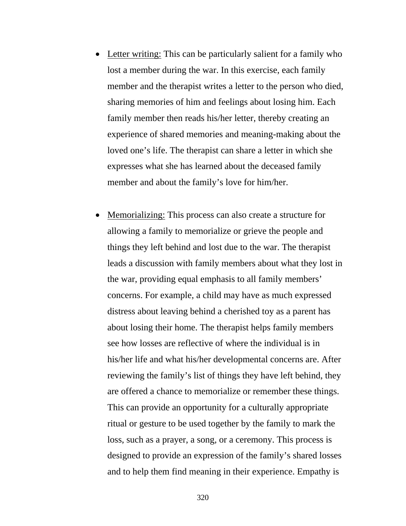- Letter writing: This can be particularly salient for a family who lost a member during the war. In this exercise, each family member and the therapist writes a letter to the person who died, sharing memories of him and feelings about losing him. Each family member then reads his/her letter, thereby creating an experience of shared memories and meaning-making about the loved one's life. The therapist can share a letter in which she expresses what she has learned about the deceased family member and about the family's love for him/her.
- Memorializing: This process can also create a structure for allowing a family to memorialize or grieve the people and things they left behind and lost due to the war. The therapist leads a discussion with family members about what they lost in the war, providing equal emphasis to all family members' concerns. For example, a child may have as much expressed distress about leaving behind a cherished toy as a parent has about losing their home. The therapist helps family members see how losses are reflective of where the individual is in his/her life and what his/her developmental concerns are. After reviewing the family's list of things they have left behind, they are offered a chance to memorialize or remember these things. This can provide an opportunity for a culturally appropriate ritual or gesture to be used together by the family to mark the loss, such as a prayer, a song, or a ceremony. This process is designed to provide an expression of the family's shared losses and to help them find meaning in their experience. Empathy is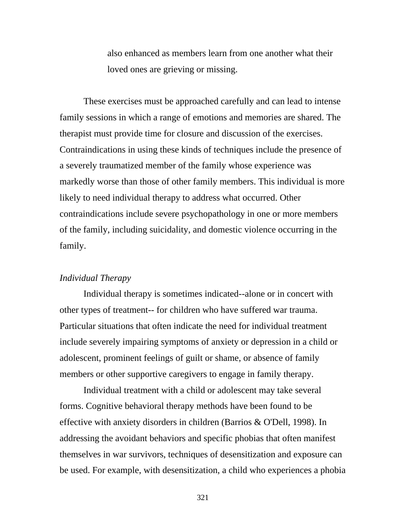also enhanced as members learn from one another what their loved ones are grieving or missing.

These exercises must be approached carefully and can lead to intense family sessions in which a range of emotions and memories are shared. The therapist must provide time for closure and discussion of the exercises. Contraindications in using these kinds of techniques include the presence of a severely traumatized member of the family whose experience was markedly worse than those of other family members. This individual is more likely to need individual therapy to address what occurred. Other contraindications include severe psychopathology in one or more members of the family, including suicidality, and domestic violence occurring in the family.

#### *Individual Therapy*

Individual therapy is sometimes indicated--alone or in concert with other types of treatment-- for children who have suffered war trauma. Particular situations that often indicate the need for individual treatment include severely impairing symptoms of anxiety or depression in a child or adolescent, prominent feelings of guilt or shame, or absence of family members or other supportive caregivers to engage in family therapy.

Individual treatment with a child or adolescent may take several forms. Cognitive behavioral therapy methods have been found to be effective with anxiety disorders in children (Barrios & O'Dell, 1998). In addressing the avoidant behaviors and specific phobias that often manifest themselves in war survivors, techniques of desensitization and exposure can be used. For example, with desensitization, a child who experiences a phobia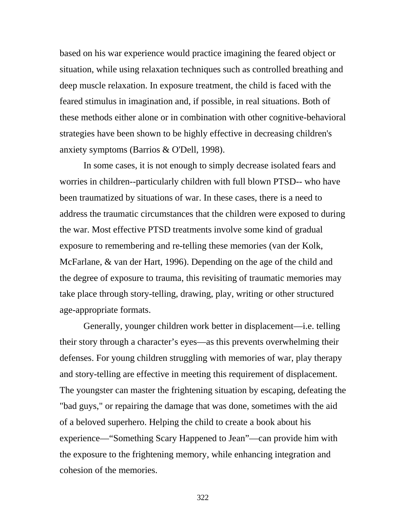based on his war experience would practice imagining the feared object or situation, while using relaxation techniques such as controlled breathing and deep muscle relaxation. In exposure treatment, the child is faced with the feared stimulus in imagination and, if possible, in real situations. Both of these methods either alone or in combination with other cognitive-behavioral strategies have been shown to be highly effective in decreasing children's anxiety symptoms (Barrios & O'Dell, 1998).

In some cases, it is not enough to simply decrease isolated fears and worries in children--particularly children with full blown PTSD-- who have been traumatized by situations of war. In these cases, there is a need to address the traumatic circumstances that the children were exposed to during the war. Most effective PTSD treatments involve some kind of gradual exposure to remembering and re-telling these memories (van der Kolk, McFarlane, & van der Hart, 1996). Depending on the age of the child and the degree of exposure to trauma, this revisiting of traumatic memories may take place through story-telling, drawing, play, writing or other structured age-appropriate formats.

Generally, younger children work better in displacement—i.e. telling their story through a character's eyes—as this prevents overwhelming their defenses. For young children struggling with memories of war, play therapy and story-telling are effective in meeting this requirement of displacement. The youngster can master the frightening situation by escaping, defeating the "bad guys," or repairing the damage that was done, sometimes with the aid of a beloved superhero. Helping the child to create a book about his experience—"Something Scary Happened to Jean"—can provide him with the exposure to the frightening memory, while enhancing integration and cohesion of the memories.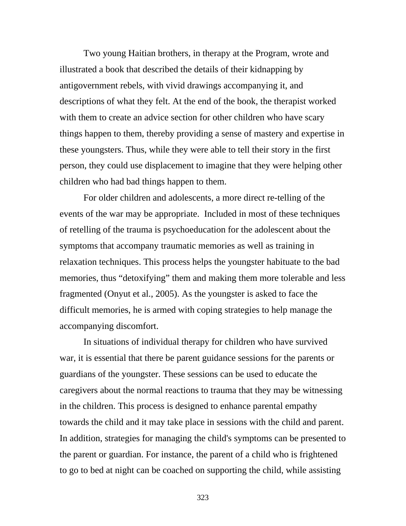Two young Haitian brothers, in therapy at the Program, wrote and illustrated a book that described the details of their kidnapping by antigovernment rebels, with vivid drawings accompanying it, and descriptions of what they felt. At the end of the book, the therapist worked with them to create an advice section for other children who have scary things happen to them, thereby providing a sense of mastery and expertise in these youngsters. Thus, while they were able to tell their story in the first person, they could use displacement to imagine that they were helping other children who had bad things happen to them.

For older children and adolescents, a more direct re-telling of the events of the war may be appropriate. Included in most of these techniques of retelling of the trauma is psychoeducation for the adolescent about the symptoms that accompany traumatic memories as well as training in relaxation techniques. This process helps the youngster habituate to the bad memories, thus "detoxifying" them and making them more tolerable and less fragmented (Onyut et al., 2005). As the youngster is asked to face the difficult memories, he is armed with coping strategies to help manage the accompanying discomfort.

In situations of individual therapy for children who have survived war, it is essential that there be parent guidance sessions for the parents or guardians of the youngster. These sessions can be used to educate the caregivers about the normal reactions to trauma that they may be witnessing in the children. This process is designed to enhance parental empathy towards the child and it may take place in sessions with the child and parent. In addition, strategies for managing the child's symptoms can be presented to the parent or guardian. For instance, the parent of a child who is frightened to go to bed at night can be coached on supporting the child, while assisting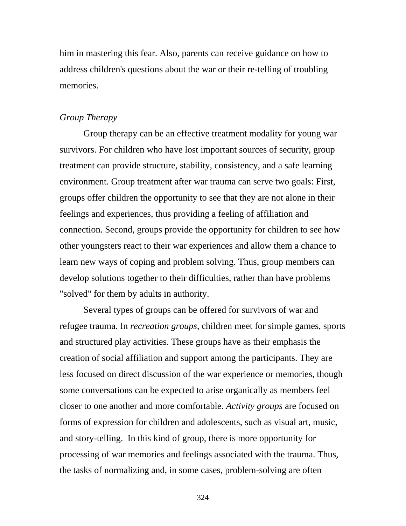him in mastering this fear. Also, parents can receive guidance on how to address children's questions about the war or their re-telling of troubling memories.

### *Group Therapy*

Group therapy can be an effective treatment modality for young war survivors. For children who have lost important sources of security, group treatment can provide structure, stability, consistency, and a safe learning environment. Group treatment after war trauma can serve two goals: First, groups offer children the opportunity to see that they are not alone in their feelings and experiences, thus providing a feeling of affiliation and connection. Second, groups provide the opportunity for children to see how other youngsters react to their war experiences and allow them a chance to learn new ways of coping and problem solving. Thus, group members can develop solutions together to their difficulties, rather than have problems "solved" for them by adults in authority.

Several types of groups can be offered for survivors of war and refugee trauma. In *recreation groups*, children meet for simple games, sports and structured play activities. These groups have as their emphasis the creation of social affiliation and support among the participants. They are less focused on direct discussion of the war experience or memories, though some conversations can be expected to arise organically as members feel closer to one another and more comfortable. *Activity groups* are focused on forms of expression for children and adolescents, such as visual art, music, and story-telling. In this kind of group, there is more opportunity for processing of war memories and feelings associated with the trauma. Thus, the tasks of normalizing and, in some cases, problem-solving are often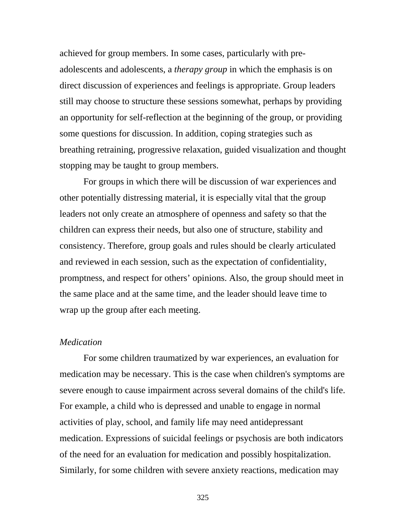achieved for group members. In some cases, particularly with preadolescents and adolescents, a *therapy group* in which the emphasis is on direct discussion of experiences and feelings is appropriate. Group leaders still may choose to structure these sessions somewhat, perhaps by providing an opportunity for self-reflection at the beginning of the group, or providing some questions for discussion. In addition, coping strategies such as breathing retraining, progressive relaxation, guided visualization and thought stopping may be taught to group members.

For groups in which there will be discussion of war experiences and other potentially distressing material, it is especially vital that the group leaders not only create an atmosphere of openness and safety so that the children can express their needs, but also one of structure, stability and consistency. Therefore, group goals and rules should be clearly articulated and reviewed in each session, such as the expectation of confidentiality, promptness, and respect for others' opinions. Also, the group should meet in the same place and at the same time, and the leader should leave time to wrap up the group after each meeting.

#### *Medication*

For some children traumatized by war experiences, an evaluation for medication may be necessary. This is the case when children's symptoms are severe enough to cause impairment across several domains of the child's life. For example, a child who is depressed and unable to engage in normal activities of play, school, and family life may need antidepressant medication. Expressions of suicidal feelings or psychosis are both indicators of the need for an evaluation for medication and possibly hospitalization. Similarly, for some children with severe anxiety reactions, medication may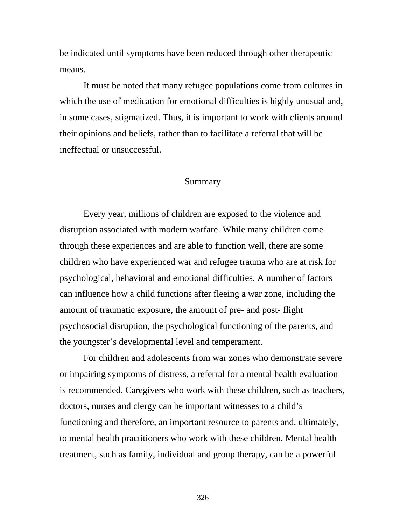be indicated until symptoms have been reduced through other therapeutic means.

It must be noted that many refugee populations come from cultures in which the use of medication for emotional difficulties is highly unusual and, in some cases, stigmatized. Thus, it is important to work with clients around their opinions and beliefs, rather than to facilitate a referral that will be ineffectual or unsuccessful.

#### Summary

Every year, millions of children are exposed to the violence and disruption associated with modern warfare. While many children come through these experiences and are able to function well, there are some children who have experienced war and refugee trauma who are at risk for psychological, behavioral and emotional difficulties. A number of factors can influence how a child functions after fleeing a war zone, including the amount of traumatic exposure, the amount of pre- and post- flight psychosocial disruption, the psychological functioning of the parents, and the youngster's developmental level and temperament.

For children and adolescents from war zones who demonstrate severe or impairing symptoms of distress, a referral for a mental health evaluation is recommended. Caregivers who work with these children, such as teachers, doctors, nurses and clergy can be important witnesses to a child's functioning and therefore, an important resource to parents and, ultimately, to mental health practitioners who work with these children. Mental health treatment, such as family, individual and group therapy, can be a powerful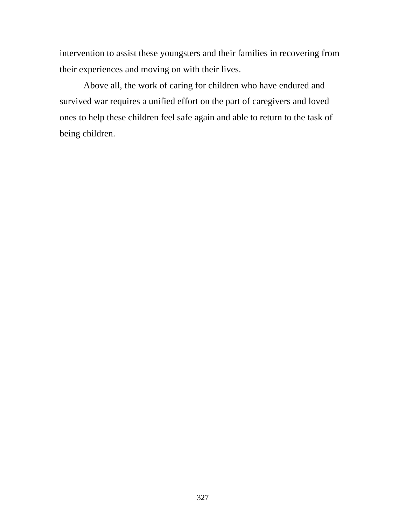intervention to assist these youngsters and their families in recovering from their experiences and moving on with their lives.

Above all, the work of caring for children who have endured and survived war requires a unified effort on the part of caregivers and loved ones to help these children feel safe again and able to return to the task of being children.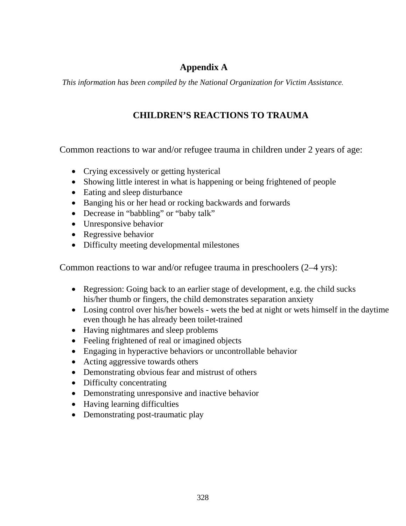## **Appendix A**

*This information has been compiled by the National Organization for Victim Assistance.* 

## **CHILDREN'S REACTIONS TO TRAUMA**

Common reactions to war and/or refugee trauma in children under 2 years of age:

- Crying excessively or getting hysterical
- Showing little interest in what is happening or being frightened of people
- Eating and sleep disturbance
- Banging his or her head or rocking backwards and forwards
- Decrease in "babbling" or "baby talk"
- Unresponsive behavior
- Regressive behavior
- Difficulty meeting developmental milestones

Common reactions to war and/or refugee trauma in preschoolers (2–4 yrs):

- Regression: Going back to an earlier stage of development, e.g. the child sucks his/her thumb or fingers, the child demonstrates separation anxiety
- Losing control over his/her bowels wets the bed at night or wets himself in the daytime even though he has already been toilet-trained
- Having nightmares and sleep problems
- Feeling frightened of real or imagined objects
- Engaging in hyperactive behaviors or uncontrollable behavior
- Acting aggressive towards others
- Demonstrating obvious fear and mistrust of others
- Difficulty concentrating
- Demonstrating unresponsive and inactive behavior
- Having learning difficulties
- Demonstrating post-traumatic play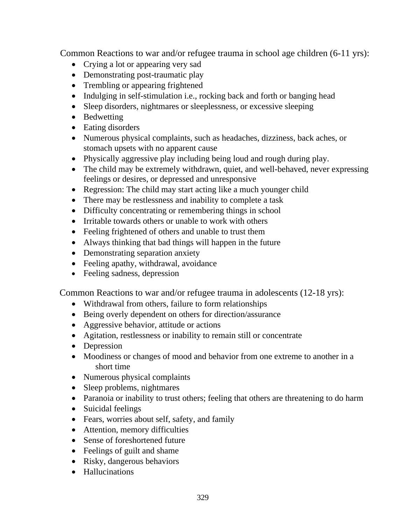Common Reactions to war and/or refugee trauma in school age children (6-11 yrs):

- Crying a lot or appearing very sad
- Demonstrating post-traumatic play
- Trembling or appearing frightened
- Indulging in self-stimulation i.e., rocking back and forth or banging head
- Sleep disorders, nightmares or sleeplessness, or excessive sleeping
- Bedwetting
- Eating disorders
- Numerous physical complaints, such as headaches, dizziness, back aches, or stomach upsets with no apparent cause
- Physically aggressive play including being loud and rough during play.
- The child may be extremely withdrawn, quiet, and well-behaved, never expressing feelings or desires, or depressed and unresponsive
- Regression: The child may start acting like a much younger child
- There may be restlessness and inability to complete a task
- Difficulty concentrating or remembering things in school
- Irritable towards others or unable to work with others
- Feeling frightened of others and unable to trust them
- Always thinking that bad things will happen in the future
- Demonstrating separation anxiety
- Feeling apathy, withdrawal, avoidance
- Feeling sadness, depression

Common Reactions to war and/or refugee trauma in adolescents (12-18 yrs):

- Withdrawal from others, failure to form relationships
- Being overly dependent on others for direction/assurance
- Aggressive behavior, attitude or actions
- Agitation, restlessness or inability to remain still or concentrate
- Depression
- Moodiness or changes of mood and behavior from one extreme to another in a short time
- Numerous physical complaints
- Sleep problems, nightmares
- Paranoia or inability to trust others; feeling that others are threatening to do harm
- Suicidal feelings
- Fears, worries about self, safety, and family
- Attention, memory difficulties
- Sense of foreshortened future
- Feelings of guilt and shame
- Risky, dangerous behaviors
- Hallucinations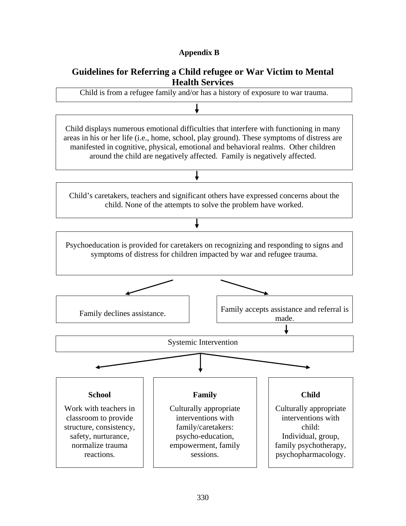### **Appendix B**

### **Guidelines for Referring a Child refugee or War Victim to Mental Health Services**

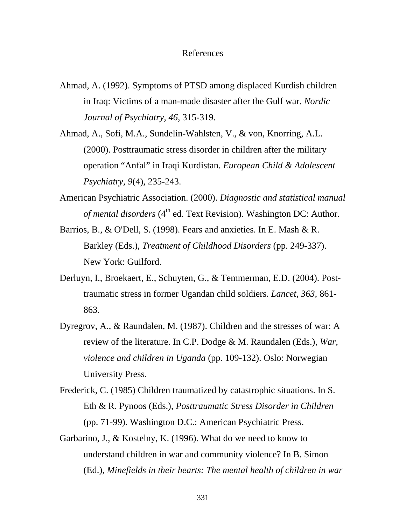#### References

- Ahmad, A. (1992). Symptoms of PTSD among displaced Kurdish children in Iraq: Victims of a man-made disaster after the Gulf war. *Nordic Journal of Psychiatry, 46*, 315-319.
- Ahmad, A., Sofi, M.A., Sundelin-Wahlsten, V., & von, Knorring, A.L. (2000). Posttraumatic stress disorder in children after the military operation "Anfal" in Iraqi Kurdistan. *European Child & Adolescent Psychiatry, 9*(4), 235-243.
- American Psychiatric Association. (2000). *Diagnostic and statistical manual of mental disorders* (4<sup>th</sup> ed. Text Revision). Washington DC: Author.
- Barrios, B., & O'Dell, S. (1998). Fears and anxieties. In E. Mash & R. Barkley (Eds.), *Treatment of Childhood Disorders* (pp. 249-337). New York: Guilford.
- Derluyn, I., Broekaert, E., Schuyten, G., & Temmerman, E.D. (2004). Posttraumatic stress in former Ugandan child soldiers. *Lancet, 363,* 861- 863.
- Dyregrov, A., & Raundalen, M. (1987). Children and the stresses of war: A review of the literature. In C.P. Dodge & M. Raundalen (Eds.), *War, violence and children in Uganda* (pp. 109-132). Oslo: Norwegian University Press.
- Frederick, C. (1985) Children traumatized by catastrophic situations. In S. Eth & R. Pynoos (Eds.), *Posttraumatic Stress Disorder in Children*  (pp. 71-99). Washington D.C.: American Psychiatric Press.
- Garbarino, J., & Kostelny, K. (1996). What do we need to know to understand children in war and community violence? In B. Simon (Ed.), *Minefields in their hearts: The mental health of children in war*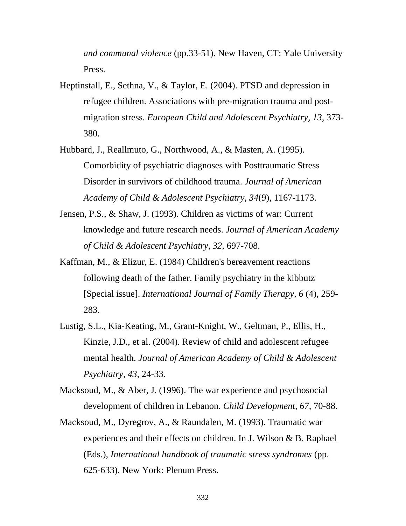*and communal violence* (pp.33-51). New Haven, CT: Yale University Press.

- Heptinstall, E., Sethna, V., & Taylor, E. (2004). PTSD and depression in refugee children. Associations with pre-migration trauma and postmigration stress. *European Child and Adolescent Psychiatry, 13,* 373- 380.
- Hubbard, J., Reallmuto, G., Northwood, A., & Masten, A. (1995). Comorbidity of psychiatric diagnoses with Posttraumatic Stress Disorder in survivors of childhood trauma. *Journal of American Academy of Child & Adolescent Psychiatry, 34*(9), 1167-1173.
- Jensen, P.S., & Shaw, J. (1993). Children as victims of war: Current knowledge and future research needs. *Journal of American Academy of Child & Adolescent Psychiatry, 32,* 697-708.
- Kaffman, M., & Elizur, E. (1984) Children's bereavement reactions following death of the father. Family psychiatry in the kibbutz [Special issue]. *International Journal of Family Therapy, 6* (4), 259- 283.
- Lustig, S.L., Kia-Keating, M., Grant-Knight, W., Geltman, P., Ellis, H., Kinzie, J.D., et al. (2004). Review of child and adolescent refugee mental health. *Journal of American Academy of Child & Adolescent Psychiatry, 43,* 24-33.
- Macksoud, M., & Aber, J. (1996). The war experience and psychosocial development of children in Lebanon. *Child Development, 67,* 70-88.
- Macksoud, M., Dyregrov, A., & Raundalen, M. (1993). Traumatic war experiences and their effects on children. In J. Wilson & B. Raphael (Eds.), *International handbook of traumatic stress syndromes* (pp. 625-633). New York: Plenum Press.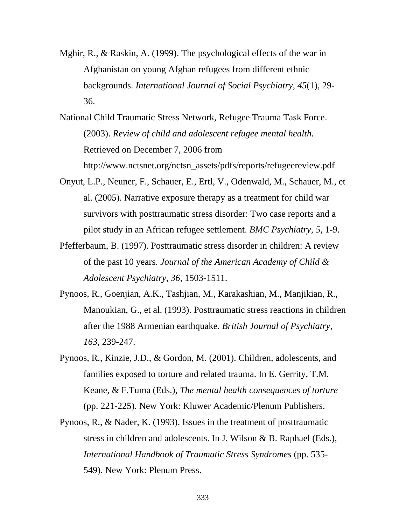Mghir, R., & Raskin, A. (1999). The psychological effects of the war in Afghanistan on young Afghan refugees from different ethnic backgrounds. *International Journal of Social Psychiatry, 45*(1), 29- 36.

National Child Traumatic Stress Network, Refugee Trauma Task Force. (2003). *Review of child and adolescent refugee mental health.*  Retrieved on December 7, 2006 from http://www.nctsnet.org/nctsn\_assets/pdfs/reports/refugeereview.pdf

- Onyut, L.P., Neuner, F., Schauer, E., Ertl, V., Odenwald, M., Schauer, M., et al. (2005). Narrative exposure therapy as a treatment for child war survivors with posttraumatic stress disorder: Two case reports and a pilot study in an African refugee settlement. *BMC Psychiatry, 5,* 1-9.
- Pfefferbaum, B. (1997). Posttraumatic stress disorder in children: A review of the past 10 years. *Journal of the American Academy of Child & Adolescent Psychiatry, 36,* 1503-1511.
- Pynoos, R., Goenjian, A.K., Tashjian, M., Karakashian, M., Manjikian, R., Manoukian, G., et al. (1993). Posttraumatic stress reactions in children after the 1988 Armenian earthquake. *British Journal of Psychiatry, 163,* 239-247.
- Pynoos, R., Kinzie, J.D., & Gordon, M. (2001). Children, adolescents, and families exposed to torture and related trauma. In E. Gerrity, T.M. Keane, & F.Tuma (Eds.), *The mental health consequences of torture* (pp. 221-225). New York: Kluwer Academic/Plenum Publishers.
- Pynoos, R., & Nader, K. (1993). Issues in the treatment of posttraumatic stress in children and adolescents. In J. Wilson & B. Raphael (Eds.), *International Handbook of Traumatic Stress Syndromes* (pp. 535- 549). New York: Plenum Press.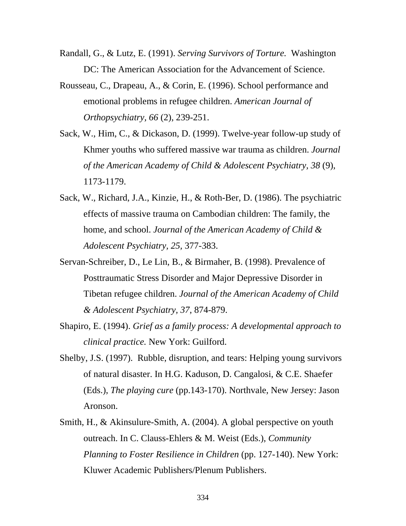- Randall, G., & Lutz, E. (1991). *Serving Survivors of Torture.* Washington DC: The American Association for the Advancement of Science.
- Rousseau, C., Drapeau, A., & Corin, E. (1996). School performance and emotional problems in refugee children. *American Journal of Orthopsychiatry, 66* (2), 239-251.
- Sack, W., Him, C., & Dickason, D. (1999). Twelve-year follow-up study of Khmer youths who suffered massive war trauma as children. *Journal of the American Academy of Child & Adolescent Psychiatry, 38* (9), 1173-1179.
- Sack, W., Richard, J.A., Kinzie, H., & Roth-Ber, D. (1986). The psychiatric effects of massive trauma on Cambodian children: The family, the home, and school. *Journal of the American Academy of Child & Adolescent Psychiatry, 25,* 377-383.
- Servan-Schreiber, D., Le Lin, B., & Birmaher, B. (1998). Prevalence of Posttraumatic Stress Disorder and Major Depressive Disorder in Tibetan refugee children. *Journal of the American Academy of Child & Adolescent Psychiatry, 37*, 874-879.
- Shapiro, E. (1994). *Grief as a family process: A developmental approach to clinical practice.* New York: Guilford.
- Shelby, J.S. (1997). Rubble, disruption, and tears: Helping young survivors of natural disaster. In H.G. Kaduson, D. Cangalosi, & C.E. Shaefer (Eds.), *The playing cure* (pp.143-170). Northvale, New Jersey: Jason Aronson.
- Smith, H., & Akinsulure-Smith, A. (2004). A global perspective on youth outreach. In C. Clauss-Ehlers & M. Weist (Eds.), *Community Planning to Foster Resilience in Children* (pp. 127-140). New York: Kluwer Academic Publishers/Plenum Publishers.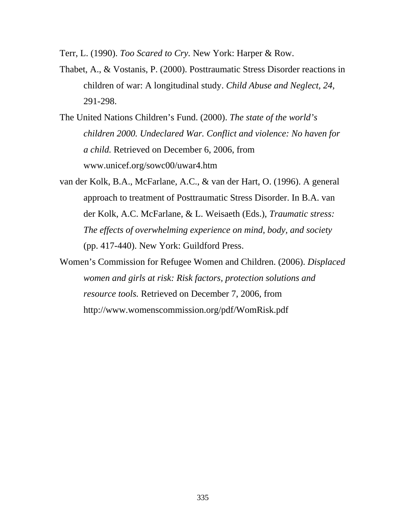Terr, L. (1990). *Too Scared to Cry.* New York: Harper & Row.

- Thabet, A., & Vostanis, P. (2000). Posttraumatic Stress Disorder reactions in children of war: A longitudinal study. *Child Abuse and Neglect, 24*, 291-298.
- The United Nations Children's Fund. (2000). *The state of the world's children 2000. Undeclared War. Conflict and violence: No haven for a child.* Retrieved on December 6, 2006, from www.unicef.org/sowc00/uwar4.htm
- van der Kolk, B.A., McFarlane, A.C., & van der Hart, O. (1996). A general approach to treatment of Posttraumatic Stress Disorder. In B.A. van der Kolk, A.C. McFarlane, & L. Weisaeth (Eds.), *Traumatic stress: The effects of overwhelming experience on mind, body, and society* (pp. 417-440). New York: Guildford Press.
- Women's Commission for Refugee Women and Children. (2006). *Displaced women and girls at risk: Risk factors, protection solutions and resource tools.* Retrieved on December 7, 2006, from http://www.womenscommission.org/pdf/WomRisk.pdf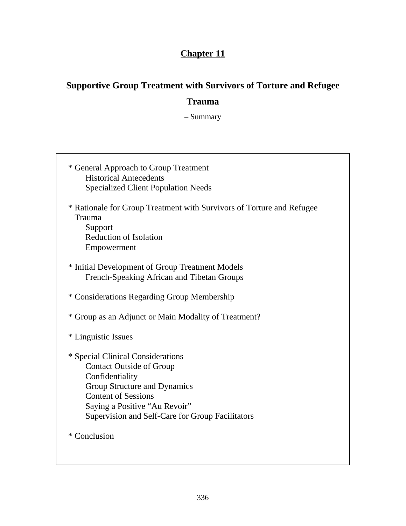# **Chapter 11**

# **Supportive Group Treatment with Survivors of Torture and Refugee**

## **Trauma**

– Summary

| * General Approach to Group Treatment<br><b>Historical Antecedents</b><br><b>Specialized Client Population Needs</b>                                                                                                                       |
|--------------------------------------------------------------------------------------------------------------------------------------------------------------------------------------------------------------------------------------------|
| * Rationale for Group Treatment with Survivors of Torture and Refugee<br>Trauma<br>Support<br><b>Reduction of Isolation</b><br>Empowerment                                                                                                 |
| * Initial Development of Group Treatment Models<br>French-Speaking African and Tibetan Groups                                                                                                                                              |
| * Considerations Regarding Group Membership                                                                                                                                                                                                |
| * Group as an Adjunct or Main Modality of Treatment?                                                                                                                                                                                       |
| * Linguistic Issues                                                                                                                                                                                                                        |
| * Special Clinical Considerations<br><b>Contact Outside of Group</b><br>Confidentiality<br>Group Structure and Dynamics<br><b>Content of Sessions</b><br>Saying a Positive "Au Revoir"<br>Supervision and Self-Care for Group Facilitators |
| * Conclusion                                                                                                                                                                                                                               |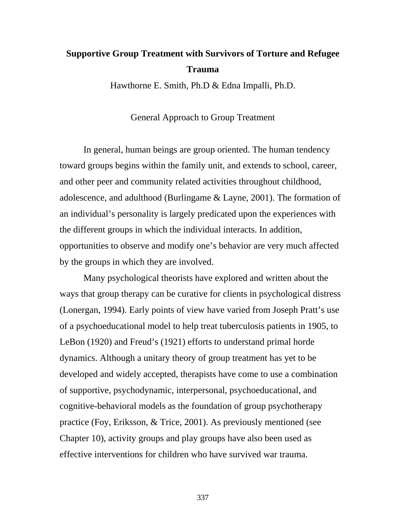# **Supportive Group Treatment with Survivors of Torture and Refugee Trauma**

Hawthorne E. Smith, Ph.D & Edna Impalli, Ph.D.

General Approach to Group Treatment

In general, human beings are group oriented. The human tendency toward groups begins within the family unit, and extends to school, career, and other peer and community related activities throughout childhood, adolescence, and adulthood (Burlingame & Layne, 2001). The formation of an individual's personality is largely predicated upon the experiences with the different groups in which the individual interacts. In addition, opportunities to observe and modify one's behavior are very much affected by the groups in which they are involved.

Many psychological theorists have explored and written about the ways that group therapy can be curative for clients in psychological distress (Lonergan, 1994). Early points of view have varied from Joseph Pratt's use of a psychoeducational model to help treat tuberculosis patients in 1905, to LeBon (1920) and Freud's (1921) efforts to understand primal horde dynamics. Although a unitary theory of group treatment has yet to be developed and widely accepted, therapists have come to use a combination of supportive, psychodynamic, interpersonal, psychoeducational, and cognitive-behavioral models as the foundation of group psychotherapy practice (Foy, Eriksson, & Trice, 2001). As previously mentioned (see Chapter 10), activity groups and play groups have also been used as effective interventions for children who have survived war trauma.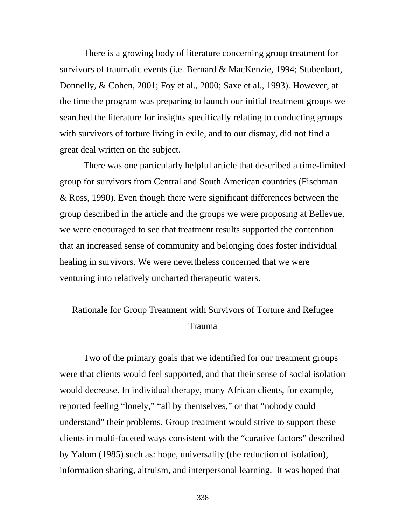There is a growing body of literature concerning group treatment for survivors of traumatic events (i.e. Bernard & MacKenzie, 1994; Stubenbort, Donnelly, & Cohen, 2001; Foy et al., 2000; Saxe et al., 1993). However, at the time the program was preparing to launch our initial treatment groups we searched the literature for insights specifically relating to conducting groups with survivors of torture living in exile, and to our dismay, did not find a great deal written on the subject.

There was one particularly helpful article that described a time-limited group for survivors from Central and South American countries (Fischman & Ross, 1990). Even though there were significant differences between the group described in the article and the groups we were proposing at Bellevue, we were encouraged to see that treatment results supported the contention that an increased sense of community and belonging does foster individual healing in survivors. We were nevertheless concerned that we were venturing into relatively uncharted therapeutic waters.

# Rationale for Group Treatment with Survivors of Torture and Refugee Trauma

Two of the primary goals that we identified for our treatment groups were that clients would feel supported, and that their sense of social isolation would decrease. In individual therapy, many African clients, for example, reported feeling "lonely," "all by themselves," or that "nobody could understand" their problems. Group treatment would strive to support these clients in multi-faceted ways consistent with the "curative factors" described by Yalom (1985) such as: hope, universality (the reduction of isolation), information sharing, altruism, and interpersonal learning. It was hoped that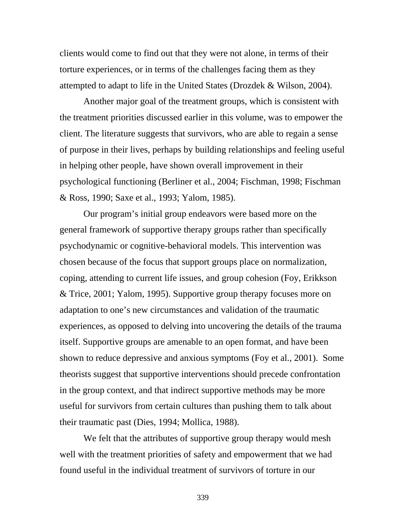clients would come to find out that they were not alone, in terms of their torture experiences, or in terms of the challenges facing them as they attempted to adapt to life in the United States (Drozdek & Wilson, 2004).

Another major goal of the treatment groups, which is consistent with the treatment priorities discussed earlier in this volume, was to empower the client. The literature suggests that survivors, who are able to regain a sense of purpose in their lives, perhaps by building relationships and feeling useful in helping other people, have shown overall improvement in their psychological functioning (Berliner et al., 2004; Fischman, 1998; Fischman & Ross, 1990; Saxe et al., 1993; Yalom, 1985).

Our program's initial group endeavors were based more on the general framework of supportive therapy groups rather than specifically psychodynamic or cognitive-behavioral models. This intervention was chosen because of the focus that support groups place on normalization, coping, attending to current life issues, and group cohesion (Foy, Erikkson & Trice, 2001; Yalom, 1995). Supportive group therapy focuses more on adaptation to one's new circumstances and validation of the traumatic experiences, as opposed to delving into uncovering the details of the trauma itself. Supportive groups are amenable to an open format, and have been shown to reduce depressive and anxious symptoms (Foy et al., 2001). Some theorists suggest that supportive interventions should precede confrontation in the group context, and that indirect supportive methods may be more useful for survivors from certain cultures than pushing them to talk about their traumatic past (Dies, 1994; Mollica, 1988).

We felt that the attributes of supportive group therapy would mesh well with the treatment priorities of safety and empowerment that we had found useful in the individual treatment of survivors of torture in our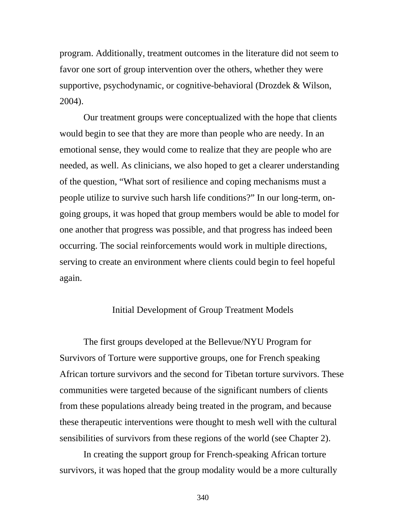program. Additionally, treatment outcomes in the literature did not seem to favor one sort of group intervention over the others, whether they were supportive, psychodynamic, or cognitive-behavioral (Drozdek & Wilson, 2004).

Our treatment groups were conceptualized with the hope that clients would begin to see that they are more than people who are needy. In an emotional sense, they would come to realize that they are people who are needed, as well. As clinicians, we also hoped to get a clearer understanding of the question, "What sort of resilience and coping mechanisms must a people utilize to survive such harsh life conditions?" In our long-term, ongoing groups, it was hoped that group members would be able to model for one another that progress was possible, and that progress has indeed been occurring. The social reinforcements would work in multiple directions, serving to create an environment where clients could begin to feel hopeful again.

#### Initial Development of Group Treatment Models

 The first groups developed at the Bellevue/NYU Program for Survivors of Torture were supportive groups, one for French speaking African torture survivors and the second for Tibetan torture survivors. These communities were targeted because of the significant numbers of clients from these populations already being treated in the program, and because these therapeutic interventions were thought to mesh well with the cultural sensibilities of survivors from these regions of the world (see Chapter 2).

In creating the support group for French-speaking African torture survivors, it was hoped that the group modality would be a more culturally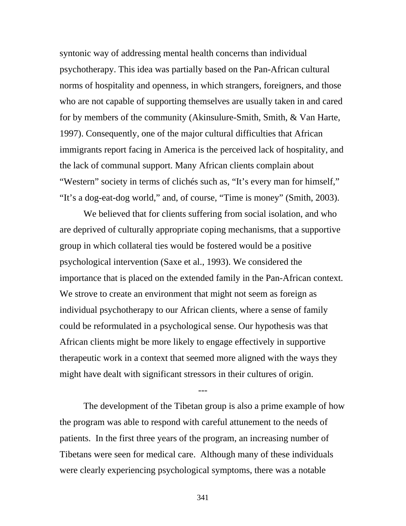syntonic way of addressing mental health concerns than individual psychotherapy. This idea was partially based on the Pan-African cultural norms of hospitality and openness, in which strangers, foreigners, and those who are not capable of supporting themselves are usually taken in and cared for by members of the community (Akinsulure-Smith, Smith, & Van Harte, 1997). Consequently, one of the major cultural difficulties that African immigrants report facing in America is the perceived lack of hospitality, and the lack of communal support. Many African clients complain about "Western" society in terms of clichés such as, "It's every man for himself," "It's a dog-eat-dog world," and, of course, "Time is money" (Smith, 2003).

We believed that for clients suffering from social isolation, and who are deprived of culturally appropriate coping mechanisms, that a supportive group in which collateral ties would be fostered would be a positive psychological intervention (Saxe et al., 1993). We considered the importance that is placed on the extended family in the Pan-African context. We strove to create an environment that might not seem as foreign as individual psychotherapy to our African clients, where a sense of family could be reformulated in a psychological sense. Our hypothesis was that African clients might be more likely to engage effectively in supportive therapeutic work in a context that seemed more aligned with the ways they might have dealt with significant stressors in their cultures of origin.

The development of the Tibetan group is also a prime example of how the program was able to respond with careful attunement to the needs of patients. In the first three years of the program, an increasing number of Tibetans were seen for medical care. Although many of these individuals were clearly experiencing psychological symptoms, there was a notable

---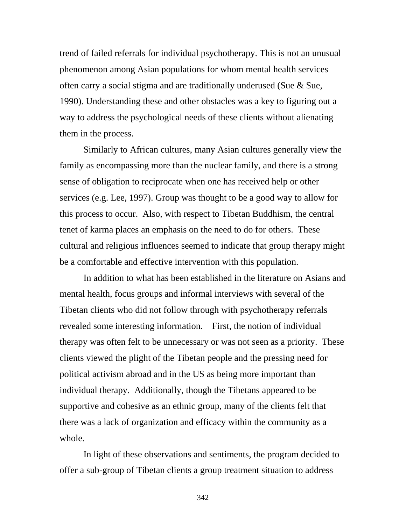trend of failed referrals for individual psychotherapy. This is not an unusual phenomenon among Asian populations for whom mental health services often carry a social stigma and are traditionally underused (Sue & Sue, 1990). Understanding these and other obstacles was a key to figuring out a way to address the psychological needs of these clients without alienating them in the process.

Similarly to African cultures, many Asian cultures generally view the family as encompassing more than the nuclear family, and there is a strong sense of obligation to reciprocate when one has received help or other services (e.g. Lee, 1997). Group was thought to be a good way to allow for this process to occur. Also, with respect to Tibetan Buddhism, the central tenet of karma places an emphasis on the need to do for others. These cultural and religious influences seemed to indicate that group therapy might be a comfortable and effective intervention with this population.

In addition to what has been established in the literature on Asians and mental health, focus groups and informal interviews with several of the Tibetan clients who did not follow through with psychotherapy referrals revealed some interesting information. First, the notion of individual therapy was often felt to be unnecessary or was not seen as a priority. These clients viewed the plight of the Tibetan people and the pressing need for political activism abroad and in the US as being more important than individual therapy. Additionally, though the Tibetans appeared to be supportive and cohesive as an ethnic group, many of the clients felt that there was a lack of organization and efficacy within the community as a whole.

In light of these observations and sentiments, the program decided to offer a sub-group of Tibetan clients a group treatment situation to address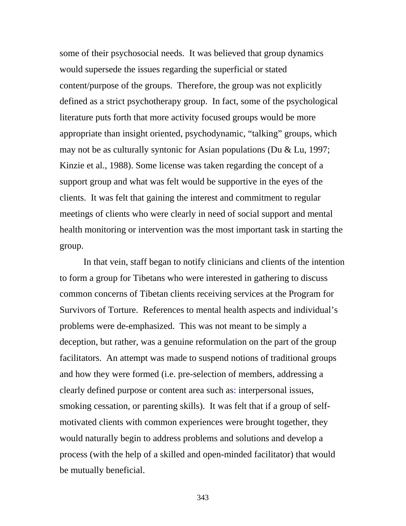some of their psychosocial needs. It was believed that group dynamics would supersede the issues regarding the superficial or stated content/purpose of the groups. Therefore, the group was not explicitly defined as a strict psychotherapy group. In fact, some of the psychological literature puts forth that more activity focused groups would be more appropriate than insight oriented, psychodynamic, "talking" groups, which may not be as culturally syntonic for Asian populations (Du & Lu, 1997; Kinzie et al., 1988). Some license was taken regarding the concept of a support group and what was felt would be supportive in the eyes of the clients. It was felt that gaining the interest and commitment to regular meetings of clients who were clearly in need of social support and mental health monitoring or intervention was the most important task in starting the group.

In that vein, staff began to notify clinicians and clients of the intention to form a group for Tibetans who were interested in gathering to discuss common concerns of Tibetan clients receiving services at the Program for Survivors of Torture. References to mental health aspects and individual's problems were de-emphasized. This was not meant to be simply a deception, but rather, was a genuine reformulation on the part of the group facilitators. An attempt was made to suspend notions of traditional groups and how they were formed (i.e. pre-selection of members, addressing a clearly defined purpose or content area such as: interpersonal issues, smoking cessation, or parenting skills). It was felt that if a group of selfmotivated clients with common experiences were brought together, they would naturally begin to address problems and solutions and develop a process (with the help of a skilled and open-minded facilitator) that would be mutually beneficial.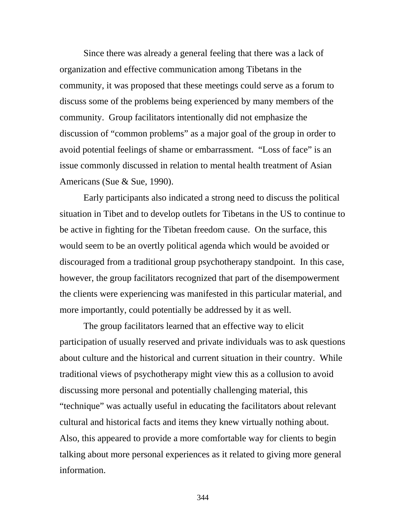Since there was already a general feeling that there was a lack of organization and effective communication among Tibetans in the community, it was proposed that these meetings could serve as a forum to discuss some of the problems being experienced by many members of the community. Group facilitators intentionally did not emphasize the discussion of "common problems" as a major goal of the group in order to avoid potential feelings of shame or embarrassment. "Loss of face" is an issue commonly discussed in relation to mental health treatment of Asian Americans (Sue & Sue, 1990).

Early participants also indicated a strong need to discuss the political situation in Tibet and to develop outlets for Tibetans in the US to continue to be active in fighting for the Tibetan freedom cause. On the surface, this would seem to be an overtly political agenda which would be avoided or discouraged from a traditional group psychotherapy standpoint. In this case, however, the group facilitators recognized that part of the disempowerment the clients were experiencing was manifested in this particular material, and more importantly, could potentially be addressed by it as well.

 The group facilitators learned that an effective way to elicit participation of usually reserved and private individuals was to ask questions about culture and the historical and current situation in their country. While traditional views of psychotherapy might view this as a collusion to avoid discussing more personal and potentially challenging material, this "technique" was actually useful in educating the facilitators about relevant cultural and historical facts and items they knew virtually nothing about. Also, this appeared to provide a more comfortable way for clients to begin talking about more personal experiences as it related to giving more general information.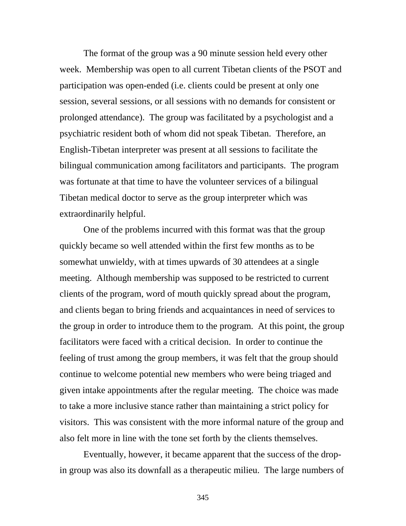The format of the group was a 90 minute session held every other week. Membership was open to all current Tibetan clients of the PSOT and participation was open-ended (i.e. clients could be present at only one session, several sessions, or all sessions with no demands for consistent or prolonged attendance). The group was facilitated by a psychologist and a psychiatric resident both of whom did not speak Tibetan. Therefore, an English-Tibetan interpreter was present at all sessions to facilitate the bilingual communication among facilitators and participants. The program was fortunate at that time to have the volunteer services of a bilingual Tibetan medical doctor to serve as the group interpreter which was extraordinarily helpful.

One of the problems incurred with this format was that the group quickly became so well attended within the first few months as to be somewhat unwieldy, with at times upwards of 30 attendees at a single meeting. Although membership was supposed to be restricted to current clients of the program, word of mouth quickly spread about the program, and clients began to bring friends and acquaintances in need of services to the group in order to introduce them to the program. At this point, the group facilitators were faced with a critical decision. In order to continue the feeling of trust among the group members, it was felt that the group should continue to welcome potential new members who were being triaged and given intake appointments after the regular meeting. The choice was made to take a more inclusive stance rather than maintaining a strict policy for visitors. This was consistent with the more informal nature of the group and also felt more in line with the tone set forth by the clients themselves.

Eventually, however, it became apparent that the success of the dropin group was also its downfall as a therapeutic milieu. The large numbers of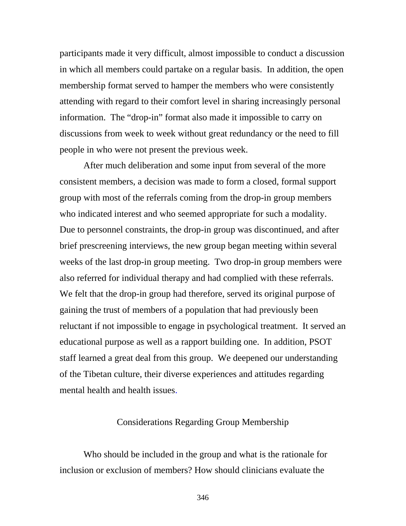participants made it very difficult, almost impossible to conduct a discussion in which all members could partake on a regular basis. In addition, the open membership format served to hamper the members who were consistently attending with regard to their comfort level in sharing increasingly personal information. The "drop-in" format also made it impossible to carry on discussions from week to week without great redundancy or the need to fill people in who were not present the previous week.

After much deliberation and some input from several of the more consistent members, a decision was made to form a closed, formal support group with most of the referrals coming from the drop-in group members who indicated interest and who seemed appropriate for such a modality. Due to personnel constraints, the drop-in group was discontinued, and after brief prescreening interviews, the new group began meeting within several weeks of the last drop-in group meeting. Two drop-in group members were also referred for individual therapy and had complied with these referrals. We felt that the drop-in group had therefore, served its original purpose of gaining the trust of members of a population that had previously been reluctant if not impossible to engage in psychological treatment. It served an educational purpose as well as a rapport building one. In addition, PSOT staff learned a great deal from this group. We deepened our understanding of the Tibetan culture, their diverse experiences and attitudes regarding mental health and health issues.

#### Considerations Regarding Group Membership

Who should be included in the group and what is the rationale for inclusion or exclusion of members? How should clinicians evaluate the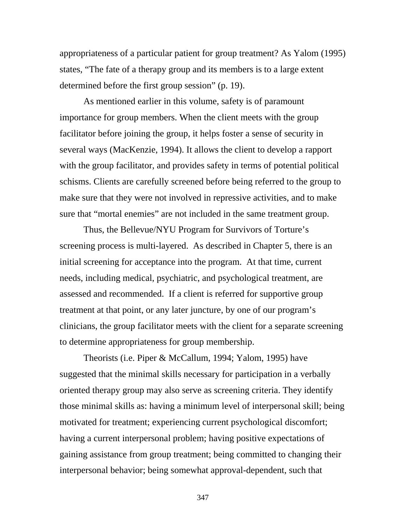appropriateness of a particular patient for group treatment? As Yalom (1995) states, "The fate of a therapy group and its members is to a large extent determined before the first group session" (p. 19).

As mentioned earlier in this volume, safety is of paramount importance for group members. When the client meets with the group facilitator before joining the group, it helps foster a sense of security in several ways (MacKenzie, 1994). It allows the client to develop a rapport with the group facilitator, and provides safety in terms of potential political schisms. Clients are carefully screened before being referred to the group to make sure that they were not involved in repressive activities, and to make sure that "mortal enemies" are not included in the same treatment group.

Thus, the Bellevue/NYU Program for Survivors of Torture's screening process is multi-layered. As described in Chapter 5, there is an initial screening for acceptance into the program. At that time, current needs, including medical, psychiatric, and psychological treatment, are assessed and recommended. If a client is referred for supportive group treatment at that point, or any later juncture, by one of our program's clinicians, the group facilitator meets with the client for a separate screening to determine appropriateness for group membership.

Theorists (i.e. Piper & McCallum, 1994; Yalom, 1995) have suggested that the minimal skills necessary for participation in a verbally oriented therapy group may also serve as screening criteria. They identify those minimal skills as: having a minimum level of interpersonal skill; being motivated for treatment; experiencing current psychological discomfort; having a current interpersonal problem; having positive expectations of gaining assistance from group treatment; being committed to changing their interpersonal behavior; being somewhat approval-dependent, such that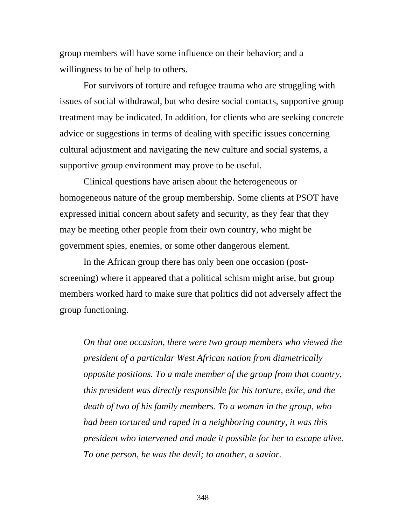group members will have some influence on their behavior; and a willingness to be of help to others.

For survivors of torture and refugee trauma who are struggling with issues of social withdrawal, but who desire social contacts, supportive group treatment may be indicated. In addition, for clients who are seeking concrete advice or suggestions in terms of dealing with specific issues concerning cultural adjustment and navigating the new culture and social systems, a supportive group environment may prove to be useful.

Clinical questions have arisen about the heterogeneous or homogeneous nature of the group membership. Some clients at PSOT have expressed initial concern about safety and security, as they fear that they may be meeting other people from their own country, who might be government spies, enemies, or some other dangerous element.

In the African group there has only been one occasion (postscreening) where it appeared that a political schism might arise, but group members worked hard to make sure that politics did not adversely affect the group functioning.

*On that one occasion, there were two group members who viewed the president of a particular West African nation from diametrically opposite positions. To a male member of the group from that country, this president was directly responsible for his torture, exile, and the death of two of his family members. To a woman in the group, who had been tortured and raped in a neighboring country, it was this president who intervened and made it possible for her to escape alive. To one person, he was the devil; to another, a savior.*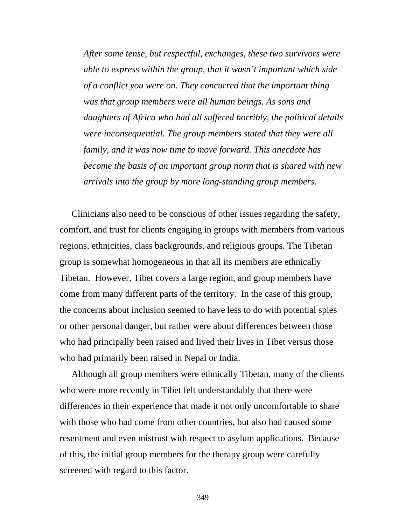*After some tense, but respectful, exchanges, these two survivors were able to express within the group, that it wasn't important which side of a conflict you were on. They concurred that the important thing was that group members were all human beings. As sons and daughters of Africa who had all suffered horribly, the political details were inconsequential. The group members stated that they were all family, and it was now time to move forward. This anecdote has become the basis of an important group norm that is shared with new arrivals into the group by more long-standing group members.* 

Clinicians also need to be conscious of other issues regarding the safety, comfort, and trust for clients engaging in groups with members from various regions, ethnicities, class backgrounds, and religious groups. The Tibetan group is somewhat homogeneous in that all its members are ethnically Tibetan. However, Tibet covers a large region, and group members have come from many different parts of the territory. In the case of this group, the concerns about inclusion seemed to have less to do with potential spies or other personal danger, but rather were about differences between those who had principally been raised and lived their lives in Tibet versus those who had primarily been raised in Nepal or India.

Although all group members were ethnically Tibetan, many of the clients who were more recently in Tibet felt understandably that there were differences in their experience that made it not only uncomfortable to share with those who had come from other countries, but also had caused some resentment and even mistrust with respect to asylum applications. Because of this, the initial group members for the therapy group were carefully screened with regard to this factor.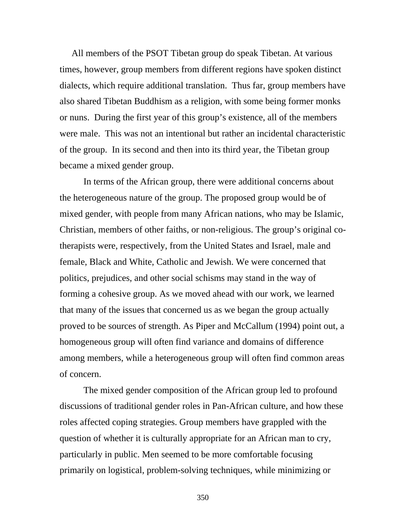All members of the PSOT Tibetan group do speak Tibetan. At various times, however, group members from different regions have spoken distinct dialects, which require additional translation. Thus far, group members have also shared Tibetan Buddhism as a religion, with some being former monks or nuns. During the first year of this group's existence, all of the members were male. This was not an intentional but rather an incidental characteristic of the group. In its second and then into its third year, the Tibetan group became a mixed gender group.

In terms of the African group, there were additional concerns about the heterogeneous nature of the group. The proposed group would be of mixed gender, with people from many African nations, who may be Islamic, Christian, members of other faiths, or non-religious. The group's original cotherapists were, respectively, from the United States and Israel, male and female, Black and White, Catholic and Jewish. We were concerned that politics, prejudices, and other social schisms may stand in the way of forming a cohesive group. As we moved ahead with our work, we learned that many of the issues that concerned us as we began the group actually proved to be sources of strength. As Piper and McCallum (1994) point out, a homogeneous group will often find variance and domains of difference among members, while a heterogeneous group will often find common areas of concern.

The mixed gender composition of the African group led to profound discussions of traditional gender roles in Pan-African culture, and how these roles affected coping strategies. Group members have grappled with the question of whether it is culturally appropriate for an African man to cry, particularly in public. Men seemed to be more comfortable focusing primarily on logistical, problem-solving techniques, while minimizing or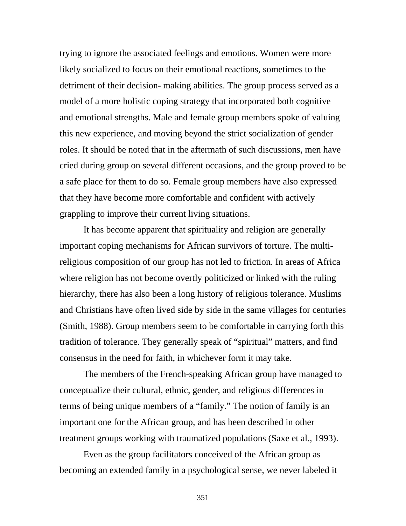trying to ignore the associated feelings and emotions. Women were more likely socialized to focus on their emotional reactions, sometimes to the detriment of their decision- making abilities. The group process served as a model of a more holistic coping strategy that incorporated both cognitive and emotional strengths. Male and female group members spoke of valuing this new experience, and moving beyond the strict socialization of gender roles. It should be noted that in the aftermath of such discussions, men have cried during group on several different occasions, and the group proved to be a safe place for them to do so. Female group members have also expressed that they have become more comfortable and confident with actively grappling to improve their current living situations.

It has become apparent that spirituality and religion are generally important coping mechanisms for African survivors of torture. The multireligious composition of our group has not led to friction. In areas of Africa where religion has not become overtly politicized or linked with the ruling hierarchy, there has also been a long history of religious tolerance. Muslims and Christians have often lived side by side in the same villages for centuries (Smith, 1988). Group members seem to be comfortable in carrying forth this tradition of tolerance. They generally speak of "spiritual" matters, and find consensus in the need for faith, in whichever form it may take.

The members of the French-speaking African group have managed to conceptualize their cultural, ethnic, gender, and religious differences in terms of being unique members of a "family." The notion of family is an important one for the African group, and has been described in other treatment groups working with traumatized populations (Saxe et al., 1993).

Even as the group facilitators conceived of the African group as becoming an extended family in a psychological sense, we never labeled it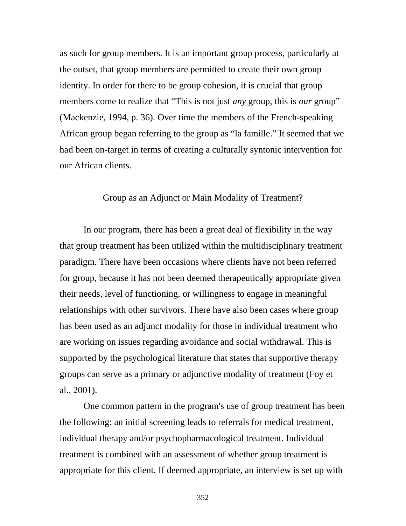as such for group members. It is an important group process, particularly at the outset, that group members are permitted to create their own group identity. In order for there to be group cohesion, it is crucial that group members come to realize that "This is not just *any* group, this is *our* group" (Mackenzie, 1994, p. 36). Over time the members of the French-speaking African group began referring to the group as "la famille." It seemed that we had been on-target in terms of creating a culturally syntonic intervention for our African clients.

### Group as an Adjunct or Main Modality of Treatment?

In our program, there has been a great deal of flexibility in the way that group treatment has been utilized within the multidisciplinary treatment paradigm. There have been occasions where clients have not been referred for group, because it has not been deemed therapeutically appropriate given their needs, level of functioning, or willingness to engage in meaningful relationships with other survivors. There have also been cases where group has been used as an adjunct modality for those in individual treatment who are working on issues regarding avoidance and social withdrawal. This is supported by the psychological literature that states that supportive therapy groups can serve as a primary or adjunctive modality of treatment (Foy et al., 2001).

One common pattern in the program's use of group treatment has been the following: an initial screening leads to referrals for medical treatment, individual therapy and/or psychopharmacological treatment. Individual treatment is combined with an assessment of whether group treatment is appropriate for this client. If deemed appropriate, an interview is set up with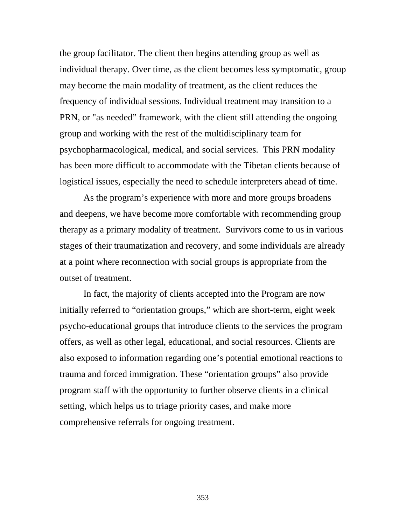the group facilitator. The client then begins attending group as well as individual therapy. Over time, as the client becomes less symptomatic, group may become the main modality of treatment, as the client reduces the frequency of individual sessions. Individual treatment may transition to a PRN, or "as needed" framework, with the client still attending the ongoing group and working with the rest of the multidisciplinary team for psychopharmacological, medical, and social services. This PRN modality has been more difficult to accommodate with the Tibetan clients because of logistical issues, especially the need to schedule interpreters ahead of time.

As the program's experience with more and more groups broadens and deepens, we have become more comfortable with recommending group therapy as a primary modality of treatment. Survivors come to us in various stages of their traumatization and recovery, and some individuals are already at a point where reconnection with social groups is appropriate from the outset of treatment.

In fact, the majority of clients accepted into the Program are now initially referred to "orientation groups," which are short-term, eight week psycho-educational groups that introduce clients to the services the program offers, as well as other legal, educational, and social resources. Clients are also exposed to information regarding one's potential emotional reactions to trauma and forced immigration. These "orientation groups" also provide program staff with the opportunity to further observe clients in a clinical setting, which helps us to triage priority cases, and make more comprehensive referrals for ongoing treatment.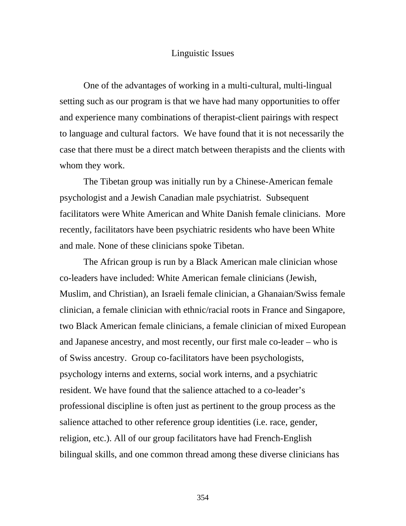#### Linguistic Issues

One of the advantages of working in a multi-cultural, multi-lingual setting such as our program is that we have had many opportunities to offer and experience many combinations of therapist-client pairings with respect to language and cultural factors. We have found that it is not necessarily the case that there must be a direct match between therapists and the clients with whom they work.

The Tibetan group was initially run by a Chinese-American female psychologist and a Jewish Canadian male psychiatrist. Subsequent facilitators were White American and White Danish female clinicians. More recently, facilitators have been psychiatric residents who have been White and male. None of these clinicians spoke Tibetan.

The African group is run by a Black American male clinician whose co-leaders have included: White American female clinicians (Jewish, Muslim, and Christian), an Israeli female clinician, a Ghanaian/Swiss female clinician, a female clinician with ethnic/racial roots in France and Singapore, two Black American female clinicians, a female clinician of mixed European and Japanese ancestry, and most recently, our first male co-leader – who is of Swiss ancestry. Group co-facilitators have been psychologists, psychology interns and externs, social work interns, and a psychiatric resident. We have found that the salience attached to a co-leader's professional discipline is often just as pertinent to the group process as the salience attached to other reference group identities (i.e. race, gender, religion, etc.). All of our group facilitators have had French-English bilingual skills, and one common thread among these diverse clinicians has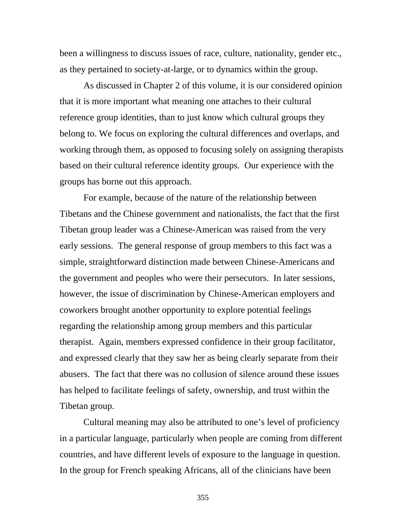been a willingness to discuss issues of race, culture, nationality, gender etc., as they pertained to society-at-large, or to dynamics within the group.

As discussed in Chapter 2 of this volume, it is our considered opinion that it is more important what meaning one attaches to their cultural reference group identities, than to just know which cultural groups they belong to. We focus on exploring the cultural differences and overlaps, and working through them, as opposed to focusing solely on assigning therapists based on their cultural reference identity groups. Our experience with the groups has borne out this approach.

For example, because of the nature of the relationship between Tibetans and the Chinese government and nationalists, the fact that the first Tibetan group leader was a Chinese-American was raised from the very early sessions. The general response of group members to this fact was a simple, straightforward distinction made between Chinese-Americans and the government and peoples who were their persecutors. In later sessions, however, the issue of discrimination by Chinese-American employers and coworkers brought another opportunity to explore potential feelings regarding the relationship among group members and this particular therapist. Again, members expressed confidence in their group facilitator, and expressed clearly that they saw her as being clearly separate from their abusers. The fact that there was no collusion of silence around these issues has helped to facilitate feelings of safety, ownership, and trust within the Tibetan group.

Cultural meaning may also be attributed to one's level of proficiency in a particular language, particularly when people are coming from different countries, and have different levels of exposure to the language in question. In the group for French speaking Africans, all of the clinicians have been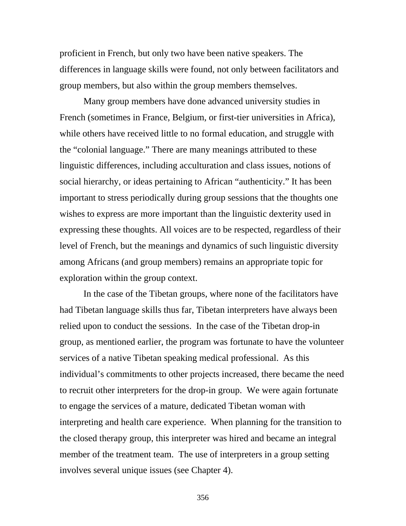proficient in French, but only two have been native speakers. The differences in language skills were found, not only between facilitators and group members, but also within the group members themselves.

Many group members have done advanced university studies in French (sometimes in France, Belgium, or first-tier universities in Africa), while others have received little to no formal education, and struggle with the "colonial language." There are many meanings attributed to these linguistic differences, including acculturation and class issues, notions of social hierarchy, or ideas pertaining to African "authenticity." It has been important to stress periodically during group sessions that the thoughts one wishes to express are more important than the linguistic dexterity used in expressing these thoughts. All voices are to be respected, regardless of their level of French, but the meanings and dynamics of such linguistic diversity among Africans (and group members) remains an appropriate topic for exploration within the group context.

In the case of the Tibetan groups, where none of the facilitators have had Tibetan language skills thus far, Tibetan interpreters have always been relied upon to conduct the sessions. In the case of the Tibetan drop-in group, as mentioned earlier, the program was fortunate to have the volunteer services of a native Tibetan speaking medical professional. As this individual's commitments to other projects increased, there became the need to recruit other interpreters for the drop-in group. We were again fortunate to engage the services of a mature, dedicated Tibetan woman with interpreting and health care experience. When planning for the transition to the closed therapy group, this interpreter was hired and became an integral member of the treatment team. The use of interpreters in a group setting involves several unique issues (see Chapter 4).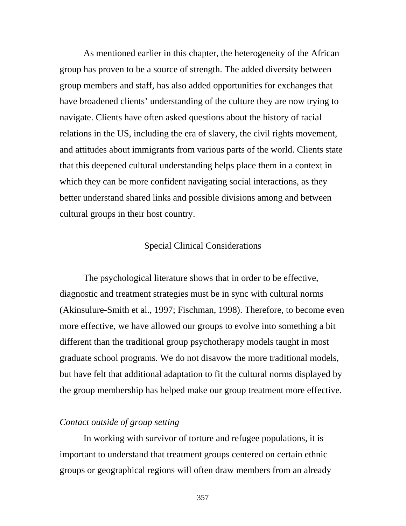As mentioned earlier in this chapter, the heterogeneity of the African group has proven to be a source of strength. The added diversity between group members and staff, has also added opportunities for exchanges that have broadened clients' understanding of the culture they are now trying to navigate. Clients have often asked questions about the history of racial relations in the US, including the era of slavery, the civil rights movement, and attitudes about immigrants from various parts of the world. Clients state that this deepened cultural understanding helps place them in a context in which they can be more confident navigating social interactions, as they better understand shared links and possible divisions among and between cultural groups in their host country.

### Special Clinical Considerations

The psychological literature shows that in order to be effective, diagnostic and treatment strategies must be in sync with cultural norms (Akinsulure-Smith et al., 1997; Fischman, 1998). Therefore, to become even more effective, we have allowed our groups to evolve into something a bit different than the traditional group psychotherapy models taught in most graduate school programs. We do not disavow the more traditional models, but have felt that additional adaptation to fit the cultural norms displayed by the group membership has helped make our group treatment more effective.

#### *Contact outside of group setting*

In working with survivor of torture and refugee populations, it is important to understand that treatment groups centered on certain ethnic groups or geographical regions will often draw members from an already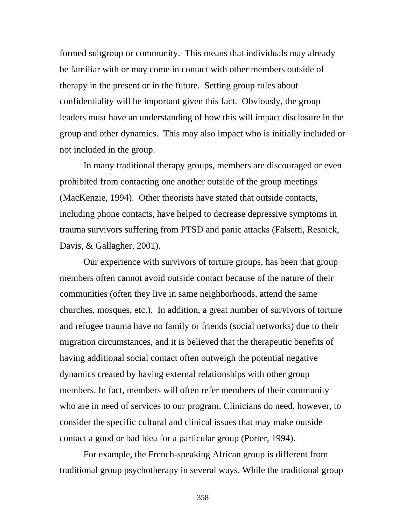formed subgroup or community. This means that individuals may already be familiar with or may come in contact with other members outside of therapy in the present or in the future. Setting group rules about confidentiality will be important given this fact. Obviously, the group leaders must have an understanding of how this will impact disclosure in the group and other dynamics. This may also impact who is initially included or not included in the group.

In many traditional therapy groups, members are discouraged or even prohibited from contacting one another outside of the group meetings (MacKenzie, 1994). Other theorists have stated that outside contacts, including phone contacts, have helped to decrease depressive symptoms in trauma survivors suffering from PTSD and panic attacks (Falsetti, Resnick, Davis, & Gallagher, 2001).

Our experience with survivors of torture groups, has been that group members often cannot avoid outside contact because of the nature of their communities (often they live in same neighborhoods, attend the same churches, mosques, etc.). In addition, a great number of survivors of torture and refugee trauma have no family or friends (social networks) due to their migration circumstances, and it is believed that the therapeutic benefits of having additional social contact often outweigh the potential negative dynamics created by having external relationships with other group members. In fact, members will often refer members of their community who are in need of services to our program. Clinicians do need, however, to consider the specific cultural and clinical issues that may make outside contact a good or bad idea for a particular group (Porter, 1994).

For example, the French-speaking African group is different from traditional group psychotherapy in several ways. While the traditional group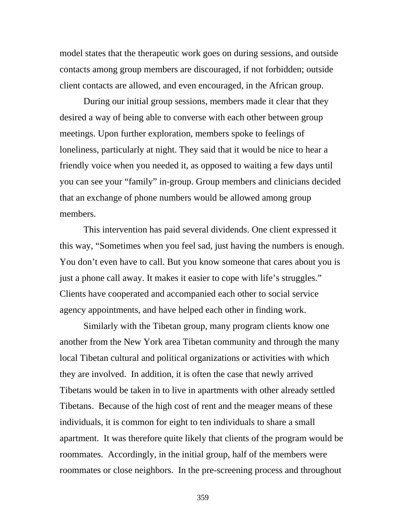model states that the therapeutic work goes on during sessions, and outside contacts among group members are discouraged, if not forbidden; outside client contacts are allowed, and even encouraged, in the African group.

During our initial group sessions, members made it clear that they desired a way of being able to converse with each other between group meetings. Upon further exploration, members spoke to feelings of loneliness, particularly at night. They said that it would be nice to hear a friendly voice when you needed it, as opposed to waiting a few days until you can see your "family" in-group. Group members and clinicians decided that an exchange of phone numbers would be allowed among group members.

This intervention has paid several dividends. One client expressed it this way, "Sometimes when you feel sad, just having the numbers is enough. You don't even have to call. But you know someone that cares about you is just a phone call away. It makes it easier to cope with life's struggles." Clients have cooperated and accompanied each other to social service agency appointments, and have helped each other in finding work.

 Similarly with the Tibetan group, many program clients know one another from the New York area Tibetan community and through the many local Tibetan cultural and political organizations or activities with which they are involved. In addition, it is often the case that newly arrived Tibetans would be taken in to live in apartments with other already settled Tibetans. Because of the high cost of rent and the meager means of these individuals, it is common for eight to ten individuals to share a small apartment. It was therefore quite likely that clients of the program would be roommates. Accordingly, in the initial group, half of the members were roommates or close neighbors. In the pre-screening process and throughout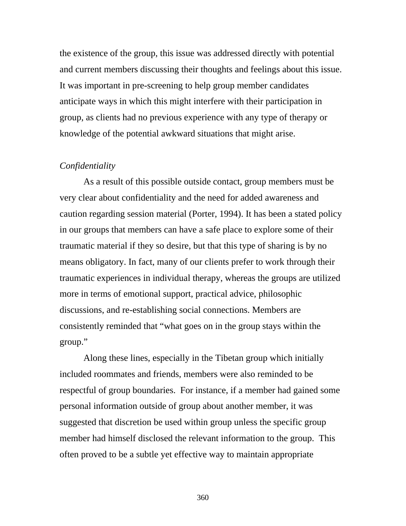the existence of the group, this issue was addressed directly with potential and current members discussing their thoughts and feelings about this issue. It was important in pre-screening to help group member candidates anticipate ways in which this might interfere with their participation in group, as clients had no previous experience with any type of therapy or knowledge of the potential awkward situations that might arise.

#### *Confidentiality*

As a result of this possible outside contact, group members must be very clear about confidentiality and the need for added awareness and caution regarding session material (Porter, 1994). It has been a stated policy in our groups that members can have a safe place to explore some of their traumatic material if they so desire, but that this type of sharing is by no means obligatory. In fact, many of our clients prefer to work through their traumatic experiences in individual therapy, whereas the groups are utilized more in terms of emotional support, practical advice, philosophic discussions, and re-establishing social connections. Members are consistently reminded that "what goes on in the group stays within the group."

Along these lines, especially in the Tibetan group which initially included roommates and friends, members were also reminded to be respectful of group boundaries. For instance, if a member had gained some personal information outside of group about another member, it was suggested that discretion be used within group unless the specific group member had himself disclosed the relevant information to the group. This often proved to be a subtle yet effective way to maintain appropriate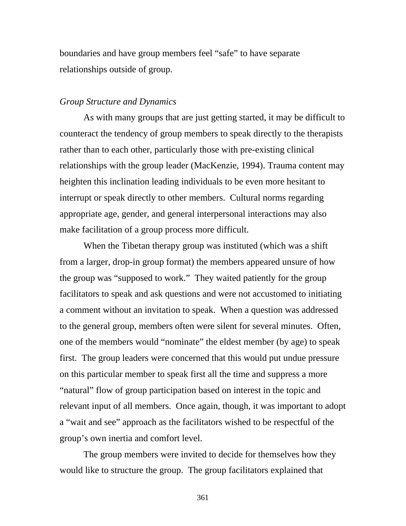boundaries and have group members feel "safe" to have separate relationships outside of group.

#### *Group Structure and Dynamics*

As with many groups that are just getting started, it may be difficult to counteract the tendency of group members to speak directly to the therapists rather than to each other, particularly those with pre-existing clinical relationships with the group leader (MacKenzie, 1994). Trauma content may heighten this inclination leading individuals to be even more hesitant to interrupt or speak directly to other members. Cultural norms regarding appropriate age, gender, and general interpersonal interactions may also make facilitation of a group process more difficult.

When the Tibetan therapy group was instituted (which was a shift from a larger, drop-in group format) the members appeared unsure of how the group was "supposed to work." They waited patiently for the group facilitators to speak and ask questions and were not accustomed to initiating a comment without an invitation to speak. When a question was addressed to the general group, members often were silent for several minutes. Often, one of the members would "nominate" the eldest member (by age) to speak first. The group leaders were concerned that this would put undue pressure on this particular member to speak first all the time and suppress a more "natural" flow of group participation based on interest in the topic and relevant input of all members. Once again, though, it was important to adopt a "wait and see" approach as the facilitators wished to be respectful of the group's own inertia and comfort level.

The group members were invited to decide for themselves how they would like to structure the group. The group facilitators explained that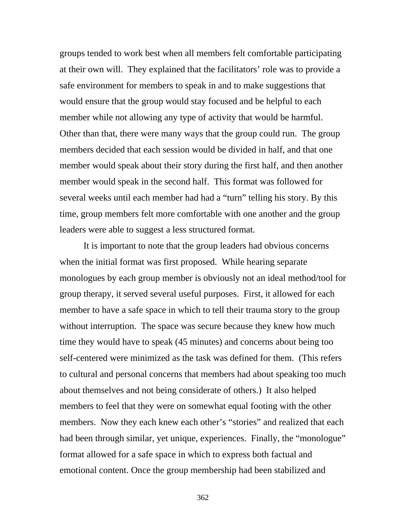groups tended to work best when all members felt comfortable participating at their own will. They explained that the facilitators' role was to provide a safe environment for members to speak in and to make suggestions that would ensure that the group would stay focused and be helpful to each member while not allowing any type of activity that would be harmful. Other than that, there were many ways that the group could run. The group members decided that each session would be divided in half, and that one member would speak about their story during the first half, and then another member would speak in the second half. This format was followed for several weeks until each member had had a "turn" telling his story. By this time, group members felt more comfortable with one another and the group leaders were able to suggest a less structured format.

It is important to note that the group leaders had obvious concerns when the initial format was first proposed. While hearing separate monologues by each group member is obviously not an ideal method/tool for group therapy, it served several useful purposes. First, it allowed for each member to have a safe space in which to tell their trauma story to the group without interruption. The space was secure because they knew how much time they would have to speak (45 minutes) and concerns about being too self-centered were minimized as the task was defined for them. (This refers to cultural and personal concerns that members had about speaking too much about themselves and not being considerate of others.) It also helped members to feel that they were on somewhat equal footing with the other members. Now they each knew each other's "stories" and realized that each had been through similar, yet unique, experiences. Finally, the "monologue" format allowed for a safe space in which to express both factual and emotional content. Once the group membership had been stabilized and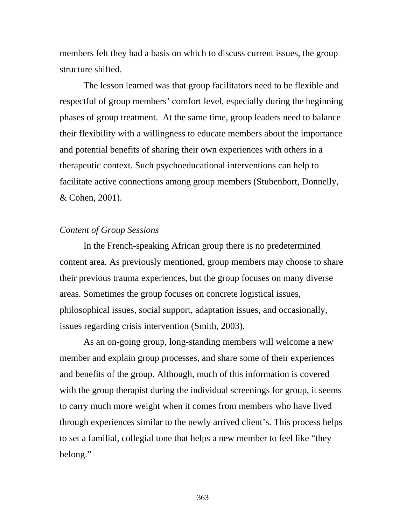members felt they had a basis on which to discuss current issues, the group structure shifted.

The lesson learned was that group facilitators need to be flexible and respectful of group members' comfort level, especially during the beginning phases of group treatment. At the same time, group leaders need to balance their flexibility with a willingness to educate members about the importance and potential benefits of sharing their own experiences with others in a therapeutic context. Such psychoeducational interventions can help to facilitate active connections among group members (Stubenbort, Donnelly, & Cohen, 2001).

#### *Content of Group Sessions*

In the French-speaking African group there is no predetermined content area. As previously mentioned, group members may choose to share their previous trauma experiences, but the group focuses on many diverse areas. Sometimes the group focuses on concrete logistical issues, philosophical issues, social support, adaptation issues, and occasionally, issues regarding crisis intervention (Smith, 2003).

 As an on-going group, long-standing members will welcome a new member and explain group processes, and share some of their experiences and benefits of the group. Although, much of this information is covered with the group therapist during the individual screenings for group, it seems to carry much more weight when it comes from members who have lived through experiences similar to the newly arrived client's. This process helps to set a familial, collegial tone that helps a new member to feel like "they belong."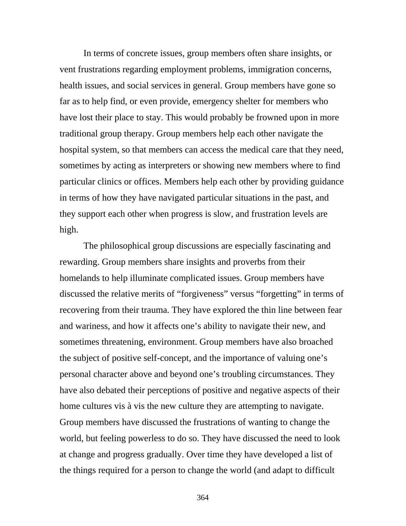In terms of concrete issues, group members often share insights, or vent frustrations regarding employment problems, immigration concerns, health issues, and social services in general. Group members have gone so far as to help find, or even provide, emergency shelter for members who have lost their place to stay. This would probably be frowned upon in more traditional group therapy. Group members help each other navigate the hospital system, so that members can access the medical care that they need, sometimes by acting as interpreters or showing new members where to find particular clinics or offices. Members help each other by providing guidance in terms of how they have navigated particular situations in the past, and they support each other when progress is slow, and frustration levels are high.

The philosophical group discussions are especially fascinating and rewarding. Group members share insights and proverbs from their homelands to help illuminate complicated issues. Group members have discussed the relative merits of "forgiveness" versus "forgetting" in terms of recovering from their trauma. They have explored the thin line between fear and wariness, and how it affects one's ability to navigate their new, and sometimes threatening, environment. Group members have also broached the subject of positive self-concept, and the importance of valuing one's personal character above and beyond one's troubling circumstances. They have also debated their perceptions of positive and negative aspects of their home cultures vis à vis the new culture they are attempting to navigate. Group members have discussed the frustrations of wanting to change the world, but feeling powerless to do so. They have discussed the need to look at change and progress gradually. Over time they have developed a list of the things required for a person to change the world (and adapt to difficult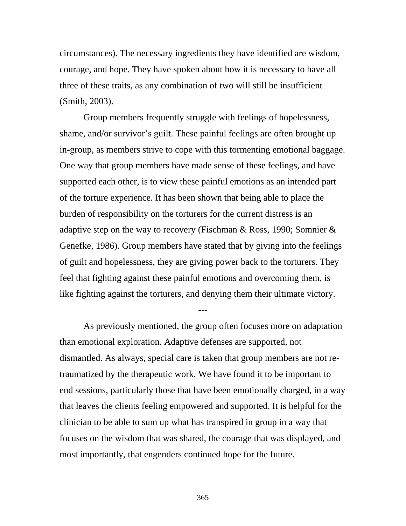circumstances). The necessary ingredients they have identified are wisdom, courage, and hope. They have spoken about how it is necessary to have all three of these traits, as any combination of two will still be insufficient (Smith, 2003).

Group members frequently struggle with feelings of hopelessness, shame, and/or survivor's guilt. These painful feelings are often brought up in-group, as members strive to cope with this tormenting emotional baggage. One way that group members have made sense of these feelings, and have supported each other, is to view these painful emotions as an intended part of the torture experience. It has been shown that being able to place the burden of responsibility on the torturers for the current distress is an adaptive step on the way to recovery (Fischman & Ross, 1990; Somnier & Genefke, 1986). Group members have stated that by giving into the feelings of guilt and hopelessness, they are giving power back to the torturers. They feel that fighting against these painful emotions and overcoming them, is like fighting against the torturers, and denying them their ultimate victory.

---

As previously mentioned, the group often focuses more on adaptation than emotional exploration. Adaptive defenses are supported, not dismantled. As always, special care is taken that group members are not retraumatized by the therapeutic work. We have found it to be important to end sessions, particularly those that have been emotionally charged, in a way that leaves the clients feeling empowered and supported. It is helpful for the clinician to be able to sum up what has transpired in group in a way that focuses on the wisdom that was shared, the courage that was displayed, and most importantly, that engenders continued hope for the future.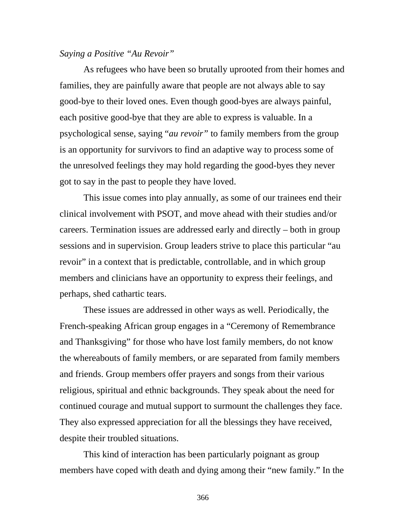#### *Saying a Positive "Au Revoir"*

As refugees who have been so brutally uprooted from their homes and families, they are painfully aware that people are not always able to say good-bye to their loved ones. Even though good-byes are always painful, each positive good-bye that they are able to express is valuable. In a psychological sense, saying "*au revoir"* to family members from the group is an opportunity for survivors to find an adaptive way to process some of the unresolved feelings they may hold regarding the good-byes they never got to say in the past to people they have loved.

This issue comes into play annually, as some of our trainees end their clinical involvement with PSOT, and move ahead with their studies and/or careers. Termination issues are addressed early and directly – both in group sessions and in supervision. Group leaders strive to place this particular "au revoir" in a context that is predictable, controllable, and in which group members and clinicians have an opportunity to express their feelings, and perhaps, shed cathartic tears.

These issues are addressed in other ways as well. Periodically, the French-speaking African group engages in a "Ceremony of Remembrance and Thanksgiving" for those who have lost family members, do not know the whereabouts of family members, or are separated from family members and friends. Group members offer prayers and songs from their various religious, spiritual and ethnic backgrounds. They speak about the need for continued courage and mutual support to surmount the challenges they face. They also expressed appreciation for all the blessings they have received, despite their troubled situations.

This kind of interaction has been particularly poignant as group members have coped with death and dying among their "new family." In the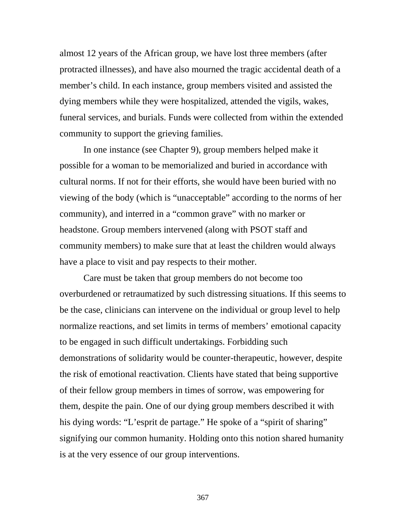almost 12 years of the African group, we have lost three members (after protracted illnesses), and have also mourned the tragic accidental death of a member's child. In each instance, group members visited and assisted the dying members while they were hospitalized, attended the vigils, wakes, funeral services, and burials. Funds were collected from within the extended community to support the grieving families.

In one instance (see Chapter 9), group members helped make it possible for a woman to be memorialized and buried in accordance with cultural norms. If not for their efforts, she would have been buried with no viewing of the body (which is "unacceptable" according to the norms of her community), and interred in a "common grave" with no marker or headstone. Group members intervened (along with PSOT staff and community members) to make sure that at least the children would always have a place to visit and pay respects to their mother.

Care must be taken that group members do not become too overburdened or retraumatized by such distressing situations. If this seems to be the case, clinicians can intervene on the individual or group level to help normalize reactions, and set limits in terms of members' emotional capacity to be engaged in such difficult undertakings. Forbidding such demonstrations of solidarity would be counter-therapeutic, however, despite the risk of emotional reactivation. Clients have stated that being supportive of their fellow group members in times of sorrow, was empowering for them, despite the pain. One of our dying group members described it with his dying words: "L'esprit de partage." He spoke of a "spirit of sharing" signifying our common humanity. Holding onto this notion shared humanity is at the very essence of our group interventions.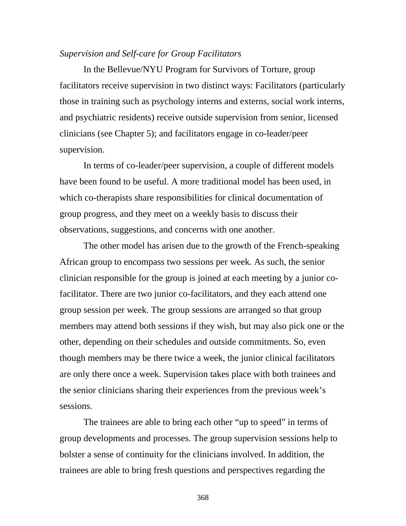#### *Supervision and Self-care for Group Facilitators*

In the Bellevue/NYU Program for Survivors of Torture, group facilitators receive supervision in two distinct ways: Facilitators (particularly those in training such as psychology interns and externs, social work interns, and psychiatric residents) receive outside supervision from senior, licensed clinicians (see Chapter 5); and facilitators engage in co-leader/peer supervision.

In terms of co-leader/peer supervision, a couple of different models have been found to be useful. A more traditional model has been used, in which co-therapists share responsibilities for clinical documentation of group progress, and they meet on a weekly basis to discuss their observations, suggestions, and concerns with one another.

The other model has arisen due to the growth of the French-speaking African group to encompass two sessions per week. As such, the senior clinician responsible for the group is joined at each meeting by a junior cofacilitator. There are two junior co-facilitators, and they each attend one group session per week. The group sessions are arranged so that group members may attend both sessions if they wish, but may also pick one or the other, depending on their schedules and outside commitments. So, even though members may be there twice a week, the junior clinical facilitators are only there once a week. Supervision takes place with both trainees and the senior clinicians sharing their experiences from the previous week's sessions.

The trainees are able to bring each other "up to speed" in terms of group developments and processes. The group supervision sessions help to bolster a sense of continuity for the clinicians involved. In addition, the trainees are able to bring fresh questions and perspectives regarding the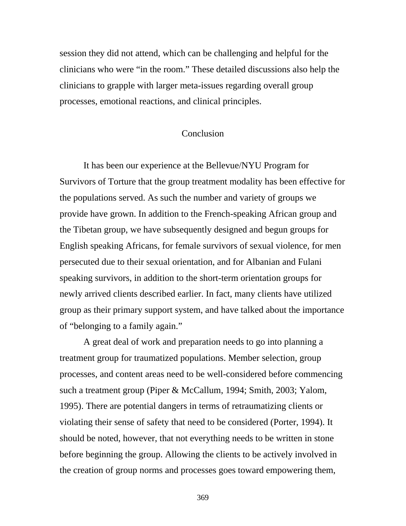session they did not attend, which can be challenging and helpful for the clinicians who were "in the room." These detailed discussions also help the clinicians to grapple with larger meta-issues regarding overall group processes, emotional reactions, and clinical principles.

#### Conclusion

 It has been our experience at the Bellevue/NYU Program for Survivors of Torture that the group treatment modality has been effective for the populations served. As such the number and variety of groups we provide have grown. In addition to the French-speaking African group and the Tibetan group, we have subsequently designed and begun groups for English speaking Africans, for female survivors of sexual violence, for men persecuted due to their sexual orientation, and for Albanian and Fulani speaking survivors, in addition to the short-term orientation groups for newly arrived clients described earlier. In fact, many clients have utilized group as their primary support system, and have talked about the importance of "belonging to a family again."

 A great deal of work and preparation needs to go into planning a treatment group for traumatized populations. Member selection, group processes, and content areas need to be well-considered before commencing such a treatment group (Piper & McCallum, 1994; Smith, 2003; Yalom, 1995). There are potential dangers in terms of retraumatizing clients or violating their sense of safety that need to be considered (Porter, 1994). It should be noted, however, that not everything needs to be written in stone before beginning the group. Allowing the clients to be actively involved in the creation of group norms and processes goes toward empowering them,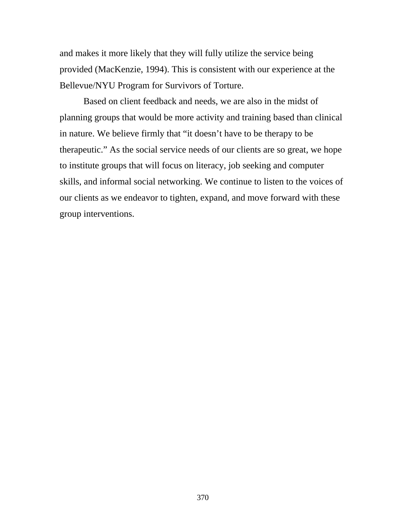and makes it more likely that they will fully utilize the service being provided (MacKenzie, 1994). This is consistent with our experience at the Bellevue/NYU Program for Survivors of Torture.

Based on client feedback and needs, we are also in the midst of planning groups that would be more activity and training based than clinical in nature. We believe firmly that "it doesn't have to be therapy to be therapeutic." As the social service needs of our clients are so great, we hope to institute groups that will focus on literacy, job seeking and computer skills, and informal social networking. We continue to listen to the voices of our clients as we endeavor to tighten, expand, and move forward with these group interventions.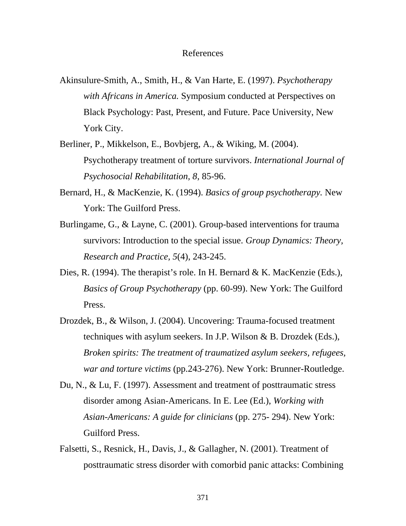#### References

- Akinsulure-Smith, A., Smith, H., & Van Harte, E. (1997). *Psychotherapy with Africans in America.* Symposium conducted at Perspectives on Black Psychology: Past, Present, and Future. Pace University, New York City.
- Berliner, P., Mikkelson, E., Bovbjerg, A., & Wiking, M. (2004). Psychotherapy treatment of torture survivors. *International Journal of Psychosocial Rehabilitation, 8*, 85-96.
- Bernard, H., & MacKenzie, K. (1994). *Basics of group psychotherapy.* New York: The Guilford Press.
- Burlingame, G., & Layne, C. (2001). Group-based interventions for trauma survivors: Introduction to the special issue. *Group Dynamics: Theory, Research and Practice, 5*(4), 243-245.
- Dies, R. (1994). The therapist's role. In H. Bernard & K. MacKenzie (Eds.), *Basics of Group Psychotherapy* (pp. 60-99). New York: The Guilford Press.
- Drozdek, B., & Wilson, J. (2004). Uncovering: Trauma-focused treatment techniques with asylum seekers. In J.P. Wilson & B. Drozdek (Eds.), *Broken spirits: The treatment of traumatized asylum seekers, refugees, war and torture victims* (pp.243-276). New York: Brunner-Routledge.
- Du, N., & Lu, F. (1997). Assessment and treatment of posttraumatic stress disorder among Asian-Americans. In E. Lee (Ed.), *Working with Asian-Americans: A guide for clinicians* (pp. 275- 294). New York: Guilford Press.
- Falsetti, S., Resnick, H., Davis, J., & Gallagher, N. (2001). Treatment of posttraumatic stress disorder with comorbid panic attacks: Combining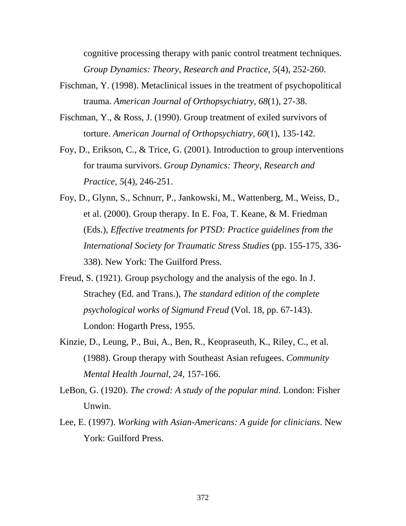cognitive processing therapy with panic control treatment techniques. *Group Dynamics: Theory, Research and Practice, 5*(4), 252-260.

- Fischman, Y. (1998). Metaclinical issues in the treatment of psychopolitical trauma. *American Journal of Orthopsychiatry, 68*(1), 27-38.
- Fischman, Y., & Ross, J. (1990). Group treatment of exiled survivors of torture. *American Journal of Orthopsychiatry, 60*(1), 135-142.
- Foy, D., Erikson, C., & Trice, G. (2001). Introduction to group interventions for trauma survivors. *Group Dynamics: Theory, Research and Practice, 5*(4), 246-251.
- Foy, D., Glynn, S., Schnurr, P., Jankowski, M., Wattenberg, M., Weiss, D., et al. (2000). Group therapy. In E. Foa, T. Keane, & M. Friedman (Eds.), *Effective treatments for PTSD: Practice guidelines from the International Society for Traumatic Stress Studies* (pp. 155-175, 336- 338). New York: The Guilford Press.
- Freud, S. (1921). Group psychology and the analysis of the ego. In J. Strachey (Ed. and Trans.), *The standard edition of the complete psychological works of Sigmund Freud* (Vol. 18, pp. 67-143). London: Hogarth Press, 1955.
- Kinzie, D., Leung, P., Bui, A., Ben, R., Keopraseuth, K., Riley, C., et al. (1988). Group therapy with Southeast Asian refugees. *Community Mental Health Journal, 24,* 157-166.
- LeBon, G. (1920). *The crowd: A study of the popular mind.* London: Fisher Unwin.
- Lee, E. (1997). *Working with Asian-Americans: A guide for clinicians*. New York: Guilford Press.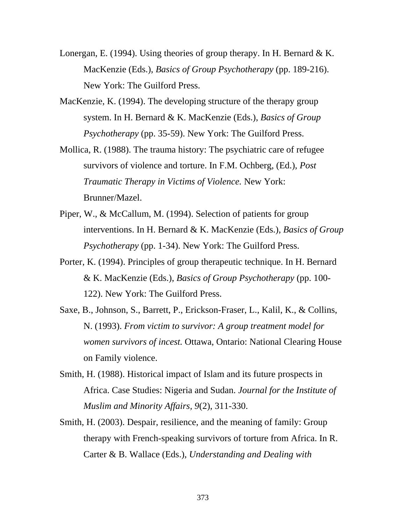- Lonergan, E. (1994). Using theories of group therapy. In H. Bernard  $\& K$ . MacKenzie (Eds.), *Basics of Group Psychotherapy* (pp. 189-216). New York: The Guilford Press.
- MacKenzie, K. (1994). The developing structure of the therapy group system. In H. Bernard & K. MacKenzie (Eds.), *Basics of Group Psychotherapy* (pp. 35-59). New York: The Guilford Press.
- Mollica, R. (1988). The trauma history: The psychiatric care of refugee survivors of violence and torture. In F.M. Ochberg, (Ed.), *Post Traumatic Therapy in Victims of Violence.* New York: Brunner/Mazel.
- Piper, W., & McCallum, M. (1994). Selection of patients for group interventions. In H. Bernard & K. MacKenzie (Eds.), *Basics of Group Psychotherapy* (pp. 1-34). New York: The Guilford Press.
- Porter, K. (1994). Principles of group therapeutic technique. In H. Bernard & K. MacKenzie (Eds.), *Basics of Group Psychotherapy* (pp. 100- 122). New York: The Guilford Press.
- Saxe, B., Johnson, S., Barrett, P., Erickson-Fraser, L., Kalil, K., & Collins, N. (1993). *From victim to survivor: A group treatment model for women survivors of incest.* Ottawa, Ontario: National Clearing House on Family violence.
- Smith, H. (1988). Historical impact of Islam and its future prospects in Africa. Case Studies: Nigeria and Sudan. *Journal for the Institute of Muslim and Minority Affairs, 9*(2), 311-330.
- Smith, H. (2003). Despair, resilience, and the meaning of family: Group therapy with French-speaking survivors of torture from Africa. In R. Carter & B. Wallace (Eds.), *Understanding and Dealing with*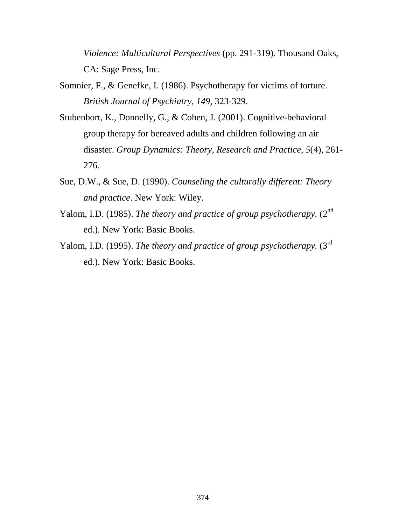*Violence: Multicultural Perspectives* (pp. 291-319). Thousand Oaks, CA: Sage Press, Inc.

- Somnier, F., & Genefke, I. (1986). Psychotherapy for victims of torture. *British Journal of Psychiatry, 149,* 323-329.
- Stubenbort, K., Donnelly, G., & Cohen, J. (2001). Cognitive-behavioral group therapy for bereaved adults and children following an air disaster. *Group Dynamics: Theory, Research and Practice, 5*(4), 261- 276.
- Sue, D.W., & Sue, D. (1990). *Counseling the culturally different: Theory and practice*. New York: Wiley.
- Yalom, I.D. (1985). *The theory and practice of group psychotherapy*. (2<sup>nd</sup>) ed.). New York: Basic Books.
- Yalom, I.D. (1995). *The theory and practice of group psychotherapy*. (3<sup>rd</sup> ed.). New York: Basic Books.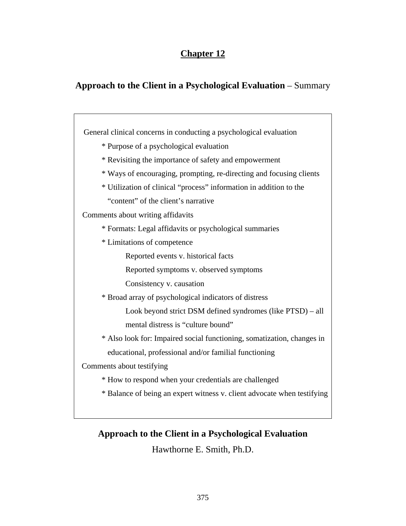# **Chapter 12**

# **Approach to the Client in a Psychological Evaluation** – Summary

 General clinical concerns in conducting a psychological evaluation \* Purpose of a psychological evaluation \* Revisiting the importance of safety and empowerment \* Ways of encouraging, prompting, re-directing and focusing clients \* Utilization of clinical "process" information in addition to the "content" of the client's narrative Comments about writing affidavits \* Formats: Legal affidavits or psychological summaries \* Limitations of competence Reported events v. historical facts Reported symptoms v. observed symptoms Consistency v. causation \* Broad array of psychological indicators of distress Look beyond strict DSM defined syndromes (like PTSD) – all mental distress is "culture bound" \* Also look for: Impaired social functioning, somatization, changes in educational, professional and/or familial functioning Comments about testifying \* How to respond when your credentials are challenged \* Balance of being an expert witness v. client advocate when testifying

# **Approach to the Client in a Psychological Evaluation**

Hawthorne E. Smith, Ph.D.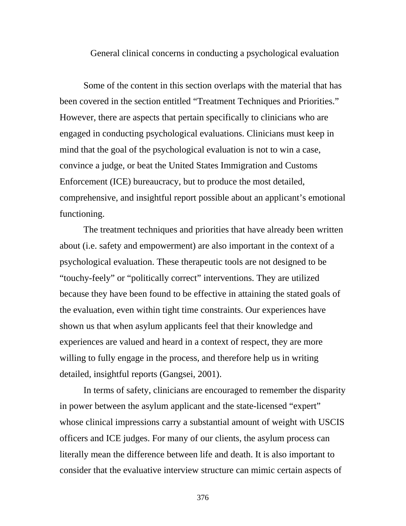General clinical concerns in conducting a psychological evaluation

Some of the content in this section overlaps with the material that has been covered in the section entitled "Treatment Techniques and Priorities." However, there are aspects that pertain specifically to clinicians who are engaged in conducting psychological evaluations. Clinicians must keep in mind that the goal of the psychological evaluation is not to win a case, convince a judge, or beat the United States Immigration and Customs Enforcement (ICE) bureaucracy, but to produce the most detailed, comprehensive, and insightful report possible about an applicant's emotional functioning.

The treatment techniques and priorities that have already been written about (i.e. safety and empowerment) are also important in the context of a psychological evaluation. These therapeutic tools are not designed to be "touchy-feely" or "politically correct" interventions. They are utilized because they have been found to be effective in attaining the stated goals of the evaluation, even within tight time constraints. Our experiences have shown us that when asylum applicants feel that their knowledge and experiences are valued and heard in a context of respect, they are more willing to fully engage in the process, and therefore help us in writing detailed, insightful reports (Gangsei, 2001).

 In terms of safety, clinicians are encouraged to remember the disparity in power between the asylum applicant and the state-licensed "expert" whose clinical impressions carry a substantial amount of weight with USCIS officers and ICE judges. For many of our clients, the asylum process can literally mean the difference between life and death. It is also important to consider that the evaluative interview structure can mimic certain aspects of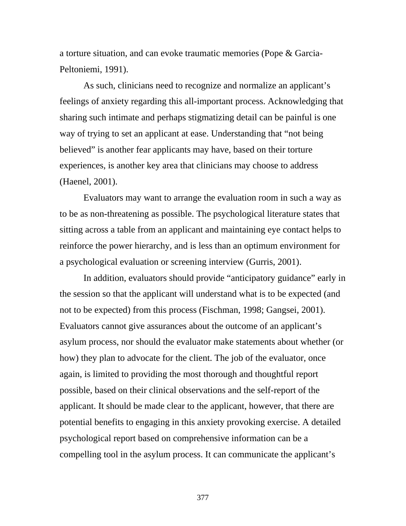a torture situation, and can evoke traumatic memories (Pope & Garcia-Peltoniemi, 1991).

 As such, clinicians need to recognize and normalize an applicant's feelings of anxiety regarding this all-important process. Acknowledging that sharing such intimate and perhaps stigmatizing detail can be painful is one way of trying to set an applicant at ease. Understanding that "not being believed" is another fear applicants may have, based on their torture experiences, is another key area that clinicians may choose to address (Haenel, 2001).

Evaluators may want to arrange the evaluation room in such a way as to be as non-threatening as possible. The psychological literature states that sitting across a table from an applicant and maintaining eye contact helps to reinforce the power hierarchy, and is less than an optimum environment for a psychological evaluation or screening interview (Gurris, 2001).

 In addition, evaluators should provide "anticipatory guidance" early in the session so that the applicant will understand what is to be expected (and not to be expected) from this process (Fischman, 1998; Gangsei, 2001). Evaluators cannot give assurances about the outcome of an applicant's asylum process, nor should the evaluator make statements about whether (or how) they plan to advocate for the client. The job of the evaluator, once again, is limited to providing the most thorough and thoughtful report possible, based on their clinical observations and the self-report of the applicant. It should be made clear to the applicant, however, that there are potential benefits to engaging in this anxiety provoking exercise. A detailed psychological report based on comprehensive information can be a compelling tool in the asylum process. It can communicate the applicant's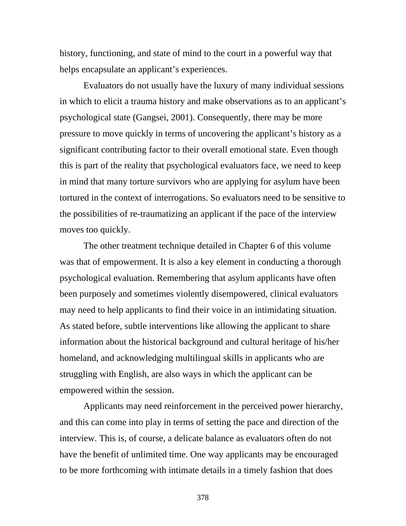history, functioning, and state of mind to the court in a powerful way that helps encapsulate an applicant's experiences.

 Evaluators do not usually have the luxury of many individual sessions in which to elicit a trauma history and make observations as to an applicant's psychological state (Gangsei, 2001). Consequently, there may be more pressure to move quickly in terms of uncovering the applicant's history as a significant contributing factor to their overall emotional state. Even though this is part of the reality that psychological evaluators face, we need to keep in mind that many torture survivors who are applying for asylum have been tortured in the context of interrogations. So evaluators need to be sensitive to the possibilities of re-traumatizing an applicant if the pace of the interview moves too quickly.

The other treatment technique detailed in Chapter 6 of this volume was that of empowerment. It is also a key element in conducting a thorough psychological evaluation. Remembering that asylum applicants have often been purposely and sometimes violently disempowered, clinical evaluators may need to help applicants to find their voice in an intimidating situation. As stated before, subtle interventions like allowing the applicant to share information about the historical background and cultural heritage of his/her homeland, and acknowledging multilingual skills in applicants who are struggling with English, are also ways in which the applicant can be empowered within the session.

Applicants may need reinforcement in the perceived power hierarchy, and this can come into play in terms of setting the pace and direction of the interview. This is, of course, a delicate balance as evaluators often do not have the benefit of unlimited time. One way applicants may be encouraged to be more forthcoming with intimate details in a timely fashion that does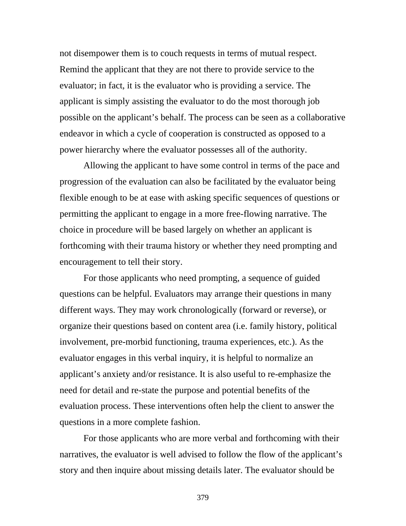not disempower them is to couch requests in terms of mutual respect. Remind the applicant that they are not there to provide service to the evaluator; in fact, it is the evaluator who is providing a service. The applicant is simply assisting the evaluator to do the most thorough job possible on the applicant's behalf. The process can be seen as a collaborative endeavor in which a cycle of cooperation is constructed as opposed to a power hierarchy where the evaluator possesses all of the authority.

Allowing the applicant to have some control in terms of the pace and progression of the evaluation can also be facilitated by the evaluator being flexible enough to be at ease with asking specific sequences of questions or permitting the applicant to engage in a more free-flowing narrative. The choice in procedure will be based largely on whether an applicant is forthcoming with their trauma history or whether they need prompting and encouragement to tell their story.

For those applicants who need prompting, a sequence of guided questions can be helpful. Evaluators may arrange their questions in many different ways. They may work chronologically (forward or reverse), or organize their questions based on content area (i.e. family history, political involvement, pre-morbid functioning, trauma experiences, etc.). As the evaluator engages in this verbal inquiry, it is helpful to normalize an applicant's anxiety and/or resistance. It is also useful to re-emphasize the need for detail and re-state the purpose and potential benefits of the evaluation process. These interventions often help the client to answer the questions in a more complete fashion.

For those applicants who are more verbal and forthcoming with their narratives, the evaluator is well advised to follow the flow of the applicant's story and then inquire about missing details later. The evaluator should be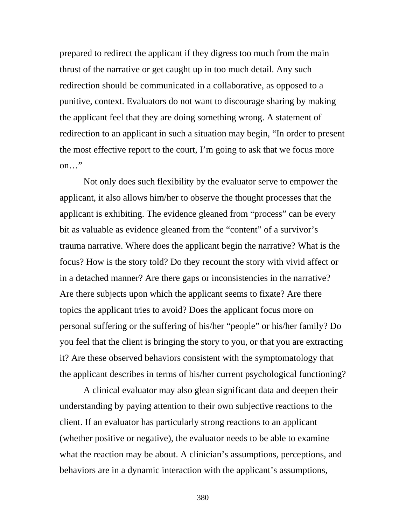prepared to redirect the applicant if they digress too much from the main thrust of the narrative or get caught up in too much detail. Any such redirection should be communicated in a collaborative, as opposed to a punitive, context. Evaluators do not want to discourage sharing by making the applicant feel that they are doing something wrong. A statement of redirection to an applicant in such a situation may begin, "In order to present the most effective report to the court, I'm going to ask that we focus more on…"

Not only does such flexibility by the evaluator serve to empower the applicant, it also allows him/her to observe the thought processes that the applicant is exhibiting. The evidence gleaned from "process" can be every bit as valuable as evidence gleaned from the "content" of a survivor's trauma narrative. Where does the applicant begin the narrative? What is the focus? How is the story told? Do they recount the story with vivid affect or in a detached manner? Are there gaps or inconsistencies in the narrative? Are there subjects upon which the applicant seems to fixate? Are there topics the applicant tries to avoid? Does the applicant focus more on personal suffering or the suffering of his/her "people" or his/her family? Do you feel that the client is bringing the story to you, or that you are extracting it? Are these observed behaviors consistent with the symptomatology that the applicant describes in terms of his/her current psychological functioning?

A clinical evaluator may also glean significant data and deepen their understanding by paying attention to their own subjective reactions to the client. If an evaluator has particularly strong reactions to an applicant (whether positive or negative), the evaluator needs to be able to examine what the reaction may be about. A clinician's assumptions, perceptions, and behaviors are in a dynamic interaction with the applicant's assumptions,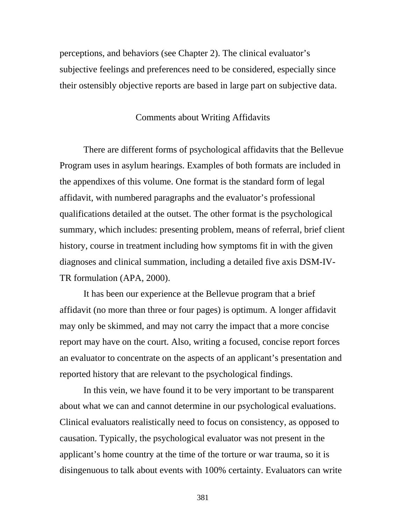perceptions, and behaviors (see Chapter 2). The clinical evaluator's subjective feelings and preferences need to be considered, especially since their ostensibly objective reports are based in large part on subjective data.

#### Comments about Writing Affidavits

 There are different forms of psychological affidavits that the Bellevue Program uses in asylum hearings. Examples of both formats are included in the appendixes of this volume. One format is the standard form of legal affidavit, with numbered paragraphs and the evaluator's professional qualifications detailed at the outset. The other format is the psychological summary, which includes: presenting problem, means of referral, brief client history, course in treatment including how symptoms fit in with the given diagnoses and clinical summation, including a detailed five axis DSM-IV-TR formulation (APA, 2000).

 It has been our experience at the Bellevue program that a brief affidavit (no more than three or four pages) is optimum. A longer affidavit may only be skimmed, and may not carry the impact that a more concise report may have on the court. Also, writing a focused, concise report forces an evaluator to concentrate on the aspects of an applicant's presentation and reported history that are relevant to the psychological findings.

 In this vein, we have found it to be very important to be transparent about what we can and cannot determine in our psychological evaluations. Clinical evaluators realistically need to focus on consistency, as opposed to causation. Typically, the psychological evaluator was not present in the applicant's home country at the time of the torture or war trauma, so it is disingenuous to talk about events with 100% certainty. Evaluators can write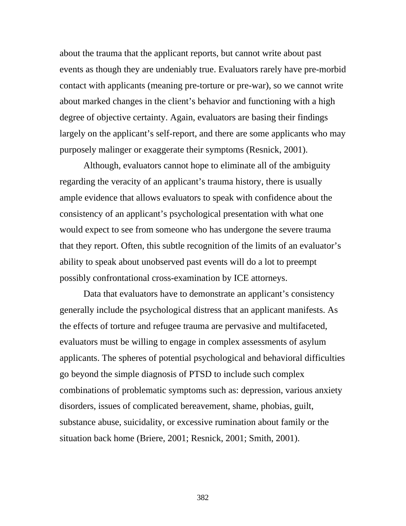about the trauma that the applicant reports, but cannot write about past events as though they are undeniably true. Evaluators rarely have pre-morbid contact with applicants (meaning pre-torture or pre-war), so we cannot write about marked changes in the client's behavior and functioning with a high degree of objective certainty. Again, evaluators are basing their findings largely on the applicant's self-report, and there are some applicants who may purposely malinger or exaggerate their symptoms (Resnick, 2001).

 Although, evaluators cannot hope to eliminate all of the ambiguity regarding the veracity of an applicant's trauma history, there is usually ample evidence that allows evaluators to speak with confidence about the consistency of an applicant's psychological presentation with what one would expect to see from someone who has undergone the severe trauma that they report. Often, this subtle recognition of the limits of an evaluator's ability to speak about unobserved past events will do a lot to preempt possibly confrontational cross-examination by ICE attorneys.

Data that evaluators have to demonstrate an applicant's consistency generally include the psychological distress that an applicant manifests. As the effects of torture and refugee trauma are pervasive and multifaceted, evaluators must be willing to engage in complex assessments of asylum applicants. The spheres of potential psychological and behavioral difficulties go beyond the simple diagnosis of PTSD to include such complex combinations of problematic symptoms such as: depression, various anxiety disorders, issues of complicated bereavement, shame, phobias, guilt, substance abuse, suicidality, or excessive rumination about family or the situation back home (Briere, 2001; Resnick, 2001; Smith, 2001).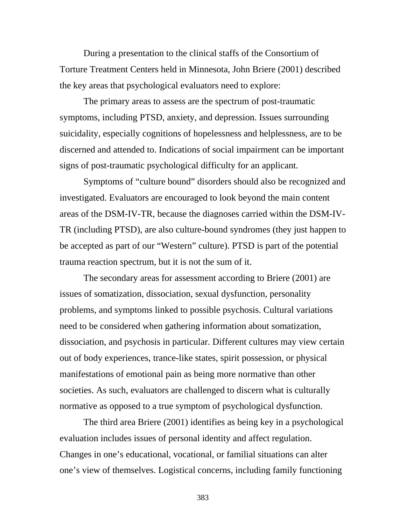During a presentation to the clinical staffs of the Consortium of Torture Treatment Centers held in Minnesota, John Briere (2001) described the key areas that psychological evaluators need to explore:

The primary areas to assess are the spectrum of post-traumatic symptoms, including PTSD, anxiety, and depression. Issues surrounding suicidality, especially cognitions of hopelessness and helplessness, are to be discerned and attended to. Indications of social impairment can be important signs of post-traumatic psychological difficulty for an applicant.

Symptoms of "culture bound" disorders should also be recognized and investigated. Evaluators are encouraged to look beyond the main content areas of the DSM-IV-TR, because the diagnoses carried within the DSM-IV-TR (including PTSD), are also culture-bound syndromes (they just happen to be accepted as part of our "Western" culture). PTSD is part of the potential trauma reaction spectrum, but it is not the sum of it.

The secondary areas for assessment according to Briere (2001) are issues of somatization, dissociation, sexual dysfunction, personality problems, and symptoms linked to possible psychosis. Cultural variations need to be considered when gathering information about somatization, dissociation, and psychosis in particular. Different cultures may view certain out of body experiences, trance-like states, spirit possession, or physical manifestations of emotional pain as being more normative than other societies. As such, evaluators are challenged to discern what is culturally normative as opposed to a true symptom of psychological dysfunction.

The third area Briere (2001) identifies as being key in a psychological evaluation includes issues of personal identity and affect regulation. Changes in one's educational, vocational, or familial situations can alter one's view of themselves. Logistical concerns, including family functioning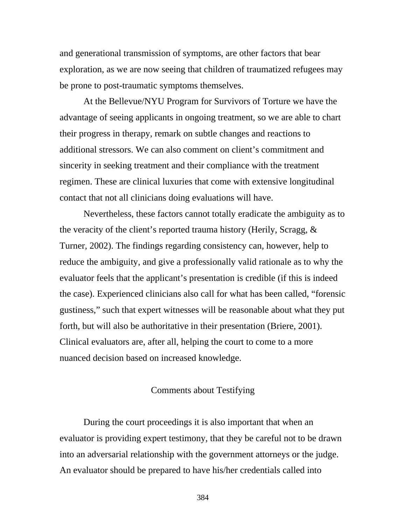and generational transmission of symptoms, are other factors that bear exploration, as we are now seeing that children of traumatized refugees may be prone to post-traumatic symptoms themselves.

At the Bellevue/NYU Program for Survivors of Torture we have the advantage of seeing applicants in ongoing treatment, so we are able to chart their progress in therapy, remark on subtle changes and reactions to additional stressors. We can also comment on client's commitment and sincerity in seeking treatment and their compliance with the treatment regimen. These are clinical luxuries that come with extensive longitudinal contact that not all clinicians doing evaluations will have.

Nevertheless, these factors cannot totally eradicate the ambiguity as to the veracity of the client's reported trauma history (Herily, Scragg, & Turner, 2002). The findings regarding consistency can, however, help to reduce the ambiguity, and give a professionally valid rationale as to why the evaluator feels that the applicant's presentation is credible (if this is indeed the case). Experienced clinicians also call for what has been called, "forensic gustiness," such that expert witnesses will be reasonable about what they put forth, but will also be authoritative in their presentation (Briere, 2001). Clinical evaluators are, after all, helping the court to come to a more nuanced decision based on increased knowledge.

#### Comments about Testifying

During the court proceedings it is also important that when an evaluator is providing expert testimony, that they be careful not to be drawn into an adversarial relationship with the government attorneys or the judge. An evaluator should be prepared to have his/her credentials called into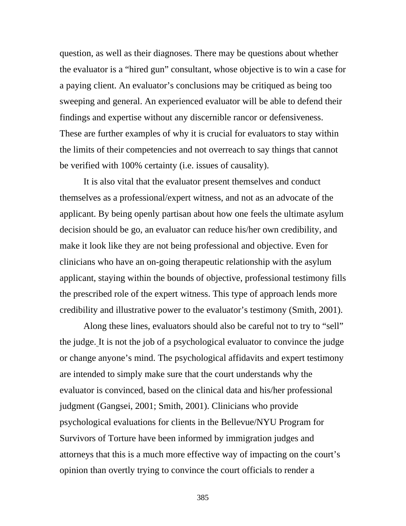question, as well as their diagnoses. There may be questions about whether the evaluator is a "hired gun" consultant, whose objective is to win a case for a paying client. An evaluator's conclusions may be critiqued as being too sweeping and general. An experienced evaluator will be able to defend their findings and expertise without any discernible rancor or defensiveness. These are further examples of why it is crucial for evaluators to stay within the limits of their competencies and not overreach to say things that cannot be verified with 100% certainty (i.e. issues of causality).

It is also vital that the evaluator present themselves and conduct themselves as a professional/expert witness, and not as an advocate of the applicant. By being openly partisan about how one feels the ultimate asylum decision should be go, an evaluator can reduce his/her own credibility, and make it look like they are not being professional and objective. Even for clinicians who have an on-going therapeutic relationship with the asylum applicant, staying within the bounds of objective, professional testimony fills the prescribed role of the expert witness. This type of approach lends more credibility and illustrative power to the evaluator's testimony (Smith, 2001).

Along these lines, evaluators should also be careful not to try to "sell" the judge. It is not the job of a psychological evaluator to convince the judge or change anyone's mind. The psychological affidavits and expert testimony are intended to simply make sure that the court understands why the evaluator is convinced, based on the clinical data and his/her professional judgment (Gangsei, 2001; Smith, 2001). Clinicians who provide psychological evaluations for clients in the Bellevue/NYU Program for Survivors of Torture have been informed by immigration judges and attorneys that this is a much more effective way of impacting on the court's opinion than overtly trying to convince the court officials to render a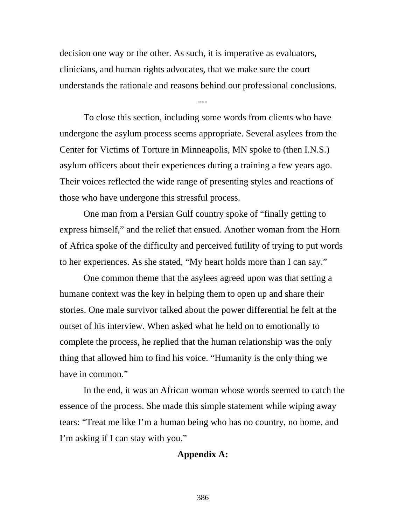decision one way or the other. As such, it is imperative as evaluators, clinicians, and human rights advocates, that we make sure the court understands the rationale and reasons behind our professional conclusions.

---

 To close this section, including some words from clients who have undergone the asylum process seems appropriate. Several asylees from the Center for Victims of Torture in Minneapolis, MN spoke to (then I.N.S.) asylum officers about their experiences during a training a few years ago. Their voices reflected the wide range of presenting styles and reactions of those who have undergone this stressful process.

 One man from a Persian Gulf country spoke of "finally getting to express himself," and the relief that ensued. Another woman from the Horn of Africa spoke of the difficulty and perceived futility of trying to put words to her experiences. As she stated, "My heart holds more than I can say."

 One common theme that the asylees agreed upon was that setting a humane context was the key in helping them to open up and share their stories. One male survivor talked about the power differential he felt at the outset of his interview. When asked what he held on to emotionally to complete the process, he replied that the human relationship was the only thing that allowed him to find his voice. "Humanity is the only thing we have in common."

 In the end, it was an African woman whose words seemed to catch the essence of the process. She made this simple statement while wiping away tears: "Treat me like I'm a human being who has no country, no home, and I'm asking if I can stay with you."

# **Appendix A:**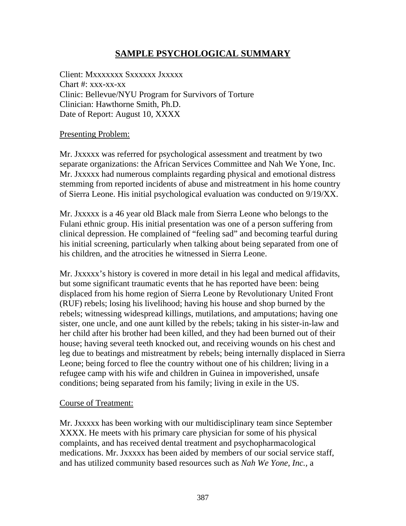# **SAMPLE PSYCHOLOGICAL SUMMARY**

Client: Mxxxxxxx Sxxxxxx Jxxxxx Chart #: xxx-xx-xx Clinic: Bellevue/NYU Program for Survivors of Torture Clinician: Hawthorne Smith, Ph.D. Date of Report: August 10, XXXX

# Presenting Problem:

Mr. Jxxxxx was referred for psychological assessment and treatment by two separate organizations: the African Services Committee and Nah We Yone, Inc. Mr. Jxxxxx had numerous complaints regarding physical and emotional distress stemming from reported incidents of abuse and mistreatment in his home country of Sierra Leone. His initial psychological evaluation was conducted on 9/19/XX.

Mr. Jxxxxx is a 46 year old Black male from Sierra Leone who belongs to the Fulani ethnic group. His initial presentation was one of a person suffering from clinical depression. He complained of "feeling sad" and becoming tearful during his initial screening, particularly when talking about being separated from one of his children, and the atrocities he witnessed in Sierra Leone.

Mr. Jxxxxx's history is covered in more detail in his legal and medical affidavits, but some significant traumatic events that he has reported have been: being displaced from his home region of Sierra Leone by Revolutionary United Front (RUF) rebels; losing his livelihood; having his house and shop burned by the rebels; witnessing widespread killings, mutilations, and amputations; having one sister, one uncle, and one aunt killed by the rebels; taking in his sister-in-law and her child after his brother had been killed, and they had been burned out of their house; having several teeth knocked out, and receiving wounds on his chest and leg due to beatings and mistreatment by rebels; being internally displaced in Sierra Leone; being forced to flee the country without one of his children; living in a refugee camp with his wife and children in Guinea in impoverished, unsafe conditions; being separated from his family; living in exile in the US.

# Course of Treatment:

Mr. Jxxxxx has been working with our multidisciplinary team since September XXXX. He meets with his primary care physician for some of his physical complaints, and has received dental treatment and psychopharmacological medications. Mr. Jxxxxx has been aided by members of our social service staff, and has utilized community based resources such as *Nah We Yone, Inc.,* a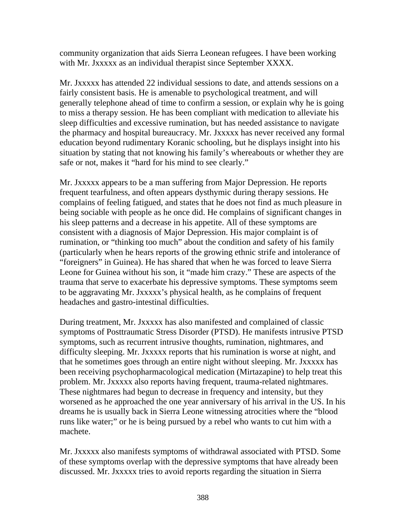community organization that aids Sierra Leonean refugees. I have been working with Mr. Jxxxxx as an individual therapist since September XXXX.

Mr. Jxxxxx has attended 22 individual sessions to date, and attends sessions on a fairly consistent basis. He is amenable to psychological treatment, and will generally telephone ahead of time to confirm a session, or explain why he is going to miss a therapy session. He has been compliant with medication to alleviate his sleep difficulties and excessive rumination, but has needed assistance to navigate the pharmacy and hospital bureaucracy. Mr. Jxxxxx has never received any formal education beyond rudimentary Koranic schooling, but he displays insight into his situation by stating that not knowing his family's whereabouts or whether they are safe or not, makes it "hard for his mind to see clearly."

Mr. Jxxxxx appears to be a man suffering from Major Depression. He reports frequent tearfulness, and often appears dysthymic during therapy sessions. He complains of feeling fatigued, and states that he does not find as much pleasure in being sociable with people as he once did. He complains of significant changes in his sleep patterns and a decrease in his appetite. All of these symptoms are consistent with a diagnosis of Major Depression. His major complaint is of rumination, or "thinking too much" about the condition and safety of his family (particularly when he hears reports of the growing ethnic strife and intolerance of "foreigners" in Guinea). He has shared that when he was forced to leave Sierra Leone for Guinea without his son, it "made him crazy." These are aspects of the trauma that serve to exacerbate his depressive symptoms. These symptoms seem to be aggravating Mr. Jxxxxx's physical health, as he complains of frequent headaches and gastro-intestinal difficulties.

During treatment, Mr. Jxxxxx has also manifested and complained of classic symptoms of Posttraumatic Stress Disorder (PTSD). He manifests intrusive PTSD symptoms, such as recurrent intrusive thoughts, rumination, nightmares, and difficulty sleeping. Mr. Jxxxxx reports that his rumination is worse at night, and that he sometimes goes through an entire night without sleeping. Mr. Jxxxxx has been receiving psychopharmacological medication (Mirtazapine) to help treat this problem. Mr. Jxxxxx also reports having frequent, trauma-related nightmares. These nightmares had begun to decrease in frequency and intensity, but they worsened as he approached the one year anniversary of his arrival in the US. In his dreams he is usually back in Sierra Leone witnessing atrocities where the "blood runs like water;" or he is being pursued by a rebel who wants to cut him with a machete.

Mr. Jxxxxx also manifests symptoms of withdrawal associated with PTSD. Some of these symptoms overlap with the depressive symptoms that have already been discussed. Mr. Jxxxxx tries to avoid reports regarding the situation in Sierra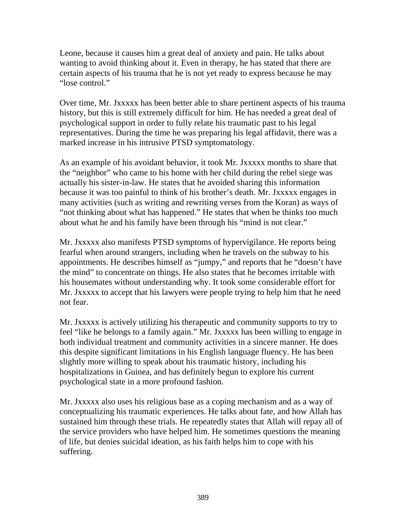Leone, because it causes him a great deal of anxiety and pain. He talks about wanting to avoid thinking about it. Even in therapy, he has stated that there are certain aspects of his trauma that he is not yet ready to express because he may "lose control."

Over time, Mr. Jxxxxx has been better able to share pertinent aspects of his trauma history, but this is still extremely difficult for him. He has needed a great deal of psychological support in order to fully relate his traumatic past to his legal representatives. During the time he was preparing his legal affidavit, there was a marked increase in his intrusive PTSD symptomatology.

As an example of his avoidant behavior, it took Mr. Jxxxxx months to share that the "neighbor" who came to his home with her child during the rebel siege was actually his sister-in-law. He states that he avoided sharing this information because it was too painful to think of his brother's death. Mr. Jxxxxx engages in many activities (such as writing and rewriting verses from the Koran) as ways of "not thinking about what has happened." He states that when he thinks too much about what he and his family have been through his "mind is not clear."

Mr. Jxxxxx also manifests PTSD symptoms of hypervigilance. He reports being fearful when around strangers, including when he travels on the subway to his appointments. He describes himself as "jumpy," and reports that he "doesn't have the mind" to concentrate on things. He also states that he becomes irritable with his housemates without understanding why. It took some considerable effort for Mr. Jxxxxx to accept that his lawyers were people trying to help him that he need not fear.

Mr. Jxxxxx is actively utilizing his therapeutic and community supports to try to feel "like he belongs to a family again." Mr. Jxxxxx has been willing to engage in both individual treatment and community activities in a sincere manner. He does this despite significant limitations in his English language fluency. He has been slightly more willing to speak about his traumatic history, including his hospitalizations in Guinea, and has definitely begun to explore his current psychological state in a more profound fashion.

Mr. Jxxxxx also uses his religious base as a coping mechanism and as a way of conceptualizing his traumatic experiences. He talks about fate, and how Allah has sustained him through these trials. He repeatedly states that Allah will repay all of the service providers who have helped him. He sometimes questions the meaning of life, but denies suicidal ideation, as his faith helps him to cope with his suffering.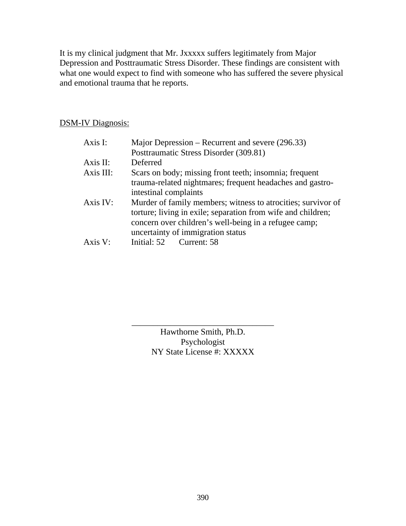It is my clinical judgment that Mr. Jxxxxx suffers legitimately from Major Depression and Posttraumatic Stress Disorder. These findings are consistent with what one would expect to find with someone who has suffered the severe physical and emotional trauma that he reports.

# DSM-IV Diagnosis:

| Axis I:     | Major Depression – Recurrent and severe (296.33)                                                                                                                                                                           |
|-------------|----------------------------------------------------------------------------------------------------------------------------------------------------------------------------------------------------------------------------|
|             | Posttraumatic Stress Disorder (309.81)                                                                                                                                                                                     |
| Axis II:    | Deferred                                                                                                                                                                                                                   |
| Axis III:   | Scars on body; missing front teeth; insomnia; frequent                                                                                                                                                                     |
|             | trauma-related nightmares; frequent headaches and gastro-<br>intestinal complaints                                                                                                                                         |
| Axis IV:    | Murder of family members; witness to atrocities; survivor of<br>torture; living in exile; separation from wife and children;<br>concern over children's well-being in a refugee camp;<br>uncertainty of immigration status |
| $A$ xis $V$ | Initial: 52 Current: 58                                                                                                                                                                                                    |

Hawthorne Smith, Ph.D. Psychologist NY State License #: XXXXX

\_\_\_\_\_\_\_\_\_\_\_\_\_\_\_\_\_\_\_\_\_\_\_\_\_\_\_\_\_\_\_\_\_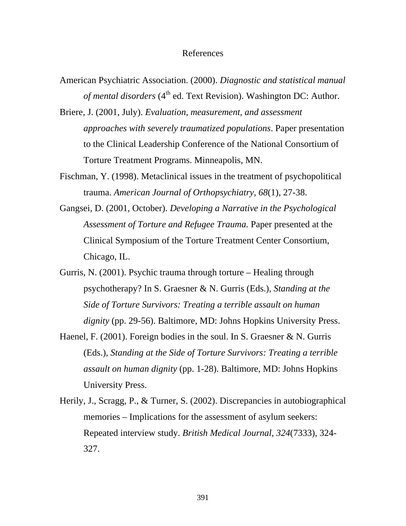#### References

- American Psychiatric Association. (2000). *Diagnostic and statistical manual of mental disorders* (4<sup>th</sup> ed. Text Revision). Washington DC: Author.
- Briere, J. (2001, July). *Evaluation, measurement, and assessment approaches with severely traumatized populations*. Paper presentation to the Clinical Leadership Conference of the National Consortium of Torture Treatment Programs. Minneapolis, MN.
- Fischman, Y. (1998). Metaclinical issues in the treatment of psychopolitical trauma. *American Journal of Orthopsychiatry, 68*(1), 27-38.
- Gangsei, D. (2001, October). *Developing a Narrative in the Psychological Assessment of Torture and Refugee Trauma.* Paper presented at the Clinical Symposium of the Torture Treatment Center Consortium, Chicago, IL.
- Gurris, N. (2001). Psychic trauma through torture Healing through psychotherapy? In S. Graesner & N. Gurris (Eds.), *Standing at the Side of Torture Survivors: Treating a terrible assault on human dignity* (pp. 29-56). Baltimore, MD: Johns Hopkins University Press.
- Haenel, F. (2001). Foreign bodies in the soul. In S. Graesner & N. Gurris (Eds.), *Standing at the Side of Torture Survivors: Treating a terrible assault on human dignity* (pp. 1-28). Baltimore, MD: Johns Hopkins University Press.
- Herily, J., Scragg, P., & Turner, S. (2002). Discrepancies in autobiographical memories – Implications for the assessment of asylum seekers: Repeated interview study. *British Medical Journal, 324*(7333), 324- 327.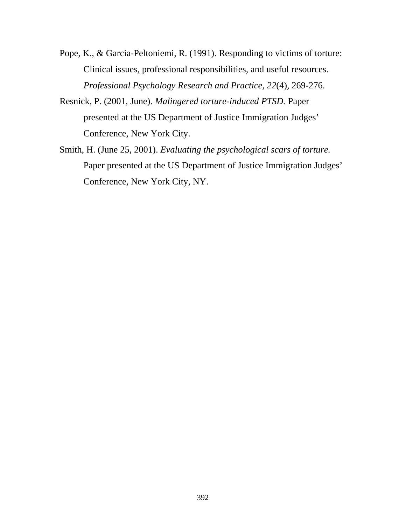- Pope, K., & Garcia-Peltoniemi, R. (1991). Responding to victims of torture: Clinical issues, professional responsibilities, and useful resources. *Professional Psychology Research and Practice, 22*(4), 269-276.
- Resnick, P. (2001, June). *Malingered torture-induced PTSD.* Paper presented at the US Department of Justice Immigration Judges' Conference, New York City.
- Smith, H. (June 25, 2001). *Evaluating the psychological scars of torture.* Paper presented at the US Department of Justice Immigration Judges' Conference, New York City, NY.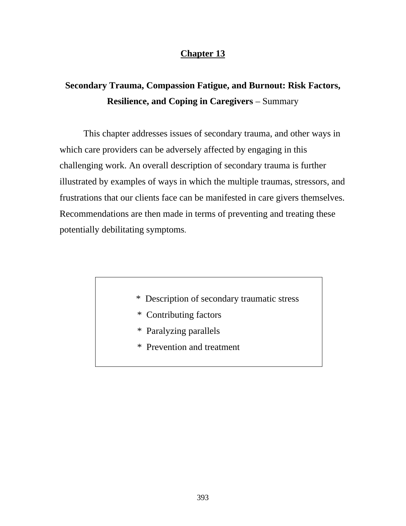# **Chapter 13**

# **Secondary Trauma, Compassion Fatigue, and Burnout: Risk Factors, Resilience, and Coping in Caregivers** – Summary

 This chapter addresses issues of secondary trauma, and other ways in which care providers can be adversely affected by engaging in this challenging work. An overall description of secondary trauma is further illustrated by examples of ways in which the multiple traumas, stressors, and frustrations that our clients face can be manifested in care givers themselves. Recommendations are then made in terms of preventing and treating these potentially debilitating symptoms.

- \* Description of secondary traumatic stress
- \* Contributing factors
- \* Paralyzing parallels
- \* Prevention and treatment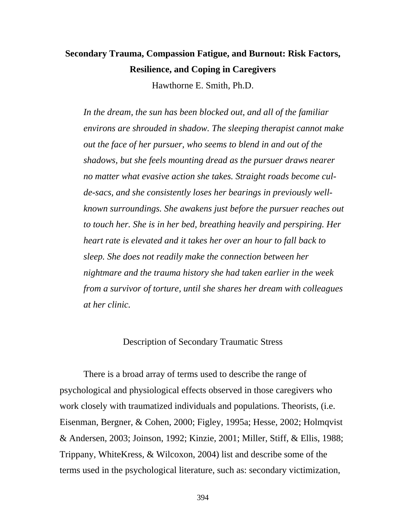# **Secondary Trauma, Compassion Fatigue, and Burnout: Risk Factors, Resilience, and Coping in Caregivers**

Hawthorne E. Smith, Ph.D.

*In the dream, the sun has been blocked out, and all of the familiar environs are shrouded in shadow. The sleeping therapist cannot make out the face of her pursuer, who seems to blend in and out of the shadows, but she feels mounting dread as the pursuer draws nearer no matter what evasive action she takes. Straight roads become culde-sacs, and she consistently loses her bearings in previously wellknown surroundings. She awakens just before the pursuer reaches out to touch her. She is in her bed, breathing heavily and perspiring. Her heart rate is elevated and it takes her over an hour to fall back to sleep. She does not readily make the connection between her nightmare and the trauma history she had taken earlier in the week from a survivor of torture, until she shares her dream with colleagues at her clinic.*

#### Description of Secondary Traumatic Stress

There is a broad array of terms used to describe the range of psychological and physiological effects observed in those caregivers who work closely with traumatized individuals and populations. Theorists, (i.e. Eisenman, Bergner, & Cohen, 2000; Figley, 1995a; Hesse, 2002; Holmqvist & Andersen, 2003; Joinson, 1992; Kinzie, 2001; Miller, Stiff, & Ellis, 1988; Trippany, WhiteKress, & Wilcoxon, 2004) list and describe some of the terms used in the psychological literature, such as: secondary victimization,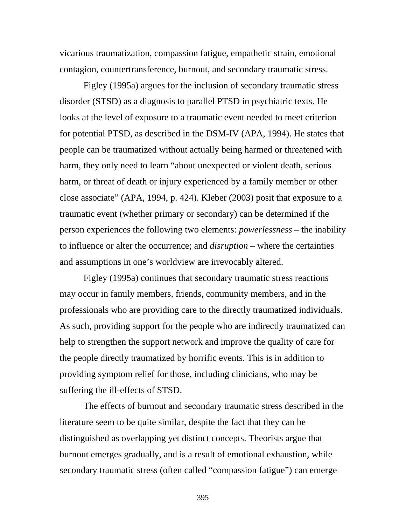vicarious traumatization, compassion fatigue, empathetic strain, emotional contagion, countertransference, burnout, and secondary traumatic stress.

Figley (1995a) argues for the inclusion of secondary traumatic stress disorder (STSD) as a diagnosis to parallel PTSD in psychiatric texts. He looks at the level of exposure to a traumatic event needed to meet criterion for potential PTSD, as described in the DSM-IV (APA, 1994). He states that people can be traumatized without actually being harmed or threatened with harm, they only need to learn "about unexpected or violent death, serious harm, or threat of death or injury experienced by a family member or other close associate" (APA, 1994, p. 424). Kleber (2003) posit that exposure to a traumatic event (whether primary or secondary) can be determined if the person experiences the following two elements: *powerlessness* – the inability to influence or alter the occurrence; and *disruption* – where the certainties and assumptions in one's worldview are irrevocably altered.

Figley (1995a) continues that secondary traumatic stress reactions may occur in family members, friends, community members, and in the professionals who are providing care to the directly traumatized individuals. As such, providing support for the people who are indirectly traumatized can help to strengthen the support network and improve the quality of care for the people directly traumatized by horrific events. This is in addition to providing symptom relief for those, including clinicians, who may be suffering the ill-effects of STSD.

The effects of burnout and secondary traumatic stress described in the literature seem to be quite similar, despite the fact that they can be distinguished as overlapping yet distinct concepts. Theorists argue that burnout emerges gradually, and is a result of emotional exhaustion, while secondary traumatic stress (often called "compassion fatigue") can emerge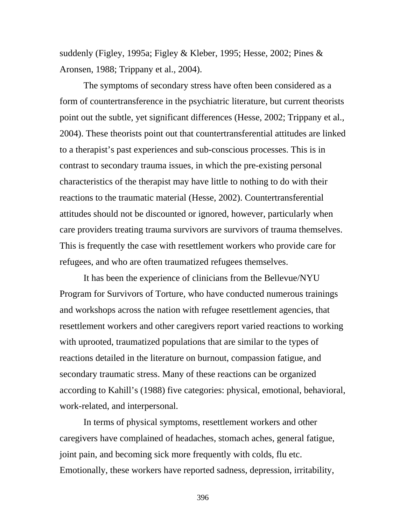suddenly (Figley, 1995a; Figley & Kleber, 1995; Hesse, 2002; Pines & Aronsen, 1988; Trippany et al., 2004).

The symptoms of secondary stress have often been considered as a form of countertransference in the psychiatric literature, but current theorists point out the subtle, yet significant differences (Hesse, 2002; Trippany et al., 2004). These theorists point out that countertransferential attitudes are linked to a therapist's past experiences and sub-conscious processes. This is in contrast to secondary trauma issues, in which the pre-existing personal characteristics of the therapist may have little to nothing to do with their reactions to the traumatic material (Hesse, 2002). Countertransferential attitudes should not be discounted or ignored, however, particularly when care providers treating trauma survivors are survivors of trauma themselves. This is frequently the case with resettlement workers who provide care for refugees, and who are often traumatized refugees themselves.

It has been the experience of clinicians from the Bellevue/NYU Program for Survivors of Torture, who have conducted numerous trainings and workshops across the nation with refugee resettlement agencies, that resettlement workers and other caregivers report varied reactions to working with uprooted, traumatized populations that are similar to the types of reactions detailed in the literature on burnout, compassion fatigue, and secondary traumatic stress. Many of these reactions can be organized according to Kahill's (1988) five categories: physical, emotional, behavioral, work-related, and interpersonal.

In terms of physical symptoms, resettlement workers and other caregivers have complained of headaches, stomach aches, general fatigue, joint pain, and becoming sick more frequently with colds, flu etc. Emotionally, these workers have reported sadness, depression, irritability,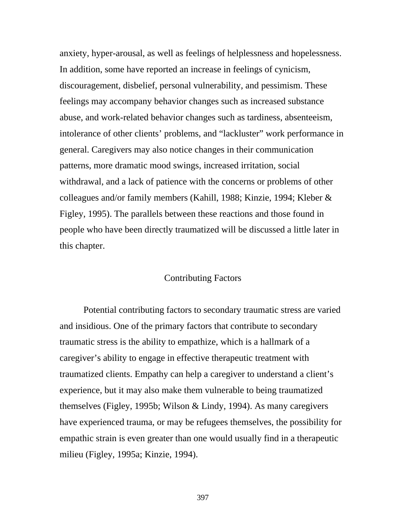anxiety, hyper-arousal, as well as feelings of helplessness and hopelessness. In addition, some have reported an increase in feelings of cynicism, discouragement, disbelief, personal vulnerability, and pessimism. These feelings may accompany behavior changes such as increased substance abuse, and work-related behavior changes such as tardiness, absenteeism, intolerance of other clients' problems, and "lackluster" work performance in general. Caregivers may also notice changes in their communication patterns, more dramatic mood swings, increased irritation, social withdrawal, and a lack of patience with the concerns or problems of other colleagues and/or family members (Kahill, 1988; Kinzie, 1994; Kleber & Figley, 1995). The parallels between these reactions and those found in people who have been directly traumatized will be discussed a little later in this chapter.

#### Contributing Factors

Potential contributing factors to secondary traumatic stress are varied and insidious. One of the primary factors that contribute to secondary traumatic stress is the ability to empathize, which is a hallmark of a caregiver's ability to engage in effective therapeutic treatment with traumatized clients. Empathy can help a caregiver to understand a client's experience, but it may also make them vulnerable to being traumatized themselves (Figley, 1995b; Wilson & Lindy, 1994). As many caregivers have experienced trauma, or may be refugees themselves, the possibility for empathic strain is even greater than one would usually find in a therapeutic milieu (Figley, 1995a; Kinzie, 1994).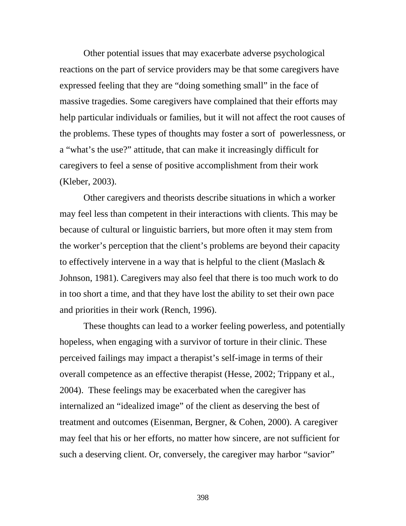Other potential issues that may exacerbate adverse psychological reactions on the part of service providers may be that some caregivers have expressed feeling that they are "doing something small" in the face of massive tragedies. Some caregivers have complained that their efforts may help particular individuals or families, but it will not affect the root causes of the problems. These types of thoughts may foster a sort of powerlessness, or a "what's the use?" attitude, that can make it increasingly difficult for caregivers to feel a sense of positive accomplishment from their work (Kleber, 2003).

Other caregivers and theorists describe situations in which a worker may feel less than competent in their interactions with clients. This may be because of cultural or linguistic barriers, but more often it may stem from the worker's perception that the client's problems are beyond their capacity to effectively intervene in a way that is helpful to the client (Maslach  $\&$ Johnson, 1981). Caregivers may also feel that there is too much work to do in too short a time, and that they have lost the ability to set their own pace and priorities in their work (Rench, 1996).

These thoughts can lead to a worker feeling powerless, and potentially hopeless, when engaging with a survivor of torture in their clinic. These perceived failings may impact a therapist's self-image in terms of their overall competence as an effective therapist (Hesse, 2002; Trippany et al., 2004). These feelings may be exacerbated when the caregiver has internalized an "idealized image" of the client as deserving the best of treatment and outcomes (Eisenman, Bergner, & Cohen, 2000). A caregiver may feel that his or her efforts, no matter how sincere, are not sufficient for such a deserving client. Or, conversely, the caregiver may harbor "savior"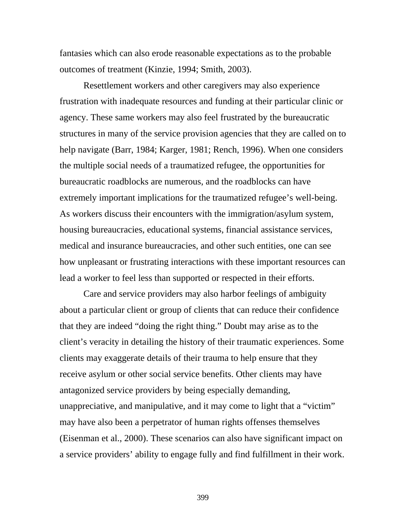fantasies which can also erode reasonable expectations as to the probable outcomes of treatment (Kinzie, 1994; Smith, 2003).

Resettlement workers and other caregivers may also experience frustration with inadequate resources and funding at their particular clinic or agency. These same workers may also feel frustrated by the bureaucratic structures in many of the service provision agencies that they are called on to help navigate (Barr, 1984; Karger, 1981; Rench, 1996). When one considers the multiple social needs of a traumatized refugee, the opportunities for bureaucratic roadblocks are numerous, and the roadblocks can have extremely important implications for the traumatized refugee's well-being. As workers discuss their encounters with the immigration/asylum system, housing bureaucracies, educational systems, financial assistance services, medical and insurance bureaucracies, and other such entities, one can see how unpleasant or frustrating interactions with these important resources can lead a worker to feel less than supported or respected in their efforts.

Care and service providers may also harbor feelings of ambiguity about a particular client or group of clients that can reduce their confidence that they are indeed "doing the right thing." Doubt may arise as to the client's veracity in detailing the history of their traumatic experiences. Some clients may exaggerate details of their trauma to help ensure that they receive asylum or other social service benefits. Other clients may have antagonized service providers by being especially demanding, unappreciative, and manipulative, and it may come to light that a "victim" may have also been a perpetrator of human rights offenses themselves (Eisenman et al., 2000). These scenarios can also have significant impact on a service providers' ability to engage fully and find fulfillment in their work.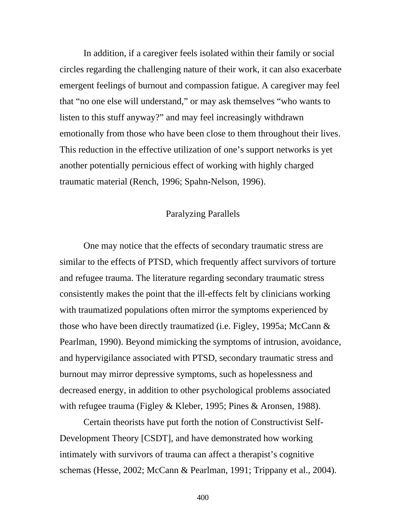In addition, if a caregiver feels isolated within their family or social circles regarding the challenging nature of their work, it can also exacerbate emergent feelings of burnout and compassion fatigue. A caregiver may feel that "no one else will understand," or may ask themselves "who wants to listen to this stuff anyway?" and may feel increasingly withdrawn emotionally from those who have been close to them throughout their lives. This reduction in the effective utilization of one's support networks is yet another potentially pernicious effect of working with highly charged traumatic material (Rench, 1996; Spahn-Nelson, 1996).

#### Paralyzing Parallels

One may notice that the effects of secondary traumatic stress are similar to the effects of PTSD, which frequently affect survivors of torture and refugee trauma. The literature regarding secondary traumatic stress consistently makes the point that the ill-effects felt by clinicians working with traumatized populations often mirror the symptoms experienced by those who have been directly traumatized (i.e. Figley, 1995a; McCann & Pearlman, 1990). Beyond mimicking the symptoms of intrusion, avoidance, and hypervigilance associated with PTSD, secondary traumatic stress and burnout may mirror depressive symptoms, such as hopelessness and decreased energy, in addition to other psychological problems associated with refugee trauma (Figley & Kleber, 1995; Pines & Aronsen, 1988).

Certain theorists have put forth the notion of Constructivist Self-Development Theory [CSDT], and have demonstrated how working intimately with survivors of trauma can affect a therapist's cognitive schemas (Hesse, 2002; McCann & Pearlman, 1991; Trippany et al., 2004).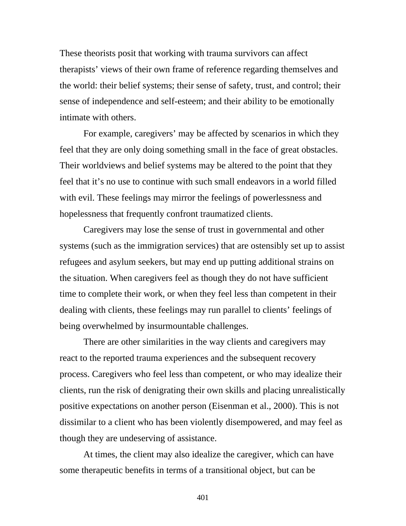These theorists posit that working with trauma survivors can affect therapists' views of their own frame of reference regarding themselves and the world: their belief systems; their sense of safety, trust, and control; their sense of independence and self-esteem; and their ability to be emotionally intimate with others.

For example, caregivers' may be affected by scenarios in which they feel that they are only doing something small in the face of great obstacles. Their worldviews and belief systems may be altered to the point that they feel that it's no use to continue with such small endeavors in a world filled with evil. These feelings may mirror the feelings of powerlessness and hopelessness that frequently confront traumatized clients.

Caregivers may lose the sense of trust in governmental and other systems (such as the immigration services) that are ostensibly set up to assist refugees and asylum seekers, but may end up putting additional strains on the situation. When caregivers feel as though they do not have sufficient time to complete their work, or when they feel less than competent in their dealing with clients, these feelings may run parallel to clients' feelings of being overwhelmed by insurmountable challenges.

There are other similarities in the way clients and caregivers may react to the reported trauma experiences and the subsequent recovery process. Caregivers who feel less than competent, or who may idealize their clients, run the risk of denigrating their own skills and placing unrealistically positive expectations on another person (Eisenman et al., 2000). This is not dissimilar to a client who has been violently disempowered, and may feel as though they are undeserving of assistance.

At times, the client may also idealize the caregiver, which can have some therapeutic benefits in terms of a transitional object, but can be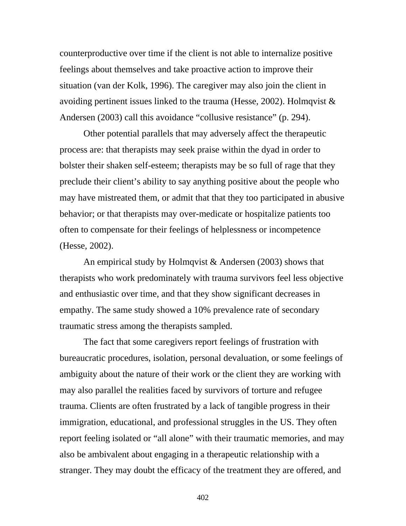counterproductive over time if the client is not able to internalize positive feelings about themselves and take proactive action to improve their situation (van der Kolk, 1996). The caregiver may also join the client in avoiding pertinent issues linked to the trauma (Hesse, 2002). Holmqvist  $\&$ Andersen (2003) call this avoidance "collusive resistance" (p. 294).

Other potential parallels that may adversely affect the therapeutic process are: that therapists may seek praise within the dyad in order to bolster their shaken self-esteem; therapists may be so full of rage that they preclude their client's ability to say anything positive about the people who may have mistreated them, or admit that that they too participated in abusive behavior; or that therapists may over-medicate or hospitalize patients too often to compensate for their feelings of helplessness or incompetence (Hesse, 2002).

An empirical study by Holmqvist & Andersen (2003) shows that therapists who work predominately with trauma survivors feel less objective and enthusiastic over time, and that they show significant decreases in empathy. The same study showed a 10% prevalence rate of secondary traumatic stress among the therapists sampled.

The fact that some caregivers report feelings of frustration with bureaucratic procedures, isolation, personal devaluation, or some feelings of ambiguity about the nature of their work or the client they are working with may also parallel the realities faced by survivors of torture and refugee trauma. Clients are often frustrated by a lack of tangible progress in their immigration, educational, and professional struggles in the US. They often report feeling isolated or "all alone" with their traumatic memories, and may also be ambivalent about engaging in a therapeutic relationship with a stranger. They may doubt the efficacy of the treatment they are offered, and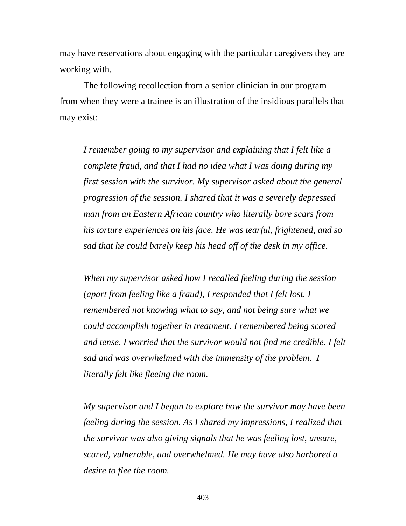may have reservations about engaging with the particular caregivers they are working with.

The following recollection from a senior clinician in our program from when they were a trainee is an illustration of the insidious parallels that may exist:

*I remember going to my supervisor and explaining that I felt like a complete fraud, and that I had no idea what I was doing during my first session with the survivor. My supervisor asked about the general progression of the session. I shared that it was a severely depressed man from an Eastern African country who literally bore scars from his torture experiences on his face. He was tearful, frightened, and so sad that he could barely keep his head off of the desk in my office.* 

*When my supervisor asked how I recalled feeling during the session (apart from feeling like a fraud), I responded that I felt lost. I remembered not knowing what to say, and not being sure what we could accomplish together in treatment. I remembered being scared and tense. I worried that the survivor would not find me credible. I felt sad and was overwhelmed with the immensity of the problem. I literally felt like fleeing the room.* 

*My supervisor and I began to explore how the survivor may have been feeling during the session. As I shared my impressions, I realized that the survivor was also giving signals that he was feeling lost, unsure, scared, vulnerable, and overwhelmed. He may have also harbored a desire to flee the room.*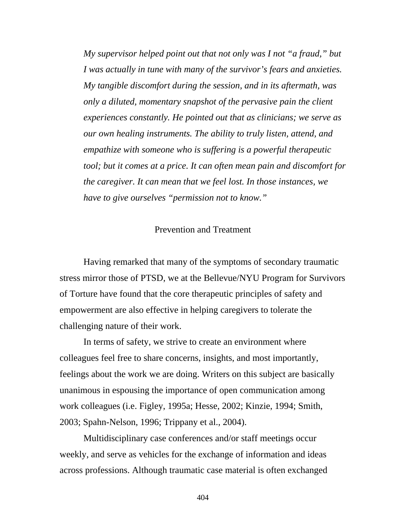*My supervisor helped point out that not only was I not "a fraud," but I was actually in tune with many of the survivor's fears and anxieties. My tangible discomfort during the session, and in its aftermath, was only a diluted, momentary snapshot of the pervasive pain the client experiences constantly. He pointed out that as clinicians; we serve as our own healing instruments. The ability to truly listen, attend, and empathize with someone who is suffering is a powerful therapeutic tool; but it comes at a price. It can often mean pain and discomfort for the caregiver. It can mean that we feel lost. In those instances, we have to give ourselves "permission not to know."* 

# Prevention and Treatment

Having remarked that many of the symptoms of secondary traumatic stress mirror those of PTSD, we at the Bellevue/NYU Program for Survivors of Torture have found that the core therapeutic principles of safety and empowerment are also effective in helping caregivers to tolerate the challenging nature of their work.

In terms of safety, we strive to create an environment where colleagues feel free to share concerns, insights, and most importantly, feelings about the work we are doing. Writers on this subject are basically unanimous in espousing the importance of open communication among work colleagues (i.e. Figley, 1995a; Hesse, 2002; Kinzie, 1994; Smith, 2003; Spahn-Nelson, 1996; Trippany et al., 2004).

Multidisciplinary case conferences and/or staff meetings occur weekly, and serve as vehicles for the exchange of information and ideas across professions. Although traumatic case material is often exchanged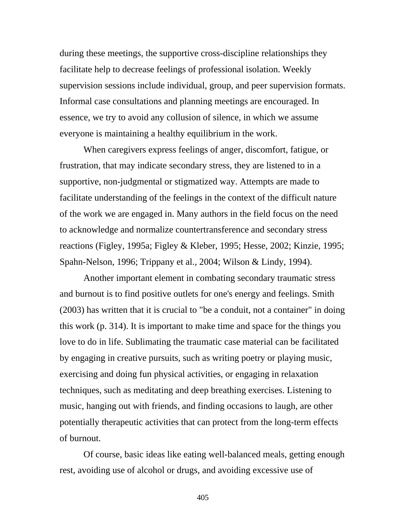during these meetings, the supportive cross-discipline relationships they facilitate help to decrease feelings of professional isolation. Weekly supervision sessions include individual, group, and peer supervision formats. Informal case consultations and planning meetings are encouraged. In essence, we try to avoid any collusion of silence, in which we assume everyone is maintaining a healthy equilibrium in the work.

When caregivers express feelings of anger, discomfort, fatigue, or frustration, that may indicate secondary stress, they are listened to in a supportive, non-judgmental or stigmatized way. Attempts are made to facilitate understanding of the feelings in the context of the difficult nature of the work we are engaged in. Many authors in the field focus on the need to acknowledge and normalize countertransference and secondary stress reactions (Figley, 1995a; Figley & Kleber, 1995; Hesse, 2002; Kinzie, 1995; Spahn-Nelson, 1996; Trippany et al., 2004; Wilson & Lindy, 1994).

 Another important element in combating secondary traumatic stress and burnout is to find positive outlets for one's energy and feelings. Smith (2003) has written that it is crucial to "be a conduit, not a container" in doing this work (p. 314). It is important to make time and space for the things you love to do in life. Sublimating the traumatic case material can be facilitated by engaging in creative pursuits, such as writing poetry or playing music, exercising and doing fun physical activities, or engaging in relaxation techniques, such as meditating and deep breathing exercises. Listening to music, hanging out with friends, and finding occasions to laugh, are other potentially therapeutic activities that can protect from the long-term effects of burnout.

Of course, basic ideas like eating well-balanced meals, getting enough rest, avoiding use of alcohol or drugs, and avoiding excessive use of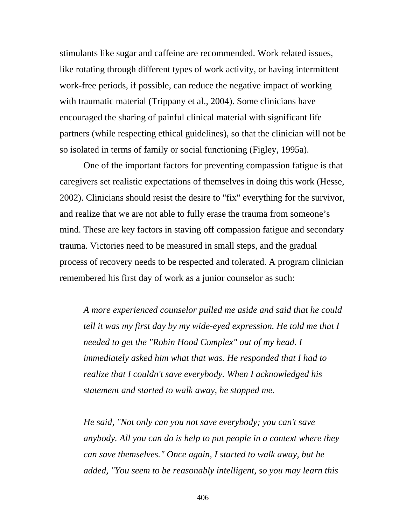stimulants like sugar and caffeine are recommended. Work related issues, like rotating through different types of work activity, or having intermittent work-free periods, if possible, can reduce the negative impact of working with traumatic material (Trippany et al., 2004). Some clinicians have encouraged the sharing of painful clinical material with significant life partners (while respecting ethical guidelines), so that the clinician will not be so isolated in terms of family or social functioning (Figley, 1995a).

One of the important factors for preventing compassion fatigue is that caregivers set realistic expectations of themselves in doing this work (Hesse, 2002). Clinicians should resist the desire to "fix" everything for the survivor, and realize that we are not able to fully erase the trauma from someone's mind. These are key factors in staving off compassion fatigue and secondary trauma. Victories need to be measured in small steps, and the gradual process of recovery needs to be respected and tolerated. A program clinician remembered his first day of work as a junior counselor as such:

*A more experienced counselor pulled me aside and said that he could tell it was my first day by my wide-eyed expression. He told me that I needed to get the "Robin Hood Complex" out of my head. I immediately asked him what that was. He responded that I had to realize that I couldn't save everybody. When I acknowledged his statement and started to walk away, he stopped me.* 

*He said, "Not only can you not save everybody; you can't save anybody. All you can do is help to put people in a context where they can save themselves." Once again, I started to walk away, but he added, "You seem to be reasonably intelligent, so you may learn this*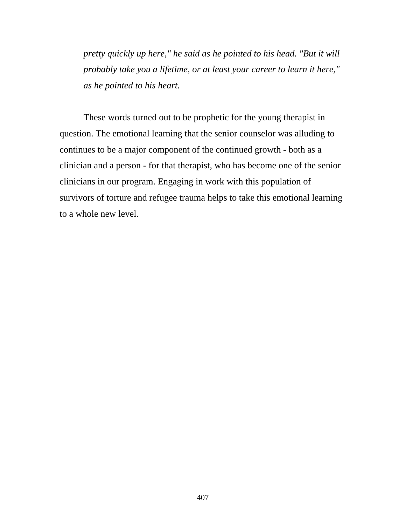*pretty quickly up here," he said as he pointed to his head. "But it will probably take you a lifetime, or at least your career to learn it here," as he pointed to his heart.*

These words turned out to be prophetic for the young therapist in question. The emotional learning that the senior counselor was alluding to continues to be a major component of the continued growth - both as a clinician and a person - for that therapist, who has become one of the senior clinicians in our program. Engaging in work with this population of survivors of torture and refugee trauma helps to take this emotional learning to a whole new level.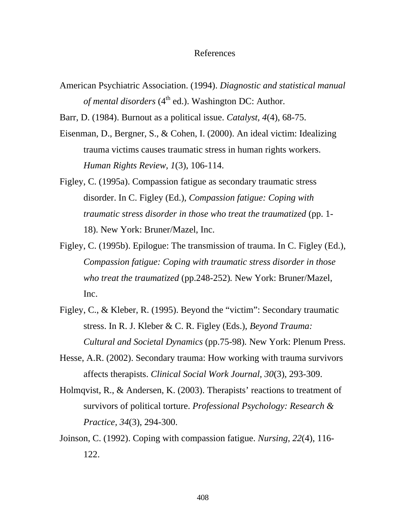#### References

American Psychiatric Association. (1994). *Diagnostic and statistical manual of mental disorders*  $(4<sup>th</sup>$  ed.). Washington DC: Author.

Barr, D. (1984). Burnout as a political issue. *Catalyst, 4*(4), 68-75.

- Eisenman, D., Bergner, S., & Cohen, I. (2000). An ideal victim: Idealizing trauma victims causes traumatic stress in human rights workers. *Human Rights Review, 1*(3), 106-114.
- Figley, C. (1995a). Compassion fatigue as secondary traumatic stress disorder. In C. Figley (Ed.), *Compassion fatigue: Coping with traumatic stress disorder in those who treat the traumatized* (pp. 1- 18). New York: Bruner/Mazel, Inc.
- Figley, C. (1995b). Epilogue: The transmission of trauma. In C. Figley (Ed.), *Compassion fatigue: Coping with traumatic stress disorder in those who treat the traumatized* (pp.248-252)*.* New York: Bruner/Mazel, Inc.
- Figley, C., & Kleber, R. (1995). Beyond the "victim": Secondary traumatic stress. In R. J. Kleber & C. R. Figley (Eds.), *Beyond Trauma: Cultural and Societal Dynamics* (pp.75-98)*.* New York: Plenum Press.
- Hesse, A.R. (2002). Secondary trauma: How working with trauma survivors affects therapists. *Clinical Social Work Journal, 30*(3), 293-309.
- Holmqvist, R., & Andersen, K. (2003). Therapists' reactions to treatment of survivors of political torture. *Professional Psychology: Research & Practice, 34*(3), 294-300.
- Joinson, C. (1992). Coping with compassion fatigue. *Nursing, 22*(4), 116- 122.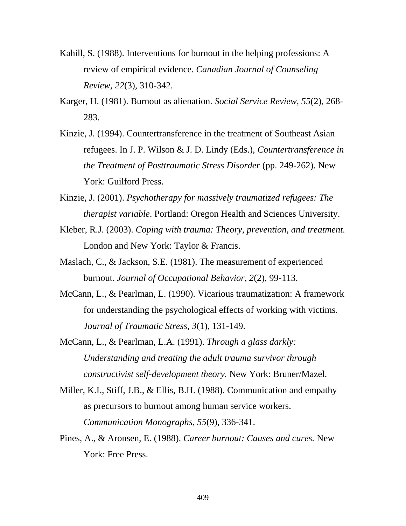- Kahill, S. (1988). Interventions for burnout in the helping professions: A review of empirical evidence. *Canadian Journal of Counseling Review, 22*(3), 310-342.
- Karger, H. (1981). Burnout as alienation. *Social Service Review, 55*(2), 268- 283.
- Kinzie, J. (1994). Countertransference in the treatment of Southeast Asian refugees. In J. P. Wilson & J. D. Lindy (Eds.), *Countertransference in the Treatment of Posttraumatic Stress Disorder* (pp. 249-262)*.* New York: Guilford Press.
- Kinzie, J. (2001). *Psychotherapy for massively traumatized refugees: The therapist variable*. Portland: Oregon Health and Sciences University.
- Kleber, R.J. (2003). *Coping with trauma: Theory, prevention, and treatment.* London and New York: Taylor & Francis.
- Maslach, C., & Jackson, S.E. (1981). The measurement of experienced burnout. *Journal of Occupational Behavior, 2*(2), 99-113.
- McCann, L., & Pearlman, L. (1990). Vicarious traumatization: A framework for understanding the psychological effects of working with victims. *Journal of Traumatic Stress, 3*(1), 131-149.
- McCann, L., & Pearlman, L.A. (1991). *Through a glass darkly: Understanding and treating the adult trauma survivor through constructivist self-development theory.* New York: Bruner/Mazel.
- Miller, K.I., Stiff, J.B., & Ellis, B.H. (1988). Communication and empathy as precursors to burnout among human service workers. *Communication Monographs, 55*(9), 336-341.
- Pines, A., & Aronsen, E. (1988). *Career burnout: Causes and cures.* New York: Free Press.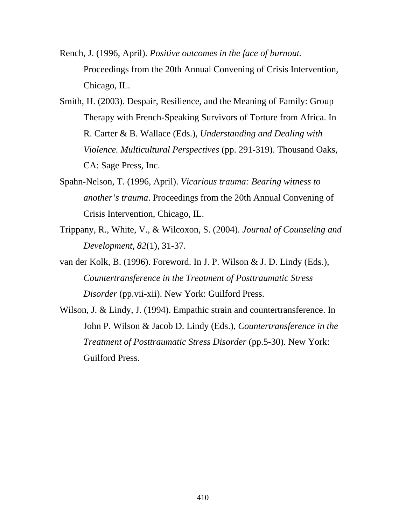- Rench, J. (1996, April). *Positive outcomes in the face of burnout.* Proceedings from the 20th Annual Convening of Crisis Intervention, Chicago, IL.
- Smith, H. (2003). Despair, Resilience, and the Meaning of Family: Group Therapy with French-Speaking Survivors of Torture from Africa. In R. Carter & B. Wallace (Eds.), *Understanding and Dealing with Violence. Multicultural Perspectives* (pp. 291-319). Thousand Oaks, CA: Sage Press, Inc.
- Spahn-Nelson, T. (1996, April). *Vicarious trauma: Bearing witness to another's trauma*. Proceedings from the 20th Annual Convening of Crisis Intervention, Chicago, IL.
- Trippany, R., White, V., & Wilcoxon, S. (2004). *Journal of Counseling and Development, 82*(1), 31-37.
- van der Kolk, B. (1996). Foreword. In J. P. Wilson & J. D. Lindy (Eds*.*), *Countertransference in the Treatment of Posttraumatic Stress Disorder* (pp.vii-xii). New York: Guilford Press.
- Wilson, J. & Lindy, J. (1994). Empathic strain and countertransference. In John P. Wilson & Jacob D. Lindy (Eds.), *Countertransference in the Treatment of Posttraumatic Stress Disorder* (pp.5-30). New York: Guilford Press.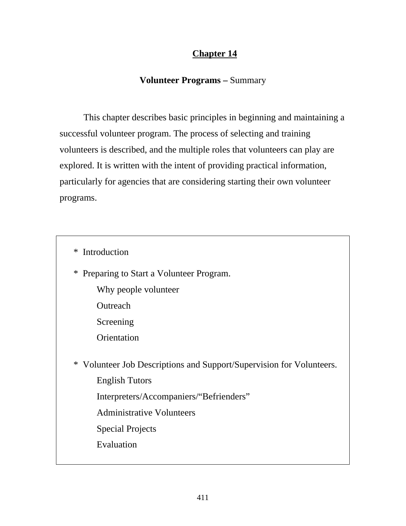# **Chapter 14**

# **Volunteer Programs –** Summary

 This chapter describes basic principles in beginning and maintaining a successful volunteer program. The process of selecting and training volunteers is described, and the multiple roles that volunteers can play are explored. It is written with the intent of providing practical information, particularly for agencies that are considering starting their own volunteer programs.

\* Introduction

\* Preparing to Start a Volunteer Program.

Why people volunteer

**Outreach** 

Screening

**Orientation** 

 \* Volunteer Job Descriptions and Support/Supervision for Volunteers. English Tutors Interpreters/Accompaniers/"Befrienders"

Administrative Volunteers

Special Projects

Evaluation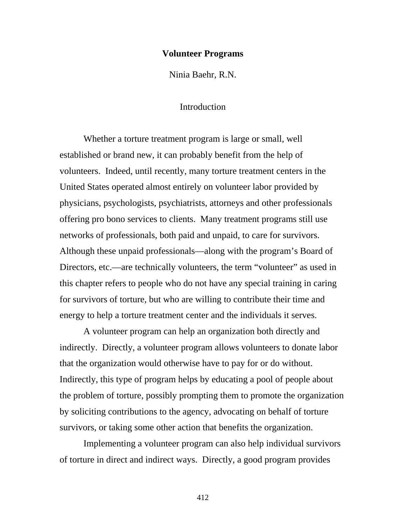#### **Volunteer Programs**

Ninia Baehr, R.N.

# Introduction

Whether a torture treatment program is large or small, well established or brand new, it can probably benefit from the help of volunteers. Indeed, until recently, many torture treatment centers in the United States operated almost entirely on volunteer labor provided by physicians, psychologists, psychiatrists, attorneys and other professionals offering pro bono services to clients. Many treatment programs still use networks of professionals, both paid and unpaid, to care for survivors. Although these unpaid professionals—along with the program's Board of Directors, etc.—are technically volunteers, the term "volunteer" as used in this chapter refers to people who do not have any special training in caring for survivors of torture, but who are willing to contribute their time and energy to help a torture treatment center and the individuals it serves.

A volunteer program can help an organization both directly and indirectly. Directly, a volunteer program allows volunteers to donate labor that the organization would otherwise have to pay for or do without. Indirectly, this type of program helps by educating a pool of people about the problem of torture, possibly prompting them to promote the organization by soliciting contributions to the agency, advocating on behalf of torture survivors, or taking some other action that benefits the organization.

Implementing a volunteer program can also help individual survivors of torture in direct and indirect ways. Directly, a good program provides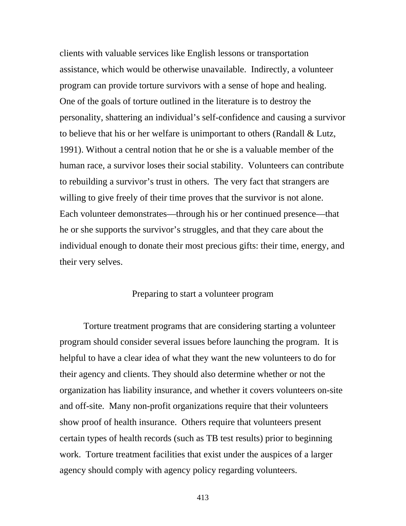clients with valuable services like English lessons or transportation assistance, which would be otherwise unavailable. Indirectly, a volunteer program can provide torture survivors with a sense of hope and healing. One of the goals of torture outlined in the literature is to destroy the personality, shattering an individual's self-confidence and causing a survivor to believe that his or her welfare is unimportant to others (Randall & Lutz, 1991). Without a central notion that he or she is a valuable member of the human race, a survivor loses their social stability. Volunteers can contribute to rebuilding a survivor's trust in others. The very fact that strangers are willing to give freely of their time proves that the survivor is not alone. Each volunteer demonstrates—through his or her continued presence—that he or she supports the survivor's struggles, and that they care about the individual enough to donate their most precious gifts: their time, energy, and their very selves.

# Preparing to start a volunteer program

Torture treatment programs that are considering starting a volunteer program should consider several issues before launching the program. It is helpful to have a clear idea of what they want the new volunteers to do for their agency and clients. They should also determine whether or not the organization has liability insurance, and whether it covers volunteers on-site and off-site. Many non-profit organizations require that their volunteers show proof of health insurance. Others require that volunteers present certain types of health records (such as TB test results) prior to beginning work. Torture treatment facilities that exist under the auspices of a larger agency should comply with agency policy regarding volunteers.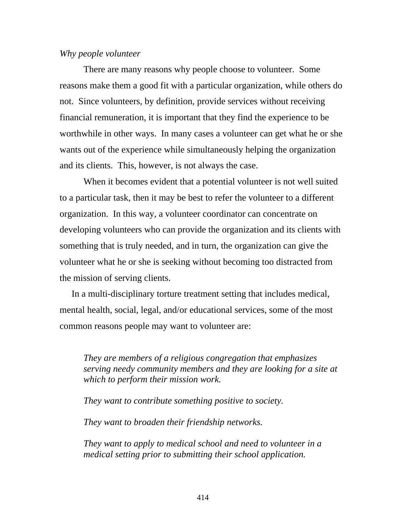## *Why people volunteer*

There are many reasons why people choose to volunteer. Some reasons make them a good fit with a particular organization, while others do not. Since volunteers, by definition, provide services without receiving financial remuneration, it is important that they find the experience to be worthwhile in other ways. In many cases a volunteer can get what he or she wants out of the experience while simultaneously helping the organization and its clients. This, however, is not always the case.

When it becomes evident that a potential volunteer is not well suited to a particular task, then it may be best to refer the volunteer to a different organization. In this way, a volunteer coordinator can concentrate on developing volunteers who can provide the organization and its clients with something that is truly needed, and in turn, the organization can give the volunteer what he or she is seeking without becoming too distracted from the mission of serving clients.

In a multi-disciplinary torture treatment setting that includes medical, mental health, social, legal, and/or educational services, some of the most common reasons people may want to volunteer are:

*They are members of a religious congregation that emphasizes serving needy community members and they are looking for a site at which to perform their mission work.* 

*They want to contribute something positive to society.* 

*They want to broaden their friendship networks.* 

*They want to apply to medical school and need to volunteer in a medical setting prior to submitting their school application.*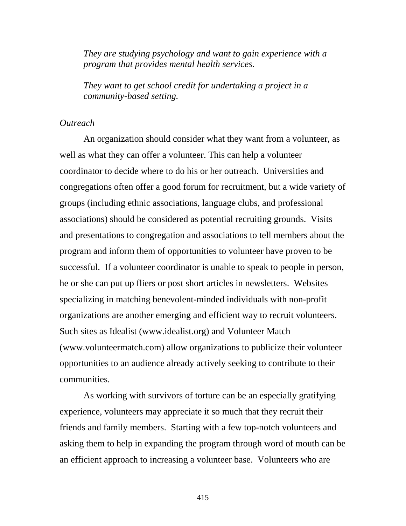*They are studying psychology and want to gain experience with a program that provides mental health services.* 

*They want to get school credit for undertaking a project in a community-based setting.* 

## *Outreach*

An organization should consider what they want from a volunteer, as well as what they can offer a volunteer. This can help a volunteer coordinator to decide where to do his or her outreach. Universities and congregations often offer a good forum for recruitment, but a wide variety of groups (including ethnic associations, language clubs, and professional associations) should be considered as potential recruiting grounds. Visits and presentations to congregation and associations to tell members about the program and inform them of opportunities to volunteer have proven to be successful. If a volunteer coordinator is unable to speak to people in person, he or she can put up fliers or post short articles in newsletters. Websites specializing in matching benevolent-minded individuals with non-profit organizations are another emerging and efficient way to recruit volunteers. Such sites as Idealist (www.idealist.org) and Volunteer Match (www.volunteermatch.com) allow organizations to publicize their volunteer opportunities to an audience already actively seeking to contribute to their communities.

As working with survivors of torture can be an especially gratifying experience, volunteers may appreciate it so much that they recruit their friends and family members. Starting with a few top-notch volunteers and asking them to help in expanding the program through word of mouth can be an efficient approach to increasing a volunteer base. Volunteers who are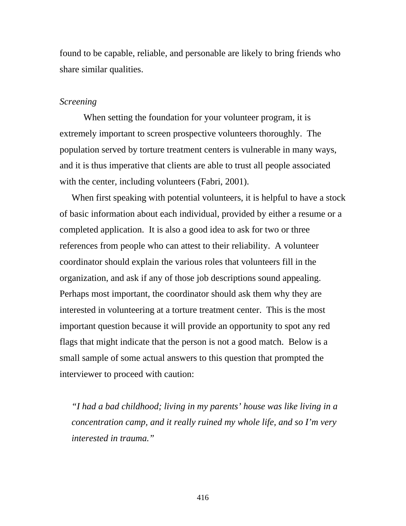found to be capable, reliable, and personable are likely to bring friends who share similar qualities.

#### *Screening*

When setting the foundation for your volunteer program, it is extremely important to screen prospective volunteers thoroughly. The population served by torture treatment centers is vulnerable in many ways, and it is thus imperative that clients are able to trust all people associated with the center, including volunteers (Fabri, 2001).

When first speaking with potential volunteers, it is helpful to have a stock of basic information about each individual, provided by either a resume or a completed application. It is also a good idea to ask for two or three references from people who can attest to their reliability. A volunteer coordinator should explain the various roles that volunteers fill in the organization, and ask if any of those job descriptions sound appealing. Perhaps most important, the coordinator should ask them why they are interested in volunteering at a torture treatment center. This is the most important question because it will provide an opportunity to spot any red flags that might indicate that the person is not a good match. Below is a small sample of some actual answers to this question that prompted the interviewer to proceed with caution:

*"I had a bad childhood; living in my parents' house was like living in a concentration camp, and it really ruined my whole life, and so I'm very interested in trauma."*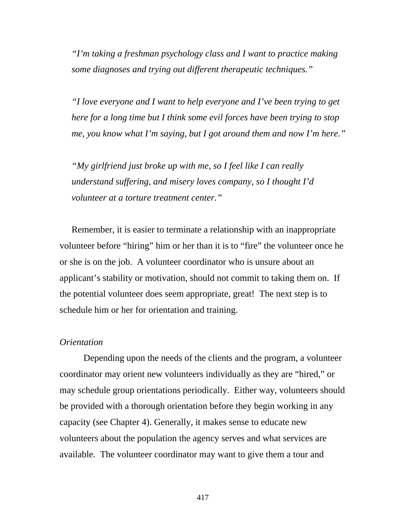*"I'm taking a freshman psychology class and I want to practice making some diagnoses and trying out different therapeutic techniques."* 

*"I love everyone and I want to help everyone and I've been trying to get here for a long time but I think some evil forces have been trying to stop me, you know what I'm saying, but I got around them and now I'm here."* 

*"My girlfriend just broke up with me, so I feel like I can really understand suffering, and misery loves company, so I thought I'd volunteer at a torture treatment center."* 

Remember, it is easier to terminate a relationship with an inappropriate volunteer before "hiring" him or her than it is to "fire" the volunteer once he or she is on the job. A volunteer coordinator who is unsure about an applicant's stability or motivation, should not commit to taking them on. If the potential volunteer does seem appropriate, great! The next step is to schedule him or her for orientation and training.

## *Orientation*

Depending upon the needs of the clients and the program, a volunteer coordinator may orient new volunteers individually as they are "hired," or may schedule group orientations periodically. Either way, volunteers should be provided with a thorough orientation before they begin working in any capacity (see Chapter 4). Generally, it makes sense to educate new volunteers about the population the agency serves and what services are available. The volunteer coordinator may want to give them a tour and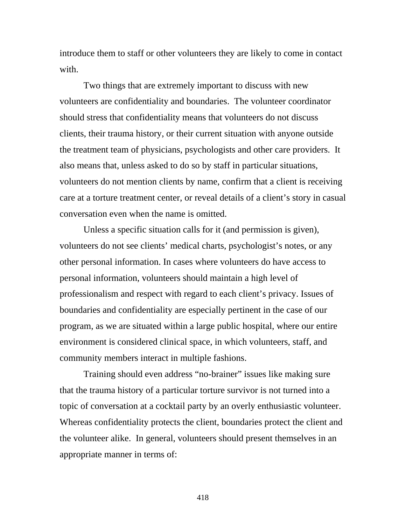introduce them to staff or other volunteers they are likely to come in contact with.

Two things that are extremely important to discuss with new volunteers are confidentiality and boundaries. The volunteer coordinator should stress that confidentiality means that volunteers do not discuss clients, their trauma history, or their current situation with anyone outside the treatment team of physicians, psychologists and other care providers. It also means that, unless asked to do so by staff in particular situations, volunteers do not mention clients by name, confirm that a client is receiving care at a torture treatment center, or reveal details of a client's story in casual conversation even when the name is omitted.

Unless a specific situation calls for it (and permission is given), volunteers do not see clients' medical charts, psychologist's notes, or any other personal information. In cases where volunteers do have access to personal information, volunteers should maintain a high level of professionalism and respect with regard to each client's privacy. Issues of boundaries and confidentiality are especially pertinent in the case of our program, as we are situated within a large public hospital, where our entire environment is considered clinical space, in which volunteers, staff, and community members interact in multiple fashions.

Training should even address "no-brainer" issues like making sure that the trauma history of a particular torture survivor is not turned into a topic of conversation at a cocktail party by an overly enthusiastic volunteer. Whereas confidentiality protects the client, boundaries protect the client and the volunteer alike. In general, volunteers should present themselves in an appropriate manner in terms of: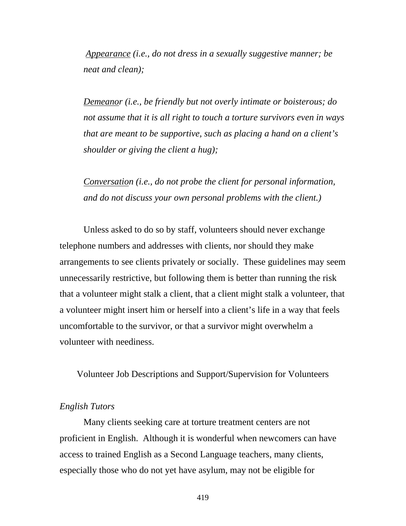*Appearance (i.e., do not dress in a sexually suggestive manner; be neat and clean);* 

*Demeanor (i.e., be friendly but not overly intimate or boisterous; do not assume that it is all right to touch a torture survivors even in ways that are meant to be supportive, such as placing a hand on a client's shoulder or giving the client a hug);* 

*Conversation (i.e., do not probe the client for personal information, and do not discuss your own personal problems with the client.)* 

Unless asked to do so by staff, volunteers should never exchange telephone numbers and addresses with clients, nor should they make arrangements to see clients privately or socially. These guidelines may seem unnecessarily restrictive, but following them is better than running the risk that a volunteer might stalk a client, that a client might stalk a volunteer, that a volunteer might insert him or herself into a client's life in a way that feels uncomfortable to the survivor, or that a survivor might overwhelm a volunteer with neediness.

Volunteer Job Descriptions and Support/Supervision for Volunteers

# *English Tutors*

Many clients seeking care at torture treatment centers are not proficient in English. Although it is wonderful when newcomers can have access to trained English as a Second Language teachers, many clients, especially those who do not yet have asylum, may not be eligible for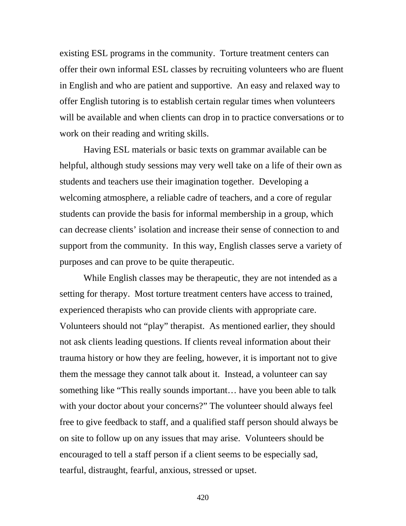existing ESL programs in the community. Torture treatment centers can offer their own informal ESL classes by recruiting volunteers who are fluent in English and who are patient and supportive. An easy and relaxed way to offer English tutoring is to establish certain regular times when volunteers will be available and when clients can drop in to practice conversations or to work on their reading and writing skills.

Having ESL materials or basic texts on grammar available can be helpful, although study sessions may very well take on a life of their own as students and teachers use their imagination together. Developing a welcoming atmosphere, a reliable cadre of teachers, and a core of regular students can provide the basis for informal membership in a group, which can decrease clients' isolation and increase their sense of connection to and support from the community. In this way, English classes serve a variety of purposes and can prove to be quite therapeutic.

While English classes may be therapeutic, they are not intended as a setting for therapy. Most torture treatment centers have access to trained, experienced therapists who can provide clients with appropriate care. Volunteers should not "play" therapist. As mentioned earlier, they should not ask clients leading questions. If clients reveal information about their trauma history or how they are feeling, however, it is important not to give them the message they cannot talk about it. Instead, a volunteer can say something like "This really sounds important… have you been able to talk with your doctor about your concerns?" The volunteer should always feel free to give feedback to staff, and a qualified staff person should always be on site to follow up on any issues that may arise. Volunteers should be encouraged to tell a staff person if a client seems to be especially sad, tearful, distraught, fearful, anxious, stressed or upset.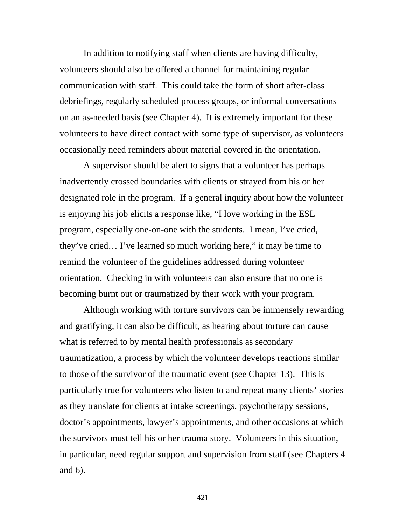In addition to notifying staff when clients are having difficulty, volunteers should also be offered a channel for maintaining regular communication with staff. This could take the form of short after-class debriefings, regularly scheduled process groups, or informal conversations on an as-needed basis (see Chapter 4). It is extremely important for these volunteers to have direct contact with some type of supervisor, as volunteers occasionally need reminders about material covered in the orientation.

A supervisor should be alert to signs that a volunteer has perhaps inadvertently crossed boundaries with clients or strayed from his or her designated role in the program. If a general inquiry about how the volunteer is enjoying his job elicits a response like, "I love working in the ESL program, especially one-on-one with the students. I mean, I've cried, they've cried… I've learned so much working here," it may be time to remind the volunteer of the guidelines addressed during volunteer orientation. Checking in with volunteers can also ensure that no one is becoming burnt out or traumatized by their work with your program.

Although working with torture survivors can be immensely rewarding and gratifying, it can also be difficult, as hearing about torture can cause what is referred to by mental health professionals as secondary traumatization, a process by which the volunteer develops reactions similar to those of the survivor of the traumatic event (see Chapter 13). This is particularly true for volunteers who listen to and repeat many clients' stories as they translate for clients at intake screenings, psychotherapy sessions, doctor's appointments, lawyer's appointments, and other occasions at which the survivors must tell his or her trauma story. Volunteers in this situation, in particular, need regular support and supervision from staff (see Chapters 4 and 6).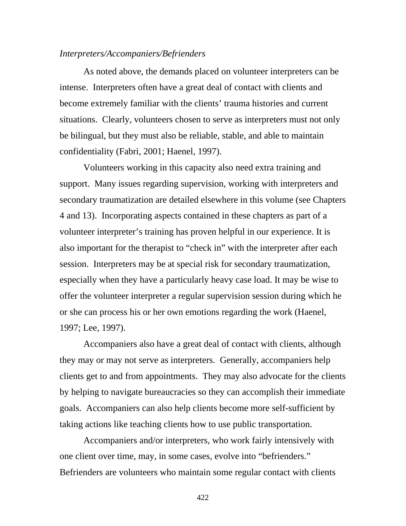## *Interpreters/Accompaniers/Befrienders*

As noted above, the demands placed on volunteer interpreters can be intense. Interpreters often have a great deal of contact with clients and become extremely familiar with the clients' trauma histories and current situations. Clearly, volunteers chosen to serve as interpreters must not only be bilingual, but they must also be reliable, stable, and able to maintain confidentiality (Fabri, 2001; Haenel, 1997).

Volunteers working in this capacity also need extra training and support. Many issues regarding supervision, working with interpreters and secondary traumatization are detailed elsewhere in this volume (see Chapters 4 and 13). Incorporating aspects contained in these chapters as part of a volunteer interpreter's training has proven helpful in our experience. It is also important for the therapist to "check in" with the interpreter after each session. Interpreters may be at special risk for secondary traumatization, especially when they have a particularly heavy case load. It may be wise to offer the volunteer interpreter a regular supervision session during which he or she can process his or her own emotions regarding the work (Haenel, 1997; Lee, 1997).

Accompaniers also have a great deal of contact with clients, although they may or may not serve as interpreters. Generally, accompaniers help clients get to and from appointments. They may also advocate for the clients by helping to navigate bureaucracies so they can accomplish their immediate goals. Accompaniers can also help clients become more self-sufficient by taking actions like teaching clients how to use public transportation.

Accompaniers and/or interpreters, who work fairly intensively with one client over time, may, in some cases, evolve into "befrienders." Befrienders are volunteers who maintain some regular contact with clients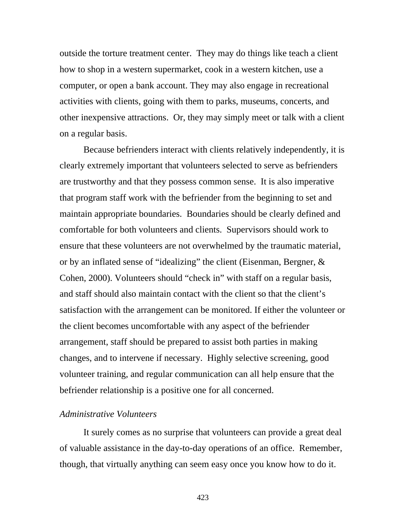outside the torture treatment center. They may do things like teach a client how to shop in a western supermarket, cook in a western kitchen, use a computer, or open a bank account. They may also engage in recreational activities with clients, going with them to parks, museums, concerts, and other inexpensive attractions. Or, they may simply meet or talk with a client on a regular basis.

Because befrienders interact with clients relatively independently, it is clearly extremely important that volunteers selected to serve as befrienders are trustworthy and that they possess common sense. It is also imperative that program staff work with the befriender from the beginning to set and maintain appropriate boundaries. Boundaries should be clearly defined and comfortable for both volunteers and clients. Supervisors should work to ensure that these volunteers are not overwhelmed by the traumatic material, or by an inflated sense of "idealizing" the client (Eisenman, Bergner, & Cohen, 2000). Volunteers should "check in" with staff on a regular basis, and staff should also maintain contact with the client so that the client's satisfaction with the arrangement can be monitored. If either the volunteer or the client becomes uncomfortable with any aspect of the befriender arrangement, staff should be prepared to assist both parties in making changes, and to intervene if necessary. Highly selective screening, good volunteer training, and regular communication can all help ensure that the befriender relationship is a positive one for all concerned.

## *Administrative Volunteers*

It surely comes as no surprise that volunteers can provide a great deal of valuable assistance in the day-to-day operations of an office. Remember, though, that virtually anything can seem easy once you know how to do it.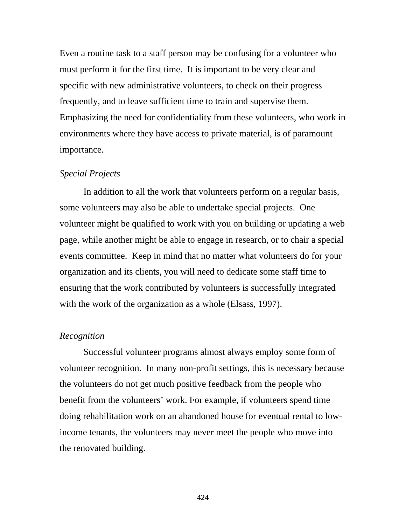Even a routine task to a staff person may be confusing for a volunteer who must perform it for the first time. It is important to be very clear and specific with new administrative volunteers, to check on their progress frequently, and to leave sufficient time to train and supervise them. Emphasizing the need for confidentiality from these volunteers, who work in environments where they have access to private material, is of paramount importance.

## *Special Projects*

In addition to all the work that volunteers perform on a regular basis, some volunteers may also be able to undertake special projects. One volunteer might be qualified to work with you on building or updating a web page, while another might be able to engage in research, or to chair a special events committee. Keep in mind that no matter what volunteers do for your organization and its clients, you will need to dedicate some staff time to ensuring that the work contributed by volunteers is successfully integrated with the work of the organization as a whole (Elsass, 1997).

#### *Recognition*

Successful volunteer programs almost always employ some form of volunteer recognition. In many non-profit settings, this is necessary because the volunteers do not get much positive feedback from the people who benefit from the volunteers' work. For example, if volunteers spend time doing rehabilitation work on an abandoned house for eventual rental to lowincome tenants, the volunteers may never meet the people who move into the renovated building.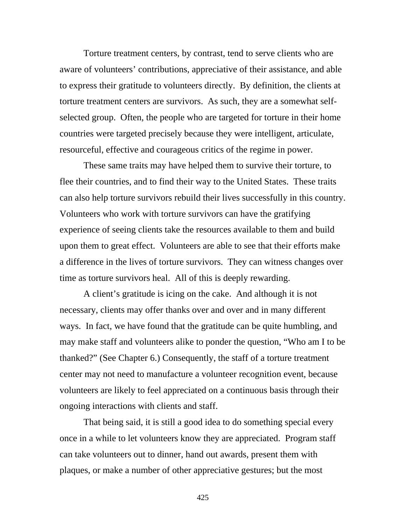Torture treatment centers, by contrast, tend to serve clients who are aware of volunteers' contributions, appreciative of their assistance, and able to express their gratitude to volunteers directly. By definition, the clients at torture treatment centers are survivors. As such, they are a somewhat selfselected group. Often, the people who are targeted for torture in their home countries were targeted precisely because they were intelligent, articulate, resourceful, effective and courageous critics of the regime in power.

These same traits may have helped them to survive their torture, to flee their countries, and to find their way to the United States. These traits can also help torture survivors rebuild their lives successfully in this country. Volunteers who work with torture survivors can have the gratifying experience of seeing clients take the resources available to them and build upon them to great effect. Volunteers are able to see that their efforts make a difference in the lives of torture survivors. They can witness changes over time as torture survivors heal. All of this is deeply rewarding.

A client's gratitude is icing on the cake. And although it is not necessary, clients may offer thanks over and over and in many different ways. In fact, we have found that the gratitude can be quite humbling, and may make staff and volunteers alike to ponder the question, "Who am I to be thanked?" (See Chapter 6.) Consequently, the staff of a torture treatment center may not need to manufacture a volunteer recognition event, because volunteers are likely to feel appreciated on a continuous basis through their ongoing interactions with clients and staff.

That being said, it is still a good idea to do something special every once in a while to let volunteers know they are appreciated. Program staff can take volunteers out to dinner, hand out awards, present them with plaques, or make a number of other appreciative gestures; but the most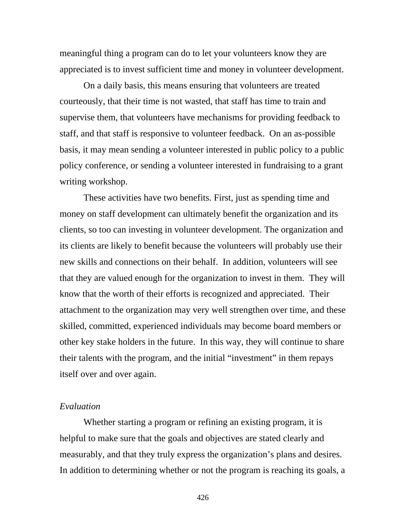meaningful thing a program can do to let your volunteers know they are appreciated is to invest sufficient time and money in volunteer development.

On a daily basis, this means ensuring that volunteers are treated courteously, that their time is not wasted, that staff has time to train and supervise them, that volunteers have mechanisms for providing feedback to staff, and that staff is responsive to volunteer feedback. On an as-possible basis, it may mean sending a volunteer interested in public policy to a public policy conference, or sending a volunteer interested in fundraising to a grant writing workshop.

These activities have two benefits. First, just as spending time and money on staff development can ultimately benefit the organization and its clients, so too can investing in volunteer development. The organization and its clients are likely to benefit because the volunteers will probably use their new skills and connections on their behalf. In addition, volunteers will see that they are valued enough for the organization to invest in them. They will know that the worth of their efforts is recognized and appreciated. Their attachment to the organization may very well strengthen over time, and these skilled, committed, experienced individuals may become board members or other key stake holders in the future. In this way, they will continue to share their talents with the program, and the initial "investment" in them repays itself over and over again.

# *Evaluation*

Whether starting a program or refining an existing program, it is helpful to make sure that the goals and objectives are stated clearly and measurably, and that they truly express the organization's plans and desires. In addition to determining whether or not the program is reaching its goals, a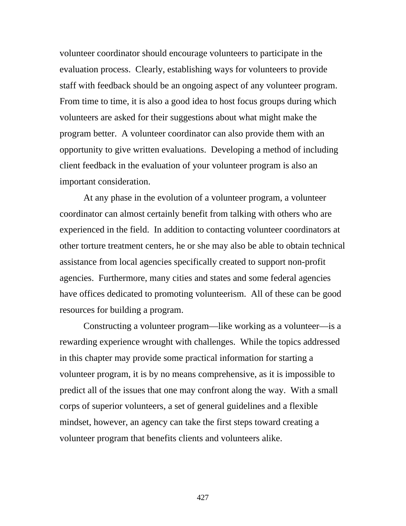volunteer coordinator should encourage volunteers to participate in the evaluation process. Clearly, establishing ways for volunteers to provide staff with feedback should be an ongoing aspect of any volunteer program. From time to time, it is also a good idea to host focus groups during which volunteers are asked for their suggestions about what might make the program better. A volunteer coordinator can also provide them with an opportunity to give written evaluations. Developing a method of including client feedback in the evaluation of your volunteer program is also an important consideration.

At any phase in the evolution of a volunteer program, a volunteer coordinator can almost certainly benefit from talking with others who are experienced in the field. In addition to contacting volunteer coordinators at other torture treatment centers, he or she may also be able to obtain technical assistance from local agencies specifically created to support non-profit agencies. Furthermore, many cities and states and some federal agencies have offices dedicated to promoting volunteerism. All of these can be good resources for building a program.

Constructing a volunteer program—like working as a volunteer—is a rewarding experience wrought with challenges. While the topics addressed in this chapter may provide some practical information for starting a volunteer program, it is by no means comprehensive, as it is impossible to predict all of the issues that one may confront along the way. With a small corps of superior volunteers, a set of general guidelines and a flexible mindset, however, an agency can take the first steps toward creating a volunteer program that benefits clients and volunteers alike.